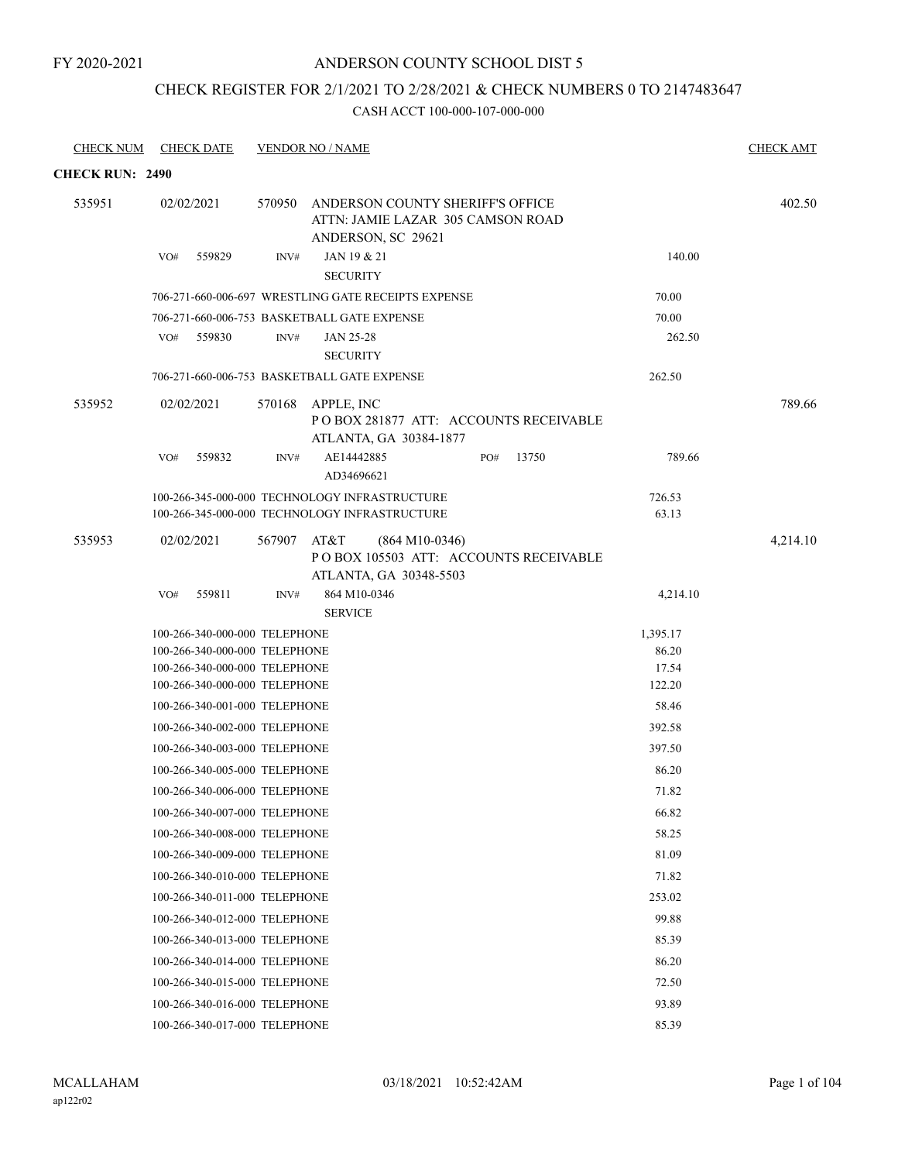# CHECK REGISTER FOR 2/1/2021 TO 2/28/2021 & CHECK NUMBERS 0 TO 2147483647

| <b>CHECK NUM</b>       | <b>CHECK DATE</b>                                              |             | <b>VENDOR NO / NAME</b>                                                                            |     |       |                 | <b>CHECK AMT</b> |
|------------------------|----------------------------------------------------------------|-------------|----------------------------------------------------------------------------------------------------|-----|-------|-----------------|------------------|
| <b>CHECK RUN: 2490</b> |                                                                |             |                                                                                                    |     |       |                 |                  |
| 535951                 | 02/02/2021                                                     |             | 570950 ANDERSON COUNTY SHERIFF'S OFFICE<br>ATTN: JAMIE LAZAR 305 CAMSON ROAD<br>ANDERSON, SC 29621 |     |       |                 | 402.50           |
|                        | 559829<br>VO#                                                  | INV#        | JAN 19 & 21<br><b>SECURITY</b>                                                                     |     |       | 140.00          |                  |
|                        |                                                                |             | 706-271-660-006-697 WRESTLING GATE RECEIPTS EXPENSE                                                |     |       | 70.00           |                  |
|                        |                                                                |             | 706-271-660-006-753 BASKETBALL GATE EXPENSE                                                        |     |       | 70.00           |                  |
|                        | VO# 559830                                                     | INV#        | JAN 25-28<br><b>SECURITY</b>                                                                       |     |       | 262.50          |                  |
|                        |                                                                |             | 706-271-660-006-753 BASKETBALL GATE EXPENSE                                                        |     |       | 262.50          |                  |
| 535952                 | 02/02/2021                                                     |             | 570168 APPLE, INC<br>POBOX 281877 ATT: ACCOUNTS RECEIVABLE<br>ATLANTA, GA 30384-1877               |     |       |                 | 789.66           |
|                        | 559832<br>VO#                                                  | INV#        | AE14442885<br>AD34696621                                                                           | PO# | 13750 | 789.66          |                  |
|                        |                                                                |             | 100-266-345-000-000 TECHNOLOGY INFRASTRUCTURE                                                      |     |       | 726.53          |                  |
|                        |                                                                |             | 100-266-345-000-000 TECHNOLOGY INFRASTRUCTURE                                                      |     |       | 63.13           |                  |
| 535953                 | 02/02/2021                                                     | 567907 AT&T | $(864 M10-0346)$<br>PO BOX 105503 ATT: ACCOUNTS RECEIVABLE<br>ATLANTA, GA 30348-5503               |     |       |                 | 4,214.10         |
|                        | 559811<br>VO#                                                  | INV#        | 864 M10-0346                                                                                       |     |       | 4,214.10        |                  |
|                        |                                                                |             | <b>SERVICE</b>                                                                                     |     |       |                 |                  |
|                        | 100-266-340-000-000 TELEPHONE                                  |             |                                                                                                    |     |       | 1,395.17        |                  |
|                        | 100-266-340-000-000 TELEPHONE                                  |             |                                                                                                    |     |       | 86.20           |                  |
|                        | 100-266-340-000-000 TELEPHONE<br>100-266-340-000-000 TELEPHONE |             |                                                                                                    |     |       | 17.54<br>122.20 |                  |
|                        | 100-266-340-001-000 TELEPHONE                                  |             |                                                                                                    |     |       | 58.46           |                  |
|                        | 100-266-340-002-000 TELEPHONE                                  |             |                                                                                                    |     |       | 392.58          |                  |
|                        |                                                                |             |                                                                                                    |     |       |                 |                  |
|                        | 100-266-340-003-000 TELEPHONE                                  |             |                                                                                                    |     |       | 397.50          |                  |
|                        | 100-266-340-005-000 TELEPHONE                                  |             |                                                                                                    |     |       | 86.20           |                  |
|                        | 100-266-340-006-000 TELEPHONE                                  |             |                                                                                                    |     |       | 71.82           |                  |
|                        | 100-266-340-007-000 TELEPHONE                                  |             |                                                                                                    |     |       | 66.82           |                  |
|                        | 100-266-340-008-000 TELEPHONE                                  |             |                                                                                                    |     |       | 58.25           |                  |
|                        | 100-266-340-009-000 TELEPHONE                                  |             |                                                                                                    |     |       | 81.09           |                  |
|                        | 100-266-340-010-000 TELEPHONE                                  |             |                                                                                                    |     |       | 71.82           |                  |
|                        | 100-266-340-011-000 TELEPHONE                                  |             |                                                                                                    |     |       | 253.02          |                  |
|                        | 100-266-340-012-000 TELEPHONE                                  |             |                                                                                                    |     |       | 99.88           |                  |
|                        | 100-266-340-013-000 TELEPHONE                                  |             |                                                                                                    |     |       | 85.39           |                  |
|                        | 100-266-340-014-000 TELEPHONE                                  |             |                                                                                                    |     |       | 86.20           |                  |
|                        | 100-266-340-015-000 TELEPHONE                                  |             |                                                                                                    |     |       | 72.50           |                  |
|                        | 100-266-340-016-000 TELEPHONE                                  |             |                                                                                                    |     |       | 93.89           |                  |
|                        | 100-266-340-017-000 TELEPHONE                                  |             |                                                                                                    |     |       | 85.39           |                  |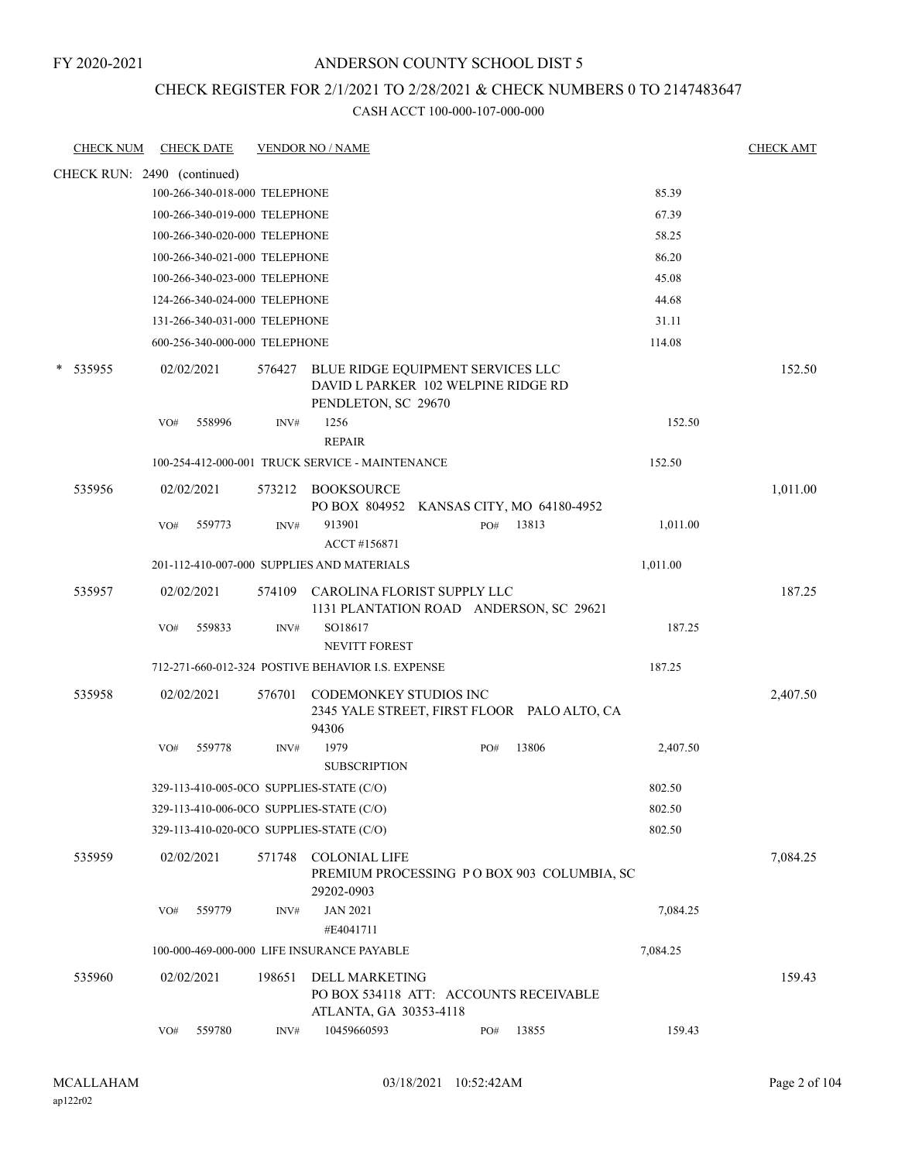### ANDERSON COUNTY SCHOOL DIST 5

### CHECK REGISTER FOR 2/1/2021 TO 2/28/2021 & CHECK NUMBERS 0 TO 2147483647

| <b>CHECK NUM</b>            |     | <b>CHECK DATE</b>             |        | <b>VENDOR NO / NAME</b>                                                                                |     |       |          | <b>CHECK AMT</b> |
|-----------------------------|-----|-------------------------------|--------|--------------------------------------------------------------------------------------------------------|-----|-------|----------|------------------|
| CHECK RUN: 2490 (continued) |     |                               |        |                                                                                                        |     |       |          |                  |
|                             |     | 100-266-340-018-000 TELEPHONE |        |                                                                                                        |     |       | 85.39    |                  |
|                             |     | 100-266-340-019-000 TELEPHONE |        |                                                                                                        |     |       | 67.39    |                  |
|                             |     | 100-266-340-020-000 TELEPHONE |        |                                                                                                        |     |       | 58.25    |                  |
|                             |     | 100-266-340-021-000 TELEPHONE |        |                                                                                                        |     |       | 86.20    |                  |
|                             |     | 100-266-340-023-000 TELEPHONE |        |                                                                                                        |     |       | 45.08    |                  |
|                             |     | 124-266-340-024-000 TELEPHONE |        |                                                                                                        |     |       | 44.68    |                  |
|                             |     | 131-266-340-031-000 TELEPHONE |        |                                                                                                        |     |       | 31.11    |                  |
|                             |     | 600-256-340-000-000 TELEPHONE |        |                                                                                                        |     |       | 114.08   |                  |
| 535955                      |     | 02/02/2021                    |        | 576427 BLUE RIDGE EQUIPMENT SERVICES LLC<br>DAVID L PARKER 102 WELPINE RIDGE RD<br>PENDLETON, SC 29670 |     |       |          | 152.50           |
|                             | VO# | 558996                        | INV#   | 1256                                                                                                   |     |       | 152.50   |                  |
|                             |     |                               |        | <b>REPAIR</b>                                                                                          |     |       |          |                  |
|                             |     |                               |        | 100-254-412-000-001 TRUCK SERVICE - MAINTENANCE                                                        |     |       | 152.50   |                  |
| 535956                      |     | 02/02/2021                    |        | 573212 BOOKSOURCE<br>PO BOX 804952 KANSAS CITY, MO 64180-4952                                          |     |       |          | 1,011.00         |
|                             | VO# | 559773                        | INV#   | 913901                                                                                                 | PO# | 13813 | 1,011.00 |                  |
|                             |     |                               |        | ACCT #156871                                                                                           |     |       |          |                  |
|                             |     |                               |        | 201-112-410-007-000 SUPPLIES AND MATERIALS                                                             |     |       | 1,011.00 |                  |
| 535957                      |     | 02/02/2021                    | 574109 | CAROLINA FLORIST SUPPLY LLC<br>1131 PLANTATION ROAD ANDERSON, SC 29621                                 |     |       |          | 187.25           |
|                             | VO# | 559833                        | INV#   | SO18617                                                                                                |     |       | 187.25   |                  |
|                             |     |                               |        | NEVITT FOREST                                                                                          |     |       |          |                  |
|                             |     |                               |        | 712-271-660-012-324 POSTIVE BEHAVIOR I.S. EXPENSE                                                      |     |       | 187.25   |                  |
| 535958                      |     | 02/02/2021                    | 576701 | CODEMONKEY STUDIOS INC<br>2345 YALE STREET, FIRST FLOOR PALO ALTO, CA<br>94306                         |     |       |          | 2,407.50         |
|                             | VO# | 559778                        | INV#   | 1979<br><b>SUBSCRIPTION</b>                                                                            | PO# | 13806 | 2,407.50 |                  |
|                             |     |                               |        | 329-113-410-005-0CO SUPPLIES-STATE (C/O)                                                               |     |       | 802.50   |                  |
|                             |     |                               |        | 329-113-410-006-0CO SUPPLIES-STATE (C/O)                                                               |     |       | 802.50   |                  |
|                             |     |                               |        | 329-113-410-020-0CO SUPPLIES-STATE (C/O)                                                               |     |       | 802.50   |                  |
| 535959                      |     | 02/02/2021                    | 571748 | <b>COLONIAL LIFE</b><br>PREMIUM PROCESSING PO BOX 903 COLUMBIA, SC<br>29202-0903                       |     |       |          | 7,084.25         |
|                             | VO# | 559779                        | INV#   | <b>JAN 2021</b><br>#E4041711                                                                           |     |       | 7,084.25 |                  |
|                             |     |                               |        | 100-000-469-000-000 LIFE INSURANCE PAYABLE                                                             |     |       | 7,084.25 |                  |
| 535960                      |     | 02/02/2021                    | 198651 | DELL MARKETING<br>PO BOX 534118 ATT: ACCOUNTS RECEIVABLE                                               |     |       |          | 159.43           |
|                             |     | 559780                        |        | ATLANTA, GA 30353-4118<br>10459660593                                                                  |     | 13855 | 159.43   |                  |
|                             | VO# |                               | INV#   |                                                                                                        | PO# |       |          |                  |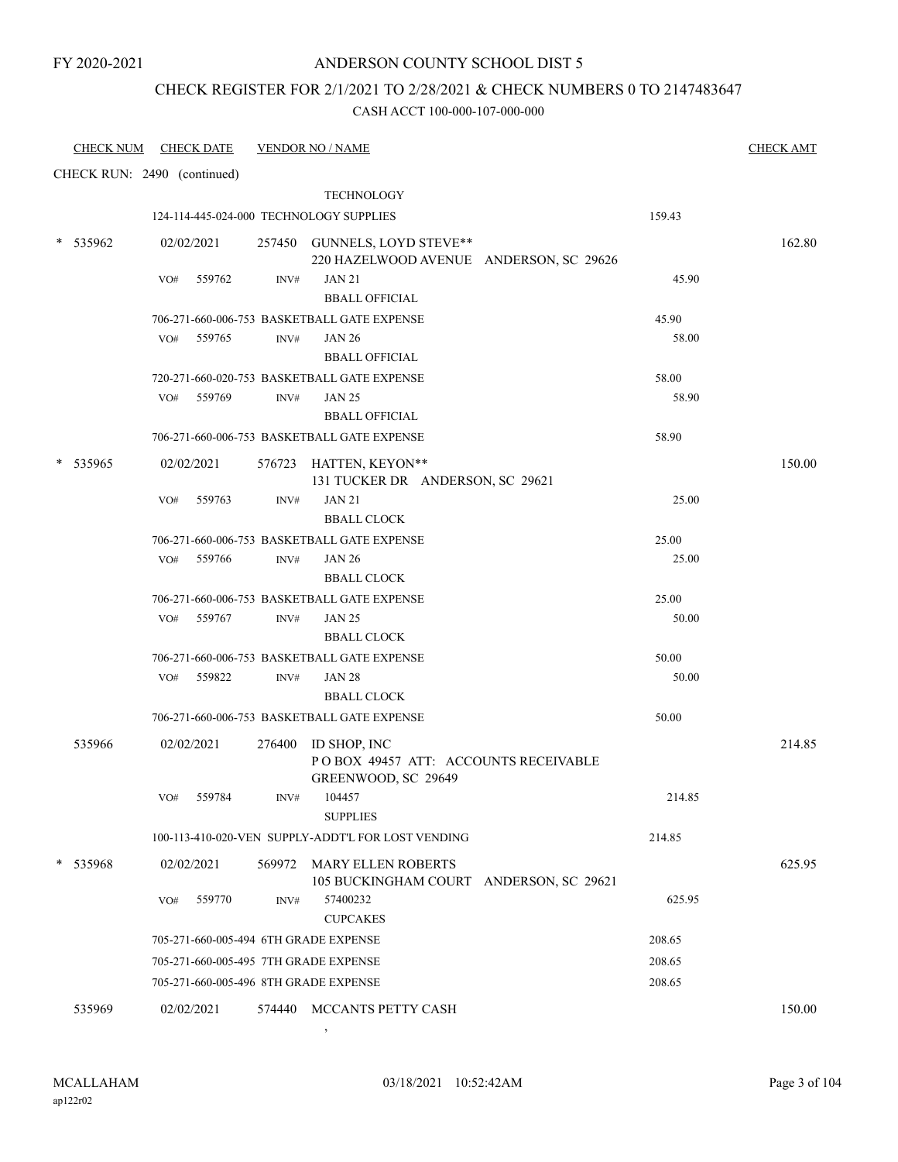### CHECK REGISTER FOR 2/1/2021 TO 2/28/2021 & CHECK NUMBERS 0 TO 2147483647

#### CASH ACCT 100-000-107-000-000

|   | <b>CHECK NUM</b> | <b>CHECK DATE</b>                       |                | <b>VENDOR NO / NAME</b>                                                            |        | <b>CHECK AMT</b> |
|---|------------------|-----------------------------------------|----------------|------------------------------------------------------------------------------------|--------|------------------|
|   |                  | CHECK RUN: 2490 (continued)             |                |                                                                                    |        |                  |
|   |                  |                                         |                | <b>TECHNOLOGY</b>                                                                  |        |                  |
|   |                  | 124-114-445-024-000 TECHNOLOGY SUPPLIES |                |                                                                                    | 159.43 |                  |
|   | $*$ 535962       | 02/02/2021                              |                | 257450 GUNNELS, LOYD STEVE**<br>220 HAZELWOOD AVENUE ANDERSON, SC 29626            |        | 162.80           |
|   |                  | VO#<br>559762                           | INV#           | <b>JAN 21</b><br><b>BBALL OFFICIAL</b>                                             | 45.90  |                  |
|   |                  |                                         |                | 706-271-660-006-753 BASKETBALL GATE EXPENSE                                        | 45.90  |                  |
|   |                  | 559765<br>VO#                           | $\text{INV}\#$ | <b>JAN 26</b><br><b>BBALL OFFICIAL</b>                                             | 58.00  |                  |
|   |                  |                                         |                | 720-271-660-020-753 BASKETBALL GATE EXPENSE                                        | 58.00  |                  |
|   |                  | 559769<br>VO#                           | INV#           | <b>JAN 25</b><br><b>BBALL OFFICIAL</b>                                             | 58.90  |                  |
|   |                  |                                         |                | 706-271-660-006-753 BASKETBALL GATE EXPENSE                                        | 58.90  |                  |
| * | 535965           | 02/02/2021                              |                | 576723 HATTEN, KEYON**<br>131 TUCKER DR ANDERSON, SC 29621                         |        | 150.00           |
|   |                  | VO#<br>559763                           | INV#           | <b>JAN 21</b><br><b>BBALL CLOCK</b>                                                | 25.00  |                  |
|   |                  |                                         |                | 706-271-660-006-753 BASKETBALL GATE EXPENSE                                        | 25.00  |                  |
|   |                  | 559766<br>VO#                           | INV#           | <b>JAN 26</b><br><b>BBALL CLOCK</b>                                                | 25.00  |                  |
|   |                  |                                         |                | 706-271-660-006-753 BASKETBALL GATE EXPENSE                                        | 25.00  |                  |
|   |                  | 559767<br>VO#                           | INV#           | <b>JAN 25</b><br><b>BBALL CLOCK</b>                                                | 50.00  |                  |
|   |                  |                                         |                | 706-271-660-006-753 BASKETBALL GATE EXPENSE                                        | 50.00  |                  |
|   |                  | 559822<br>VO#                           | INV#           | <b>JAN 28</b><br><b>BBALL CLOCK</b>                                                | 50.00  |                  |
|   |                  |                                         |                | 706-271-660-006-753 BASKETBALL GATE EXPENSE                                        | 50.00  |                  |
|   | 535966           | 02/02/2021                              |                | 276400 ID SHOP, INC<br>POBOX 49457 ATT: ACCOUNTS RECEIVABLE<br>GREENWOOD, SC 29649 |        | 214.85           |
|   |                  | VO# 559784                              |                | INV# 104457<br><b>SUPPLIES</b>                                                     | 214.85 |                  |
|   |                  |                                         |                | 100-113-410-020-VEN SUPPLY-ADDT'L FOR LOST VENDING                                 | 214.85 |                  |
|   | 535968           | 02/02/2021                              |                | 569972 MARY ELLEN ROBERTS                                                          |        | 625.95           |
|   |                  | 559770<br>VO#                           | INV#           | 105 BUCKINGHAM COURT ANDERSON, SC 29621<br>57400232<br><b>CUPCAKES</b>             | 625.95 |                  |
|   |                  | 705-271-660-005-494 6TH GRADE EXPENSE   |                |                                                                                    | 208.65 |                  |
|   |                  | 705-271-660-005-495 7TH GRADE EXPENSE   |                |                                                                                    | 208.65 |                  |
|   |                  | 705-271-660-005-496 8TH GRADE EXPENSE   |                |                                                                                    | 208.65 |                  |
|   | 535969           | 02/02/2021                              |                | 574440 MCCANTS PETTY CASH                                                          |        | 150.00           |

,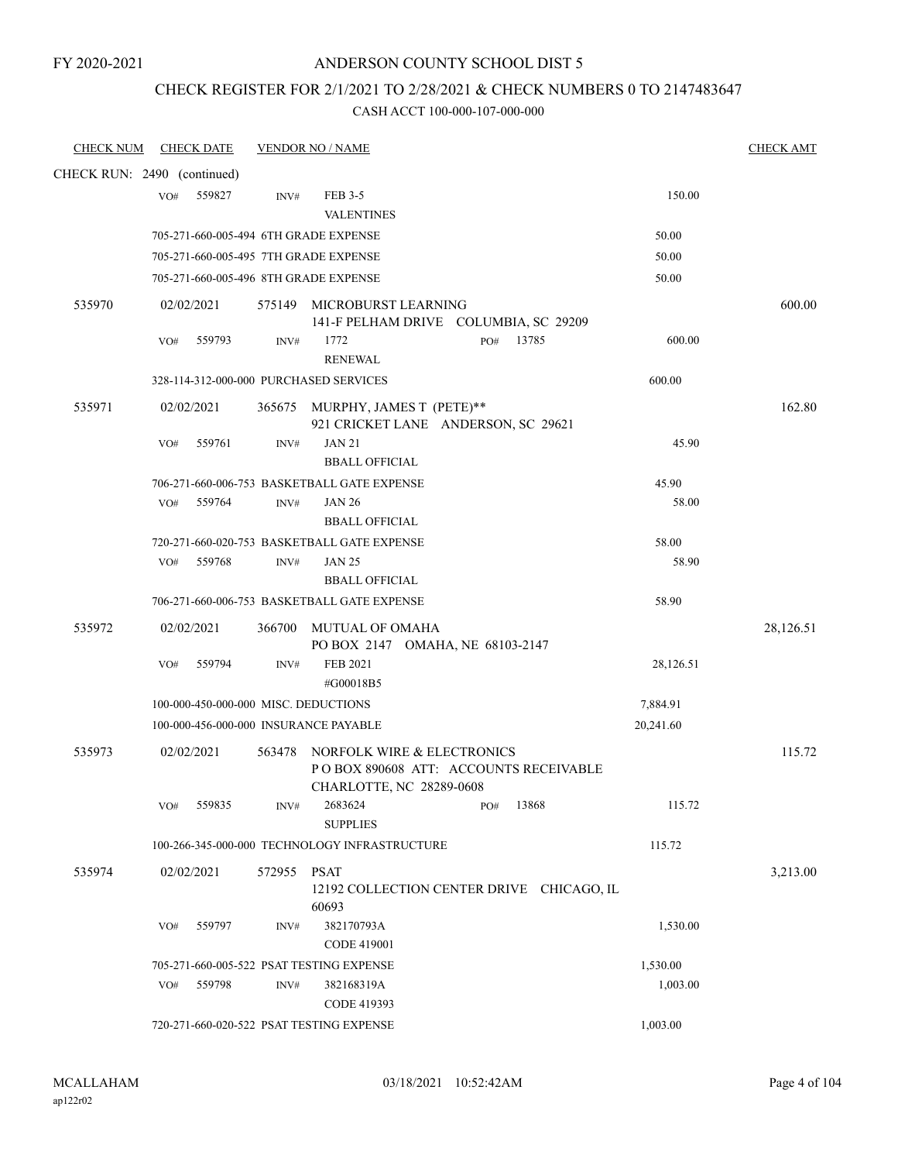### CHECK REGISTER FOR 2/1/2021 TO 2/28/2021 & CHECK NUMBERS 0 TO 2147483647

| <b>CHECK NUM</b>            |     | <b>CHECK DATE</b> |        | <b>VENDOR NO / NAME</b>                                                                          |              |           | <b>CHECK AMT</b> |
|-----------------------------|-----|-------------------|--------|--------------------------------------------------------------------------------------------------|--------------|-----------|------------------|
| CHECK RUN: 2490 (continued) |     |                   |        |                                                                                                  |              |           |                  |
|                             | VO# | 559827            | INV#   | FEB 3-5<br><b>VALENTINES</b>                                                                     |              | 150.00    |                  |
|                             |     |                   |        | 705-271-660-005-494 6TH GRADE EXPENSE                                                            |              | 50.00     |                  |
|                             |     |                   |        | 705-271-660-005-495 7TH GRADE EXPENSE                                                            |              | 50.00     |                  |
|                             |     |                   |        | 705-271-660-005-496 8TH GRADE EXPENSE                                                            |              | 50.00     |                  |
| 535970                      |     | 02/02/2021        |        | 575149 MICROBURST LEARNING<br>141-F PELHAM DRIVE COLUMBIA, SC 29209                              |              |           | 600.00           |
|                             | VO# | 559793            | INV#   | 1772<br><b>RENEWAL</b>                                                                           | 13785<br>PO# | 600.00    |                  |
|                             |     |                   |        | 328-114-312-000-000 PURCHASED SERVICES                                                           |              | 600.00    |                  |
| 535971                      |     | 02/02/2021        |        | 365675 MURPHY, JAMES T (PETE)**<br>921 CRICKET LANE ANDERSON, SC 29621                           |              |           | 162.80           |
|                             | VO# | 559761            | INV#   | <b>JAN 21</b><br><b>BBALL OFFICIAL</b>                                                           |              | 45.90     |                  |
|                             |     |                   |        | 706-271-660-006-753 BASKETBALL GATE EXPENSE                                                      |              | 45.90     |                  |
|                             | VO# | 559764            | INV#   | <b>JAN 26</b><br><b>BBALL OFFICIAL</b>                                                           |              | 58.00     |                  |
|                             |     |                   |        | 720-271-660-020-753 BASKETBALL GATE EXPENSE                                                      |              | 58.00     |                  |
|                             | VO# | 559768            | INV#   | <b>JAN 25</b>                                                                                    |              | 58.90     |                  |
|                             |     |                   |        | <b>BBALL OFFICIAL</b><br>706-271-660-006-753 BASKETBALL GATE EXPENSE                             |              | 58.90     |                  |
| 535972                      |     | 02/02/2021        | 366700 | MUTUAL OF OMAHA<br>PO BOX 2147 OMAHA, NE 68103-2147                                              |              |           | 28,126.51        |
|                             | VO# | 559794            | INV#   | <b>FEB 2021</b><br>#G00018B5                                                                     |              | 28,126.51 |                  |
|                             |     |                   |        | 100-000-450-000-000 MISC. DEDUCTIONS                                                             |              | 7,884.91  |                  |
|                             |     |                   |        | 100-000-456-000-000 INSURANCE PAYABLE                                                            |              | 20,241.60 |                  |
| 535973                      |     | 02/02/2021        | 563478 | NORFOLK WIRE & ELECTRONICS<br>PO BOX 890608 ATT: ACCOUNTS RECEIVABLE<br>CHARLOTTE, NC 28289-0608 |              |           | 115.72           |
|                             | VO# | 559835            | INV#   | 2683624<br><b>SUPPLIES</b>                                                                       | 13868<br>PO# | 115.72    |                  |
|                             |     |                   |        | 100-266-345-000-000 TECHNOLOGY INFRASTRUCTURE                                                    |              | 115.72    |                  |
| 535974                      |     | 02/02/2021        | 572955 | <b>PSAT</b><br>12192 COLLECTION CENTER DRIVE CHICAGO, IL<br>60693                                |              |           | 3,213.00         |
|                             | VO# | 559797            | INV#   | 382170793A<br><b>CODE 419001</b>                                                                 |              | 1,530.00  |                  |
|                             |     |                   |        | 705-271-660-005-522 PSAT TESTING EXPENSE                                                         |              | 1,530.00  |                  |
|                             | VO# | 559798            | INV#   | 382168319A<br>CODE 419393                                                                        |              | 1,003.00  |                  |
|                             |     |                   |        | 720-271-660-020-522 PSAT TESTING EXPENSE                                                         |              | 1,003.00  |                  |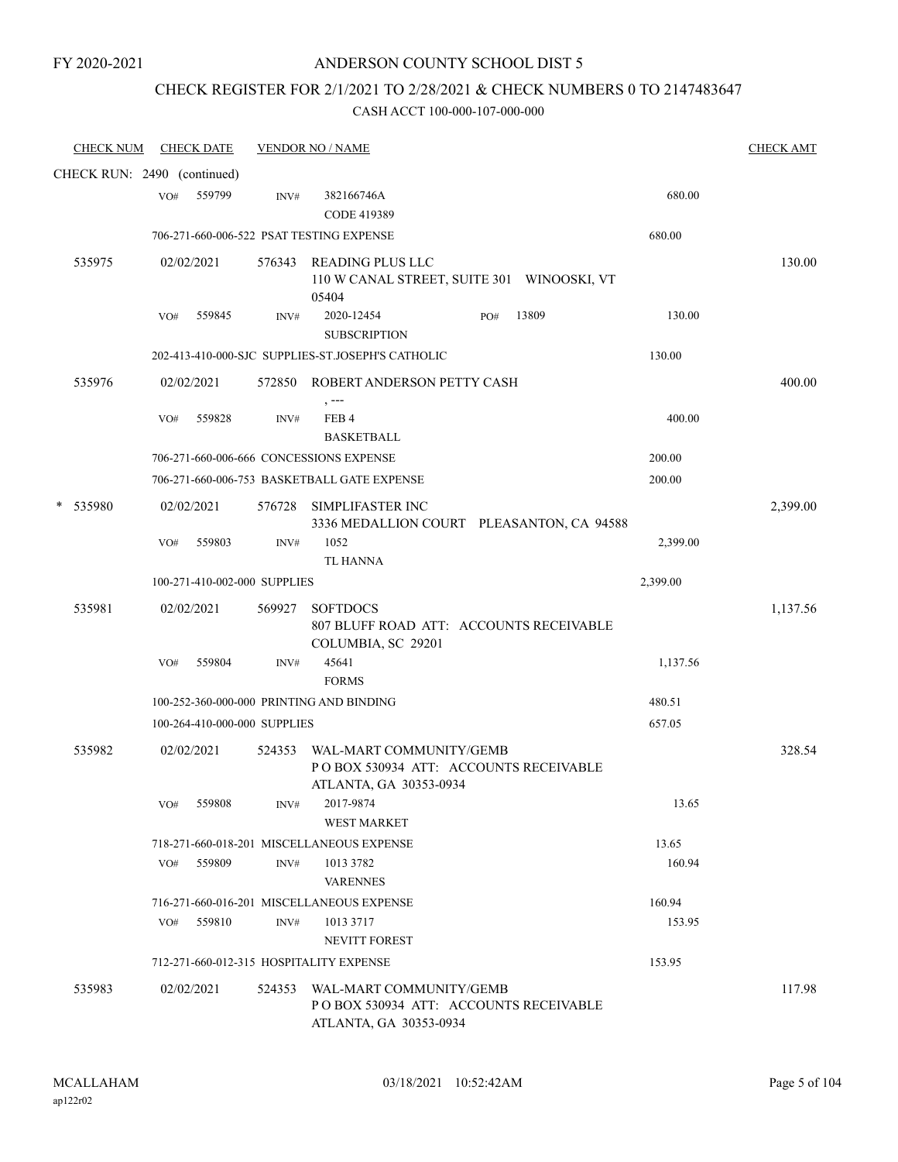# CHECK REGISTER FOR 2/1/2021 TO 2/28/2021 & CHECK NUMBERS 0 TO 2147483647

| <b>CHECK NUM</b>            |     | <b>CHECK DATE</b>            |        | <b>VENDOR NO / NAME</b>                                                                            |     |       |          | <b>CHECK AMT</b> |
|-----------------------------|-----|------------------------------|--------|----------------------------------------------------------------------------------------------------|-----|-------|----------|------------------|
| CHECK RUN: 2490 (continued) |     |                              |        |                                                                                                    |     |       |          |                  |
|                             | VO# | 559799                       | INV#   | 382166746A<br>CODE 419389                                                                          |     |       | 680.00   |                  |
|                             |     |                              |        | 706-271-660-006-522 PSAT TESTING EXPENSE                                                           |     |       | 680.00   |                  |
| 535975                      |     | 02/02/2021                   |        | 576343 READING PLUS LLC<br>110 W CANAL STREET, SUITE 301 WINOOSKI, VT<br>05404                     |     |       |          | 130.00           |
|                             | VO# | 559845                       | INV#   | 2020-12454<br><b>SUBSCRIPTION</b>                                                                  | PO# | 13809 | 130.00   |                  |
|                             |     |                              |        | 202-413-410-000-SJC SUPPLIES-ST.JOSEPH'S CATHOLIC                                                  |     |       | 130.00   |                  |
| 535976                      |     | 02/02/2021                   |        | 572850 ROBERT ANDERSON PETTY CASH<br>, ---                                                         |     |       |          | 400.00           |
|                             | VO# | 559828                       | INV#   | FEB <sub>4</sub><br><b>BASKETBALL</b>                                                              |     |       | 400.00   |                  |
|                             |     |                              |        | 706-271-660-006-666 CONCESSIONS EXPENSE                                                            |     |       | 200.00   |                  |
|                             |     |                              |        | 706-271-660-006-753 BASKETBALL GATE EXPENSE                                                        |     |       | 200.00   |                  |
| 535980                      |     | 02/02/2021                   | 576728 | SIMPLIFASTER INC<br>3336 MEDALLION COURT PLEASANTON, CA 94588                                      |     |       |          | 2,399.00         |
|                             | VO# | 559803                       | INV#   | 1052<br>TL HANNA                                                                                   |     |       | 2,399.00 |                  |
|                             |     | 100-271-410-002-000 SUPPLIES |        |                                                                                                    |     |       | 2,399.00 |                  |
| 535981                      |     | 02/02/2021                   | 569927 | <b>SOFTDOCS</b><br>807 BLUFF ROAD ATT: ACCOUNTS RECEIVABLE<br>COLUMBIA, SC 29201                   |     |       |          | 1,137.56         |
|                             | VO# | 559804                       | INV#   | 45641                                                                                              |     |       | 1,137.56 |                  |
|                             |     |                              |        | <b>FORMS</b>                                                                                       |     |       |          |                  |
|                             |     |                              |        | 100-252-360-000-000 PRINTING AND BINDING                                                           |     |       | 480.51   |                  |
|                             |     | 100-264-410-000-000 SUPPLIES |        |                                                                                                    |     |       | 657.05   |                  |
| 535982                      |     | 02/02/2021                   |        | 524353 WAL-MART COMMUNITY/GEMB<br>PO BOX 530934 ATT: ACCOUNTS RECEIVABLE<br>ATLANTA, GA 30353-0934 |     |       |          | 328.54           |
|                             | VO# | 559808                       | INV#   | 2017-9874<br><b>WEST MARKET</b>                                                                    |     |       | 13.65    |                  |
|                             |     |                              |        | 718-271-660-018-201 MISCELLANEOUS EXPENSE                                                          |     |       | 13.65    |                  |
|                             | VO# | 559809                       | INV#   | 1013 3782<br><b>VARENNES</b>                                                                       |     |       | 160.94   |                  |
|                             |     |                              |        | 716-271-660-016-201 MISCELLANEOUS EXPENSE                                                          |     |       | 160.94   |                  |
|                             | VO# | 559810                       | INV#   | 1013 3717                                                                                          |     |       | 153.95   |                  |
|                             |     |                              |        | <b>NEVITT FOREST</b>                                                                               |     |       |          |                  |
|                             |     |                              |        | 712-271-660-012-315 HOSPITALITY EXPENSE                                                            |     |       | 153.95   |                  |
| 535983                      |     | 02/02/2021                   |        | 524353 WAL-MART COMMUNITY/GEMB<br>POBOX 530934 ATT: ACCOUNTS RECEIVABLE<br>ATLANTA, GA 30353-0934  |     |       |          | 117.98           |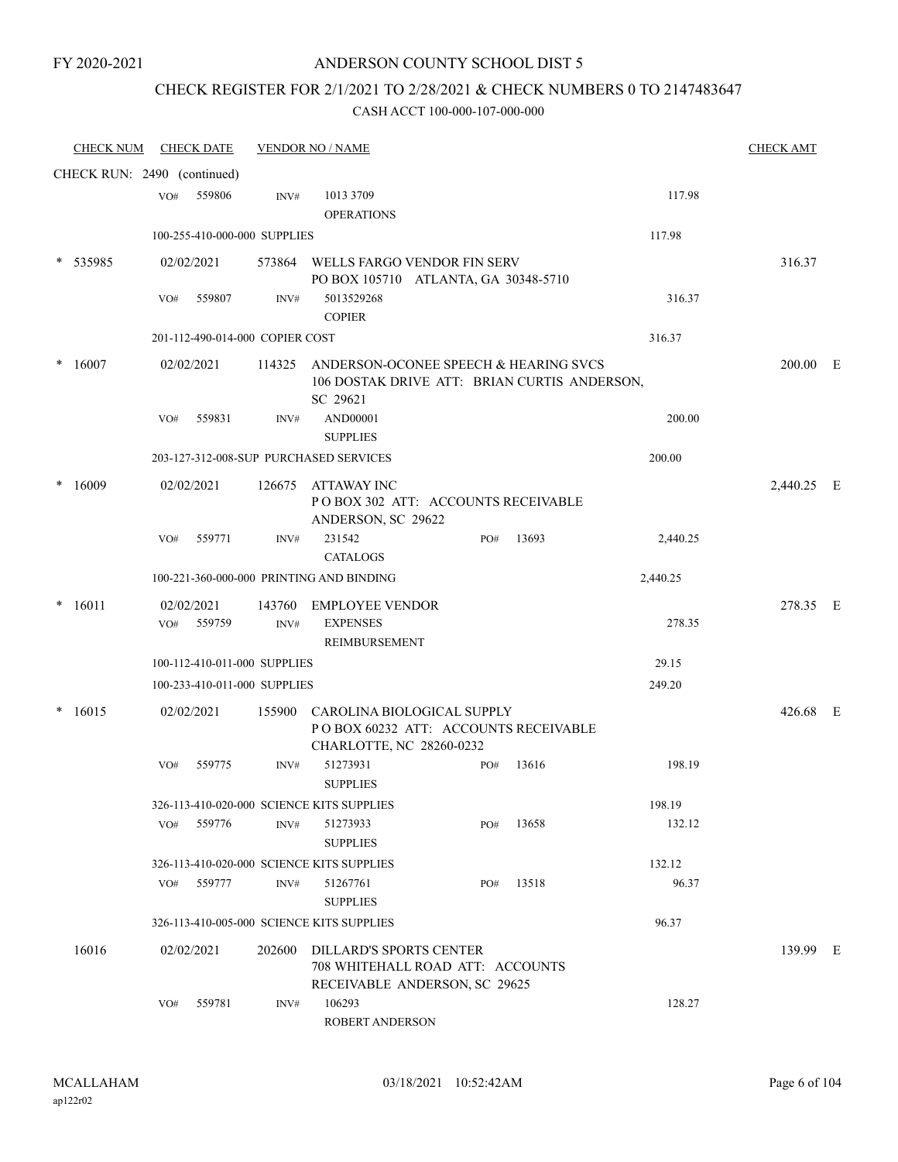# CHECK REGISTER FOR 2/1/2021 TO 2/28/2021 & CHECK NUMBERS 0 TO 2147483647

| <b>CHECK NUM</b>            |     | <b>CHECK DATE</b>    |                                 | <b>VENDOR NO / NAME</b>                                                                             |     |       |          |          | <b>CHECK AMT</b> |  |
|-----------------------------|-----|----------------------|---------------------------------|-----------------------------------------------------------------------------------------------------|-----|-------|----------|----------|------------------|--|
| CHECK RUN: 2490 (continued) |     |                      |                                 |                                                                                                     |     |       |          |          |                  |  |
|                             | VO# | 559806               | INV#                            | 1013 3709                                                                                           |     |       |          | 117.98   |                  |  |
|                             |     |                      |                                 | <b>OPERATIONS</b>                                                                                   |     |       |          |          |                  |  |
|                             |     |                      | 100-255-410-000-000 SUPPLIES    |                                                                                                     |     |       | 117.98   |          |                  |  |
| * 535985                    |     | 02/02/2021           |                                 | 573864 WELLS FARGO VENDOR FIN SERV<br>PO BOX 105710 ATLANTA, GA 30348-5710                          |     |       |          |          | 316.37           |  |
|                             | VO# | 559807               | INV#                            | 5013529268<br><b>COPIER</b>                                                                         |     |       |          | 316.37   |                  |  |
|                             |     |                      | 201-112-490-014-000 COPIER COST |                                                                                                     |     |       | 316.37   |          |                  |  |
| 16007                       |     | 02/02/2021           | 114325                          | ANDERSON-OCONEE SPEECH & HEARING SVCS<br>106 DOSTAK DRIVE ATT: BRIAN CURTIS ANDERSON,<br>SC 29621   |     |       |          |          | 200.00 E         |  |
|                             | VO# | 559831               | INV#                            | AND00001                                                                                            |     |       |          | 200.00   |                  |  |
|                             |     |                      |                                 | <b>SUPPLIES</b>                                                                                     |     |       |          |          |                  |  |
|                             |     |                      |                                 | 203-127-312-008-SUP PURCHASED SERVICES                                                              |     |       | 200.00   |          |                  |  |
| 16009                       |     | 02/02/2021           | 126675                          | <b>ATTAWAY INC</b><br>POBOX 302 ATT: ACCOUNTS RECEIVABLE<br>ANDERSON, SC 29622                      |     |       |          |          | 2,440.25 E       |  |
|                             | VO# | 559771               | INV#                            | 231542<br><b>CATALOGS</b>                                                                           | PO# | 13693 |          | 2,440.25 |                  |  |
|                             |     |                      |                                 | 100-221-360-000-000 PRINTING AND BINDING                                                            |     |       | 2,440.25 |          |                  |  |
| $* 16011$                   | VO# | 02/02/2021<br>559759 | INV#                            | 143760 EMPLOYEE VENDOR<br><b>EXPENSES</b>                                                           |     |       |          | 278.35   | 278.35 E         |  |
|                             |     |                      |                                 | REIMBURSEMENT                                                                                       |     |       |          |          |                  |  |
|                             |     |                      | 100-112-410-011-000 SUPPLIES    |                                                                                                     |     |       | 29.15    |          |                  |  |
|                             |     |                      | 100-233-410-011-000 SUPPLIES    |                                                                                                     |     |       | 249.20   |          |                  |  |
| $*16015$                    |     | 02/02/2021           | 155900                          | CAROLINA BIOLOGICAL SUPPLY<br>POBOX 60232 ATT: ACCOUNTS RECEIVABLE<br>CHARLOTTE, NC 28260-0232      |     |       |          |          | 426.68 E         |  |
|                             | VO# | 559775               | INV#                            | 51273931<br><b>SUPPLIES</b>                                                                         | PO# | 13616 |          | 198.19   |                  |  |
|                             |     |                      |                                 | 326-113-410-020-000 SCIENCE KITS SUPPLIES                                                           |     |       | 198.19   |          |                  |  |
|                             | VO# | 559776               | INV#                            | 51273933<br><b>SUPPLIES</b>                                                                         | PO# | 13658 |          | 132.12   |                  |  |
|                             |     |                      |                                 | 326-113-410-020-000 SCIENCE KITS SUPPLIES                                                           |     |       | 132.12   |          |                  |  |
|                             | VO# | 559777               | INV#                            | 51267761<br><b>SUPPLIES</b>                                                                         | PO# | 13518 |          | 96.37    |                  |  |
|                             |     |                      |                                 | 326-113-410-005-000 SCIENCE KITS SUPPLIES                                                           |     |       | 96.37    |          |                  |  |
| 16016                       |     | 02/02/2021           | 202600                          | <b>DILLARD'S SPORTS CENTER</b><br>708 WHITEHALL ROAD ATT: ACCOUNTS<br>RECEIVABLE ANDERSON, SC 29625 |     |       |          |          | 139.99 E         |  |
|                             | VO# | 559781               | INV#                            | 106293<br>ROBERT ANDERSON                                                                           |     |       |          | 128.27   |                  |  |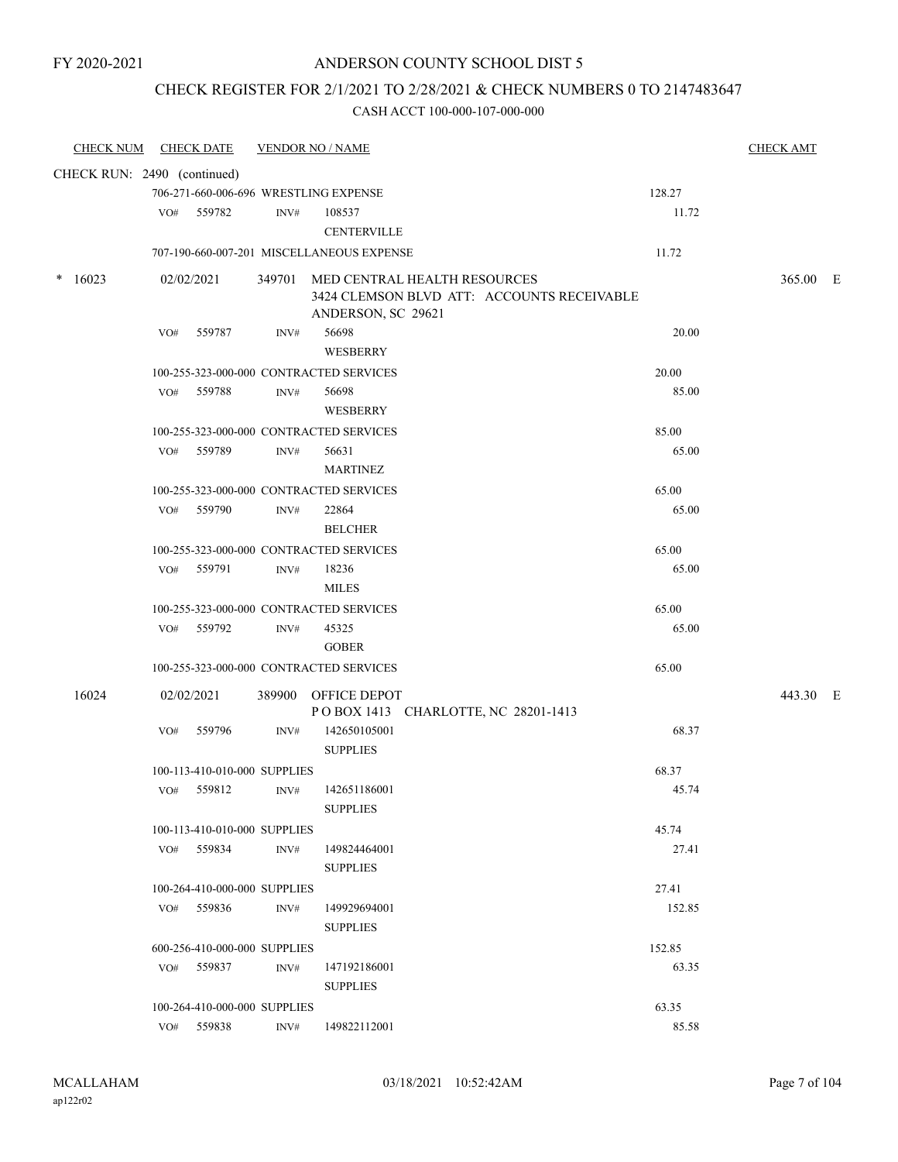### CHECK REGISTER FOR 2/1/2021 TO 2/28/2021 & CHECK NUMBERS 0 TO 2147483647

| <b>CHECK NUM</b> | <b>CHECK DATE</b>                       |      | <b>VENDOR NO / NAME</b>                                    |                | <b>CHECK AMT</b> |  |
|------------------|-----------------------------------------|------|------------------------------------------------------------|----------------|------------------|--|
|                  | CHECK RUN: 2490 (continued)             |      |                                                            |                |                  |  |
|                  | 706-271-660-006-696 WRESTLING EXPENSE   |      |                                                            | 128.27         |                  |  |
|                  | VO# 559782                              | INV# | 108537                                                     | 11.72          |                  |  |
|                  |                                         |      | <b>CENTERVILLE</b>                                         |                |                  |  |
|                  |                                         |      | 707-190-660-007-201 MISCELLANEOUS EXPENSE                  | 11.72          |                  |  |
| 16023            | 02/02/2021                              |      | 349701 MED CENTRAL HEALTH RESOURCES                        |                | 365.00 E         |  |
|                  |                                         |      | 3424 CLEMSON BLVD ATT: ACCOUNTS RECEIVABLE                 |                |                  |  |
|                  |                                         |      | ANDERSON, SC 29621                                         |                |                  |  |
|                  | VO# 559787                              | INV# | 56698                                                      | 20.00          |                  |  |
|                  |                                         |      | WESBERRY                                                   |                |                  |  |
|                  | 100-255-323-000-000 CONTRACTED SERVICES |      |                                                            | 20.00          |                  |  |
|                  | 559788<br>VO#                           | INV# | 56698                                                      | 85.00          |                  |  |
|                  |                                         |      | WESBERRY                                                   |                |                  |  |
|                  | 100-255-323-000-000 CONTRACTED SERVICES |      |                                                            | 85.00          |                  |  |
|                  | VO# 559789                              | INV# | 56631                                                      | 65.00          |                  |  |
|                  |                                         |      | <b>MARTINEZ</b>                                            |                |                  |  |
|                  | 100-255-323-000-000 CONTRACTED SERVICES |      |                                                            | 65.00          |                  |  |
|                  | VO# 559790                              | INV# | 22864<br><b>BELCHER</b>                                    | 65.00          |                  |  |
|                  | 100-255-323-000-000 CONTRACTED SERVICES |      |                                                            |                |                  |  |
|                  | 559791<br>VO#                           | INV# | 18236                                                      | 65.00<br>65.00 |                  |  |
|                  |                                         |      | <b>MILES</b>                                               |                |                  |  |
|                  | 100-255-323-000-000 CONTRACTED SERVICES |      |                                                            | 65.00          |                  |  |
|                  | VO# 559792                              | INV# | 45325                                                      | 65.00          |                  |  |
|                  |                                         |      | <b>GOBER</b>                                               |                |                  |  |
|                  | 100-255-323-000-000 CONTRACTED SERVICES |      |                                                            | 65.00          |                  |  |
|                  |                                         |      |                                                            |                |                  |  |
| 16024            | 02/02/2021                              |      | 389900 OFFICE DEPOT<br>POBOX 1413 CHARLOTTE, NC 28201-1413 |                | 443.30 E         |  |
|                  | VO#<br>559796                           | INV# | 142650105001                                               | 68.37          |                  |  |
|                  |                                         |      | <b>SUPPLIES</b>                                            |                |                  |  |
|                  | 100-113-410-010-000 SUPPLIES            |      |                                                            | 68.37          |                  |  |
|                  | VO# 559812                              | INV# | 142651186001                                               | 45.74          |                  |  |
|                  |                                         |      | <b>SUPPLIES</b>                                            |                |                  |  |
|                  | 100-113-410-010-000 SUPPLIES            |      |                                                            | 45.74          |                  |  |
|                  | VO# 559834                              | INV# | 149824464001                                               | 27.41          |                  |  |
|                  |                                         |      | <b>SUPPLIES</b>                                            |                |                  |  |
|                  | 100-264-410-000-000 SUPPLIES            |      |                                                            | 27.41          |                  |  |
|                  | 559836<br>VO#                           | INV# | 149929694001                                               | 152.85         |                  |  |
|                  |                                         |      | <b>SUPPLIES</b>                                            |                |                  |  |
|                  | 600-256-410-000-000 SUPPLIES            |      |                                                            | 152.85         |                  |  |
|                  | VO# 559837                              | INV# | 147192186001                                               | 63.35          |                  |  |
|                  |                                         |      | <b>SUPPLIES</b>                                            |                |                  |  |
|                  | 100-264-410-000-000 SUPPLIES            |      |                                                            | 63.35          |                  |  |
|                  | VO# 559838                              | INV# | 149822112001                                               | 85.58          |                  |  |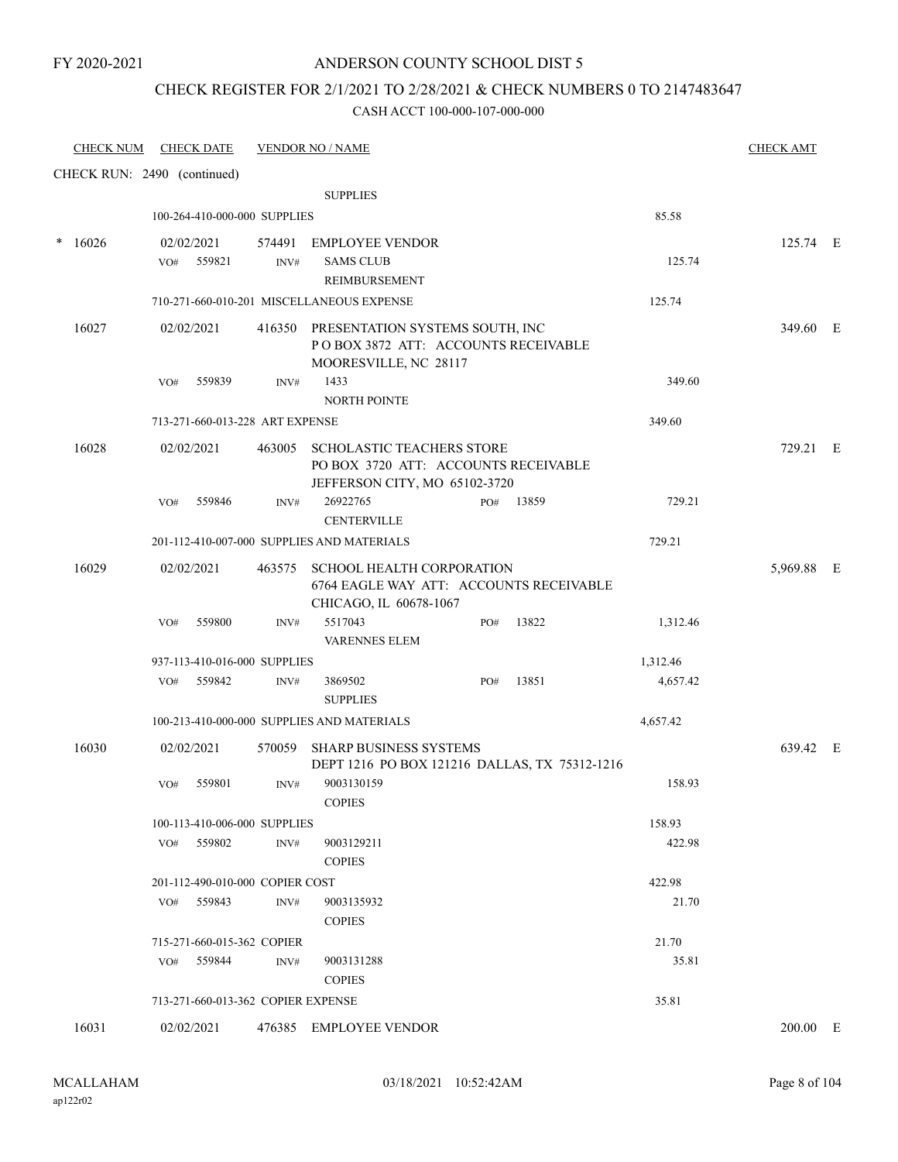### CHECK REGISTER FOR 2/1/2021 TO 2/28/2021 & CHECK NUMBERS 0 TO 2147483647

| <b>CHECK NUM</b>            |            | <b>CHECK DATE</b> |                                    | <b>VENDOR NO / NAME</b>                                                                                   |     |       |          | <b>CHECK AMT</b> |  |
|-----------------------------|------------|-------------------|------------------------------------|-----------------------------------------------------------------------------------------------------------|-----|-------|----------|------------------|--|
| CHECK RUN: 2490 (continued) |            |                   |                                    |                                                                                                           |     |       |          |                  |  |
|                             |            |                   |                                    | <b>SUPPLIES</b>                                                                                           |     |       |          |                  |  |
|                             |            |                   | 100-264-410-000-000 SUPPLIES       |                                                                                                           |     |       | 85.58    |                  |  |
| $*16026$                    | 02/02/2021 |                   |                                    | 574491 EMPLOYEE VENDOR                                                                                    |     |       |          | 125.74 E         |  |
|                             | VO#        | 559821            | INV#                               | <b>SAMS CLUB</b><br>REIMBURSEMENT                                                                         |     |       | 125.74   |                  |  |
|                             |            |                   |                                    | 710-271-660-010-201 MISCELLANEOUS EXPENSE                                                                 |     |       | 125.74   |                  |  |
| 16027                       | 02/02/2021 |                   |                                    | 416350 PRESENTATION SYSTEMS SOUTH, INC<br>POBOX 3872 ATT: ACCOUNTS RECEIVABLE<br>MOORESVILLE, NC 28117    |     |       |          | 349.60 E         |  |
|                             | VO#        | 559839            | INV#                               | 1433                                                                                                      |     |       | 349.60   |                  |  |
|                             |            |                   |                                    | NORTH POINTE                                                                                              |     |       |          |                  |  |
|                             |            |                   | 713-271-660-013-228 ART EXPENSE    |                                                                                                           |     |       | 349.60   |                  |  |
| 16028                       | 02/02/2021 |                   | 463005                             | <b>SCHOLASTIC TEACHERS STORE</b><br>PO BOX 3720 ATT: ACCOUNTS RECEIVABLE<br>JEFFERSON CITY, MO 65102-3720 |     |       |          | 729.21 E         |  |
|                             | VO#        | 559846            | INV#                               | 26922765<br><b>CENTERVILLE</b>                                                                            | PO# | 13859 | 729.21   |                  |  |
|                             |            |                   |                                    | 201-112-410-007-000 SUPPLIES AND MATERIALS                                                                |     |       | 729.21   |                  |  |
| 16029                       | 02/02/2021 |                   | 463575                             | <b>SCHOOL HEALTH CORPORATION</b><br>6764 EAGLE WAY ATT: ACCOUNTS RECEIVABLE<br>CHICAGO, IL 60678-1067     |     |       |          | 5,969.88 E       |  |
|                             | VO#        | 559800            | INV#                               | 5517043<br><b>VARENNES ELEM</b>                                                                           | PO# | 13822 | 1,312.46 |                  |  |
|                             |            |                   | 937-113-410-016-000 SUPPLIES       |                                                                                                           |     |       | 1,312.46 |                  |  |
|                             | VO#        | 559842            | INV#                               | 3869502<br><b>SUPPLIES</b>                                                                                | PO# | 13851 | 4,657.42 |                  |  |
|                             |            |                   |                                    | 100-213-410-000-000 SUPPLIES AND MATERIALS                                                                |     |       | 4,657.42 |                  |  |
| 16030                       | 02/02/2021 |                   |                                    | 570059 SHARP BUSINESS SYSTEMS<br>DEPT 1216 PO BOX 121216 DALLAS, TX 75312-1216                            |     |       |          | 639.42 E         |  |
|                             | VO#        | 559801            | INV#                               | 9003130159<br><b>COPIES</b>                                                                               |     |       | 158.93   |                  |  |
|                             |            |                   | 100-113-410-006-000 SUPPLIES       |                                                                                                           |     |       | 158.93   |                  |  |
|                             | VO#        | 559802            | INV#                               | 9003129211<br><b>COPIES</b>                                                                               |     |       | 422.98   |                  |  |
|                             |            |                   | 201-112-490-010-000 COPIER COST    |                                                                                                           |     |       | 422.98   |                  |  |
|                             | VO#        | 559843            | INV#                               | 9003135932<br><b>COPIES</b>                                                                               |     |       | 21.70    |                  |  |
|                             |            |                   | 715-271-660-015-362 COPIER         |                                                                                                           |     |       | 21.70    |                  |  |
|                             | VO#        | 559844            | INV#                               | 9003131288<br><b>COPIES</b>                                                                               |     |       | 35.81    |                  |  |
|                             |            |                   | 713-271-660-013-362 COPIER EXPENSE |                                                                                                           |     |       | 35.81    |                  |  |
| 16031                       | 02/02/2021 |                   |                                    | 476385 EMPLOYEE VENDOR                                                                                    |     |       |          | 200.00 E         |  |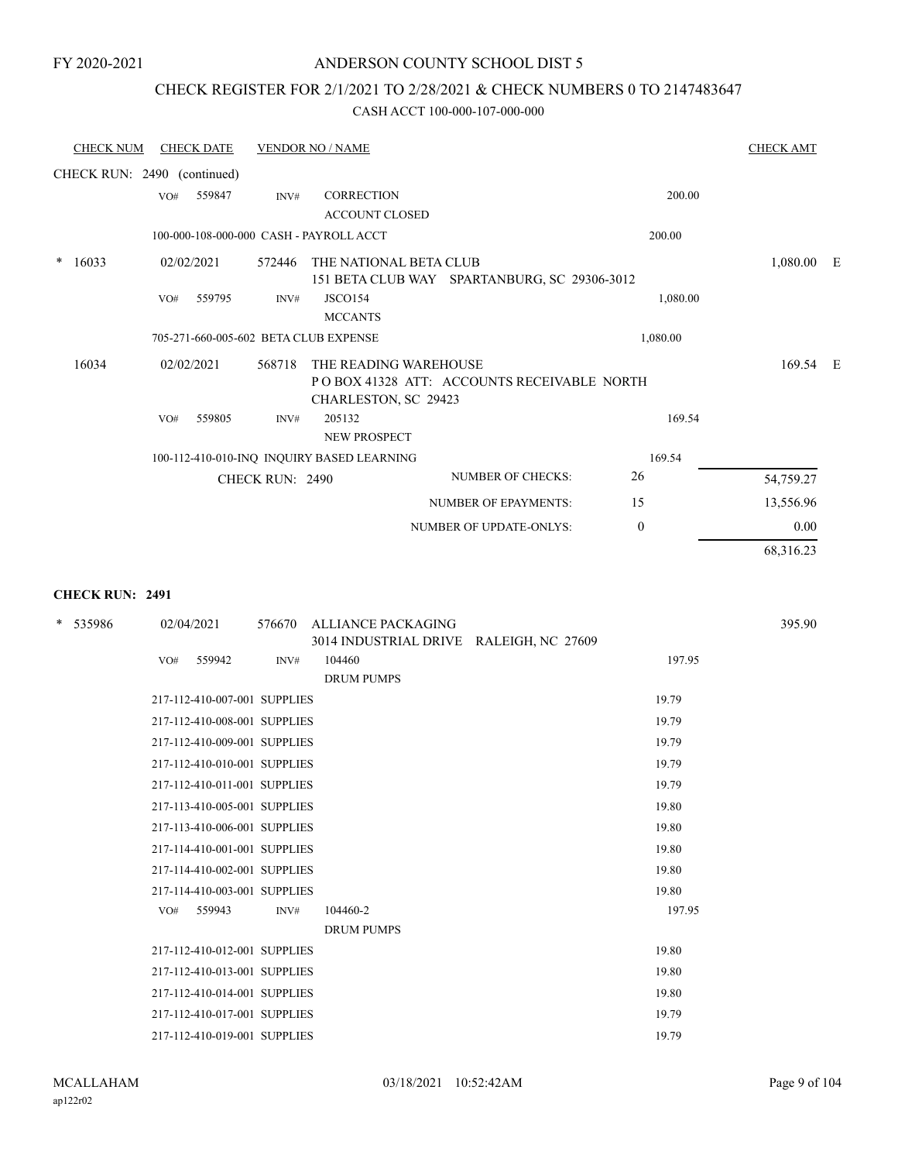### CHECK REGISTER FOR 2/1/2021 TO 2/28/2021 & CHECK NUMBERS 0 TO 2147483647

#### CASH ACCT 100-000-107-000-000

| <b>CHECK NUM</b>            |            | <b>CHECK DATE</b> |                        | <b>VENDOR NO / NAME</b>                       |                                              |              | <b>CHECK AMT</b> |  |
|-----------------------------|------------|-------------------|------------------------|-----------------------------------------------|----------------------------------------------|--------------|------------------|--|
| CHECK RUN: 2490 (continued) |            |                   |                        |                                               |                                              |              |                  |  |
|                             | VO#        | 559847            | INV#                   | <b>CORRECTION</b>                             |                                              | 200.00       |                  |  |
|                             |            |                   |                        | <b>ACCOUNT CLOSED</b>                         |                                              |              |                  |  |
|                             |            |                   |                        | 100-000-108-000-000 CASH - PAYROLL ACCT       |                                              | 200.00       |                  |  |
| $*16033$                    | 02/02/2021 |                   | 572446                 | THE NATIONAL BETA CLUB                        | 151 BETA CLUB WAY SPARTANBURG, SC 29306-3012 |              | $1,080.00$ E     |  |
|                             | VO#        | 559795            | INV#                   | <b>JSCO154</b><br><b>MCCANTS</b>              |                                              | 1,080.00     |                  |  |
|                             |            |                   |                        | 705-271-660-005-602 BETA CLUB EXPENSE         |                                              | 1,080.00     |                  |  |
| 16034                       | 02/02/2021 |                   | 568718                 | THE READING WAREHOUSE<br>CHARLESTON, SC 29423 | POBOX 41328 ATT: ACCOUNTS RECEIVABLE NORTH   |              | 169.54 E         |  |
|                             | VO#        | 559805            | INV#                   | 205132<br><b>NEW PROSPECT</b>                 |                                              | 169.54       |                  |  |
|                             |            |                   |                        | 100-112-410-010-INQ INQUIRY BASED LEARNING    |                                              | 169.54       |                  |  |
|                             |            |                   | <b>CHECK RUN: 2490</b> |                                               | <b>NUMBER OF CHECKS:</b>                     | 26           | 54,759.27        |  |
|                             |            |                   |                        |                                               | NUMBER OF EPAYMENTS:                         | 15           | 13,556.96        |  |
|                             |            |                   |                        |                                               | <b>NUMBER OF UPDATE-ONLYS:</b>               | $\mathbf{0}$ | 0.00             |  |
|                             |            |                   |                        |                                               |                                              |              | 68,316.23        |  |

### **CHECK RUN: 2491**

| * 535986 | 02/04/2021                   | 576670 | <b>ALLIANCE PACKAGING</b><br>3014 INDUSTRIAL DRIVE RALEIGH, NC 27609 | 395.90 |
|----------|------------------------------|--------|----------------------------------------------------------------------|--------|
|          | 559942<br>VO#                | INV#   | 104460                                                               | 197.95 |
|          |                              |        | <b>DRUM PUMPS</b>                                                    |        |
|          | 217-112-410-007-001 SUPPLIES |        |                                                                      | 19.79  |
|          | 217-112-410-008-001 SUPPLIES |        |                                                                      | 19.79  |
|          | 217-112-410-009-001 SUPPLIES |        |                                                                      | 19.79  |
|          | 217-112-410-010-001 SUPPLIES |        |                                                                      | 19.79  |
|          | 217-112-410-011-001 SUPPLIES |        |                                                                      | 19.79  |
|          | 217-113-410-005-001 SUPPLIES |        |                                                                      | 19.80  |
|          | 217-113-410-006-001 SUPPLIES |        |                                                                      | 19.80  |
|          | 217-114-410-001-001 SUPPLIES |        |                                                                      | 19.80  |
|          | 217-114-410-002-001 SUPPLIES |        |                                                                      | 19.80  |
|          | 217-114-410-003-001 SUPPLIES |        |                                                                      | 19.80  |
|          | 559943<br>VO#                | INV#   | 104460-2                                                             | 197.95 |
|          |                              |        | <b>DRUM PUMPS</b>                                                    |        |
|          | 217-112-410-012-001 SUPPLIES |        |                                                                      | 19.80  |
|          | 217-112-410-013-001 SUPPLIES |        |                                                                      | 19.80  |
|          | 217-112-410-014-001 SUPPLIES |        |                                                                      | 19.80  |
|          | 217-112-410-017-001 SUPPLIES |        |                                                                      | 19.79  |
|          | 217-112-410-019-001 SUPPLIES |        |                                                                      | 19.79  |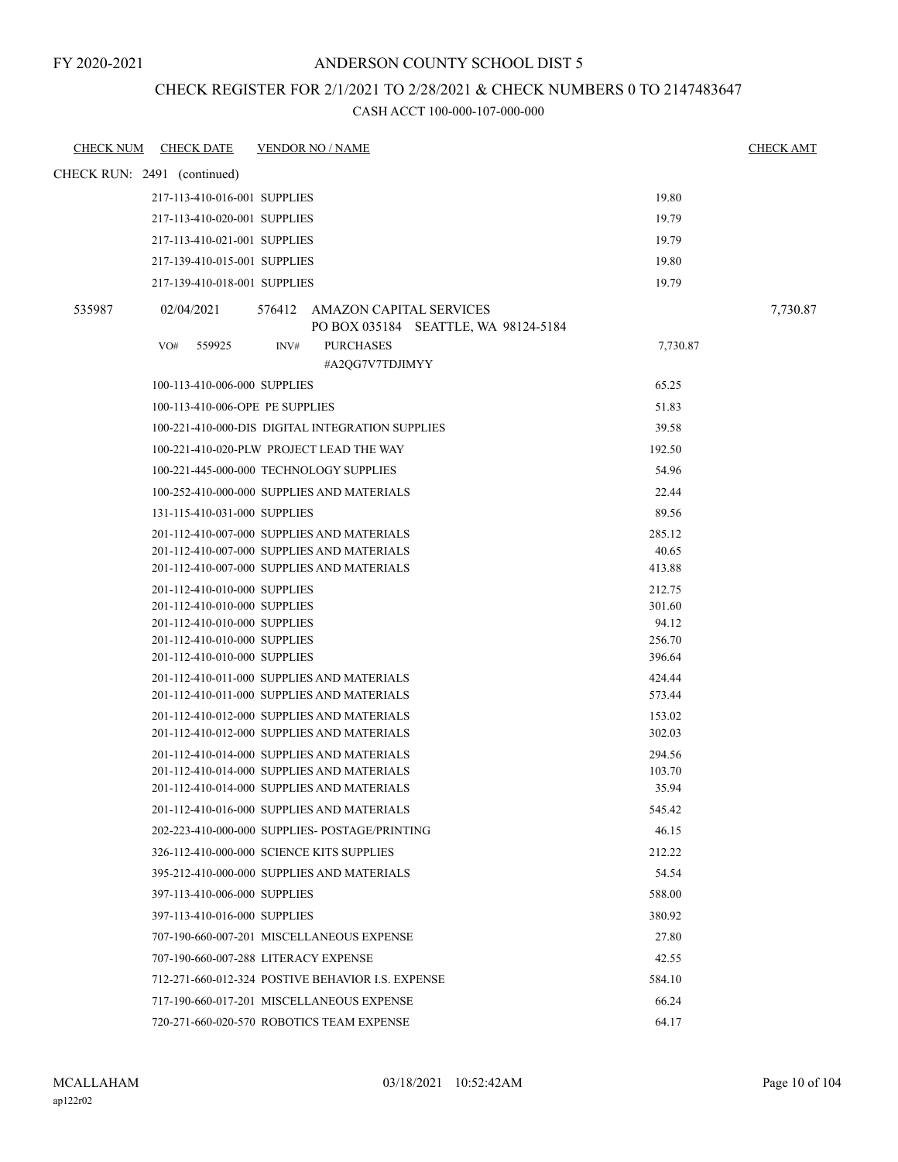### CHECK REGISTER FOR 2/1/2021 TO 2/28/2021 & CHECK NUMBERS 0 TO 2147483647

| <b>CHECK NUM</b> | <b>CHECK DATE</b>                                            | <b>VENDOR NO / NAME</b>                                                                                      | <b>CHECK AMT</b> |
|------------------|--------------------------------------------------------------|--------------------------------------------------------------------------------------------------------------|------------------|
|                  | CHECK RUN: 2491 (continued)                                  |                                                                                                              |                  |
|                  | 217-113-410-016-001 SUPPLIES                                 | 19.80                                                                                                        |                  |
|                  | 217-113-410-020-001 SUPPLIES                                 | 19.79                                                                                                        |                  |
|                  | 217-113-410-021-001 SUPPLIES                                 | 19.79                                                                                                        |                  |
|                  | 217-139-410-015-001 SUPPLIES                                 | 19.80                                                                                                        |                  |
|                  | 217-139-410-018-001 SUPPLIES                                 | 19.79                                                                                                        |                  |
| 535987           | 02/04/2021                                                   | 576412 AMAZON CAPITAL SERVICES<br>PO BOX 035184 SEATTLE, WA 98124-5184                                       | 7,730.87         |
|                  | 559925<br>VO#                                                | <b>PURCHASES</b><br>INV#<br>#A2QG7V7TDJIMYY                                                                  | 7,730.87         |
|                  | 100-113-410-006-000 SUPPLIES                                 | 65.25                                                                                                        |                  |
|                  | 100-113-410-006-OPE PE SUPPLIES                              | 51.83                                                                                                        |                  |
|                  |                                                              | 100-221-410-000-DIS DIGITAL INTEGRATION SUPPLIES<br>39.58                                                    |                  |
|                  |                                                              | 100-221-410-020-PLW PROJECT LEAD THE WAY<br>192.50                                                           |                  |
|                  |                                                              | 100-221-445-000-000 TECHNOLOGY SUPPLIES<br>54.96                                                             |                  |
|                  |                                                              | 100-252-410-000-000 SUPPLIES AND MATERIALS<br>22.44                                                          |                  |
|                  | 131-115-410-031-000 SUPPLIES                                 | 89.56                                                                                                        |                  |
|                  |                                                              | 201-112-410-007-000 SUPPLIES AND MATERIALS<br>285.12                                                         |                  |
|                  |                                                              | 201-112-410-007-000 SUPPLIES AND MATERIALS<br>40.65                                                          |                  |
|                  |                                                              | 201-112-410-007-000 SUPPLIES AND MATERIALS<br>413.88                                                         |                  |
|                  | 201-112-410-010-000 SUPPLIES                                 | 212.75                                                                                                       |                  |
|                  | 201-112-410-010-000 SUPPLIES<br>201-112-410-010-000 SUPPLIES | 301.60<br>94.12                                                                                              |                  |
|                  | 201-112-410-010-000 SUPPLIES                                 | 256.70                                                                                                       |                  |
|                  | 201-112-410-010-000 SUPPLIES                                 | 396.64                                                                                                       |                  |
|                  |                                                              | 424.44<br>201-112-410-011-000 SUPPLIES AND MATERIALS                                                         |                  |
|                  |                                                              | 201-112-410-011-000 SUPPLIES AND MATERIALS<br>573.44                                                         |                  |
|                  |                                                              | 201-112-410-012-000 SUPPLIES AND MATERIALS<br>153.02<br>201-112-410-012-000 SUPPLIES AND MATERIALS           |                  |
|                  |                                                              | 302.03                                                                                                       |                  |
|                  |                                                              | 201-112-410-014-000 SUPPLIES AND MATERIALS<br>294.56<br>201-112-410-014-000 SUPPLIES AND MATERIALS<br>103.70 |                  |
|                  |                                                              | 201-112-410-014-000 SUPPLIES AND MATERIALS<br>35.94                                                          |                  |
|                  |                                                              | 201-112-410-016-000 SUPPLIES AND MATERIALS<br>545.42                                                         |                  |
|                  |                                                              | 202-223-410-000-000 SUPPLIES- POSTAGE/PRINTING<br>46.15                                                      |                  |
|                  |                                                              | 212.22<br>326-112-410-000-000 SCIENCE KITS SUPPLIES                                                          |                  |
|                  |                                                              | 395-212-410-000-000 SUPPLIES AND MATERIALS<br>54.54                                                          |                  |
|                  | 397-113-410-006-000 SUPPLIES                                 | 588.00                                                                                                       |                  |
|                  | 397-113-410-016-000 SUPPLIES                                 | 380.92                                                                                                       |                  |
|                  |                                                              | 707-190-660-007-201 MISCELLANEOUS EXPENSE<br>27.80                                                           |                  |
|                  |                                                              | 707-190-660-007-288 LITERACY EXPENSE<br>42.55                                                                |                  |
|                  |                                                              | 712-271-660-012-324 POSTIVE BEHAVIOR I.S. EXPENSE<br>584.10                                                  |                  |
|                  |                                                              | 717-190-660-017-201 MISCELLANEOUS EXPENSE<br>66.24                                                           |                  |
|                  |                                                              | 720-271-660-020-570 ROBOTICS TEAM EXPENSE<br>64.17                                                           |                  |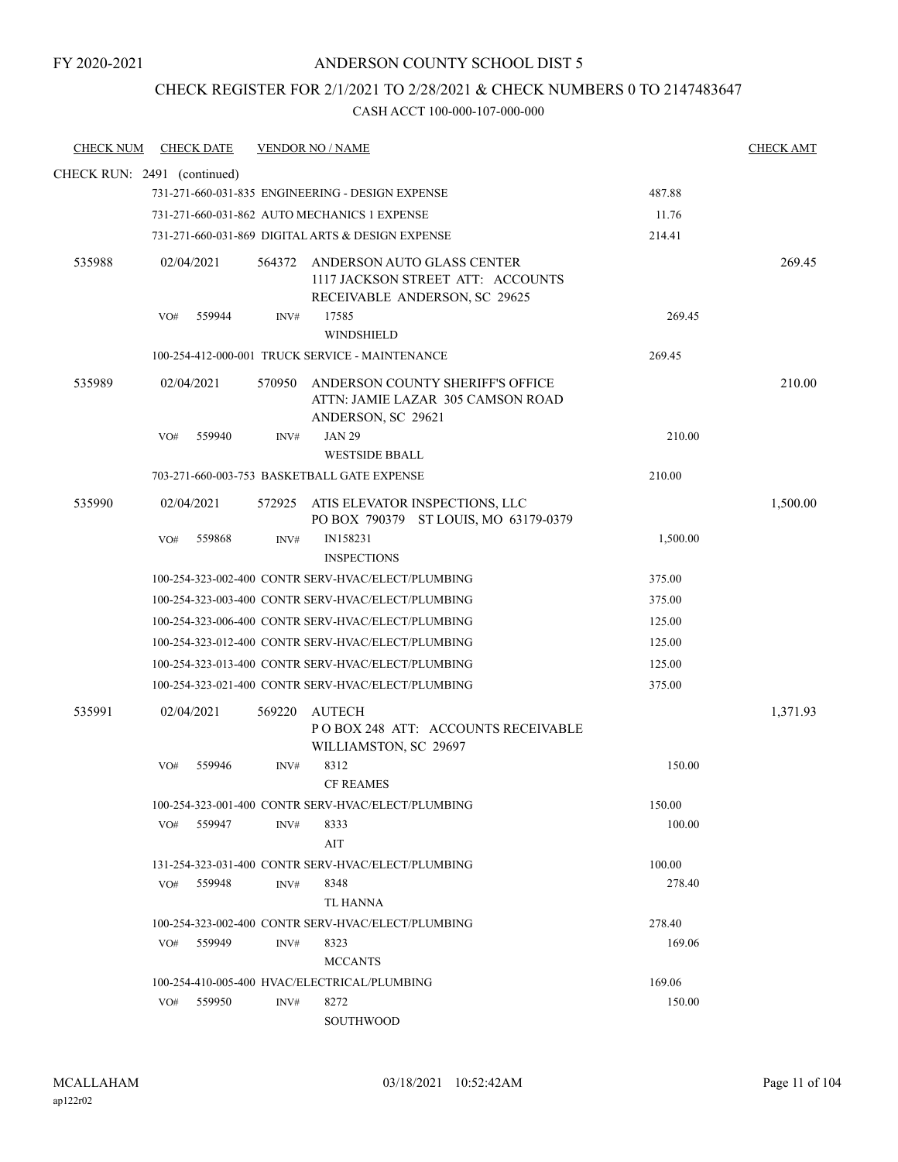# CHECK REGISTER FOR 2/1/2021 TO 2/28/2021 & CHECK NUMBERS 0 TO 2147483647

| <b>CHECK NUM</b> | <b>CHECK DATE</b>           | <b>VENDOR NO / NAME</b> |                                                                                                         |          | <b>CHECK AMT</b> |
|------------------|-----------------------------|-------------------------|---------------------------------------------------------------------------------------------------------|----------|------------------|
|                  | CHECK RUN: 2491 (continued) |                         |                                                                                                         |          |                  |
|                  |                             |                         | 731-271-660-031-835 ENGINEERING - DESIGN EXPENSE                                                        | 487.88   |                  |
|                  |                             |                         | 731-271-660-031-862 AUTO MECHANICS 1 EXPENSE                                                            | 11.76    |                  |
|                  |                             |                         | 731-271-660-031-869 DIGITAL ARTS & DESIGN EXPENSE                                                       | 214.41   |                  |
| 535988           | 02/04/2021                  |                         | 564372 ANDERSON AUTO GLASS CENTER<br>1117 JACKSON STREET ATT: ACCOUNTS<br>RECEIVABLE ANDERSON, SC 29625 |          | 269.45           |
|                  | 559944<br>VO#               | INV#                    | 17585<br><b>WINDSHIELD</b>                                                                              | 269.45   |                  |
|                  |                             |                         | 100-254-412-000-001 TRUCK SERVICE - MAINTENANCE                                                         | 269.45   |                  |
| 535989           | 02/04/2021                  | 570950                  | ANDERSON COUNTY SHERIFF'S OFFICE<br>ATTN: JAMIE LAZAR 305 CAMSON ROAD<br>ANDERSON, SC 29621             |          | 210.00           |
|                  | 559940<br>VO#               | INV#                    | <b>JAN 29</b><br><b>WESTSIDE BBALL</b>                                                                  | 210.00   |                  |
|                  |                             |                         | 703-271-660-003-753 BASKETBALL GATE EXPENSE                                                             | 210.00   |                  |
| 535990           | 02/04/2021                  |                         | 572925 ATIS ELEVATOR INSPECTIONS, LLC<br>PO BOX 790379 ST LOUIS, MO 63179-0379                          |          | 1,500.00         |
|                  | VO#<br>559868               | INV#                    | IN158231<br><b>INSPECTIONS</b>                                                                          | 1,500.00 |                  |
|                  |                             |                         | 100-254-323-002-400 CONTR SERV-HVAC/ELECT/PLUMBING                                                      | 375.00   |                  |
|                  |                             |                         | 100-254-323-003-400 CONTR SERV-HVAC/ELECT/PLUMBING                                                      | 375.00   |                  |
|                  |                             |                         | 100-254-323-006-400 CONTR SERV-HVAC/ELECT/PLUMBING                                                      | 125.00   |                  |
|                  |                             |                         | 100-254-323-012-400 CONTR SERV-HVAC/ELECT/PLUMBING                                                      | 125.00   |                  |
|                  |                             |                         | 100-254-323-013-400 CONTR SERV-HVAC/ELECT/PLUMBING                                                      | 125.00   |                  |
|                  |                             |                         | 100-254-323-021-400 CONTR SERV-HVAC/ELECT/PLUMBING                                                      | 375.00   |                  |
| 535991           | 02/04/2021                  | 569220                  | AUTECH<br>PO BOX 248 ATT: ACCOUNTS RECEIVABLE<br>WILLIAMSTON, SC 29697                                  |          | 1,371.93         |
|                  | 559946<br>VO#               | INV#                    | 8312<br><b>CF REAMES</b>                                                                                | 150.00   |                  |
|                  |                             |                         | 100-254-323-001-400 CONTR SERV-HVAC/ELECT/PLUMBING                                                      | 150.00   |                  |
|                  | VO# 559947                  | INV#                    | 8333<br>AIT                                                                                             | 100.00   |                  |
|                  |                             |                         | 131-254-323-031-400 CONTR SERV-HVAC/ELECT/PLUMBING                                                      | 100.00   |                  |
|                  | VO# 559948                  | INV#                    | 8348<br>TL HANNA                                                                                        | 278.40   |                  |
|                  |                             |                         | 100-254-323-002-400 CONTR SERV-HVAC/ELECT/PLUMBING                                                      | 278.40   |                  |
|                  | VO# 559949                  | INV#                    | 8323<br><b>MCCANTS</b>                                                                                  | 169.06   |                  |
|                  |                             |                         | 100-254-410-005-400 HVAC/ELECTRICAL/PLUMBING                                                            | 169.06   |                  |
|                  | VO# 559950                  | INV#                    | 8272<br>SOUTHWOOD                                                                                       | 150.00   |                  |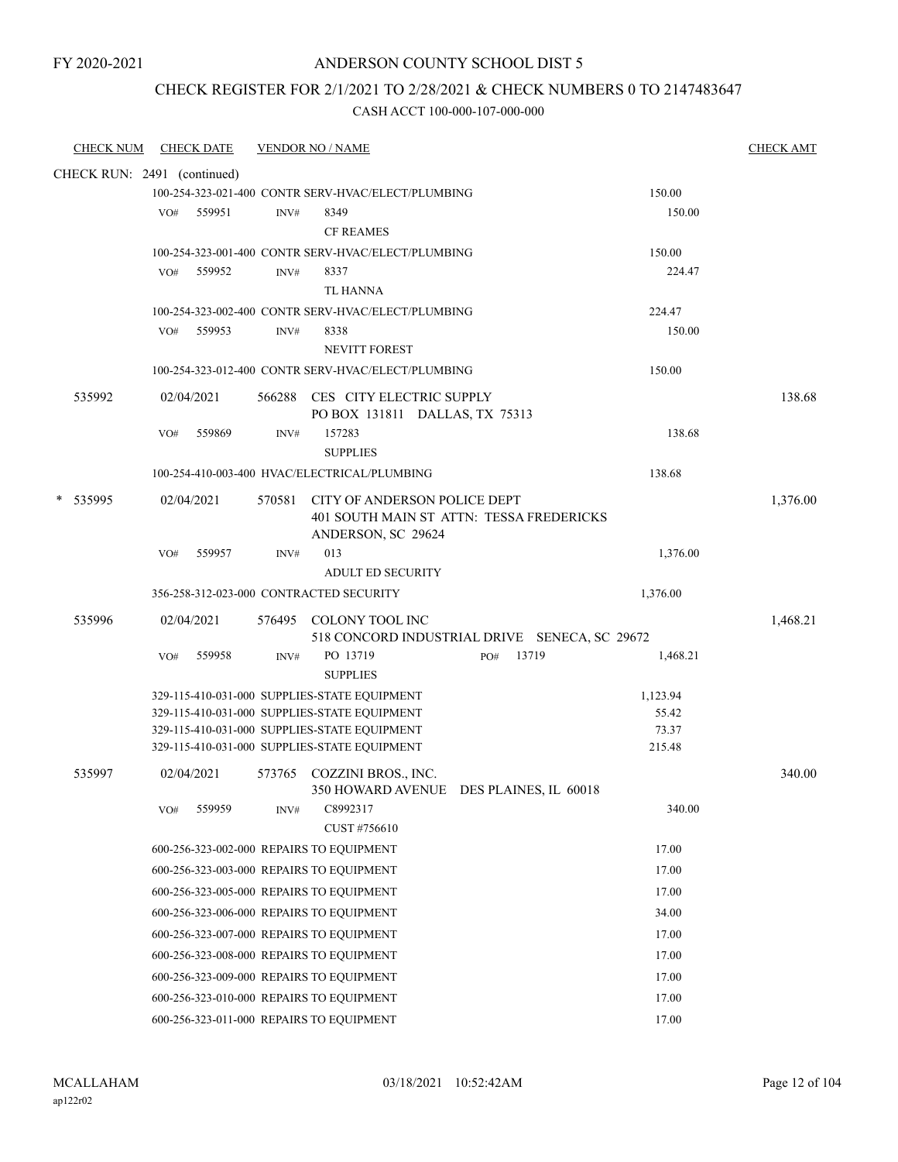### CHECK REGISTER FOR 2/1/2021 TO 2/28/2021 & CHECK NUMBERS 0 TO 2147483647

| CHECK NUM                   |     | <b>CHECK DATE</b> |        | <b>VENDOR NO / NAME</b>                                                                      |                                               |                 | <b>CHECK AMT</b> |
|-----------------------------|-----|-------------------|--------|----------------------------------------------------------------------------------------------|-----------------------------------------------|-----------------|------------------|
| CHECK RUN: 2491 (continued) |     |                   |        |                                                                                              |                                               |                 |                  |
|                             |     |                   |        | 100-254-323-021-400 CONTR SERV-HVAC/ELECT/PLUMBING                                           |                                               | 150.00          |                  |
|                             | VO# | 559951            | INV#   | 8349                                                                                         |                                               | 150.00          |                  |
|                             |     |                   |        | <b>CF REAMES</b>                                                                             |                                               |                 |                  |
|                             |     |                   |        | 100-254-323-001-400 CONTR SERV-HVAC/ELECT/PLUMBING                                           |                                               | 150.00          |                  |
|                             | VO# | 559952            | INV#   | 8337                                                                                         |                                               | 224.47          |                  |
|                             |     |                   |        | <b>TL HANNA</b>                                                                              |                                               |                 |                  |
|                             |     |                   |        | 100-254-323-002-400 CONTR SERV-HVAC/ELECT/PLUMBING                                           |                                               | 224.47          |                  |
|                             | VO# | 559953            | INV#   | 8338                                                                                         |                                               | 150.00          |                  |
|                             |     |                   |        | <b>NEVITT FOREST</b>                                                                         |                                               |                 |                  |
|                             |     |                   |        | 100-254-323-012-400 CONTR SERV-HVAC/ELECT/PLUMBING                                           |                                               | 150.00          |                  |
| 535992                      |     | 02/04/2021        |        | 566288 CES CITY ELECTRIC SUPPLY<br>PO BOX 131811 DALLAS, TX 75313                            |                                               |                 | 138.68           |
|                             | VO# | 559869            | INV#   | 157283                                                                                       |                                               | 138.68          |                  |
|                             |     |                   |        | <b>SUPPLIES</b>                                                                              |                                               |                 |                  |
|                             |     |                   |        | 100-254-410-003-400 HVAC/ELECTRICAL/PLUMBING                                                 |                                               | 138.68          |                  |
| 535995                      |     | 02/04/2021        | 570581 | CITY OF ANDERSON POLICE DEPT                                                                 |                                               |                 | 1,376.00         |
|                             |     |                   |        |                                                                                              | 401 SOUTH MAIN ST ATTN: TESSA FREDERICKS      |                 |                  |
|                             |     |                   |        | ANDERSON, SC 29624                                                                           |                                               |                 |                  |
|                             | VO# | 559957            | INV#   | 013                                                                                          |                                               | 1,376.00        |                  |
|                             |     |                   |        | <b>ADULT ED SECURITY</b>                                                                     |                                               |                 |                  |
|                             |     |                   |        | 356-258-312-023-000 CONTRACTED SECURITY                                                      |                                               | 1,376.00        |                  |
| 535996                      |     | 02/04/2021        |        | 576495 COLONY TOOL INC                                                                       |                                               |                 | 1,468.21         |
|                             |     |                   |        |                                                                                              | 518 CONCORD INDUSTRIAL DRIVE SENECA, SC 29672 |                 |                  |
|                             | VO# | 559958            | INV#   | PO 13719<br><b>SUPPLIES</b>                                                                  | PO#<br>13719                                  | 1,468.21        |                  |
|                             |     |                   |        | 329-115-410-031-000 SUPPLIES-STATE EQUIPMENT                                                 |                                               | 1,123.94        |                  |
|                             |     |                   |        | 329-115-410-031-000 SUPPLIES-STATE EQUIPMENT                                                 |                                               | 55.42           |                  |
|                             |     |                   |        | 329-115-410-031-000 SUPPLIES-STATE EQUIPMENT<br>329-115-410-031-000 SUPPLIES-STATE EQUIPMENT |                                               | 73.37<br>215.48 |                  |
|                             |     |                   |        |                                                                                              |                                               |                 |                  |
| 535997                      |     | 02/04/2021        |        | 573765 COZZINI BROS., INC.                                                                   |                                               |                 | 340.00           |
|                             | VO# | 559959            | INV#   | C8992317                                                                                     | 350 HOWARD AVENUE DES PLAINES, IL 60018       | 340.00          |                  |
|                             |     |                   |        | CUST #756610                                                                                 |                                               |                 |                  |
|                             |     |                   |        | 600-256-323-002-000 REPAIRS TO EQUIPMENT                                                     |                                               | 17.00           |                  |
|                             |     |                   |        | 600-256-323-003-000 REPAIRS TO EQUIPMENT                                                     |                                               | 17.00           |                  |
|                             |     |                   |        | 600-256-323-005-000 REPAIRS TO EQUIPMENT                                                     |                                               | 17.00           |                  |
|                             |     |                   |        | 600-256-323-006-000 REPAIRS TO EQUIPMENT                                                     |                                               | 34.00           |                  |
|                             |     |                   |        | 600-256-323-007-000 REPAIRS TO EQUIPMENT                                                     |                                               | 17.00           |                  |
|                             |     |                   |        | 600-256-323-008-000 REPAIRS TO EQUIPMENT                                                     |                                               | 17.00           |                  |
|                             |     |                   |        | 600-256-323-009-000 REPAIRS TO EQUIPMENT                                                     |                                               | 17.00           |                  |
|                             |     |                   |        | 600-256-323-010-000 REPAIRS TO EQUIPMENT                                                     |                                               | 17.00           |                  |
|                             |     |                   |        | 600-256-323-011-000 REPAIRS TO EQUIPMENT                                                     |                                               | 17.00           |                  |
|                             |     |                   |        |                                                                                              |                                               |                 |                  |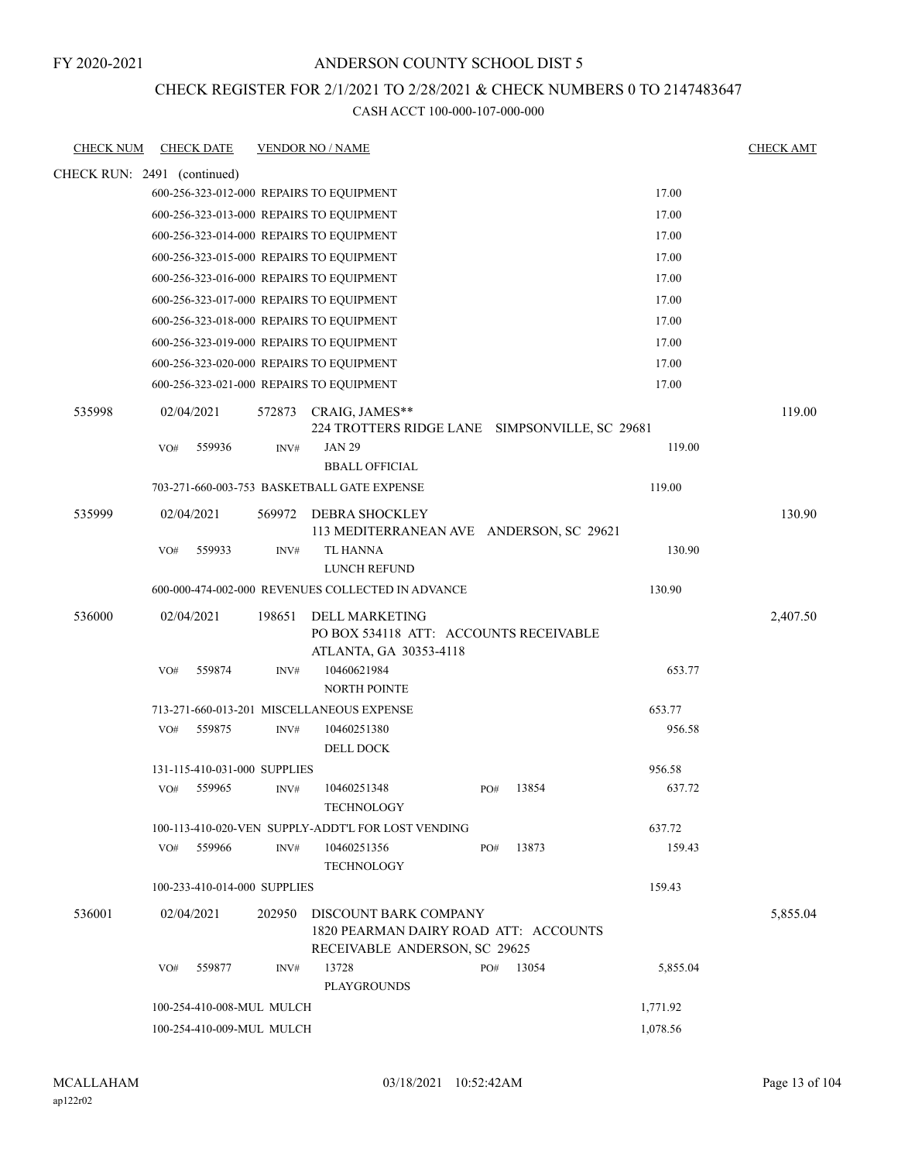### ANDERSON COUNTY SCHOOL DIST 5

#### CHECK REGISTER FOR 2/1/2021 TO 2/28/2021 & CHECK NUMBERS 0 TO 2147483647

| <b>CHECK NUM</b>            |     | <b>CHECK DATE</b>            |        | <b>VENDOR NO / NAME</b>                                                                         |     |       |          | <b>CHECK AMT</b> |
|-----------------------------|-----|------------------------------|--------|-------------------------------------------------------------------------------------------------|-----|-------|----------|------------------|
| CHECK RUN: 2491 (continued) |     |                              |        |                                                                                                 |     |       |          |                  |
|                             |     |                              |        | 600-256-323-012-000 REPAIRS TO EQUIPMENT                                                        |     |       | 17.00    |                  |
|                             |     |                              |        | 600-256-323-013-000 REPAIRS TO EQUIPMENT                                                        |     |       | 17.00    |                  |
|                             |     |                              |        | 600-256-323-014-000 REPAIRS TO EQUIPMENT                                                        |     |       | 17.00    |                  |
|                             |     |                              |        | 600-256-323-015-000 REPAIRS TO EQUIPMENT                                                        |     |       | 17.00    |                  |
|                             |     |                              |        | 600-256-323-016-000 REPAIRS TO EQUIPMENT                                                        |     |       | 17.00    |                  |
|                             |     |                              |        | 600-256-323-017-000 REPAIRS TO EQUIPMENT                                                        |     |       | 17.00    |                  |
|                             |     |                              |        | 600-256-323-018-000 REPAIRS TO EQUIPMENT                                                        |     |       | 17.00    |                  |
|                             |     |                              |        | 600-256-323-019-000 REPAIRS TO EQUIPMENT                                                        |     |       | 17.00    |                  |
|                             |     |                              |        | 600-256-323-020-000 REPAIRS TO EQUIPMENT                                                        |     |       | 17.00    |                  |
|                             |     |                              |        | 600-256-323-021-000 REPAIRS TO EQUIPMENT                                                        |     |       | 17.00    |                  |
| 535998                      |     | 02/04/2021                   | 572873 | CRAIG, JAMES**<br>224 TROTTERS RIDGE LANE SIMPSONVILLE, SC 29681                                |     |       |          | 119.00           |
|                             | VO# | 559936                       | INV#   | <b>JAN 29</b><br><b>BBALL OFFICIAL</b>                                                          |     |       | 119.00   |                  |
|                             |     |                              |        | 703-271-660-003-753 BASKETBALL GATE EXPENSE                                                     |     |       | 119.00   |                  |
| 535999                      |     | 02/04/2021                   | 569972 | <b>DEBRA SHOCKLEY</b><br>113 MEDITERRANEAN AVE ANDERSON, SC 29621                               |     |       |          | 130.90           |
|                             | VO# | 559933                       | INV#   | TL HANNA<br>LUNCH REFUND                                                                        |     |       | 130.90   |                  |
|                             |     |                              |        | 600-000-474-002-000 REVENUES COLLECTED IN ADVANCE                                               |     |       | 130.90   |                  |
| 536000                      |     | 02/04/2021                   | 198651 | DELL MARKETING<br>PO BOX 534118 ATT: ACCOUNTS RECEIVABLE<br>ATLANTA, GA 30353-4118              |     |       |          | 2,407.50         |
|                             | VO# | 559874                       | INV#   | 10460621984<br><b>NORTH POINTE</b>                                                              |     |       | 653.77   |                  |
|                             |     |                              |        | 713-271-660-013-201 MISCELLANEOUS EXPENSE                                                       |     |       | 653.77   |                  |
|                             | VO# | 559875                       | INV#   | 10460251380<br><b>DELL DOCK</b>                                                                 |     |       | 956.58   |                  |
|                             |     | 131-115-410-031-000 SUPPLIES |        |                                                                                                 |     |       | 956.58   |                  |
|                             | VO# | 559965                       | INV#   | 10460251348<br><b>TECHNOLOGY</b>                                                                | PO# | 13854 | 637.72   |                  |
|                             |     |                              |        | 100-113-410-020-VEN SUPPLY-ADDT'L FOR LOST VENDING                                              |     |       | 637.72   |                  |
|                             | VO# | 559966                       | INV#   | 10460251356<br><b>TECHNOLOGY</b>                                                                | PO# | 13873 | 159.43   |                  |
|                             |     | 100-233-410-014-000 SUPPLIES |        |                                                                                                 |     |       | 159.43   |                  |
| 536001                      |     | 02/04/2021                   | 202950 | DISCOUNT BARK COMPANY<br>1820 PEARMAN DAIRY ROAD ATT: ACCOUNTS<br>RECEIVABLE ANDERSON, SC 29625 |     |       |          | 5,855.04         |
|                             | VO# | 559877                       | INV#   | 13728<br><b>PLAYGROUNDS</b>                                                                     | PO# | 13054 | 5,855.04 |                  |
|                             |     | 100-254-410-008-MUL MULCH    |        |                                                                                                 |     |       | 1,771.92 |                  |
|                             |     | 100-254-410-009-MUL MULCH    |        |                                                                                                 |     |       | 1,078.56 |                  |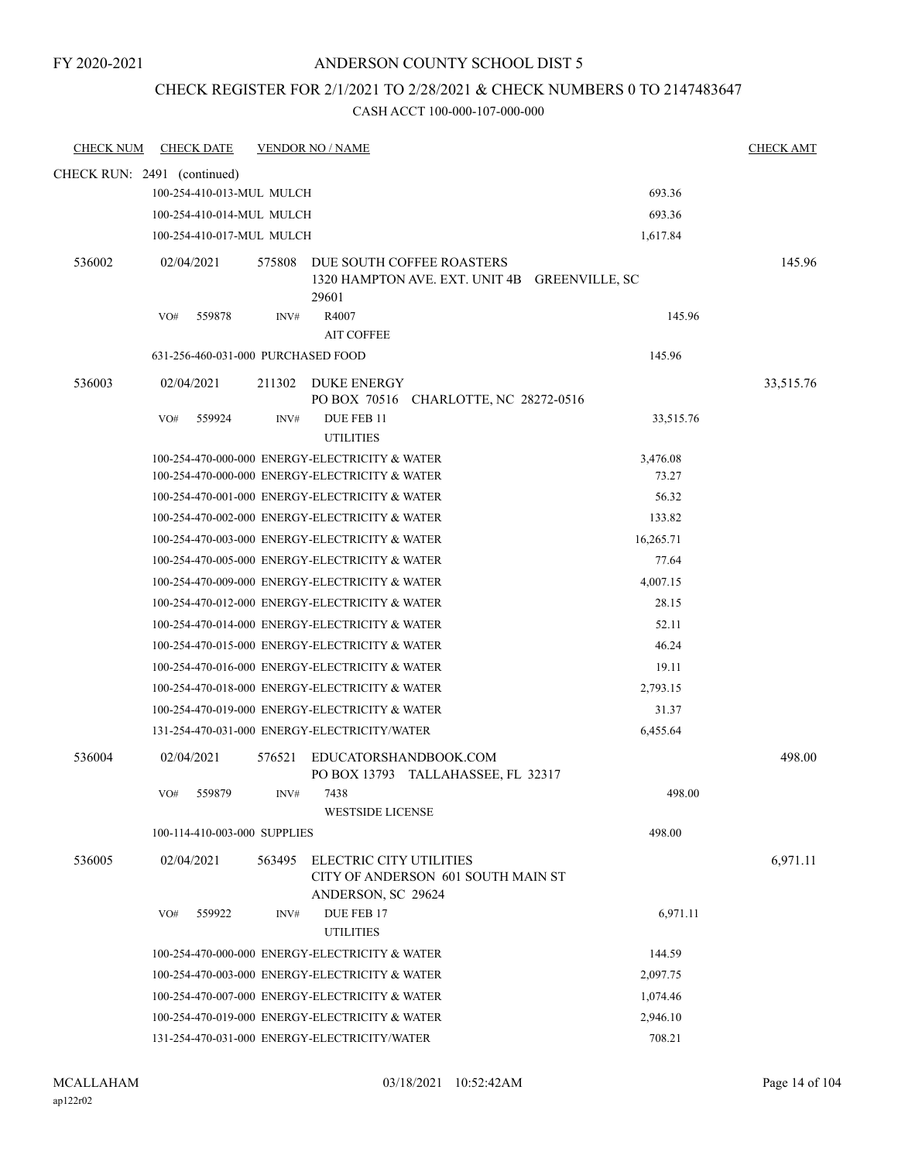#### CHECK REGISTER FOR 2/1/2021 TO 2/28/2021 & CHECK NUMBERS 0 TO 2147483647

| <b>CHECK NUM</b> | <b>CHECK DATE</b>                  | <b>VENDOR NO / NAME</b> |                                                                                                  |                   | <b>CHECK AMT</b> |
|------------------|------------------------------------|-------------------------|--------------------------------------------------------------------------------------------------|-------------------|------------------|
|                  | CHECK RUN: 2491 (continued)        |                         |                                                                                                  |                   |                  |
|                  | 100-254-410-013-MUL MULCH          |                         |                                                                                                  | 693.36            |                  |
|                  | 100-254-410-014-MUL MULCH          |                         |                                                                                                  | 693.36            |                  |
|                  | 100-254-410-017-MUL MULCH          |                         |                                                                                                  | 1,617.84          |                  |
| 536002           | 02/04/2021                         | 575808                  | DUE SOUTH COFFEE ROASTERS<br>1320 HAMPTON AVE. EXT. UNIT 4B GREENVILLE, SC<br>29601              |                   | 145.96           |
|                  | 559878<br>VO#                      | INV#                    | R4007<br><b>AIT COFFEE</b>                                                                       | 145.96            |                  |
|                  | 631-256-460-031-000 PURCHASED FOOD |                         |                                                                                                  | 145.96            |                  |
| 536003           | 02/04/2021                         | 211302                  | <b>DUKE ENERGY</b><br>PO BOX 70516<br>CHARLOTTE, NC 28272-0516                                   |                   | 33,515.76        |
|                  | 559924<br>VO#                      | INV#                    | DUE FEB 11<br><b>UTILITIES</b>                                                                   | 33,515.76         |                  |
|                  |                                    |                         | 100-254-470-000-000 ENERGY-ELECTRICITY & WATER<br>100-254-470-000-000 ENERGY-ELECTRICITY & WATER | 3,476.08<br>73.27 |                  |
|                  |                                    |                         | 100-254-470-001-000 ENERGY-ELECTRICITY & WATER                                                   | 56.32             |                  |
|                  |                                    |                         | 100-254-470-002-000 ENERGY-ELECTRICITY & WATER                                                   | 133.82            |                  |
|                  |                                    |                         | 100-254-470-003-000 ENERGY-ELECTRICITY & WATER                                                   | 16,265.71         |                  |
|                  |                                    |                         | 100-254-470-005-000 ENERGY-ELECTRICITY & WATER                                                   | 77.64             |                  |
|                  |                                    |                         | 100-254-470-009-000 ENERGY-ELECTRICITY & WATER                                                   | 4,007.15          |                  |
|                  |                                    |                         | 100-254-470-012-000 ENERGY-ELECTRICITY & WATER                                                   | 28.15             |                  |
|                  |                                    |                         | 100-254-470-014-000 ENERGY-ELECTRICITY & WATER                                                   | 52.11             |                  |
|                  |                                    |                         | 100-254-470-015-000 ENERGY-ELECTRICITY & WATER                                                   | 46.24             |                  |
|                  |                                    |                         | 100-254-470-016-000 ENERGY-ELECTRICITY & WATER                                                   | 19.11             |                  |
|                  |                                    |                         | 100-254-470-018-000 ENERGY-ELECTRICITY & WATER                                                   | 2,793.15          |                  |
|                  |                                    |                         | 100-254-470-019-000 ENERGY-ELECTRICITY & WATER                                                   | 31.37             |                  |
|                  |                                    |                         | 131-254-470-031-000 ENERGY-ELECTRICITY/WATER                                                     | 6,455.64          |                  |
| 536004           | 02/04/2021                         | 576521                  | EDUCATORSHANDBOOK.COM<br>PO BOX 13793 TALLAHASSEE, FL 32317                                      |                   | 498.00           |
|                  | 559879<br>VO#                      | INV#                    | 7438<br>WESTSIDE LICENSE                                                                         | 498.00            |                  |
|                  | 100-114-410-003-000 SUPPLIES       |                         |                                                                                                  | 498.00            |                  |
| 536005           | 02/04/2021                         | 563495                  | <b>ELECTRIC CITY UTILITIES</b><br>CITY OF ANDERSON 601 SOUTH MAIN ST<br>ANDERSON, SC 29624       |                   | 6,971.11         |
|                  | 559922<br>VO#                      | INV#                    | DUE FEB 17<br><b>UTILITIES</b>                                                                   | 6,971.11          |                  |
|                  |                                    |                         | 100-254-470-000-000 ENERGY-ELECTRICITY & WATER                                                   | 144.59            |                  |
|                  |                                    |                         | 100-254-470-003-000 ENERGY-ELECTRICITY & WATER                                                   | 2,097.75          |                  |
|                  |                                    |                         | 100-254-470-007-000 ENERGY-ELECTRICITY & WATER                                                   | 1,074.46          |                  |
|                  |                                    |                         | 100-254-470-019-000 ENERGY-ELECTRICITY & WATER                                                   | 2,946.10          |                  |
|                  |                                    |                         | 131-254-470-031-000 ENERGY-ELECTRICITY/WATER                                                     | 708.21            |                  |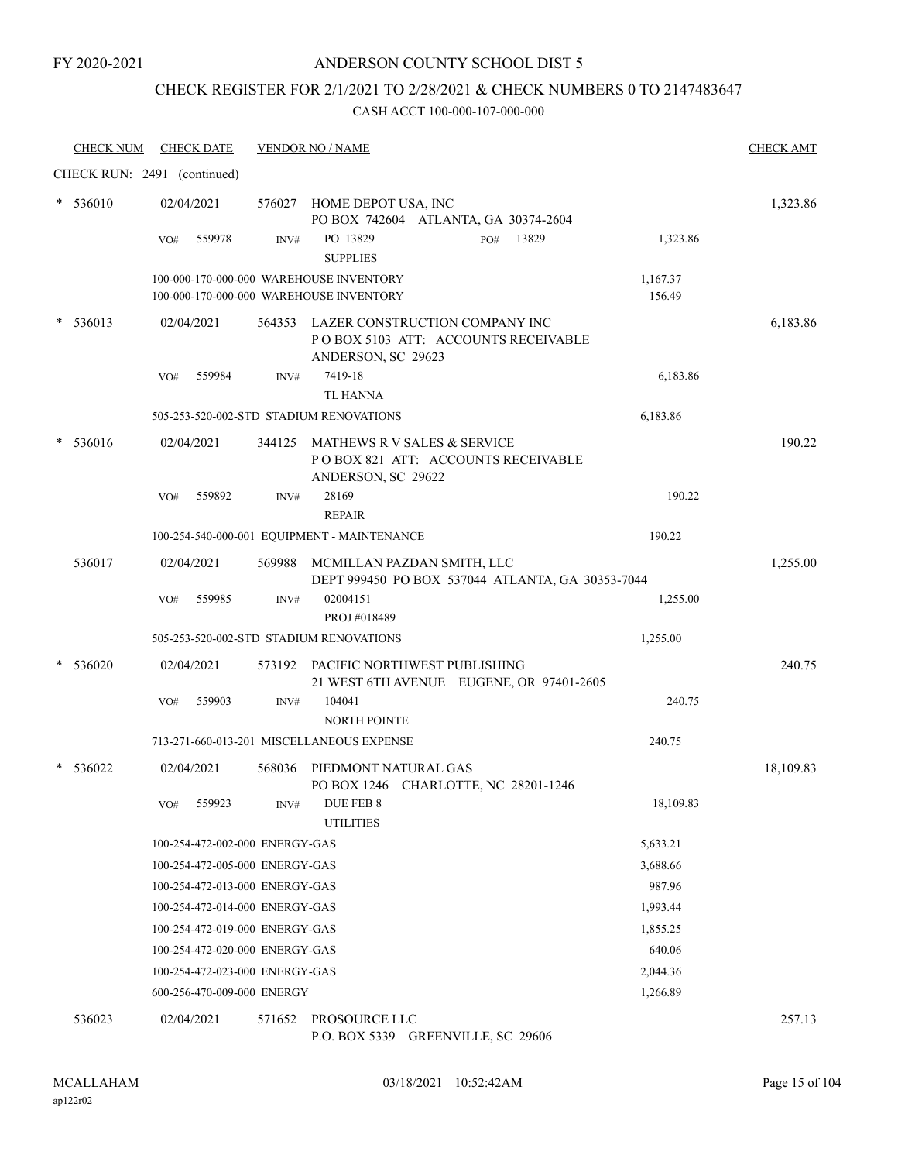### ANDERSON COUNTY SCHOOL DIST 5

# CHECK REGISTER FOR 2/1/2021 TO 2/28/2021 & CHECK NUMBERS 0 TO 2147483647

| <b>CHECK NUM</b>            |     | <b>CHECK DATE</b> |                                | <b>VENDOR NO / NAME</b>                                                                            |     |       |                    | <b>CHECK AMT</b> |
|-----------------------------|-----|-------------------|--------------------------------|----------------------------------------------------------------------------------------------------|-----|-------|--------------------|------------------|
| CHECK RUN: 2491 (continued) |     |                   |                                |                                                                                                    |     |       |                    |                  |
| * 536010                    |     | 02/04/2021        |                                | 576027 HOME DEPOT USA, INC<br>PO BOX 742604 ATLANTA, GA 30374-2604                                 |     |       |                    | 1,323.86         |
|                             | VO# | 559978            | INV#                           | PO 13829<br><b>SUPPLIES</b>                                                                        | PO# | 13829 | 1,323.86           |                  |
|                             |     |                   |                                | 100-000-170-000-000 WAREHOUSE INVENTORY<br>100-000-170-000-000 WAREHOUSE INVENTORY                 |     |       | 1,167.37<br>156.49 |                  |
| 536013                      |     | 02/04/2021        |                                | 564353 LAZER CONSTRUCTION COMPANY INC<br>POBOX 5103 ATT: ACCOUNTS RECEIVABLE<br>ANDERSON, SC 29623 |     |       |                    | 6,183.86         |
|                             | VO# | 559984            | INV#                           | 7419-18<br><b>TL HANNA</b>                                                                         |     |       | 6,183.86           |                  |
|                             |     |                   |                                | 505-253-520-002-STD STADIUM RENOVATIONS                                                            |     |       | 6,183.86           |                  |
| 536016                      |     | 02/04/2021        |                                | 344125 MATHEWS R V SALES & SERVICE<br>POBOX 821 ATT: ACCOUNTS RECEIVABLE<br>ANDERSON, SC 29622     |     |       |                    | 190.22           |
|                             | VO# | 559892            | INV#                           | 28169<br><b>REPAIR</b>                                                                             |     |       | 190.22             |                  |
|                             |     |                   |                                | 100-254-540-000-001 EQUIPMENT - MAINTENANCE                                                        |     |       | 190.22             |                  |
| 536017                      |     | 02/04/2021        | 569988                         | MCMILLAN PAZDAN SMITH, LLC<br>DEPT 999450 PO BOX 537044 ATLANTA, GA 30353-7044                     |     |       |                    | 1,255.00         |
|                             | VO# | 559985            | INV#                           | 02004151<br>PROJ #018489                                                                           |     |       | 1,255.00           |                  |
|                             |     |                   |                                | 505-253-520-002-STD STADIUM RENOVATIONS                                                            |     |       | 1,255.00           |                  |
| 536020                      |     | 02/04/2021        | 573192                         | PACIFIC NORTHWEST PUBLISHING<br>21 WEST 6TH AVENUE EUGENE, OR 97401-2605                           |     |       |                    | 240.75           |
|                             | VO# | 559903            | INV#                           | 104041<br><b>NORTH POINTE</b>                                                                      |     |       | 240.75             |                  |
|                             |     |                   |                                | 713-271-660-013-201 MISCELLANEOUS EXPENSE                                                          |     |       | 240.75             |                  |
| 536022                      |     | 02/04/2021        | 568036                         | PIEDMONT NATURAL GAS<br>PO BOX 1246 CHARLOTTE, NC 28201-1246                                       |     |       |                    | 18,109.83        |
|                             | VO# | 559923            | INV#                           | DUE FEB 8<br><b>UTILITIES</b>                                                                      |     |       | 18,109.83          |                  |
|                             |     |                   | 100-254-472-002-000 ENERGY-GAS |                                                                                                    |     |       | 5,633.21           |                  |
|                             |     |                   | 100-254-472-005-000 ENERGY-GAS |                                                                                                    |     |       | 3,688.66           |                  |
|                             |     |                   | 100-254-472-013-000 ENERGY-GAS |                                                                                                    |     |       | 987.96             |                  |
|                             |     |                   | 100-254-472-014-000 ENERGY-GAS |                                                                                                    |     |       | 1,993.44           |                  |
|                             |     |                   | 100-254-472-019-000 ENERGY-GAS |                                                                                                    |     |       | 1,855.25           |                  |
|                             |     |                   | 100-254-472-020-000 ENERGY-GAS |                                                                                                    |     |       | 640.06             |                  |
|                             |     |                   | 100-254-472-023-000 ENERGY-GAS |                                                                                                    |     |       | 2,044.36           |                  |
|                             |     |                   | 600-256-470-009-000 ENERGY     |                                                                                                    |     |       | 1,266.89           |                  |
| 536023                      |     | 02/04/2021        | 571652                         | PROSOURCE LLC<br>P.O. BOX 5339 GREENVILLE, SC 29606                                                |     |       |                    | 257.13           |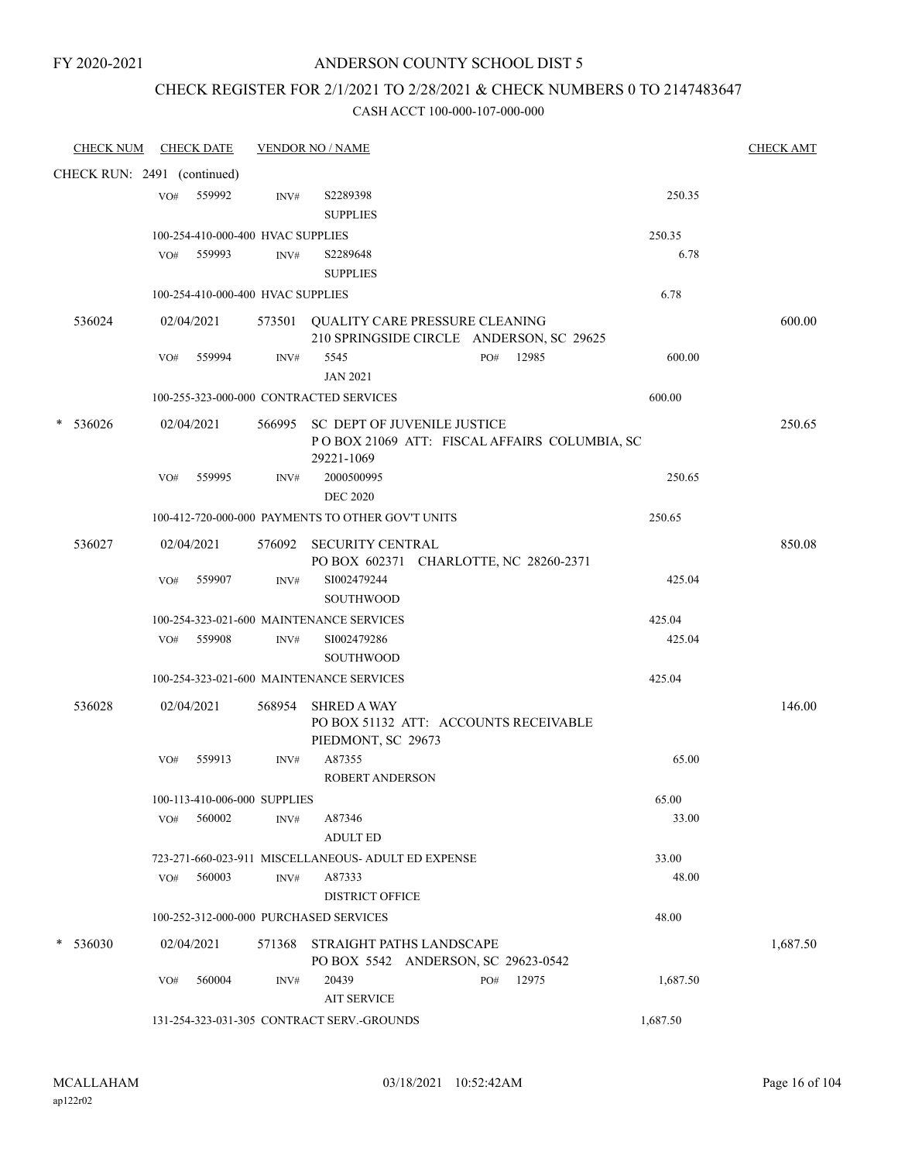### CHECK REGISTER FOR 2/1/2021 TO 2/28/2021 & CHECK NUMBERS 0 TO 2147483647

| <b>CHECK NUM</b>            |     | <b>CHECK DATE</b>                 |        | <b>VENDOR NO / NAME</b>                                                |     |                                              |          | <b>CHECK AMT</b> |
|-----------------------------|-----|-----------------------------------|--------|------------------------------------------------------------------------|-----|----------------------------------------------|----------|------------------|
| CHECK RUN: 2491 (continued) |     |                                   |        |                                                                        |     |                                              |          |                  |
|                             | VO# | 559992                            | INV#   | S2289398<br><b>SUPPLIES</b>                                            |     |                                              | 250.35   |                  |
|                             |     | 100-254-410-000-400 HVAC SUPPLIES |        |                                                                        |     |                                              | 250.35   |                  |
|                             | VO# | 559993                            | INV#   | S2289648<br><b>SUPPLIES</b>                                            |     |                                              | 6.78     |                  |
|                             |     | 100-254-410-000-400 HVAC SUPPLIES |        |                                                                        |     |                                              | 6.78     |                  |
| 536024                      |     | 02/04/2021                        |        | 573501 QUALITY CARE PRESSURE CLEANING                                  |     | 210 SPRINGSIDE CIRCLE ANDERSON, SC 29625     |          | 600.00           |
|                             | VO# | 559994                            | INV#   | 5545<br><b>JAN 2021</b>                                                | PO# | 12985                                        | 600.00   |                  |
|                             |     |                                   |        | 100-255-323-000-000 CONTRACTED SERVICES                                |     |                                              | 600.00   |                  |
| 536026                      |     | 02/04/2021                        |        | 566995 SC DEPT OF JUVENILE JUSTICE<br>29221-1069                       |     | POBOX 21069 ATT: FISCAL AFFAIRS COLUMBIA, SC |          | 250.65           |
|                             | VO# | 559995                            | INV#   | 2000500995<br><b>DEC 2020</b>                                          |     |                                              | 250.65   |                  |
|                             |     |                                   |        | 100-412-720-000-000 PAYMENTS TO OTHER GOV'T UNITS                      |     |                                              | 250.65   |                  |
| 536027                      |     | 02/04/2021                        | 576092 | <b>SECURITY CENTRAL</b>                                                |     | PO BOX 602371 CHARLOTTE, NC 28260-2371       |          | 850.08           |
|                             | VO# | 559907                            | INV#   | SI002479244<br>SOUTHWOOD                                               |     |                                              | 425.04   |                  |
|                             |     |                                   |        | 100-254-323-021-600 MAINTENANCE SERVICES                               |     |                                              | 425.04   |                  |
|                             | VO# | 559908                            | INV#   | SI002479286                                                            |     |                                              | 425.04   |                  |
|                             |     |                                   |        | <b>SOUTHWOOD</b>                                                       |     |                                              |          |                  |
|                             |     |                                   |        | 100-254-323-021-600 MAINTENANCE SERVICES                               |     |                                              | 425.04   |                  |
| 536028                      |     | 02/04/2021                        | 568954 | <b>SHRED A WAY</b><br>PIEDMONT, SC 29673                               |     | PO BOX 51132 ATT: ACCOUNTS RECEIVABLE        |          | 146.00           |
|                             | VO# | 559913                            | INV#   | A87355<br><b>ROBERT ANDERSON</b>                                       |     |                                              | 65.00    |                  |
|                             |     | 100-113-410-006-000 SUPPLIES      |        |                                                                        |     |                                              | 65.00    |                  |
|                             | VO# | 560002                            | INV#   | A87346<br><b>ADULT ED</b>                                              |     |                                              | 33.00    |                  |
|                             |     |                                   |        | 723-271-660-023-911 MISCELLANEOUS- ADULT ED EXPENSE                    |     |                                              | 33.00    |                  |
|                             | VO# | 560003                            | INV#   | A87333<br><b>DISTRICT OFFICE</b>                                       |     |                                              | 48.00    |                  |
|                             |     |                                   |        | 100-252-312-000-000 PURCHASED SERVICES                                 |     |                                              | 48.00    |                  |
| * 536030                    |     | 02/04/2021                        |        | 571368 STRAIGHT PATHS LANDSCAPE<br>PO BOX 5542 ANDERSON, SC 29623-0542 |     |                                              |          | 1,687.50         |
|                             | VO# | 560004                            | INV#   | 20439<br><b>AIT SERVICE</b>                                            | PO# | 12975                                        | 1,687.50 |                  |
|                             |     |                                   |        | 131-254-323-031-305 CONTRACT SERV.-GROUNDS                             |     |                                              | 1,687.50 |                  |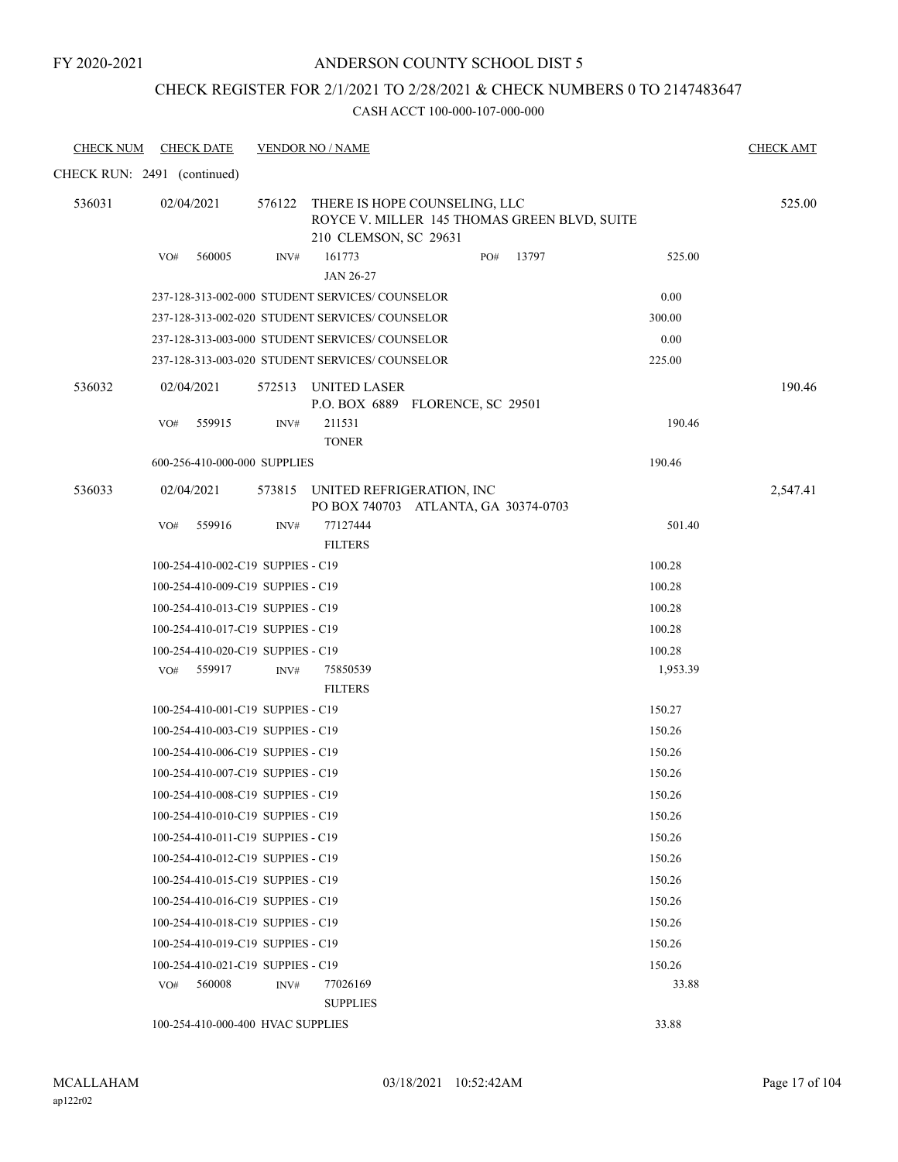### ANDERSON COUNTY SCHOOL DIST 5

### CHECK REGISTER FOR 2/1/2021 TO 2/28/2021 & CHECK NUMBERS 0 TO 2147483647

| <b>CHECK NUM</b>            |     | <b>CHECK DATE</b>                 |      | <b>VENDOR NO / NAME</b>                         |                                                                                      |       |          | <b>CHECK AMT</b> |
|-----------------------------|-----|-----------------------------------|------|-------------------------------------------------|--------------------------------------------------------------------------------------|-------|----------|------------------|
| CHECK RUN: 2491 (continued) |     |                                   |      |                                                 |                                                                                      |       |          |                  |
| 536031                      |     | 02/04/2021                        |      | 210 CLEMSON, SC 29631                           | 576122 THERE IS HOPE COUNSELING, LLC<br>ROYCE V. MILLER 145 THOMAS GREEN BLVD, SUITE |       |          | 525.00           |
|                             | VO# | 560005                            | INV# | 161773<br>JAN 26-27                             | PO#                                                                                  | 13797 | 525.00   |                  |
|                             |     |                                   |      | 237-128-313-002-000 STUDENT SERVICES/ COUNSELOR |                                                                                      |       | 0.00     |                  |
|                             |     |                                   |      | 237-128-313-002-020 STUDENT SERVICES/COUNSELOR  |                                                                                      |       | 300.00   |                  |
|                             |     |                                   |      | 237-128-313-003-000 STUDENT SERVICES/COUNSELOR  |                                                                                      |       | 0.00     |                  |
|                             |     |                                   |      | 237-128-313-003-020 STUDENT SERVICES/ COUNSELOR |                                                                                      |       | 225.00   |                  |
| 536032                      |     | 02/04/2021                        |      | 572513 UNITED LASER                             | P.O. BOX 6889 FLORENCE, SC 29501                                                     |       |          | 190.46           |
|                             | VO# | 559915                            | INV# | 211531<br><b>TONER</b>                          |                                                                                      |       | 190.46   |                  |
|                             |     | 600-256-410-000-000 SUPPLIES      |      |                                                 |                                                                                      |       | 190.46   |                  |
| 536033                      |     | 02/04/2021                        |      |                                                 | 573815 UNITED REFRIGERATION, INC<br>PO BOX 740703 ATLANTA, GA 30374-0703             |       |          | 2,547.41         |
|                             | VO# | 559916                            | INV# | 77127444<br><b>FILTERS</b>                      |                                                                                      |       | 501.40   |                  |
|                             |     | 100-254-410-002-C19 SUPPIES - C19 |      |                                                 |                                                                                      |       | 100.28   |                  |
|                             |     | 100-254-410-009-C19 SUPPIES - C19 |      |                                                 |                                                                                      |       | 100.28   |                  |
|                             |     | 100-254-410-013-C19 SUPPIES - C19 |      |                                                 |                                                                                      |       | 100.28   |                  |
|                             |     | 100-254-410-017-C19 SUPPIES - C19 |      |                                                 |                                                                                      |       | 100.28   |                  |
|                             |     | 100-254-410-020-C19 SUPPIES - C19 |      |                                                 |                                                                                      |       | 100.28   |                  |
|                             | VO# | 559917                            | INV# | 75850539<br><b>FILTERS</b>                      |                                                                                      |       | 1,953.39 |                  |
|                             |     | 100-254-410-001-C19 SUPPIES - C19 |      |                                                 |                                                                                      |       | 150.27   |                  |
|                             |     | 100-254-410-003-C19 SUPPIES - C19 |      |                                                 |                                                                                      |       | 150.26   |                  |
|                             |     | 100-254-410-006-C19 SUPPIES - C19 |      |                                                 |                                                                                      |       | 150.26   |                  |
|                             |     | 100-254-410-007-C19 SUPPIES - C19 |      |                                                 |                                                                                      |       | 150.26   |                  |
|                             |     | 100-254-410-008-C19 SUPPIES - C19 |      |                                                 |                                                                                      |       | 150.26   |                  |
|                             |     | 100-254-410-010-C19 SUPPIES - C19 |      |                                                 |                                                                                      |       | 150.26   |                  |
|                             |     | 100-254-410-011-C19 SUPPIES - C19 |      |                                                 |                                                                                      |       | 150.26   |                  |
|                             |     | 100-254-410-012-C19 SUPPIES - C19 |      |                                                 |                                                                                      |       | 150.26   |                  |
|                             |     | 100-254-410-015-C19 SUPPIES - C19 |      |                                                 |                                                                                      |       | 150.26   |                  |
|                             |     | 100-254-410-016-C19 SUPPIES - C19 |      |                                                 |                                                                                      |       | 150.26   |                  |
|                             |     | 100-254-410-018-C19 SUPPIES - C19 |      |                                                 |                                                                                      |       | 150.26   |                  |
|                             |     | 100-254-410-019-C19 SUPPIES - C19 |      |                                                 |                                                                                      |       | 150.26   |                  |
|                             |     | 100-254-410-021-C19 SUPPIES - C19 |      |                                                 |                                                                                      |       | 150.26   |                  |
|                             |     | VO# 560008                        | INV# | 77026169                                        |                                                                                      |       | 33.88    |                  |
|                             |     |                                   |      | <b>SUPPLIES</b>                                 |                                                                                      |       |          |                  |
|                             |     | 100-254-410-000-400 HVAC SUPPLIES |      |                                                 |                                                                                      |       | 33.88    |                  |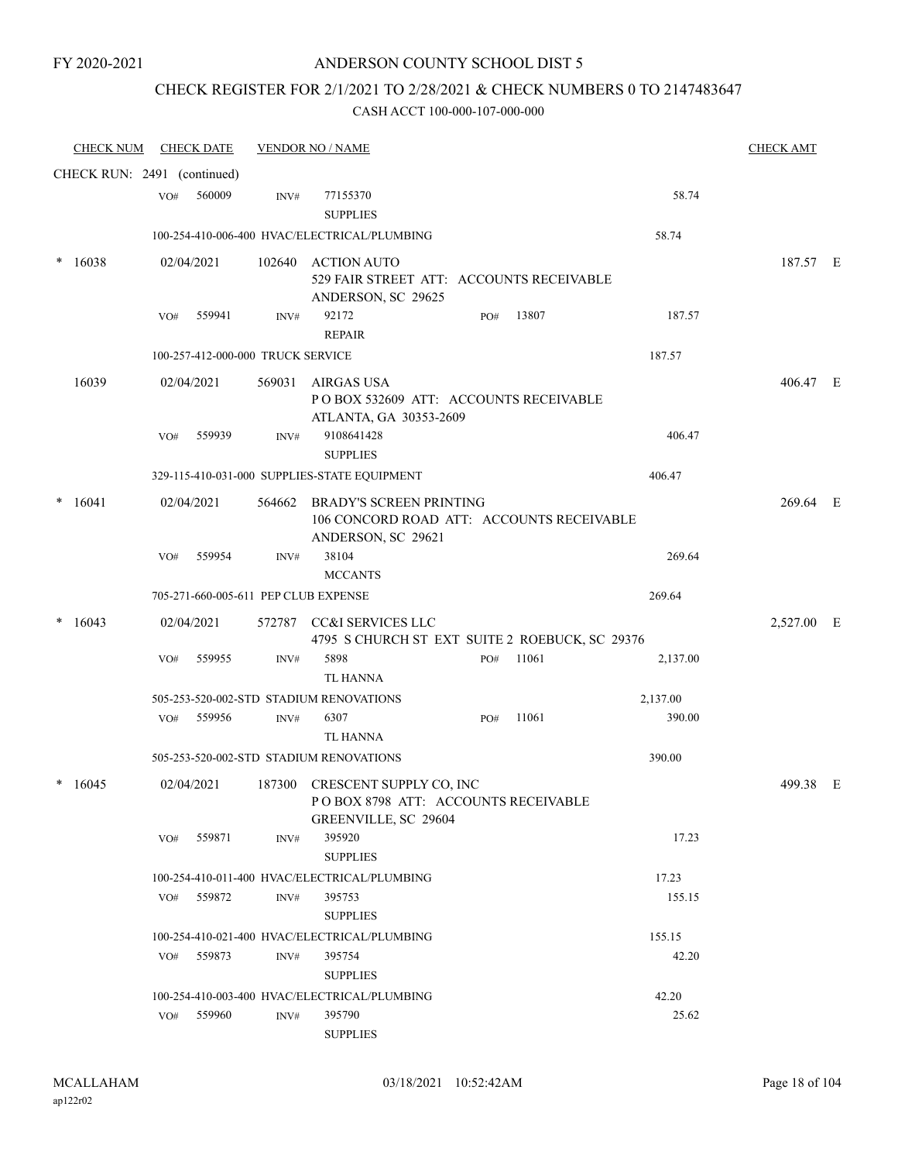### CHECK REGISTER FOR 2/1/2021 TO 2/28/2021 & CHECK NUMBERS 0 TO 2147483647

|        | <b>CHECK NUM</b>            |     | <b>CHECK DATE</b>                 |        | <b>VENDOR NO / NAME</b>                                                                           |     |       |          | <b>CHECK AMT</b> |  |
|--------|-----------------------------|-----|-----------------------------------|--------|---------------------------------------------------------------------------------------------------|-----|-------|----------|------------------|--|
|        | CHECK RUN: 2491 (continued) |     |                                   |        |                                                                                                   |     |       |          |                  |  |
|        |                             | VO# | 560009                            | INV#   | 77155370<br><b>SUPPLIES</b>                                                                       |     |       | 58.74    |                  |  |
|        |                             |     |                                   |        | 100-254-410-006-400 HVAC/ELECTRICAL/PLUMBING                                                      |     |       | 58.74    |                  |  |
| $\ast$ | 16038                       |     | 02/04/2021                        |        | 102640 ACTION AUTO<br>529 FAIR STREET ATT: ACCOUNTS RECEIVABLE<br>ANDERSON, SC 29625              |     |       |          | 187.57 E         |  |
|        |                             | VO# | 559941                            | INV#   | 92172<br><b>REPAIR</b>                                                                            | PO# | 13807 | 187.57   |                  |  |
|        |                             |     | 100-257-412-000-000 TRUCK SERVICE |        |                                                                                                   |     |       | 187.57   |                  |  |
|        | 16039                       |     | 02/04/2021                        | 569031 | AIRGAS USA<br>POBOX 532609 ATT: ACCOUNTS RECEIVABLE<br>ATLANTA, GA 30353-2609                     |     |       |          | 406.47 E         |  |
|        |                             | VO# | 559939                            | INV#   | 9108641428<br><b>SUPPLIES</b>                                                                     |     |       | 406.47   |                  |  |
|        |                             |     |                                   |        | 329-115-410-031-000 SUPPLIES-STATE EQUIPMENT                                                      |     |       | 406.47   |                  |  |
|        | 16041                       |     | 02/04/2021                        | 564662 | <b>BRADY'S SCREEN PRINTING</b><br>106 CONCORD ROAD ATT: ACCOUNTS RECEIVABLE<br>ANDERSON, SC 29621 |     |       |          | 269.64 E         |  |
|        |                             | VO# | 559954                            | INV#   | 38104<br><b>MCCANTS</b>                                                                           |     |       | 269.64   |                  |  |
|        |                             |     |                                   |        | 705-271-660-005-611 PEP CLUB EXPENSE                                                              |     |       | 269.64   |                  |  |
|        | 16043                       |     | 02/04/2021                        | 572787 | CC&I SERVICES LLC<br>4795 S CHURCH ST EXT SUITE 2 ROEBUCK, SC 29376                               |     |       |          | 2,527.00 E       |  |
|        |                             | VO# | 559955                            | INV#   | 5898<br><b>TL HANNA</b>                                                                           | PO# | 11061 | 2,137.00 |                  |  |
|        |                             |     |                                   |        | 505-253-520-002-STD STADIUM RENOVATIONS                                                           |     |       | 2,137.00 |                  |  |
|        |                             | VO# | 559956                            | INV#   | 6307<br>TL HANNA                                                                                  | PO# | 11061 | 390.00   |                  |  |
|        |                             |     |                                   |        | 505-253-520-002-STD STADIUM RENOVATIONS                                                           |     |       | 390.00   |                  |  |
|        | 16045                       |     | 02/04/2021                        |        | 187300 CRESCENT SUPPLY CO, INC<br>POBOX 8798 ATT: ACCOUNTS RECEIVABLE<br>GREENVILLE, SC 29604     |     |       |          | 499.38 E         |  |
|        |                             | VO# | 559871                            | INV#   | 395920<br><b>SUPPLIES</b>                                                                         |     |       | 17.23    |                  |  |
|        |                             |     |                                   |        | 100-254-410-011-400 HVAC/ELECTRICAL/PLUMBING                                                      |     |       | 17.23    |                  |  |
|        |                             |     | VO# 559872                        | INV#   | 395753<br><b>SUPPLIES</b>                                                                         |     |       | 155.15   |                  |  |
|        |                             |     |                                   |        | 100-254-410-021-400 HVAC/ELECTRICAL/PLUMBING                                                      |     |       | 155.15   |                  |  |
|        |                             | VO# | 559873                            | INV#   | 395754<br><b>SUPPLIES</b>                                                                         |     |       | 42.20    |                  |  |
|        |                             |     |                                   |        | 100-254-410-003-400 HVAC/ELECTRICAL/PLUMBING                                                      |     |       | 42.20    |                  |  |
|        |                             |     | VO# 559960                        | INV#   | 395790<br><b>SUPPLIES</b>                                                                         |     |       | 25.62    |                  |  |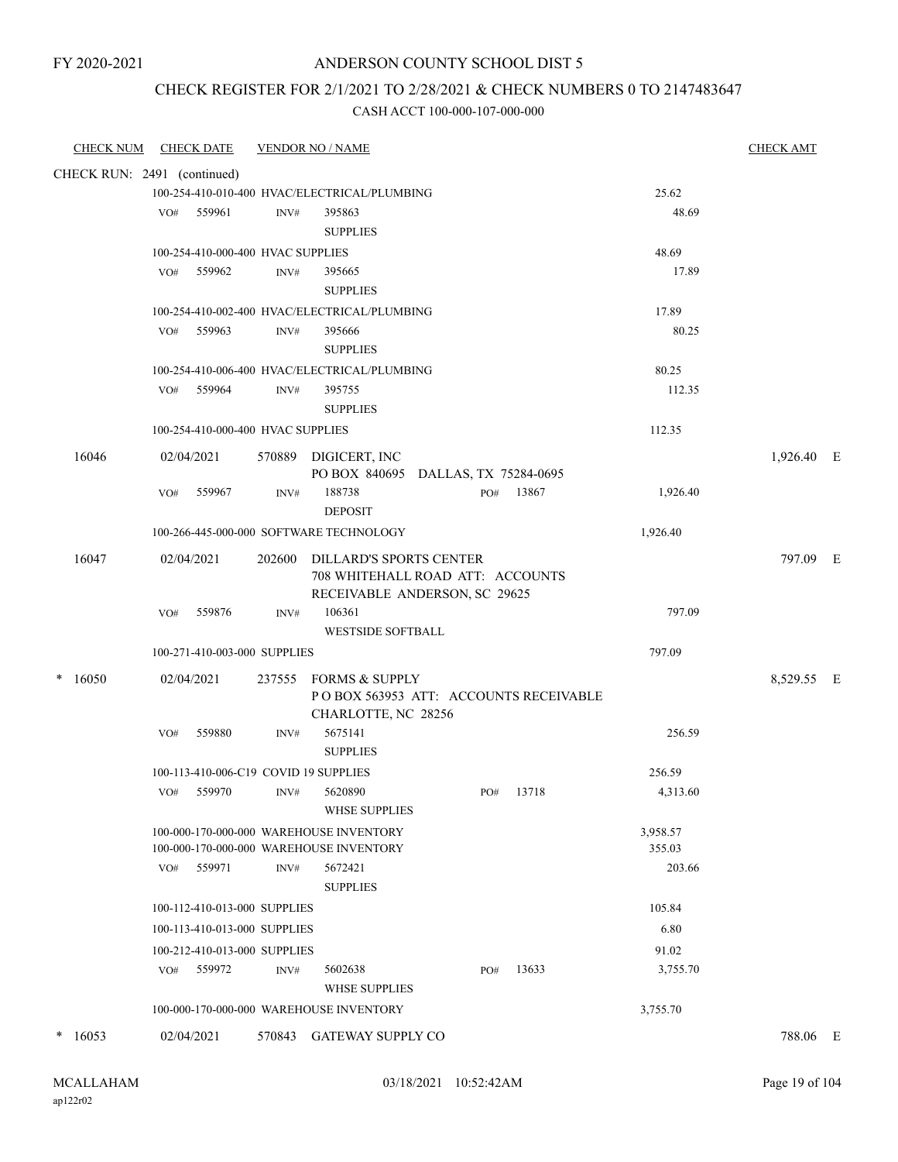### ANDERSON COUNTY SCHOOL DIST 5

### CHECK REGISTER FOR 2/1/2021 TO 2/28/2021 & CHECK NUMBERS 0 TO 2147483647

| CHECK NUM  | <b>CHECK DATE</b>            | <b>VENDOR NO / NAME</b>                                                                                  | <b>CHECK AMT</b> |
|------------|------------------------------|----------------------------------------------------------------------------------------------------------|------------------|
|            | CHECK RUN: 2491 (continued)  |                                                                                                          |                  |
|            |                              | 100-254-410-010-400 HVAC/ELECTRICAL/PLUMBING<br>25.62                                                    |                  |
|            | VO# 559961                   | 395863<br>48.69<br>INV#                                                                                  |                  |
|            |                              | <b>SUPPLIES</b>                                                                                          |                  |
|            |                              | 48.69<br>100-254-410-000-400 HVAC SUPPLIES                                                               |                  |
|            | VO# 559962                   | 17.89<br>INV#<br>395665<br><b>SUPPLIES</b>                                                               |                  |
|            |                              | 100-254-410-002-400 HVAC/ELECTRICAL/PLUMBING<br>17.89                                                    |                  |
|            | 559963<br>VO#                | 80.25<br>395666<br>INV#                                                                                  |                  |
|            |                              | <b>SUPPLIES</b>                                                                                          |                  |
|            |                              | 100-254-410-006-400 HVAC/ELECTRICAL/PLUMBING<br>80.25                                                    |                  |
|            | VO# 559964                   | 395755<br>112.35<br>INV#                                                                                 |                  |
|            |                              | <b>SUPPLIES</b>                                                                                          |                  |
|            |                              | 112.35<br>100-254-410-000-400 HVAC SUPPLIES                                                              |                  |
| 16046      | 02/04/2021                   | 570889 DIGICERT, INC                                                                                     | 1,926.40 E       |
|            |                              | PO BOX 840695 DALLAS, TX 75284-0695                                                                      |                  |
|            | 559967<br>VO#                | 188738<br>PO# 13867<br>1,926.40<br>INV#                                                                  |                  |
|            |                              | <b>DEPOSIT</b>                                                                                           |                  |
|            |                              | 100-266-445-000-000 SOFTWARE TECHNOLOGY<br>1,926.40                                                      |                  |
| 16047      | 02/04/2021                   | 202600 DILLARD'S SPORTS CENTER                                                                           | 797.09 E         |
|            |                              | 708 WHITEHALL ROAD ATT: ACCOUNTS                                                                         |                  |
|            | VO#<br>559876                | RECEIVABLE ANDERSON, SC 29625<br>106361<br>797.09<br>INV#                                                |                  |
|            |                              | <b>WESTSIDE SOFTBALL</b>                                                                                 |                  |
|            | 100-271-410-003-000 SUPPLIES | 797.09                                                                                                   |                  |
|            |                              |                                                                                                          |                  |
| 16050<br>* | 02/04/2021                   | 237555 FORMS & SUPPLY<br>POBOX 563953 ATT: ACCOUNTS RECEIVABLE                                           | 8,529.55 E       |
|            |                              | CHARLOTTE, NC 28256                                                                                      |                  |
|            | 559880<br>VO#                | 5675141<br>256.59<br>INV#                                                                                |                  |
|            |                              | <b>SUPPLIES</b>                                                                                          |                  |
|            |                              | 100-113-410-006-C19 COVID 19 SUPPLIES<br>256.59                                                          |                  |
|            |                              | 4,313.60<br>VO# 559970 INV# 5620890<br>PO# 13718                                                         |                  |
|            |                              | <b>WHSE SUPPLIES</b>                                                                                     |                  |
|            |                              | 100-000-170-000-000 WAREHOUSE INVENTORY<br>3,958.57<br>355.03<br>100-000-170-000-000 WAREHOUSE INVENTORY |                  |
|            | VO# 559971                   | 203.66<br>5672421<br>INV#                                                                                |                  |
|            |                              | <b>SUPPLIES</b>                                                                                          |                  |
|            | 100-112-410-013-000 SUPPLIES | 105.84                                                                                                   |                  |
|            | 100-113-410-013-000 SUPPLIES | 6.80                                                                                                     |                  |
|            | 100-212-410-013-000 SUPPLIES | 91.02                                                                                                    |                  |
|            | VO# 559972                   | 5602638<br>13633<br>3,755.70<br>INV#<br>PO#                                                              |                  |
|            |                              | <b>WHSE SUPPLIES</b>                                                                                     |                  |
|            |                              | 100-000-170-000-000 WAREHOUSE INVENTORY<br>3,755.70                                                      |                  |
| 16053      | 02/04/2021                   | 570843 GATEWAY SUPPLY CO                                                                                 | 788.06 E         |
|            |                              |                                                                                                          |                  |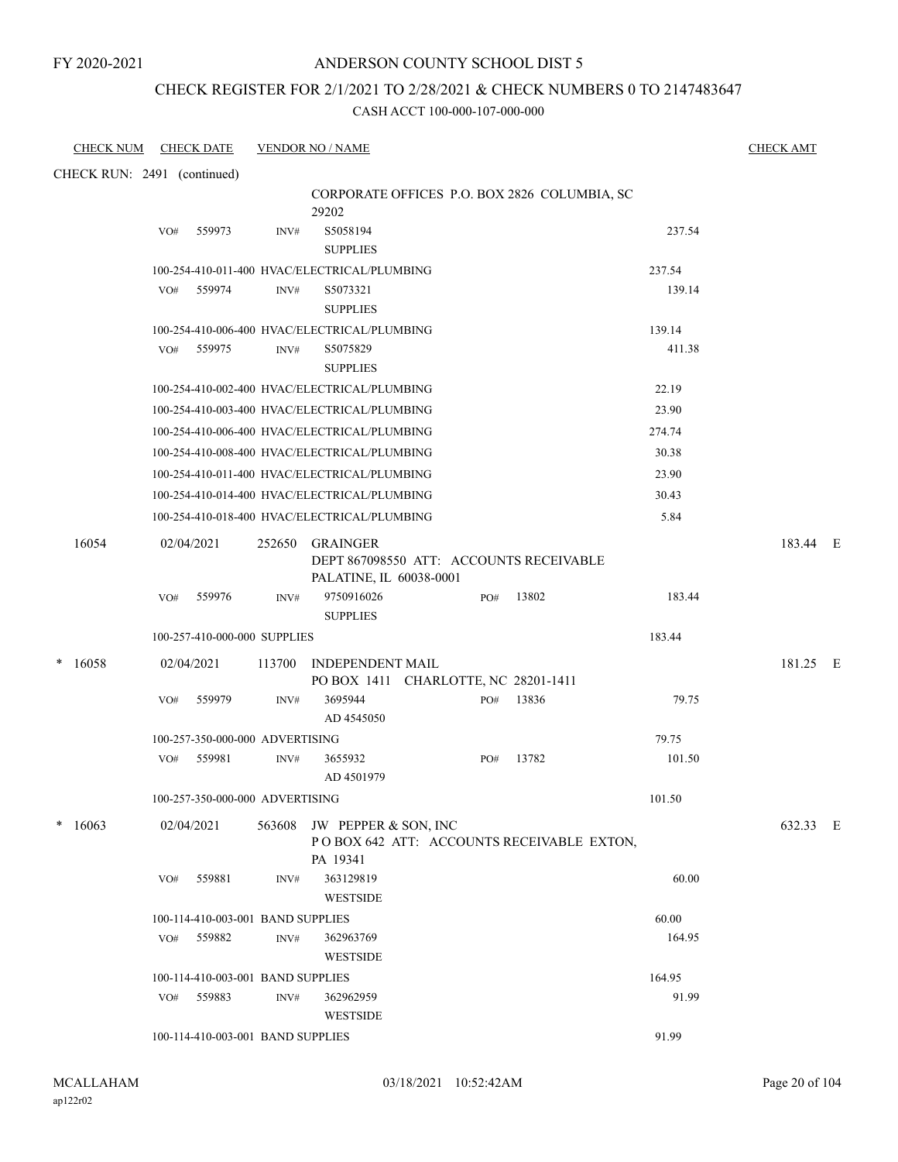### ANDERSON COUNTY SCHOOL DIST 5

### CHECK REGISTER FOR 2/1/2021 TO 2/28/2021 & CHECK NUMBERS 0 TO 2147483647

| <b>CHECK NUM</b> | <b>CHECK DATE</b>                            |        | <b>VENDOR NO / NAME</b>                                                               |     |       |        | <b>CHECK AMT</b> |
|------------------|----------------------------------------------|--------|---------------------------------------------------------------------------------------|-----|-------|--------|------------------|
|                  | CHECK RUN: 2491 (continued)                  |        |                                                                                       |     |       |        |                  |
|                  |                                              |        | CORPORATE OFFICES P.O. BOX 2826 COLUMBIA, SC<br>29202                                 |     |       |        |                  |
|                  | 559973<br>VO#                                | INV#   | S5058194<br><b>SUPPLIES</b>                                                           |     |       | 237.54 |                  |
|                  | 100-254-410-011-400 HVAC/ELECTRICAL/PLUMBING |        |                                                                                       |     |       | 237.54 |                  |
|                  | 559974<br>VO#                                | INV#   | S5073321<br><b>SUPPLIES</b>                                                           |     |       | 139.14 |                  |
|                  |                                              |        | 100-254-410-006-400 HVAC/ELECTRICAL/PLUMBING                                          |     |       | 139.14 |                  |
|                  | VO#<br>559975                                | INV#   | S5075829<br><b>SUPPLIES</b>                                                           |     |       | 411.38 |                  |
|                  |                                              |        | 100-254-410-002-400 HVAC/ELECTRICAL/PLUMBING                                          |     |       | 22.19  |                  |
|                  | 100-254-410-003-400 HVAC/ELECTRICAL/PLUMBING |        |                                                                                       |     |       | 23.90  |                  |
|                  |                                              |        | 100-254-410-006-400 HVAC/ELECTRICAL/PLUMBING                                          |     |       | 274.74 |                  |
|                  |                                              |        | 100-254-410-008-400 HVAC/ELECTRICAL/PLUMBING                                          |     |       | 30.38  |                  |
|                  |                                              |        | 100-254-410-011-400 HVAC/ELECTRICAL/PLUMBING                                          |     |       | 23.90  |                  |
|                  | 100-254-410-014-400 HVAC/ELECTRICAL/PLUMBING |        |                                                                                       |     |       | 30.43  |                  |
|                  | 100-254-410-018-400 HVAC/ELECTRICAL/PLUMBING |        |                                                                                       |     |       | 5.84   |                  |
| 16054            | 02/04/2021                                   | 252650 | <b>GRAINGER</b><br>DEPT 867098550 ATT: ACCOUNTS RECEIVABLE<br>PALATINE, IL 60038-0001 |     |       |        | 183.44 E         |
|                  | 559976<br>VO#                                | INV#   | 9750916026<br><b>SUPPLIES</b>                                                         | PO# | 13802 | 183.44 |                  |
|                  | 100-257-410-000-000 SUPPLIES                 |        |                                                                                       |     |       | 183.44 |                  |
| 16058<br>*       | 02/04/2021                                   |        | 113700 INDEPENDENT MAIL<br>PO BOX 1411 CHARLOTTE, NC 28201-1411                       |     |       |        | 181.25 E         |
|                  | VO#<br>559979                                | INV#   | 3695944<br>AD 4545050                                                                 | PO# | 13836 | 79.75  |                  |
|                  | 100-257-350-000-000 ADVERTISING              |        |                                                                                       |     |       | 79.75  |                  |
|                  | 559981<br>VO#                                | INV#   | 3655932<br>AD 4501979                                                                 | PO# | 13782 | 101.50 |                  |
|                  | 100-257-350-000-000 ADVERTISING              |        |                                                                                       |     |       | 101.50 |                  |
| 16063            | 02/04/2021                                   |        | 563608 JW PEPPER & SON, INC<br>POBOX 642 ATT: ACCOUNTS RECEIVABLE EXTON,<br>PA 19341  |     |       |        | 632.33 E         |
|                  | 559881<br>VO#                                | INV#   | 363129819<br><b>WESTSIDE</b>                                                          |     |       | 60.00  |                  |
|                  | 100-114-410-003-001 BAND SUPPLIES            |        |                                                                                       |     |       | 60.00  |                  |
|                  | 559882<br>VO#                                | INV#   | 362963769<br><b>WESTSIDE</b>                                                          |     |       | 164.95 |                  |
|                  | 100-114-410-003-001 BAND SUPPLIES            |        |                                                                                       |     |       | 164.95 |                  |
|                  | 559883<br>VO#                                | INV#   | 362962959<br><b>WESTSIDE</b>                                                          |     |       | 91.99  |                  |
|                  | 100-114-410-003-001 BAND SUPPLIES            |        |                                                                                       |     |       | 91.99  |                  |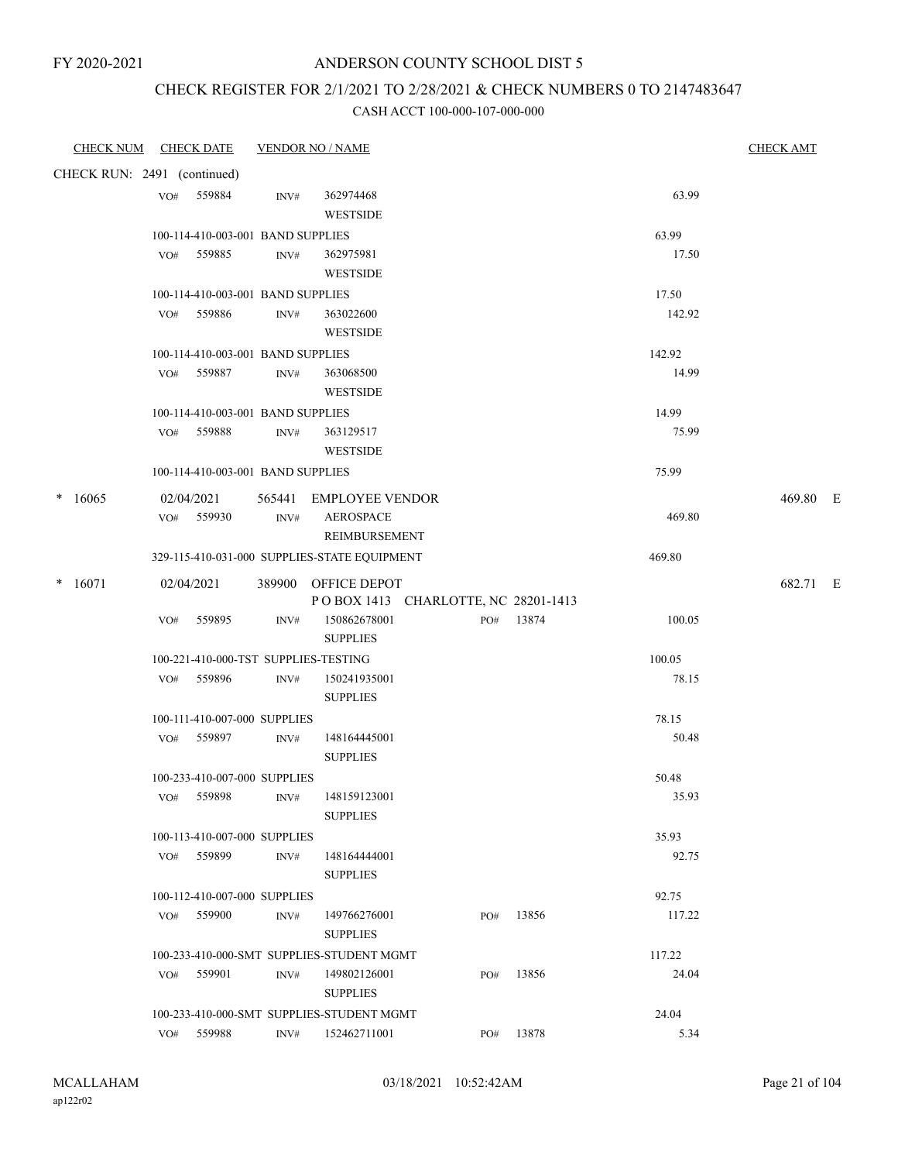### CHECK REGISTER FOR 2/1/2021 TO 2/28/2021 & CHECK NUMBERS 0 TO 2147483647

| CHECK NUM CHECK DATE        |     |                                            |                | <b>VENDOR NO / NAME</b>                                    |     |           |        | <b>CHECK AMT</b> |  |
|-----------------------------|-----|--------------------------------------------|----------------|------------------------------------------------------------|-----|-----------|--------|------------------|--|
| CHECK RUN: 2491 (continued) |     |                                            |                |                                                            |     |           |        |                  |  |
|                             |     | VO# 559884                                 | INV#           | 362974468                                                  |     |           | 63.99  |                  |  |
|                             |     |                                            |                | <b>WESTSIDE</b>                                            |     |           |        |                  |  |
|                             |     | 100-114-410-003-001 BAND SUPPLIES          |                |                                                            |     |           | 63.99  |                  |  |
|                             |     | VO# 559885                                 | $\text{INV}\#$ | 362975981                                                  |     |           | 17.50  |                  |  |
|                             |     |                                            |                | <b>WESTSIDE</b>                                            |     |           |        |                  |  |
|                             |     | 100-114-410-003-001 BAND SUPPLIES          |                |                                                            |     |           | 17.50  |                  |  |
|                             |     | VO# 559886                                 | INV#           | 363022600<br><b>WESTSIDE</b>                               |     |           | 142.92 |                  |  |
|                             |     | 100-114-410-003-001 BAND SUPPLIES          |                |                                                            |     |           | 142.92 |                  |  |
|                             |     | VO# 559887                                 | INV#           | 363068500                                                  |     |           | 14.99  |                  |  |
|                             |     |                                            |                | <b>WESTSIDE</b>                                            |     |           |        |                  |  |
|                             |     | 100-114-410-003-001 BAND SUPPLIES          |                |                                                            |     |           | 14.99  |                  |  |
|                             |     | VO# 559888                                 | INV#           | 363129517                                                  |     |           | 75.99  |                  |  |
|                             |     |                                            |                | <b>WESTSIDE</b>                                            |     |           |        |                  |  |
|                             |     | 100-114-410-003-001 BAND SUPPLIES          |                |                                                            |     |           | 75.99  |                  |  |
| 16065<br>*                  |     | 02/04/2021                                 |                | 565441 EMPLOYEE VENDOR                                     |     |           |        | 469.80 E         |  |
|                             |     | VO# 559930                                 | INV#           | <b>AEROSPACE</b>                                           |     |           | 469.80 |                  |  |
|                             |     |                                            |                | <b>REIMBURSEMENT</b>                                       |     |           |        |                  |  |
|                             |     |                                            |                | 329-115-410-031-000 SUPPLIES-STATE EQUIPMENT               |     |           | 469.80 |                  |  |
| $*$ 16071                   |     | 02/04/2021                                 |                | 389900 OFFICE DEPOT<br>POBOX 1413 CHARLOTTE, NC 28201-1413 |     |           |        | 682.71 E         |  |
|                             | VO# | 559895                                     | INV#           | 150862678001                                               |     | PO# 13874 | 100.05 |                  |  |
|                             |     |                                            |                | <b>SUPPLIES</b>                                            |     |           |        |                  |  |
|                             |     | 100-221-410-000-TST SUPPLIES-TESTING       |                |                                                            |     |           | 100.05 |                  |  |
|                             |     | VO# 559896                                 | INV#           | 150241935001                                               |     |           | 78.15  |                  |  |
|                             |     |                                            |                | <b>SUPPLIES</b>                                            |     |           |        |                  |  |
|                             |     | 100-111-410-007-000 SUPPLIES               |                |                                                            |     |           | 78.15  |                  |  |
|                             |     | VO# 559897                                 | INV#           | 148164445001                                               |     |           | 50.48  |                  |  |
|                             |     |                                            |                | <b>SUPPLIES</b>                                            |     |           |        |                  |  |
|                             |     | 100-233-410-007-000 SUPPLIES               |                |                                                            |     |           | 50.48  |                  |  |
|                             | VO# | 559898                                     | INV#           | 148159123001                                               |     |           | 35.93  |                  |  |
|                             |     |                                            |                | <b>SUPPLIES</b>                                            |     |           |        |                  |  |
|                             |     | 100-113-410-007-000 SUPPLIES               |                |                                                            |     |           | 35.93  |                  |  |
|                             |     | VO# 559899                                 | INV#           | 148164444001<br><b>SUPPLIES</b>                            |     |           | 92.75  |                  |  |
|                             |     |                                            |                |                                                            |     |           | 92.75  |                  |  |
|                             |     | 100-112-410-007-000 SUPPLIES<br>VO# 559900 | INV#           | 149766276001                                               | PO# | 13856     | 117.22 |                  |  |
|                             |     |                                            |                | <b>SUPPLIES</b>                                            |     |           |        |                  |  |
|                             |     |                                            |                | 100-233-410-000-SMT SUPPLIES-STUDENT MGMT                  |     |           | 117.22 |                  |  |
|                             | VO# | 559901                                     | INV#           | 149802126001                                               | PO# | 13856     | 24.04  |                  |  |
|                             |     |                                            |                | <b>SUPPLIES</b>                                            |     |           |        |                  |  |
|                             |     |                                            |                | 100-233-410-000-SMT SUPPLIES-STUDENT MGMT                  |     |           | 24.04  |                  |  |
|                             |     | VO# 559988                                 | INV#           | 152462711001                                               |     | PO# 13878 | 5.34   |                  |  |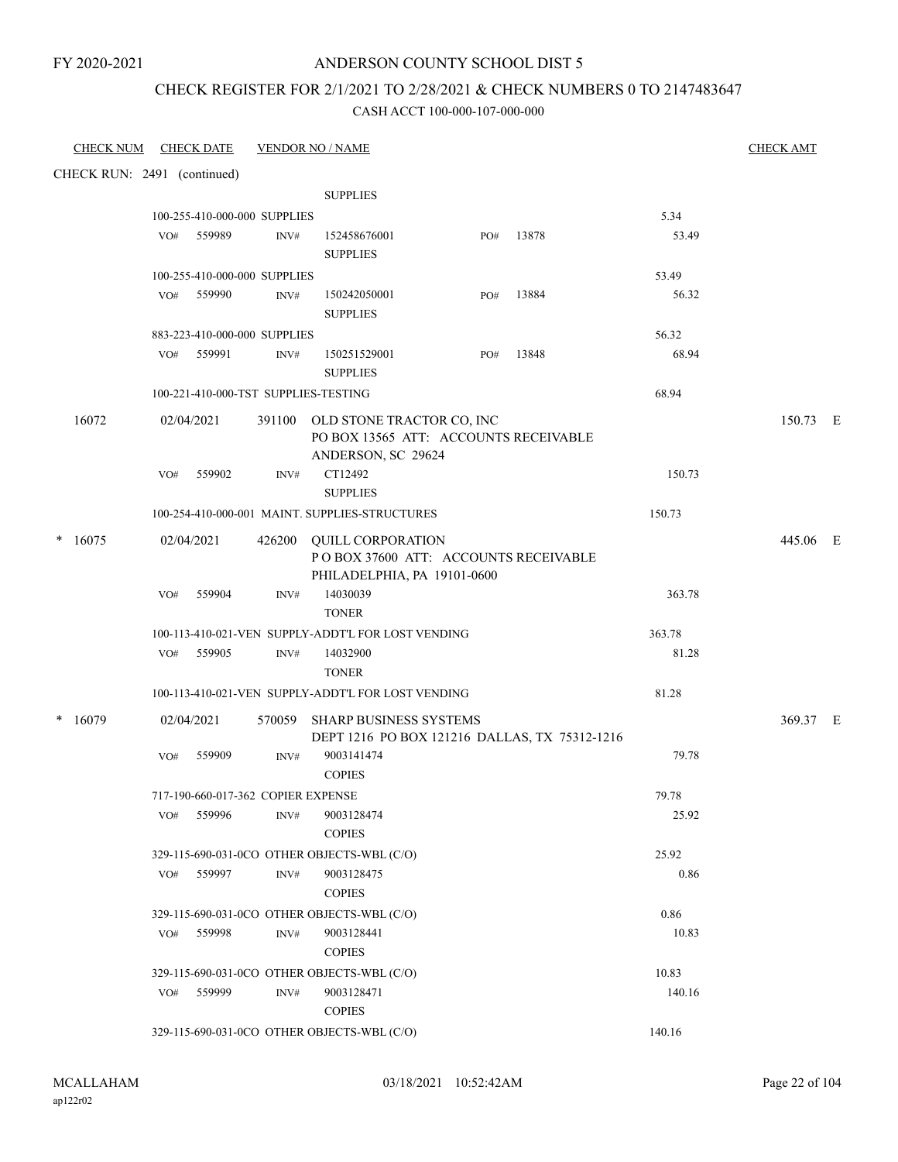### CHECK REGISTER FOR 2/1/2021 TO 2/28/2021 & CHECK NUMBERS 0 TO 2147483647

| <b>CHECK NUM</b> | <b>CHECK DATE</b>                    |                | <b>VENDOR NO / NAME</b>                                                                         |     |       |        | <b>CHECK AMT</b> |  |
|------------------|--------------------------------------|----------------|-------------------------------------------------------------------------------------------------|-----|-------|--------|------------------|--|
|                  | CHECK RUN: 2491 (continued)          |                |                                                                                                 |     |       |        |                  |  |
|                  |                                      |                | <b>SUPPLIES</b>                                                                                 |     |       |        |                  |  |
|                  | 100-255-410-000-000 SUPPLIES         |                |                                                                                                 |     |       | 5.34   |                  |  |
|                  | 559989<br>VO#                        | INV#           | 152458676001<br><b>SUPPLIES</b>                                                                 | PO# | 13878 | 53.49  |                  |  |
|                  | 100-255-410-000-000 SUPPLIES         |                |                                                                                                 |     |       | 53.49  |                  |  |
|                  | 559990<br>VO#                        | $\text{INV}\#$ | 150242050001<br><b>SUPPLIES</b>                                                                 | PO# | 13884 | 56.32  |                  |  |
|                  | 883-223-410-000-000 SUPPLIES         |                |                                                                                                 |     |       | 56.32  |                  |  |
|                  | VO# 559991                           | INV#           | 150251529001<br><b>SUPPLIES</b>                                                                 | PO# | 13848 | 68.94  |                  |  |
|                  | 100-221-410-000-TST SUPPLIES-TESTING |                |                                                                                                 |     |       | 68.94  |                  |  |
| 16072            | 02/04/2021                           |                | 391100 OLD STONE TRACTOR CO, INC<br>PO BOX 13565 ATT: ACCOUNTS RECEIVABLE<br>ANDERSON, SC 29624 |     |       |        | 150.73 E         |  |
|                  | VO#<br>559902                        | INV#           | CT12492<br><b>SUPPLIES</b>                                                                      |     |       | 150.73 |                  |  |
|                  |                                      |                | 100-254-410-000-001 MAINT. SUPPLIES-STRUCTURES                                                  |     |       | 150.73 |                  |  |
| 16075<br>*       | 02/04/2021                           |                | 426200 OUILL CORPORATION<br>POBOX 37600 ATT: ACCOUNTS RECEIVABLE<br>PHILADELPHIA, PA 19101-0600 |     |       |        | 445.06 E         |  |
|                  | 559904<br>VO#                        | INV#           | 14030039<br><b>TONER</b>                                                                        |     |       | 363.78 |                  |  |
|                  |                                      |                | 100-113-410-021-VEN SUPPLY-ADDT'L FOR LOST VENDING                                              |     |       | 363.78 |                  |  |
|                  | 559905<br>VO#                        | INV#           | 14032900<br><b>TONER</b>                                                                        |     |       | 81.28  |                  |  |
|                  |                                      |                | 100-113-410-021-VEN SUPPLY-ADDT'L FOR LOST VENDING                                              |     |       | 81.28  |                  |  |
| 16079<br>*       | 02/04/2021                           |                | 570059 SHARP BUSINESS SYSTEMS<br>DEPT 1216 PO BOX 121216 DALLAS, TX 75312-1216                  |     |       |        | 369.37 E         |  |
|                  | 559909<br>VO#                        | INV#           | 9003141474<br><b>COPIES</b>                                                                     |     |       | 79.78  |                  |  |
|                  | 717-190-660-017-362 COPIER EXPENSE   |                |                                                                                                 |     |       | 79.78  |                  |  |
|                  | 559996<br>VO#                        | INV#           | 9003128474<br><b>COPIES</b>                                                                     |     |       | 25.92  |                  |  |
|                  |                                      |                | 329-115-690-031-0CO OTHER OBJECTS-WBL (C/O)                                                     |     |       | 25.92  |                  |  |
|                  | 559997<br>VO#                        | INV#           | 9003128475<br><b>COPIES</b>                                                                     |     |       | 0.86   |                  |  |
|                  |                                      |                | 329-115-690-031-0CO OTHER OBJECTS-WBL (C/O)                                                     |     |       | 0.86   |                  |  |
|                  | 559998<br>VO#                        | INV#           | 9003128441<br><b>COPIES</b>                                                                     |     |       | 10.83  |                  |  |
|                  |                                      |                | 329-115-690-031-0CO OTHER OBJECTS-WBL (C/O)                                                     |     |       | 10.83  |                  |  |
|                  | 559999<br>VO#                        | $\text{INV}\#$ | 9003128471                                                                                      |     |       | 140.16 |                  |  |
|                  |                                      |                | <b>COPIES</b><br>329-115-690-031-0CO OTHER OBJECTS-WBL (C/O)                                    |     |       | 140.16 |                  |  |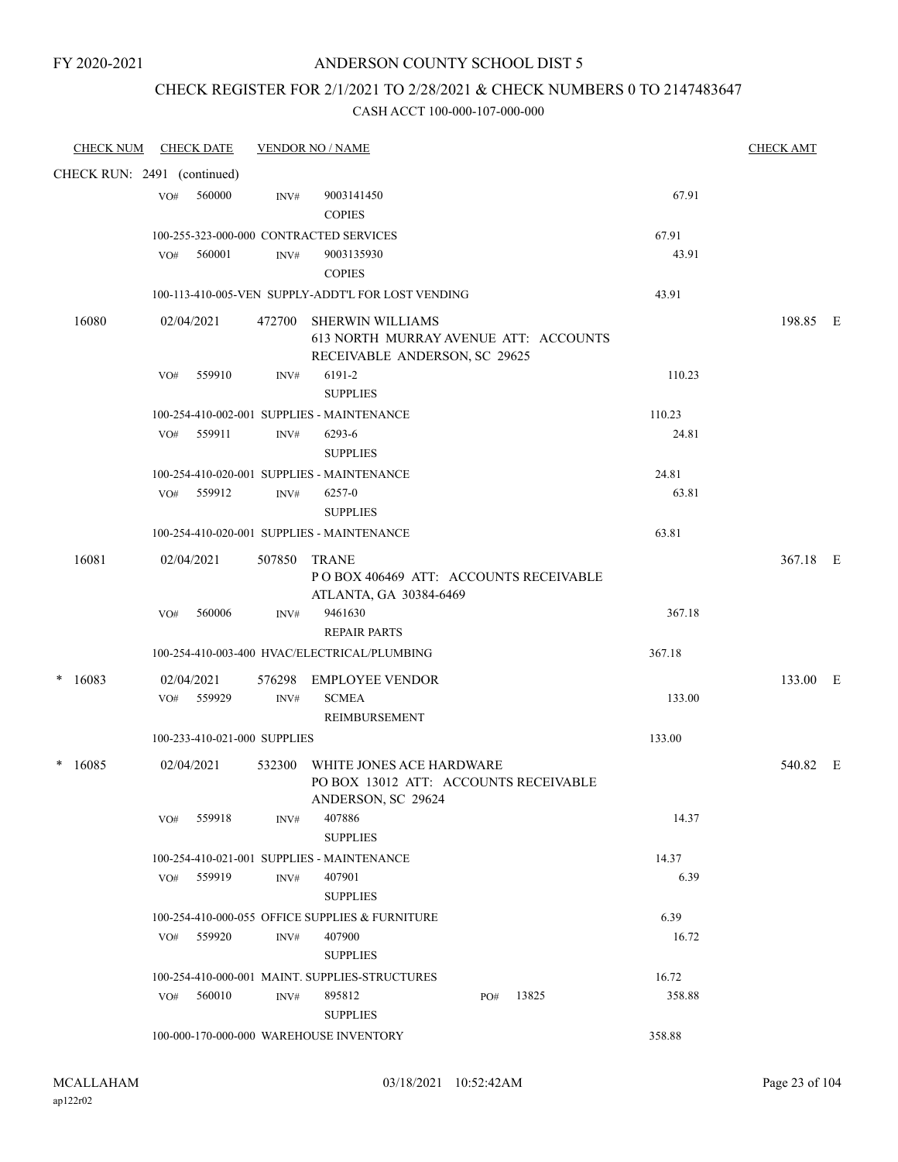### CHECK REGISTER FOR 2/1/2021 TO 2/28/2021 & CHECK NUMBERS 0 TO 2147483647

| <b>CHECK NUM</b>            |     | <b>CHECK DATE</b>            |        | <b>VENDOR NO / NAME</b>                                                                           |        | <b>CHECK AMT</b> |  |
|-----------------------------|-----|------------------------------|--------|---------------------------------------------------------------------------------------------------|--------|------------------|--|
| CHECK RUN: 2491 (continued) |     |                              |        |                                                                                                   |        |                  |  |
|                             | VO# | 560000                       | INV#   | 9003141450<br><b>COPIES</b>                                                                       | 67.91  |                  |  |
|                             |     |                              |        | 100-255-323-000-000 CONTRACTED SERVICES                                                           | 67.91  |                  |  |
|                             | VO# | 560001                       | INV#   | 9003135930                                                                                        | 43.91  |                  |  |
|                             |     |                              |        | <b>COPIES</b>                                                                                     |        |                  |  |
|                             |     |                              |        | 100-113-410-005-VEN SUPPLY-ADDT'L FOR LOST VENDING                                                | 43.91  |                  |  |
| 16080                       |     | 02/04/2021                   |        | 472700 SHERWIN WILLIAMS<br>613 NORTH MURRAY AVENUE ATT: ACCOUNTS<br>RECEIVABLE ANDERSON, SC 29625 |        | 198.85 E         |  |
|                             | VO# | 559910                       | INV#   | 6191-2<br><b>SUPPLIES</b>                                                                         | 110.23 |                  |  |
|                             |     |                              |        | 100-254-410-002-001 SUPPLIES - MAINTENANCE                                                        | 110.23 |                  |  |
|                             |     | VO# 559911                   | INV#   | 6293-6<br><b>SUPPLIES</b>                                                                         | 24.81  |                  |  |
|                             |     |                              |        | 100-254-410-020-001 SUPPLIES - MAINTENANCE                                                        | 24.81  |                  |  |
|                             |     | VO# 559912                   | INV#   | 6257-0<br><b>SUPPLIES</b>                                                                         | 63.81  |                  |  |
|                             |     |                              |        | 100-254-410-020-001 SUPPLIES - MAINTENANCE                                                        | 63.81  |                  |  |
| 16081                       |     | 02/04/2021                   | 507850 | <b>TRANE</b><br>POBOX 406469 ATT: ACCOUNTS RECEIVABLE                                             |        | 367.18 E         |  |
|                             |     |                              |        | ATLANTA, GA 30384-6469                                                                            |        |                  |  |
|                             | VO# | 560006                       | INV#   | 9461630<br>REPAIR PARTS                                                                           | 367.18 |                  |  |
|                             |     |                              |        | 100-254-410-003-400 HVAC/ELECTRICAL/PLUMBING                                                      | 367.18 |                  |  |
| 16083                       |     | 02/04/2021                   | 576298 | <b>EMPLOYEE VENDOR</b>                                                                            |        | 133.00 E         |  |
|                             |     | VO# 559929                   | INV#   | <b>SCMEA</b><br><b>REIMBURSEMENT</b>                                                              | 133.00 |                  |  |
|                             |     | 100-233-410-021-000 SUPPLIES |        |                                                                                                   | 133.00 |                  |  |
|                             |     |                              |        |                                                                                                   |        |                  |  |
| 16085                       |     | 02/04/2021                   | 532300 | WHITE JONES ACE HARDWARE<br>PO BOX 13012 ATT: ACCOUNTS RECEIVABLE<br>ANDERSON, SC 29624           |        | 540.82 E         |  |
|                             | VO# | 559918                       | INV#   | 407886<br><b>SUPPLIES</b>                                                                         | 14.37  |                  |  |
|                             |     |                              |        | 100-254-410-021-001 SUPPLIES - MAINTENANCE                                                        | 14.37  |                  |  |
|                             |     | VO# 559919                   | INV#   | 407901                                                                                            | 6.39   |                  |  |
|                             |     |                              |        | <b>SUPPLIES</b>                                                                                   |        |                  |  |
|                             |     |                              |        | 100-254-410-000-055 OFFICE SUPPLIES & FURNITURE                                                   | 6.39   |                  |  |
|                             |     | VO# 559920                   | INV#   | 407900<br><b>SUPPLIES</b>                                                                         | 16.72  |                  |  |
|                             |     |                              |        | 100-254-410-000-001 MAINT, SUPPLIES-STRUCTURES                                                    | 16.72  |                  |  |
|                             | VO# | 560010                       | INV#   | 895812<br>13825<br>PO#<br><b>SUPPLIES</b>                                                         | 358.88 |                  |  |
|                             |     |                              |        | 100-000-170-000-000 WAREHOUSE INVENTORY                                                           | 358.88 |                  |  |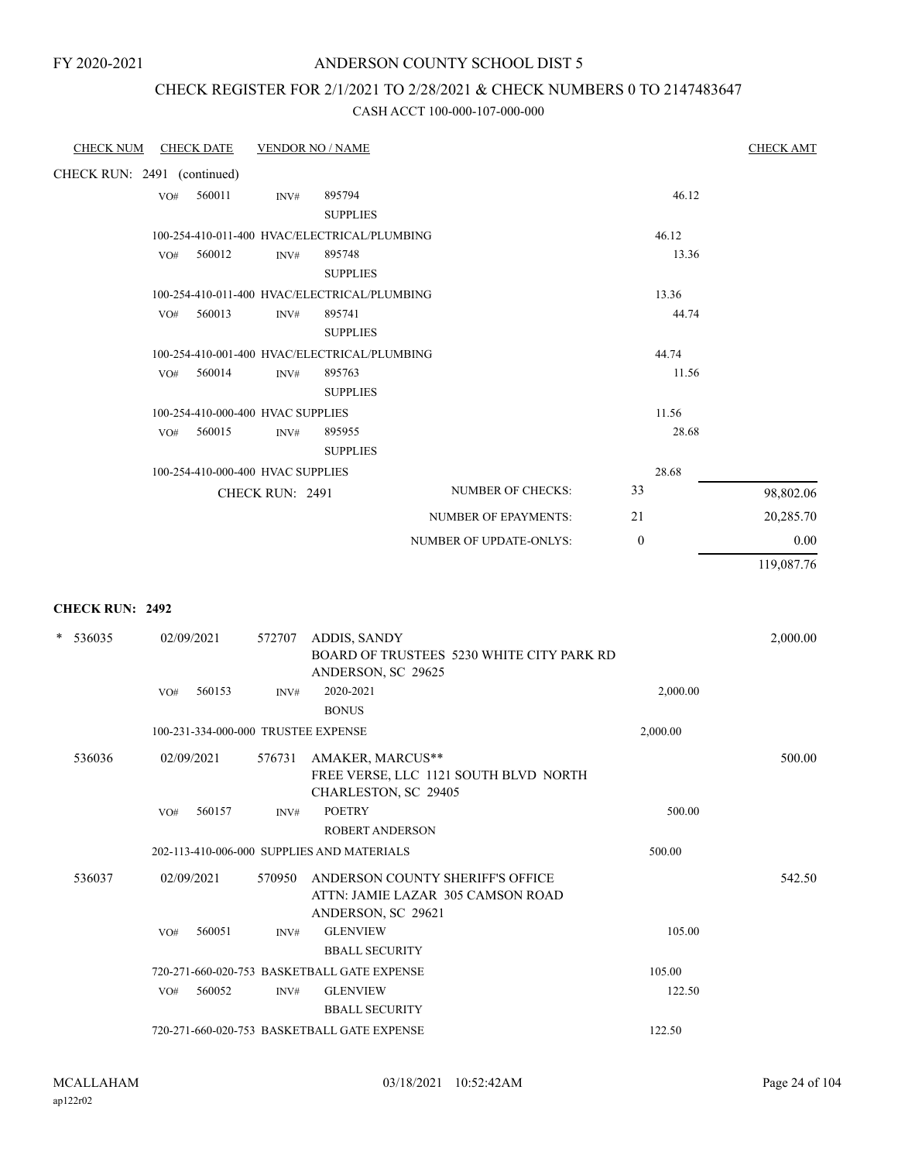# CHECK REGISTER FOR 2/1/2021 TO 2/28/2021 & CHECK NUMBERS 0 TO 2147483647

| <b>CHECK NUM</b>            |     | <b>CHECK DATE</b>                   |                 | <b>VENDOR NO / NAME</b>                      |                                           |              |          | <b>CHECK AMT</b> |
|-----------------------------|-----|-------------------------------------|-----------------|----------------------------------------------|-------------------------------------------|--------------|----------|------------------|
| CHECK RUN: 2491 (continued) |     |                                     |                 |                                              |                                           |              |          |                  |
|                             | VO# | 560011                              | INV#            | 895794                                       |                                           |              | 46.12    |                  |
|                             |     |                                     |                 | <b>SUPPLIES</b>                              |                                           |              |          |                  |
|                             |     |                                     |                 | 100-254-410-011-400 HVAC/ELECTRICAL/PLUMBING |                                           |              | 46.12    |                  |
|                             | VO# | 560012                              | INV#            | 895748                                       |                                           |              | 13.36    |                  |
|                             |     |                                     |                 | <b>SUPPLIES</b>                              |                                           |              |          |                  |
|                             |     |                                     |                 | 100-254-410-011-400 HVAC/ELECTRICAL/PLUMBING |                                           |              | 13.36    |                  |
|                             | VO# | 560013                              | INV#            | 895741                                       |                                           |              | 44.74    |                  |
|                             |     |                                     |                 | <b>SUPPLIES</b>                              |                                           |              |          |                  |
|                             |     |                                     |                 | 100-254-410-001-400 HVAC/ELECTRICAL/PLUMBING |                                           |              | 44.74    |                  |
|                             | VO# | 560014                              | INV#            | 895763                                       |                                           |              | 11.56    |                  |
|                             |     |                                     |                 | <b>SUPPLIES</b>                              |                                           |              |          |                  |
|                             |     | 100-254-410-000-400 HVAC SUPPLIES   |                 |                                              |                                           |              | 11.56    |                  |
|                             | VO# | 560015                              | $\text{INV}\#$  | 895955                                       |                                           |              | 28.68    |                  |
|                             |     |                                     |                 | <b>SUPPLIES</b>                              |                                           |              |          |                  |
|                             |     | 100-254-410-000-400 HVAC SUPPLIES   |                 |                                              |                                           |              | 28.68    |                  |
|                             |     |                                     | CHECK RUN: 2491 |                                              | <b>NUMBER OF CHECKS:</b>                  | 33           |          | 98,802.06        |
|                             |     |                                     |                 |                                              | <b>NUMBER OF EPAYMENTS:</b>               | 21           |          | 20,285.70        |
|                             |     |                                     |                 |                                              | NUMBER OF UPDATE-ONLYS:                   | $\mathbf{0}$ |          | 0.00             |
|                             |     |                                     |                 |                                              |                                           |              |          | 119,087.76       |
|                             |     |                                     |                 |                                              |                                           |              |          |                  |
| <b>CHECK RUN: 2492</b>      |     |                                     |                 |                                              |                                           |              |          |                  |
| * 536035                    |     | 02/09/2021                          | 572707          | ADDIS, SANDY                                 |                                           |              |          | 2,000.00         |
|                             |     |                                     |                 |                                              | BOARD OF TRUSTEES 5230 WHITE CITY PARK RD |              |          |                  |
|                             |     |                                     |                 | ANDERSON, SC 29625                           |                                           |              |          |                  |
|                             | VO# | 560153                              | INV#            | 2020-2021                                    |                                           |              | 2,000.00 |                  |
|                             |     |                                     |                 | <b>BONUS</b>                                 |                                           |              |          |                  |
|                             |     | 100-231-334-000-000 TRUSTEE EXPENSE |                 |                                              |                                           |              | 2,000.00 |                  |

| $\ast$ | 536035 | 02/09/2021                          | 572707 | ADDIS, SANDY<br>BOARD OF TRUSTEES 5230 WHITE CITY PARK RD |          | 2,000.00 |
|--------|--------|-------------------------------------|--------|-----------------------------------------------------------|----------|----------|
|        |        |                                     |        | ANDERSON, SC 29625                                        |          |          |
|        |        | 560153<br>VO#                       | INV#   | 2020-2021                                                 | 2,000.00 |          |
|        |        |                                     |        | <b>BONUS</b>                                              |          |          |
|        |        | 100-231-334-000-000 TRUSTEE EXPENSE |        |                                                           | 2,000.00 |          |
|        | 536036 | 02/09/2021                          | 576731 | AMAKER, MARCUS**                                          |          | 500.00   |
|        |        |                                     |        | FREE VERSE, LLC 1121 SOUTH BLVD NORTH                     |          |          |
|        |        |                                     |        | CHARLESTON, SC 29405                                      |          |          |
|        |        | 560157<br>VO#                       | INV#   | <b>POETRY</b>                                             | 500.00   |          |
|        |        |                                     |        | <b>ROBERT ANDERSON</b>                                    |          |          |
|        |        |                                     |        | 202-113-410-006-000 SUPPLIES AND MATERIALS                | 500.00   |          |
|        | 536037 | 02/09/2021                          | 570950 | ANDERSON COUNTY SHERIFF'S OFFICE                          |          | 542.50   |
|        |        |                                     |        | ATTN: JAMIE LAZAR 305 CAMSON ROAD                         |          |          |
|        |        |                                     |        | ANDERSON, SC 29621                                        |          |          |
|        |        | 560051<br>VO#                       | INV#   | <b>GLENVIEW</b>                                           | 105.00   |          |
|        |        |                                     |        | <b>BBALL SECURITY</b>                                     |          |          |
|        |        |                                     |        | 720-271-660-020-753 BASKETBALL GATE EXPENSE               | 105.00   |          |
|        |        | 560052<br>VO#                       | INV#   | <b>GLENVIEW</b>                                           | 122.50   |          |
|        |        |                                     |        | <b>BBALL SECURITY</b>                                     |          |          |
|        |        |                                     |        | 720-271-660-020-753 BASKETBALL GATE EXPENSE               | 122.50   |          |
|        |        |                                     |        |                                                           |          |          |
|        |        |                                     |        |                                                           |          |          |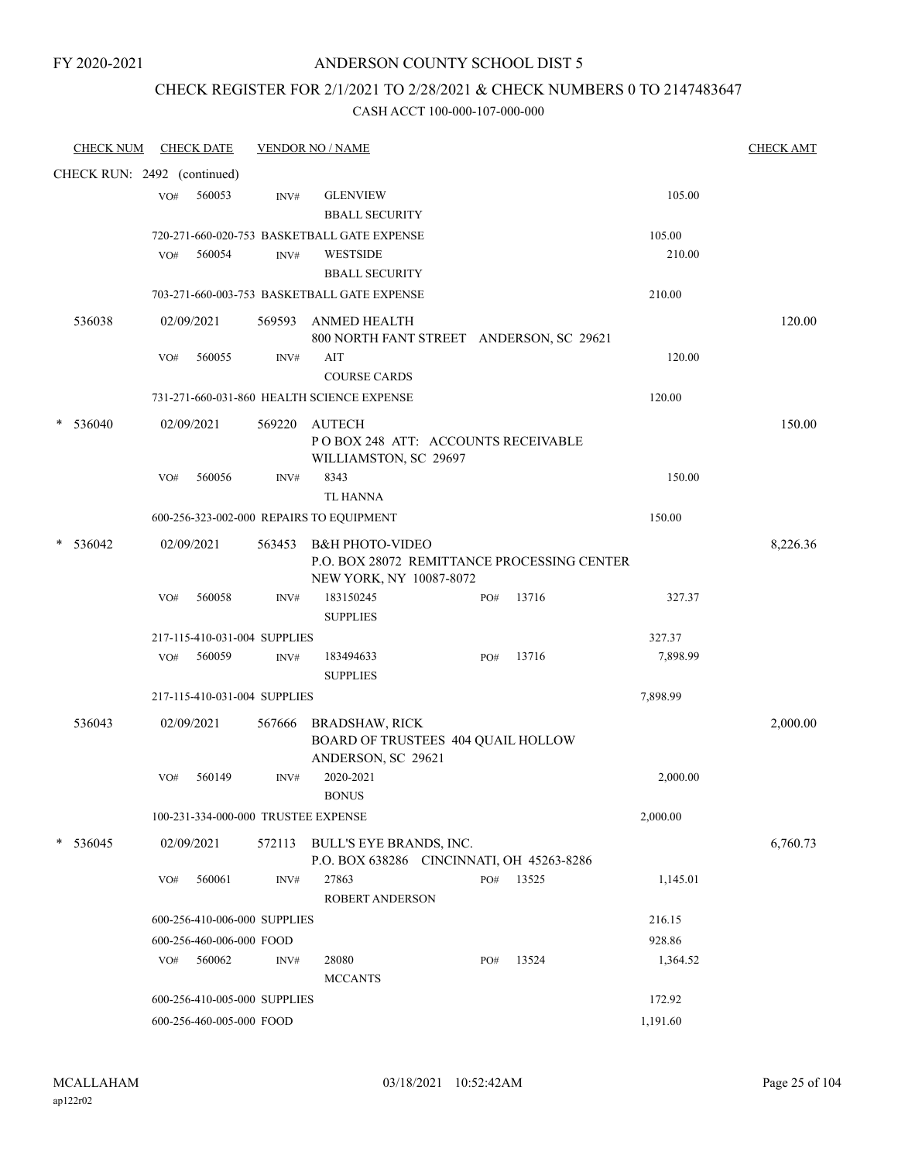### CHECK REGISTER FOR 2/1/2021 TO 2/28/2021 & CHECK NUMBERS 0 TO 2147483647

| <b>CHECK NUM</b>            |     | <b>CHECK DATE</b>            |        | <b>VENDOR NO / NAME</b>                                                                              |     |       |          | <b>CHECK AMT</b> |
|-----------------------------|-----|------------------------------|--------|------------------------------------------------------------------------------------------------------|-----|-------|----------|------------------|
| CHECK RUN: 2492 (continued) |     |                              |        |                                                                                                      |     |       |          |                  |
|                             | VO# | 560053                       | INV#   | <b>GLENVIEW</b>                                                                                      |     |       | 105.00   |                  |
|                             |     |                              |        | <b>BBALL SECURITY</b>                                                                                |     |       |          |                  |
|                             |     |                              |        | 720-271-660-020-753 BASKETBALL GATE EXPENSE                                                          |     |       | 105.00   |                  |
|                             | VO# | 560054                       | INV#   | <b>WESTSIDE</b>                                                                                      |     |       | 210.00   |                  |
|                             |     |                              |        | <b>BBALL SECURITY</b>                                                                                |     |       |          |                  |
|                             |     |                              |        | 703-271-660-003-753 BASKETBALL GATE EXPENSE                                                          |     |       | 210.00   |                  |
| 536038                      |     | 02/09/2021                   | 569593 | ANMED HEALTH<br>800 NORTH FANT STREET ANDERSON, SC 29621                                             |     |       |          | 120.00           |
|                             | VO# | 560055                       | INV#   | AIT                                                                                                  |     |       | 120.00   |                  |
|                             |     |                              |        | <b>COURSE CARDS</b>                                                                                  |     |       |          |                  |
|                             |     |                              |        | 731-271-660-031-860 HEALTH SCIENCE EXPENSE                                                           |     |       | 120.00   |                  |
| 536040                      |     | 02/09/2021                   | 569220 | <b>AUTECH</b><br>POBOX 248 ATT: ACCOUNTS RECEIVABLE                                                  |     |       |          | 150.00           |
|                             |     |                              |        | WILLIAMSTON, SC 29697                                                                                |     |       |          |                  |
|                             | VO# | 560056                       | INV#   | 8343<br><b>TL HANNA</b>                                                                              |     |       | 150.00   |                  |
|                             |     |                              |        | 600-256-323-002-000 REPAIRS TO EQUIPMENT                                                             |     |       | 150.00   |                  |
|                             |     |                              |        |                                                                                                      |     |       |          |                  |
| 536042<br>*                 |     | 02/09/2021                   | 563453 | <b>B&amp;H PHOTO-VIDEO</b><br>P.O. BOX 28072 REMITTANCE PROCESSING CENTER<br>NEW YORK, NY 10087-8072 |     |       |          | 8,226.36         |
|                             | VO# | 560058                       | INV#   | 183150245<br><b>SUPPLIES</b>                                                                         | PO# | 13716 | 327.37   |                  |
|                             |     | 217-115-410-031-004 SUPPLIES |        |                                                                                                      |     |       | 327.37   |                  |
|                             | VO# | 560059                       | INV#   | 183494633                                                                                            | PO# | 13716 | 7,898.99 |                  |
|                             |     |                              |        | <b>SUPPLIES</b>                                                                                      |     |       |          |                  |
|                             |     | 217-115-410-031-004 SUPPLIES |        |                                                                                                      |     |       | 7,898.99 |                  |
| 536043                      |     | 02/09/2021                   | 567666 | <b>BRADSHAW, RICK</b>                                                                                |     |       |          | 2,000.00         |
|                             |     |                              |        | BOARD OF TRUSTEES 404 QUAIL HOLLOW<br>ANDERSON, SC 29621                                             |     |       |          |                  |
|                             | VO# | 560149                       | INV#   | 2020-2021<br>$\operatorname{BONUS}$                                                                  |     |       | 2,000.00 |                  |
|                             |     |                              |        | 100-231-334-000-000 TRUSTEE EXPENSE                                                                  |     |       | 2,000.00 |                  |
| 536045                      |     | 02/09/2021                   |        | 572113 BULL'S EYE BRANDS, INC.<br>P.O. BOX 638286 CINCINNATI, OH 45263-8286                          |     |       |          | 6,760.73         |
|                             | VO# | 560061                       | INV#   | 27863                                                                                                | PO# | 13525 | 1,145.01 |                  |
|                             |     |                              |        | <b>ROBERT ANDERSON</b>                                                                               |     |       |          |                  |
|                             |     | 600-256-410-006-000 SUPPLIES |        |                                                                                                      |     |       | 216.15   |                  |
|                             |     | 600-256-460-006-000 FOOD     |        |                                                                                                      |     |       | 928.86   |                  |
|                             | VO# | 560062                       | INV#   | 28080                                                                                                | PO# | 13524 | 1,364.52 |                  |
|                             |     |                              |        | <b>MCCANTS</b>                                                                                       |     |       |          |                  |
|                             |     | 600-256-410-005-000 SUPPLIES |        |                                                                                                      |     |       | 172.92   |                  |
|                             |     | 600-256-460-005-000 FOOD     |        |                                                                                                      |     |       | 1,191.60 |                  |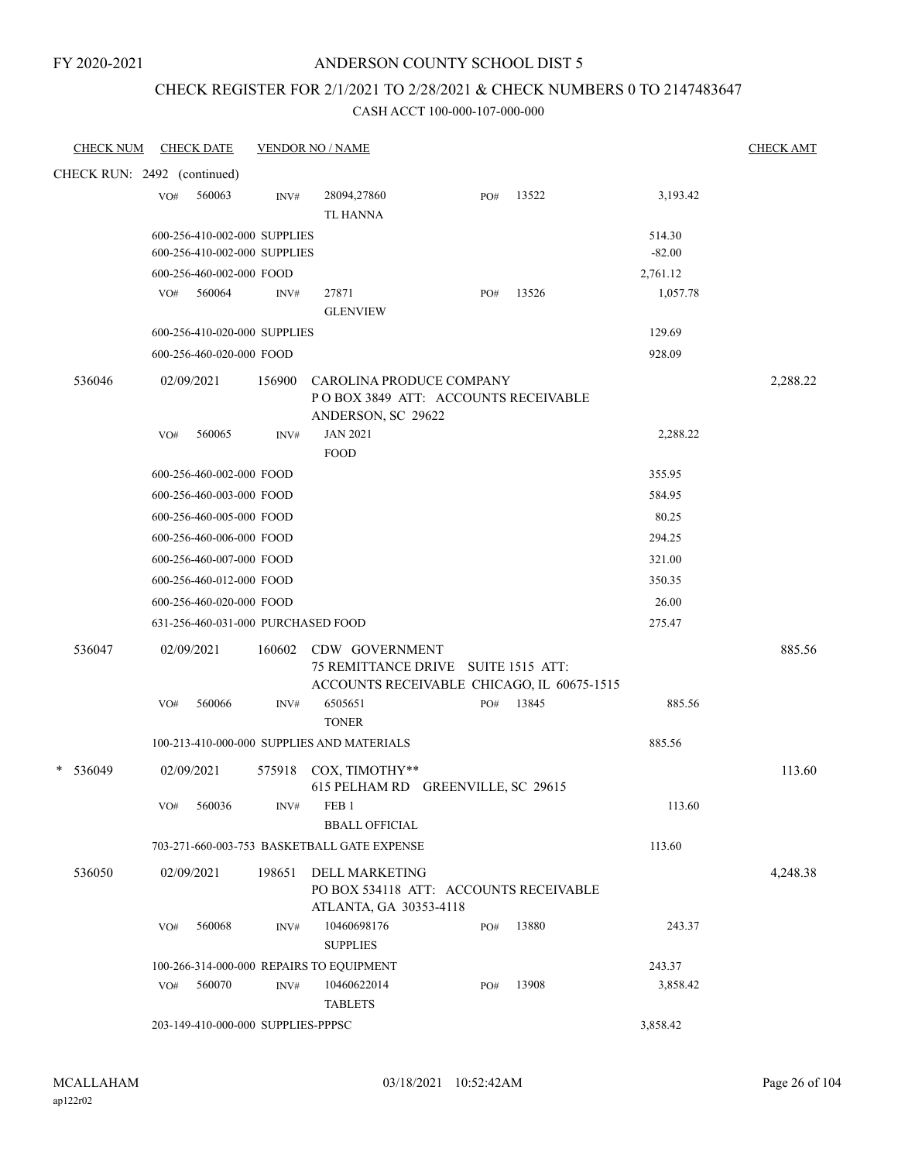### ANDERSON COUNTY SCHOOL DIST 5

### CHECK REGISTER FOR 2/1/2021 TO 2/28/2021 & CHECK NUMBERS 0 TO 2147483647

| <b>CHECK NUM</b>            |     | <b>CHECK DATE</b>                  |                | <b>VENDOR NO / NAME</b>                                                                             |     |       |          | <b>CHECK AMT</b> |
|-----------------------------|-----|------------------------------------|----------------|-----------------------------------------------------------------------------------------------------|-----|-------|----------|------------------|
| CHECK RUN: 2492 (continued) |     |                                    |                |                                                                                                     |     |       |          |                  |
|                             | VO# | 560063                             | $\text{INV}\#$ | 28094,27860<br><b>TL HANNA</b>                                                                      | PO# | 13522 | 3,193.42 |                  |
|                             |     | 600-256-410-002-000 SUPPLIES       |                |                                                                                                     |     |       | 514.30   |                  |
|                             |     | 600-256-410-002-000 SUPPLIES       |                |                                                                                                     |     |       | $-82.00$ |                  |
|                             |     | 600-256-460-002-000 FOOD           |                |                                                                                                     |     |       | 2,761.12 |                  |
|                             | VO# | 560064                             | INV#           | 27871<br><b>GLENVIEW</b>                                                                            | PO# | 13526 | 1,057.78 |                  |
|                             |     | 600-256-410-020-000 SUPPLIES       |                |                                                                                                     |     |       | 129.69   |                  |
|                             |     | 600-256-460-020-000 FOOD           |                |                                                                                                     |     |       | 928.09   |                  |
| 536046                      |     | 02/09/2021                         | 156900         | CAROLINA PRODUCE COMPANY<br>POBOX 3849 ATT: ACCOUNTS RECEIVABLE<br>ANDERSON, SC 29622               |     |       |          | 2,288.22         |
|                             | VO# | 560065                             | INV#           | <b>JAN 2021</b><br><b>FOOD</b>                                                                      |     |       | 2,288.22 |                  |
|                             |     | 600-256-460-002-000 FOOD           |                |                                                                                                     |     |       | 355.95   |                  |
|                             |     | 600-256-460-003-000 FOOD           |                |                                                                                                     |     |       | 584.95   |                  |
|                             |     | 600-256-460-005-000 FOOD           |                |                                                                                                     |     |       | 80.25    |                  |
|                             |     | 600-256-460-006-000 FOOD           |                |                                                                                                     |     |       | 294.25   |                  |
|                             |     | 600-256-460-007-000 FOOD           |                |                                                                                                     |     |       | 321.00   |                  |
|                             |     | 600-256-460-012-000 FOOD           |                |                                                                                                     |     |       | 350.35   |                  |
|                             |     | 600-256-460-020-000 FOOD           |                |                                                                                                     |     |       | 26.00    |                  |
|                             |     | 631-256-460-031-000 PURCHASED FOOD |                |                                                                                                     |     |       | 275.47   |                  |
| 536047                      |     | 02/09/2021                         | 160602         | CDW GOVERNMENT<br>75 REMITTANCE DRIVE SUITE 1515 ATT:<br>ACCOUNTS RECEIVABLE CHICAGO, IL 60675-1515 |     |       |          | 885.56           |
|                             | VO# | 560066                             | INV#           | 6505651<br><b>TONER</b>                                                                             | PO# | 13845 | 885.56   |                  |
|                             |     |                                    |                | 100-213-410-000-000 SUPPLIES AND MATERIALS                                                          |     |       | 885.56   |                  |
| 536049<br>$\ast$            |     | 02/09/2021                         | 575918         | COX, TIMOTHY**<br>615 PELHAM RD GREENVILLE, SC 29615                                                |     |       |          | 113.60           |
|                             | VO# | 560036                             | INV#           | FEB <sub>1</sub><br><b>BBALL OFFICIAL</b>                                                           |     |       | 113.60   |                  |
|                             |     |                                    |                | 703-271-660-003-753 BASKETBALL GATE EXPENSE                                                         |     |       | 113.60   |                  |
| 536050                      |     | 02/09/2021                         | 198651         | <b>DELL MARKETING</b><br>PO BOX 534118 ATT: ACCOUNTS RECEIVABLE                                     |     |       |          | 4,248.38         |
|                             | VO# | 560068                             | INV#           | ATLANTA, GA 30353-4118<br>10460698176                                                               | PO# | 13880 | 243.37   |                  |
|                             |     |                                    |                | <b>SUPPLIES</b>                                                                                     |     |       |          |                  |
|                             |     |                                    |                | 100-266-314-000-000 REPAIRS TO EQUIPMENT                                                            |     |       | 243.37   |                  |
|                             | VO# | 560070                             | $\text{INV}\#$ | 10460622014<br><b>TABLETS</b>                                                                       | PO# | 13908 | 3,858.42 |                  |
|                             |     | 203-149-410-000-000 SUPPLIES-PPPSC |                |                                                                                                     |     |       | 3,858.42 |                  |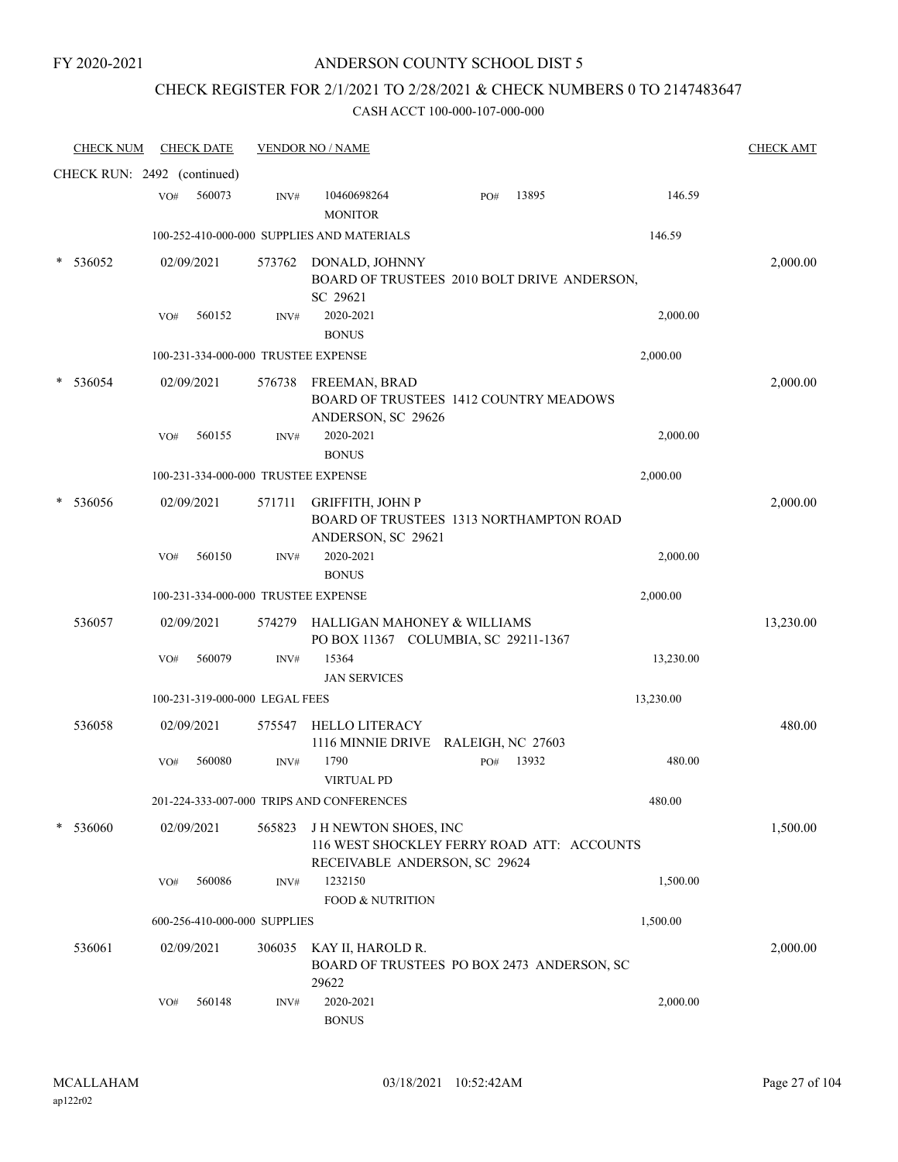### ANDERSON COUNTY SCHOOL DIST 5

# CHECK REGISTER FOR 2/1/2021 TO 2/28/2021 & CHECK NUMBERS 0 TO 2147483647

| <b>CHECK NUM</b>            |     | <b>CHECK DATE</b>              |        | <b>VENDOR NO / NAME</b>                                                                                    |     |       |           | <b>CHECK AMT</b> |
|-----------------------------|-----|--------------------------------|--------|------------------------------------------------------------------------------------------------------------|-----|-------|-----------|------------------|
| CHECK RUN: 2492 (continued) |     |                                |        |                                                                                                            |     |       |           |                  |
|                             | VO# | 560073                         | INV#   | 10460698264<br><b>MONITOR</b>                                                                              | PO# | 13895 | 146.59    |                  |
|                             |     |                                |        | 100-252-410-000-000 SUPPLIES AND MATERIALS                                                                 |     |       | 146.59    |                  |
| 536052                      |     | 02/09/2021                     | 573762 | DONALD, JOHNNY<br>BOARD OF TRUSTEES 2010 BOLT DRIVE ANDERSON,<br>SC 29621                                  |     |       |           | 2,000.00         |
|                             | VO# | 560152                         | INV#   | 2020-2021<br><b>BONUS</b>                                                                                  |     |       | 2,000.00  |                  |
|                             |     |                                |        | 100-231-334-000-000 TRUSTEE EXPENSE                                                                        |     |       | 2,000.00  |                  |
| 536054                      |     | 02/09/2021                     | 576738 | FREEMAN, BRAD<br><b>BOARD OF TRUSTEES 1412 COUNTRY MEADOWS</b><br>ANDERSON, SC 29626                       |     |       |           | 2,000.00         |
|                             | VO# | 560155                         | INV#   | 2020-2021<br><b>BONUS</b>                                                                                  |     |       | 2,000.00  |                  |
|                             |     |                                |        | 100-231-334-000-000 TRUSTEE EXPENSE                                                                        |     |       | 2,000.00  |                  |
| 536056                      |     | 02/09/2021                     | 571711 | <b>GRIFFITH, JOHN P</b><br>BOARD OF TRUSTEES 1313 NORTHAMPTON ROAD<br>ANDERSON, SC 29621                   |     |       |           | 2,000.00         |
|                             | VO# | 560150                         | INV#   | 2020-2021<br><b>BONUS</b>                                                                                  |     |       | 2,000.00  |                  |
|                             |     |                                |        | 100-231-334-000-000 TRUSTEE EXPENSE                                                                        |     |       | 2,000.00  |                  |
| 536057                      |     | 02/09/2021                     |        | 574279 HALLIGAN MAHONEY & WILLIAMS<br>PO BOX 11367 COLUMBIA, SC 29211-1367                                 |     |       |           | 13,230.00        |
|                             | VO# | 560079                         | INV#   | 15364                                                                                                      |     |       | 13,230.00 |                  |
|                             |     |                                |        | <b>JAN SERVICES</b>                                                                                        |     |       |           |                  |
|                             |     | 100-231-319-000-000 LEGAL FEES |        |                                                                                                            |     |       | 13,230.00 |                  |
| 536058                      |     | 02/09/2021                     | 575547 | <b>HELLO LITERACY</b><br>1116 MINNIE DRIVE RALEIGH, NC 27603                                               |     |       |           | 480.00           |
|                             | VO# | 560080                         | INV#   | 1790<br><b>VIRTUAL PD</b>                                                                                  | PO# | 13932 | 480.00    |                  |
|                             |     |                                |        | 201-224-333-007-000 TRIPS AND CONFERENCES                                                                  |     |       | 480.00    |                  |
| 536060                      |     | 02/09/2021                     | 565823 | <b>JH NEWTON SHOES, INC</b><br>116 WEST SHOCKLEY FERRY ROAD ATT: ACCOUNTS<br>RECEIVABLE ANDERSON, SC 29624 |     |       |           | 1,500.00         |
|                             | VO# | 560086                         | INV#   | 1232150                                                                                                    |     |       | 1,500.00  |                  |
|                             |     |                                |        | <b>FOOD &amp; NUTRITION</b>                                                                                |     |       |           |                  |
|                             |     | 600-256-410-000-000 SUPPLIES   |        |                                                                                                            |     |       | 1,500.00  |                  |
| 536061                      |     | 02/09/2021                     | 306035 | KAY II, HAROLD R.<br>BOARD OF TRUSTEES PO BOX 2473 ANDERSON, SC<br>29622                                   |     |       |           | 2,000.00         |
|                             | VO# | 560148                         | INV#   | 2020-2021<br><b>BONUS</b>                                                                                  |     |       | 2,000.00  |                  |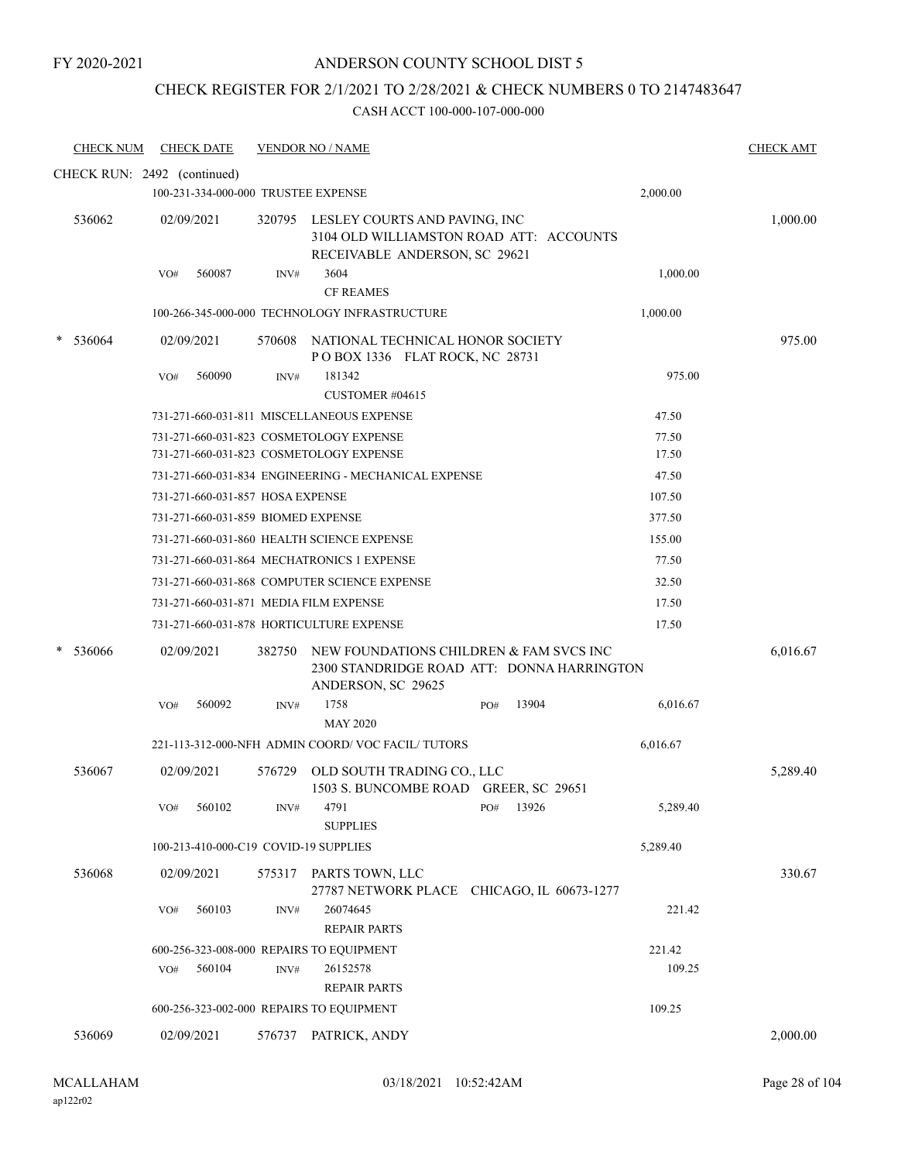# CHECK REGISTER FOR 2/1/2021 TO 2/28/2021 & CHECK NUMBERS 0 TO 2147483647

| <b>CHECK NUM</b>            |     | <b>CHECK DATE</b>                  |        | <b>VENDOR NO / NAME</b>                                                                                          |     |       |          | <b>CHECK AMT</b> |
|-----------------------------|-----|------------------------------------|--------|------------------------------------------------------------------------------------------------------------------|-----|-------|----------|------------------|
| CHECK RUN: 2492 (continued) |     |                                    |        |                                                                                                                  |     |       |          |                  |
|                             |     |                                    |        | 100-231-334-000-000 TRUSTEE EXPENSE                                                                              |     |       | 2,000.00 |                  |
| 536062                      |     | 02/09/2021                         |        | 320795 LESLEY COURTS AND PAVING, INC<br>3104 OLD WILLIAMSTON ROAD ATT: ACCOUNTS<br>RECEIVABLE ANDERSON, SC 29621 |     |       |          | 1,000.00         |
|                             | VO# | 560087                             | INV#   | 3604                                                                                                             |     |       | 1,000.00 |                  |
|                             |     |                                    |        | <b>CF REAMES</b>                                                                                                 |     |       |          |                  |
|                             |     |                                    |        | 100-266-345-000-000 TECHNOLOGY INFRASTRUCTURE                                                                    |     |       | 1,000.00 |                  |
| 536064                      |     | 02/09/2021                         |        | 570608 NATIONAL TECHNICAL HONOR SOCIETY<br>POBOX 1336 FLAT ROCK, NC 28731                                        |     |       |          | 975.00           |
|                             | VO# | 560090                             | INV#   | 181342<br>CUSTOMER #04615                                                                                        |     |       | 975.00   |                  |
|                             |     |                                    |        | 731-271-660-031-811 MISCELLANEOUS EXPENSE                                                                        |     |       | 47.50    |                  |
|                             |     |                                    |        | 731-271-660-031-823 COSMETOLOGY EXPENSE                                                                          |     |       | 77.50    |                  |
|                             |     |                                    |        | 731-271-660-031-823 COSMETOLOGY EXPENSE                                                                          |     |       | 17.50    |                  |
|                             |     |                                    |        | 731-271-660-031-834 ENGINEERING - MECHANICAL EXPENSE                                                             |     |       | 47.50    |                  |
|                             |     | 731-271-660-031-857 HOSA EXPENSE   |        |                                                                                                                  |     |       | 107.50   |                  |
|                             |     | 731-271-660-031-859 BIOMED EXPENSE |        |                                                                                                                  |     |       | 377.50   |                  |
|                             |     |                                    |        | 731-271-660-031-860 HEALTH SCIENCE EXPENSE                                                                       |     |       | 155.00   |                  |
|                             |     |                                    |        | 731-271-660-031-864 MECHATRONICS 1 EXPENSE                                                                       |     |       | 77.50    |                  |
|                             |     |                                    |        | 731-271-660-031-868 COMPUTER SCIENCE EXPENSE                                                                     |     |       | 32.50    |                  |
|                             |     |                                    |        | 731-271-660-031-871 MEDIA FILM EXPENSE                                                                           |     |       | 17.50    |                  |
|                             |     |                                    |        | 731-271-660-031-878 HORTICULTURE EXPENSE                                                                         |     |       | 17.50    |                  |
| 536066                      |     | 02/09/2021                         | 382750 | NEW FOUNDATIONS CHILDREN & FAM SVCS INC<br>2300 STANDRIDGE ROAD ATT: DONNA HARRINGTON<br>ANDERSON, SC 29625      |     |       |          | 6,016.67         |
|                             | VO# | 560092                             | INV#   | 1758<br><b>MAY 2020</b>                                                                                          | PO# | 13904 | 6,016.67 |                  |
|                             |     |                                    |        | 221-113-312-000-NFH ADMIN COORD/VOC FACIL/TUTORS                                                                 |     |       | 6,016.67 |                  |
| 536067                      |     | 02/09/2021                         | 576729 | OLD SOUTH TRADING CO., LLC<br>1503 S. BUNCOMBE ROAD GREER, SC 29651                                              |     |       |          | 5,289.40         |
|                             | VO# | 560102                             | INV#   | 4791<br><b>SUPPLIES</b>                                                                                          | PO# | 13926 | 5,289.40 |                  |
|                             |     |                                    |        | 100-213-410-000-C19 COVID-19 SUPPLIES                                                                            |     |       | 5,289.40 |                  |
| 536068                      |     | 02/09/2021                         | 575317 | PARTS TOWN, LLC                                                                                                  |     |       |          | 330.67           |
|                             | VO# | 560103                             | INV#   | 27787 NETWORK PLACE CHICAGO, IL 60673-1277<br>26074645<br><b>REPAIR PARTS</b>                                    |     |       | 221.42   |                  |
|                             |     |                                    |        | 600-256-323-008-000 REPAIRS TO EQUIPMENT                                                                         |     |       | 221.42   |                  |
|                             | VO# | 560104                             | INV#   | 26152578<br><b>REPAIR PARTS</b>                                                                                  |     |       | 109.25   |                  |
|                             |     |                                    |        | 600-256-323-002-000 REPAIRS TO EQUIPMENT                                                                         |     |       | 109.25   |                  |
| 536069                      |     | 02/09/2021                         |        | 576737 PATRICK, ANDY                                                                                             |     |       |          | 2,000.00         |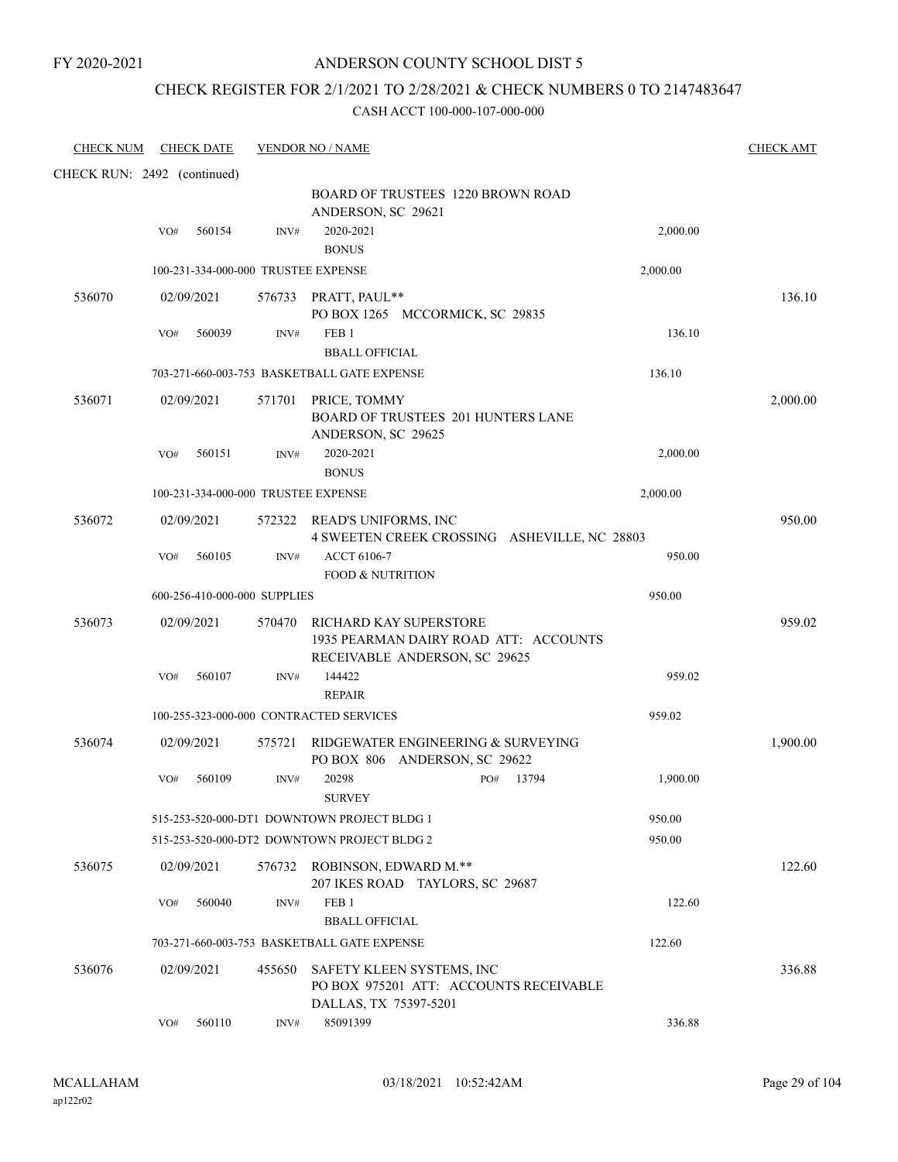### CHECK REGISTER FOR 2/1/2021 TO 2/28/2021 & CHECK NUMBERS 0 TO 2147483647

| <b>CHECK NUM</b>            |     | <b>CHECK DATE</b> |                              | <b>VENDOR NO / NAME</b>                                                                          | <b>CHECK AMT</b> |
|-----------------------------|-----|-------------------|------------------------------|--------------------------------------------------------------------------------------------------|------------------|
| CHECK RUN: 2492 (continued) |     |                   |                              |                                                                                                  |                  |
|                             |     |                   |                              | <b>BOARD OF TRUSTEES 1220 BROWN ROAD</b><br>ANDERSON, SC 29621                                   |                  |
|                             | VO# | 560154            | INV#                         | 2020-2021                                                                                        | 2,000.00         |
|                             |     |                   |                              | <b>BONUS</b>                                                                                     |                  |
|                             |     |                   |                              | 2,000.00<br>100-231-334-000-000 TRUSTEE EXPENSE                                                  |                  |
| 536070                      |     | 02/09/2021        |                              | 576733 PRATT, PAUL**<br>PO BOX 1265 MCCORMICK, SC 29835                                          | 136.10           |
|                             | VO# | 560039            | INV#                         | FEB <sub>1</sub><br><b>BBALL OFFICIAL</b>                                                        | 136.10           |
|                             |     |                   |                              | 136.10<br>703-271-660-003-753 BASKETBALL GATE EXPENSE                                            |                  |
| 536071                      |     | 02/09/2021        |                              | 571701 PRICE, TOMMY<br><b>BOARD OF TRUSTEES 201 HUNTERS LANE</b><br>ANDERSON, SC 29625           | 2,000.00         |
|                             | VO# | 560151            | INV#                         | 2020-2021<br><b>BONUS</b>                                                                        | 2,000.00         |
|                             |     |                   |                              | 100-231-334-000-000 TRUSTEE EXPENSE<br>2,000.00                                                  |                  |
| 536072                      |     | 02/09/2021        |                              | 572322 READ'S UNIFORMS, INC<br>4 SWEETEN CREEK CROSSING ASHEVILLE, NC 28803                      | 950.00           |
|                             | VO# | 560105            | INV#                         | ACCT 6106-7<br><b>FOOD &amp; NUTRITION</b>                                                       | 950.00           |
|                             |     |                   | 600-256-410-000-000 SUPPLIES | 950.00                                                                                           |                  |
| 536073                      |     | 02/09/2021        | 570470                       | RICHARD KAY SUPERSTORE<br>1935 PEARMAN DAIRY ROAD ATT: ACCOUNTS<br>RECEIVABLE ANDERSON, SC 29625 | 959.02           |
|                             | VO# | 560107            | INV#                         | 144422<br><b>REPAIR</b>                                                                          | 959.02           |
|                             |     |                   |                              | 100-255-323-000-000 CONTRACTED SERVICES<br>959.02                                                |                  |
| 536074                      |     | 02/09/2021        | 575721                       | RIDGEWATER ENGINEERING & SURVEYING<br>PO BOX 806 ANDERSON, SC 29622                              | 1,900.00         |
|                             | VO# | 560109            | INV#                         | 20298<br>13794<br>PO#<br><b>SURVEY</b>                                                           | 1,900.00         |
|                             |     |                   |                              | 950.00<br>515-253-520-000-DT1 DOWNTOWN PROJECT BLDG 1                                            |                  |
|                             |     |                   |                              | 515-253-520-000-DT2 DOWNTOWN PROJECT BLDG 2<br>950.00                                            |                  |
| 536075                      |     | 02/09/2021        |                              | 576732 ROBINSON, EDWARD M.**<br>207 IKES ROAD TAYLORS, SC 29687                                  | 122.60           |
|                             | VO# | 560040            | INV#                         | FEB <sub>1</sub><br><b>BBALL OFFICIAL</b>                                                        | 122.60           |
|                             |     |                   |                              | 703-271-660-003-753 BASKETBALL GATE EXPENSE<br>122.60                                            |                  |
| 536076                      |     | 02/09/2021        | 455650                       | SAFETY KLEEN SYSTEMS, INC<br>PO BOX 975201 ATT: ACCOUNTS RECEIVABLE<br>DALLAS, TX 75397-5201     | 336.88           |
|                             | VO# | 560110            | INV#                         | 85091399                                                                                         | 336.88           |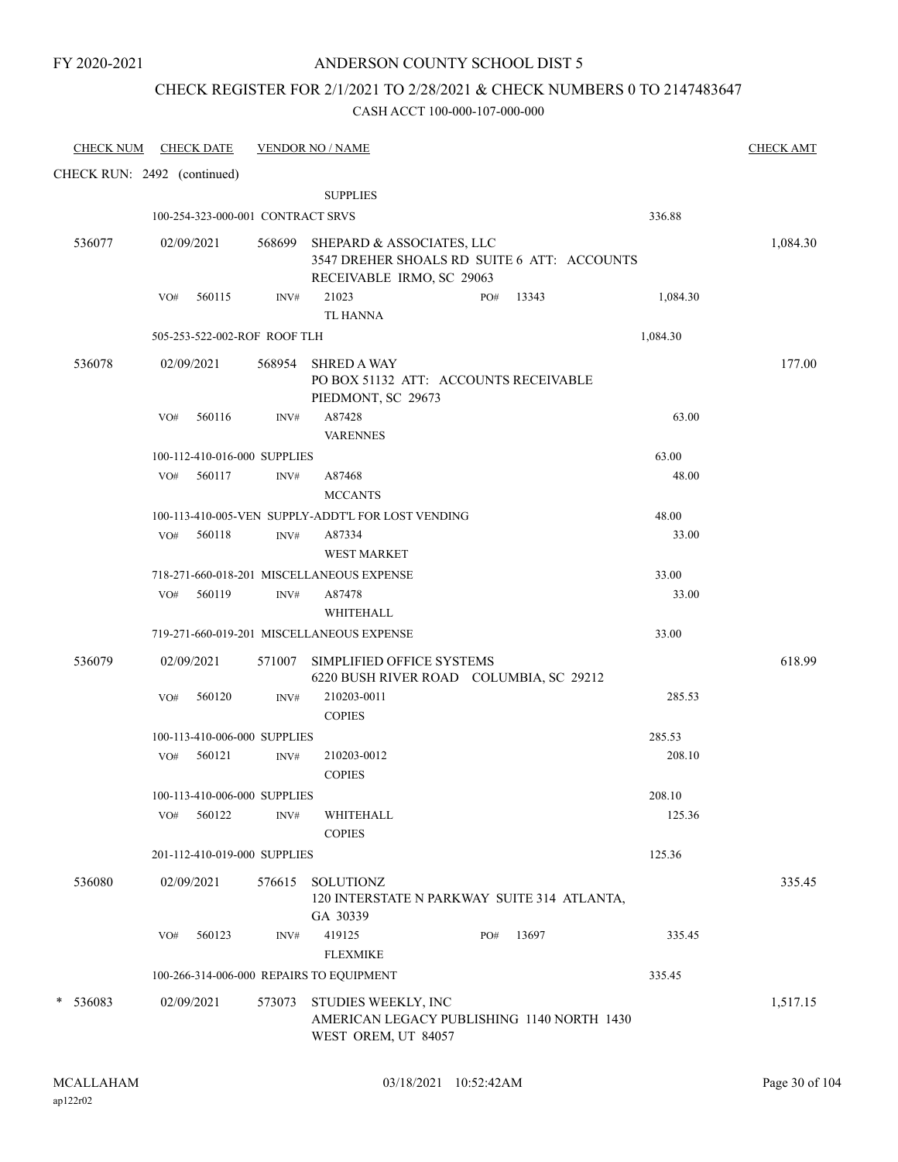### ANDERSON COUNTY SCHOOL DIST 5

### CHECK REGISTER FOR 2/1/2021 TO 2/28/2021 & CHECK NUMBERS 0 TO 2147483647

| <b>CHECK NUM</b>            |     | <b>CHECK DATE</b> |                                      | <b>VENDOR NO / NAME</b>                                                                                      |     |       |                  | <b>CHECK AMT</b> |
|-----------------------------|-----|-------------------|--------------------------------------|--------------------------------------------------------------------------------------------------------------|-----|-------|------------------|------------------|
| CHECK RUN: 2492 (continued) |     |                   |                                      |                                                                                                              |     |       |                  |                  |
|                             |     |                   |                                      | <b>SUPPLIES</b>                                                                                              |     |       |                  |                  |
|                             |     |                   | 100-254-323-000-001 CONTRACT SRVS    |                                                                                                              |     |       | 336.88           |                  |
| 536077                      |     | 02/09/2021        |                                      | 568699 SHEPARD & ASSOCIATES, LLC<br>3547 DREHER SHOALS RD SUITE 6 ATT: ACCOUNTS<br>RECEIVABLE IRMO, SC 29063 |     |       |                  | 1,084.30         |
|                             | VO# | 560115            | INV#                                 | 21023<br><b>TL HANNA</b>                                                                                     | PO# | 13343 | 1,084.30         |                  |
|                             |     |                   | 505-253-522-002-ROF ROOF TLH         |                                                                                                              |     |       | 1,084.30         |                  |
|                             |     |                   |                                      |                                                                                                              |     |       |                  |                  |
| 536078                      |     | 02/09/2021        | 568954                               | <b>SHRED A WAY</b><br>PO BOX 51132 ATT: ACCOUNTS RECEIVABLE<br>PIEDMONT, SC 29673                            |     |       |                  | 177.00           |
|                             | VO# | 560116            | INV#                                 | A87428<br><b>VARENNES</b>                                                                                    |     |       | 63.00            |                  |
|                             |     |                   | 100-112-410-016-000 SUPPLIES         |                                                                                                              |     |       | 63.00            |                  |
|                             | VO# | 560117            | INV#                                 | A87468<br><b>MCCANTS</b>                                                                                     |     |       | 48.00            |                  |
|                             |     |                   |                                      | 100-113-410-005-VEN SUPPLY-ADDT'L FOR LOST VENDING                                                           |     |       | 48.00            |                  |
|                             |     | VO# 560118        | INV#                                 | A87334<br><b>WEST MARKET</b>                                                                                 |     |       | 33.00            |                  |
|                             |     |                   |                                      | 718-271-660-018-201 MISCELLANEOUS EXPENSE                                                                    |     |       | 33.00            |                  |
|                             | VO# | 560119            | $\text{INV}\#$                       | A87478<br>WHITEHALL                                                                                          |     |       | 33.00            |                  |
|                             |     |                   |                                      | 719-271-660-019-201 MISCELLANEOUS EXPENSE                                                                    |     |       | 33.00            |                  |
| 536079                      |     | 02/09/2021        | 571007                               | SIMPLIFIED OFFICE SYSTEMS<br>6220 BUSH RIVER ROAD COLUMBIA, SC 29212                                         |     |       |                  | 618.99           |
|                             | VO# | 560120            | INV#                                 | 210203-0011                                                                                                  |     |       | 285.53           |                  |
|                             |     |                   |                                      | <b>COPIES</b>                                                                                                |     |       |                  |                  |
|                             | VO# | 560121            | 100-113-410-006-000 SUPPLIES<br>INV# | 210203-0012                                                                                                  |     |       | 285.53<br>208.10 |                  |
|                             |     |                   |                                      | <b>COPIES</b>                                                                                                |     |       |                  |                  |
|                             |     |                   | 100-113-410-006-000 SUPPLIES         |                                                                                                              |     |       | 208.10           |                  |
|                             |     | VO# 560122        | INV#                                 | WHITEHALL                                                                                                    |     |       | 125.36           |                  |
|                             |     |                   | 201-112-410-019-000 SUPPLIES         | <b>COPIES</b>                                                                                                |     |       | 125.36           |                  |
|                             |     |                   |                                      |                                                                                                              |     |       |                  |                  |
| 536080                      |     | 02/09/2021        | 576615                               | SOLUTIONZ<br>120 INTERSTATE N PARKWAY SUITE 314 ATLANTA,<br>GA 30339                                         |     |       |                  | 335.45           |
|                             | VO# | 560123            | INV#                                 | 419125<br><b>FLEXMIKE</b>                                                                                    | PO# | 13697 | 335.45           |                  |
|                             |     |                   |                                      | 100-266-314-006-000 REPAIRS TO EQUIPMENT                                                                     |     |       | 335.45           |                  |
| * 536083                    |     | 02/09/2021        | 573073                               | STUDIES WEEKLY, INC<br>AMERICAN LEGACY PUBLISHING 1140 NORTH 1430<br>WEST OREM, UT 84057                     |     |       |                  | 1,517.15         |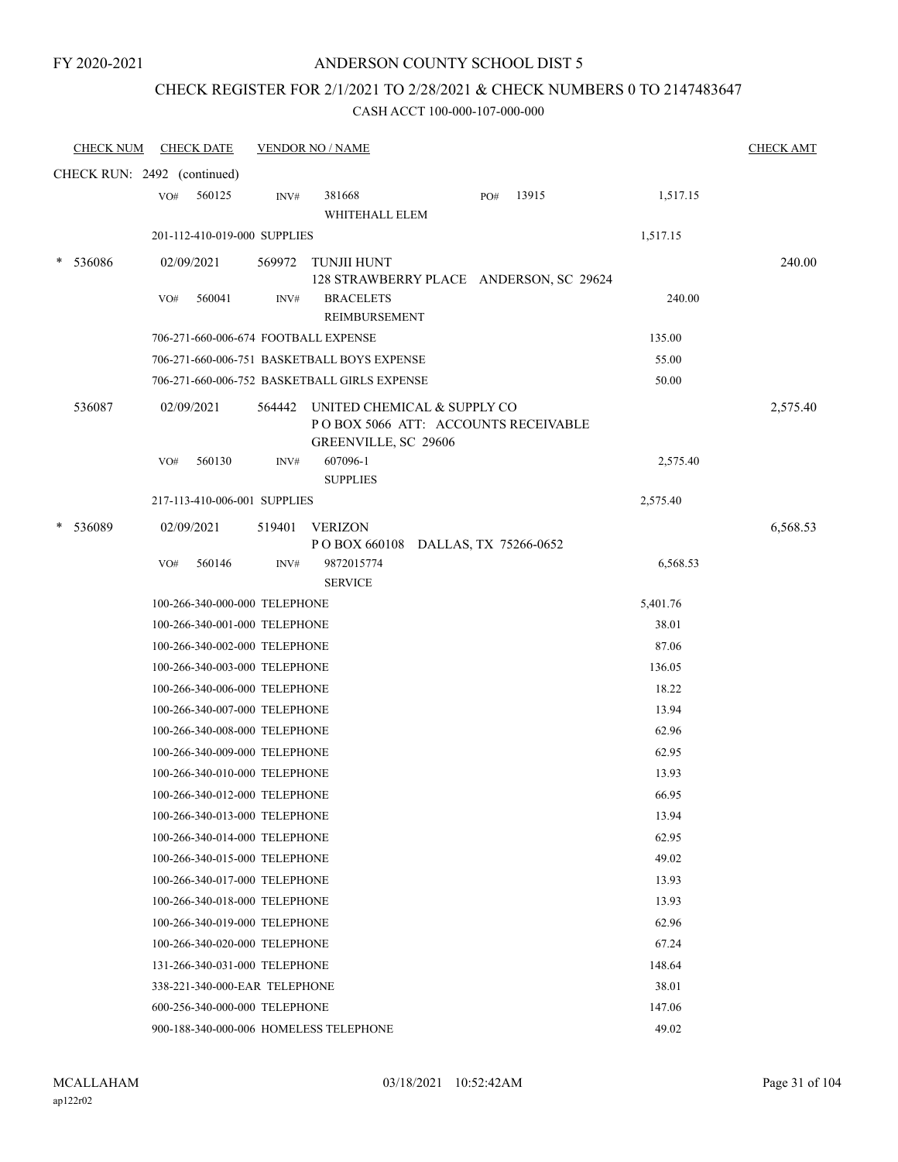### ANDERSON COUNTY SCHOOL DIST 5

# CHECK REGISTER FOR 2/1/2021 TO 2/28/2021 & CHECK NUMBERS 0 TO 2147483647

| <b>CHECK NUM</b>            |     | <b>CHECK DATE</b>                                              |        | <b>VENDOR NO / NAME</b>                                             |     |       |                 | <b>CHECK AMT</b> |
|-----------------------------|-----|----------------------------------------------------------------|--------|---------------------------------------------------------------------|-----|-------|-----------------|------------------|
| CHECK RUN: 2492 (continued) |     |                                                                |        |                                                                     |     |       |                 |                  |
|                             | VO# | 560125                                                         | INV#   | 381668                                                              | PO# | 13915 | 1,517.15        |                  |
|                             |     |                                                                |        | WHITEHALL ELEM                                                      |     |       |                 |                  |
|                             |     | 201-112-410-019-000 SUPPLIES                                   |        |                                                                     |     |       | 1,517.15        |                  |
| 536086<br>*                 |     | 02/09/2021                                                     | 569972 | TUNJII HUNT                                                         |     |       |                 | 240.00           |
|                             |     |                                                                |        | 128 STRAWBERRY PLACE ANDERSON, SC 29624                             |     |       |                 |                  |
|                             | VO# | 560041                                                         | INV#   | <b>BRACELETS</b><br><b>REIMBURSEMENT</b>                            |     |       | 240.00          |                  |
|                             |     |                                                                |        | 706-271-660-006-674 FOOTBALL EXPENSE                                |     |       | 135.00          |                  |
|                             |     |                                                                |        | 706-271-660-006-751 BASKETBALL BOYS EXPENSE                         |     |       | 55.00           |                  |
|                             |     |                                                                |        | 706-271-660-006-752 BASKETBALL GIRLS EXPENSE                        |     |       | 50.00           |                  |
| 536087                      |     | 02/09/2021                                                     | 564442 | UNITED CHEMICAL & SUPPLY CO<br>PO BOX 5066 ATT: ACCOUNTS RECEIVABLE |     |       |                 | 2,575.40         |
|                             | VO# | 560130                                                         | INV#   | GREENVILLE, SC 29606<br>607096-1                                    |     |       |                 |                  |
|                             |     |                                                                |        | <b>SUPPLIES</b>                                                     |     |       | 2,575.40        |                  |
|                             |     | 217-113-410-006-001 SUPPLIES                                   |        |                                                                     |     |       | 2,575.40        |                  |
| 536089<br>*                 |     | 02/09/2021                                                     | 519401 | <b>VERIZON</b>                                                      |     |       |                 | 6,568.53         |
|                             |     |                                                                |        | POBOX 660108 DALLAS, TX 75266-0652                                  |     |       |                 |                  |
|                             | VO# | 560146                                                         | INV#   | 9872015774                                                          |     |       | 6,568.53        |                  |
|                             |     |                                                                |        | <b>SERVICE</b>                                                      |     |       |                 |                  |
|                             |     | 100-266-340-000-000 TELEPHONE                                  |        |                                                                     |     |       | 5,401.76        |                  |
|                             |     | 100-266-340-001-000 TELEPHONE                                  |        |                                                                     |     |       | 38.01           |                  |
|                             |     | 100-266-340-002-000 TELEPHONE                                  |        |                                                                     |     |       | 87.06           |                  |
|                             |     | 100-266-340-003-000 TELEPHONE                                  |        |                                                                     |     |       | 136.05          |                  |
|                             |     | 100-266-340-006-000 TELEPHONE                                  |        |                                                                     |     |       | 18.22           |                  |
|                             |     | 100-266-340-007-000 TELEPHONE                                  |        |                                                                     |     |       | 13.94           |                  |
|                             |     | 100-266-340-008-000 TELEPHONE                                  |        |                                                                     |     |       | 62.96           |                  |
|                             |     | 100-266-340-009-000 TELEPHONE                                  |        |                                                                     |     |       | 62.95           |                  |
|                             |     | 100-266-340-010-000 TELEPHONE                                  |        |                                                                     |     |       | 13.93           |                  |
|                             |     | 100-266-340-012-000 TELEPHONE                                  |        |                                                                     |     |       | 66.95           |                  |
|                             |     | 100-266-340-013-000 TELEPHONE                                  |        |                                                                     |     |       | 13.94           |                  |
|                             |     | 100-266-340-014-000 TELEPHONE                                  |        |                                                                     |     |       | 62.95           |                  |
|                             |     | 100-266-340-015-000 TELEPHONE                                  |        |                                                                     |     |       | 49.02           |                  |
|                             |     | 100-266-340-017-000 TELEPHONE                                  |        |                                                                     |     |       | 13.93           |                  |
|                             |     | 100-266-340-018-000 TELEPHONE                                  |        |                                                                     |     |       | 13.93           |                  |
|                             |     | 100-266-340-019-000 TELEPHONE                                  |        |                                                                     |     |       | 62.96           |                  |
|                             |     | 100-266-340-020-000 TELEPHONE                                  |        |                                                                     |     |       | 67.24<br>148.64 |                  |
|                             |     | 131-266-340-031-000 TELEPHONE<br>338-221-340-000-EAR TELEPHONE |        |                                                                     |     |       | 38.01           |                  |
|                             |     | 600-256-340-000-000 TELEPHONE                                  |        |                                                                     |     |       | 147.06          |                  |
|                             |     |                                                                |        | 900-188-340-000-006 HOMELESS TELEPHONE                              |     |       | 49.02           |                  |
|                             |     |                                                                |        |                                                                     |     |       |                 |                  |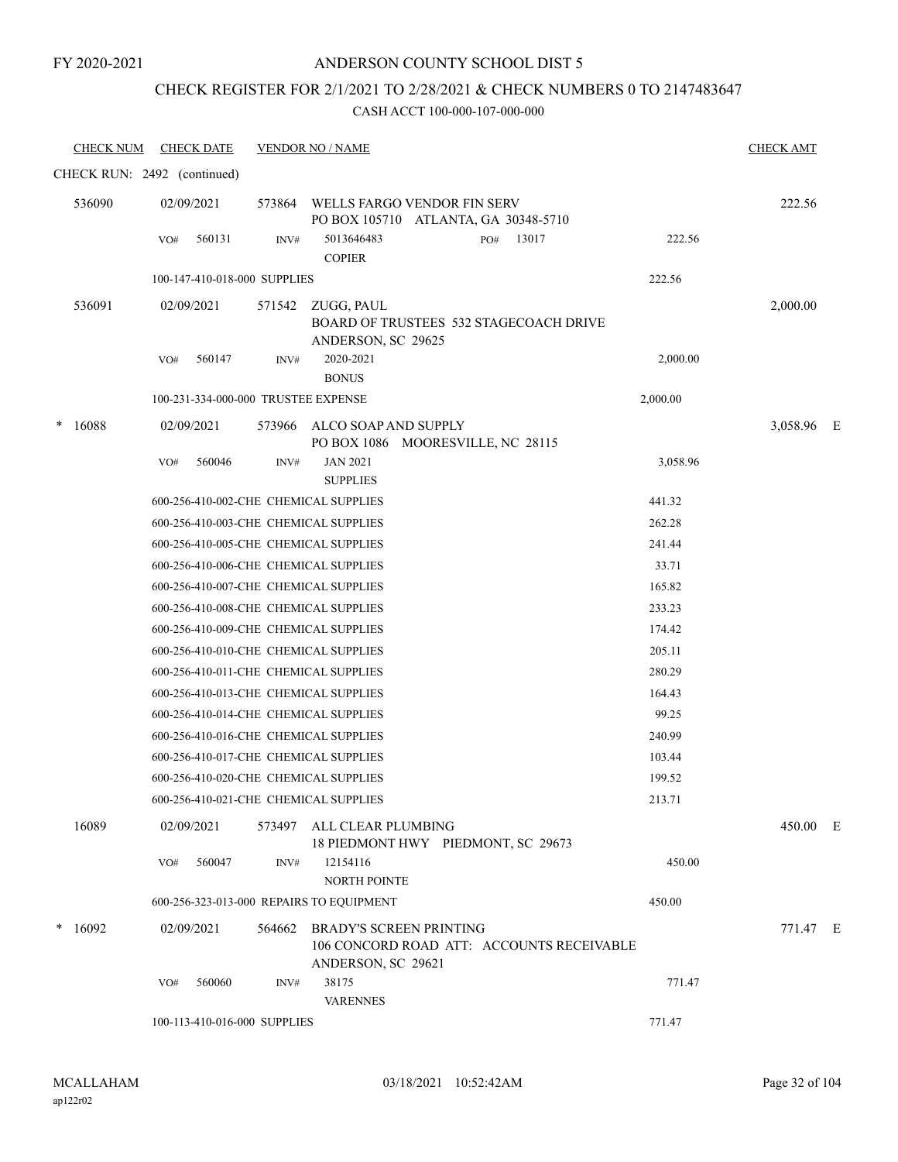# CHECK REGISTER FOR 2/1/2021 TO 2/28/2021 & CHECK NUMBERS 0 TO 2147483647

| <b>CHECK NUM</b> | <b>CHECK DATE</b>                        |        | <b>VENDOR NO / NAME</b>                                                                           |          | <b>CHECK AMT</b> |  |
|------------------|------------------------------------------|--------|---------------------------------------------------------------------------------------------------|----------|------------------|--|
|                  | CHECK RUN: 2492 (continued)              |        |                                                                                                   |          |                  |  |
| 536090           | 02/09/2021                               | 573864 | WELLS FARGO VENDOR FIN SERV<br>PO BOX 105710 ATLANTA, GA 30348-5710                               |          | 222.56           |  |
|                  | 560131<br>VO#                            | INV#   | 5013646483<br>13017<br>PO#<br><b>COPIER</b>                                                       | 222.56   |                  |  |
|                  | 100-147-410-018-000 SUPPLIES             |        |                                                                                                   | 222.56   |                  |  |
| 536091           | 02/09/2021                               | 571542 | ZUGG, PAUL<br>BOARD OF TRUSTEES 532 STAGECOACH DRIVE<br>ANDERSON, SC 29625                        |          | 2,000.00         |  |
|                  | 560147<br>VO#                            | INV#   | 2020-2021<br><b>BONUS</b>                                                                         | 2,000.00 |                  |  |
|                  | 100-231-334-000-000 TRUSTEE EXPENSE      |        |                                                                                                   | 2,000.00 |                  |  |
| 16088            | 02/09/2021                               |        | 573966 ALCO SOAP AND SUPPLY<br>PO BOX 1086 MOORESVILLE, NC 28115                                  |          | 3,058.96 E       |  |
|                  | 560046<br>VO#                            | INV#   | <b>JAN 2021</b><br><b>SUPPLIES</b>                                                                | 3,058.96 |                  |  |
|                  | 600-256-410-002-CHE CHEMICAL SUPPLIES    |        |                                                                                                   | 441.32   |                  |  |
|                  | 600-256-410-003-CHE CHEMICAL SUPPLIES    |        |                                                                                                   | 262.28   |                  |  |
|                  | 600-256-410-005-CHE CHEMICAL SUPPLIES    |        |                                                                                                   | 241.44   |                  |  |
|                  | 600-256-410-006-CHE CHEMICAL SUPPLIES    |        |                                                                                                   | 33.71    |                  |  |
|                  | 600-256-410-007-CHE CHEMICAL SUPPLIES    |        |                                                                                                   | 165.82   |                  |  |
|                  | 600-256-410-008-CHE CHEMICAL SUPPLIES    |        |                                                                                                   | 233.23   |                  |  |
|                  | 600-256-410-009-CHE CHEMICAL SUPPLIES    |        |                                                                                                   | 174.42   |                  |  |
|                  | 600-256-410-010-CHE CHEMICAL SUPPLIES    |        |                                                                                                   | 205.11   |                  |  |
|                  | 600-256-410-011-CHE CHEMICAL SUPPLIES    |        |                                                                                                   | 280.29   |                  |  |
|                  | 600-256-410-013-CHE CHEMICAL SUPPLIES    |        |                                                                                                   | 164.43   |                  |  |
|                  | 600-256-410-014-CHE CHEMICAL SUPPLIES    |        |                                                                                                   | 99.25    |                  |  |
|                  | 600-256-410-016-CHE CHEMICAL SUPPLIES    |        |                                                                                                   | 240.99   |                  |  |
|                  | 600-256-410-017-CHE CHEMICAL SUPPLIES    |        |                                                                                                   | 103.44   |                  |  |
|                  | 600-256-410-020-CHE CHEMICAL SUPPLIES    |        |                                                                                                   | 199.52   |                  |  |
|                  | 600-256-410-021-CHE CHEMICAL SUPPLIES    |        |                                                                                                   | 213.71   |                  |  |
| 16089            | 02/09/2021                               |        | 573497 ALL CLEAR PLUMBING<br>18 PIEDMONT HWY PIEDMONT, SC 29673                                   |          | 450.00 E         |  |
|                  | 560047<br>VO#                            | INV#   | 12154116<br>NORTH POINTE                                                                          | 450.00   |                  |  |
|                  | 600-256-323-013-000 REPAIRS TO EQUIPMENT |        |                                                                                                   | 450.00   |                  |  |
| 16092            | 02/09/2021                               | 564662 | <b>BRADY'S SCREEN PRINTING</b><br>106 CONCORD ROAD ATT: ACCOUNTS RECEIVABLE<br>ANDERSON, SC 29621 |          | 771.47 E         |  |
|                  | VO#<br>560060                            | INV#   | 38175<br><b>VARENNES</b>                                                                          | 771.47   |                  |  |
|                  | 100-113-410-016-000 SUPPLIES             |        |                                                                                                   | 771.47   |                  |  |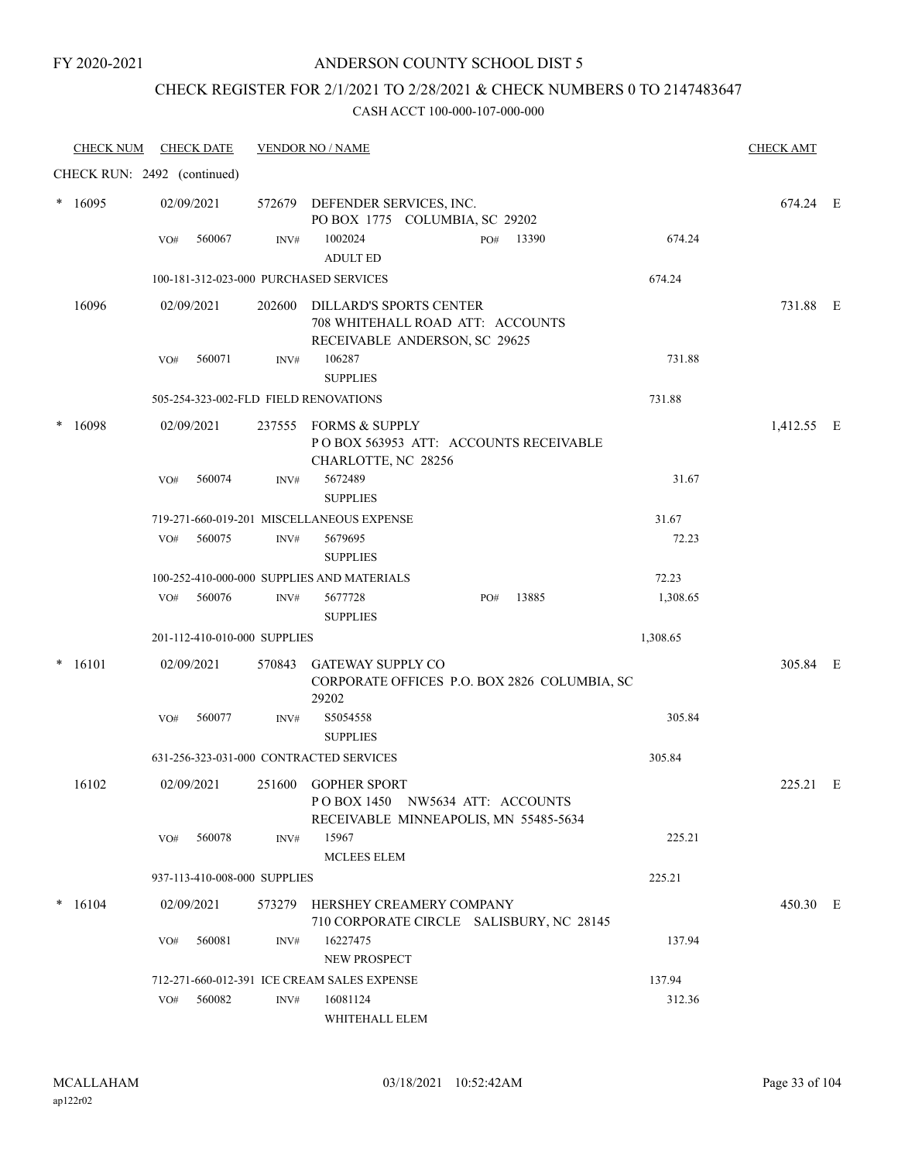### ANDERSON COUNTY SCHOOL DIST 5

# CHECK REGISTER FOR 2/1/2021 TO 2/28/2021 & CHECK NUMBERS 0 TO 2147483647

| <b>CHECK NUM</b> | <b>CHECK DATE</b>                       |        | <b>VENDOR NO / NAME</b>                                                                             |          | <b>CHECK AMT</b> |  |
|------------------|-----------------------------------------|--------|-----------------------------------------------------------------------------------------------------|----------|------------------|--|
|                  | CHECK RUN: 2492 (continued)             |        |                                                                                                     |          |                  |  |
| $*16095$         | 02/09/2021                              |        | 572679 DEFENDER SERVICES, INC.<br>PO BOX 1775 COLUMBIA, SC 29202                                    |          | 674.24 E         |  |
|                  | VO#<br>560067                           | INV#   | 1002024<br>13390<br>PO#<br><b>ADULT ED</b>                                                          | 674.24   |                  |  |
|                  | 100-181-312-023-000 PURCHASED SERVICES  |        |                                                                                                     | 674.24   |                  |  |
| 16096            | 02/09/2021                              |        | 202600 DILLARD'S SPORTS CENTER<br>708 WHITEHALL ROAD ATT: ACCOUNTS<br>RECEIVABLE ANDERSON, SC 29625 |          | 731.88 E         |  |
|                  | 560071<br>VO#                           | INV#   | 106287                                                                                              | 731.88   |                  |  |
|                  |                                         |        | <b>SUPPLIES</b>                                                                                     |          |                  |  |
|                  | 505-254-323-002-FLD FIELD RENOVATIONS   |        |                                                                                                     | 731.88   |                  |  |
| 16098            | 02/09/2021                              |        | 237555 FORMS & SUPPLY<br>POBOX 563953 ATT: ACCOUNTS RECEIVABLE<br>CHARLOTTE, NC 28256               |          | 1,412.55 E       |  |
|                  | 560074<br>VO#                           | INV#   | 5672489<br><b>SUPPLIES</b>                                                                          | 31.67    |                  |  |
|                  |                                         |        | 719-271-660-019-201 MISCELLANEOUS EXPENSE                                                           | 31.67    |                  |  |
|                  | 560075<br>VO#                           | INV#   | 5679695                                                                                             | 72.23    |                  |  |
|                  |                                         |        | <b>SUPPLIES</b>                                                                                     |          |                  |  |
|                  |                                         |        | 100-252-410-000-000 SUPPLIES AND MATERIALS                                                          | 72.23    |                  |  |
|                  | 560076<br>VO#                           | INV#   | 5677728<br>13885<br>PO#<br><b>SUPPLIES</b>                                                          | 1,308.65 |                  |  |
|                  | 201-112-410-010-000 SUPPLIES            |        |                                                                                                     | 1,308.65 |                  |  |
| 16101            | 02/09/2021                              | 570843 | <b>GATEWAY SUPPLY CO</b><br>CORPORATE OFFICES P.O. BOX 2826 COLUMBIA, SC<br>29202                   |          | 305.84 E         |  |
|                  | 560077<br>VO#                           | INV#   | S5054558<br><b>SUPPLIES</b>                                                                         | 305.84   |                  |  |
|                  | 631-256-323-031-000 CONTRACTED SERVICES |        |                                                                                                     | 305.84   |                  |  |
| 16102            | 02/09/2021                              |        | 251600 GOPHER SPORT<br>POBOX 1450 NW5634 ATT: ACCOUNTS<br>RECEIVABLE MINNEAPOLIS, MN 55485-5634     |          | 225.21 E         |  |
|                  | 560078<br>VO#                           | INV#   | 15967<br><b>MCLEES ELEM</b>                                                                         | 225.21   |                  |  |
|                  | 937-113-410-008-000 SUPPLIES            |        |                                                                                                     | 225.21   |                  |  |
| $* 16104$        | 02/09/2021                              | 573279 | HERSHEY CREAMERY COMPANY<br>710 CORPORATE CIRCLE SALISBURY, NC 28145                                |          | 450.30 E         |  |
|                  | 560081<br>VO#                           | INV#   | 16227475<br><b>NEW PROSPECT</b>                                                                     | 137.94   |                  |  |
|                  |                                         |        | 712-271-660-012-391 ICE CREAM SALES EXPENSE                                                         | 137.94   |                  |  |
|                  | 560082<br>VO#                           | INV#   | 16081124                                                                                            | 312.36   |                  |  |
|                  |                                         |        | WHITEHALL ELEM                                                                                      |          |                  |  |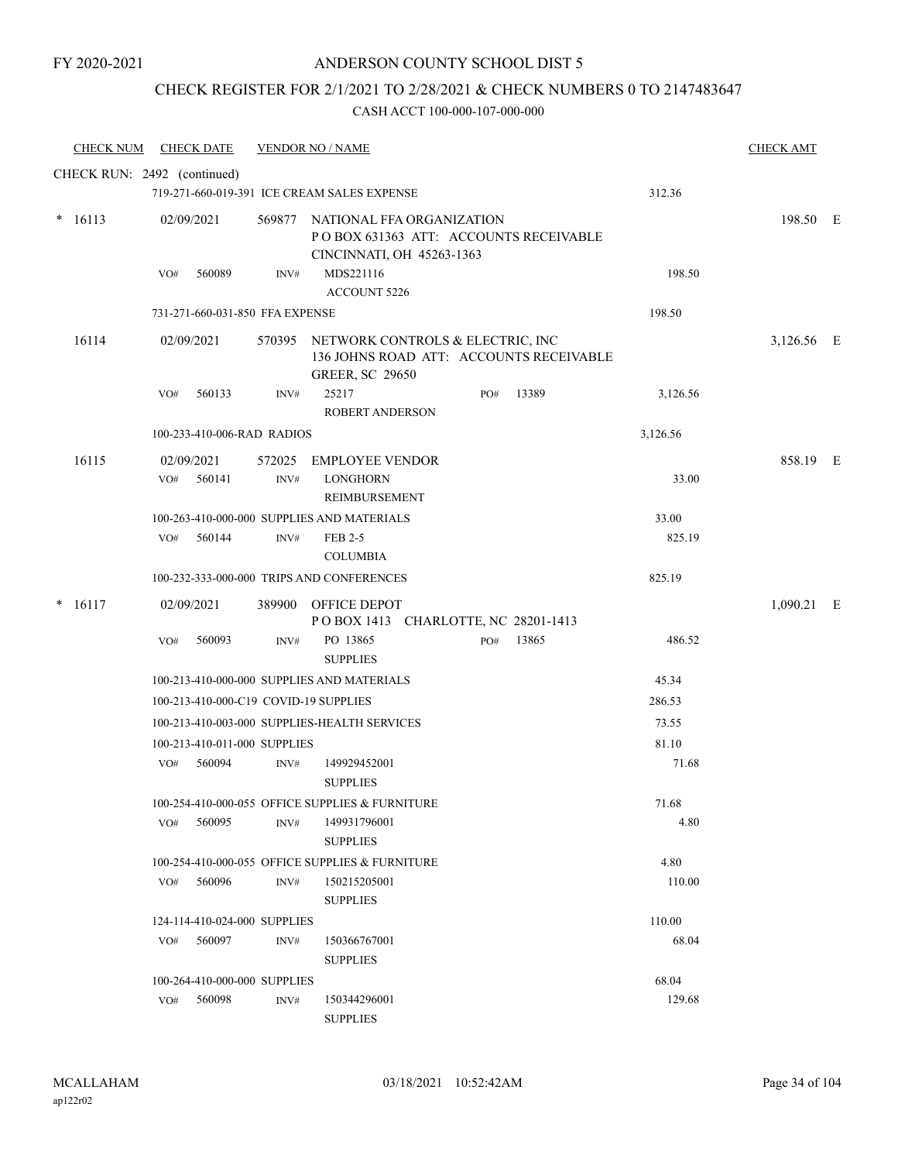# CHECK REGISTER FOR 2/1/2021 TO 2/28/2021 & CHECK NUMBERS 0 TO 2147483647

| <b>CHECK NUM</b> | <b>CHECK DATE</b>                         |                  | <b>VENDOR NO / NAME</b>                                                                                |     |       |          | <b>CHECK AMT</b> |  |
|------------------|-------------------------------------------|------------------|--------------------------------------------------------------------------------------------------------|-----|-------|----------|------------------|--|
|                  | CHECK RUN: 2492 (continued)               |                  |                                                                                                        |     |       |          |                  |  |
|                  |                                           |                  | 719-271-660-019-391 ICE CREAM SALES EXPENSE                                                            |     |       | 312.36   |                  |  |
| $*16113$         | 02/09/2021                                |                  | 569877 NATIONAL FFA ORGANIZATION<br>POBOX 631363 ATT: ACCOUNTS RECEIVABLE<br>CINCINNATI, OH 45263-1363 |     |       |          | 198.50 E         |  |
|                  | 560089<br>VO#                             | INV#             | MDS221116                                                                                              |     |       | 198.50   |                  |  |
|                  |                                           |                  | <b>ACCOUNT 5226</b>                                                                                    |     |       |          |                  |  |
|                  | 731-271-660-031-850 FFA EXPENSE           |                  |                                                                                                        |     |       | 198.50   |                  |  |
| 16114            | 02/09/2021                                | 570395           | NETWORK CONTROLS & ELECTRIC, INC<br>136 JOHNS ROAD ATT: ACCOUNTS RECEIVABLE<br><b>GREER, SC 29650</b>  |     |       |          | 3,126.56 E       |  |
|                  | 560133<br>VO#                             | INV#             | 25217<br>ROBERT ANDERSON                                                                               | PO# | 13389 | 3,126.56 |                  |  |
|                  | 100-233-410-006-RAD RADIOS                |                  |                                                                                                        |     |       | 3,126.56 |                  |  |
| 16115            | 02/09/2021                                | 572025           | <b>EMPLOYEE VENDOR</b>                                                                                 |     |       |          | 858.19 E         |  |
|                  | 560141<br>VO#                             | $\mathrm{INV}\#$ | <b>LONGHORN</b><br>REIMBURSEMENT                                                                       |     |       | 33.00    |                  |  |
|                  |                                           |                  | 100-263-410-000-000 SUPPLIES AND MATERIALS                                                             |     |       | 33.00    |                  |  |
|                  | 560144<br>VO#                             | INV#             | FEB 2-5<br><b>COLUMBIA</b>                                                                             |     |       | 825.19   |                  |  |
|                  | 100-232-333-000-000 TRIPS AND CONFERENCES |                  |                                                                                                        |     |       | 825.19   |                  |  |
| $\ast$<br>16117  | 02/09/2021                                |                  | 389900 OFFICE DEPOT<br>POBOX 1413 CHARLOTTE, NC 28201-1413                                             |     |       |          | $1,090.21$ E     |  |
|                  | 560093<br>VO#                             | INV#             | PO 13865<br><b>SUPPLIES</b>                                                                            | PO# | 13865 | 486.52   |                  |  |
|                  |                                           |                  | 100-213-410-000-000 SUPPLIES AND MATERIALS                                                             |     |       | 45.34    |                  |  |
|                  | 100-213-410-000-C19 COVID-19 SUPPLIES     |                  |                                                                                                        |     |       | 286.53   |                  |  |
|                  |                                           |                  | 100-213-410-003-000 SUPPLIES-HEALTH SERVICES                                                           |     |       | 73.55    |                  |  |
|                  | 100-213-410-011-000 SUPPLIES              |                  |                                                                                                        |     |       | 81.10    |                  |  |
|                  | 560094<br>VO#                             | INV#             | 149929452001<br><b>SUPPLIES</b>                                                                        |     |       | 71.68    |                  |  |
|                  |                                           |                  | 100-254-410-000-055 OFFICE SUPPLIES & FURNITURE                                                        |     |       | 71.68    |                  |  |
|                  | 560095<br>VO#                             | INV#             | 149931796001<br><b>SUPPLIES</b>                                                                        |     |       | 4.80     |                  |  |
|                  |                                           |                  | 100-254-410-000-055 OFFICE SUPPLIES & FURNITURE                                                        |     |       | 4.80     |                  |  |
|                  | 560096<br>VO#                             | INV#             | 150215205001<br><b>SUPPLIES</b>                                                                        |     |       | 110.00   |                  |  |
|                  | 124-114-410-024-000 SUPPLIES              |                  |                                                                                                        |     |       | 110.00   |                  |  |
|                  | 560097<br>VO#                             | INV#             | 150366767001<br><b>SUPPLIES</b>                                                                        |     |       | 68.04    |                  |  |
|                  | 100-264-410-000-000 SUPPLIES              |                  |                                                                                                        |     |       | 68.04    |                  |  |
|                  | 560098<br>VO#                             | INV#             | 150344296001<br><b>SUPPLIES</b>                                                                        |     |       | 129.68   |                  |  |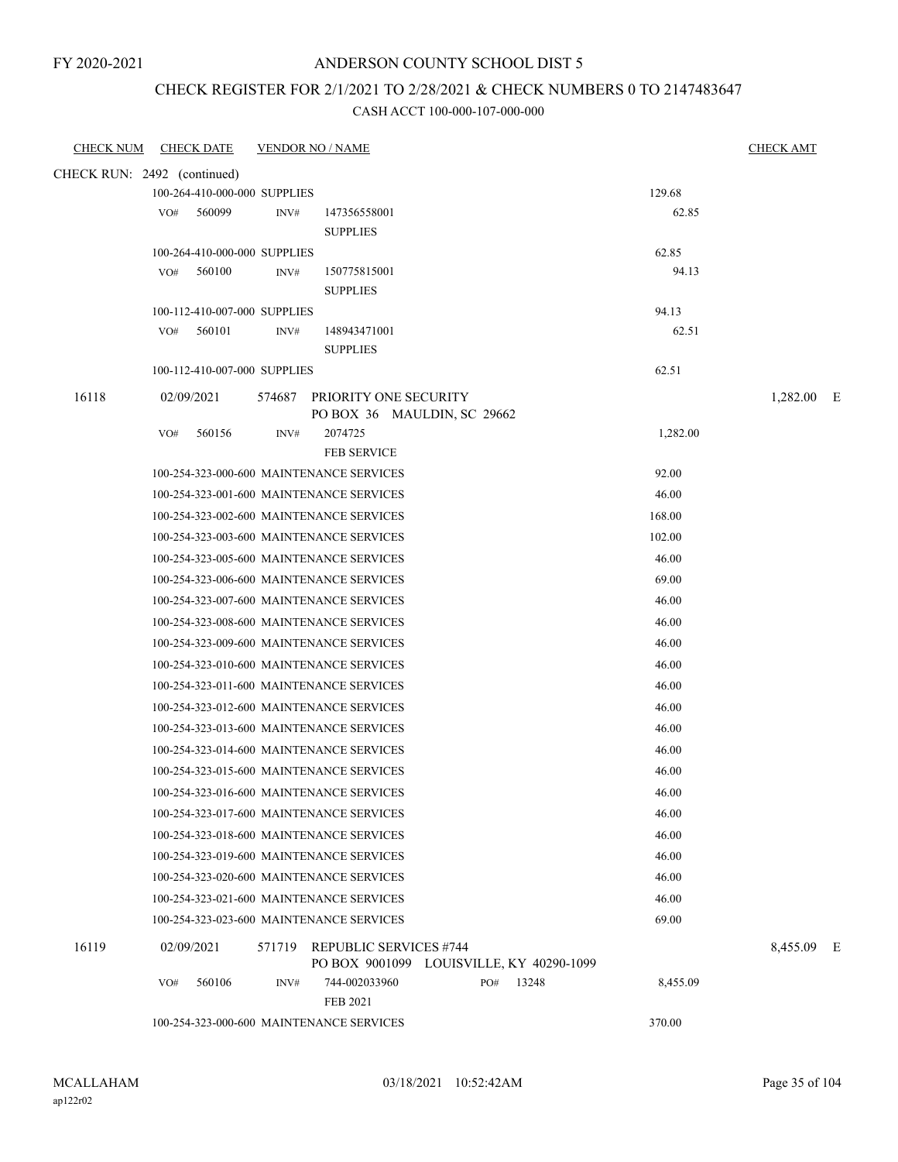### ANDERSON COUNTY SCHOOL DIST 5

#### CHECK REGISTER FOR 2/1/2021 TO 2/28/2021 & CHECK NUMBERS 0 TO 2147483647

| <b>CHECK NUM</b>            |                              | <b>CHECK DATE</b>                      |                                         | <b>VENDOR NO / NAME</b>                              |     |       |                | <b>CHECK AMT</b> |  |
|-----------------------------|------------------------------|----------------------------------------|-----------------------------------------|------------------------------------------------------|-----|-------|----------------|------------------|--|
| CHECK RUN: 2492 (continued) |                              |                                        |                                         |                                                      |     |       |                |                  |  |
|                             |                              | 100-264-410-000-000 SUPPLIES           |                                         |                                                      |     |       | 129.68         |                  |  |
|                             | VO#                          | 560099                                 | INV#                                    | 147356558001                                         |     |       | 62.85          |                  |  |
|                             |                              |                                        |                                         | <b>SUPPLIES</b>                                      |     |       |                |                  |  |
|                             | 100-264-410-000-000 SUPPLIES |                                        |                                         |                                                      |     |       | 62.85          |                  |  |
|                             | VO#                          | 560100                                 | INV#                                    | 150775815001                                         |     |       | 94.13          |                  |  |
|                             |                              |                                        |                                         | <b>SUPPLIES</b>                                      |     |       |                |                  |  |
|                             | VO#                          | 100-112-410-007-000 SUPPLIES<br>560101 | INV#                                    | 148943471001                                         |     |       | 94.13<br>62.51 |                  |  |
|                             |                              |                                        |                                         | <b>SUPPLIES</b>                                      |     |       |                |                  |  |
|                             |                              | 100-112-410-007-000 SUPPLIES           |                                         |                                                      |     |       | 62.51          |                  |  |
|                             | 02/09/2021                   |                                        |                                         |                                                      |     |       |                |                  |  |
| 16118                       |                              |                                        | 574687                                  | PRIORITY ONE SECURITY<br>PO BOX 36 MAULDIN, SC 29662 |     |       |                | 1,282.00 E       |  |
|                             | VO#                          | 560156                                 | INV#                                    | 2074725                                              |     |       | 1,282.00       |                  |  |
|                             |                              |                                        |                                         | <b>FEB SERVICE</b>                                   |     |       |                |                  |  |
|                             |                              |                                        |                                         | 100-254-323-000-600 MAINTENANCE SERVICES             |     |       | 92.00          |                  |  |
|                             |                              |                                        |                                         | 100-254-323-001-600 MAINTENANCE SERVICES             |     |       | 46.00          |                  |  |
|                             |                              |                                        |                                         | 100-254-323-002-600 MAINTENANCE SERVICES             |     |       | 168.00         |                  |  |
|                             |                              |                                        |                                         | 100-254-323-003-600 MAINTENANCE SERVICES             |     |       | 102.00         |                  |  |
|                             |                              |                                        |                                         | 100-254-323-005-600 MAINTENANCE SERVICES             |     |       | 46.00          |                  |  |
|                             |                              |                                        |                                         | 100-254-323-006-600 MAINTENANCE SERVICES             |     |       | 69.00          |                  |  |
|                             |                              |                                        |                                         | 100-254-323-007-600 MAINTENANCE SERVICES             |     |       | 46.00          |                  |  |
|                             |                              |                                        |                                         | 100-254-323-008-600 MAINTENANCE SERVICES             |     |       | 46.00          |                  |  |
|                             |                              |                                        |                                         | 100-254-323-009-600 MAINTENANCE SERVICES             |     |       | 46.00          |                  |  |
|                             |                              |                                        |                                         | 100-254-323-010-600 MAINTENANCE SERVICES             |     |       | 46.00          |                  |  |
|                             |                              |                                        |                                         | 100-254-323-011-600 MAINTENANCE SERVICES             |     |       | 46.00          |                  |  |
|                             |                              |                                        |                                         | 100-254-323-012-600 MAINTENANCE SERVICES             |     |       | 46.00          |                  |  |
|                             |                              |                                        |                                         | 100-254-323-013-600 MAINTENANCE SERVICES             |     |       | 46.00          |                  |  |
|                             |                              |                                        |                                         | 100-254-323-014-600 MAINTENANCE SERVICES             |     |       | 46.00          |                  |  |
|                             |                              |                                        |                                         | 100-254-323-015-600 MAINTENANCE SERVICES             |     |       | 46.00          |                  |  |
|                             |                              |                                        |                                         | 100-254-323-016-600 MAINTENANCE SERVICES             |     |       | 46.00          |                  |  |
|                             |                              |                                        |                                         | 100-254-323-017-600 MAINTENANCE SERVICES             |     |       | 46.00          |                  |  |
|                             |                              |                                        |                                         | 100-254-323-018-600 MAINTENANCE SERVICES             |     |       | 46.00          |                  |  |
|                             |                              |                                        |                                         | 100-254-323-019-600 MAINTENANCE SERVICES             |     |       | 46.00          |                  |  |
|                             |                              |                                        |                                         | 100-254-323-020-600 MAINTENANCE SERVICES             |     |       | 46.00          |                  |  |
|                             |                              |                                        |                                         | 100-254-323-021-600 MAINTENANCE SERVICES             |     |       | 46.00          |                  |  |
|                             |                              |                                        |                                         | 100-254-323-023-600 MAINTENANCE SERVICES             |     |       | 69.00          |                  |  |
| 16119                       |                              | 02/09/2021                             | 571719<br><b>REPUBLIC SERVICES #744</b> |                                                      |     |       | 8,455.09 E     |                  |  |
|                             |                              |                                        |                                         | PO BOX 9001099 LOUISVILLE, KY 40290-1099             |     |       |                |                  |  |
|                             | VO#                          | 560106                                 | INV#                                    | 744-002033960<br><b>FEB 2021</b>                     | PO# | 13248 | 8,455.09       |                  |  |
|                             |                              |                                        |                                         | 100-254-323-000-600 MAINTENANCE SERVICES             |     |       | 370.00         |                  |  |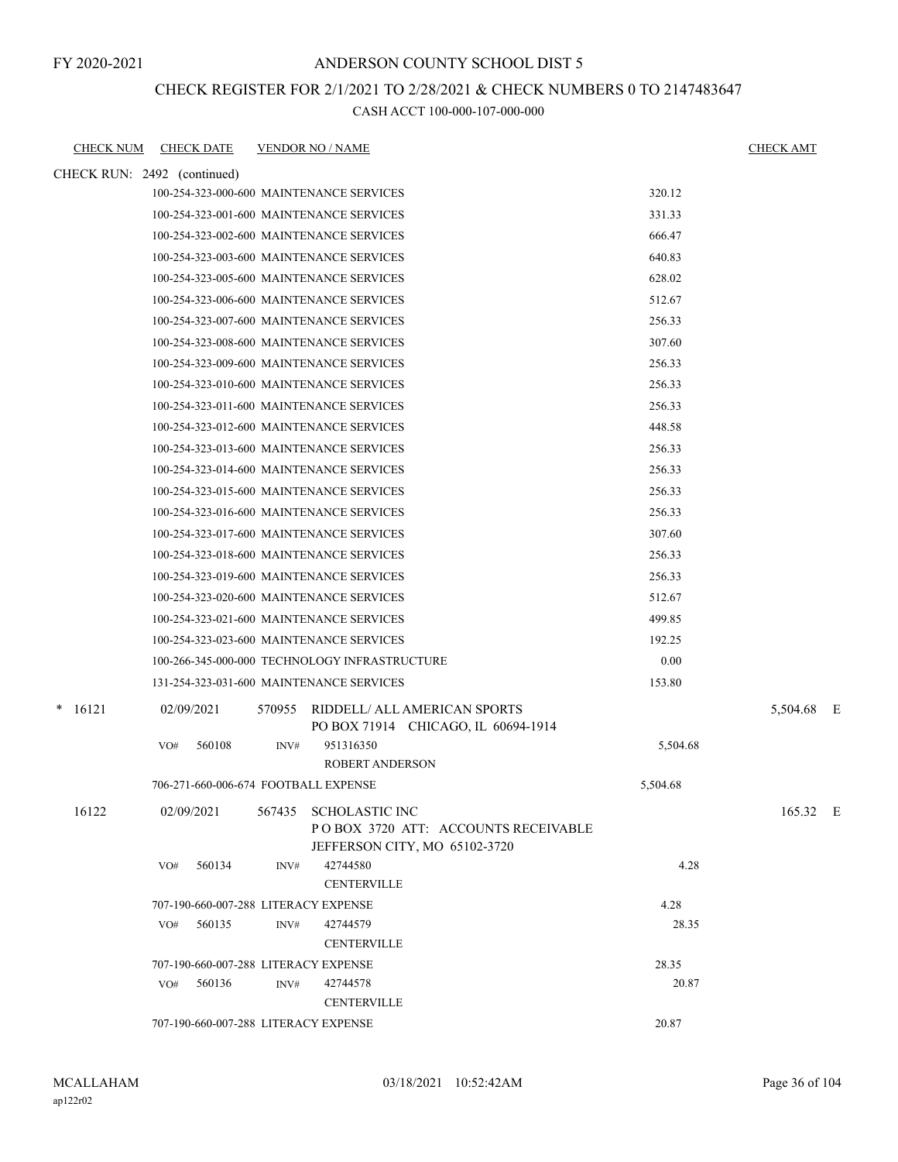#### ANDERSON COUNTY SCHOOL DIST 5

### CHECK REGISTER FOR 2/1/2021 TO 2/28/2021 & CHECK NUMBERS 0 TO 2147483647

| <b>CHECK NUM</b>            | <b>CHECK DATE</b>                             |                                                                               | <b>VENDOR NO / NAME</b>                                                                       |          | <b>CHECK AMT</b> |  |  |
|-----------------------------|-----------------------------------------------|-------------------------------------------------------------------------------|-----------------------------------------------------------------------------------------------|----------|------------------|--|--|
| CHECK RUN: 2492 (continued) |                                               |                                                                               |                                                                                               |          |                  |  |  |
|                             | 100-254-323-000-600 MAINTENANCE SERVICES      |                                                                               | 320.12                                                                                        |          |                  |  |  |
|                             | 100-254-323-001-600 MAINTENANCE SERVICES      |                                                                               | 331.33                                                                                        |          |                  |  |  |
|                             | 100-254-323-002-600 MAINTENANCE SERVICES      |                                                                               | 666.47                                                                                        |          |                  |  |  |
|                             | 100-254-323-003-600 MAINTENANCE SERVICES      |                                                                               |                                                                                               | 640.83   |                  |  |  |
|                             | 100-254-323-005-600 MAINTENANCE SERVICES      |                                                                               |                                                                                               | 628.02   |                  |  |  |
|                             | 100-254-323-006-600 MAINTENANCE SERVICES      |                                                                               |                                                                                               | 512.67   |                  |  |  |
|                             | 100-254-323-007-600 MAINTENANCE SERVICES      |                                                                               |                                                                                               | 256.33   |                  |  |  |
|                             | 100-254-323-008-600 MAINTENANCE SERVICES      |                                                                               |                                                                                               | 307.60   |                  |  |  |
|                             | 100-254-323-009-600 MAINTENANCE SERVICES      |                                                                               |                                                                                               | 256.33   |                  |  |  |
|                             | 100-254-323-010-600 MAINTENANCE SERVICES      |                                                                               |                                                                                               | 256.33   |                  |  |  |
|                             | 100-254-323-011-600 MAINTENANCE SERVICES      |                                                                               |                                                                                               | 256.33   |                  |  |  |
|                             | 100-254-323-012-600 MAINTENANCE SERVICES      |                                                                               |                                                                                               | 448.58   |                  |  |  |
|                             | 100-254-323-013-600 MAINTENANCE SERVICES      |                                                                               |                                                                                               | 256.33   |                  |  |  |
|                             | 100-254-323-014-600 MAINTENANCE SERVICES      |                                                                               |                                                                                               | 256.33   |                  |  |  |
|                             | 100-254-323-015-600 MAINTENANCE SERVICES      |                                                                               |                                                                                               | 256.33   |                  |  |  |
|                             | 100-254-323-016-600 MAINTENANCE SERVICES      |                                                                               | 256.33                                                                                        |          |                  |  |  |
|                             | 100-254-323-017-600 MAINTENANCE SERVICES      |                                                                               | 307.60                                                                                        |          |                  |  |  |
|                             | 100-254-323-018-600 MAINTENANCE SERVICES      |                                                                               | 256.33                                                                                        |          |                  |  |  |
|                             | 100-254-323-019-600 MAINTENANCE SERVICES      |                                                                               |                                                                                               | 256.33   |                  |  |  |
|                             | 100-254-323-020-600 MAINTENANCE SERVICES      | 512.67                                                                        |                                                                                               |          |                  |  |  |
|                             | 100-254-323-021-600 MAINTENANCE SERVICES      |                                                                               | 499.85                                                                                        |          |                  |  |  |
|                             | 100-254-323-023-600 MAINTENANCE SERVICES      |                                                                               |                                                                                               | 192.25   |                  |  |  |
|                             | 100-266-345-000-000 TECHNOLOGY INFRASTRUCTURE |                                                                               | 0.00                                                                                          |          |                  |  |  |
|                             | 131-254-323-031-600 MAINTENANCE SERVICES      |                                                                               |                                                                                               | 153.80   |                  |  |  |
| $\ast$<br>16121             | 02/09/2021                                    | RIDDELL/ ALL AMERICAN SPORTS<br>570955<br>PO BOX 71914 CHICAGO, IL 60694-1914 |                                                                                               |          | 5,504.68 E       |  |  |
|                             | 560108<br>VO#                                 | INV#                                                                          | 951316350<br><b>ROBERT ANDERSON</b>                                                           | 5,504.68 |                  |  |  |
|                             | 706-271-660-006-674 FOOTBALL EXPENSE          |                                                                               |                                                                                               | 5,504.68 |                  |  |  |
| 16122                       | 02/09/2021                                    |                                                                               | 567435 SCHOLASTIC INC<br>POBOX 3720 ATT: ACCOUNTS RECEIVABLE<br>JEFFERSON CITY, MO 65102-3720 |          | 165.32 E         |  |  |
|                             | 560134<br>VO#                                 | INV#                                                                          | 42744580<br><b>CENTERVILLE</b>                                                                | 4.28     |                  |  |  |
|                             | 4.28<br>707-190-660-007-288 LITERACY EXPENSE  |                                                                               |                                                                                               |          |                  |  |  |
|                             | 560135<br>VO#                                 | INV#                                                                          | 42744579<br><b>CENTERVILLE</b>                                                                | 28.35    |                  |  |  |
|                             | 707-190-660-007-288 LITERACY EXPENSE          |                                                                               | 28.35                                                                                         |          |                  |  |  |
|                             | 560136<br>VO#                                 | INV#                                                                          | 42744578<br><b>CENTERVILLE</b>                                                                | 20.87    |                  |  |  |
|                             | 707-190-660-007-288 LITERACY EXPENSE<br>20.87 |                                                                               |                                                                                               |          |                  |  |  |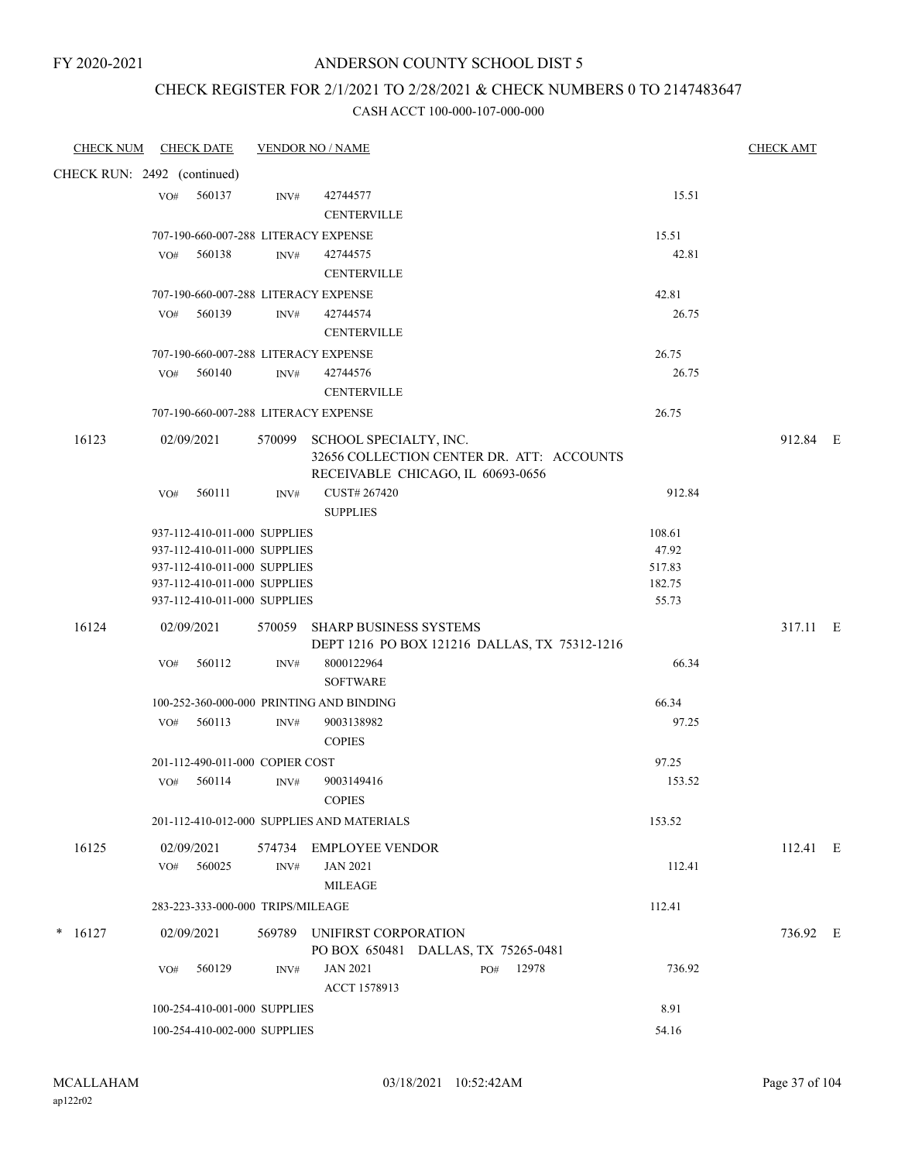### ANDERSON COUNTY SCHOOL DIST 5

## CHECK REGISTER FOR 2/1/2021 TO 2/28/2021 & CHECK NUMBERS 0 TO 2147483647

| <b>CHECK NUM</b>            |     | <b>CHECK DATE</b>                                            |        | <b>VENDOR NO / NAME</b>                                                        |              |                  | <b>CHECK AMT</b> |  |
|-----------------------------|-----|--------------------------------------------------------------|--------|--------------------------------------------------------------------------------|--------------|------------------|------------------|--|
| CHECK RUN: 2492 (continued) |     |                                                              |        |                                                                                |              |                  |                  |  |
|                             | VO# | 560137                                                       | INV#   | 42744577                                                                       |              | 15.51            |                  |  |
|                             |     |                                                              |        | <b>CENTERVILLE</b>                                                             |              |                  |                  |  |
|                             |     |                                                              |        | 707-190-660-007-288 LITERACY EXPENSE                                           |              | 15.51            |                  |  |
|                             | VO# | 560138                                                       | INV#   | 42744575                                                                       |              | 42.81            |                  |  |
|                             |     |                                                              |        | <b>CENTERVILLE</b>                                                             |              |                  |                  |  |
|                             |     |                                                              |        | 707-190-660-007-288 LITERACY EXPENSE                                           |              | 42.81            |                  |  |
|                             | VO# | 560139                                                       | INV#   | 42744574                                                                       |              | 26.75            |                  |  |
|                             |     |                                                              |        | <b>CENTERVILLE</b>                                                             |              |                  |                  |  |
|                             | VO# | 560140                                                       | INV#   | 707-190-660-007-288 LITERACY EXPENSE<br>42744576                               |              | 26.75<br>26.75   |                  |  |
|                             |     |                                                              |        | <b>CENTERVILLE</b>                                                             |              |                  |                  |  |
|                             |     |                                                              |        | 707-190-660-007-288 LITERACY EXPENSE                                           |              | 26.75            |                  |  |
| 16123                       |     | 02/09/2021                                                   | 570099 | SCHOOL SPECIALTY, INC.                                                         |              |                  | 912.84 E         |  |
|                             |     |                                                              |        | 32656 COLLECTION CENTER DR. ATT: ACCOUNTS                                      |              |                  |                  |  |
|                             |     |                                                              |        | RECEIVABLE CHICAGO, IL 60693-0656                                              |              |                  |                  |  |
|                             | VO# | 560111                                                       | INV#   | CUST# 267420                                                                   |              | 912.84           |                  |  |
|                             |     |                                                              |        | <b>SUPPLIES</b>                                                                |              |                  |                  |  |
|                             |     | 937-112-410-011-000 SUPPLIES                                 |        |                                                                                |              | 108.61           |                  |  |
|                             |     | 937-112-410-011-000 SUPPLIES                                 |        |                                                                                |              | 47.92            |                  |  |
|                             |     | 937-112-410-011-000 SUPPLIES<br>937-112-410-011-000 SUPPLIES |        |                                                                                |              | 517.83<br>182.75 |                  |  |
|                             |     | 937-112-410-011-000 SUPPLIES                                 |        |                                                                                |              | 55.73            |                  |  |
|                             |     |                                                              |        |                                                                                |              |                  |                  |  |
| 16124                       |     | 02/09/2021                                                   | 570059 | <b>SHARP BUSINESS SYSTEMS</b><br>DEPT 1216 PO BOX 121216 DALLAS, TX 75312-1216 |              |                  | 317.11 E         |  |
|                             | VO# | 560112                                                       | INV#   | 8000122964                                                                     |              | 66.34            |                  |  |
|                             |     |                                                              |        | <b>SOFTWARE</b>                                                                |              |                  |                  |  |
|                             |     |                                                              |        | 100-252-360-000-000 PRINTING AND BINDING                                       |              | 66.34            |                  |  |
|                             | VO# | 560113                                                       | INV#   | 9003138982                                                                     |              | 97.25            |                  |  |
|                             |     |                                                              |        | <b>COPIES</b>                                                                  |              |                  |                  |  |
|                             |     | 201-112-490-011-000 COPIER COST                              |        |                                                                                |              | 97.25            |                  |  |
|                             | VO# | 560114                                                       | INV#   | 9003149416                                                                     |              | 153.52           |                  |  |
|                             |     |                                                              |        | <b>COPIES</b>                                                                  |              |                  |                  |  |
|                             |     |                                                              |        | 201-112-410-012-000 SUPPLIES AND MATERIALS                                     |              | 153.52           |                  |  |
| 16125                       |     | 02/09/2021                                                   | 574734 | <b>EMPLOYEE VENDOR</b>                                                         |              |                  | 112.41 E         |  |
|                             | VO# | 560025                                                       | INV#   | <b>JAN 2021</b>                                                                |              | 112.41           |                  |  |
|                             |     |                                                              |        | <b>MILEAGE</b>                                                                 |              |                  |                  |  |
|                             |     | 283-223-333-000-000 TRIPS/MILEAGE                            |        |                                                                                |              | 112.41           |                  |  |
| 16127<br>$\ast$             |     | 02/09/2021                                                   | 569789 | UNIFIRST CORPORATION                                                           |              |                  | 736.92 E         |  |
|                             |     |                                                              |        | PO BOX 650481 DALLAS, TX 75265-0481                                            |              |                  |                  |  |
|                             | VO# | 560129                                                       | INV#   | <b>JAN 2021</b>                                                                | 12978<br>PO# | 736.92           |                  |  |
|                             |     |                                                              |        | ACCT 1578913                                                                   |              |                  |                  |  |
|                             |     | 100-254-410-001-000 SUPPLIES                                 |        |                                                                                |              | 8.91             |                  |  |
|                             |     | 100-254-410-002-000 SUPPLIES                                 |        |                                                                                |              | 54.16            |                  |  |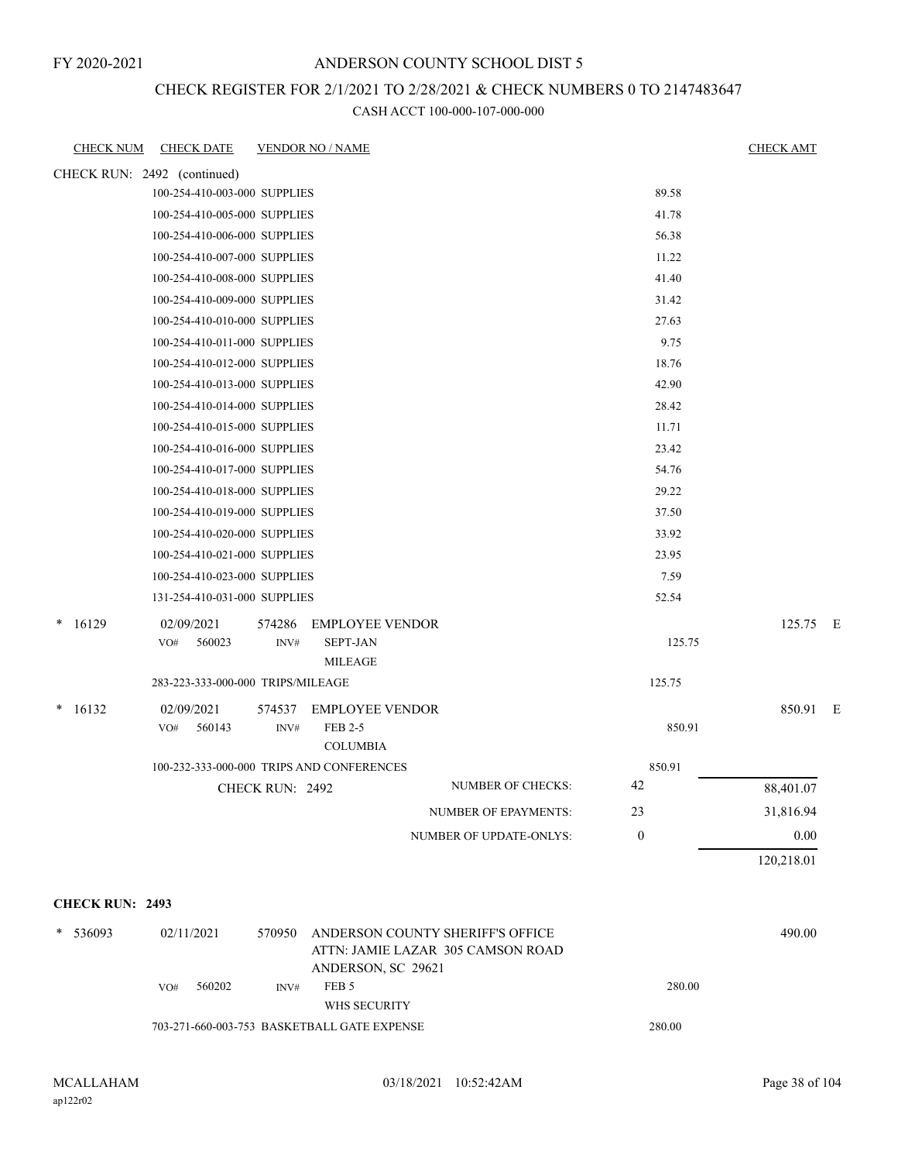### ANDERSON COUNTY SCHOOL DIST 5

### CHECK REGISTER FOR 2/1/2021 TO 2/28/2021 & CHECK NUMBERS 0 TO 2147483647

| <b>CHECK NUM</b>            | <b>CHECK DATE</b>                         |                 | <b>VENDOR NO / NAME</b>                                                                     |                             |              | <b>CHECK AMT</b> |  |
|-----------------------------|-------------------------------------------|-----------------|---------------------------------------------------------------------------------------------|-----------------------------|--------------|------------------|--|
| CHECK RUN: 2492 (continued) |                                           |                 |                                                                                             |                             |              |                  |  |
|                             | 100-254-410-003-000 SUPPLIES              |                 |                                                                                             |                             | 89.58        |                  |  |
|                             | 100-254-410-005-000 SUPPLIES              |                 |                                                                                             |                             | 41.78        |                  |  |
|                             | 100-254-410-006-000 SUPPLIES              |                 |                                                                                             |                             | 56.38        |                  |  |
|                             | 100-254-410-007-000 SUPPLIES              |                 |                                                                                             |                             | 11.22        |                  |  |
|                             | 100-254-410-008-000 SUPPLIES              |                 |                                                                                             |                             | 41.40        |                  |  |
|                             | 100-254-410-009-000 SUPPLIES              |                 |                                                                                             |                             | 31.42        |                  |  |
|                             | 100-254-410-010-000 SUPPLIES              |                 |                                                                                             |                             | 27.63        |                  |  |
|                             | 100-254-410-011-000 SUPPLIES              |                 |                                                                                             |                             | 9.75         |                  |  |
|                             | 100-254-410-012-000 SUPPLIES              |                 |                                                                                             |                             | 18.76        |                  |  |
|                             | 100-254-410-013-000 SUPPLIES              |                 |                                                                                             |                             | 42.90        |                  |  |
|                             | 100-254-410-014-000 SUPPLIES              |                 |                                                                                             |                             | 28.42        |                  |  |
|                             | 100-254-410-015-000 SUPPLIES              |                 |                                                                                             |                             | 11.71        |                  |  |
|                             | 100-254-410-016-000 SUPPLIES              |                 |                                                                                             |                             | 23.42        |                  |  |
|                             | 100-254-410-017-000 SUPPLIES              |                 |                                                                                             |                             | 54.76        |                  |  |
|                             | 100-254-410-018-000 SUPPLIES              |                 |                                                                                             |                             | 29.22        |                  |  |
|                             | 100-254-410-019-000 SUPPLIES              |                 |                                                                                             |                             | 37.50        |                  |  |
|                             | 100-254-410-020-000 SUPPLIES              |                 |                                                                                             |                             | 33.92        |                  |  |
|                             | 100-254-410-021-000 SUPPLIES              |                 |                                                                                             |                             | 23.95        |                  |  |
|                             | 100-254-410-023-000 SUPPLIES              |                 |                                                                                             |                             | 7.59         |                  |  |
|                             | 131-254-410-031-000 SUPPLIES              |                 |                                                                                             |                             | 52.54        |                  |  |
| $*16129$                    | 02/09/2021<br>560023<br>VO#               | 574286<br>INV#  | <b>EMPLOYEE VENDOR</b><br><b>SEPT-JAN</b><br>MILEAGE                                        |                             | 125.75       | 125.75 E         |  |
|                             | 283-223-333-000-000 TRIPS/MILEAGE         |                 |                                                                                             |                             | 125.75       |                  |  |
| $* 16132$                   | 02/09/2021                                | 574537          | <b>EMPLOYEE VENDOR</b>                                                                      |                             |              | 850.91 E         |  |
|                             | 560143<br>VO#                             | INV#            | FEB 2-5<br><b>COLUMBIA</b>                                                                  |                             | 850.91       |                  |  |
|                             | 100-232-333-000-000 TRIPS AND CONFERENCES |                 |                                                                                             |                             | 850.91       |                  |  |
|                             |                                           | CHECK RUN: 2492 |                                                                                             | NUMBER OF CHECKS:           | 42           | 88,401.07        |  |
|                             |                                           |                 |                                                                                             | <b>NUMBER OF EPAYMENTS:</b> | 23           | 31,816.94        |  |
|                             |                                           |                 |                                                                                             | NUMBER OF UPDATE-ONLYS:     | $\mathbf{0}$ | $0.00\,$         |  |
|                             |                                           |                 |                                                                                             |                             |              | 120,218.01       |  |
| <b>CHECK RUN: 2493</b>      |                                           |                 |                                                                                             |                             |              |                  |  |
| * 536093                    | 02/11/2021                                | 570950          | ANDERSON COUNTY SHERIFF'S OFFICE<br>ATTN: JAMIE LAZAR 305 CAMSON ROAD<br>ANDERSON, SC 29621 |                             |              | 490.00           |  |
|                             | 560202<br>VO#                             | INV#            | FEB 5<br>WHS SECURITY                                                                       |                             | 280.00       |                  |  |
|                             |                                           |                 | 703-271-660-003-753 BASKETBALL GATE EXPENSE                                                 | 280.00                      |              |                  |  |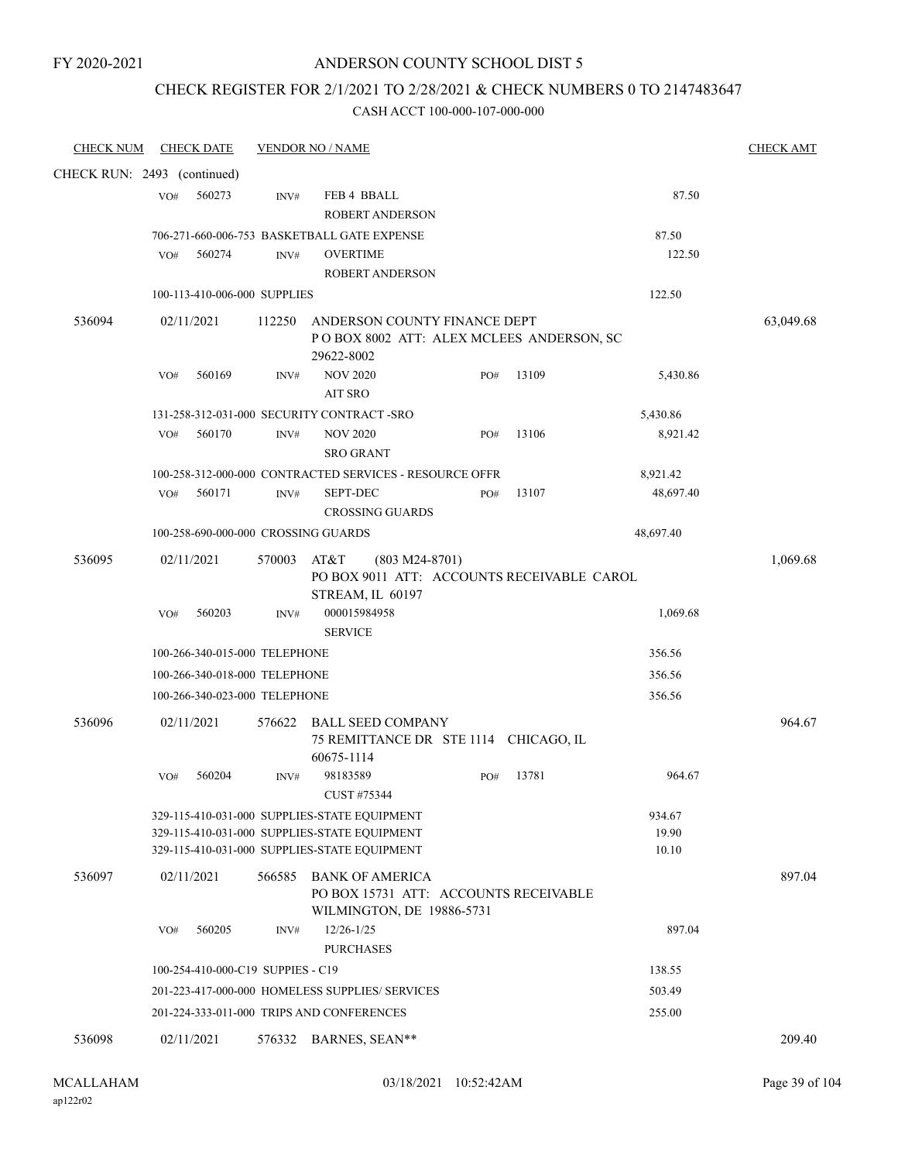### ANDERSON COUNTY SCHOOL DIST 5

#### CHECK REGISTER FOR 2/1/2021 TO 2/28/2021 & CHECK NUMBERS 0 TO 2147483647

| <b>CHECK NUM</b>            |     | <b>CHECK DATE</b>                 |        | <b>VENDOR NO / NAME</b>                                                                                                                      |     |       |                          | <b>CHECK AMT</b> |
|-----------------------------|-----|-----------------------------------|--------|----------------------------------------------------------------------------------------------------------------------------------------------|-----|-------|--------------------------|------------------|
| CHECK RUN: 2493 (continued) |     |                                   |        |                                                                                                                                              |     |       |                          |                  |
|                             | VO# | 560273                            | INV#   | FEB 4 BBALL<br><b>ROBERT ANDERSON</b>                                                                                                        |     |       | 87.50                    |                  |
|                             |     |                                   |        | 706-271-660-006-753 BASKETBALL GATE EXPENSE                                                                                                  |     |       | 87.50                    |                  |
|                             | VO# | 560274                            | INV#   | <b>OVERTIME</b>                                                                                                                              |     |       | 122.50                   |                  |
|                             |     |                                   |        | <b>ROBERT ANDERSON</b>                                                                                                                       |     |       |                          |                  |
|                             |     | 100-113-410-006-000 SUPPLIES      |        |                                                                                                                                              |     |       | 122.50                   |                  |
| 536094                      |     | 02/11/2021                        | 112250 | ANDERSON COUNTY FINANCE DEPT<br>POBOX 8002 ATT: ALEX MCLEES ANDERSON, SC<br>29622-8002                                                       |     |       |                          | 63,049.68        |
|                             | VO# | 560169                            | INV#   | <b>NOV 2020</b><br><b>AIT SRO</b>                                                                                                            | PO# | 13109 | 5,430.86                 |                  |
|                             |     |                                   |        | 131-258-312-031-000 SECURITY CONTRACT-SRO                                                                                                    |     |       | 5,430.86                 |                  |
|                             | VO# | 560170                            | INV#   | <b>NOV 2020</b><br><b>SRO GRANT</b>                                                                                                          | PO# | 13106 | 8,921.42                 |                  |
|                             |     |                                   |        | 100-258-312-000-000 CONTRACTED SERVICES - RESOURCE OFFR                                                                                      |     |       | 8,921.42                 |                  |
|                             | VO# | 560171                            | INV#   | <b>SEPT-DEC</b><br><b>CROSSING GUARDS</b>                                                                                                    | PO# | 13107 | 48,697.40                |                  |
|                             |     |                                   |        | 100-258-690-000-000 CROSSING GUARDS                                                                                                          |     |       | 48,697.40                |                  |
| 536095                      |     | 02/11/2021                        | 570003 | $(803 M24-8701)$<br>AT&T<br>PO BOX 9011 ATT: ACCOUNTS RECEIVABLE CAROL<br>STREAM, IL 60197                                                   |     |       |                          | 1,069.68         |
|                             | VO# | 560203                            | INV#   | 000015984958<br><b>SERVICE</b>                                                                                                               |     |       | 1,069.68                 |                  |
|                             |     | 100-266-340-015-000 TELEPHONE     |        |                                                                                                                                              |     |       | 356.56                   |                  |
|                             |     | 100-266-340-018-000 TELEPHONE     |        |                                                                                                                                              |     |       | 356.56                   |                  |
|                             |     | 100-266-340-023-000 TELEPHONE     |        |                                                                                                                                              |     |       | 356.56                   |                  |
| 536096                      |     | 02/11/2021                        | 576622 | <b>BALL SEED COMPANY</b><br>75 REMITTANCE DR STE 1114 CHICAGO, IL<br>60675-1114                                                              |     |       |                          | 964.67           |
|                             | VO# | 560204                            | INV#   | 98183589<br>CUST #75344                                                                                                                      | PO# | 13781 | 964.67                   |                  |
|                             |     |                                   |        | 329-115-410-031-000 SUPPLIES-STATE EQUIPMENT<br>329-115-410-031-000 SUPPLIES-STATE EQUIPMENT<br>329-115-410-031-000 SUPPLIES-STATE EQUIPMENT |     |       | 934.67<br>19.90<br>10.10 |                  |
| 536097                      |     | 02/11/2021                        | 566585 | <b>BANK OF AMERICA</b><br>PO BOX 15731 ATT: ACCOUNTS RECEIVABLE<br>WILMINGTON, DE 19886-5731                                                 |     |       |                          | 897.04           |
|                             | VO# | 560205                            | INV#   | $12/26 - 1/25$<br><b>PURCHASES</b>                                                                                                           |     |       | 897.04                   |                  |
|                             |     | 100-254-410-000-C19 SUPPIES - C19 |        |                                                                                                                                              |     |       | 138.55                   |                  |
|                             |     |                                   |        | 201-223-417-000-000 HOMELESS SUPPLIES/ SERVICES                                                                                              |     |       | 503.49                   |                  |
|                             |     |                                   |        | 201-224-333-011-000 TRIPS AND CONFERENCES                                                                                                    |     |       | 255.00                   |                  |
| 536098                      |     | 02/11/2021                        |        | 576332 BARNES, SEAN**                                                                                                                        |     |       |                          | 209.40           |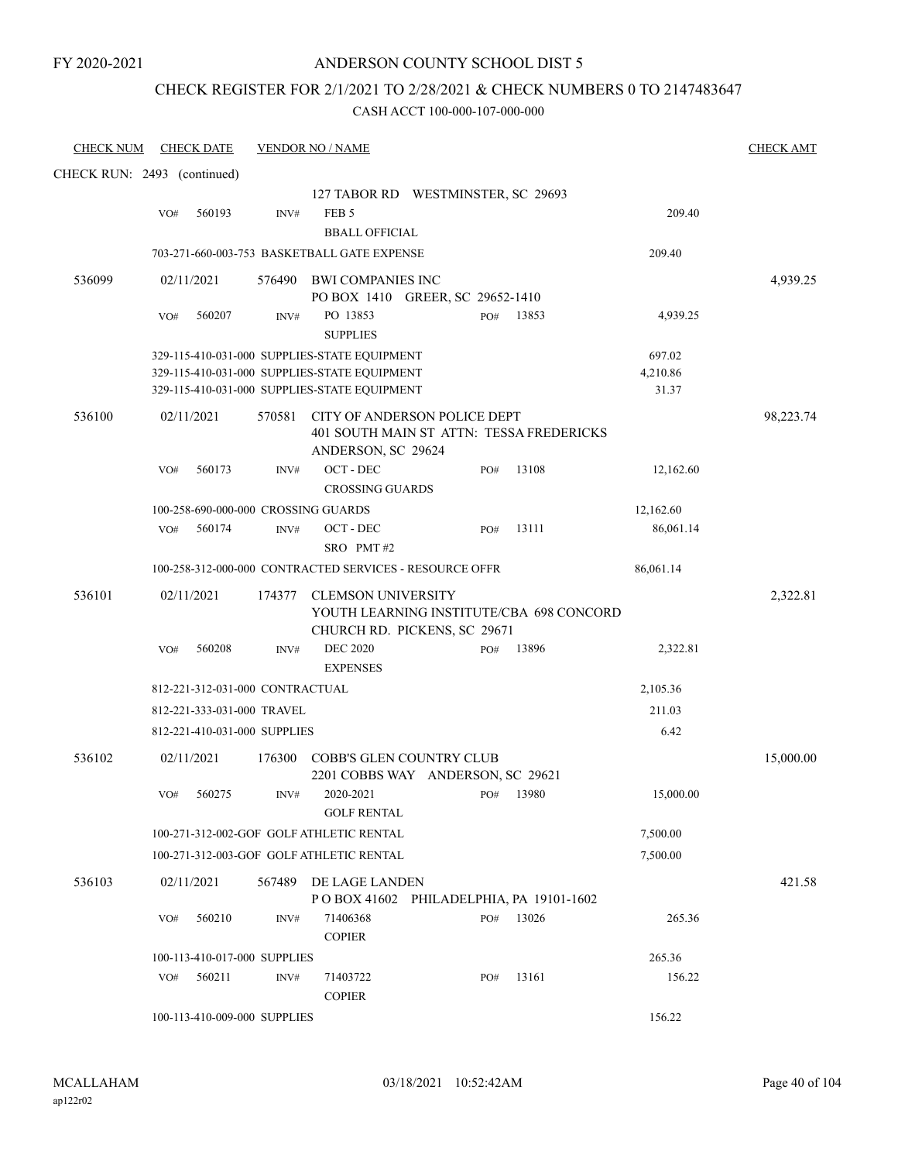### CHECK REGISTER FOR 2/1/2021 TO 2/28/2021 & CHECK NUMBERS 0 TO 2147483647

| <b>CHECK NUM</b>            |     | <b>CHECK DATE</b>               |        | <b>VENDOR NO / NAME</b>                                               |     |       |           | <b>CHECK AMT</b> |
|-----------------------------|-----|---------------------------------|--------|-----------------------------------------------------------------------|-----|-------|-----------|------------------|
| CHECK RUN: 2493 (continued) |     |                                 |        |                                                                       |     |       |           |                  |
|                             |     |                                 |        | 127 TABOR RD WESTMINSTER, SC 29693                                    |     |       |           |                  |
|                             | VO# | 560193                          | INV#   | FEB <sub>5</sub>                                                      |     |       | 209.40    |                  |
|                             |     |                                 |        | <b>BBALL OFFICIAL</b>                                                 |     |       |           |                  |
|                             |     |                                 |        | 703-271-660-003-753 BASKETBALL GATE EXPENSE                           |     |       | 209.40    |                  |
| 536099                      |     | 02/11/2021                      |        | 576490 BWI COMPANIES INC                                              |     |       |           | 4,939.25         |
|                             |     |                                 |        | PO BOX 1410 GREER, SC 29652-1410                                      |     |       |           |                  |
|                             | VO# | 560207                          | INV#   | PO 13853<br><b>SUPPLIES</b>                                           | PO# | 13853 | 4,939.25  |                  |
|                             |     |                                 |        | 329-115-410-031-000 SUPPLIES-STATE EQUIPMENT                          |     |       | 697.02    |                  |
|                             |     |                                 |        | 329-115-410-031-000 SUPPLIES-STATE EQUIPMENT                          |     |       | 4,210.86  |                  |
|                             |     |                                 |        | 329-115-410-031-000 SUPPLIES-STATE EQUIPMENT                          |     |       | 31.37     |                  |
| 536100                      |     | 02/11/2021                      | 570581 | CITY OF ANDERSON POLICE DEPT                                          |     |       |           | 98,223.74        |
|                             |     |                                 |        | 401 SOUTH MAIN ST ATTN: TESSA FREDERICKS                              |     |       |           |                  |
|                             |     |                                 |        | ANDERSON, SC 29624                                                    |     |       |           |                  |
|                             | VO# | 560173                          | INV#   | $OCT$ - $DEC$                                                         | PO# | 13108 | 12,162.60 |                  |
|                             |     |                                 |        | <b>CROSSING GUARDS</b>                                                |     |       |           |                  |
|                             |     |                                 |        | 100-258-690-000-000 CROSSING GUARDS                                   |     |       | 12,162.60 |                  |
|                             | VO# | 560174                          | INV#   | OCT - DEC                                                             | PO# | 13111 | 86,061.14 |                  |
|                             |     |                                 |        | SRO PMT#2                                                             |     |       |           |                  |
|                             |     |                                 |        | 100-258-312-000-000 CONTRACTED SERVICES - RESOURCE OFFR               |     |       | 86,061.14 |                  |
| 536101                      |     | 02/11/2021                      | 174377 | <b>CLEMSON UNIVERSITY</b><br>YOUTH LEARNING INSTITUTE/CBA 698 CONCORD |     |       |           | 2,322.81         |
|                             | VO# | 560208                          | INV#   | CHURCH RD. PICKENS, SC 29671<br><b>DEC 2020</b>                       | PO# | 13896 |           |                  |
|                             |     |                                 |        | <b>EXPENSES</b>                                                       |     |       | 2,322.81  |                  |
|                             |     | 812-221-312-031-000 CONTRACTUAL |        |                                                                       |     |       | 2,105.36  |                  |
|                             |     | 812-221-333-031-000 TRAVEL      |        |                                                                       |     |       | 211.03    |                  |
|                             |     |                                 |        |                                                                       |     |       | 6.42      |                  |
|                             |     | 812-221-410-031-000 SUPPLIES    |        |                                                                       |     |       |           |                  |
| 536102                      |     | 02/11/2021                      | 176300 | COBB'S GLEN COUNTRY CLUB<br>2201 COBBS WAY ANDERSON, SC 29621         |     |       |           | 15,000.00        |
|                             | VO# | 560275                          | INV#   | 2020-2021<br><b>GOLF RENTAL</b>                                       | PO# | 13980 | 15,000.00 |                  |
|                             |     |                                 |        | 100-271-312-002-GOF GOLF ATHLETIC RENTAL                              |     |       | 7,500.00  |                  |
|                             |     |                                 |        | 100-271-312-003-GOF GOLF ATHLETIC RENTAL                              |     |       | 7,500.00  |                  |
| 536103                      |     | 02/11/2021                      | 567489 | DE LAGE LANDEN<br>POBOX 41602 PHILADELPHIA, PA 19101-1602             |     |       |           | 421.58           |
|                             | VO# | 560210                          | INV#   | 71406368<br><b>COPIER</b>                                             | PO# | 13026 | 265.36    |                  |
|                             |     | 100-113-410-017-000 SUPPLIES    |        |                                                                       |     |       | 265.36    |                  |
|                             | VO# | 560211                          | INV#   | 71403722                                                              | PO# | 13161 | 156.22    |                  |
|                             |     |                                 |        | <b>COPIER</b>                                                         |     |       |           |                  |
|                             |     | 100-113-410-009-000 SUPPLIES    |        |                                                                       |     |       | 156.22    |                  |
|                             |     |                                 |        |                                                                       |     |       |           |                  |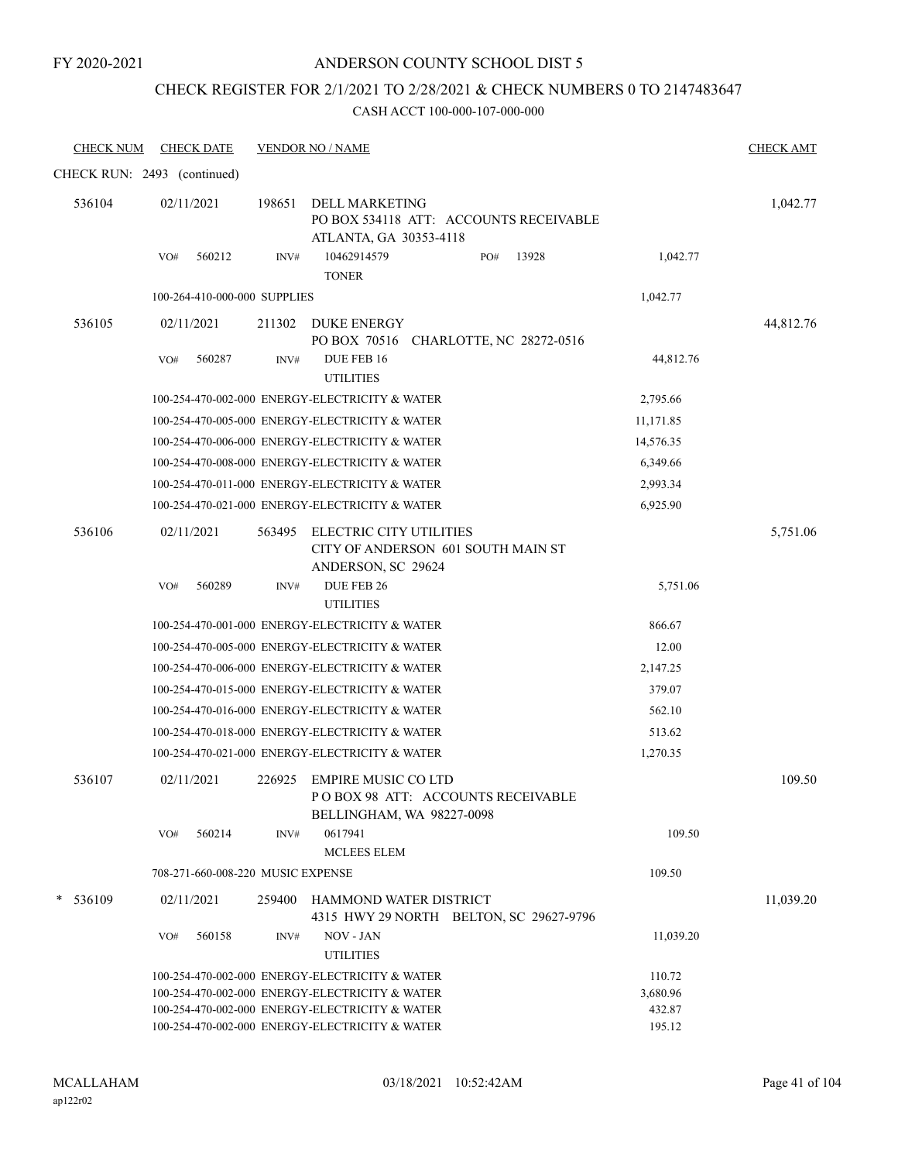### ANDERSON COUNTY SCHOOL DIST 5

## CHECK REGISTER FOR 2/1/2021 TO 2/28/2021 & CHECK NUMBERS 0 TO 2147483647

| <b>CHECK NUM</b>            |     | <b>CHECK DATE</b>                 |        | <b>VENDOR NO / NAME</b>                                                               |     |       |           | <b>CHECK AMT</b> |
|-----------------------------|-----|-----------------------------------|--------|---------------------------------------------------------------------------------------|-----|-------|-----------|------------------|
| CHECK RUN: 2493 (continued) |     |                                   |        |                                                                                       |     |       |           |                  |
| 536104                      |     | 02/11/2021                        | 198651 | DELL MARKETING<br>PO BOX 534118 ATT: ACCOUNTS RECEIVABLE<br>ATLANTA, GA 30353-4118    |     |       |           | 1,042.77         |
|                             | VO# | 560212                            | INV#   | 10462914579<br><b>TONER</b>                                                           | PO# | 13928 | 1,042.77  |                  |
|                             |     | 100-264-410-000-000 SUPPLIES      |        |                                                                                       |     |       | 1,042.77  |                  |
| 536105                      |     | 02/11/2021                        | 211302 | DUKE ENERGY                                                                           |     |       |           | 44,812.76        |
|                             | VO# | 560287                            | INV#   | PO BOX 70516 CHARLOTTE, NC 28272-0516<br>DUE FEB 16<br><b>UTILITIES</b>               |     |       | 44,812.76 |                  |
|                             |     |                                   |        | 100-254-470-002-000 ENERGY-ELECTRICITY & WATER                                        |     |       | 2,795.66  |                  |
|                             |     |                                   |        | 100-254-470-005-000 ENERGY-ELECTRICITY & WATER                                        |     |       | 11,171.85 |                  |
|                             |     |                                   |        | 100-254-470-006-000 ENERGY-ELECTRICITY & WATER                                        |     |       | 14,576.35 |                  |
|                             |     |                                   |        | 100-254-470-008-000 ENERGY-ELECTRICITY & WATER                                        |     |       | 6,349.66  |                  |
|                             |     |                                   |        | 100-254-470-011-000 ENERGY-ELECTRICITY & WATER                                        |     |       | 2,993.34  |                  |
|                             |     |                                   |        | 100-254-470-021-000 ENERGY-ELECTRICITY & WATER                                        |     |       | 6,925.90  |                  |
| 536106                      |     | 02/11/2021                        | 563495 | ELECTRIC CITY UTILITIES<br>CITY OF ANDERSON 601 SOUTH MAIN ST<br>ANDERSON, SC 29624   |     |       |           | 5,751.06         |
|                             | VO# | 560289                            | INV#   | DUE FEB 26                                                                            |     |       | 5,751.06  |                  |
|                             |     |                                   |        | <b>UTILITIES</b>                                                                      |     |       |           |                  |
|                             |     |                                   |        | 100-254-470-001-000 ENERGY-ELECTRICITY & WATER                                        |     |       | 866.67    |                  |
|                             |     |                                   |        | 100-254-470-005-000 ENERGY-ELECTRICITY & WATER                                        |     |       | 12.00     |                  |
|                             |     |                                   |        | 100-254-470-006-000 ENERGY-ELECTRICITY & WATER                                        |     |       | 2,147.25  |                  |
|                             |     |                                   |        | 100-254-470-015-000 ENERGY-ELECTRICITY & WATER                                        |     |       | 379.07    |                  |
|                             |     |                                   |        | 100-254-470-016-000 ENERGY-ELECTRICITY & WATER                                        |     |       | 562.10    |                  |
|                             |     |                                   |        | 100-254-470-018-000 ENERGY-ELECTRICITY & WATER                                        |     |       | 513.62    |                  |
|                             |     |                                   |        | 100-254-470-021-000 ENERGY-ELECTRICITY & WATER                                        |     |       | 1,270.35  |                  |
| 536107                      |     | 02/11/2021                        | 226925 | EMPIRE MUSIC CO LTD<br>POBOX 98 ATT: ACCOUNTS RECEIVABLE<br>BELLINGHAM, WA 98227-0098 |     |       |           | 109.50           |
|                             | VO# | 560214                            | INV#   | 0617941<br>MCLEES ELEM                                                                |     |       | 109.50    |                  |
|                             |     | 708-271-660-008-220 MUSIC EXPENSE |        |                                                                                       |     |       | 109.50    |                  |
| 536109                      |     | 02/11/2021                        | 259400 | HAMMOND WATER DISTRICT<br>4315 HWY 29 NORTH BELTON, SC 29627-9796                     |     |       |           | 11,039.20        |
|                             | VO# | 560158                            | INV#   | NOV - JAN<br><b>UTILITIES</b>                                                         |     |       | 11,039.20 |                  |
|                             |     |                                   |        | 100-254-470-002-000 ENERGY-ELECTRICITY & WATER                                        |     |       | 110.72    |                  |
|                             |     |                                   |        | 100-254-470-002-000 ENERGY-ELECTRICITY & WATER                                        |     |       | 3,680.96  |                  |
|                             |     |                                   |        | 100-254-470-002-000 ENERGY-ELECTRICITY & WATER                                        |     |       | 432.87    |                  |
|                             |     |                                   |        | 100-254-470-002-000 ENERGY-ELECTRICITY & WATER                                        |     |       | 195.12    |                  |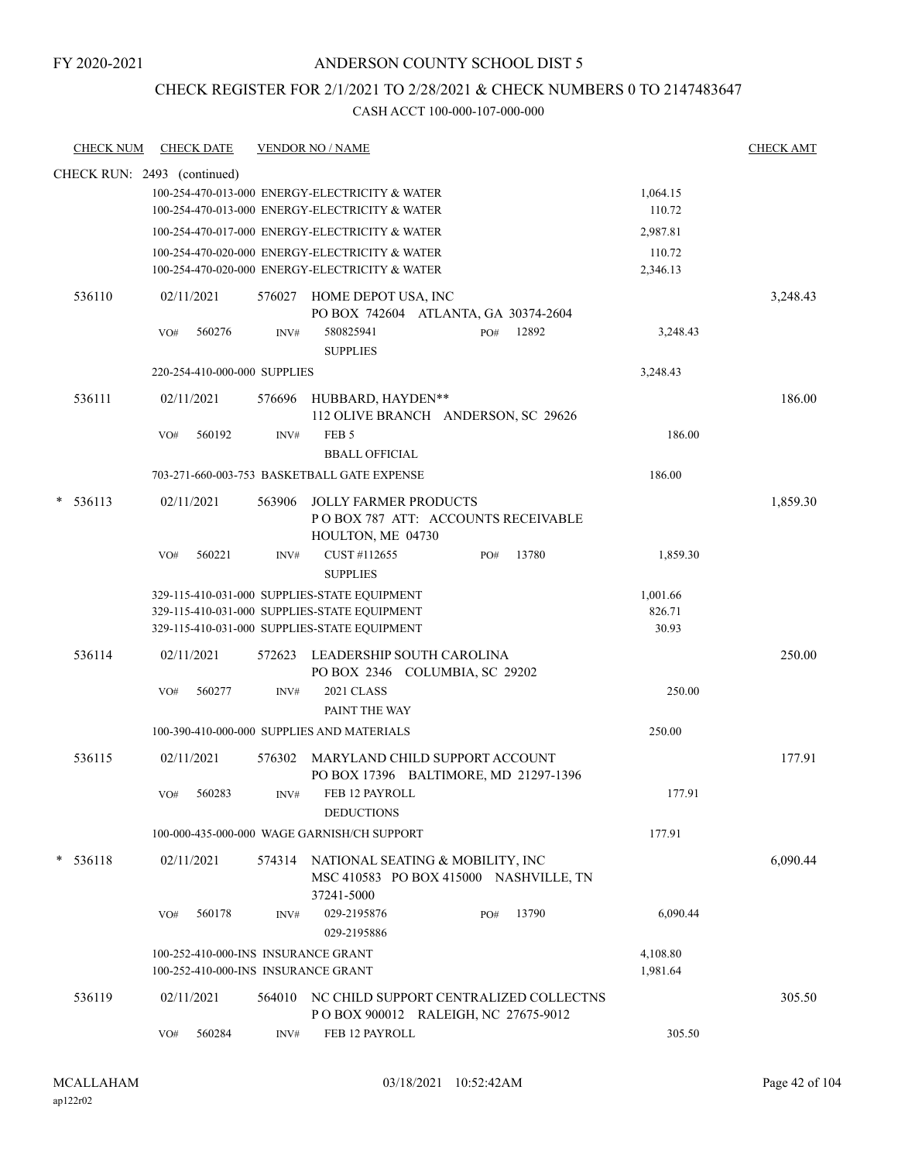### CHECK REGISTER FOR 2/1/2021 TO 2/28/2021 & CHECK NUMBERS 0 TO 2147483647

| <b>CHECK NUM</b>            | <b>CHECK DATE</b>                                                          |                | <b>VENDOR NO / NAME</b>                                                                                                                      |     |       |                             | <b>CHECK AMT</b> |
|-----------------------------|----------------------------------------------------------------------------|----------------|----------------------------------------------------------------------------------------------------------------------------------------------|-----|-------|-----------------------------|------------------|
| CHECK RUN: 2493 (continued) |                                                                            |                |                                                                                                                                              |     |       |                             |                  |
|                             |                                                                            |                | 100-254-470-013-000 ENERGY-ELECTRICITY & WATER<br>100-254-470-013-000 ENERGY-ELECTRICITY & WATER                                             |     |       | 1,064.15<br>110.72          |                  |
|                             |                                                                            |                | 100-254-470-017-000 ENERGY-ELECTRICITY & WATER                                                                                               |     |       | 2,987.81                    |                  |
|                             |                                                                            |                | 100-254-470-020-000 ENERGY-ELECTRICITY & WATER<br>100-254-470-020-000 ENERGY-ELECTRICITY & WATER                                             |     |       | 110.72<br>2,346.13          |                  |
| 536110                      | 02/11/2021                                                                 |                | 576027 HOME DEPOT USA, INC<br>PO BOX 742604 ATLANTA, GA 30374-2604                                                                           |     |       |                             | 3,248.43         |
|                             | 560276<br>VO#                                                              | INV#           | 580825941<br><b>SUPPLIES</b>                                                                                                                 | PO# | 12892 | 3,248.43                    |                  |
|                             | 220-254-410-000-000 SUPPLIES                                               |                |                                                                                                                                              |     |       | 3,248.43                    |                  |
| 536111                      | 02/11/2021                                                                 |                | 576696 HUBBARD, HAYDEN**<br>112 OLIVE BRANCH ANDERSON, SC 29626                                                                              |     |       |                             | 186.00           |
|                             | 560192<br>VO#                                                              | $\text{INV}\#$ | FEB <sub>5</sub><br><b>BBALL OFFICIAL</b>                                                                                                    |     |       | 186.00                      |                  |
|                             |                                                                            |                | 703-271-660-003-753 BASKETBALL GATE EXPENSE                                                                                                  |     |       | 186.00                      |                  |
| 536113                      | 02/11/2021                                                                 | 563906         | <b>JOLLY FARMER PRODUCTS</b><br>POBOX 787 ATT: ACCOUNTS RECEIVABLE<br>HOULTON, ME 04730                                                      |     |       |                             | 1,859.30         |
|                             | VO#<br>560221                                                              | INV#           | CUST #112655<br><b>SUPPLIES</b>                                                                                                              | PO# | 13780 | 1,859.30                    |                  |
|                             |                                                                            |                | 329-115-410-031-000 SUPPLIES-STATE EQUIPMENT<br>329-115-410-031-000 SUPPLIES-STATE EQUIPMENT<br>329-115-410-031-000 SUPPLIES-STATE EQUIPMENT |     |       | 1,001.66<br>826.71<br>30.93 |                  |
| 536114                      | 02/11/2021                                                                 | 572623         | LEADERSHIP SOUTH CAROLINA<br>PO BOX 2346 COLUMBIA, SC 29202                                                                                  |     |       |                             | 250.00           |
|                             | 560277<br>VO#                                                              | INV#           | 2021 CLASS<br>PAINT THE WAY                                                                                                                  |     |       | 250.00                      |                  |
|                             |                                                                            |                | 100-390-410-000-000 SUPPLIES AND MATERIALS                                                                                                   |     |       | 250.00                      |                  |
| 536115                      | 02/11/2021                                                                 |                | 576302 MARYLAND CHILD SUPPORT ACCOUNT<br>PO BOX 17396 BALTIMORE, MD 21297-1396                                                               |     |       |                             | 177.91           |
|                             | 560283<br>VO#                                                              | INV#           | FEB 12 PAYROLL<br><b>DEDUCTIONS</b>                                                                                                          |     |       | 177.91                      |                  |
|                             |                                                                            |                | 100-000-435-000-000 WAGE GARNISH/CH SUPPORT                                                                                                  |     |       | 177.91                      |                  |
| * 536118                    | 02/11/2021                                                                 |                | 574314 NATIONAL SEATING & MOBILITY, INC<br>MSC 410583 PO BOX 415000 NASHVILLE, TN<br>37241-5000                                              |     |       |                             | 6,090.44         |
|                             | 560178<br>VO#                                                              | INV#           | 029-2195876<br>029-2195886                                                                                                                   | PO# | 13790 | 6,090.44                    |                  |
|                             | 100-252-410-000-INS INSURANCE GRANT<br>100-252-410-000-INS INSURANCE GRANT |                |                                                                                                                                              |     |       | 4,108.80<br>1,981.64        |                  |
| 536119                      | 02/11/2021                                                                 |                | 564010 NC CHILD SUPPORT CENTRALIZED COLLECTNS<br>POBOX 900012 RALEIGH, NC 27675-9012                                                         |     |       |                             | 305.50           |
|                             | 560284<br>VO#                                                              | INV#           | FEB 12 PAYROLL                                                                                                                               |     |       | 305.50                      |                  |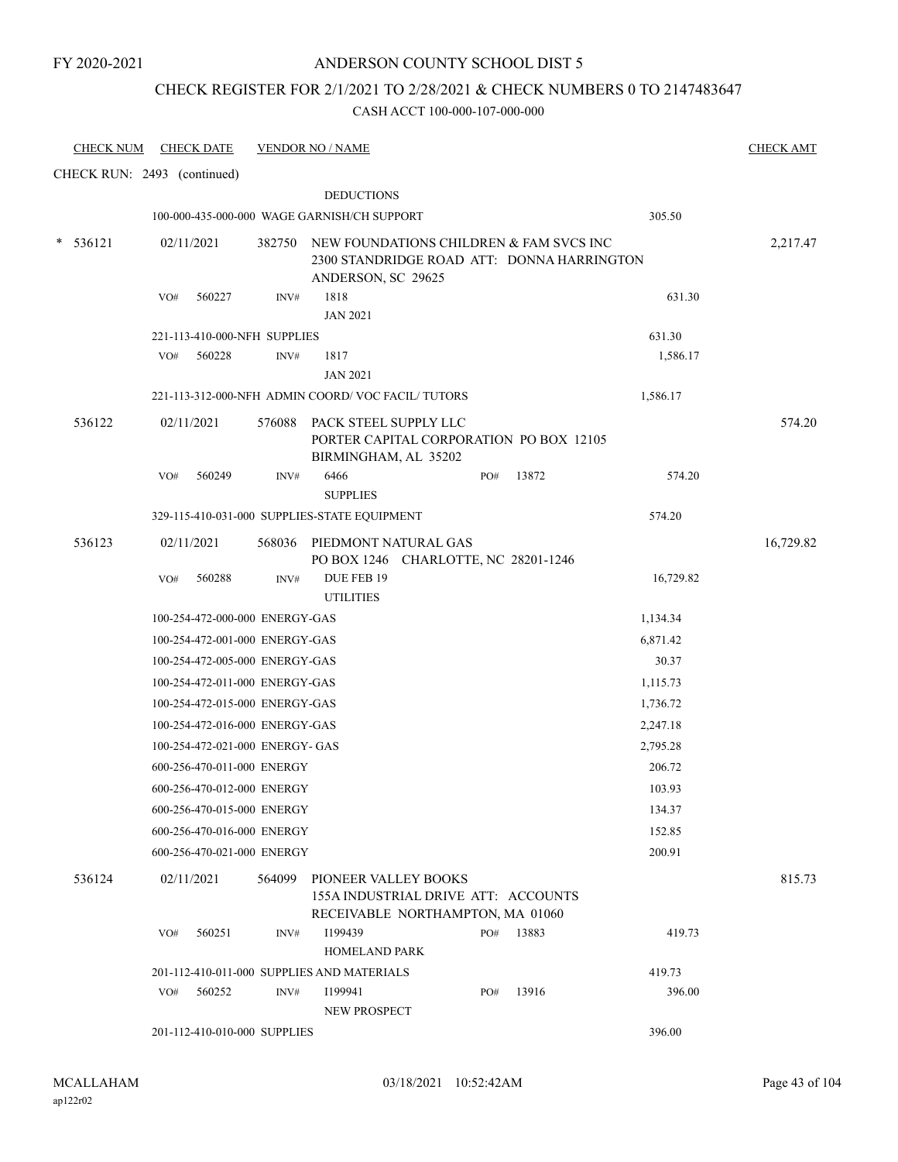## CHECK REGISTER FOR 2/1/2021 TO 2/28/2021 & CHECK NUMBERS 0 TO 2147483647

| <b>CHECK NUM</b>            |            | <b>CHECK DATE</b> |                                 | <b>VENDOR NO / NAME</b>                              |                                                                                              |     |       |           | <b>CHECK AMT</b> |
|-----------------------------|------------|-------------------|---------------------------------|------------------------------------------------------|----------------------------------------------------------------------------------------------|-----|-------|-----------|------------------|
| CHECK RUN: 2493 (continued) |            |                   |                                 |                                                      |                                                                                              |     |       |           |                  |
|                             |            |                   |                                 | <b>DEDUCTIONS</b>                                    |                                                                                              |     |       |           |                  |
|                             |            |                   |                                 | 100-000-435-000-000 WAGE GARNISH/CH SUPPORT          |                                                                                              |     |       | 305.50    |                  |
| $* 536121$                  | 02/11/2021 |                   |                                 | ANDERSON, SC 29625                                   | 382750 NEW FOUNDATIONS CHILDREN & FAM SVCS INC<br>2300 STANDRIDGE ROAD ATT: DONNA HARRINGTON |     |       |           | 2,217.47         |
|                             | VO#        | 560227            | INV#                            | 1818<br><b>JAN 2021</b>                              |                                                                                              |     |       | 631.30    |                  |
|                             |            |                   | 221-113-410-000-NFH SUPPLIES    |                                                      |                                                                                              |     |       | 631.30    |                  |
|                             | VO#        | 560228            | INV#                            | 1817<br><b>JAN 2021</b>                              |                                                                                              |     |       | 1,586.17  |                  |
|                             |            |                   |                                 | 221-113-312-000-NFH ADMIN COORD/VOC FACIL/TUTORS     |                                                                                              |     |       | 1,586.17  |                  |
| 536122                      | 02/11/2021 |                   |                                 | 576088 PACK STEEL SUPPLY LLC<br>BIRMINGHAM, AL 35202 | PORTER CAPITAL CORPORATION PO BOX 12105                                                      |     |       |           | 574.20           |
|                             | VO#        | 560249            | INV#                            | 6466<br><b>SUPPLIES</b>                              |                                                                                              | PO# | 13872 | 574.20    |                  |
|                             |            |                   |                                 | 329-115-410-031-000 SUPPLIES-STATE EQUIPMENT         |                                                                                              |     |       | 574.20    |                  |
| 536123                      | 02/11/2021 |                   |                                 |                                                      | 568036 PIEDMONT NATURAL GAS<br>PO BOX 1246 CHARLOTTE, NC 28201-1246                          |     |       |           | 16,729.82        |
|                             | VO#        | 560288            | INV#                            | DUE FEB 19<br><b>UTILITIES</b>                       |                                                                                              |     |       | 16,729.82 |                  |
|                             |            |                   | 100-254-472-000-000 ENERGY-GAS  |                                                      |                                                                                              |     |       | 1,134.34  |                  |
|                             |            |                   | 100-254-472-001-000 ENERGY-GAS  |                                                      |                                                                                              |     |       | 6,871.42  |                  |
|                             |            |                   | 100-254-472-005-000 ENERGY-GAS  |                                                      |                                                                                              |     |       | 30.37     |                  |
|                             |            |                   | 100-254-472-011-000 ENERGY-GAS  |                                                      |                                                                                              |     |       | 1,115.73  |                  |
|                             |            |                   | 100-254-472-015-000 ENERGY-GAS  |                                                      |                                                                                              |     |       | 1,736.72  |                  |
|                             |            |                   | 100-254-472-016-000 ENERGY-GAS  |                                                      |                                                                                              |     |       | 2,247.18  |                  |
|                             |            |                   | 100-254-472-021-000 ENERGY- GAS |                                                      |                                                                                              |     |       | 2,795.28  |                  |
|                             |            |                   | 600-256-470-011-000 ENERGY      |                                                      |                                                                                              |     |       | 206.72    |                  |
|                             |            |                   | 600-256-470-012-000 ENERGY      |                                                      |                                                                                              |     |       | 103.93    |                  |
|                             |            |                   | 600-256-470-015-000 ENERGY      |                                                      |                                                                                              |     |       | 134.37    |                  |
|                             |            |                   | 600-256-470-016-000 ENERGY      |                                                      |                                                                                              |     |       | 152.85    |                  |
|                             |            |                   | 600-256-470-021-000 ENERGY      |                                                      |                                                                                              |     |       | 200.91    |                  |
| 536124                      | 02/11/2021 |                   |                                 | 564099 PIONEER VALLEY BOOKS                          | 155A INDUSTRIAL DRIVE ATT: ACCOUNTS<br>RECEIVABLE NORTHAMPTON, MA 01060                      |     |       |           | 815.73           |
|                             | VO#        | 560251            | INV#                            | I199439<br><b>HOMELAND PARK</b>                      |                                                                                              | PO# | 13883 | 419.73    |                  |
|                             |            |                   |                                 | 201-112-410-011-000 SUPPLIES AND MATERIALS           |                                                                                              |     |       | 419.73    |                  |
|                             | VO#        | 560252            | INV#                            | I199941<br>NEW PROSPECT                              |                                                                                              | PO# | 13916 | 396.00    |                  |
|                             |            |                   | 201-112-410-010-000 SUPPLIES    |                                                      |                                                                                              |     |       | 396.00    |                  |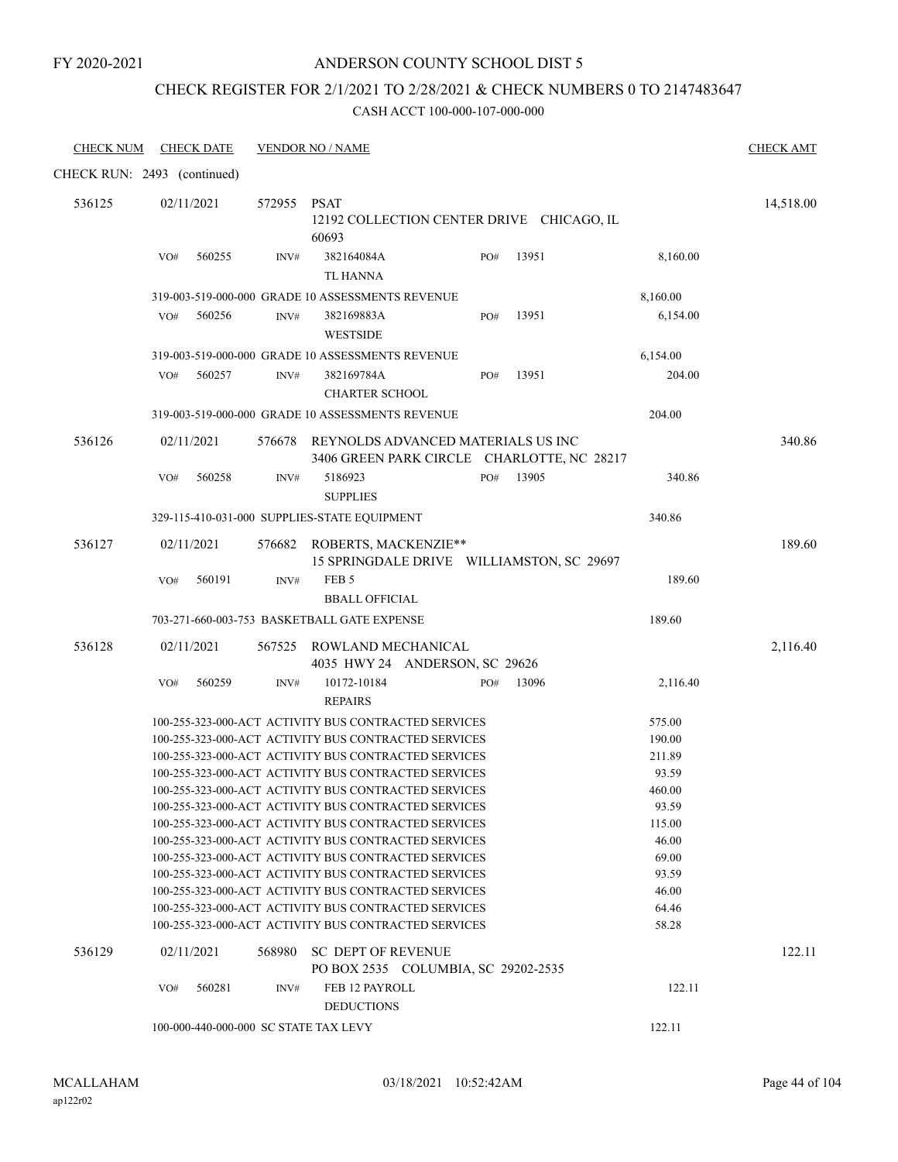### ANDERSON COUNTY SCHOOL DIST 5

### CHECK REGISTER FOR 2/1/2021 TO 2/28/2021 & CHECK NUMBERS 0 TO 2147483647

| <b>CHECK NUM</b>            |     | <b>CHECK DATE</b> |             | <b>VENDOR NO / NAME</b>                                                                                      |     |       |                 | <b>CHECK AMT</b> |
|-----------------------------|-----|-------------------|-------------|--------------------------------------------------------------------------------------------------------------|-----|-------|-----------------|------------------|
| CHECK RUN: 2493 (continued) |     |                   |             |                                                                                                              |     |       |                 |                  |
| 536125                      |     | 02/11/2021        | 572955 PSAT | 12192 COLLECTION CENTER DRIVE CHICAGO, IL<br>60693                                                           |     |       |                 | 14,518.00        |
|                             | VO# | 560255            | INV#        | 382164084A<br><b>TL HANNA</b>                                                                                | PO# | 13951 | 8,160.00        |                  |
|                             |     |                   |             | 319-003-519-000-000 GRADE 10 ASSESSMENTS REVENUE                                                             |     |       | 8,160.00        |                  |
|                             | VO# | 560256            | INV#        | 382169883A<br><b>WESTSIDE</b>                                                                                | PO# | 13951 | 6,154.00        |                  |
|                             |     |                   |             | 319-003-519-000-000 GRADE 10 ASSESSMENTS REVENUE                                                             |     |       | 6,154.00        |                  |
|                             | VO# | 560257            | INV#        | 382169784A<br><b>CHARTER SCHOOL</b>                                                                          | PO# | 13951 | 204.00          |                  |
|                             |     |                   |             | 319-003-519-000-000 GRADE 10 ASSESSMENTS REVENUE                                                             |     |       | 204.00          |                  |
| 536126                      |     | 02/11/2021        |             | 576678 REYNOLDS ADVANCED MATERIALS US INC<br>3406 GREEN PARK CIRCLE CHARLOTTE, NC 28217                      |     |       |                 | 340.86           |
|                             | VO# | 560258            | INV#        | 5186923<br><b>SUPPLIES</b>                                                                                   | PO# | 13905 | 340.86          |                  |
|                             |     |                   |             | 329-115-410-031-000 SUPPLIES-STATE EQUIPMENT                                                                 |     |       | 340.86          |                  |
|                             |     |                   |             |                                                                                                              |     |       |                 |                  |
| 536127                      |     | 02/11/2021        |             | 576682 ROBERTS, MACKENZIE**<br>15 SPRINGDALE DRIVE WILLIAMSTON, SC 29697                                     |     |       |                 | 189.60           |
|                             | VO# | 560191            | INV#        | FEB <sub>5</sub>                                                                                             |     |       | 189.60          |                  |
|                             |     |                   |             | <b>BBALL OFFICIAL</b>                                                                                        |     |       |                 |                  |
|                             |     |                   |             | 703-271-660-003-753 BASKETBALL GATE EXPENSE                                                                  |     |       | 189.60          |                  |
| 536128                      |     | 02/11/2021        |             | 567525 ROWLAND MECHANICAL<br>4035 HWY 24 ANDERSON, SC 29626                                                  |     |       |                 | 2,116.40         |
|                             | VO# | 560259            | INV#        | 10172-10184<br><b>REPAIRS</b>                                                                                | PO# | 13096 | 2,116.40        |                  |
|                             |     |                   |             | 100-255-323-000-ACT ACTIVITY BUS CONTRACTED SERVICES                                                         |     |       | 575.00          |                  |
|                             |     |                   |             | 100-255-323-000-ACT ACTIVITY BUS CONTRACTED SERVICES                                                         |     |       | 190.00          |                  |
|                             |     |                   |             | 100-255-323-000-ACT ACTIVITY BUS CONTRACTED SERVICES                                                         |     |       | 211.89          |                  |
|                             |     |                   |             | 100-255-323-000-ACT ACTIVITY BUS CONTRACTED SERVICES                                                         |     |       | 93.59           |                  |
|                             |     |                   |             | 100-255-323-000-ACT ACTIVITY BUS CONTRACTED SERVICES                                                         |     |       | 460.00          |                  |
|                             |     |                   |             | 100-255-323-000-ACT ACTIVITY BUS CONTRACTED SERVICES                                                         |     |       | 93.59<br>115.00 |                  |
|                             |     |                   |             | 100-255-323-000-ACT ACTIVITY BUS CONTRACTED SERVICES<br>100-255-323-000-ACT ACTIVITY BUS CONTRACTED SERVICES |     |       | 46.00           |                  |
|                             |     |                   |             | 100-255-323-000-ACT ACTIVITY BUS CONTRACTED SERVICES                                                         |     |       | 69.00           |                  |
|                             |     |                   |             | 100-255-323-000-ACT ACTIVITY BUS CONTRACTED SERVICES                                                         |     |       | 93.59           |                  |
|                             |     |                   |             | 100-255-323-000-ACT ACTIVITY BUS CONTRACTED SERVICES                                                         |     |       | 46.00           |                  |
|                             |     |                   |             | 100-255-323-000-ACT ACTIVITY BUS CONTRACTED SERVICES                                                         |     |       | 64.46           |                  |
|                             |     |                   |             | 100-255-323-000-ACT ACTIVITY BUS CONTRACTED SERVICES                                                         |     |       | 58.28           |                  |
| 536129                      |     | 02/11/2021        | 568980      | <b>SC DEPT OF REVENUE</b><br>PO BOX 2535 COLUMBIA, SC 29202-2535                                             |     |       |                 | 122.11           |
|                             | VO# | 560281            | INV#        | FEB 12 PAYROLL<br><b>DEDUCTIONS</b>                                                                          |     |       | 122.11          |                  |
|                             |     |                   |             | 100-000-440-000-000 SC STATE TAX LEVY                                                                        |     |       | 122.11          |                  |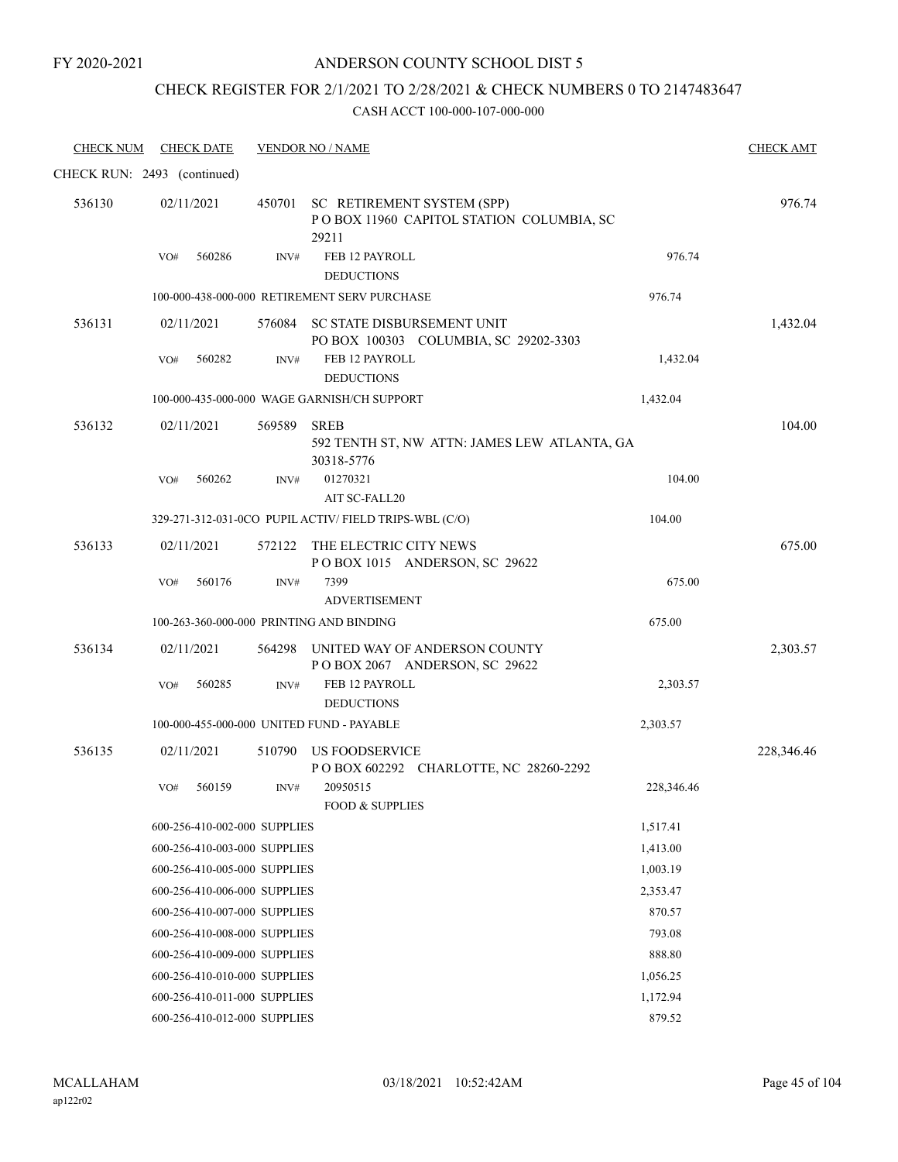### ANDERSON COUNTY SCHOOL DIST 5

# CHECK REGISTER FOR 2/1/2021 TO 2/28/2021 & CHECK NUMBERS 0 TO 2147483647

| <b>CHECK NUM</b>            |     | <b>CHECK DATE</b>            |        | <b>VENDOR NO / NAME</b>                                                                |            | <b>CHECK AMT</b> |
|-----------------------------|-----|------------------------------|--------|----------------------------------------------------------------------------------------|------------|------------------|
| CHECK RUN: 2493 (continued) |     |                              |        |                                                                                        |            |                  |
| 536130                      |     | 02/11/2021                   |        | 450701 SC RETIREMENT SYSTEM (SPP)<br>POBOX 11960 CAPITOL STATION COLUMBIA, SC<br>29211 |            | 976.74           |
|                             | VO# | 560286                       | INV#   | FEB 12 PAYROLL<br><b>DEDUCTIONS</b>                                                    | 976.74     |                  |
|                             |     |                              |        | 100-000-438-000-000 RETIREMENT SERV PURCHASE                                           | 976.74     |                  |
| 536131                      |     | 02/11/2021                   |        | 576084 SC STATE DISBURSEMENT UNIT<br>PO BOX 100303 COLUMBIA, SC 29202-3303             |            | 1,432.04         |
|                             | VO# | 560282                       | INV#   | FEB 12 PAYROLL<br><b>DEDUCTIONS</b>                                                    | 1,432.04   |                  |
|                             |     |                              |        | 100-000-435-000-000 WAGE GARNISH/CH SUPPORT                                            | 1,432.04   |                  |
| 536132                      |     | 02/11/2021                   | 569589 | <b>SREB</b><br>592 TENTH ST, NW ATTN: JAMES LEW ATLANTA, GA<br>30318-5776              |            | 104.00           |
|                             | VO# | 560262                       | INV#   | 01270321<br>AIT SC-FALL20                                                              | 104.00     |                  |
|                             |     |                              |        | 329-271-312-031-0CO PUPIL ACTIV/ FIELD TRIPS-WBL (C/O)                                 | 104.00     |                  |
| 536133                      |     | 02/11/2021                   |        | 572122 THE ELECTRIC CITY NEWS<br>POBOX 1015 ANDERSON, SC 29622                         |            | 675.00           |
|                             | VO# | 560176                       | INV#   | 7399                                                                                   | 675.00     |                  |
|                             |     |                              |        | <b>ADVERTISEMENT</b>                                                                   |            |                  |
|                             |     |                              |        | 100-263-360-000-000 PRINTING AND BINDING                                               | 675.00     |                  |
| 536134                      |     | 02/11/2021                   |        | 564298 UNITED WAY OF ANDERSON COUNTY<br>POBOX 2067 ANDERSON, SC 29622                  |            | 2,303.57         |
|                             | VO# | 560285                       | INV#   | FEB 12 PAYROLL<br><b>DEDUCTIONS</b>                                                    | 2,303.57   |                  |
|                             |     |                              |        | 100-000-455-000-000 UNITED FUND - PAYABLE                                              | 2,303.57   |                  |
| 536135                      |     | 02/11/2021                   | 510790 | US FOODSERVICE<br>POBOX 602292 CHARLOTTE, NC 28260-2292                                |            | 228,346.46       |
|                             | VO# | 560159                       | INV#   | 20950515                                                                               | 228,346.46 |                  |
|                             |     |                              |        | <b>FOOD &amp; SUPPLIES</b>                                                             |            |                  |
|                             |     | 600-256-410-002-000 SUPPLIES |        |                                                                                        | 1,517.41   |                  |
|                             |     | 600-256-410-003-000 SUPPLIES |        |                                                                                        | 1,413.00   |                  |
|                             |     | 600-256-410-005-000 SUPPLIES |        |                                                                                        | 1,003.19   |                  |
|                             |     | 600-256-410-006-000 SUPPLIES |        |                                                                                        | 2,353.47   |                  |
|                             |     | 600-256-410-007-000 SUPPLIES |        |                                                                                        | 870.57     |                  |
|                             |     | 600-256-410-008-000 SUPPLIES |        |                                                                                        | 793.08     |                  |
|                             |     | 600-256-410-009-000 SUPPLIES |        |                                                                                        | 888.80     |                  |
|                             |     | 600-256-410-010-000 SUPPLIES |        |                                                                                        | 1,056.25   |                  |
|                             |     | 600-256-410-011-000 SUPPLIES |        |                                                                                        | 1,172.94   |                  |
|                             |     | 600-256-410-012-000 SUPPLIES |        |                                                                                        | 879.52     |                  |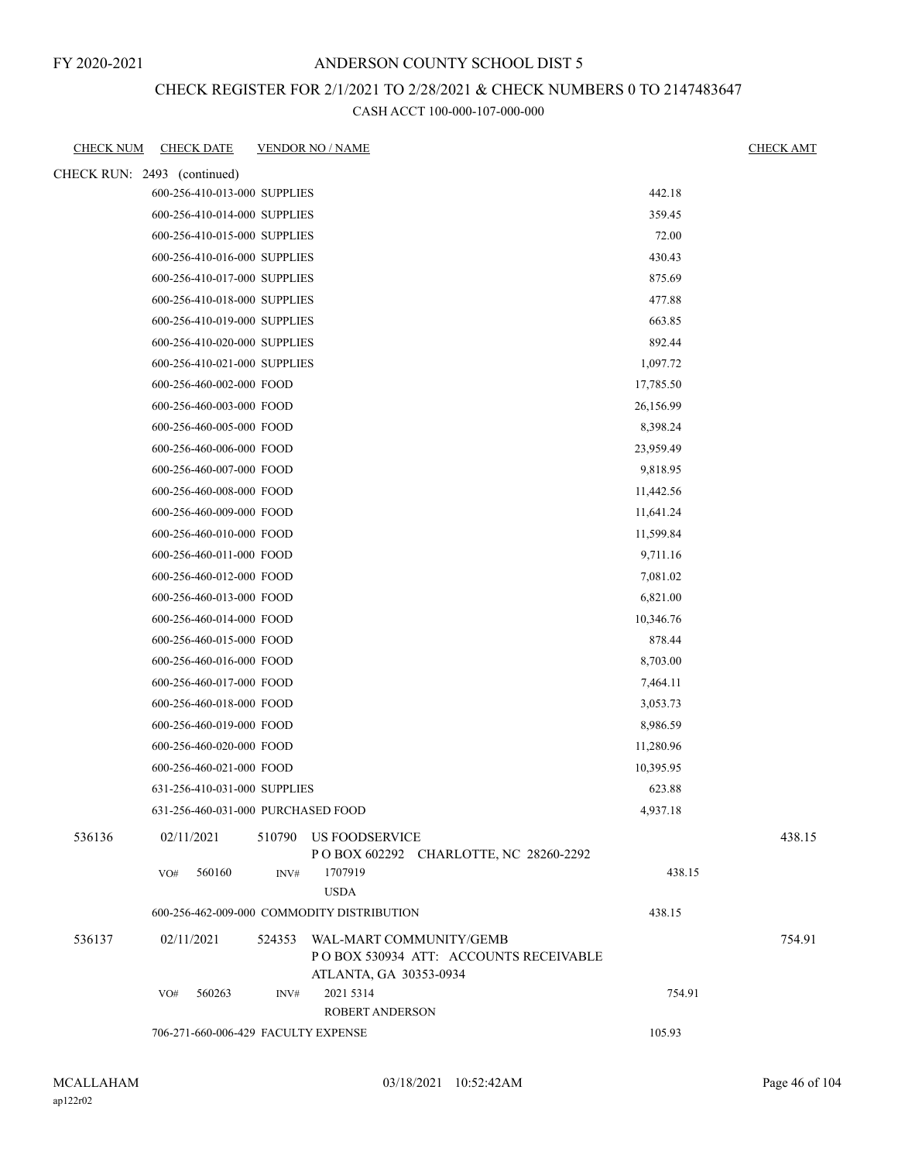# CHECK REGISTER FOR 2/1/2021 TO 2/28/2021 & CHECK NUMBERS 0 TO 2147483647

| <b>CHECK NUM</b>            | <b>CHECK DATE</b>            | <b>VENDOR NO / NAME</b>                                                                            |           | <b>CHECK AMT</b> |
|-----------------------------|------------------------------|----------------------------------------------------------------------------------------------------|-----------|------------------|
| CHECK RUN: 2493 (continued) |                              |                                                                                                    |           |                  |
|                             | 600-256-410-013-000 SUPPLIES |                                                                                                    | 442.18    |                  |
|                             | 600-256-410-014-000 SUPPLIES |                                                                                                    | 359.45    |                  |
|                             | 600-256-410-015-000 SUPPLIES |                                                                                                    | 72.00     |                  |
|                             | 600-256-410-016-000 SUPPLIES |                                                                                                    | 430.43    |                  |
|                             | 600-256-410-017-000 SUPPLIES |                                                                                                    | 875.69    |                  |
|                             | 600-256-410-018-000 SUPPLIES |                                                                                                    | 477.88    |                  |
|                             | 600-256-410-019-000 SUPPLIES |                                                                                                    | 663.85    |                  |
|                             | 600-256-410-020-000 SUPPLIES |                                                                                                    | 892.44    |                  |
|                             | 600-256-410-021-000 SUPPLIES |                                                                                                    | 1,097.72  |                  |
|                             | 600-256-460-002-000 FOOD     |                                                                                                    | 17,785.50 |                  |
|                             | 600-256-460-003-000 FOOD     |                                                                                                    | 26,156.99 |                  |
|                             | 600-256-460-005-000 FOOD     |                                                                                                    | 8,398.24  |                  |
|                             | 600-256-460-006-000 FOOD     |                                                                                                    | 23,959.49 |                  |
|                             | 600-256-460-007-000 FOOD     |                                                                                                    | 9,818.95  |                  |
|                             | 600-256-460-008-000 FOOD     |                                                                                                    | 11,442.56 |                  |
|                             | 600-256-460-009-000 FOOD     |                                                                                                    | 11,641.24 |                  |
|                             | 600-256-460-010-000 FOOD     |                                                                                                    | 11,599.84 |                  |
|                             | 600-256-460-011-000 FOOD     |                                                                                                    | 9,711.16  |                  |
|                             | 600-256-460-012-000 FOOD     |                                                                                                    | 7,081.02  |                  |
|                             | 600-256-460-013-000 FOOD     |                                                                                                    | 6,821.00  |                  |
|                             | 600-256-460-014-000 FOOD     |                                                                                                    | 10,346.76 |                  |
|                             | 600-256-460-015-000 FOOD     |                                                                                                    | 878.44    |                  |
|                             | 600-256-460-016-000 FOOD     |                                                                                                    | 8,703.00  |                  |
|                             | 600-256-460-017-000 FOOD     |                                                                                                    | 7,464.11  |                  |
|                             | 600-256-460-018-000 FOOD     |                                                                                                    | 3,053.73  |                  |
|                             | 600-256-460-019-000 FOOD     |                                                                                                    | 8,986.59  |                  |
|                             | 600-256-460-020-000 FOOD     |                                                                                                    | 11,280.96 |                  |
|                             | 600-256-460-021-000 FOOD     |                                                                                                    | 10,395.95 |                  |
|                             | 631-256-410-031-000 SUPPLIES |                                                                                                    | 623.88    |                  |
|                             |                              | 631-256-460-031-000 PURCHASED FOOD                                                                 | 4,937.18  |                  |
| 536136                      | 02/11/2021                   | 510790 US FOODSERVICE<br>POBOX 602292 CHARLOTTE, NC 28260-2292                                     |           | 438.15           |
|                             | 560160<br>VO#                | 1707919<br>INV#                                                                                    | 438.15    |                  |
|                             |                              | <b>USDA</b>                                                                                        |           |                  |
|                             |                              | 600-256-462-009-000 COMMODITY DISTRIBUTION                                                         | 438.15    |                  |
| 536137                      | 02/11/2021                   | 524353 WAL-MART COMMUNITY/GEMB<br>PO BOX 530934 ATT: ACCOUNTS RECEIVABLE<br>ATLANTA, GA 30353-0934 |           | 754.91           |
|                             | 560263<br>VO#                | 2021 5314<br>INV#                                                                                  | 754.91    |                  |
|                             |                              | ROBERT ANDERSON                                                                                    |           |                  |
|                             |                              | 706-271-660-006-429 FACULTY EXPENSE                                                                | 105.93    |                  |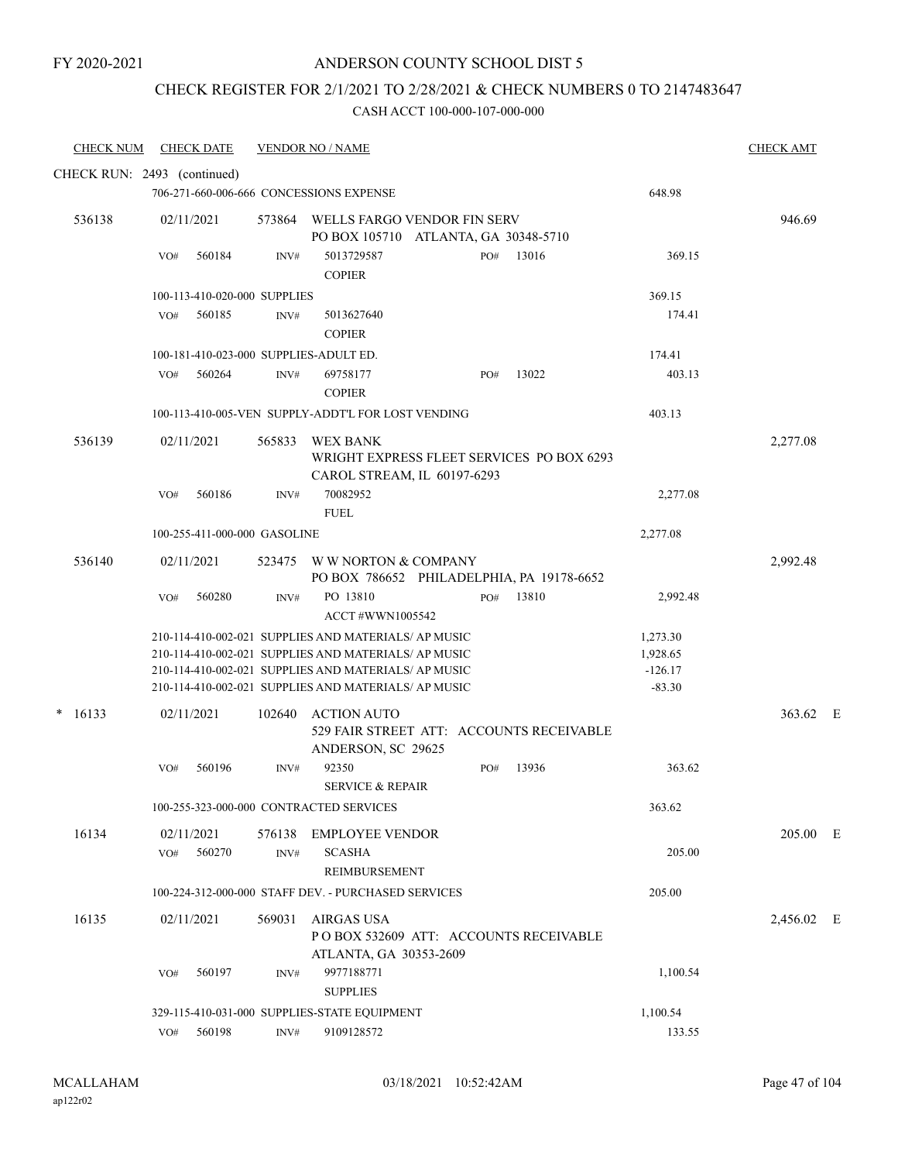# ANDERSON COUNTY SCHOOL DIST 5

## CHECK REGISTER FOR 2/1/2021 TO 2/28/2021 & CHECK NUMBERS 0 TO 2147483647

| <b>CHECK NUM</b>            | <b>CHECK DATE</b> |        |                              | <b>VENDOR NO / NAME</b>                                                                                                                                                                                                      |     |       |                                               | <b>CHECK AMT</b> |  |
|-----------------------------|-------------------|--------|------------------------------|------------------------------------------------------------------------------------------------------------------------------------------------------------------------------------------------------------------------------|-----|-------|-----------------------------------------------|------------------|--|
| CHECK RUN: 2493 (continued) |                   |        |                              |                                                                                                                                                                                                                              |     |       |                                               |                  |  |
|                             |                   |        |                              | 706-271-660-006-666 CONCESSIONS EXPENSE                                                                                                                                                                                      |     |       | 648.98                                        |                  |  |
| 536138                      | 02/11/2021        |        |                              | 573864 WELLS FARGO VENDOR FIN SERV<br>PO BOX 105710 ATLANTA, GA 30348-5710                                                                                                                                                   |     |       |                                               | 946.69           |  |
|                             | VO#               | 560184 | INV#                         | 5013729587<br><b>COPIER</b>                                                                                                                                                                                                  | PO# | 13016 | 369.15                                        |                  |  |
|                             |                   |        | 100-113-410-020-000 SUPPLIES |                                                                                                                                                                                                                              |     |       | 369.15                                        |                  |  |
|                             | VO#               | 560185 | INV#                         | 5013627640<br><b>COPIER</b>                                                                                                                                                                                                  |     |       | 174.41                                        |                  |  |
|                             |                   |        |                              | 100-181-410-023-000 SUPPLIES-ADULT ED.                                                                                                                                                                                       |     |       | 174.41                                        |                  |  |
|                             | VO#               | 560264 | INV#                         | 69758177<br><b>COPIER</b>                                                                                                                                                                                                    | PO# | 13022 | 403.13                                        |                  |  |
|                             |                   |        |                              | 100-113-410-005-VEN SUPPLY-ADDT'L FOR LOST VENDING                                                                                                                                                                           |     |       | 403.13                                        |                  |  |
| 536139                      | 02/11/2021        |        | 565833                       | WEX BANK<br>WRIGHT EXPRESS FLEET SERVICES PO BOX 6293<br>CAROL STREAM, IL 60197-6293                                                                                                                                         |     |       |                                               | 2,277.08         |  |
|                             | VO#               | 560186 | INV#                         | 70082952<br><b>FUEL</b>                                                                                                                                                                                                      |     |       | 2,277.08                                      |                  |  |
|                             |                   |        | 100-255-411-000-000 GASOLINE |                                                                                                                                                                                                                              |     |       | 2,277.08                                      |                  |  |
| 536140                      | 02/11/2021        |        |                              | 523475 W W NORTON & COMPANY<br>PO BOX 786652 PHILADELPHIA, PA 19178-6652                                                                                                                                                     |     |       |                                               | 2,992.48         |  |
|                             | VO#               | 560280 | INV#                         | PO 13810<br><b>ACCT #WWN1005542</b>                                                                                                                                                                                          | PO# | 13810 | 2,992.48                                      |                  |  |
|                             |                   |        |                              | 210-114-410-002-021 SUPPLIES AND MATERIALS/ AP MUSIC<br>210-114-410-002-021 SUPPLIES AND MATERIALS/ AP MUSIC<br>210-114-410-002-021 SUPPLIES AND MATERIALS/ AP MUSIC<br>210-114-410-002-021 SUPPLIES AND MATERIALS/ AP MUSIC |     |       | 1,273.30<br>1,928.65<br>$-126.17$<br>$-83.30$ |                  |  |
| 16133                       | 02/11/2021        |        | 102640                       | <b>ACTION AUTO</b><br>529 FAIR STREET ATT: ACCOUNTS RECEIVABLE<br>ANDERSON, SC 29625                                                                                                                                         |     |       |                                               | 363.62 E         |  |
|                             | VO#               | 560196 | INV#                         | 92350<br><b>SERVICE &amp; REPAIR</b>                                                                                                                                                                                         | PO# | 13936 | 363.62                                        |                  |  |
|                             |                   |        |                              | 100-255-323-000-000 CONTRACTED SERVICES                                                                                                                                                                                      |     |       | 363.62                                        |                  |  |
| 16134                       | 02/11/2021<br>VO# | 560270 | 576138<br>INV#               | <b>EMPLOYEE VENDOR</b><br><b>SCASHA</b><br>REIMBURSEMENT                                                                                                                                                                     |     |       | 205.00                                        | 205.00 E         |  |
|                             |                   |        |                              | 100-224-312-000-000 STAFF DEV. - PURCHASED SERVICES                                                                                                                                                                          |     |       | 205.00                                        |                  |  |
| 16135                       | 02/11/2021        |        | 569031                       | AIRGAS USA<br>PO BOX 532609 ATT: ACCOUNTS RECEIVABLE<br>ATLANTA, GA 30353-2609                                                                                                                                               |     |       |                                               | 2,456.02 E       |  |
|                             | VO#               | 560197 | INV#                         | 9977188771<br><b>SUPPLIES</b>                                                                                                                                                                                                |     |       | 1,100.54                                      |                  |  |
|                             |                   |        |                              | 329-115-410-031-000 SUPPLIES-STATE EQUIPMENT                                                                                                                                                                                 |     |       | 1,100.54                                      |                  |  |
|                             | VO# 560198        |        | $\text{INV}\#$               | 9109128572                                                                                                                                                                                                                   |     |       | 133.55                                        |                  |  |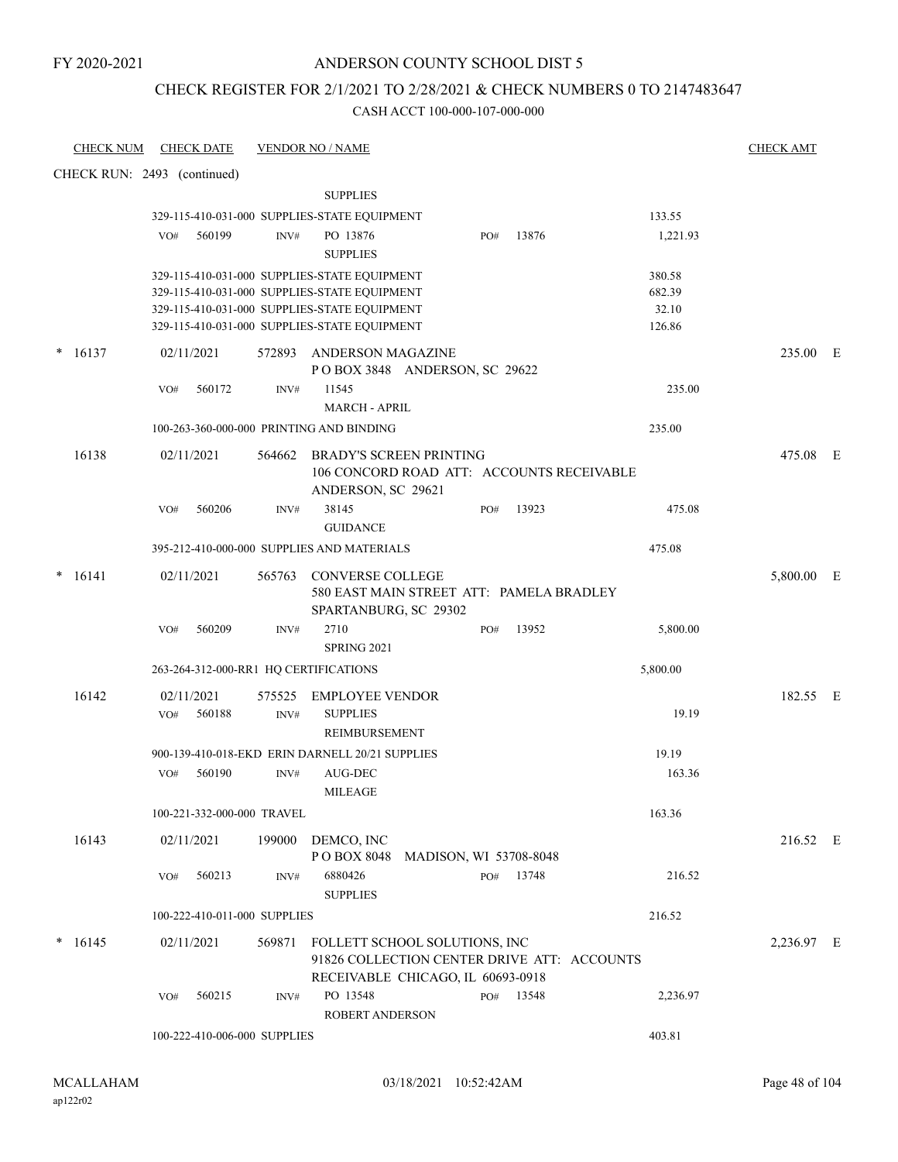# ANDERSON COUNTY SCHOOL DIST 5

# CHECK REGISTER FOR 2/1/2021 TO 2/28/2021 & CHECK NUMBERS 0 TO 2147483647

| <b>CHECK NUM</b> | <b>CHECK DATE</b>                                                                            |                | <b>VENDOR NO / NAME</b>                                                      |     |           |                 | <b>CHECK AMT</b> |  |
|------------------|----------------------------------------------------------------------------------------------|----------------|------------------------------------------------------------------------------|-----|-----------|-----------------|------------------|--|
|                  | CHECK RUN: 2493 (continued)                                                                  |                |                                                                              |     |           |                 |                  |  |
|                  |                                                                                              |                | <b>SUPPLIES</b>                                                              |     |           |                 |                  |  |
|                  | 329-115-410-031-000 SUPPLIES-STATE EQUIPMENT                                                 |                |                                                                              |     |           | 133.55          |                  |  |
|                  | 560199<br>VO#                                                                                | INV#           | PO 13876<br><b>SUPPLIES</b>                                                  | PO# | 13876     | 1,221.93        |                  |  |
|                  | 329-115-410-031-000 SUPPLIES-STATE EQUIPMENT                                                 |                |                                                                              |     |           | 380.58          |                  |  |
|                  | 329-115-410-031-000 SUPPLIES-STATE EQUIPMENT                                                 |                |                                                                              |     |           | 682.39          |                  |  |
|                  | 329-115-410-031-000 SUPPLIES-STATE EQUIPMENT<br>329-115-410-031-000 SUPPLIES-STATE EQUIPMENT |                |                                                                              |     |           | 32.10<br>126.86 |                  |  |
| 16137            | 02/11/2021                                                                                   | 572893         | <b>ANDERSON MAGAZINE</b><br>POBOX 3848 ANDERSON, SC 29622                    |     |           |                 | 235.00 E         |  |
|                  | 560172<br>VO#                                                                                | INV#           | 11545<br><b>MARCH - APRIL</b>                                                |     |           | 235.00          |                  |  |
|                  | 100-263-360-000-000 PRINTING AND BINDING                                                     |                |                                                                              |     |           | 235.00          |                  |  |
| 16138            | 02/11/2021                                                                                   | 564662         | <b>BRADY'S SCREEN PRINTING</b>                                               |     |           |                 | 475.08 E         |  |
|                  |                                                                                              |                | 106 CONCORD ROAD ATT: ACCOUNTS RECEIVABLE<br>ANDERSON, SC 29621              |     |           |                 |                  |  |
|                  | 560206<br>VO#                                                                                | INV#           | 38145<br><b>GUIDANCE</b>                                                     | PO# | 13923     | 475.08          |                  |  |
|                  | 395-212-410-000-000 SUPPLIES AND MATERIALS                                                   |                |                                                                              |     |           | 475.08          |                  |  |
| $* 16141$        | 02/11/2021                                                                                   | 565763         | <b>CONVERSE COLLEGE</b><br>580 EAST MAIN STREET ATT: PAMELA BRADLEY          |     |           |                 | 5,800.00 E       |  |
|                  | 560209<br>VO#                                                                                | INV#           | SPARTANBURG, SC 29302<br>2710<br><b>SPRING 2021</b>                          | PO# | 13952     | 5,800.00        |                  |  |
|                  | 263-264-312-000-RR1 HQ CERTIFICATIONS                                                        |                |                                                                              |     |           | 5,800.00        |                  |  |
| 16142            | 02/11/2021                                                                                   |                |                                                                              |     |           |                 | 182.55 E         |  |
|                  | 560188<br>VO#                                                                                | 575525<br>INV# | <b>EMPLOYEE VENDOR</b><br><b>SUPPLIES</b>                                    |     |           | 19.19           |                  |  |
|                  |                                                                                              |                | REIMBURSEMENT                                                                |     |           |                 |                  |  |
|                  | 900-139-410-018-EKD ERIN DARNELL 20/21 SUPPLIES                                              |                |                                                                              |     |           | 19.19           |                  |  |
|                  | 560190<br>VO#                                                                                | INV#           | AUG-DEC<br>MILEAGE                                                           |     |           | 163.36          |                  |  |
|                  | 100-221-332-000-000 TRAVEL                                                                   |                |                                                                              |     |           | 163.36          |                  |  |
| 16143            | 02/11/2021                                                                                   |                | 199000 DEMCO, INC<br>POBOX 8048 MADISON, WI 53708-8048                       |     |           |                 | 216.52 E         |  |
|                  | 560213<br>VO#                                                                                | INV#           | 6880426<br><b>SUPPLIES</b>                                                   |     | PO# 13748 | 216.52          |                  |  |
|                  | 100-222-410-011-000 SUPPLIES                                                                 |                |                                                                              |     |           | 216.52          |                  |  |
| 16145            | 02/11/2021                                                                                   | 569871         | FOLLETT SCHOOL SOLUTIONS, INC<br>91826 COLLECTION CENTER DRIVE ATT: ACCOUNTS |     |           |                 | 2,236.97 E       |  |
|                  |                                                                                              |                | RECEIVABLE CHICAGO, IL 60693-0918                                            |     |           |                 |                  |  |
|                  | 560215<br>VO#                                                                                | INV#           | PO 13548<br><b>ROBERT ANDERSON</b>                                           |     | PO# 13548 | 2,236.97        |                  |  |
|                  | 100-222-410-006-000 SUPPLIES                                                                 |                |                                                                              |     |           | 403.81          |                  |  |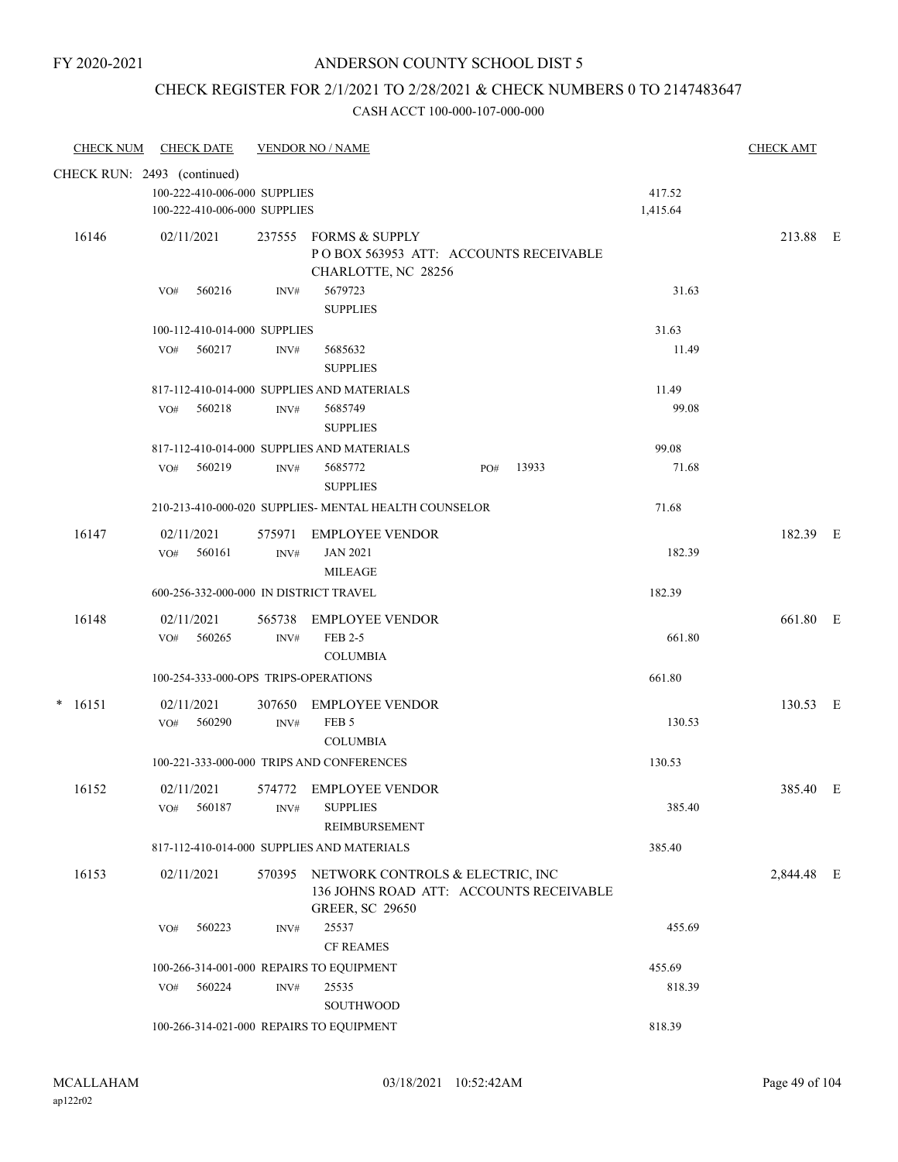# CHECK REGISTER FOR 2/1/2021 TO 2/28/2021 & CHECK NUMBERS 0 TO 2147483647

| <b>CHECK NUM</b> | <b>CHECK DATE</b>                        |                | <b>VENDOR NO / NAME</b>                               |     |       |          | <b>CHECK AMT</b> |  |
|------------------|------------------------------------------|----------------|-------------------------------------------------------|-----|-------|----------|------------------|--|
|                  | CHECK RUN: 2493 (continued)              |                |                                                       |     |       |          |                  |  |
|                  | 100-222-410-006-000 SUPPLIES             |                |                                                       |     |       | 417.52   |                  |  |
|                  | 100-222-410-006-000 SUPPLIES             |                |                                                       |     |       | 1,415.64 |                  |  |
| 16146            | 02/11/2021                               |                | 237555 FORMS & SUPPLY                                 |     |       |          | 213.88 E         |  |
|                  |                                          |                | POBOX 563953 ATT: ACCOUNTS RECEIVABLE                 |     |       |          |                  |  |
|                  |                                          |                | CHARLOTTE, NC 28256                                   |     |       |          |                  |  |
|                  | 560216<br>VO#                            | INV#           | 5679723                                               |     |       | 31.63    |                  |  |
|                  |                                          |                | <b>SUPPLIES</b>                                       |     |       |          |                  |  |
|                  | 100-112-410-014-000 SUPPLIES             |                |                                                       |     |       | 31.63    |                  |  |
|                  | 560217<br>VO#                            | INV#           | 5685632<br><b>SUPPLIES</b>                            |     |       | 11.49    |                  |  |
|                  |                                          |                | 817-112-410-014-000 SUPPLIES AND MATERIALS            |     |       | 11.49    |                  |  |
|                  | 560218<br>VO#                            | INV#           | 5685749                                               |     |       | 99.08    |                  |  |
|                  |                                          |                | <b>SUPPLIES</b>                                       |     |       |          |                  |  |
|                  |                                          |                | 817-112-410-014-000 SUPPLIES AND MATERIALS            |     |       | 99.08    |                  |  |
|                  | 560219<br>VO#                            | INV#           | 5685772<br><b>SUPPLIES</b>                            | PO# | 13933 | 71.68    |                  |  |
|                  |                                          |                | 210-213-410-000-020 SUPPLIES- MENTAL HEALTH COUNSELOR |     |       | 71.68    |                  |  |
| 16147            | 02/11/2021                               |                | 575971 EMPLOYEE VENDOR                                |     |       |          | 182.39 E         |  |
|                  | VO# 560161                               | $\text{INV}\#$ | <b>JAN 2021</b>                                       |     |       | 182.39   |                  |  |
|                  |                                          |                | <b>MILEAGE</b>                                        |     |       |          |                  |  |
|                  | 600-256-332-000-000 IN DISTRICT TRAVEL   |                |                                                       |     |       | 182.39   |                  |  |
| 16148            | 02/11/2021                               |                | 565738 EMPLOYEE VENDOR                                |     |       |          | 661.80 E         |  |
|                  | 560265<br>VO#                            | $\text{INV}\#$ | FEB 2-5                                               |     |       | 661.80   |                  |  |
|                  |                                          |                | <b>COLUMBIA</b>                                       |     |       |          |                  |  |
|                  | 100-254-333-000-OPS TRIPS-OPERATIONS     |                |                                                       |     |       | 661.80   |                  |  |
| $* 16151$        | 02/11/2021                               | 307650         | <b>EMPLOYEE VENDOR</b>                                |     |       |          | 130.53 E         |  |
|                  | 560290<br>VO#                            | INV#           | FEB <sub>5</sub>                                      |     |       | 130.53   |                  |  |
|                  |                                          |                | <b>COLUMBIA</b>                                       |     |       |          |                  |  |
|                  |                                          |                | 100-221-333-000-000 TRIPS AND CONFERENCES             |     |       | 130.53   |                  |  |
| 16152            | 02/11/2021                               |                | 574772 EMPLOYEE VENDOR                                |     |       |          | 385.40 E         |  |
|                  | 560187<br>VO#                            | INV#           | <b>SUPPLIES</b>                                       |     |       | 385.40   |                  |  |
|                  |                                          |                | <b>REIMBURSEMENT</b>                                  |     |       |          |                  |  |
|                  |                                          |                | 817-112-410-014-000 SUPPLIES AND MATERIALS            |     |       | 385.40   |                  |  |
| 16153            | 02/11/2021                               |                | 570395 NETWORK CONTROLS & ELECTRIC, INC               |     |       |          | 2,844.48 E       |  |
|                  |                                          |                | 136 JOHNS ROAD ATT: ACCOUNTS RECEIVABLE               |     |       |          |                  |  |
|                  |                                          |                | <b>GREER, SC 29650</b>                                |     |       |          |                  |  |
|                  | 560223<br>VO#                            | INV#           | 25537                                                 |     |       | 455.69   |                  |  |
|                  |                                          |                | <b>CF REAMES</b>                                      |     |       |          |                  |  |
|                  | 100-266-314-001-000 REPAIRS TO EQUIPMENT |                |                                                       |     |       | 455.69   |                  |  |
|                  | 560224<br>VO#                            | INV#           | 25535                                                 |     |       | 818.39   |                  |  |
|                  |                                          |                | SOUTHWOOD                                             |     |       |          |                  |  |
|                  | 100-266-314-021-000 REPAIRS TO EQUIPMENT |                |                                                       |     |       | 818.39   |                  |  |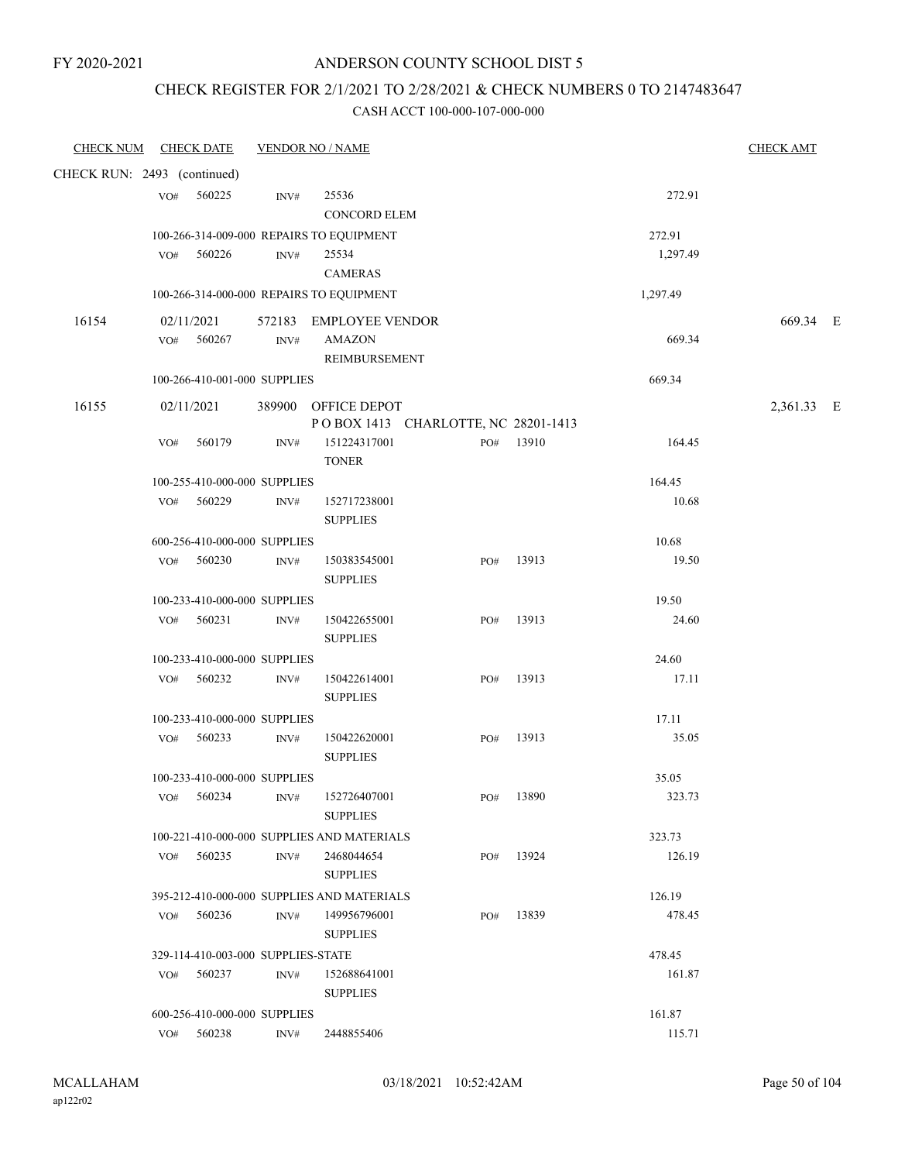## CHECK REGISTER FOR 2/1/2021 TO 2/28/2021 & CHECK NUMBERS 0 TO 2147483647

| CHECK NUM CHECK DATE        |     |                                    |                | <b>VENDOR NO / NAME</b>                                    |     |           |          | <b>CHECK AMT</b> |  |
|-----------------------------|-----|------------------------------------|----------------|------------------------------------------------------------|-----|-----------|----------|------------------|--|
| CHECK RUN: 2493 (continued) |     |                                    |                |                                                            |     |           |          |                  |  |
|                             |     | VO# 560225                         | INV#           | 25536<br><b>CONCORD ELEM</b>                               |     |           | 272.91   |                  |  |
|                             |     |                                    |                | 100-266-314-009-000 REPAIRS TO EQUIPMENT                   |     |           | 272.91   |                  |  |
|                             |     | VO# 560226                         | INV#           | 25534<br><b>CAMERAS</b>                                    |     |           | 1,297.49 |                  |  |
|                             |     |                                    |                | 100-266-314-000-000 REPAIRS TO EQUIPMENT                   |     |           | 1,297.49 |                  |  |
| 16154                       |     | 02/11/2021<br>VO# 560267           | $\text{INV}\#$ | 572183 EMPLOYEE VENDOR<br><b>AMAZON</b>                    |     |           | 669.34   | 669.34 E         |  |
|                             |     |                                    |                | REIMBURSEMENT                                              |     |           |          |                  |  |
|                             |     | 100-266-410-001-000 SUPPLIES       |                |                                                            |     |           | 669.34   |                  |  |
| 16155                       |     | 02/11/2021                         |                | 389900 OFFICE DEPOT<br>POBOX 1413 CHARLOTTE, NC 28201-1413 |     |           |          | 2,361.33 E       |  |
|                             |     | VO# 560179                         | INV#           | 151224317001<br><b>TONER</b>                               |     | PO# 13910 | 164.45   |                  |  |
|                             |     | 100-255-410-000-000 SUPPLIES       |                |                                                            |     |           | 164.45   |                  |  |
|                             |     | VO# 560229                         | INV#           | 152717238001<br><b>SUPPLIES</b>                            |     |           | 10.68    |                  |  |
|                             |     | 600-256-410-000-000 SUPPLIES       |                |                                                            |     |           | 10.68    |                  |  |
|                             |     | VO# 560230                         | INV#           | 150383545001<br><b>SUPPLIES</b>                            |     | PO# 13913 | 19.50    |                  |  |
|                             |     | 100-233-410-000-000 SUPPLIES       |                |                                                            |     |           | 19.50    |                  |  |
|                             |     | VO# 560231                         | INV#           | 150422655001<br><b>SUPPLIES</b>                            | PO# | 13913     | 24.60    |                  |  |
|                             |     | 100-233-410-000-000 SUPPLIES       |                |                                                            |     |           | 24.60    |                  |  |
|                             |     | VO# 560232                         | INV#           | 150422614001<br><b>SUPPLIES</b>                            | PO# | 13913     | 17.11    |                  |  |
|                             |     | 100-233-410-000-000 SUPPLIES       |                |                                                            |     |           | 17.11    |                  |  |
|                             |     | VO# 560233                         | INV#           | 150422620001<br><b>SUPPLIES</b>                            | PO# | 13913     | 35.05    |                  |  |
|                             |     | 100-233-410-000-000 SUPPLIES       |                |                                                            |     |           | 35.05    |                  |  |
|                             | VO# | 560234                             | INV#           | 152726407001<br><b>SUPPLIES</b>                            |     | PO# 13890 | 323.73   |                  |  |
|                             |     |                                    |                | 100-221-410-000-000 SUPPLIES AND MATERIALS                 |     |           | 323.73   |                  |  |
|                             |     | $VO#$ 560235                       | INV#           | 2468044654<br><b>SUPPLIES</b>                              | PO# | 13924     | 126.19   |                  |  |
|                             |     |                                    |                | 395-212-410-000-000 SUPPLIES AND MATERIALS                 |     |           | 126.19   |                  |  |
|                             | VO# | 560236                             | INV#           | 149956796001<br><b>SUPPLIES</b>                            | PO# | 13839     | 478.45   |                  |  |
|                             |     | 329-114-410-003-000 SUPPLIES-STATE |                |                                                            |     |           | 478.45   |                  |  |
|                             | VO# | 560237                             | INV#           | 152688641001<br><b>SUPPLIES</b>                            |     |           | 161.87   |                  |  |
|                             |     | 600-256-410-000-000 SUPPLIES       |                |                                                            |     |           | 161.87   |                  |  |
|                             |     | VO# 560238                         | INV#           | 2448855406                                                 |     |           | 115.71   |                  |  |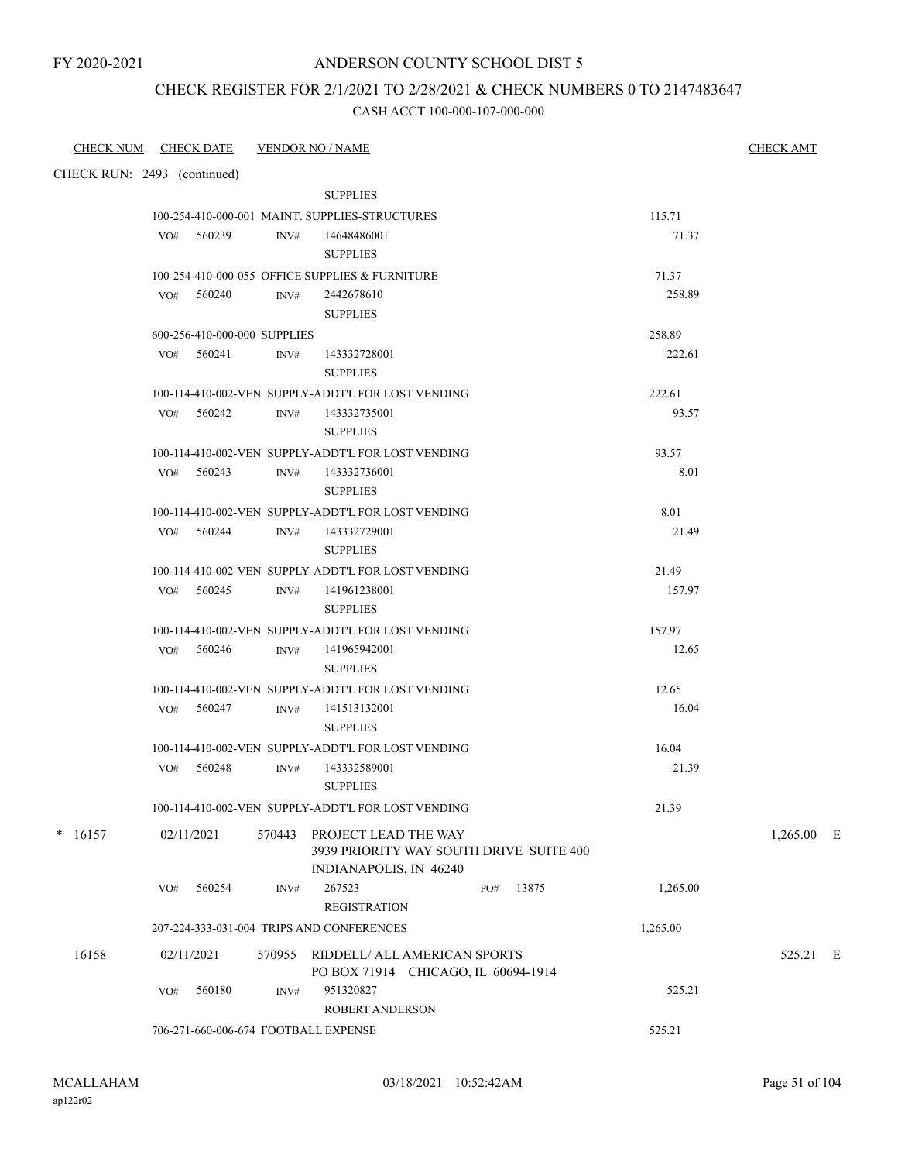### CHECK REGISTER FOR 2/1/2021 TO 2/28/2021 & CHECK NUMBERS 0 TO 2147483647

| CHECK NUM CHECK DATE        |            |                              |      | <b>VENDOR NO / NAME</b>                                                    |              |                 | <b>CHECK AMT</b> |
|-----------------------------|------------|------------------------------|------|----------------------------------------------------------------------------|--------------|-----------------|------------------|
| CHECK RUN: 2493 (continued) |            |                              |      |                                                                            |              |                 |                  |
|                             |            |                              |      | <b>SUPPLIES</b>                                                            |              |                 |                  |
|                             |            |                              |      | 100-254-410-000-001 MAINT. SUPPLIES-STRUCTURES                             |              | 115.71          |                  |
|                             |            | VO# 560239                   | INV# | 14648486001                                                                |              | 71.37           |                  |
|                             |            |                              |      | <b>SUPPLIES</b>                                                            |              |                 |                  |
|                             |            |                              |      | 100-254-410-000-055 OFFICE SUPPLIES & FURNITURE                            |              | 71.37           |                  |
|                             |            | $VO#$ 560240                 | INV# | 2442678610                                                                 |              | 258.89          |                  |
|                             |            |                              |      | <b>SUPPLIES</b>                                                            |              |                 |                  |
|                             |            | 600-256-410-000-000 SUPPLIES |      |                                                                            |              | 258.89          |                  |
|                             |            | VO# 560241                   | INV# | 143332728001<br><b>SUPPLIES</b>                                            |              | 222.61          |                  |
|                             |            |                              |      | 100-114-410-002-VEN SUPPLY-ADDT'L FOR LOST VENDING                         |              | 222.61          |                  |
|                             |            | $VO#$ 560242                 | INV# | 143332735001                                                               |              | 93.57           |                  |
|                             |            |                              |      | <b>SUPPLIES</b>                                                            |              |                 |                  |
|                             |            |                              |      | 100-114-410-002-VEN SUPPLY-ADDT'L FOR LOST VENDING                         |              | 93.57           |                  |
|                             |            | $VO#$ 560243                 | INV# | 143332736001                                                               |              | 8.01            |                  |
|                             |            |                              |      | <b>SUPPLIES</b>                                                            |              |                 |                  |
|                             |            |                              |      | 100-114-410-002-VEN SUPPLY-ADDT'L FOR LOST VENDING                         |              | 8.01            |                  |
|                             |            | VO# 560244                   | INV# | 143332729001                                                               |              | 21.49           |                  |
|                             |            |                              |      | <b>SUPPLIES</b>                                                            |              |                 |                  |
|                             |            |                              |      | 100-114-410-002-VEN SUPPLY-ADDT'L FOR LOST VENDING                         |              | 21.49           |                  |
|                             |            | $VO#$ 560245                 | INV# | 141961238001                                                               |              | 157.97          |                  |
|                             |            |                              |      | <b>SUPPLIES</b>                                                            |              |                 |                  |
|                             |            | VO# 560246                   | INV# | 100-114-410-002-VEN SUPPLY-ADDT'L FOR LOST VENDING<br>141965942001         |              | 157.97<br>12.65 |                  |
|                             |            |                              |      | <b>SUPPLIES</b>                                                            |              |                 |                  |
|                             |            |                              |      | 100-114-410-002-VEN SUPPLY-ADDT'L FOR LOST VENDING                         |              | 12.65           |                  |
|                             |            | VO# 560247                   | INV# | 141513132001                                                               |              | 16.04           |                  |
|                             |            |                              |      | <b>SUPPLIES</b>                                                            |              |                 |                  |
|                             |            |                              |      | 100-114-410-002-VEN SUPPLY-ADDT'L FOR LOST VENDING                         |              | 16.04           |                  |
|                             |            | VO# 560248                   | INV# | 143332589001                                                               |              | 21.39           |                  |
|                             |            |                              |      | <b>SUPPLIES</b>                                                            |              |                 |                  |
|                             |            |                              |      | 100-114-410-002-VEN SUPPLY-ADDT'L FOR LOST VENDING                         |              | 21.39           |                  |
| $* 16157$                   | 02/11/2021 |                              |      | 570443 PROJECT LEAD THE WAY<br>3939 PRIORITY WAY SOUTH DRIVE SUITE 400     |              |                 | $1,265.00$ E     |
|                             | VO#        | 560254                       | INV# | INDIANAPOLIS, IN 46240<br>267523                                           | 13875<br>PO# | 1,265.00        |                  |
|                             |            |                              |      | <b>REGISTRATION</b>                                                        |              |                 |                  |
|                             |            |                              |      | 207-224-333-031-004 TRIPS AND CONFERENCES                                  |              | 1,265.00        |                  |
|                             |            |                              |      |                                                                            |              |                 |                  |
| 16158                       | 02/11/2021 |                              |      | 570955 RIDDELL/ ALL AMERICAN SPORTS<br>PO BOX 71914 CHICAGO, IL 60694-1914 |              |                 | 525.21 E         |
|                             | VO#        | 560180                       | INV# | 951320827                                                                  |              | 525.21          |                  |
|                             |            |                              |      | ROBERT ANDERSON                                                            |              |                 |                  |
|                             |            |                              |      | 706-271-660-006-674 FOOTBALL EXPENSE                                       |              | 525.21          |                  |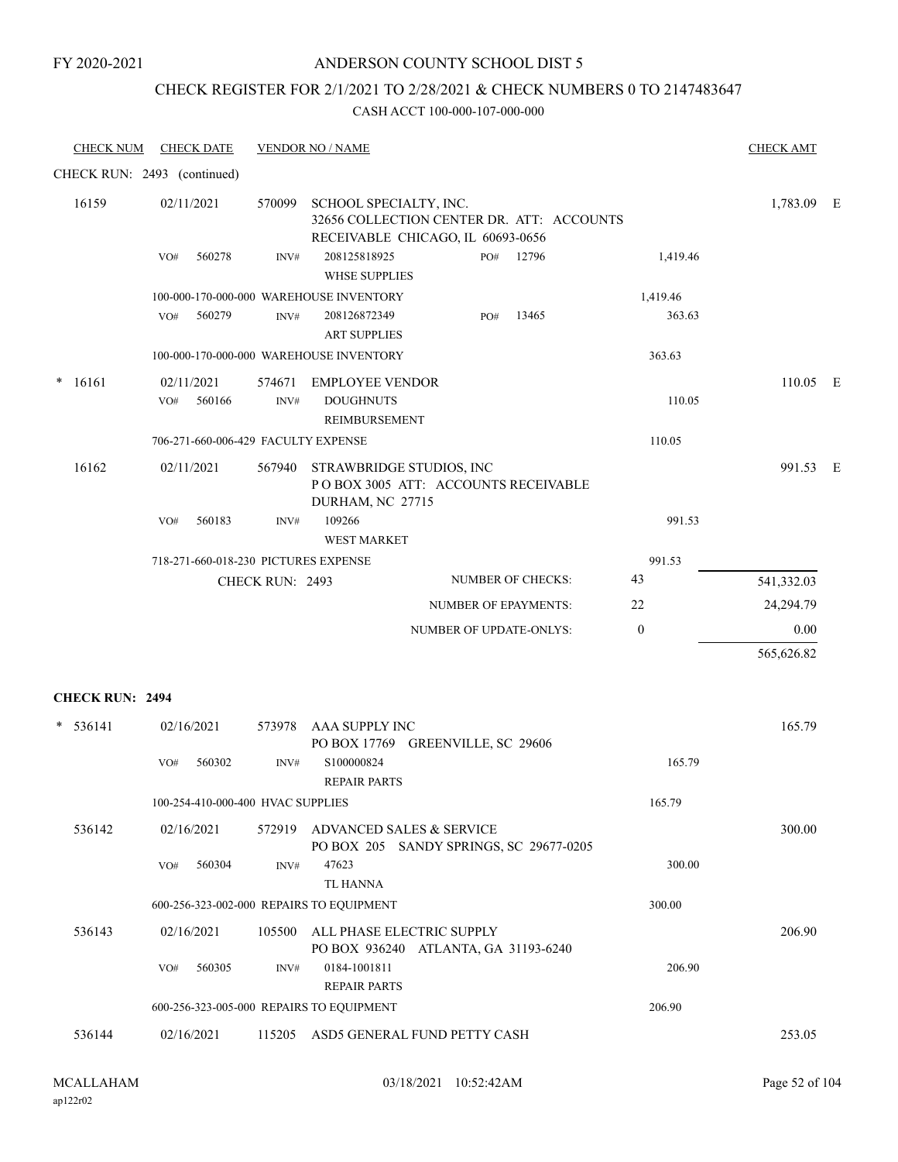### ANDERSON COUNTY SCHOOL DIST 5

### CHECK REGISTER FOR 2/1/2021 TO 2/28/2021 & CHECK NUMBERS 0 TO 2147483647

| <b>CHECK NUM</b>            | <b>CHECK DATE</b>                        |                 | <b>VENDOR NO / NAME</b>                                     |                                                                                |                          |                  | <b>CHECK AMT</b> |  |
|-----------------------------|------------------------------------------|-----------------|-------------------------------------------------------------|--------------------------------------------------------------------------------|--------------------------|------------------|------------------|--|
| CHECK RUN: 2493 (continued) |                                          |                 |                                                             |                                                                                |                          |                  |                  |  |
| 16159                       | 02/11/2021                               | 570099          | SCHOOL SPECIALTY, INC.                                      | 32656 COLLECTION CENTER DR. ATT: ACCOUNTS<br>RECEIVABLE CHICAGO, IL 60693-0656 |                          |                  | 1,783.09 E       |  |
|                             | VO#<br>560278                            | INV#            | 208125818925<br><b>WHSE SUPPLIES</b>                        | PO#                                                                            | 12796                    | 1,419.46         |                  |  |
|                             |                                          |                 | 100-000-170-000-000 WAREHOUSE INVENTORY                     |                                                                                |                          | 1,419.46         |                  |  |
|                             | 560279<br>VO#                            | INV#            | 208126872349<br><b>ART SUPPLIES</b>                         | PO#                                                                            | 13465                    | 363.63           |                  |  |
|                             |                                          |                 | 100-000-170-000-000 WAREHOUSE INVENTORY                     |                                                                                |                          | 363.63           |                  |  |
| $\ast$<br>16161             | 02/11/2021<br>560166<br>VO#              | 574671<br>INV#  | <b>EMPLOYEE VENDOR</b><br><b>DOUGHNUTS</b><br>REIMBURSEMENT |                                                                                |                          | 110.05           | 110.05 E         |  |
|                             | 706-271-660-006-429 FACULTY EXPENSE      |                 |                                                             |                                                                                |                          | 110.05           |                  |  |
| 16162                       | 02/11/2021                               | 567940          | STRAWBRIDGE STUDIOS, INC<br>DURHAM, NC 27715                | POBOX 3005 ATT: ACCOUNTS RECEIVABLE                                            |                          |                  | 991.53 E         |  |
|                             | 560183<br>VO#                            | INV#            | 109266<br><b>WEST MARKET</b>                                |                                                                                |                          | 991.53           |                  |  |
|                             | 718-271-660-018-230 PICTURES EXPENSE     |                 |                                                             |                                                                                |                          | 991.53           |                  |  |
|                             |                                          | CHECK RUN: 2493 |                                                             |                                                                                | <b>NUMBER OF CHECKS:</b> | 43               | 541,332.03       |  |
|                             |                                          |                 |                                                             | <b>NUMBER OF EPAYMENTS:</b>                                                    |                          | 22               | 24,294.79        |  |
|                             |                                          |                 |                                                             | NUMBER OF UPDATE-ONLYS:                                                        |                          | $\boldsymbol{0}$ | 0.00             |  |
|                             |                                          |                 |                                                             |                                                                                |                          |                  | 565,626.82       |  |
| <b>CHECK RUN: 2494</b>      |                                          |                 |                                                             |                                                                                |                          |                  |                  |  |
|                             |                                          |                 |                                                             |                                                                                |                          |                  |                  |  |
| $* 536141$                  | 02/16/2021                               | 573978          | AAA SUPPLY INC                                              | PO BOX 17769 GREENVILLE, SC 29606                                              |                          |                  | 165.79           |  |
|                             | 560302<br>VO#                            | INV#            | S100000824<br><b>REPAIR PARTS</b>                           |                                                                                |                          | 165.79           |                  |  |
|                             | 100-254-410-000-400 HVAC SUPPLIES        |                 |                                                             |                                                                                |                          | 165.79           |                  |  |
| 536142                      | 02/16/2021                               |                 | 572919 ADVANCED SALES & SERVICE                             | PO BOX 205 SANDY SPRINGS, SC 29677-0205                                        |                          |                  | 300.00           |  |
|                             | VO#<br>560304                            | INV#            | 47623<br>TL HANNA                                           |                                                                                |                          | 300.00           |                  |  |
|                             | 600-256-323-002-000 REPAIRS TO EQUIPMENT |                 |                                                             |                                                                                |                          | 300.00           |                  |  |
| 536143                      | 02/16/2021                               | 105500          | ALL PHASE ELECTRIC SUPPLY                                   | PO BOX 936240 ATLANTA, GA 31193-6240                                           |                          |                  | 206.90           |  |
|                             | 560305<br>VO#                            | INV#            | 0184-1001811<br><b>REPAIR PARTS</b>                         |                                                                                |                          | 206.90           |                  |  |
|                             | 600-256-323-005-000 REPAIRS TO EQUIPMENT |                 |                                                             |                                                                                |                          | 206.90           |                  |  |
| 536144                      | 02/16/2021                               |                 |                                                             | 115205 ASD5 GENERAL FUND PETTY CASH                                            |                          |                  | 253.05           |  |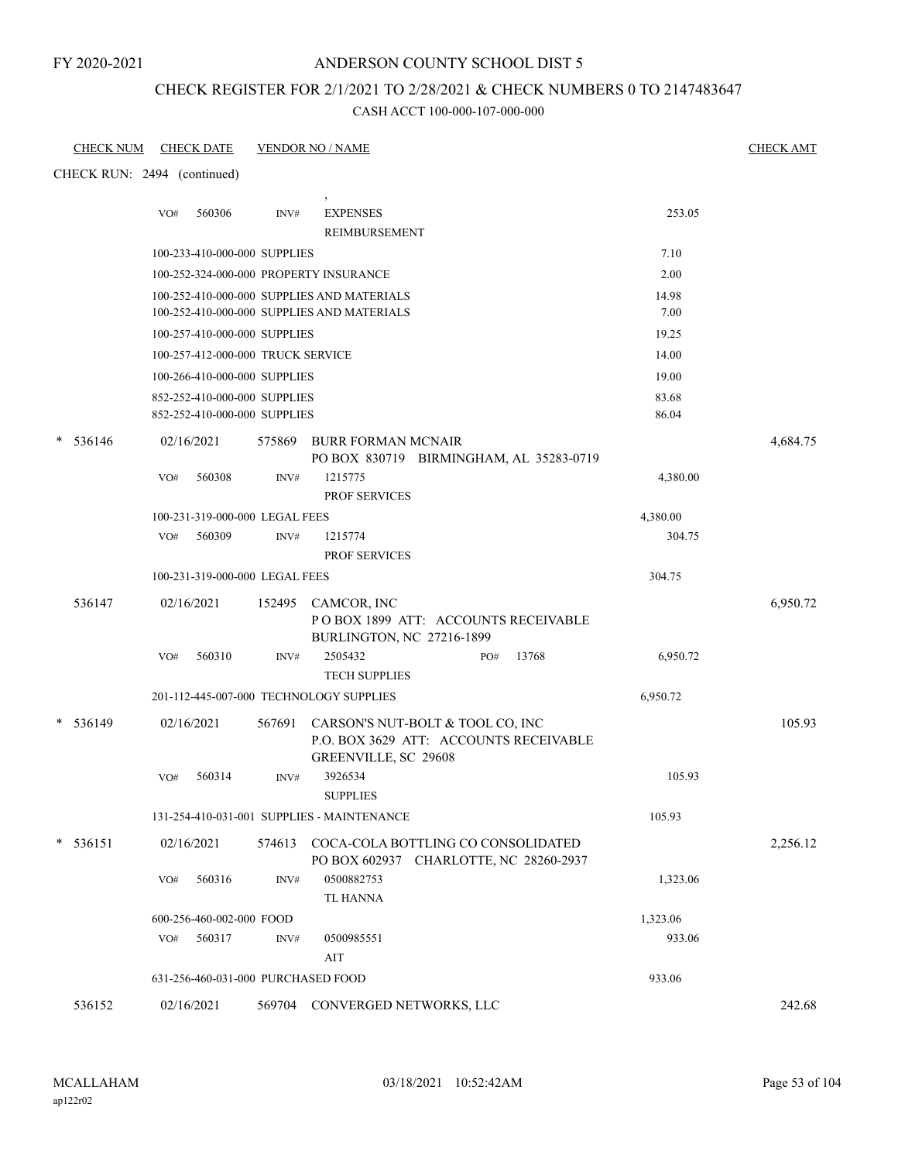### ANDERSON COUNTY SCHOOL DIST 5

### CHECK REGISTER FOR 2/1/2021 TO 2/28/2021 & CHECK NUMBERS 0 TO 2147483647

| <u>CHECK NUM</u> | <b>CHECK DATE</b>                                            |        | <b>VENDOR NO / NAME</b>                                                                            |     |       |                | <b>CHECK AMT</b> |
|------------------|--------------------------------------------------------------|--------|----------------------------------------------------------------------------------------------------|-----|-------|----------------|------------------|
|                  | CHECK RUN: 2494 (continued)                                  |        |                                                                                                    |     |       |                |                  |
|                  | 560306<br>VO#                                                | INV#   | <b>EXPENSES</b><br>REIMBURSEMENT                                                                   |     |       | 253.05         |                  |
|                  | 100-233-410-000-000 SUPPLIES                                 |        |                                                                                                    |     |       | 7.10           |                  |
|                  |                                                              |        | 100-252-324-000-000 PROPERTY INSURANCE                                                             |     |       | 2.00           |                  |
|                  |                                                              |        | 100-252-410-000-000 SUPPLIES AND MATERIALS<br>100-252-410-000-000 SUPPLIES AND MATERIALS           |     |       | 14.98<br>7.00  |                  |
|                  | 100-257-410-000-000 SUPPLIES                                 |        |                                                                                                    |     |       | 19.25          |                  |
|                  | 100-257-412-000-000 TRUCK SERVICE                            |        |                                                                                                    |     |       | 14.00          |                  |
|                  | 100-266-410-000-000 SUPPLIES                                 |        |                                                                                                    |     |       | 19.00          |                  |
|                  | 852-252-410-000-000 SUPPLIES<br>852-252-410-000-000 SUPPLIES |        |                                                                                                    |     |       | 83.68<br>86.04 |                  |
| 536146<br>*      | 02/16/2021                                                   | 575869 | <b>BURR FORMAN MCNAIR</b><br>PO BOX 830719 BIRMINGHAM, AL 35283-0719                               |     |       |                | 4,684.75         |
|                  | 560308<br>VO#                                                | INV#   | 1215775<br><b>PROF SERVICES</b>                                                                    |     |       | 4,380.00       |                  |
|                  | 100-231-319-000-000 LEGAL FEES                               |        |                                                                                                    |     |       | 4,380.00       |                  |
|                  | 560309<br>VO#                                                | INV#   | 1215774<br><b>PROF SERVICES</b>                                                                    |     |       | 304.75         |                  |
|                  | 100-231-319-000-000 LEGAL FEES                               |        |                                                                                                    |     |       | 304.75         |                  |
| 536147           | 02/16/2021                                                   |        | 152495 CAMCOR, INC<br>POBOX 1899 ATT: ACCOUNTS RECEIVABLE<br>BURLINGTON, NC 27216-1899             |     |       |                | 6,950.72         |
|                  | 560310<br>VO#                                                | INV#   | 2505432<br><b>TECH SUPPLIES</b>                                                                    | PO# | 13768 | 6,950.72       |                  |
|                  |                                                              |        | 201-112-445-007-000 TECHNOLOGY SUPPLIES                                                            |     |       | 6,950.72       |                  |
| $* 536149$       | 02/16/2021                                                   | 567691 | CARSON'S NUT-BOLT & TOOL CO, INC<br>P.O. BOX 3629 ATT: ACCOUNTS RECEIVABLE<br>GREENVILLE, SC 29608 |     |       |                | 105.93           |
|                  | 560314<br>VO#                                                | INV#   | 3926534<br><b>SUPPLIES</b>                                                                         |     |       | 105.93         |                  |
|                  |                                                              |        | 131-254-410-031-001 SUPPLIES - MAINTENANCE                                                         |     |       | 105.93         |                  |
| 536151           | 02/16/2021                                                   | 574613 | COCA-COLA BOTTLING CO CONSOLIDATED<br>PO BOX 602937 CHARLOTTE, NC 28260-2937                       |     |       |                | 2,256.12         |
|                  | 560316<br>VO#                                                | INV#   | 0500882753<br><b>TL HANNA</b>                                                                      |     |       | 1,323.06       |                  |
|                  | 600-256-460-002-000 FOOD                                     |        |                                                                                                    |     |       | 1,323.06       |                  |
|                  | 560317<br>VO#                                                | INV#   | 0500985551<br>AIT                                                                                  |     |       | 933.06         |                  |
|                  | 631-256-460-031-000 PURCHASED FOOD                           |        |                                                                                                    |     |       | 933.06         |                  |
| 536152           | 02/16/2021                                                   |        | 569704 CONVERGED NETWORKS, LLC                                                                     |     |       |                | 242.68           |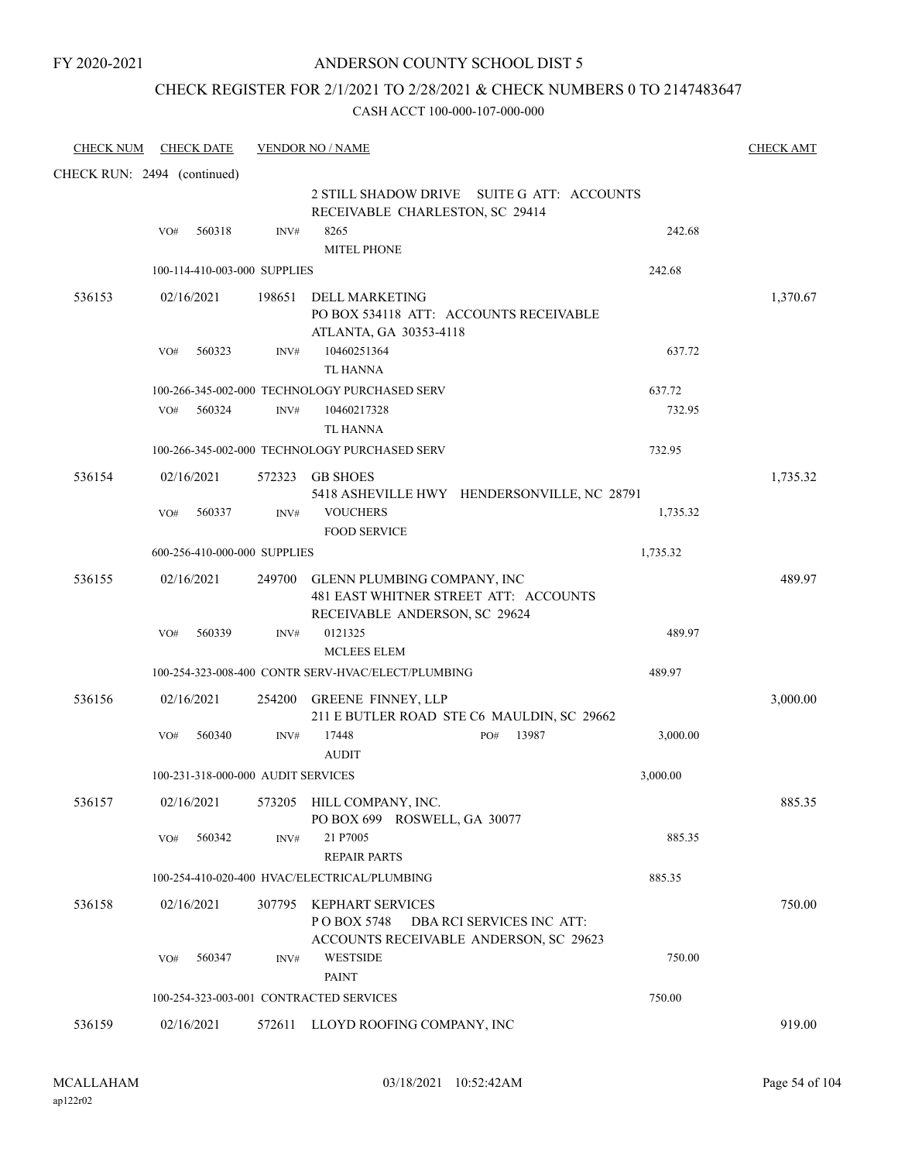### ANDERSON COUNTY SCHOOL DIST 5

### CHECK REGISTER FOR 2/1/2021 TO 2/28/2021 & CHECK NUMBERS 0 TO 2147483647

| <b>CHECK NUM</b>            |     | <b>CHECK DATE</b>                  |        | <b>VENDOR NO / NAME</b>                                                                                      |                           | <b>CHECK AMT</b> |
|-----------------------------|-----|------------------------------------|--------|--------------------------------------------------------------------------------------------------------------|---------------------------|------------------|
| CHECK RUN: 2494 (continued) |     |                                    |        |                                                                                                              |                           |                  |
|                             |     |                                    |        | 2 STILL SHADOW DRIVE SUITE G ATT: ACCOUNTS<br>RECEIVABLE CHARLESTON, SC 29414                                |                           |                  |
|                             | VO# | 560318                             | INV#   | 8265                                                                                                         | 242.68                    |                  |
|                             |     |                                    |        | <b>MITEL PHONE</b>                                                                                           |                           |                  |
|                             |     | 100-114-410-003-000 SUPPLIES       |        |                                                                                                              | 242.68                    |                  |
| 536153                      |     | 02/16/2021                         | 198651 | <b>DELL MARKETING</b><br>PO BOX 534118 ATT: ACCOUNTS RECEIVABLE<br>ATLANTA, GA 30353-4118                    |                           | 1,370.67         |
|                             | VO# | 560323                             | INV#   | 10460251364<br><b>TL HANNA</b>                                                                               | 637.72                    |                  |
|                             |     |                                    |        | 100-266-345-002-000 TECHNOLOGY PURCHASED SERV                                                                | 637.72                    |                  |
|                             | VO# | 560324                             | INV#   | 10460217328<br><b>TL HANNA</b>                                                                               | 732.95                    |                  |
|                             |     |                                    |        | 100-266-345-002-000 TECHNOLOGY PURCHASED SERV                                                                | 732.95                    |                  |
| 536154                      |     | 02/16/2021                         | 572323 | <b>GB SHOES</b><br>5418 ASHEVILLE HWY HENDERSONVILLE, NC 28791                                               |                           | 1,735.32         |
|                             | VO# | 560337                             | INV#   | <b>VOUCHERS</b>                                                                                              | 1,735.32                  |                  |
|                             |     |                                    |        | <b>FOOD SERVICE</b>                                                                                          |                           |                  |
|                             |     | 600-256-410-000-000 SUPPLIES       |        |                                                                                                              | 1,735.32                  |                  |
| 536155                      |     | 02/16/2021                         |        | 249700 GLENN PLUMBING COMPANY, INC<br>481 EAST WHITNER STREET ATT: ACCOUNTS<br>RECEIVABLE ANDERSON, SC 29624 |                           | 489.97           |
|                             | VO# | 560339                             | INV#   | 0121325<br><b>MCLEES ELEM</b>                                                                                | 489.97                    |                  |
|                             |     |                                    |        | 100-254-323-008-400 CONTR SERV-HVAC/ELECT/PLUMBING                                                           | 489.97                    |                  |
| 536156                      |     | 02/16/2021                         | 254200 | <b>GREENE FINNEY, LLP</b><br>211 E BUTLER ROAD STE C6 MAULDIN, SC 29662                                      |                           | 3,000.00         |
|                             | VO# | 560340                             | INV#   | 17448<br>PO#<br><b>AUDIT</b>                                                                                 | 13987<br>3,000.00         |                  |
|                             |     | 100-231-318-000-000 AUDIT SERVICES |        |                                                                                                              | 3,000.00                  |                  |
| 536157                      |     | 02/16/2021                         |        | 573205 HILL COMPANY, INC.<br>PO BOX 699 ROSWELL, GA 30077                                                    |                           | 885.35           |
|                             | VO# | 560342                             | INV#   | 21 P7005<br><b>REPAIR PARTS</b>                                                                              | 885.35                    |                  |
|                             |     |                                    |        | 100-254-410-020-400 HVAC/ELECTRICAL/PLUMBING                                                                 | 885.35                    |                  |
| 536158                      |     | 02/16/2021                         | 307795 | KEPHART SERVICES<br>P O BOX 5748<br>ACCOUNTS RECEIVABLE ANDERSON, SC 29623                                   | DBA RCI SERVICES INC ATT: | 750.00           |
|                             | VO# | 560347                             | INV#   | <b>WESTSIDE</b><br><b>PAINT</b>                                                                              | 750.00                    |                  |
|                             |     |                                    |        | 100-254-323-003-001 CONTRACTED SERVICES                                                                      | 750.00                    |                  |
| 536159                      |     | 02/16/2021                         |        | 572611 LLOYD ROOFING COMPANY, INC                                                                            |                           | 919.00           |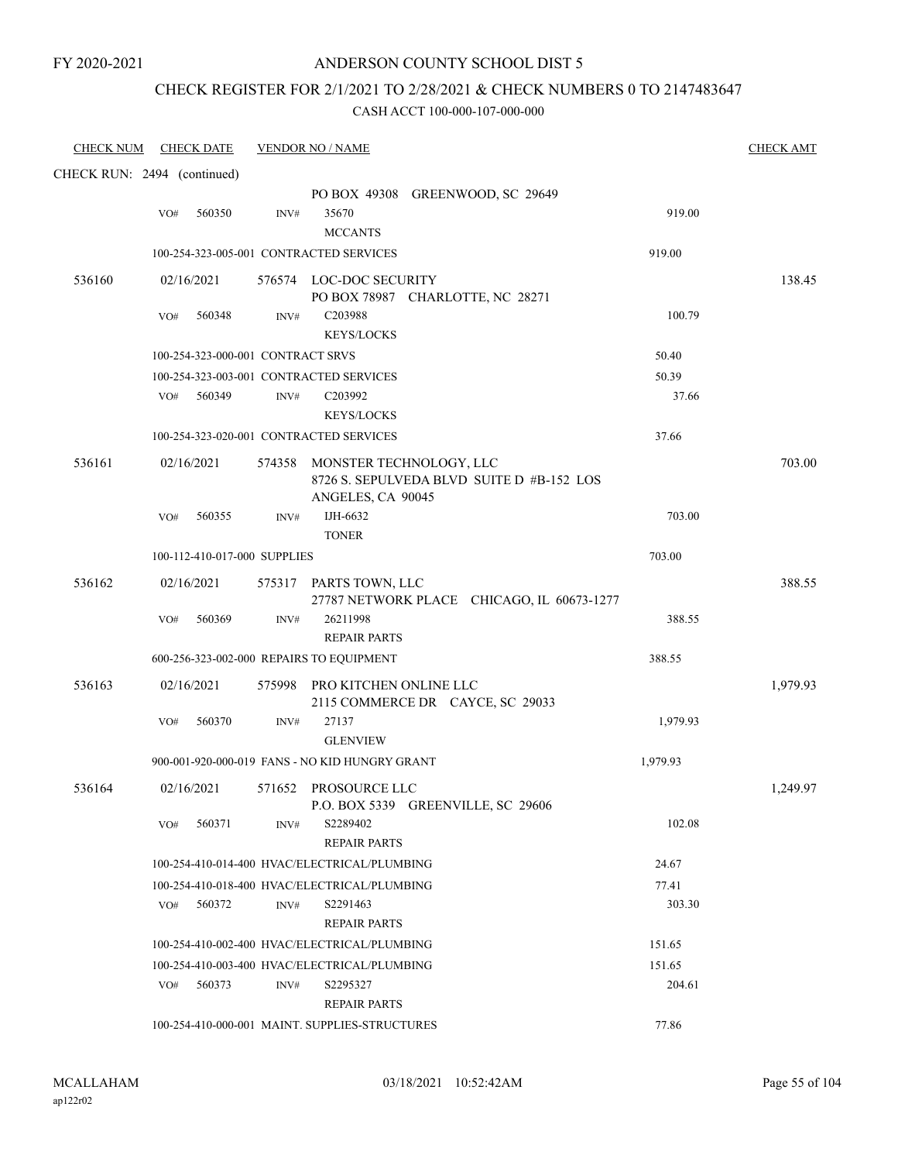# CHECK REGISTER FOR 2/1/2021 TO 2/28/2021 & CHECK NUMBERS 0 TO 2147483647

| <b>CHECK NUM</b>            |     | <b>CHECK DATE</b>                 |      | <b>VENDOR NO / NAME</b>                                           |                                            |          | <b>CHECK AMT</b> |
|-----------------------------|-----|-----------------------------------|------|-------------------------------------------------------------------|--------------------------------------------|----------|------------------|
| CHECK RUN: 2494 (continued) |     |                                   |      |                                                                   |                                            |          |                  |
|                             | VO# | 560350                            | INV# | 35670<br><b>MCCANTS</b>                                           | PO BOX 49308 GREENWOOD, SC 29649           | 919.00   |                  |
|                             |     |                                   |      | 100-254-323-005-001 CONTRACTED SERVICES                           |                                            | 919.00   |                  |
| 536160                      |     | 02/16/2021                        |      | 576574 LOC-DOC SECURITY<br>PO BOX 78987 CHARLOTTE, NC 28271       |                                            |          | 138.45           |
|                             | VO# | 560348                            | INV# | C203988<br><b>KEYS/LOCKS</b>                                      |                                            | 100.79   |                  |
|                             |     | 100-254-323-000-001 CONTRACT SRVS |      |                                                                   |                                            | 50.40    |                  |
|                             |     |                                   |      | 100-254-323-003-001 CONTRACTED SERVICES                           |                                            | 50.39    |                  |
|                             | VO# | 560349                            | INV# | C203992<br><b>KEYS/LOCKS</b>                                      |                                            | 37.66    |                  |
|                             |     |                                   |      | 100-254-323-020-001 CONTRACTED SERVICES                           |                                            | 37.66    |                  |
| 536161                      |     | 02/16/2021                        |      | 574358 MONSTER TECHNOLOGY, LLC<br>ANGELES, CA 90045               | 8726 S. SEPULVEDA BLVD SUITE D #B-152 LOS  |          | 703.00           |
|                             | VO# | 560355                            | INV# | IJH-6632<br><b>TONER</b>                                          |                                            | 703.00   |                  |
|                             |     | 100-112-410-017-000 SUPPLIES      |      |                                                                   |                                            | 703.00   |                  |
| 536162                      |     | 02/16/2021                        |      | 575317 PARTS TOWN, LLC                                            | 27787 NETWORK PLACE CHICAGO, IL 60673-1277 |          | 388.55           |
|                             | VO# | 560369                            | INV# | 26211998<br><b>REPAIR PARTS</b>                                   |                                            | 388.55   |                  |
|                             |     |                                   |      | 600-256-323-002-000 REPAIRS TO EQUIPMENT                          |                                            | 388.55   |                  |
| 536163                      |     | 02/16/2021                        |      | 575998 PRO KITCHEN ONLINE LLC<br>2115 COMMERCE DR CAYCE, SC 29033 |                                            |          | 1,979.93         |
|                             | VO# | 560370                            | INV# | 27137<br><b>GLENVIEW</b>                                          |                                            | 1,979.93 |                  |
|                             |     |                                   |      | 900-001-920-000-019 FANS - NO KID HUNGRY GRANT                    |                                            | 1,979.93 |                  |
| 536164                      |     | 02/16/2021                        |      | 571652 PROSOURCE LLC<br>P.O. BOX 5339 GREENVILLE, SC 29606        |                                            |          | 1,249.97         |
|                             | VO# | 560371                            | INV# | S2289402<br><b>REPAIR PARTS</b>                                   |                                            | 102.08   |                  |
|                             |     |                                   |      | 100-254-410-014-400 HVAC/ELECTRICAL/PLUMBING                      |                                            | 24.67    |                  |
|                             |     |                                   |      | 100-254-410-018-400 HVAC/ELECTRICAL/PLUMBING                      |                                            | 77.41    |                  |
|                             | VO# | 560372                            | INV# | S2291463<br><b>REPAIR PARTS</b>                                   |                                            | 303.30   |                  |
|                             |     |                                   |      | 100-254-410-002-400 HVAC/ELECTRICAL/PLUMBING                      |                                            | 151.65   |                  |
|                             |     |                                   |      | 100-254-410-003-400 HVAC/ELECTRICAL/PLUMBING                      |                                            | 151.65   |                  |
|                             | VO# | 560373                            | INV# | S2295327<br><b>REPAIR PARTS</b>                                   |                                            | 204.61   |                  |
|                             |     |                                   |      | 100-254-410-000-001 MAINT. SUPPLIES-STRUCTURES                    |                                            | 77.86    |                  |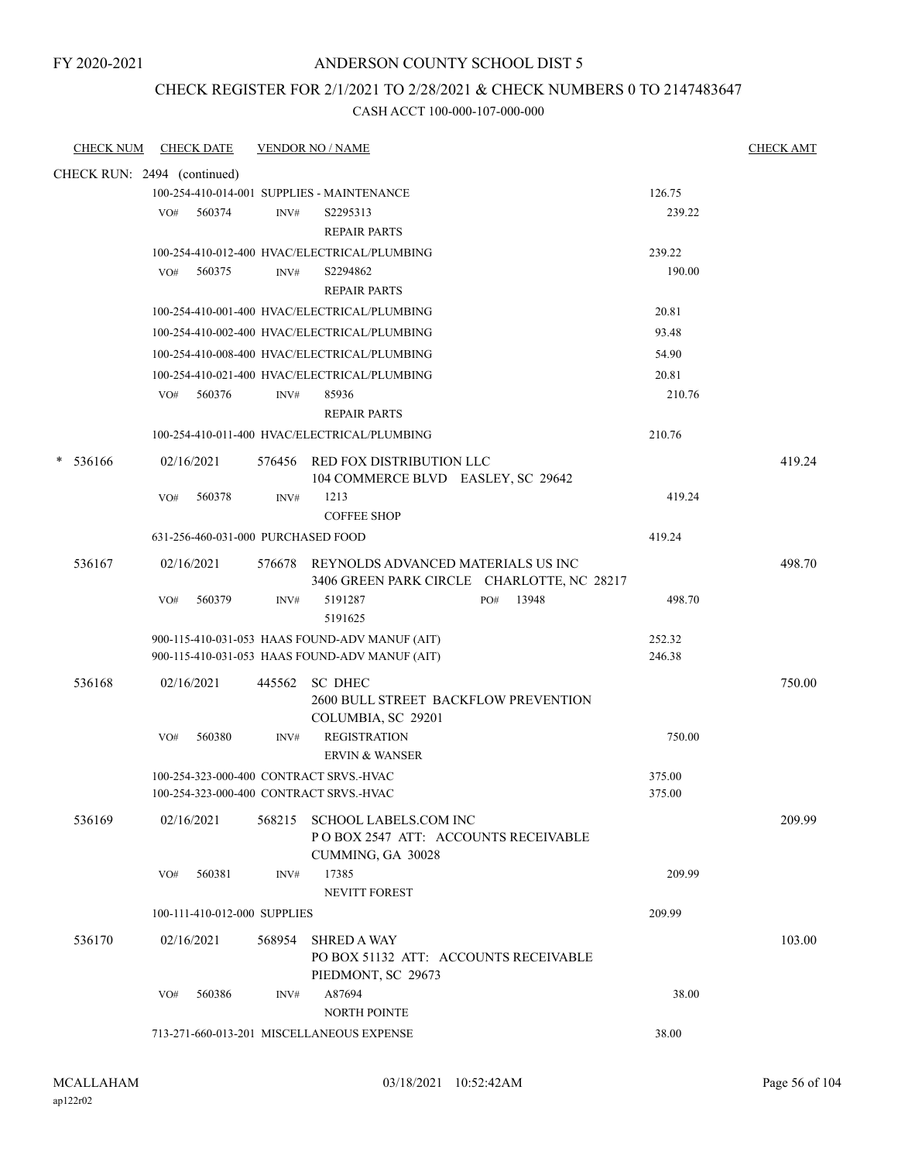### ANDERSON COUNTY SCHOOL DIST 5

### CHECK REGISTER FOR 2/1/2021 TO 2/28/2021 & CHECK NUMBERS 0 TO 2147483647

| <b>CHECK NUM</b>            |     | <b>CHECK DATE</b>                  |        | <b>VENDOR NO / NAME</b>                                                            |     |       |        | <b>CHECK AMT</b> |
|-----------------------------|-----|------------------------------------|--------|------------------------------------------------------------------------------------|-----|-------|--------|------------------|
| CHECK RUN: 2494 (continued) |     |                                    |        |                                                                                    |     |       |        |                  |
|                             |     |                                    |        | 100-254-410-014-001 SUPPLIES - MAINTENANCE                                         |     |       | 126.75 |                  |
|                             | VO# | 560374                             | INV#   | S2295313                                                                           |     |       | 239.22 |                  |
|                             |     |                                    |        | <b>REPAIR PARTS</b>                                                                |     |       |        |                  |
|                             |     |                                    |        | 100-254-410-012-400 HVAC/ELECTRICAL/PLUMBING                                       |     |       | 239.22 |                  |
|                             | VO# | 560375                             | INV#   | S2294862                                                                           |     |       | 190.00 |                  |
|                             |     |                                    |        | <b>REPAIR PARTS</b>                                                                |     |       |        |                  |
|                             |     |                                    |        | 100-254-410-001-400 HVAC/ELECTRICAL/PLUMBING                                       |     |       | 20.81  |                  |
|                             |     |                                    |        | 100-254-410-002-400 HVAC/ELECTRICAL/PLUMBING                                       |     |       | 93.48  |                  |
|                             |     |                                    |        | 100-254-410-008-400 HVAC/ELECTRICAL/PLUMBING                                       |     |       | 54.90  |                  |
|                             |     |                                    |        | 100-254-410-021-400 HVAC/ELECTRICAL/PLUMBING                                       |     |       | 20.81  |                  |
|                             | VO# | 560376                             | INV#   | 85936                                                                              |     |       | 210.76 |                  |
|                             |     |                                    |        | <b>REPAIR PARTS</b>                                                                |     |       |        |                  |
|                             |     |                                    |        | 100-254-410-011-400 HVAC/ELECTRICAL/PLUMBING                                       |     |       | 210.76 |                  |
| 536166<br>*                 |     | 02/16/2021                         |        | 576456 RED FOX DISTRIBUTION LLC                                                    |     |       |        | 419.24           |
|                             |     |                                    |        | 104 COMMERCE BLVD EASLEY, SC 29642                                                 |     |       |        |                  |
|                             | VO# | 560378                             | INV#   | 1213                                                                               |     |       | 419.24 |                  |
|                             |     |                                    |        | <b>COFFEE SHOP</b>                                                                 |     |       |        |                  |
|                             |     | 631-256-460-031-000 PURCHASED FOOD |        |                                                                                    |     |       | 419.24 |                  |
| 536167                      |     | 02/16/2021                         |        | 576678 REYNOLDS ADVANCED MATERIALS US INC                                          |     |       |        | 498.70           |
|                             |     |                                    |        | 3406 GREEN PARK CIRCLE CHARLOTTE, NC 28217                                         |     |       |        |                  |
|                             | VO# | 560379                             | INV#   | 5191287                                                                            | PO# | 13948 | 498.70 |                  |
|                             |     |                                    |        | 5191625                                                                            |     |       |        |                  |
|                             |     |                                    |        | 900-115-410-031-053 HAAS FOUND-ADV MANUF (AIT)                                     |     |       | 252.32 |                  |
|                             |     |                                    |        | 900-115-410-031-053 HAAS FOUND-ADV MANUF (AIT)                                     |     |       | 246.38 |                  |
| 536168                      |     | 02/16/2021                         | 445562 | <b>SC DHEC</b>                                                                     |     |       |        | 750.00           |
|                             |     |                                    |        | 2600 BULL STREET BACKFLOW PREVENTION                                               |     |       |        |                  |
|                             |     |                                    |        | COLUMBIA, SC 29201                                                                 |     |       |        |                  |
|                             | VO# | 560380                             | INV#   | <b>REGISTRATION</b>                                                                |     |       | 750.00 |                  |
|                             |     |                                    |        | <b>ERVIN &amp; WANSER</b>                                                          |     |       |        |                  |
|                             |     |                                    |        | 100-254-323-000-400 CONTRACT SRVS.-HVAC<br>100-254-323-000-400 CONTRACT SRVS.-HVAC |     |       | 375.00 |                  |
|                             |     |                                    |        |                                                                                    |     |       | 375.00 |                  |
| 536169                      |     | 02/16/2021                         | 568215 | SCHOOL LABELS.COM INC                                                              |     |       |        | 209.99           |
|                             |     |                                    |        | POBOX 2547 ATT: ACCOUNTS RECEIVABLE                                                |     |       |        |                  |
|                             | VO# | 560381                             | INV#   | CUMMING, GA 30028<br>17385                                                         |     |       | 209.99 |                  |
|                             |     |                                    |        | <b>NEVITT FOREST</b>                                                               |     |       |        |                  |
|                             |     | 100-111-410-012-000 SUPPLIES       |        |                                                                                    |     |       | 209.99 |                  |
|                             |     |                                    |        |                                                                                    |     |       |        |                  |
| 536170                      |     | 02/16/2021                         | 568954 | <b>SHRED A WAY</b><br>PO BOX 51132 ATT: ACCOUNTS RECEIVABLE                        |     |       |        | 103.00           |
|                             |     |                                    |        | PIEDMONT, SC 29673                                                                 |     |       |        |                  |
|                             | VO# | 560386                             | INV#   | A87694                                                                             |     |       | 38.00  |                  |
|                             |     |                                    |        | <b>NORTH POINTE</b>                                                                |     |       |        |                  |
|                             |     |                                    |        | 713-271-660-013-201 MISCELLANEOUS EXPENSE                                          |     |       | 38.00  |                  |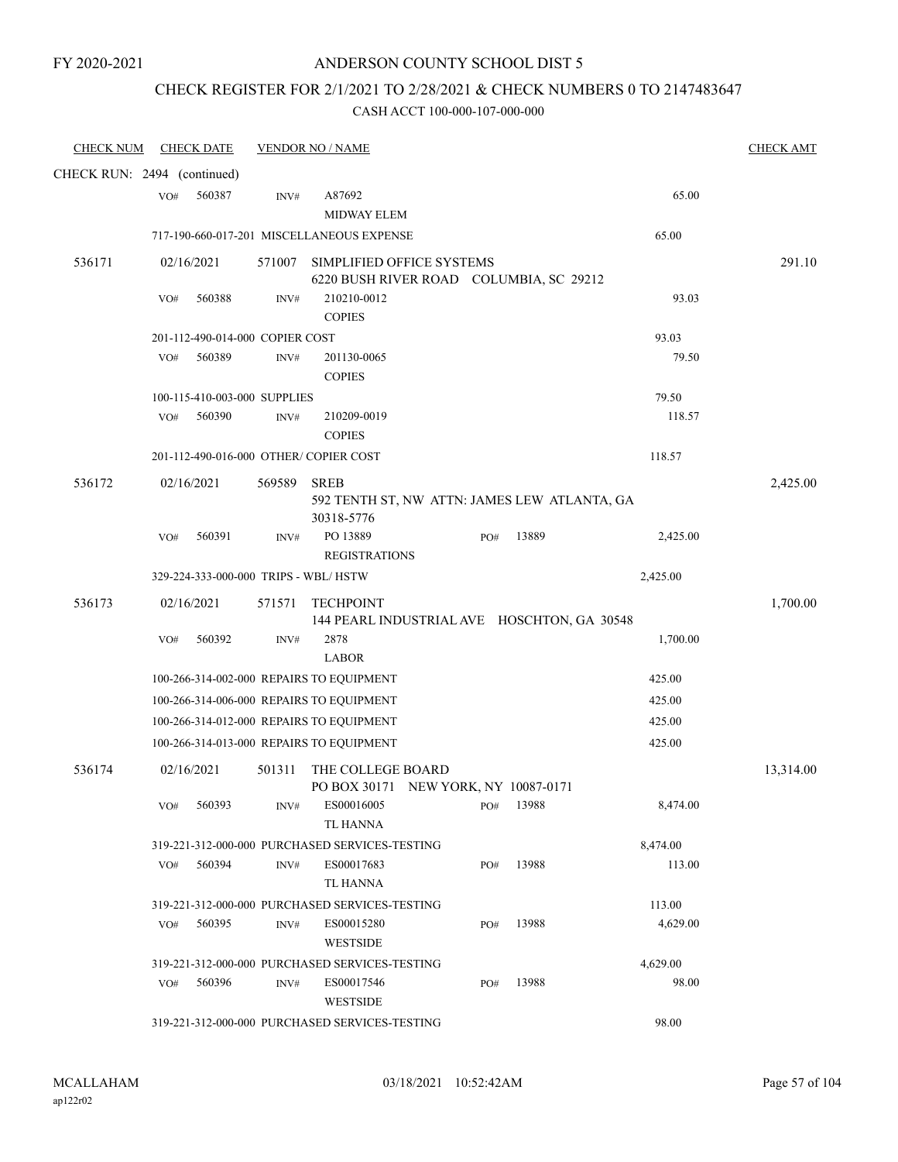## CHECK REGISTER FOR 2/1/2021 TO 2/28/2021 & CHECK NUMBERS 0 TO 2147483647

| <b>CHECK NUM</b>            |     | <b>CHECK DATE</b>               |                | <b>VENDOR NO / NAME</b>                                                              |     |       |          | <b>CHECK AMT</b> |
|-----------------------------|-----|---------------------------------|----------------|--------------------------------------------------------------------------------------|-----|-------|----------|------------------|
| CHECK RUN: 2494 (continued) |     |                                 |                |                                                                                      |     |       |          |                  |
|                             | VO# | 560387                          | INV#           | A87692<br><b>MIDWAY ELEM</b>                                                         |     |       | 65.00    |                  |
|                             |     |                                 |                | 717-190-660-017-201 MISCELLANEOUS EXPENSE                                            |     |       | 65.00    |                  |
| 536171                      |     | 02/16/2021                      | 571007         | SIMPLIFIED OFFICE SYSTEMS<br>6220 BUSH RIVER ROAD COLUMBIA, SC 29212                 |     |       |          | 291.10           |
|                             | VO# | 560388                          | INV#           | 210210-0012<br><b>COPIES</b>                                                         |     |       | 93.03    |                  |
|                             |     | 201-112-490-014-000 COPIER COST |                |                                                                                      |     |       | 93.03    |                  |
|                             | VO# | 560389                          | INV#           | 201130-0065<br><b>COPIES</b>                                                         |     |       | 79.50    |                  |
|                             |     | 100-115-410-003-000 SUPPLIES    |                |                                                                                      |     |       | 79.50    |                  |
|                             | VO# | 560390                          | $\text{INV}\#$ | 210209-0019<br><b>COPIES</b>                                                         |     |       | 118.57   |                  |
|                             |     |                                 |                | 201-112-490-016-000 OTHER/ COPIER COST                                               |     |       | 118.57   |                  |
| 536172                      |     | 02/16/2021                      | 569589         | <b>SREB</b><br>592 TENTH ST, NW ATTN: JAMES LEW ATLANTA, GA<br>30318-5776            |     |       |          | 2,425.00         |
|                             | VO# | 560391                          | INV#           | PO 13889<br><b>REGISTRATIONS</b>                                                     | PO# | 13889 | 2,425.00 |                  |
|                             |     |                                 |                | 329-224-333-000-000 TRIPS - WBL/HSTW                                                 |     |       | 2,425.00 |                  |
| 536173                      |     | 02/16/2021                      | 571571         | <b>TECHPOINT</b><br>144 PEARL INDUSTRIAL AVE HOSCHTON, GA 30548                      |     |       |          | 1,700.00         |
|                             | VO# | 560392                          | INV#           | 2878                                                                                 |     |       | 1,700.00 |                  |
|                             |     |                                 |                | <b>LABOR</b>                                                                         |     |       | 425.00   |                  |
|                             |     |                                 |                | 100-266-314-002-000 REPAIRS TO EQUIPMENT<br>100-266-314-006-000 REPAIRS TO EQUIPMENT |     |       | 425.00   |                  |
|                             |     |                                 |                | 100-266-314-012-000 REPAIRS TO EQUIPMENT                                             |     |       | 425.00   |                  |
|                             |     |                                 |                | 100-266-314-013-000 REPAIRS TO EQUIPMENT                                             |     |       | 425.00   |                  |
|                             |     |                                 |                |                                                                                      |     |       |          |                  |
| 536174                      |     | 02/16/2021                      | 501311         | THE COLLEGE BOARD<br>PO BOX 30171 NEW YORK, NY 10087-0171                            |     |       |          | 13,314.00        |
|                             | VO# | 560393                          | INV#           | ES00016005<br><b>TL HANNA</b>                                                        | PO# | 13988 | 8,474.00 |                  |
|                             |     |                                 |                | 319-221-312-000-000 PURCHASED SERVICES-TESTING                                       |     |       | 8,474.00 |                  |
|                             | VO# | 560394                          | INV#           | ES00017683<br>TL HANNA                                                               | PO# | 13988 | 113.00   |                  |
|                             |     |                                 |                | 319-221-312-000-000 PURCHASED SERVICES-TESTING                                       |     |       | 113.00   |                  |
|                             | VO# | 560395                          | INV#           | ES00015280<br><b>WESTSIDE</b>                                                        | PO# | 13988 | 4,629.00 |                  |
|                             |     |                                 |                | 319-221-312-000-000 PURCHASED SERVICES-TESTING                                       |     |       | 4,629.00 |                  |
|                             | VO# | 560396                          | INV#           | ES00017546<br><b>WESTSIDE</b>                                                        | PO# | 13988 | 98.00    |                  |
|                             |     |                                 |                | 319-221-312-000-000 PURCHASED SERVICES-TESTING                                       |     |       | 98.00    |                  |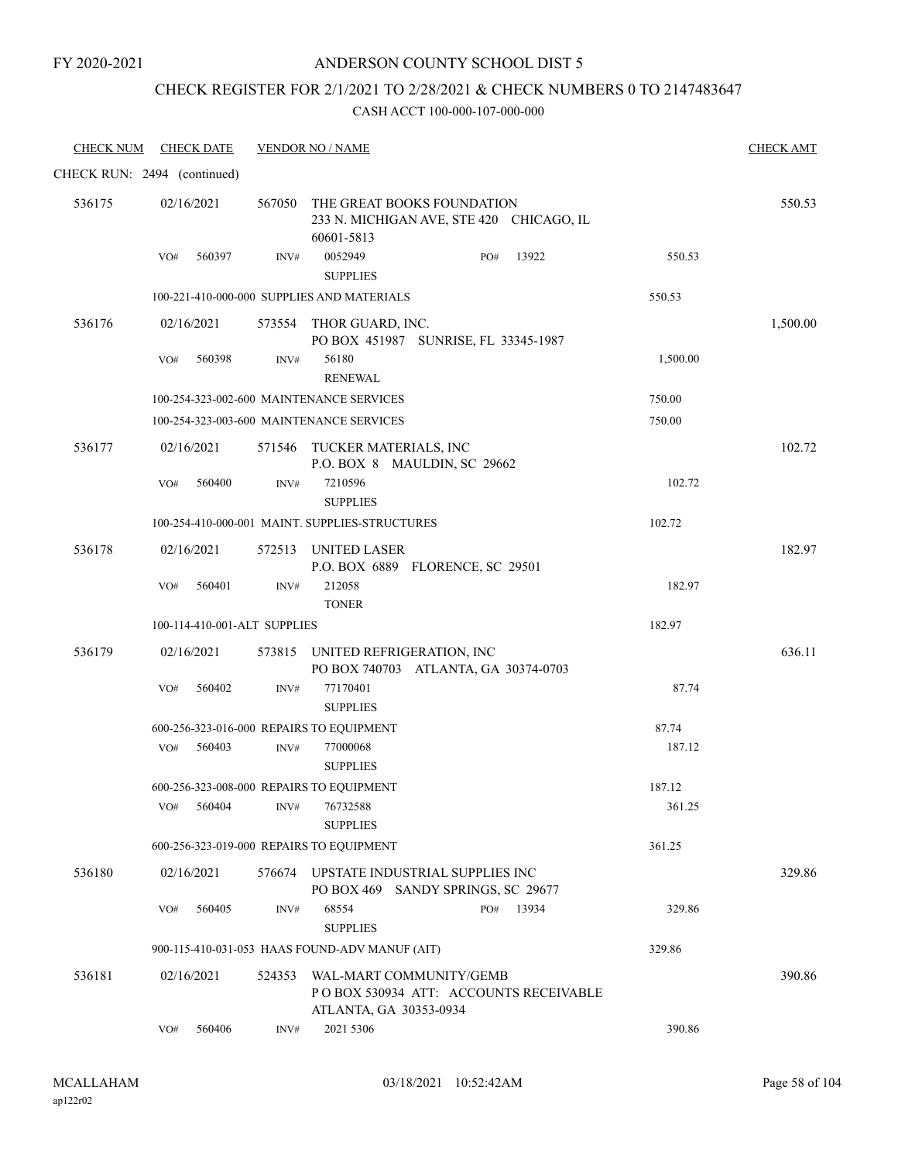### ANDERSON COUNTY SCHOOL DIST 5

### CHECK REGISTER FOR 2/1/2021 TO 2/28/2021 & CHECK NUMBERS 0 TO 2147483647

| <b>CHECK NUM</b>            | <b>CHECK DATE</b> |        |                              | <b>VENDOR NO / NAME</b>                                                                     |     |       |          | <b>CHECK AMT</b> |
|-----------------------------|-------------------|--------|------------------------------|---------------------------------------------------------------------------------------------|-----|-------|----------|------------------|
| CHECK RUN: 2494 (continued) |                   |        |                              |                                                                                             |     |       |          |                  |
| 536175                      | 02/16/2021        |        |                              | 567050 THE GREAT BOOKS FOUNDATION<br>233 N. MICHIGAN AVE, STE 420 CHICAGO, IL<br>60601-5813 |     |       |          | 550.53           |
|                             | VO#               | 560397 | INV#                         | 0052949<br><b>SUPPLIES</b>                                                                  | PO# | 13922 | 550.53   |                  |
|                             |                   |        |                              | 100-221-410-000-000 SUPPLIES AND MATERIALS                                                  |     |       | 550.53   |                  |
| 536176                      | 02/16/2021        |        |                              | 573554 THOR GUARD, INC.<br>PO BOX 451987 SUNRISE, FL 33345-1987                             |     |       |          | 1,500.00         |
|                             | VO#               | 560398 | INV#                         | 56180<br><b>RENEWAL</b>                                                                     |     |       | 1,500.00 |                  |
|                             |                   |        |                              | 100-254-323-002-600 MAINTENANCE SERVICES                                                    |     |       | 750.00   |                  |
|                             |                   |        |                              | 100-254-323-003-600 MAINTENANCE SERVICES                                                    |     |       | 750.00   |                  |
| 536177                      | 02/16/2021        |        |                              | 571546 TUCKER MATERIALS, INC<br>P.O. BOX 8 MAULDIN, SC 29662                                |     |       |          | 102.72           |
|                             | VO#               | 560400 | INV#                         | 7210596<br><b>SUPPLIES</b>                                                                  |     |       | 102.72   |                  |
|                             |                   |        |                              | 100-254-410-000-001 MAINT, SUPPLIES-STRUCTURES                                              |     |       | 102.72   |                  |
| 536178                      | 02/16/2021        |        |                              | 572513 UNITED LASER<br>P.O. BOX 6889 FLORENCE, SC 29501                                     |     |       |          | 182.97           |
|                             | VO#               | 560401 | INV#                         | 212058<br><b>TONER</b>                                                                      |     |       | 182.97   |                  |
|                             |                   |        | 100-114-410-001-ALT SUPPLIES |                                                                                             |     |       | 182.97   |                  |
| 536179                      | 02/16/2021        |        |                              | 573815 UNITED REFRIGERATION, INC<br>PO BOX 740703 ATLANTA, GA 30374-0703                    |     |       |          | 636.11           |
|                             | VO#               | 560402 | INV#                         | 77170401<br><b>SUPPLIES</b>                                                                 |     |       | 87.74    |                  |
|                             |                   |        |                              | 600-256-323-016-000 REPAIRS TO EQUIPMENT                                                    |     |       | 87.74    |                  |
|                             | VO#               | 560403 | INV#                         | 77000068<br><b>SUPPLIES</b>                                                                 |     |       | 187.12   |                  |
|                             |                   |        |                              | 600-256-323-008-000 REPAIRS TO EQUIPMENT                                                    |     |       | 187.12   |                  |
|                             | VO#               | 560404 | INV#                         | 76732588<br><b>SUPPLIES</b>                                                                 |     |       | 361.25   |                  |
|                             |                   |        |                              | 600-256-323-019-000 REPAIRS TO EQUIPMENT                                                    |     |       | 361.25   |                  |
| 536180                      | 02/16/2021        |        |                              | 576674 UPSTATE INDUSTRIAL SUPPLIES INC<br>PO BOX 469 SANDY SPRINGS, SC 29677                |     |       |          | 329.86           |
|                             | VO#               | 560405 | INV#                         | 68554<br><b>SUPPLIES</b>                                                                    | PO# | 13934 | 329.86   |                  |
|                             |                   |        |                              | 900-115-410-031-053 HAAS FOUND-ADV MANUF (AIT)                                              |     |       | 329.86   |                  |
| 536181                      | 02/16/2021        |        | 524353                       | WAL-MART COMMUNITY/GEMB<br>POBOX 530934 ATT: ACCOUNTS RECEIVABLE<br>ATLANTA, GA 30353-0934  |     |       |          | 390.86           |
|                             | VO#               | 560406 | INV#                         | 2021 5306                                                                                   |     |       | 390.86   |                  |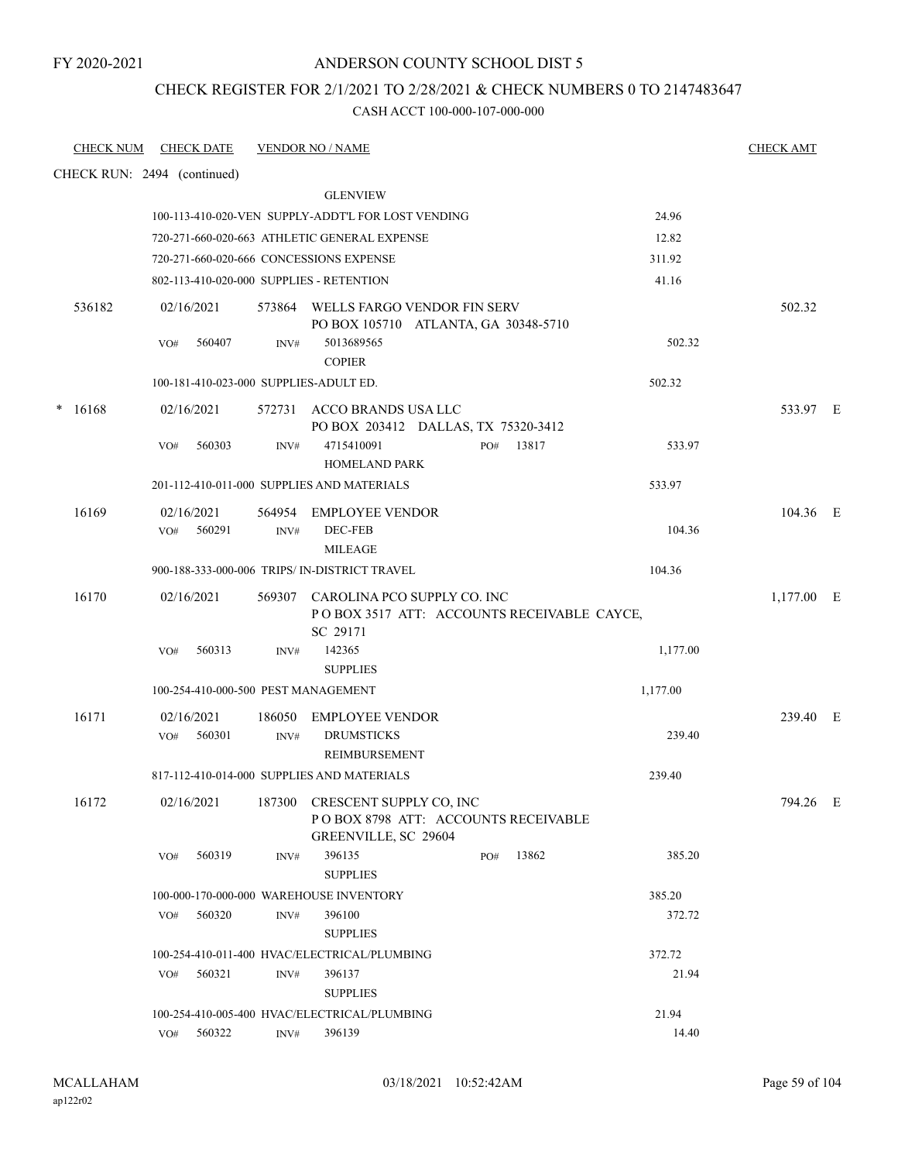CHECK REGISTER FOR 2/1/2021 TO 2/28/2021 & CHECK NUMBERS 0 TO 2147483647

| <b>CHECK NUM</b>            | <b>CHECK DATE</b>                      |                | <b>VENDOR NO / NAME</b>                                                    |                                            |          | <b>CHECK AMT</b> |  |
|-----------------------------|----------------------------------------|----------------|----------------------------------------------------------------------------|--------------------------------------------|----------|------------------|--|
| CHECK RUN: 2494 (continued) |                                        |                |                                                                            |                                            |          |                  |  |
|                             |                                        |                | <b>GLENVIEW</b>                                                            |                                            |          |                  |  |
|                             |                                        |                | 100-113-410-020-VEN SUPPLY-ADDT'L FOR LOST VENDING                         |                                            | 24.96    |                  |  |
|                             |                                        |                | 720-271-660-020-663 ATHLETIC GENERAL EXPENSE                               |                                            | 12.82    |                  |  |
|                             |                                        |                | 720-271-660-020-666 CONCESSIONS EXPENSE                                    |                                            | 311.92   |                  |  |
|                             |                                        |                | 802-113-410-020-000 SUPPLIES - RETENTION                                   |                                            | 41.16    |                  |  |
| 536182                      | 02/16/2021                             |                | 573864 WELLS FARGO VENDOR FIN SERV<br>PO BOX 105710 ATLANTA, GA 30348-5710 |                                            |          | 502.32           |  |
|                             | VO#<br>560407                          | INV#           | 5013689565<br><b>COPIER</b>                                                |                                            | 502.32   |                  |  |
|                             | 100-181-410-023-000 SUPPLIES-ADULT ED. |                |                                                                            |                                            | 502.32   |                  |  |
| 16168                       | 02/16/2021                             |                | 572731 ACCO BRANDS USA LLC<br>PO BOX 203412 DALLAS, TX 75320-3412          |                                            |          | 533.97 E         |  |
|                             | 560303<br>VO#                          | INV#           | 4715410091<br>HOMELAND PARK                                                | 13817<br>PO#                               | 533.97   |                  |  |
|                             |                                        |                | 201-112-410-011-000 SUPPLIES AND MATERIALS                                 |                                            | 533.97   |                  |  |
| 16169                       | 02/16/2021<br>560291<br>VO#            | 564954<br>INV# | <b>EMPLOYEE VENDOR</b><br>DEC-FEB<br><b>MILEAGE</b>                        |                                            | 104.36   | 104.36 E         |  |
|                             |                                        |                | 900-188-333-000-006 TRIPS/ IN-DISTRICT TRAVEL                              |                                            | 104.36   |                  |  |
| 16170                       | 02/16/2021                             |                | 569307 CAROLINA PCO SUPPLY CO. INC<br>SC 29171                             | POBOX 3517 ATT: ACCOUNTS RECEIVABLE CAYCE, |          | $1,177.00$ E     |  |
|                             | 560313<br>VO#                          | INV#           | 142365<br><b>SUPPLIES</b>                                                  |                                            | 1,177.00 |                  |  |
|                             | 100-254-410-000-500 PEST MANAGEMENT    |                |                                                                            |                                            | 1,177.00 |                  |  |
| 16171                       | 02/16/2021<br>560301<br>VO#            | 186050<br>INV# | <b>EMPLOYEE VENDOR</b><br><b>DRUMSTICKS</b><br><b>REIMBURSEMENT</b>        |                                            | 239.40   | 239.40 E         |  |
|                             |                                        |                | 817-112-410-014-000 SUPPLIES AND MATERIALS                                 |                                            | 239.40   |                  |  |
| 16172                       | 02/16/2021                             | 187300         | CRESCENT SUPPLY CO, INC<br>GREENVILLE, SC 29604                            | POBOX 8798 ATT: ACCOUNTS RECEIVABLE        |          | 794.26 E         |  |
|                             | 560319<br>VO#                          | INV#           | 396135<br><b>SUPPLIES</b>                                                  | 13862<br>PO#                               | 385.20   |                  |  |
|                             |                                        |                | 100-000-170-000-000 WAREHOUSE INVENTORY                                    |                                            | 385.20   |                  |  |
|                             | 560320<br>VO#                          | INV#           | 396100<br><b>SUPPLIES</b>                                                  |                                            | 372.72   |                  |  |
|                             |                                        |                | 100-254-410-011-400 HVAC/ELECTRICAL/PLUMBING                               |                                            | 372.72   |                  |  |
|                             | 560321<br>VO#                          | INV#           | 396137<br><b>SUPPLIES</b>                                                  |                                            | 21.94    |                  |  |
|                             |                                        |                | 100-254-410-005-400 HVAC/ELECTRICAL/PLUMBING                               |                                            | 21.94    |                  |  |
|                             | VO# 560322                             | INV#           | 396139                                                                     |                                            | 14.40    |                  |  |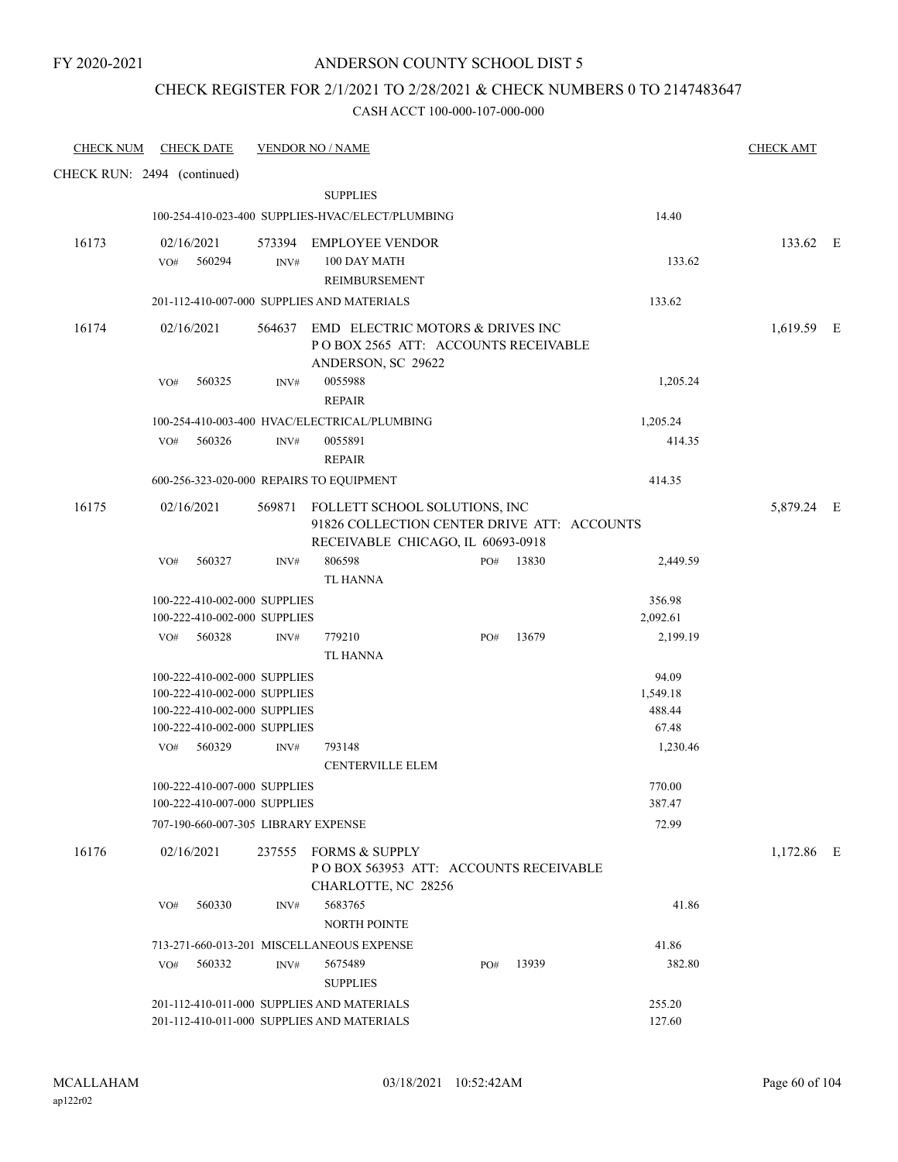### CHECK REGISTER FOR 2/1/2021 TO 2/28/2021 & CHECK NUMBERS 0 TO 2147483647

| <b>CHECK NUM</b>            |            | <b>CHECK DATE</b>                                            |        | <b>VENDOR NO / NAME</b>                          |     |       |                 | <b>CHECK AMT</b> |  |
|-----------------------------|------------|--------------------------------------------------------------|--------|--------------------------------------------------|-----|-------|-----------------|------------------|--|
| CHECK RUN: 2494 (continued) |            |                                                              |        |                                                  |     |       |                 |                  |  |
|                             |            |                                                              |        | <b>SUPPLIES</b>                                  |     |       |                 |                  |  |
|                             |            |                                                              |        | 100-254-410-023-400 SUPPLIES-HVAC/ELECT/PLUMBING |     |       | 14.40           |                  |  |
| 16173                       | 02/16/2021 |                                                              |        | 573394 EMPLOYEE VENDOR                           |     |       |                 | 133.62 E         |  |
|                             | VO#        | 560294                                                       | INV#   | 100 DAY MATH                                     |     |       | 133.62          |                  |  |
|                             |            |                                                              |        | REIMBURSEMENT                                    |     |       |                 |                  |  |
|                             |            |                                                              |        | 201-112-410-007-000 SUPPLIES AND MATERIALS       |     |       | 133.62          |                  |  |
| 16174                       | 02/16/2021 |                                                              | 564637 | EMD ELECTRIC MOTORS & DRIVES INC                 |     |       |                 | 1,619.59 E       |  |
|                             |            |                                                              |        | POBOX 2565 ATT: ACCOUNTS RECEIVABLE              |     |       |                 |                  |  |
|                             | VO#        | 560325                                                       | INV#   | ANDERSON, SC 29622<br>0055988                    |     |       | 1,205.24        |                  |  |
|                             |            |                                                              |        | <b>REPAIR</b>                                    |     |       |                 |                  |  |
|                             |            |                                                              |        | 100-254-410-003-400 HVAC/ELECTRICAL/PLUMBING     |     |       | 1,205.24        |                  |  |
|                             | VO#        | 560326                                                       | INV#   | 0055891                                          |     |       | 414.35          |                  |  |
|                             |            |                                                              |        | <b>REPAIR</b>                                    |     |       |                 |                  |  |
|                             |            |                                                              |        | 600-256-323-020-000 REPAIRS TO EQUIPMENT         |     |       | 414.35          |                  |  |
| 16175                       | 02/16/2021 |                                                              |        | 569871 FOLLETT SCHOOL SOLUTIONS, INC             |     |       |                 | 5,879.24 E       |  |
|                             |            |                                                              |        | 91826 COLLECTION CENTER DRIVE ATT: ACCOUNTS      |     |       |                 |                  |  |
|                             |            |                                                              |        | RECEIVABLE CHICAGO, IL 60693-0918                |     |       |                 |                  |  |
|                             | VO#        | 560327                                                       | INV#   | 806598<br><b>TL HANNA</b>                        | PO# | 13830 | 2,449.59        |                  |  |
|                             |            | 100-222-410-002-000 SUPPLIES                                 |        |                                                  |     |       | 356.98          |                  |  |
|                             |            | 100-222-410-002-000 SUPPLIES                                 |        |                                                  |     |       | 2,092.61        |                  |  |
|                             |            | VO# 560328                                                   | INV#   | 779210                                           | PO# | 13679 | 2,199.19        |                  |  |
|                             |            |                                                              |        | <b>TL HANNA</b>                                  |     |       |                 |                  |  |
|                             |            | 100-222-410-002-000 SUPPLIES                                 |        |                                                  |     |       | 94.09           |                  |  |
|                             |            | 100-222-410-002-000 SUPPLIES                                 |        |                                                  |     |       | 1,549.18        |                  |  |
|                             |            | 100-222-410-002-000 SUPPLIES<br>100-222-410-002-000 SUPPLIES |        |                                                  |     |       | 488.44<br>67.48 |                  |  |
|                             | VO#        | 560329                                                       | INV#   | 793148                                           |     |       | 1,230.46        |                  |  |
|                             |            |                                                              |        | <b>CENTERVILLE ELEM</b>                          |     |       |                 |                  |  |
|                             |            | 100-222-410-007-000 SUPPLIES                                 |        |                                                  |     |       | 770.00          |                  |  |
|                             |            | 100-222-410-007-000 SUPPLIES                                 |        |                                                  |     |       | 387.47          |                  |  |
|                             |            | 707-190-660-007-305 LIBRARY EXPENSE                          |        |                                                  |     |       | 72.99           |                  |  |
| 16176                       | 02/16/2021 |                                                              | 237555 | <b>FORMS &amp; SUPPLY</b>                        |     |       |                 | 1,172.86 E       |  |
|                             |            |                                                              |        | POBOX 563953 ATT: ACCOUNTS RECEIVABLE            |     |       |                 |                  |  |
|                             |            | 560330                                                       |        | CHARLOTTE, NC 28256<br>5683765                   |     |       | 41.86           |                  |  |
|                             | VO#        |                                                              | INV#   | NORTH POINTE                                     |     |       |                 |                  |  |
|                             |            |                                                              |        | 713-271-660-013-201 MISCELLANEOUS EXPENSE        |     |       | 41.86           |                  |  |
|                             | VO#        | 560332                                                       | INV#   | 5675489                                          | PO# | 13939 | 382.80          |                  |  |
|                             |            |                                                              |        | <b>SUPPLIES</b>                                  |     |       |                 |                  |  |
|                             |            |                                                              |        | 201-112-410-011-000 SUPPLIES AND MATERIALS       |     |       | 255.20          |                  |  |
|                             |            |                                                              |        | 201-112-410-011-000 SUPPLIES AND MATERIALS       |     |       | 127.60          |                  |  |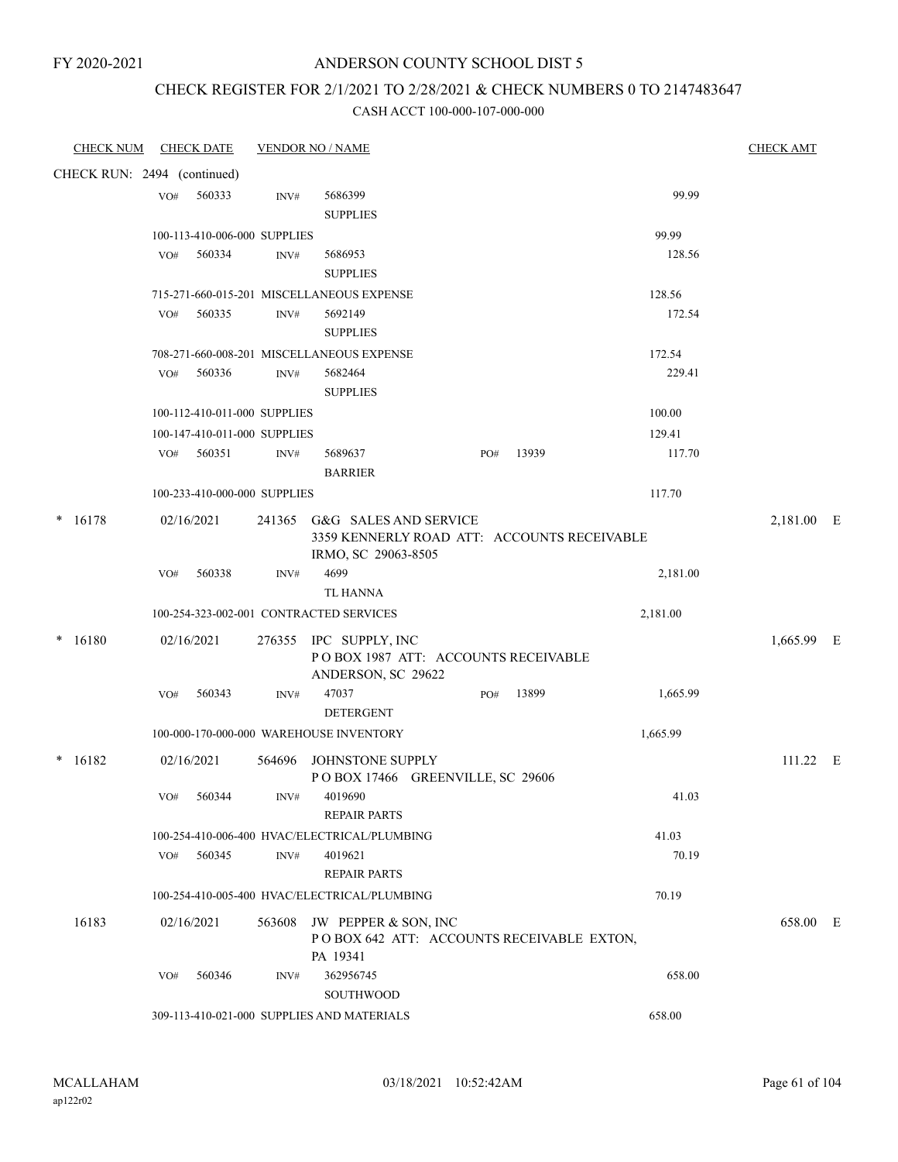### ANDERSON COUNTY SCHOOL DIST 5

# CHECK REGISTER FOR 2/1/2021 TO 2/28/2021 & CHECK NUMBERS 0 TO 2147483647

| <b>CHECK NUM</b> | <b>CHECK DATE</b>                       | <b>VENDOR NO / NAME</b> |                                                           |     |       |          | <b>CHECK AMT</b> |  |
|------------------|-----------------------------------------|-------------------------|-----------------------------------------------------------|-----|-------|----------|------------------|--|
|                  | CHECK RUN: 2494 (continued)             |                         |                                                           |     |       |          |                  |  |
|                  | 560333<br>VO#                           | INV#                    | 5686399                                                   |     |       | 99.99    |                  |  |
|                  |                                         |                         | <b>SUPPLIES</b>                                           |     |       |          |                  |  |
|                  | 100-113-410-006-000 SUPPLIES            |                         |                                                           |     |       | 99.99    |                  |  |
|                  | 560334<br>VO#                           | INV#                    | 5686953                                                   |     |       | 128.56   |                  |  |
|                  |                                         |                         | <b>SUPPLIES</b>                                           |     |       |          |                  |  |
|                  |                                         |                         | 715-271-660-015-201 MISCELLANEOUS EXPENSE                 |     |       | 128.56   |                  |  |
|                  | 560335<br>VO#                           | INV#                    | 5692149                                                   |     |       | 172.54   |                  |  |
|                  |                                         |                         | <b>SUPPLIES</b>                                           |     |       |          |                  |  |
|                  |                                         |                         | 708-271-660-008-201 MISCELLANEOUS EXPENSE                 |     |       | 172.54   |                  |  |
|                  | 560336<br>VO#                           | INV#                    | 5682464                                                   |     |       | 229.41   |                  |  |
|                  |                                         |                         | <b>SUPPLIES</b>                                           |     |       |          |                  |  |
|                  | 100-112-410-011-000 SUPPLIES            |                         |                                                           |     |       | 100.00   |                  |  |
|                  | 100-147-410-011-000 SUPPLIES            |                         |                                                           |     |       | 129.41   |                  |  |
|                  | 560351<br>VO#                           | INV#                    | 5689637                                                   | PO# | 13939 | 117.70   |                  |  |
|                  |                                         |                         | <b>BARRIER</b>                                            |     |       |          |                  |  |
|                  | 100-233-410-000-000 SUPPLIES            |                         |                                                           |     |       | 117.70   |                  |  |
| 16178<br>*       | 02/16/2021                              |                         | 241365 G&G SALES AND SERVICE                              |     |       |          | 2,181.00 E       |  |
|                  |                                         |                         | 3359 KENNERLY ROAD ATT: ACCOUNTS RECEIVABLE               |     |       |          |                  |  |
|                  |                                         |                         | IRMO, SC 29063-8505                                       |     |       |          |                  |  |
|                  | 560338<br>VO#                           | INV#                    | 4699<br>TL HANNA                                          |     |       | 2,181.00 |                  |  |
|                  |                                         |                         |                                                           |     |       |          |                  |  |
|                  | 100-254-323-002-001 CONTRACTED SERVICES |                         |                                                           |     |       | 2,181.00 |                  |  |
| 16180<br>*       | 02/16/2021                              |                         | 276355 IPC SUPPLY, INC                                    |     |       |          | 1,665.99 E       |  |
|                  |                                         |                         | POBOX 1987 ATT: ACCOUNTS RECEIVABLE<br>ANDERSON, SC 29622 |     |       |          |                  |  |
|                  | 560343<br>VO#                           | INV#                    | 47037                                                     | PO# | 13899 | 1,665.99 |                  |  |
|                  |                                         |                         | <b>DETERGENT</b>                                          |     |       |          |                  |  |
|                  | 100-000-170-000-000 WAREHOUSE INVENTORY |                         |                                                           |     |       | 1,665.99 |                  |  |
|                  |                                         |                         |                                                           |     |       |          |                  |  |
| $* 16182$        | 02/16/2021                              | 564696                  | JOHNSTONE SUPPLY<br>POBOX 17466 GREENVILLE, SC 29606      |     |       |          | 111.22 E         |  |
|                  | VO# 560344                              | INV#                    | 4019690                                                   |     |       | 41.03    |                  |  |
|                  |                                         |                         | <b>REPAIR PARTS</b>                                       |     |       |          |                  |  |
|                  |                                         |                         | 100-254-410-006-400 HVAC/ELECTRICAL/PLUMBING              |     |       | 41.03    |                  |  |
|                  | 560345<br>VO#                           | $\text{INV}\#$          | 4019621                                                   |     |       | 70.19    |                  |  |
|                  |                                         |                         | <b>REPAIR PARTS</b>                                       |     |       |          |                  |  |
|                  |                                         |                         | 100-254-410-005-400 HVAC/ELECTRICAL/PLUMBING              |     |       | 70.19    |                  |  |
| 16183            | 02/16/2021                              | 563608                  | JW PEPPER & SON, INC                                      |     |       |          | 658.00 E         |  |
|                  |                                         |                         | POBOX 642 ATT: ACCOUNTS RECEIVABLE EXTON,                 |     |       |          |                  |  |
|                  |                                         |                         | PA 19341                                                  |     |       |          |                  |  |
|                  | 560346<br>VO#                           | INV#                    | 362956745                                                 |     |       | 658.00   |                  |  |
|                  |                                         |                         | SOUTHWOOD                                                 |     |       |          |                  |  |
|                  |                                         |                         | 309-113-410-021-000 SUPPLIES AND MATERIALS                |     |       | 658.00   |                  |  |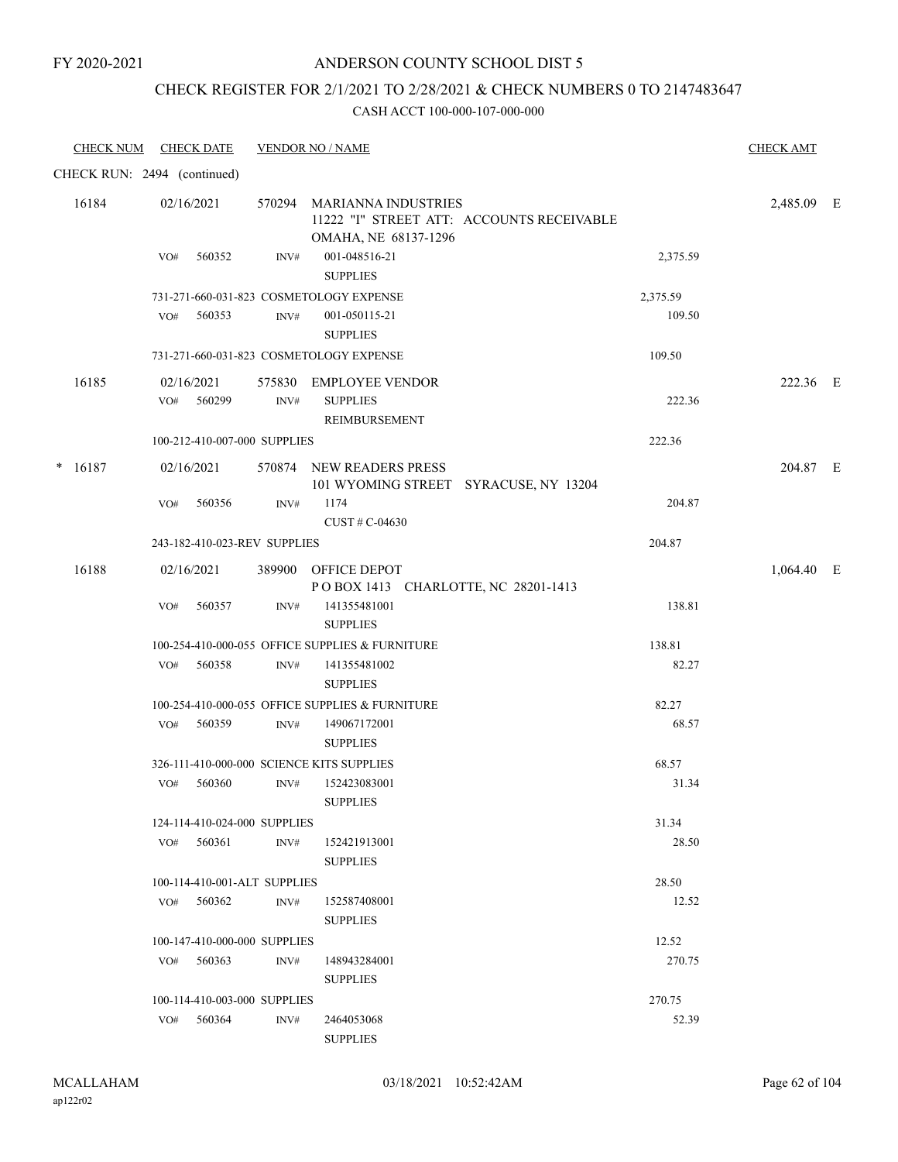#### ANDERSON COUNTY SCHOOL DIST 5

### CHECK REGISTER FOR 2/1/2021 TO 2/28/2021 & CHECK NUMBERS 0 TO 2147483647

| <b>CHECK NUM</b>            |     | <u>CHECK DATE</u>            |                | <b>VENDOR NO / NAME</b>                                             |                                           |          | <b>CHECK AMT</b> |  |
|-----------------------------|-----|------------------------------|----------------|---------------------------------------------------------------------|-------------------------------------------|----------|------------------|--|
| CHECK RUN: 2494 (continued) |     |                              |                |                                                                     |                                           |          |                  |  |
| 16184                       | VO# | 02/16/2021<br>560352         | $\text{INV}\#$ | 570294 MARIANNA INDUSTRIES<br>OMAHA, NE 68137-1296<br>001-048516-21 | 11222 "I" STREET ATT: ACCOUNTS RECEIVABLE | 2,375.59 | 2,485.09 E       |  |
|                             |     |                              |                | <b>SUPPLIES</b>                                                     |                                           |          |                  |  |
|                             |     |                              |                | 731-271-660-031-823 COSMETOLOGY EXPENSE                             |                                           | 2,375.59 |                  |  |
|                             | VO# | 560353                       | $\text{INV}\#$ | 001-050115-21<br><b>SUPPLIES</b>                                    |                                           | 109.50   |                  |  |
|                             |     |                              |                | 731-271-660-031-823 COSMETOLOGY EXPENSE                             |                                           | 109.50   |                  |  |
| 16185                       |     | 02/16/2021                   |                | 575830 EMPLOYEE VENDOR                                              |                                           |          | 222.36 E         |  |
|                             |     | VO# 560299                   | INV#           | <b>SUPPLIES</b><br>REIMBURSEMENT                                    |                                           | 222.36   |                  |  |
|                             |     | 100-212-410-007-000 SUPPLIES |                |                                                                     |                                           | 222.36   |                  |  |
| 16187<br>$\ast$             |     | 02/16/2021                   |                | 570874 NEW READERS PRESS<br>101 WYOMING STREET SYRACUSE, NY 13204   |                                           |          | 204.87 E         |  |
|                             | VO# | 560356                       | $\text{INV}\#$ | 1174<br>CUST# C-04630                                               |                                           | 204.87   |                  |  |
|                             |     | 243-182-410-023-REV SUPPLIES |                |                                                                     |                                           | 204.87   |                  |  |
| 16188                       |     | 02/16/2021                   |                | 389900 OFFICE DEPOT<br>POBOX 1413 CHARLOTTE, NC 28201-1413          |                                           |          | 1,064.40 E       |  |
|                             | VO# | 560357                       | INV#           | 141355481001<br><b>SUPPLIES</b>                                     |                                           | 138.81   |                  |  |
|                             |     |                              |                | 100-254-410-000-055 OFFICE SUPPLIES & FURNITURE                     |                                           | 138.81   |                  |  |
|                             |     | VO# 560358                   | INV#           | 141355481002<br><b>SUPPLIES</b>                                     |                                           | 82.27    |                  |  |
|                             |     |                              |                | 100-254-410-000-055 OFFICE SUPPLIES & FURNITURE                     |                                           | 82.27    |                  |  |
|                             | VO# | 560359                       | INV#           | 149067172001<br><b>SUPPLIES</b>                                     |                                           | 68.57    |                  |  |
|                             |     |                              |                | 326-111-410-000-000 SCIENCE KITS SUPPLIES                           |                                           | 68.57    |                  |  |
|                             | VO# | 560360                       | INV#           | 152423083001<br><b>SUPPLIES</b>                                     |                                           | 31.34    |                  |  |
|                             |     | 124-114-410-024-000 SUPPLIES |                |                                                                     |                                           | 31.34    |                  |  |
|                             |     | $VO#$ 560361                 | INV#           | 152421913001<br><b>SUPPLIES</b>                                     |                                           | 28.50    |                  |  |
|                             |     | 100-114-410-001-ALT SUPPLIES |                |                                                                     |                                           | 28.50    |                  |  |
|                             | VO# | 560362                       | INV#           | 152587408001<br><b>SUPPLIES</b>                                     |                                           | 12.52    |                  |  |
|                             |     | 100-147-410-000-000 SUPPLIES |                |                                                                     |                                           | 12.52    |                  |  |
|                             | VO# | 560363                       | INV#           | 148943284001<br><b>SUPPLIES</b>                                     |                                           | 270.75   |                  |  |
|                             |     | 100-114-410-003-000 SUPPLIES |                |                                                                     |                                           | 270.75   |                  |  |
|                             |     | VO# 560364                   | INV#           | 2464053068<br><b>SUPPLIES</b>                                       |                                           | 52.39    |                  |  |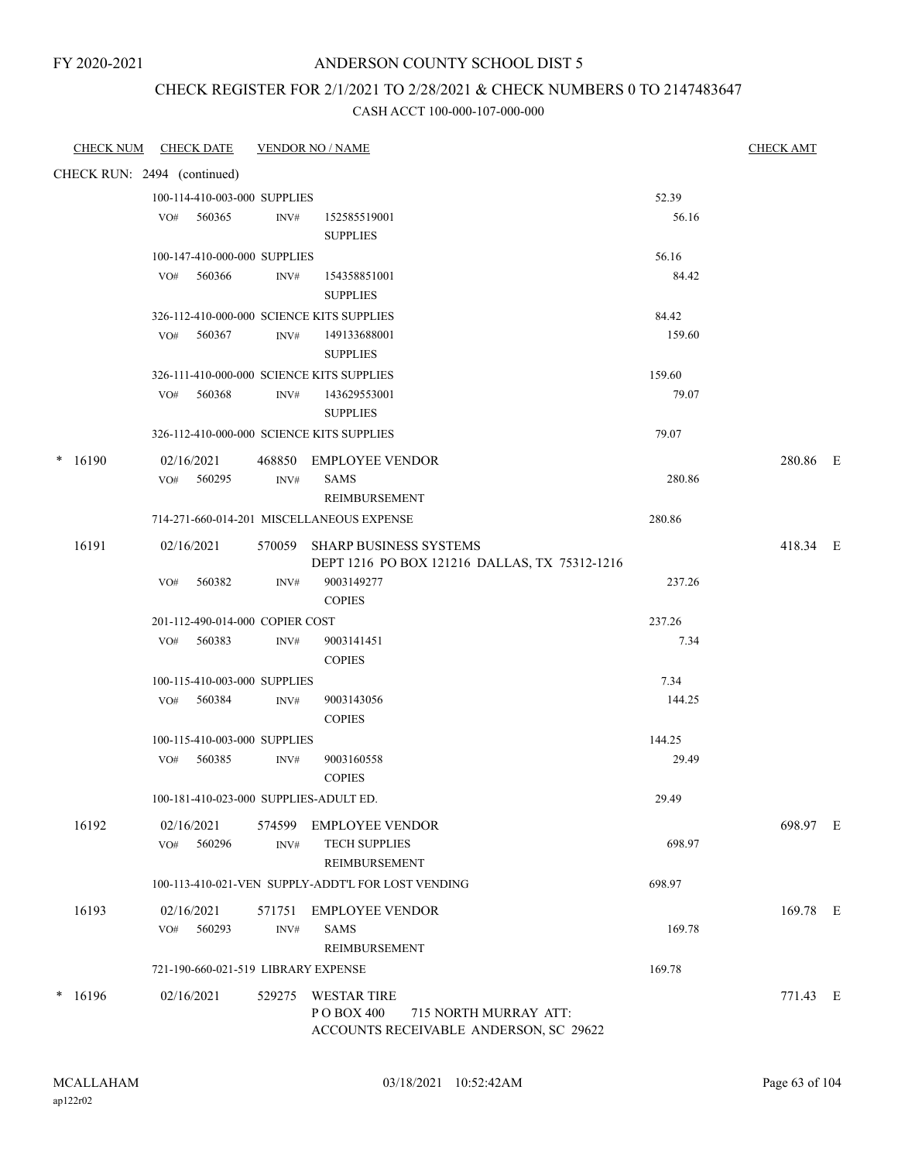### ANDERSON COUNTY SCHOOL DIST 5

### CHECK REGISTER FOR 2/1/2021 TO 2/28/2021 & CHECK NUMBERS 0 TO 2147483647

|                 | <b>CHECK NUM CHECK DATE</b>               |        | <b>VENDOR NO / NAME</b>                                                        |        | <b>CHECK AMT</b> |  |
|-----------------|-------------------------------------------|--------|--------------------------------------------------------------------------------|--------|------------------|--|
|                 | CHECK RUN: 2494 (continued)               |        |                                                                                |        |                  |  |
|                 | 100-114-410-003-000 SUPPLIES              |        |                                                                                | 52.39  |                  |  |
|                 | 560365<br>VO#                             | INV#   | 152585519001                                                                   | 56.16  |                  |  |
|                 |                                           |        | <b>SUPPLIES</b>                                                                |        |                  |  |
|                 | 100-147-410-000-000 SUPPLIES              |        |                                                                                | 56.16  |                  |  |
|                 | 560366<br>VO#                             | INV#   | 154358851001<br><b>SUPPLIES</b>                                                | 84.42  |                  |  |
|                 | 326-112-410-000-000 SCIENCE KITS SUPPLIES |        |                                                                                | 84.42  |                  |  |
|                 | 560367<br>VO#                             | INV#   | 149133688001<br><b>SUPPLIES</b>                                                | 159.60 |                  |  |
|                 | 326-111-410-000-000 SCIENCE KITS SUPPLIES |        |                                                                                | 159.60 |                  |  |
|                 | VO#<br>560368                             | INV#   | 143629553001                                                                   | 79.07  |                  |  |
|                 |                                           |        | <b>SUPPLIES</b>                                                                |        |                  |  |
|                 | 326-112-410-000-000 SCIENCE KITS SUPPLIES |        |                                                                                | 79.07  |                  |  |
|                 |                                           |        |                                                                                |        |                  |  |
| $*16190$        | 02/16/2021                                |        | 468850 EMPLOYEE VENDOR                                                         |        | 280.86 E         |  |
|                 | VO# 560295                                | INV#   | <b>SAMS</b>                                                                    | 280.86 |                  |  |
|                 |                                           |        | <b>REIMBURSEMENT</b>                                                           |        |                  |  |
|                 |                                           |        | 714-271-660-014-201 MISCELLANEOUS EXPENSE                                      | 280.86 |                  |  |
| 16191           | 02/16/2021                                |        | 570059 SHARP BUSINESS SYSTEMS<br>DEPT 1216 PO BOX 121216 DALLAS, TX 75312-1216 |        | 418.34 E         |  |
|                 | VO#<br>560382                             | INV#   | 9003149277                                                                     | 237.26 |                  |  |
|                 |                                           |        | <b>COPIES</b>                                                                  |        |                  |  |
|                 | 201-112-490-014-000 COPIER COST           |        |                                                                                | 237.26 |                  |  |
|                 | 560383<br>VO#                             | INV#   | 9003141451                                                                     | 7.34   |                  |  |
|                 |                                           |        | <b>COPIES</b>                                                                  |        |                  |  |
|                 | 100-115-410-003-000 SUPPLIES              |        |                                                                                | 7.34   |                  |  |
|                 | VO# 560384                                | INV#   | 9003143056                                                                     | 144.25 |                  |  |
|                 |                                           |        | <b>COPIES</b>                                                                  |        |                  |  |
|                 | 100-115-410-003-000 SUPPLIES              |        |                                                                                | 144.25 |                  |  |
|                 | 560385<br>VO#                             | INV#   | 9003160558                                                                     | 29.49  |                  |  |
|                 |                                           |        | <b>COPIES</b>                                                                  |        |                  |  |
|                 | 100-181-410-023-000 SUPPLIES-ADULT ED.    |        |                                                                                | 29.49  |                  |  |
| 16192           | 02/16/2021                                | 574599 | <b>EMPLOYEE VENDOR</b>                                                         |        | 698.97 E         |  |
|                 | 560296<br>VO#                             | INV#   | <b>TECH SUPPLIES</b>                                                           | 698.97 |                  |  |
|                 |                                           |        | REIMBURSEMENT                                                                  |        |                  |  |
|                 |                                           |        | 100-113-410-021-VEN SUPPLY-ADDT'L FOR LOST VENDING                             | 698.97 |                  |  |
| 16193           | 02/16/2021                                | 571751 | <b>EMPLOYEE VENDOR</b>                                                         |        | 169.78 E         |  |
|                 | 560293<br>VO#                             | INV#   | <b>SAMS</b>                                                                    | 169.78 |                  |  |
|                 |                                           |        | REIMBURSEMENT                                                                  |        |                  |  |
|                 | 721-190-660-021-519 LIBRARY EXPENSE       |        |                                                                                | 169.78 |                  |  |
| 16196<br>$\ast$ | 02/16/2021                                | 529275 | <b>WESTAR TIRE</b>                                                             |        | 771.43 E         |  |
|                 |                                           |        | PO BOX 400<br>715 NORTH MURRAY ATT:                                            |        |                  |  |
|                 |                                           |        | ACCOUNTS RECEIVABLE ANDERSON, SC 29622                                         |        |                  |  |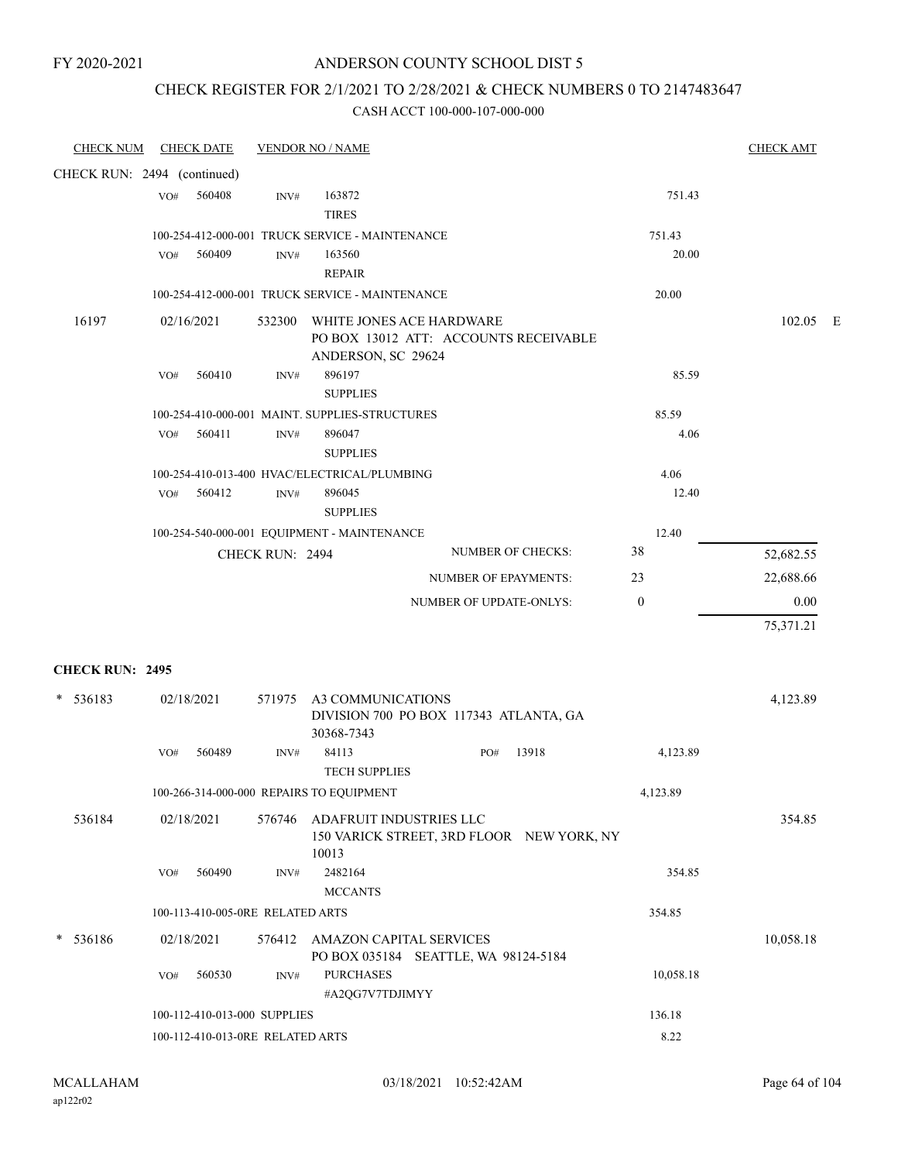### CHECK REGISTER FOR 2/1/2021 TO 2/28/2021 & CHECK NUMBERS 0 TO 2147483647

| <b>CHECK NUM</b>            |     | <b>CHECK DATE</b>                |                 | <b>VENDOR NO / NAME</b>                                          |                                           |              | <b>CHECK AMT</b> |  |
|-----------------------------|-----|----------------------------------|-----------------|------------------------------------------------------------------|-------------------------------------------|--------------|------------------|--|
| CHECK RUN: 2494 (continued) |     |                                  |                 |                                                                  |                                           |              |                  |  |
|                             | VO# | 560408                           | INV#            | 163872<br><b>TIRES</b>                                           |                                           | 751.43       |                  |  |
|                             |     |                                  |                 | 100-254-412-000-001 TRUCK SERVICE - MAINTENANCE                  |                                           | 751.43       |                  |  |
|                             | VO# | 560409                           | INV#            | 163560                                                           |                                           | 20.00        |                  |  |
|                             |     |                                  |                 | <b>REPAIR</b><br>100-254-412-000-001 TRUCK SERVICE - MAINTENANCE |                                           | 20.00        |                  |  |
|                             |     |                                  |                 |                                                                  |                                           |              |                  |  |
| 16197                       |     | 02/16/2021                       | 532300          | WHITE JONES ACE HARDWARE<br>ANDERSON, SC 29624                   | PO BOX 13012 ATT: ACCOUNTS RECEIVABLE     |              | 102.05 E         |  |
|                             | VO# | 560410                           | INV#            | 896197<br><b>SUPPLIES</b>                                        |                                           | 85.59        |                  |  |
|                             |     |                                  |                 | 100-254-410-000-001 MAINT. SUPPLIES-STRUCTURES                   |                                           | 85.59        |                  |  |
|                             | VO# | 560411                           | INV#            | 896047<br><b>SUPPLIES</b>                                        |                                           | 4.06         |                  |  |
|                             |     |                                  |                 | 100-254-410-013-400 HVAC/ELECTRICAL/PLUMBING                     |                                           | 4.06         |                  |  |
|                             | VO# | 560412                           | INV#            | 896045<br><b>SUPPLIES</b>                                        |                                           | 12.40        |                  |  |
|                             |     |                                  |                 | 100-254-540-000-001 EQUIPMENT - MAINTENANCE                      |                                           | 12.40        |                  |  |
|                             |     |                                  | CHECK RUN: 2494 |                                                                  | <b>NUMBER OF CHECKS:</b>                  | 38           | 52,682.55        |  |
|                             |     |                                  |                 |                                                                  | <b>NUMBER OF EPAYMENTS:</b>               | 23           | 22,688.66        |  |
|                             |     |                                  |                 |                                                                  | NUMBER OF UPDATE-ONLYS:                   | $\mathbf{0}$ | 0.00             |  |
|                             |     |                                  |                 |                                                                  |                                           |              | 75,371.21        |  |
| <b>CHECK RUN: 2495</b>      |     |                                  |                 |                                                                  |                                           |              |                  |  |
| 536183<br>$\ast$            |     | 02/18/2021                       | 571975          | A3 COMMUNICATIONS<br>30368-7343                                  | DIVISION 700 PO BOX 117343 ATLANTA, GA    |              | 4,123.89         |  |
|                             | VO# | 560489                           | INV#            | 84113<br><b>TECH SUPPLIES</b>                                    | 13918<br>PO#                              | 4,123.89     |                  |  |
|                             |     |                                  |                 | 100-266-314-000-000 REPAIRS TO EQUIPMENT                         |                                           | 4,123.89     |                  |  |
| 536184                      |     | 02/18/2021                       |                 | 576746 ADAFRUIT INDUSTRIES LLC<br>10013                          | 150 VARICK STREET, 3RD FLOOR NEW YORK, NY |              | 354.85           |  |
|                             | VO# | 560490                           | INV#            | 2482164<br><b>MCCANTS</b>                                        |                                           | 354.85       |                  |  |
|                             |     | 100-113-410-005-0RE RELATED ARTS |                 |                                                                  |                                           | 354.85       |                  |  |
| * 536186                    |     | 02/18/2021                       |                 | 576412 AMAZON CAPITAL SERVICES                                   | PO BOX 035184 SEATTLE, WA 98124-5184      |              | 10,058.18        |  |
|                             | VO# | 560530                           | INV#            | <b>PURCHASES</b><br>#A2QG7V7TDJIMYY                              |                                           | 10,058.18    |                  |  |
|                             |     | 100-112-410-013-000 SUPPLIES     |                 |                                                                  |                                           | 136.18       |                  |  |
|                             |     | 100-112-410-013-0RE RELATED ARTS |                 |                                                                  |                                           | 8.22         |                  |  |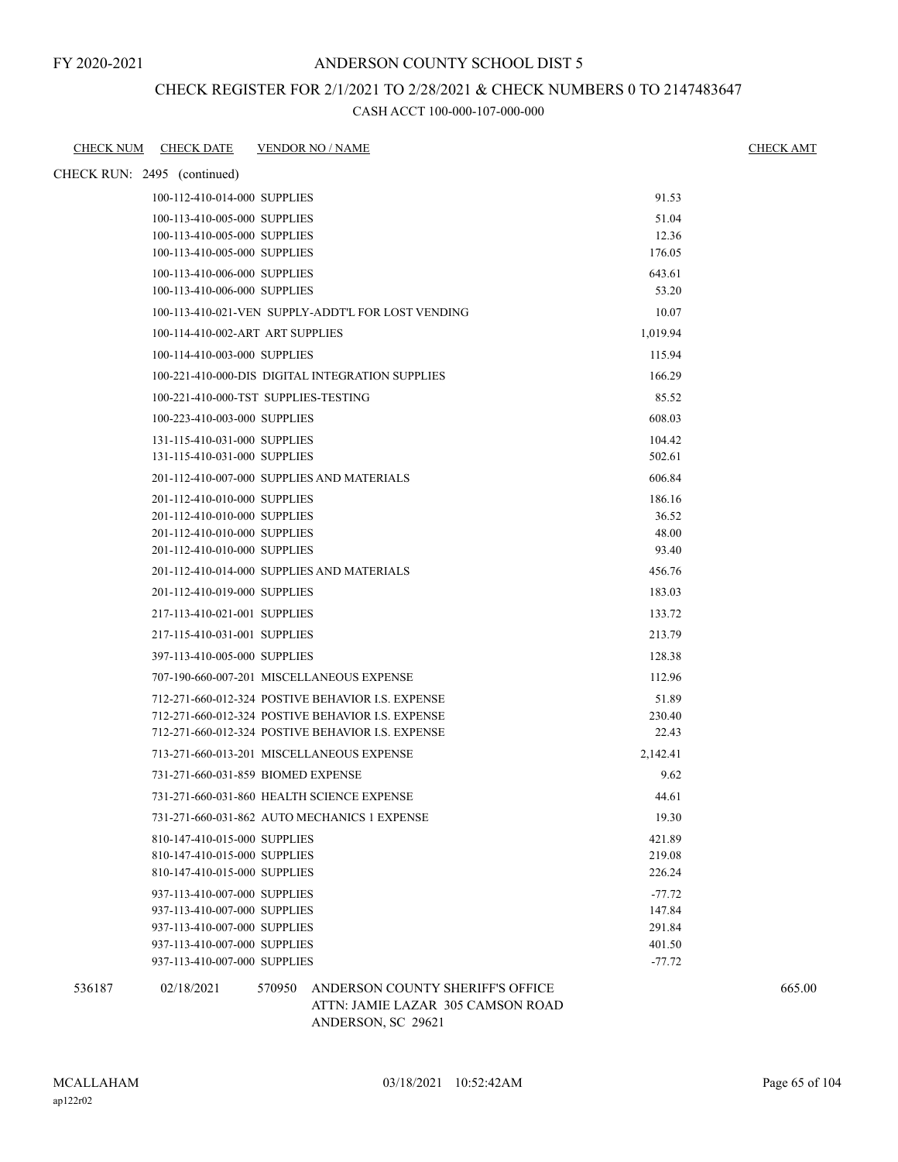# CHECK REGISTER FOR 2/1/2021 TO 2/28/2021 & CHECK NUMBERS 0 TO 2147483647

CASH ACCT 100-000-107-000-000

|        | CHECK NUM CHECK DATE                                         | <b>VENDOR NO / NAME</b>                            |                  | <b>CHECK AMT</b> |
|--------|--------------------------------------------------------------|----------------------------------------------------|------------------|------------------|
|        | CHECK RUN: 2495 (continued)                                  |                                                    |                  |                  |
|        | 100-112-410-014-000 SUPPLIES                                 |                                                    | 91.53            |                  |
|        | 100-113-410-005-000 SUPPLIES                                 |                                                    | 51.04            |                  |
|        | 100-113-410-005-000 SUPPLIES                                 |                                                    | 12.36            |                  |
|        | 100-113-410-005-000 SUPPLIES                                 |                                                    | 176.05           |                  |
|        | 100-113-410-006-000 SUPPLIES                                 |                                                    | 643.61           |                  |
|        | 100-113-410-006-000 SUPPLIES                                 |                                                    | 53.20            |                  |
|        |                                                              | 100-113-410-021-VEN SUPPLY-ADDT'L FOR LOST VENDING | 10.07            |                  |
|        | 100-114-410-002-ART ART SUPPLIES                             |                                                    | 1,019.94         |                  |
|        | 100-114-410-003-000 SUPPLIES                                 |                                                    | 115.94           |                  |
|        |                                                              | 100-221-410-000-DIS DIGITAL INTEGRATION SUPPLIES   | 166.29           |                  |
|        |                                                              | 100-221-410-000-TST SUPPLIES-TESTING               | 85.52            |                  |
|        | 100-223-410-003-000 SUPPLIES                                 |                                                    | 608.03           |                  |
|        | 131-115-410-031-000 SUPPLIES                                 |                                                    | 104.42           |                  |
|        | 131-115-410-031-000 SUPPLIES                                 |                                                    | 502.61           |                  |
|        |                                                              | 201-112-410-007-000 SUPPLIES AND MATERIALS         | 606.84           |                  |
|        | 201-112-410-010-000 SUPPLIES                                 |                                                    | 186.16           |                  |
|        | 201-112-410-010-000 SUPPLIES                                 |                                                    | 36.52            |                  |
|        | 201-112-410-010-000 SUPPLIES                                 |                                                    | 48.00            |                  |
|        | 201-112-410-010-000 SUPPLIES                                 |                                                    | 93.40            |                  |
|        |                                                              | 201-112-410-014-000 SUPPLIES AND MATERIALS         | 456.76           |                  |
|        | 201-112-410-019-000 SUPPLIES                                 |                                                    | 183.03           |                  |
|        | 217-113-410-021-001 SUPPLIES                                 |                                                    | 133.72           |                  |
|        | 217-115-410-031-001 SUPPLIES                                 |                                                    | 213.79           |                  |
|        | 397-113-410-005-000 SUPPLIES                                 |                                                    | 128.38           |                  |
|        |                                                              | 707-190-660-007-201 MISCELLANEOUS EXPENSE          | 112.96           |                  |
|        |                                                              | 712-271-660-012-324 POSTIVE BEHAVIOR I.S. EXPENSE  | 51.89            |                  |
|        |                                                              | 712-271-660-012-324 POSTIVE BEHAVIOR I.S. EXPENSE  | 230.40           |                  |
|        |                                                              | 712-271-660-012-324 POSTIVE BEHAVIOR I.S. EXPENSE  | 22.43            |                  |
|        |                                                              | 713-271-660-013-201 MISCELLANEOUS EXPENSE          | 2,142.41         |                  |
|        |                                                              | 731-271-660-031-859 BIOMED EXPENSE                 | 9.62             |                  |
|        |                                                              | 731-271-660-031-860 HEALTH SCIENCE EXPENSE         | 44.61            |                  |
|        |                                                              | 731-271-660-031-862 AUTO MECHANICS 1 EXPENSE       | 19.30            |                  |
|        |                                                              |                                                    |                  |                  |
|        | 810-147-410-015-000 SUPPLIES<br>810-147-410-015-000 SUPPLIES |                                                    | 421.89<br>219.08 |                  |
|        | 810-147-410-015-000 SUPPLIES                                 |                                                    | 226.24           |                  |
|        | 937-113-410-007-000 SUPPLIES                                 |                                                    | $-77.72$         |                  |
|        | 937-113-410-007-000 SUPPLIES                                 |                                                    | 147.84           |                  |
|        | 937-113-410-007-000 SUPPLIES                                 |                                                    | 291.84           |                  |
|        | 937-113-410-007-000 SUPPLIES                                 |                                                    | 401.50           |                  |
|        | 937-113-410-007-000 SUPPLIES                                 |                                                    | $-77.72$         |                  |
| 536187 | 02/18/2021                                                   | 570950<br>ANDERSON COUNTY SHERIFF'S OFFICE         |                  | 665.00           |
|        |                                                              | ATTN: JAMIE LAZAR 305 CAMSON ROAD                  |                  |                  |

ANDERSON, SC 29621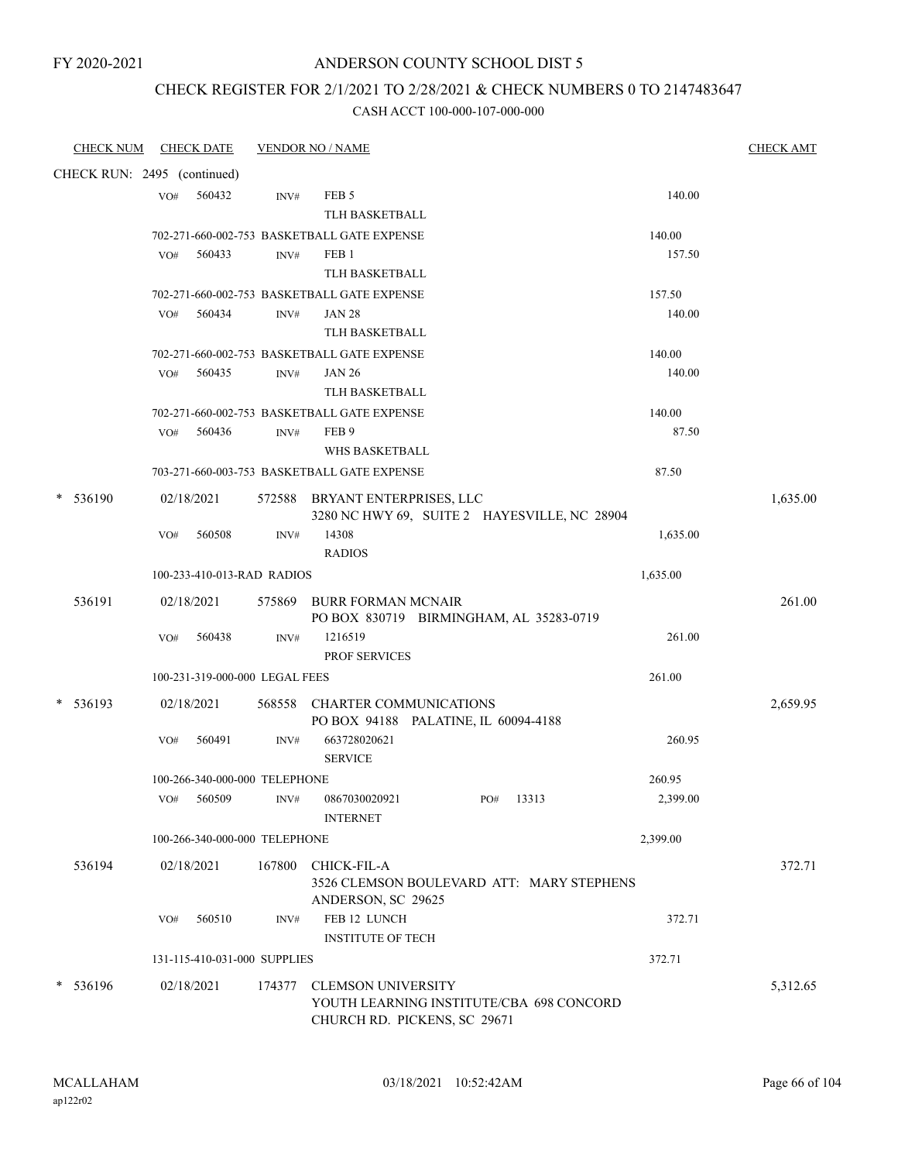### ANDERSON COUNTY SCHOOL DIST 5

### CHECK REGISTER FOR 2/1/2021 TO 2/28/2021 & CHECK NUMBERS 0 TO 2147483647

| <b>CHECK NUM</b>            |     | <b>CHECK DATE</b>              |        | <b>VENDOR NO / NAME</b>                                  |              |          | <b>CHECK AMT</b> |
|-----------------------------|-----|--------------------------------|--------|----------------------------------------------------------|--------------|----------|------------------|
| CHECK RUN: 2495 (continued) |     |                                |        |                                                          |              |          |                  |
|                             | VO# | 560432                         | INV#   | FEB <sub>5</sub>                                         |              | 140.00   |                  |
|                             |     |                                |        | <b>TLH BASKETBALL</b>                                    |              |          |                  |
|                             |     |                                |        | 702-271-660-002-753 BASKETBALL GATE EXPENSE              |              | 140.00   |                  |
|                             | VO# | 560433                         | INV#   | FEB <sub>1</sub>                                         |              | 157.50   |                  |
|                             |     |                                |        | <b>TLH BASKETBALL</b>                                    |              |          |                  |
|                             |     |                                |        | 702-271-660-002-753 BASKETBALL GATE EXPENSE              |              | 157.50   |                  |
|                             | VO# | 560434                         | INV#   | <b>JAN 28</b>                                            |              | 140.00   |                  |
|                             |     |                                |        | TLH BASKETBALL                                           |              |          |                  |
|                             |     |                                |        | 702-271-660-002-753 BASKETBALL GATE EXPENSE              |              | 140.00   |                  |
|                             | VO# | 560435                         | INV#   | <b>JAN 26</b>                                            |              | 140.00   |                  |
|                             |     |                                |        | <b>TLH BASKETBALL</b>                                    |              |          |                  |
|                             |     |                                |        | 702-271-660-002-753 BASKETBALL GATE EXPENSE              |              | 140.00   |                  |
|                             | VO# | 560436                         | INV#   | FEB <sub>9</sub><br><b>WHS BASKETBALL</b>                |              | 87.50    |                  |
|                             |     |                                |        | 703-271-660-003-753 BASKETBALL GATE EXPENSE              |              | 87.50    |                  |
|                             |     |                                |        |                                                          |              |          |                  |
| 536190<br>*                 |     | 02/18/2021                     |        | 572588 BRYANT ENTERPRISES, LLC                           |              |          | 1,635.00         |
|                             |     |                                |        | 3280 NC HWY 69, SUITE 2 HAYESVILLE, NC 28904             |              |          |                  |
|                             | VO# | 560508                         | INV#   | 14308<br><b>RADIOS</b>                                   |              | 1,635.00 |                  |
|                             |     | 100-233-410-013-RAD RADIOS     |        |                                                          |              | 1,635.00 |                  |
|                             |     |                                |        |                                                          |              |          |                  |
| 536191                      |     | 02/18/2021                     | 575869 | <b>BURR FORMAN MCNAIR</b>                                |              |          | 261.00           |
|                             | VO# | 560438                         |        | PO BOX 830719 BIRMINGHAM, AL 35283-0719<br>1216519       |              | 261.00   |                  |
|                             |     |                                | INV#   | <b>PROF SERVICES</b>                                     |              |          |                  |
|                             |     | 100-231-319-000-000 LEGAL FEES |        |                                                          |              | 261.00   |                  |
|                             |     |                                |        |                                                          |              |          |                  |
| 536193<br>*                 |     | 02/18/2021                     | 568558 | <b>CHARTER COMMUNICATIONS</b>                            |              |          | 2,659.95         |
|                             | VO# | 560491                         | INV#   | PO BOX 94188 PALATINE, IL 60094-4188<br>663728020621     |              | 260.95   |                  |
|                             |     |                                |        | <b>SERVICE</b>                                           |              |          |                  |
|                             |     | 100-266-340-000-000 TELEPHONE  |        |                                                          |              | 260.95   |                  |
|                             | VO# | 560509                         | INV#   | 0867030020921                                            | 13313<br>PO# | 2,399.00 |                  |
|                             |     |                                |        | <b>INTERNET</b>                                          |              |          |                  |
|                             |     | 100-266-340-000-000 TELEPHONE  |        |                                                          |              | 2,399.00 |                  |
|                             |     |                                |        |                                                          |              |          |                  |
| 536194                      |     | 02/18/2021                     | 167800 | CHICK-FIL-A<br>3526 CLEMSON BOULEVARD ATT: MARY STEPHENS |              |          | 372.71           |
|                             |     |                                |        | ANDERSON, SC 29625                                       |              |          |                  |
|                             | VO# | 560510                         | INV#   | FEB 12 LUNCH                                             |              | 372.71   |                  |
|                             |     |                                |        | <b>INSTITUTE OF TECH</b>                                 |              |          |                  |
|                             |     | 131-115-410-031-000 SUPPLIES   |        |                                                          |              | 372.71   |                  |
| 536196                      |     | 02/18/2021                     |        | 174377 CLEMSON UNIVERSITY                                |              |          | 5,312.65         |
|                             |     |                                |        | YOUTH LEARNING INSTITUTE/CBA 698 CONCORD                 |              |          |                  |
|                             |     |                                |        | CHURCH RD. PICKENS, SC 29671                             |              |          |                  |
|                             |     |                                |        |                                                          |              |          |                  |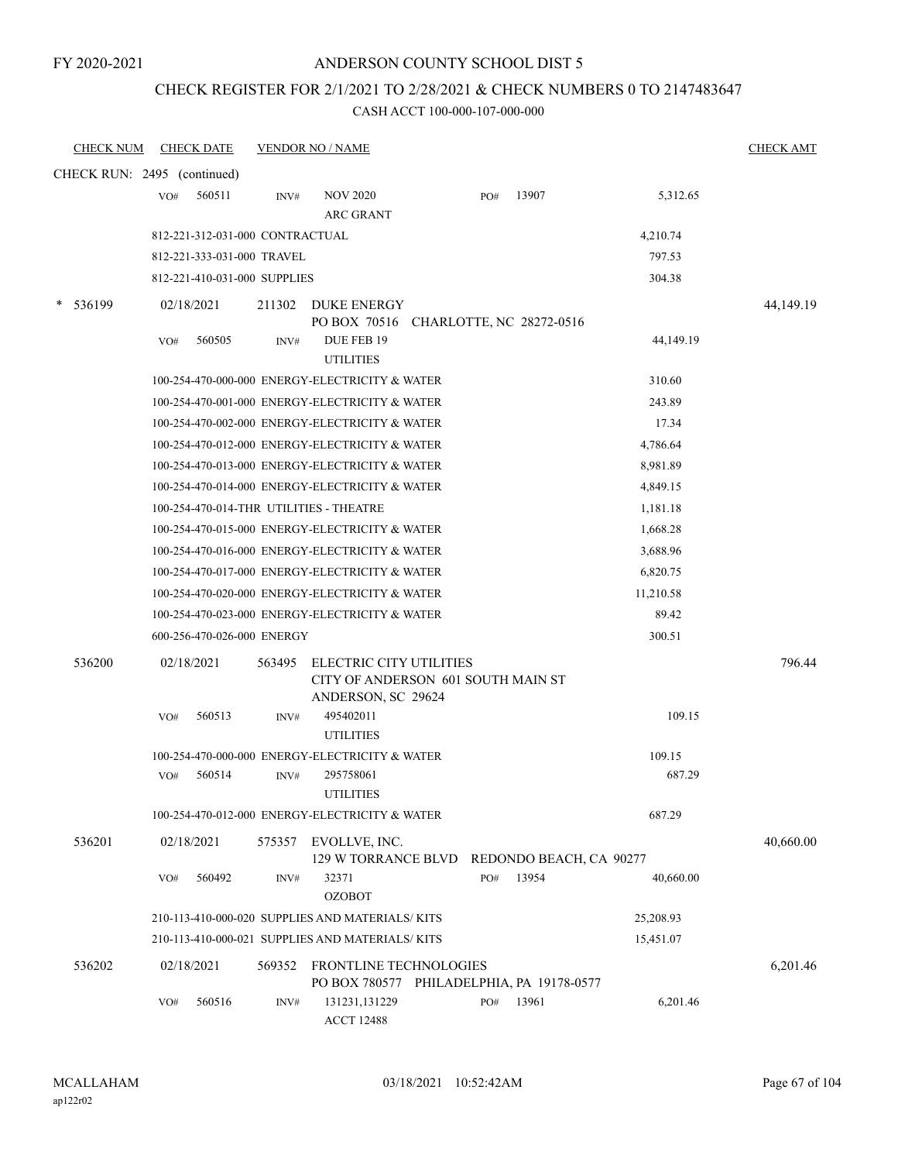### ANDERSON COUNTY SCHOOL DIST 5

### CHECK REGISTER FOR 2/1/2021 TO 2/28/2021 & CHECK NUMBERS 0 TO 2147483647

| <b>CHECK NUM</b>            |     | <b>CHECK DATE</b>               |        | <b>VENDOR NO / NAME</b>                                                             |     |                         |           | <b>CHECK AMT</b> |
|-----------------------------|-----|---------------------------------|--------|-------------------------------------------------------------------------------------|-----|-------------------------|-----------|------------------|
| CHECK RUN: 2495 (continued) |     |                                 |        |                                                                                     |     |                         |           |                  |
|                             | VO# | 560511                          | INV#   | <b>NOV 2020</b><br><b>ARC GRANT</b>                                                 | PO# | 13907                   | 5,312.65  |                  |
|                             |     | 812-221-312-031-000 CONTRACTUAL |        |                                                                                     |     |                         | 4,210.74  |                  |
|                             |     | 812-221-333-031-000 TRAVEL      |        |                                                                                     |     |                         | 797.53    |                  |
|                             |     | 812-221-410-031-000 SUPPLIES    |        |                                                                                     |     |                         | 304.38    |                  |
| 536199                      |     | 02/18/2021                      | 211302 | <b>DUKE ENERGY</b><br>PO BOX 70516 CHARLOTTE, NC 28272-0516                         |     |                         |           | 44,149.19        |
|                             | VO# | 560505                          | INV#   | DUE FEB 19<br><b>UTILITIES</b>                                                      |     |                         | 44,149.19 |                  |
|                             |     |                                 |        | 100-254-470-000-000 ENERGY-ELECTRICITY & WATER                                      |     |                         | 310.60    |                  |
|                             |     |                                 |        | 100-254-470-001-000 ENERGY-ELECTRICITY & WATER                                      |     |                         | 243.89    |                  |
|                             |     |                                 |        | 100-254-470-002-000 ENERGY-ELECTRICITY & WATER                                      |     |                         | 17.34     |                  |
|                             |     |                                 |        | 100-254-470-012-000 ENERGY-ELECTRICITY & WATER                                      |     |                         | 4,786.64  |                  |
|                             |     |                                 |        | 100-254-470-013-000 ENERGY-ELECTRICITY & WATER                                      |     |                         | 8,981.89  |                  |
|                             |     |                                 |        | 100-254-470-014-000 ENERGY-ELECTRICITY & WATER                                      |     |                         | 4,849.15  |                  |
|                             |     |                                 |        | 100-254-470-014-THR UTILITIES - THEATRE                                             |     |                         | 1,181.18  |                  |
|                             |     |                                 |        | 100-254-470-015-000 ENERGY-ELECTRICITY & WATER                                      |     |                         | 1,668.28  |                  |
|                             |     |                                 |        | 100-254-470-016-000 ENERGY-ELECTRICITY & WATER                                      |     |                         | 3,688.96  |                  |
|                             |     |                                 |        | 100-254-470-017-000 ENERGY-ELECTRICITY & WATER                                      |     |                         | 6,820.75  |                  |
|                             |     |                                 |        | 100-254-470-020-000 ENERGY-ELECTRICITY & WATER                                      |     |                         | 11,210.58 |                  |
|                             |     |                                 |        | 100-254-470-023-000 ENERGY-ELECTRICITY & WATER                                      |     |                         | 89.42     |                  |
|                             |     | 600-256-470-026-000 ENERGY      |        |                                                                                     |     |                         | 300.51    |                  |
| 536200                      |     | 02/18/2021                      | 563495 | ELECTRIC CITY UTILITIES<br>CITY OF ANDERSON 601 SOUTH MAIN ST<br>ANDERSON, SC 29624 |     |                         |           | 796.44           |
|                             | VO# | 560513                          | INV#   | 495402011<br><b>UTILITIES</b>                                                       |     |                         | 109.15    |                  |
|                             |     |                                 |        | 100-254-470-000-000 ENERGY-ELECTRICITY & WATER                                      |     |                         | 109.15    |                  |
|                             | VO# | 560514                          | INV#   | 295758061<br><b>UTILITIES</b>                                                       |     |                         | 687.29    |                  |
|                             |     |                                 |        | 100-254-470-012-000 ENERGY-ELECTRICITY & WATER                                      |     |                         | 687.29    |                  |
| 536201                      |     | 02/18/2021                      |        | 575357 EVOLLVE, INC.<br>129 W TORRANCE BLVD                                         |     | REDONDO BEACH, CA 90277 |           | 40,660.00        |
|                             | VO# | 560492                          | INV#   | 32371<br><b>OZOBOT</b>                                                              | PO# | 13954                   | 40,660.00 |                  |
|                             |     |                                 |        | 210-113-410-000-020 SUPPLIES AND MATERIALS/KITS                                     |     |                         | 25,208.93 |                  |
|                             |     |                                 |        | 210-113-410-000-021 SUPPLIES AND MATERIALS/KITS                                     |     |                         | 15,451.07 |                  |
| 536202                      |     | 02/18/2021                      | 569352 | <b>FRONTLINE TECHNOLOGIES</b><br>PO BOX 780577 PHILADELPHIA, PA 19178-0577          |     |                         |           | 6,201.46         |
|                             | VO# | 560516                          | INV#   | 131231,131229<br><b>ACCT 12488</b>                                                  | PO# | 13961                   | 6,201.46  |                  |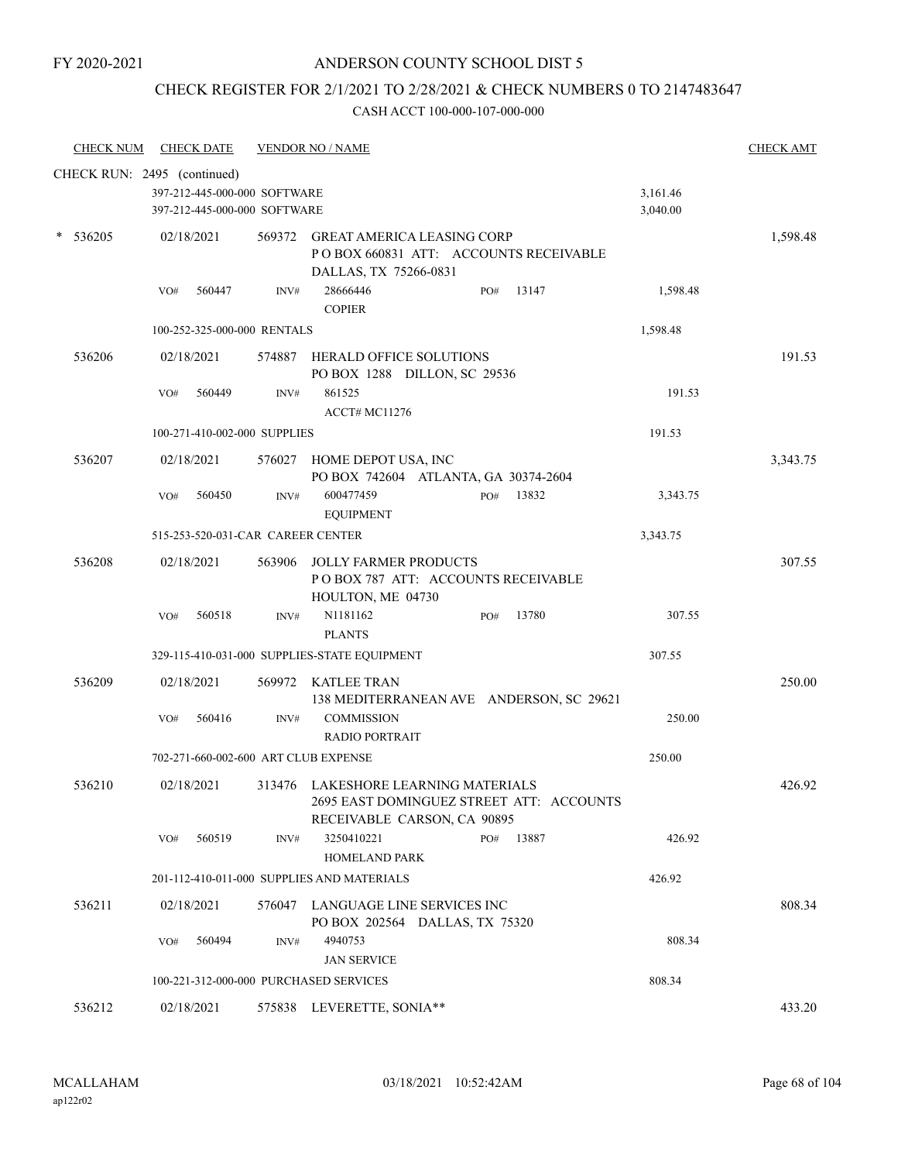# CHECK REGISTER FOR 2/1/2021 TO 2/28/2021 & CHECK NUMBERS 0 TO 2147483647

| <b>CHECK NUM</b>            |     | <b>CHECK DATE</b> |                                                              | <b>VENDOR NO / NAME</b>                                                                                        |     |       |                      | <b>CHECK AMT</b> |
|-----------------------------|-----|-------------------|--------------------------------------------------------------|----------------------------------------------------------------------------------------------------------------|-----|-------|----------------------|------------------|
| CHECK RUN: 2495 (continued) |     |                   |                                                              |                                                                                                                |     |       |                      |                  |
|                             |     |                   | 397-212-445-000-000 SOFTWARE<br>397-212-445-000-000 SOFTWARE |                                                                                                                |     |       | 3,161.46<br>3,040.00 |                  |
| $*$ 536205                  |     | 02/18/2021        |                                                              | 569372 GREAT AMERICA LEASING CORP<br>PO BOX 660831 ATT: ACCOUNTS RECEIVABLE<br>DALLAS, TX 75266-0831           |     |       |                      | 1,598.48         |
|                             | VO# | 560447            | INV#                                                         | 28666446<br><b>COPIER</b>                                                                                      | PO# | 13147 | 1,598.48             |                  |
|                             |     |                   | 100-252-325-000-000 RENTALS                                  |                                                                                                                |     |       | 1,598.48             |                  |
| 536206                      |     | 02/18/2021        |                                                              | 574887 HERALD OFFICE SOLUTIONS<br>PO BOX 1288 DILLON, SC 29536                                                 |     |       |                      | 191.53           |
|                             | VO# | 560449            | INV#                                                         | 861525<br>ACCT# MC11276                                                                                        |     |       | 191.53               |                  |
|                             |     |                   | 100-271-410-002-000 SUPPLIES                                 |                                                                                                                |     |       | 191.53               |                  |
| 536207                      |     | 02/18/2021        |                                                              | 576027 HOME DEPOT USA, INC<br>PO BOX 742604 ATLANTA, GA 30374-2604                                             |     |       |                      | 3,343.75         |
|                             | VO# | 560450            | INV#                                                         | 600477459<br><b>EQUIPMENT</b>                                                                                  | PO# | 13832 | 3,343.75             |                  |
|                             |     |                   | 515-253-520-031-CAR CAREER CENTER                            |                                                                                                                |     |       | 3,343.75             |                  |
| 536208                      |     | 02/18/2021        | 563906                                                       | JOLLY FARMER PRODUCTS<br>POBOX 787 ATT: ACCOUNTS RECEIVABLE<br>HOULTON, ME 04730                               |     |       |                      | 307.55           |
|                             | VO# | 560518            | INV#                                                         | N1181162<br><b>PLANTS</b>                                                                                      | PO# | 13780 | 307.55               |                  |
|                             |     |                   |                                                              | 329-115-410-031-000 SUPPLIES-STATE EQUIPMENT                                                                   |     |       | 307.55               |                  |
| 536209                      |     | 02/18/2021        | 569972                                                       | KATLEE TRAN<br>138 MEDITERRANEAN AVE ANDERSON, SC 29621                                                        |     |       |                      | 250.00           |
|                             | VO# | 560416            | INV#                                                         | <b>COMMISSION</b><br><b>RADIO PORTRAIT</b>                                                                     |     |       | 250.00               |                  |
|                             |     |                   |                                                              | 702-271-660-002-600 ART CLUB EXPENSE                                                                           |     |       | 250.00               |                  |
| 536210                      |     | 02/18/2021        |                                                              | 313476 LAKESHORE LEARNING MATERIALS<br>2695 EAST DOMINGUEZ STREET ATT: ACCOUNTS<br>RECEIVABLE CARSON, CA 90895 |     |       |                      | 426.92           |
|                             | VO# | 560519            | INV#                                                         | 3250410221<br><b>HOMELAND PARK</b>                                                                             | PO# | 13887 | 426.92               |                  |
|                             |     |                   |                                                              | 201-112-410-011-000 SUPPLIES AND MATERIALS                                                                     |     |       | 426.92               |                  |
| 536211                      |     | 02/18/2021        |                                                              | 576047 LANGUAGE LINE SERVICES INC<br>PO BOX 202564 DALLAS, TX 75320                                            |     |       |                      | 808.34           |
|                             | VO# | 560494            | INV#                                                         | 4940753<br><b>JAN SERVICE</b>                                                                                  |     |       | 808.34               |                  |
|                             |     |                   |                                                              | 100-221-312-000-000 PURCHASED SERVICES                                                                         |     |       | 808.34               |                  |
| 536212                      |     | 02/18/2021        |                                                              | 575838 LEVERETTE, SONIA**                                                                                      |     |       |                      | 433.20           |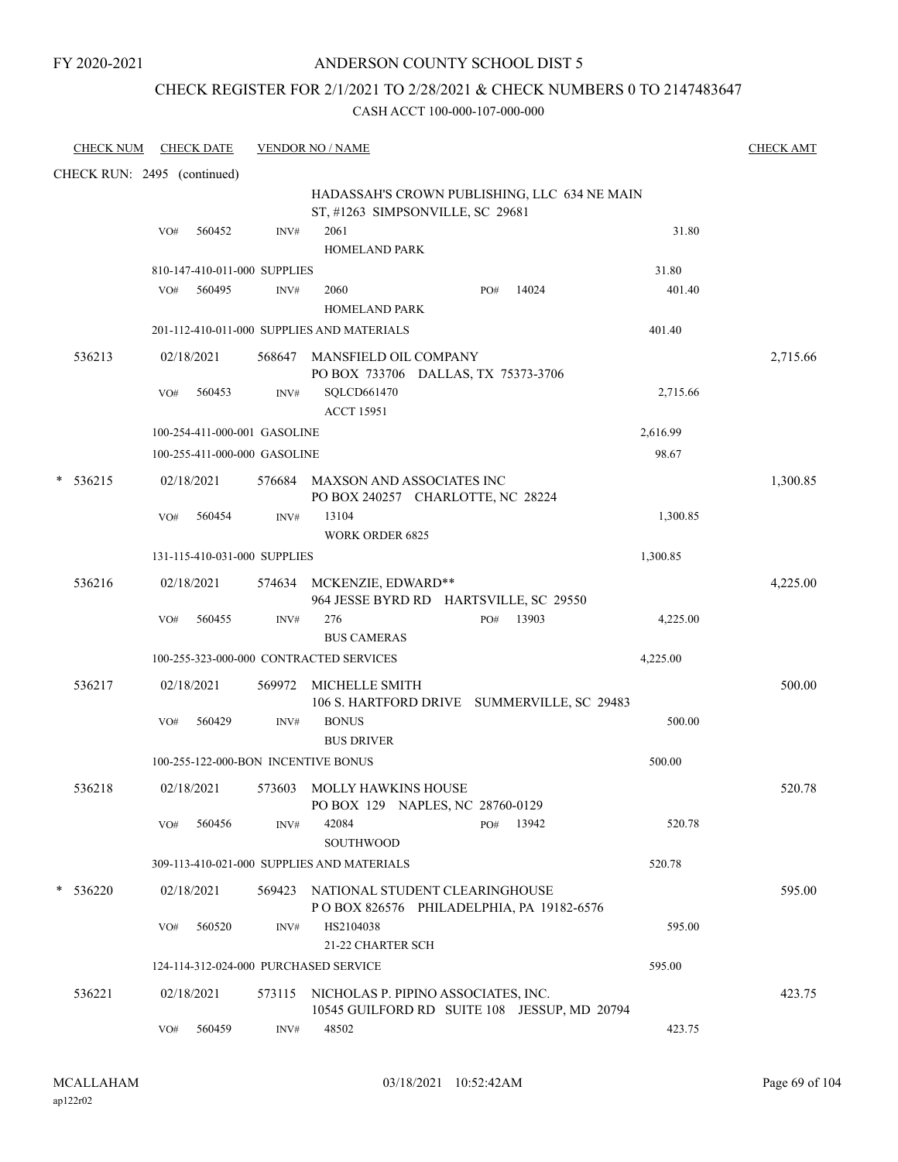### ANDERSON COUNTY SCHOOL DIST 5

### CHECK REGISTER FOR 2/1/2021 TO 2/28/2021 & CHECK NUMBERS 0 TO 2147483647

| <b>CHECK NUM</b>            | <b>CHECK DATE</b> |                                       | <b>VENDOR NO / NAME</b>                    |                                                                                  |       |          | <b>CHECK AMT</b> |
|-----------------------------|-------------------|---------------------------------------|--------------------------------------------|----------------------------------------------------------------------------------|-------|----------|------------------|
| CHECK RUN: 2495 (continued) |                   |                                       |                                            |                                                                                  |       |          |                  |
|                             |                   |                                       |                                            | HADASSAH'S CROWN PUBLISHING, LLC 634 NE MAIN<br>ST, #1263 SIMPSONVILLE, SC 29681 |       |          |                  |
|                             | 560452<br>VO#     | INV#                                  | 2061<br><b>HOMELAND PARK</b>               |                                                                                  |       | 31.80    |                  |
|                             |                   | 810-147-410-011-000 SUPPLIES          |                                            |                                                                                  |       | 31.80    |                  |
|                             | 560495<br>VO#     | INV#                                  | 2060<br><b>HOMELAND PARK</b>               | PO#                                                                              | 14024 | 401.40   |                  |
|                             |                   |                                       | 201-112-410-011-000 SUPPLIES AND MATERIALS |                                                                                  |       | 401.40   |                  |
| 536213                      | 02/18/2021        |                                       | 568647 MANSFIELD OIL COMPANY               | PO BOX 733706 DALLAS, TX 75373-3706                                              |       |          | 2,715.66         |
|                             | 560453<br>VO#     | INV#                                  | SQLCD661470<br><b>ACCT 15951</b>           |                                                                                  |       | 2,715.66 |                  |
|                             |                   | 100-254-411-000-001 GASOLINE          |                                            |                                                                                  |       | 2,616.99 |                  |
|                             |                   | 100-255-411-000-000 GASOLINE          |                                            |                                                                                  |       | 98.67    |                  |
| 536215                      | 02/18/2021        |                                       | 576684 MAXSON AND ASSOCIATES INC           | PO BOX 240257 CHARLOTTE, NC 28224                                                |       |          | 1,300.85         |
|                             | VO#<br>560454     | INV#                                  | 13104<br><b>WORK ORDER 6825</b>            |                                                                                  |       | 1,300.85 |                  |
|                             |                   | 131-115-410-031-000 SUPPLIES          |                                            |                                                                                  |       | 1,300.85 |                  |
| 536216                      | 02/18/2021        |                                       | 574634 MCKENZIE, EDWARD**                  | 964 JESSE BYRD RD HARTSVILLE, SC 29550                                           |       |          | 4,225.00         |
|                             | 560455<br>VO#     | INV#                                  | 276<br><b>BUS CAMERAS</b>                  | PO#                                                                              | 13903 | 4,225.00 |                  |
|                             |                   |                                       | 100-255-323-000-000 CONTRACTED SERVICES    |                                                                                  |       | 4,225.00 |                  |
| 536217                      | 02/18/2021        | 569972                                | MICHELLE SMITH                             | 106 S. HARTFORD DRIVE SUMMERVILLE, SC 29483                                      |       |          | 500.00           |
|                             | 560429<br>VO#     | INV#                                  | <b>BONUS</b><br><b>BUS DRIVER</b>          |                                                                                  |       | 500.00   |                  |
|                             |                   | 100-255-122-000-BON INCENTIVE BONUS   |                                            |                                                                                  |       | 500.00   |                  |
| 536218                      | 02/18/2021        | 573603                                | MOLLY HAWKINS HOUSE                        | PO BOX 129 NAPLES, NC 28760-0129                                                 |       |          | 520.78           |
|                             | 560456<br>VO#     | INV#                                  | 42084<br>SOUTHWOOD                         | PO#                                                                              | 13942 | 520.78   |                  |
|                             |                   |                                       | 309-113-410-021-000 SUPPLIES AND MATERIALS |                                                                                  |       | 520.78   |                  |
| $*$ 536220                  | 02/18/2021        |                                       | 569423 NATIONAL STUDENT CLEARINGHOUSE      | POBOX 826576 PHILADELPHIA, PA 19182-6576                                         |       |          | 595.00           |
|                             | 560520<br>VO#     | INV#                                  | HS2104038<br>21-22 CHARTER SCH             |                                                                                  |       | 595.00   |                  |
|                             |                   | 124-114-312-024-000 PURCHASED SERVICE |                                            |                                                                                  |       | 595.00   |                  |
| 536221                      | 02/18/2021        |                                       | 573115 NICHOLAS P. PIPINO ASSOCIATES, INC. | 10545 GUILFORD RD SUITE 108 JESSUP, MD 20794                                     |       |          | 423.75           |
|                             | VO#<br>560459     | INV#                                  | 48502                                      |                                                                                  |       | 423.75   |                  |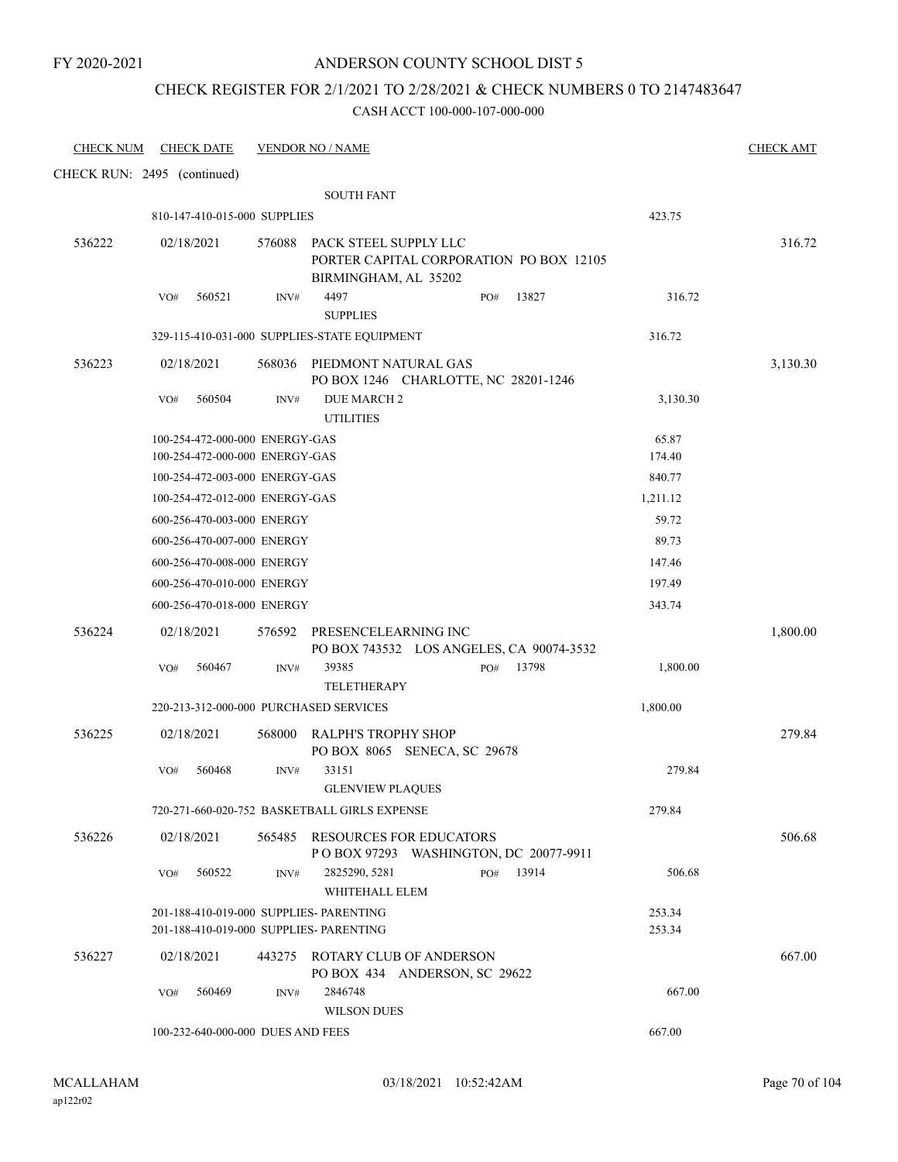### ANDERSON COUNTY SCHOOL DIST 5

### CHECK REGISTER FOR 2/1/2021 TO 2/28/2021 & CHECK NUMBERS 0 TO 2147483647

| <b>CHECK NUM</b>            |     | <b>CHECK DATE</b>                                                |        | <b>VENDOR NO / NAME</b>                                                                  |     |       |                  | <b>CHECK AMT</b> |
|-----------------------------|-----|------------------------------------------------------------------|--------|------------------------------------------------------------------------------------------|-----|-------|------------------|------------------|
| CHECK RUN: 2495 (continued) |     |                                                                  |        |                                                                                          |     |       |                  |                  |
|                             |     |                                                                  |        | <b>SOUTH FANT</b>                                                                        |     |       |                  |                  |
|                             |     | 810-147-410-015-000 SUPPLIES                                     |        |                                                                                          |     |       | 423.75           |                  |
| 536222                      |     | 02/18/2021                                                       | 576088 | PACK STEEL SUPPLY LLC<br>PORTER CAPITAL CORPORATION PO BOX 12105<br>BIRMINGHAM, AL 35202 |     |       |                  | 316.72           |
|                             | VO# | 560521                                                           | INV#   | 4497<br><b>SUPPLIES</b>                                                                  | PO# | 13827 | 316.72           |                  |
|                             |     |                                                                  |        | 329-115-410-031-000 SUPPLIES-STATE EQUIPMENT                                             |     |       | 316.72           |                  |
| 536223                      |     | 02/18/2021                                                       |        | 568036 PIEDMONT NATURAL GAS<br>PO BOX 1246 CHARLOTTE, NC 28201-1246                      |     |       |                  | 3,130.30         |
|                             | VO# | 560504                                                           | INV#   | <b>DUE MARCH 2</b><br><b>UTILITIES</b>                                                   |     |       | 3,130.30         |                  |
|                             |     | 100-254-472-000-000 ENERGY-GAS<br>100-254-472-000-000 ENERGY-GAS |        |                                                                                          |     |       | 65.87<br>174.40  |                  |
|                             |     | 100-254-472-003-000 ENERGY-GAS                                   |        |                                                                                          |     |       | 840.77           |                  |
|                             |     | 100-254-472-012-000 ENERGY-GAS                                   |        |                                                                                          |     |       | 1,211.12         |                  |
|                             |     | 600-256-470-003-000 ENERGY                                       |        |                                                                                          |     |       | 59.72            |                  |
|                             |     | 600-256-470-007-000 ENERGY                                       |        |                                                                                          |     |       | 89.73            |                  |
|                             |     | 600-256-470-008-000 ENERGY                                       |        |                                                                                          |     |       | 147.46           |                  |
|                             |     | 600-256-470-010-000 ENERGY                                       |        |                                                                                          |     |       | 197.49           |                  |
|                             |     | 600-256-470-018-000 ENERGY                                       |        |                                                                                          |     |       | 343.74           |                  |
| 536224                      |     | 02/18/2021                                                       | 576592 | PRESENCELEARNING INC<br>PO BOX 743532 LOS ANGELES, CA 90074-3532                         |     |       |                  | 1,800.00         |
|                             | VO# | 560467                                                           | INV#   | 39385<br><b>TELETHERAPY</b>                                                              | PO# | 13798 | 1,800.00         |                  |
|                             |     |                                                                  |        | 220-213-312-000-000 PURCHASED SERVICES                                                   |     |       | 1,800.00         |                  |
| 536225                      |     | 02/18/2021                                                       | 568000 | RALPH'S TROPHY SHOP<br>PO BOX 8065 SENECA, SC 29678                                      |     |       |                  | 279.84           |
|                             | VO# | 560468                                                           | INV#   | 33151<br><b>GLENVIEW PLAQUES</b>                                                         |     |       | 279.84           |                  |
|                             |     |                                                                  |        | 720-271-660-020-752 BASKETBALL GIRLS EXPENSE                                             |     |       | 279.84           |                  |
| 536226                      |     | 02/18/2021                                                       |        | 565485 RESOURCES FOR EDUCATORS<br>POBOX 97293 WASHINGTON, DC 20077-9911                  |     |       |                  | 506.68           |
|                             | VO# | 560522                                                           | INV#   | 2825290, 5281<br>WHITEHALL ELEM                                                          | PO# | 13914 | 506.68           |                  |
|                             |     |                                                                  |        | 201-188-410-019-000 SUPPLIES- PARENTING<br>201-188-410-019-000 SUPPLIES- PARENTING       |     |       | 253.34<br>253.34 |                  |
| 536227                      |     | 02/18/2021                                                       | 443275 | ROTARY CLUB OF ANDERSON<br>PO BOX 434 ANDERSON, SC 29622                                 |     |       |                  | 667.00           |
|                             | VO# | 560469                                                           | INV#   | 2846748<br><b>WILSON DUES</b>                                                            |     |       | 667.00           |                  |
|                             |     | 100-232-640-000-000 DUES AND FEES                                |        |                                                                                          |     |       | 667.00           |                  |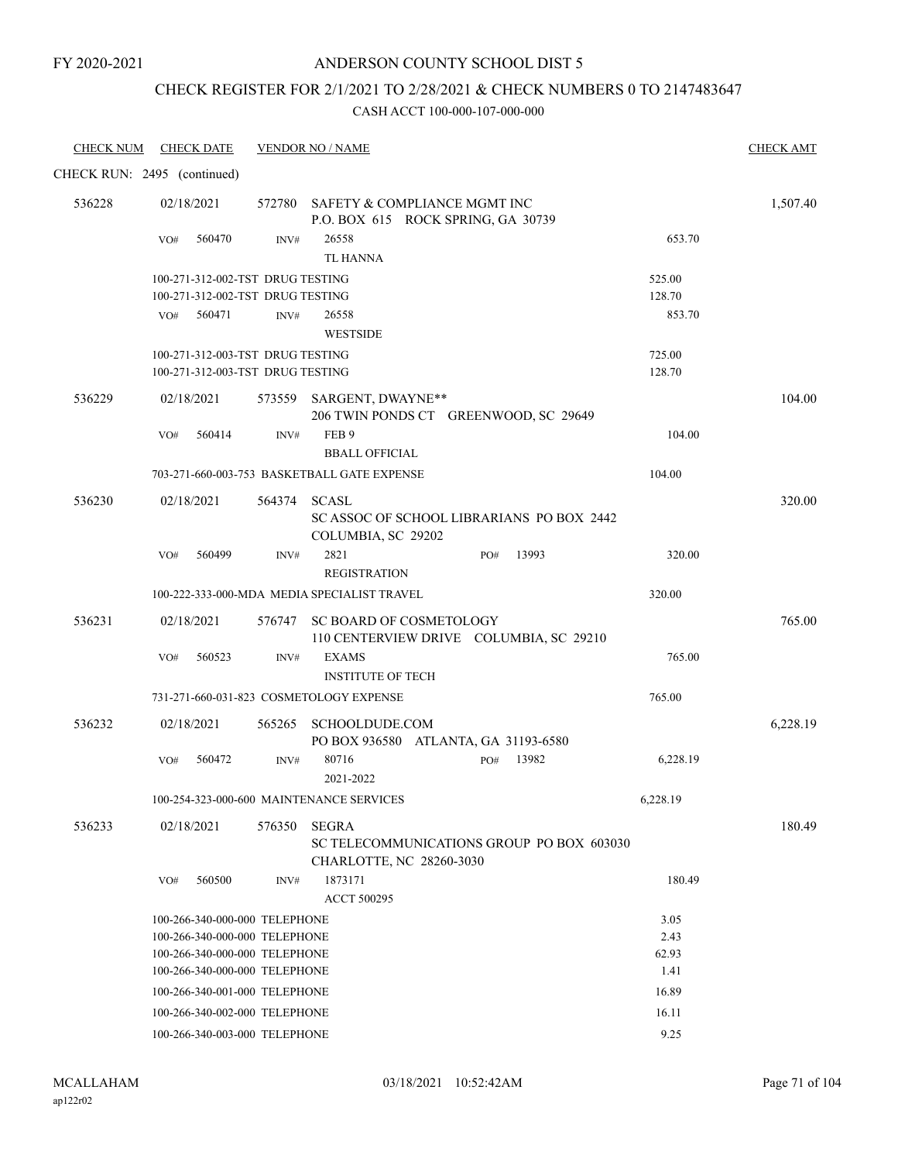### ANDERSON COUNTY SCHOOL DIST 5

# CHECK REGISTER FOR 2/1/2021 TO 2/28/2021 & CHECK NUMBERS 0 TO 2147483647

| <b>CHECK NUM</b>            |     | <b>CHECK DATE</b> |                                                                | <b>VENDOR NO / NAME</b>                     |                                           |               | <b>CHECK AMT</b> |
|-----------------------------|-----|-------------------|----------------------------------------------------------------|---------------------------------------------|-------------------------------------------|---------------|------------------|
| CHECK RUN: 2495 (continued) |     |                   |                                                                |                                             |                                           |               |                  |
| 536228                      |     | 02/18/2021        |                                                                | 572780 SAFETY & COMPLIANCE MGMT INC         | P.O. BOX 615 ROCK SPRING, GA 30739        |               | 1,507.40         |
|                             | VO# | 560470            | INV#                                                           | 26558<br><b>TL HANNA</b>                    |                                           | 653.70        |                  |
|                             |     |                   | 100-271-312-002-TST DRUG TESTING                               |                                             |                                           | 525.00        |                  |
|                             |     |                   | 100-271-312-002-TST DRUG TESTING                               |                                             |                                           | 128.70        |                  |
|                             | VO# | 560471            | INV#                                                           | 26558<br><b>WESTSIDE</b>                    |                                           | 853.70        |                  |
|                             |     |                   | 100-271-312-003-TST DRUG TESTING                               |                                             |                                           | 725.00        |                  |
|                             |     |                   | 100-271-312-003-TST DRUG TESTING                               |                                             |                                           | 128.70        |                  |
| 536229                      |     | 02/18/2021        |                                                                | 573559 SARGENT, DWAYNE**                    | 206 TWIN PONDS CT GREENWOOD, SC 29649     |               | 104.00           |
|                             | VO# | 560414            | INV#                                                           | FEB <sub>9</sub>                            |                                           | 104.00        |                  |
|                             |     |                   |                                                                | <b>BBALL OFFICIAL</b>                       |                                           |               |                  |
|                             |     |                   |                                                                | 703-271-660-003-753 BASKETBALL GATE EXPENSE |                                           | 104.00        |                  |
| 536230                      |     | 02/18/2021        |                                                                | 564374 SCASL                                |                                           |               | 320.00           |
|                             |     |                   |                                                                | COLUMBIA, SC 29202                          | SC ASSOC OF SCHOOL LIBRARIANS PO BOX 2442 |               |                  |
|                             | VO# | 560499            | INV#                                                           | 2821<br><b>REGISTRATION</b>                 | 13993<br>PO#                              | 320.00        |                  |
|                             |     |                   |                                                                | 100-222-333-000-MDA MEDIA SPECIALIST TRAVEL |                                           | 320.00        |                  |
| 536231                      |     | 02/18/2021        |                                                                | 576747 SC BOARD OF COSMETOLOGY              | 110 CENTERVIEW DRIVE COLUMBIA, SC 29210   |               | 765.00           |
|                             | VO# | 560523            | INV#                                                           | <b>EXAMS</b><br><b>INSTITUTE OF TECH</b>    |                                           | 765.00        |                  |
|                             |     |                   |                                                                | 731-271-660-031-823 COSMETOLOGY EXPENSE     |                                           | 765.00        |                  |
| 536232                      |     | 02/18/2021        |                                                                | 565265 SCHOOLDUDE.COM                       | PO BOX 936580 ATLANTA, GA 31193-6580      |               | 6,228.19         |
|                             | VO# | 560472            | INV#                                                           | 80716                                       | 13982<br>PO#                              | 6,228.19      |                  |
|                             |     |                   |                                                                | 2021-2022                                   |                                           |               |                  |
|                             |     |                   |                                                                | 100-254-323-000-600 MAINTENANCE SERVICES    |                                           | 6,228.19      |                  |
| 536233                      |     | 02/18/2021        | 576350                                                         | <b>SEGRA</b>                                | SC TELECOMMUNICATIONS GROUP PO BOX 603030 |               | 180.49           |
|                             |     |                   |                                                                | CHARLOTTE, NC 28260-3030                    |                                           |               |                  |
|                             | VO# | 560500            | INV#                                                           | 1873171                                     |                                           | 180.49        |                  |
|                             |     |                   |                                                                | <b>ACCT 500295</b>                          |                                           |               |                  |
|                             |     |                   | 100-266-340-000-000 TELEPHONE                                  |                                             |                                           | 3.05          |                  |
|                             |     |                   | 100-266-340-000-000 TELEPHONE<br>100-266-340-000-000 TELEPHONE |                                             |                                           | 2.43<br>62.93 |                  |
|                             |     |                   | 100-266-340-000-000 TELEPHONE                                  |                                             |                                           | 1.41          |                  |
|                             |     |                   | 100-266-340-001-000 TELEPHONE                                  |                                             |                                           | 16.89         |                  |
|                             |     |                   | 100-266-340-002-000 TELEPHONE                                  |                                             |                                           | 16.11         |                  |
|                             |     |                   | 100-266-340-003-000 TELEPHONE                                  |                                             |                                           | 9.25          |                  |
|                             |     |                   |                                                                |                                             |                                           |               |                  |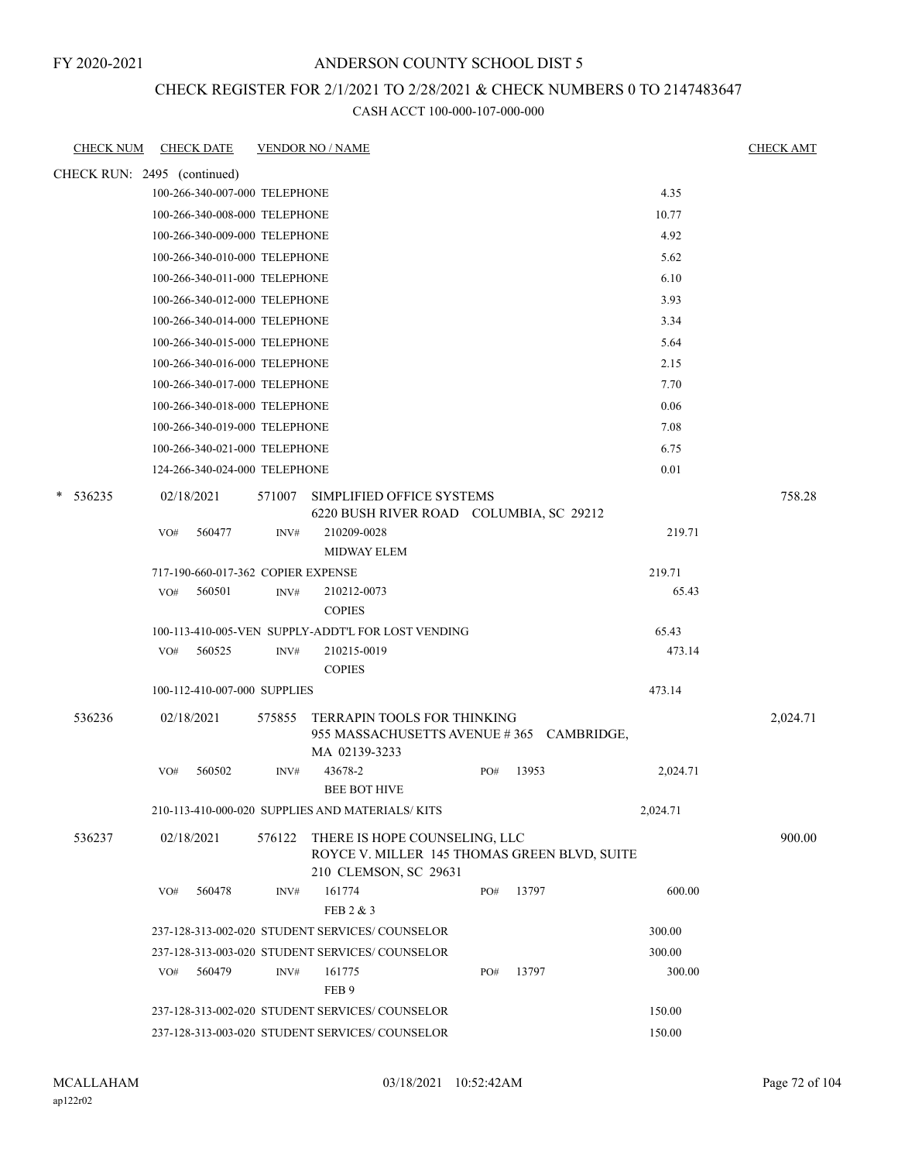### ANDERSON COUNTY SCHOOL DIST 5

#### CHECK REGISTER FOR 2/1/2021 TO 2/28/2021 & CHECK NUMBERS 0 TO 2147483647

| <b>CHECK NUM</b>            |     | <b>CHECK DATE</b>                  |        | <b>VENDOR NO / NAME</b>                                                                                       |     |       |          | <b>CHECK AMT</b> |
|-----------------------------|-----|------------------------------------|--------|---------------------------------------------------------------------------------------------------------------|-----|-------|----------|------------------|
| CHECK RUN: 2495 (continued) |     |                                    |        |                                                                                                               |     |       |          |                  |
|                             |     | 100-266-340-007-000 TELEPHONE      |        |                                                                                                               |     |       | 4.35     |                  |
|                             |     | 100-266-340-008-000 TELEPHONE      |        |                                                                                                               |     |       | 10.77    |                  |
|                             |     | 100-266-340-009-000 TELEPHONE      |        |                                                                                                               |     |       | 4.92     |                  |
|                             |     | 100-266-340-010-000 TELEPHONE      |        |                                                                                                               |     |       | 5.62     |                  |
|                             |     | 100-266-340-011-000 TELEPHONE      |        |                                                                                                               |     |       | 6.10     |                  |
|                             |     | 100-266-340-012-000 TELEPHONE      |        |                                                                                                               |     |       | 3.93     |                  |
|                             |     | 100-266-340-014-000 TELEPHONE      |        |                                                                                                               |     |       | 3.34     |                  |
|                             |     | 100-266-340-015-000 TELEPHONE      |        |                                                                                                               |     |       | 5.64     |                  |
|                             |     | 100-266-340-016-000 TELEPHONE      |        |                                                                                                               |     |       | 2.15     |                  |
|                             |     | 100-266-340-017-000 TELEPHONE      |        |                                                                                                               |     |       | 7.70     |                  |
|                             |     | 100-266-340-018-000 TELEPHONE      |        |                                                                                                               |     |       | 0.06     |                  |
|                             |     | 100-266-340-019-000 TELEPHONE      |        |                                                                                                               |     |       | 7.08     |                  |
|                             |     | 100-266-340-021-000 TELEPHONE      |        |                                                                                                               |     |       | 6.75     |                  |
|                             |     | 124-266-340-024-000 TELEPHONE      |        |                                                                                                               |     |       | 0.01     |                  |
| $* 536235$                  |     | 02/18/2021                         | 571007 | SIMPLIFIED OFFICE SYSTEMS                                                                                     |     |       |          | 758.28           |
|                             |     |                                    |        | 6220 BUSH RIVER ROAD COLUMBIA, SC 29212                                                                       |     |       |          |                  |
|                             | VO# | 560477                             | INV#   | 210209-0028                                                                                                   |     |       | 219.71   |                  |
|                             |     |                                    |        | <b>MIDWAY ELEM</b>                                                                                            |     |       |          |                  |
|                             |     | 717-190-660-017-362 COPIER EXPENSE |        |                                                                                                               |     |       | 219.71   |                  |
|                             | VO# | 560501                             | INV#   | 210212-0073                                                                                                   |     |       | 65.43    |                  |
|                             |     |                                    |        | <b>COPIES</b>                                                                                                 |     |       |          |                  |
|                             |     |                                    |        | 100-113-410-005-VEN SUPPLY-ADDT'L FOR LOST VENDING                                                            |     |       | 65.43    |                  |
|                             | VO# | 560525                             | INV#   | 210215-0019<br><b>COPIES</b>                                                                                  |     |       | 473.14   |                  |
|                             |     | 100-112-410-007-000 SUPPLIES       |        |                                                                                                               |     |       | 473.14   |                  |
| 536236                      |     | 02/18/2021                         | 575855 | TERRAPIN TOOLS FOR THINKING<br>955 MASSACHUSETTS AVENUE #365 CAMBRIDGE,<br>MA 02139-3233                      |     |       |          | 2,024.71         |
|                             | VO# | 560502                             | INV#   | 43678-2                                                                                                       | PO# | 13953 | 2,024.71 |                  |
|                             |     |                                    |        | <b>BEE BOT HIVE</b>                                                                                           |     |       |          |                  |
|                             |     |                                    |        | 210-113-410-000-020 SUPPLIES AND MATERIALS/KITS                                                               |     |       | 2,024.71 |                  |
| 536237                      |     | 02/18/2021                         |        | 576122 THERE IS HOPE COUNSELING, LLC<br>ROYCE V. MILLER 145 THOMAS GREEN BLVD, SUITE<br>210 CLEMSON, SC 29631 |     |       |          | 900.00           |
|                             | VO# | 560478                             | INV#   | 161774<br>FEB 2 & 3                                                                                           | PO# | 13797 | 600.00   |                  |
|                             |     |                                    |        | 237-128-313-002-020 STUDENT SERVICES/COUNSELOR                                                                |     |       | 300.00   |                  |
|                             |     |                                    |        | 237-128-313-003-020 STUDENT SERVICES/COUNSELOR                                                                |     |       | 300.00   |                  |
|                             | VO# | 560479                             | INV#   | 161775                                                                                                        | PO# | 13797 | 300.00   |                  |
|                             |     |                                    |        | FEB <sub>9</sub>                                                                                              |     |       |          |                  |
|                             |     |                                    |        | 237-128-313-002-020 STUDENT SERVICES/COUNSELOR                                                                |     |       | 150.00   |                  |
|                             |     |                                    |        | 237-128-313-003-020 STUDENT SERVICES/ COUNSELOR                                                               |     |       | 150.00   |                  |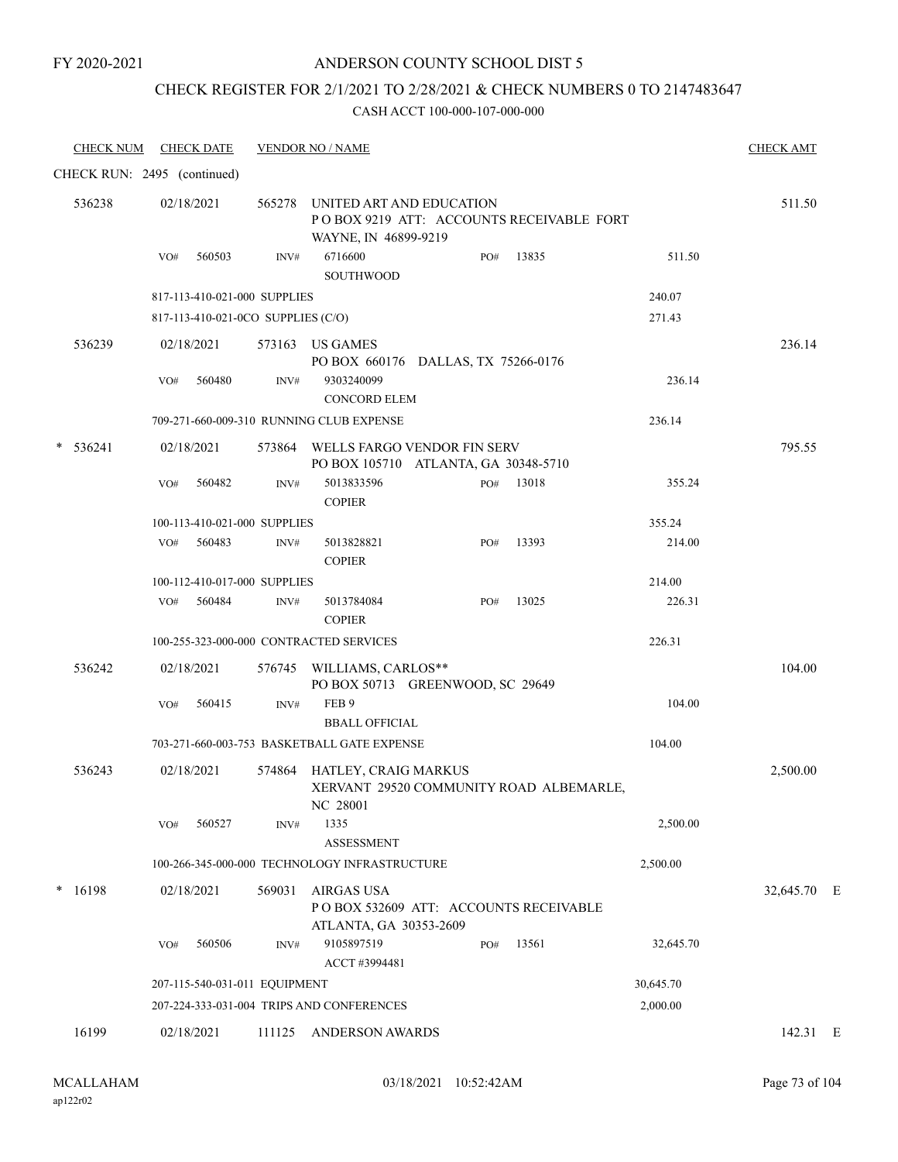### ANDERSON COUNTY SCHOOL DIST 5

# CHECK REGISTER FOR 2/1/2021 TO 2/28/2021 & CHECK NUMBERS 0 TO 2147483647

| <b>CHECK NUM</b>            | <b>CHECK DATE</b>                       |        | <b>VENDOR NO / NAME</b>                                                                      |     |           |           | <b>CHECK AMT</b> |  |
|-----------------------------|-----------------------------------------|--------|----------------------------------------------------------------------------------------------|-----|-----------|-----------|------------------|--|
| CHECK RUN: 2495 (continued) |                                         |        |                                                                                              |     |           |           |                  |  |
| 536238                      | 02/18/2021                              | 565278 | UNITED ART AND EDUCATION<br>POBOX 9219 ATT: ACCOUNTS RECEIVABLE FORT<br>WAYNE, IN 46899-9219 |     |           |           | 511.50           |  |
|                             | 560503<br>VO#                           | INV#   | 6716600<br><b>SOUTHWOOD</b>                                                                  | PO# | 13835     | 511.50    |                  |  |
|                             | 817-113-410-021-000 SUPPLIES            |        |                                                                                              |     |           | 240.07    |                  |  |
|                             | 817-113-410-021-0CO SUPPLIES (C/O)      |        |                                                                                              |     |           | 271.43    |                  |  |
| 536239                      | 02/18/2021                              |        | 573163 US GAMES<br>PO BOX 660176 DALLAS, TX 75266-0176                                       |     |           |           | 236.14           |  |
|                             | 560480<br>VO#                           | INV#   | 9303240099<br><b>CONCORD ELEM</b>                                                            |     |           | 236.14    |                  |  |
|                             |                                         |        | 709-271-660-009-310 RUNNING CLUB EXPENSE                                                     |     |           | 236.14    |                  |  |
| 536241                      | 02/18/2021                              |        | 573864 WELLS FARGO VENDOR FIN SERV<br>PO BOX 105710 ATLANTA, GA 30348-5710                   |     |           |           | 795.55           |  |
|                             | 560482<br>VO#                           | INV#   | 5013833596<br><b>COPIER</b>                                                                  |     | PO# 13018 | 355.24    |                  |  |
|                             | 100-113-410-021-000 SUPPLIES            |        |                                                                                              |     |           | 355.24    |                  |  |
|                             | VO# 560483                              | INV#   | 5013828821<br><b>COPIER</b>                                                                  | PO# | 13393     | 214.00    |                  |  |
|                             | 100-112-410-017-000 SUPPLIES            |        |                                                                                              |     |           | 214.00    |                  |  |
|                             | VO# 560484                              | INV#   | 5013784084<br><b>COPIER</b>                                                                  | PO# | 13025     | 226.31    |                  |  |
|                             | 100-255-323-000-000 CONTRACTED SERVICES |        |                                                                                              |     |           | 226.31    |                  |  |
| 536242                      | 02/18/2021                              |        | 576745 WILLIAMS, CARLOS**<br>PO BOX 50713 GREENWOOD, SC 29649                                |     |           |           | 104.00           |  |
|                             | 560415<br>VO#                           | INV#   | FEB 9<br><b>BBALL OFFICIAL</b>                                                               |     |           | 104.00    |                  |  |
|                             |                                         |        | 703-271-660-003-753 BASKETBALL GATE EXPENSE                                                  |     |           | 104.00    |                  |  |
| 536243                      | 02/18/2021                              |        | 574864 HATLEY, CRAIG MARKUS<br>XERVANT 29520 COMMUNITY ROAD ALBEMARLE,<br>NC 28001           |     |           |           | 2,500.00         |  |
|                             | 560527<br>VO#                           | INV#   | 1335<br><b>ASSESSMENT</b>                                                                    |     |           | 2,500.00  |                  |  |
|                             |                                         |        | 100-266-345-000-000 TECHNOLOGY INFRASTRUCTURE                                                |     |           | 2,500.00  |                  |  |
| 16198<br>*                  | 02/18/2021                              | 569031 | <b>AIRGAS USA</b><br>POBOX 532609 ATT: ACCOUNTS RECEIVABLE<br>ATLANTA, GA 30353-2609         |     |           |           | 32,645.70 E      |  |
|                             | 560506<br>VO#                           | INV#   | 9105897519<br>ACCT #3994481                                                                  | PO# | 13561     | 32,645.70 |                  |  |
|                             | 207-115-540-031-011 EQUIPMENT           |        |                                                                                              |     |           | 30,645.70 |                  |  |
|                             |                                         |        | 207-224-333-031-004 TRIPS AND CONFERENCES                                                    |     |           | 2,000.00  |                  |  |
| 16199                       | 02/18/2021                              | 111125 | <b>ANDERSON AWARDS</b>                                                                       |     |           |           | 142.31 E         |  |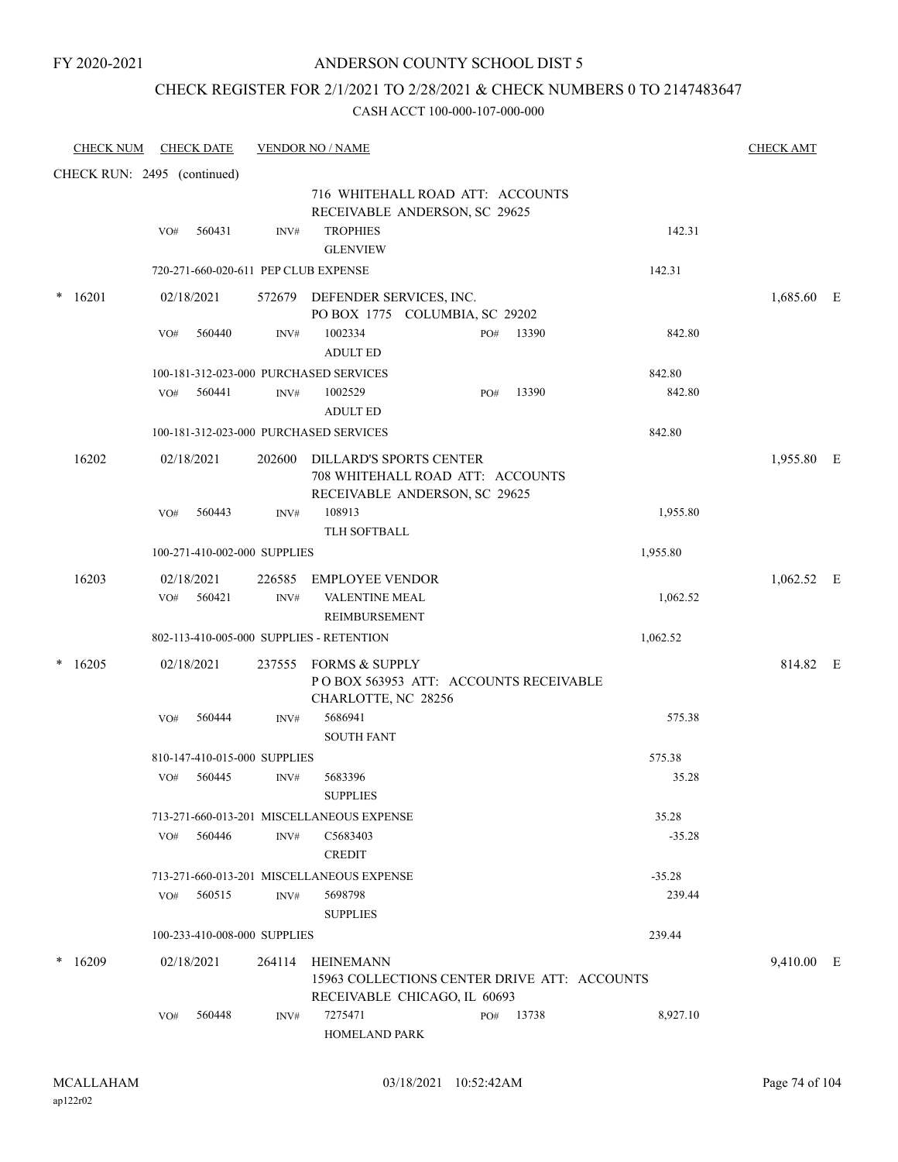### CHECK REGISTER FOR 2/1/2021 TO 2/28/2021 & CHECK NUMBERS 0 TO 2147483647

| <b>CHECK NUM</b>            |     | <b>CHECK DATE</b>                    |        | <b>VENDOR NO / NAME</b>                                                                             |     |       |          | <b>CHECK AMT</b> |  |
|-----------------------------|-----|--------------------------------------|--------|-----------------------------------------------------------------------------------------------------|-----|-------|----------|------------------|--|
| CHECK RUN: 2495 (continued) |     |                                      |        |                                                                                                     |     |       |          |                  |  |
|                             |     |                                      |        | 716 WHITEHALL ROAD ATT: ACCOUNTS<br>RECEIVABLE ANDERSON, SC 29625                                   |     |       |          |                  |  |
|                             | VO# | 560431                               | INV#   | <b>TROPHIES</b><br><b>GLENVIEW</b>                                                                  |     |       | 142.31   |                  |  |
|                             |     | 720-271-660-020-611 PEP CLUB EXPENSE |        |                                                                                                     |     |       | 142.31   |                  |  |
| 16201                       |     | 02/18/2021                           |        | 572679 DEFENDER SERVICES, INC.<br>PO BOX 1775 COLUMBIA, SC 29202                                    |     |       |          | 1,685.60 E       |  |
|                             | VO# | 560440                               | INV#   | 1002334<br><b>ADULT ED</b>                                                                          | PO# | 13390 | 842.80   |                  |  |
|                             |     |                                      |        | 100-181-312-023-000 PURCHASED SERVICES                                                              |     |       | 842.80   |                  |  |
|                             | VO# | 560441                               | INV#   | 1002529<br><b>ADULT ED</b>                                                                          | PO# | 13390 | 842.80   |                  |  |
|                             |     |                                      |        | 100-181-312-023-000 PURCHASED SERVICES                                                              |     |       | 842.80   |                  |  |
| 16202                       |     | 02/18/2021                           | 202600 | <b>DILLARD'S SPORTS CENTER</b><br>708 WHITEHALL ROAD ATT: ACCOUNTS<br>RECEIVABLE ANDERSON, SC 29625 |     |       |          | 1,955.80 E       |  |
|                             | VO# | 560443                               | INV#   | 108913<br>TLH SOFTBALL                                                                              |     |       | 1,955.80 |                  |  |
|                             |     | 100-271-410-002-000 SUPPLIES         |        |                                                                                                     |     |       | 1,955.80 |                  |  |
| 16203                       |     | 02/18/2021                           | 226585 | <b>EMPLOYEE VENDOR</b>                                                                              |     |       |          | $1,062.52$ E     |  |
|                             | VO# | 560421                               | INV#   | VALENTINE MEAL<br>REIMBURSEMENT                                                                     |     |       | 1,062.52 |                  |  |
|                             |     |                                      |        | 802-113-410-005-000 SUPPLIES - RETENTION                                                            |     |       | 1,062.52 |                  |  |
| 16205                       |     | 02/18/2021                           | 237555 | FORMS & SUPPLY<br>POBOX 563953 ATT: ACCOUNTS RECEIVABLE<br>CHARLOTTE, NC 28256                      |     |       |          | 814.82 E         |  |
|                             | VO# | 560444                               | INV#   | 5686941<br><b>SOUTH FANT</b>                                                                        |     |       | 575.38   |                  |  |
|                             |     | 810-147-410-015-000 SUPPLIES         |        |                                                                                                     |     |       | 575.38   |                  |  |
|                             | VO# | 560445                               | INV#   | 5683396<br><b>SUPPLIES</b>                                                                          |     |       | 35.28    |                  |  |
|                             |     |                                      |        | 713-271-660-013-201 MISCELLANEOUS EXPENSE                                                           |     |       | 35.28    |                  |  |
|                             | VO# | 560446                               | INV#   | C5683403<br><b>CREDIT</b>                                                                           |     |       | $-35.28$ |                  |  |
|                             |     |                                      |        | 713-271-660-013-201 MISCELLANEOUS EXPENSE                                                           |     |       | $-35.28$ |                  |  |
|                             | VO# | 560515                               | INV#   | 5698798<br><b>SUPPLIES</b>                                                                          |     |       | 239.44   |                  |  |
|                             |     | 100-233-410-008-000 SUPPLIES         |        |                                                                                                     |     |       | 239.44   |                  |  |
| 16209                       |     | 02/18/2021                           | 264114 | HEINEMANN<br>15963 COLLECTIONS CENTER DRIVE ATT: ACCOUNTS<br>RECEIVABLE CHICAGO, IL 60693           |     |       |          | 9,410.00 E       |  |
|                             | VO# | 560448                               | INV#   | 7275471<br>HOMELAND PARK                                                                            | PO# | 13738 | 8,927.10 |                  |  |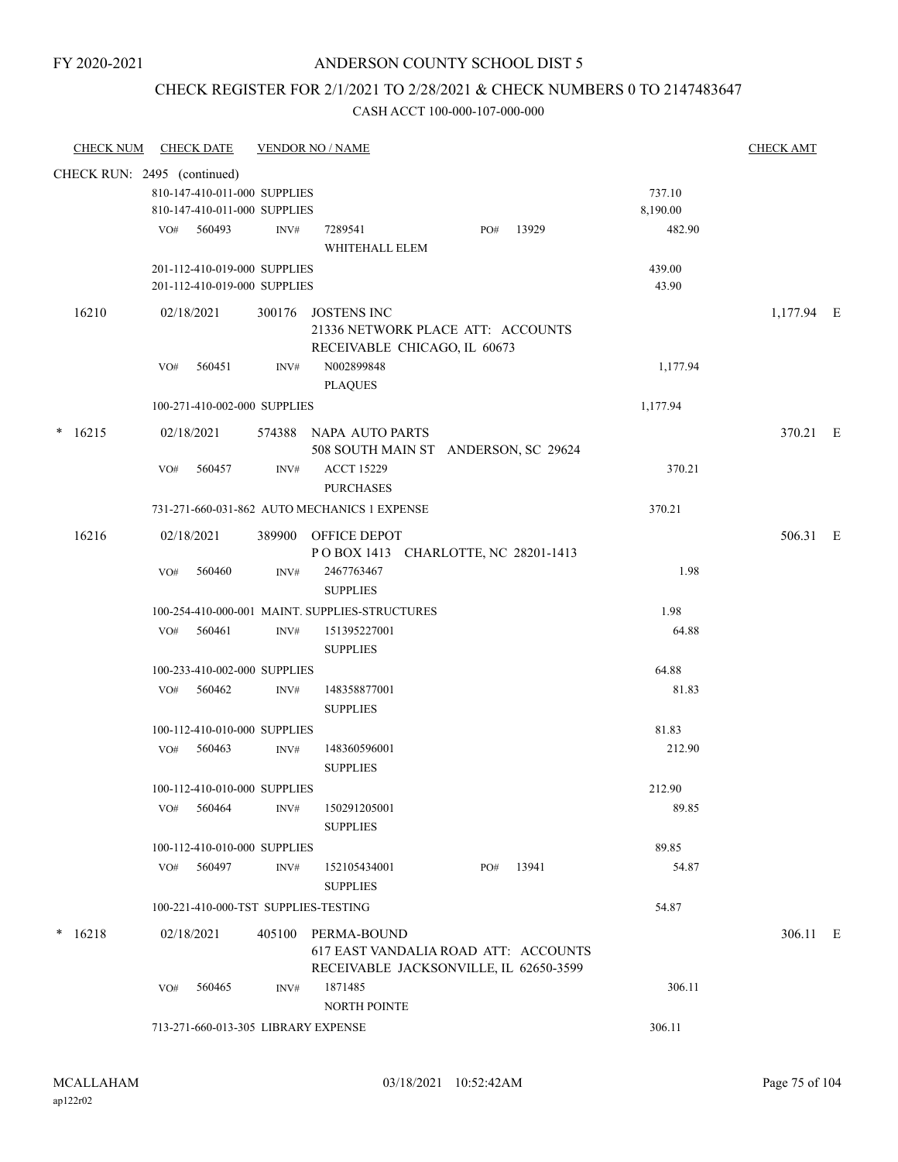### ANDERSON COUNTY SCHOOL DIST 5

### CHECK REGISTER FOR 2/1/2021 TO 2/28/2021 & CHECK NUMBERS 0 TO 2147483647

| <b>CHECK NUM</b> |                             | <b>CHECK DATE</b>                                            |        | <b>VENDOR NO / NAME</b>                                                                       |     |       |                    | <b>CHECK AMT</b> |  |
|------------------|-----------------------------|--------------------------------------------------------------|--------|-----------------------------------------------------------------------------------------------|-----|-------|--------------------|------------------|--|
|                  | CHECK RUN: 2495 (continued) |                                                              |        |                                                                                               |     |       |                    |                  |  |
|                  |                             | 810-147-410-011-000 SUPPLIES<br>810-147-410-011-000 SUPPLIES |        |                                                                                               |     |       | 737.10<br>8,190.00 |                  |  |
|                  |                             | VO# 560493                                                   | INV#   | 7289541<br>WHITEHALL ELEM                                                                     | PO# | 13929 | 482.90             |                  |  |
|                  |                             | 201-112-410-019-000 SUPPLIES<br>201-112-410-019-000 SUPPLIES |        |                                                                                               |     |       | 439.00<br>43.90    |                  |  |
| 16210            |                             | 02/18/2021                                                   |        | 300176 JOSTENS INC<br>21336 NETWORK PLACE ATT: ACCOUNTS<br>RECEIVABLE CHICAGO, IL 60673       |     |       |                    | $1,177.94$ E     |  |
|                  | VO#                         | 560451                                                       | INV#   | N002899848<br><b>PLAQUES</b>                                                                  |     |       | 1,177.94           |                  |  |
|                  |                             | 100-271-410-002-000 SUPPLIES                                 |        |                                                                                               |     |       | 1,177.94           |                  |  |
| $*16215$         |                             | 02/18/2021                                                   |        | 574388 NAPA AUTO PARTS<br>508 SOUTH MAIN ST ANDERSON, SC 29624                                |     |       |                    | 370.21 E         |  |
|                  | VO#                         | 560457                                                       | INV#   | <b>ACCT 15229</b><br><b>PURCHASES</b>                                                         |     |       | 370.21             |                  |  |
|                  |                             |                                                              |        | 731-271-660-031-862 AUTO MECHANICS 1 EXPENSE                                                  |     |       | 370.21             |                  |  |
| 16216            |                             | 02/18/2021                                                   |        | 389900 OFFICE DEPOT<br>POBOX 1413 CHARLOTTE, NC 28201-1413                                    |     |       |                    | 506.31 E         |  |
|                  | VO#                         | 560460                                                       | INV#   | 2467763467<br><b>SUPPLIES</b>                                                                 |     |       | 1.98               |                  |  |
|                  |                             |                                                              |        | 100-254-410-000-001 MAINT. SUPPLIES-STRUCTURES                                                |     |       | 1.98               |                  |  |
|                  | VO#                         | 560461                                                       | INV#   | 151395227001<br><b>SUPPLIES</b>                                                               |     |       | 64.88              |                  |  |
|                  |                             | 100-233-410-002-000 SUPPLIES                                 |        |                                                                                               |     |       | 64.88              |                  |  |
|                  |                             | VO# 560462                                                   | INV#   | 148358877001<br><b>SUPPLIES</b>                                                               |     |       | 81.83              |                  |  |
|                  |                             | 100-112-410-010-000 SUPPLIES                                 |        |                                                                                               |     |       | 81.83              |                  |  |
|                  | VO#                         | 560463                                                       | INV#   | 148360596001<br><b>SUPPLIES</b>                                                               |     |       | 212.90             |                  |  |
|                  |                             | 100-112-410-010-000 SUPPLIES                                 |        |                                                                                               |     |       | 212.90             |                  |  |
|                  | VO#                         | 560464                                                       | INV#   | 150291205001<br><b>SUPPLIES</b>                                                               |     |       | 89.85              |                  |  |
|                  |                             | 100-112-410-010-000 SUPPLIES                                 |        |                                                                                               |     |       | 89.85              |                  |  |
|                  | VO#                         | 560497                                                       | INV#   | 152105434001<br><b>SUPPLIES</b>                                                               | PO# | 13941 | 54.87              |                  |  |
|                  |                             | 100-221-410-000-TST SUPPLIES-TESTING                         |        |                                                                                               |     |       | 54.87              |                  |  |
| $* 16218$        |                             | 02/18/2021                                                   | 405100 | PERMA-BOUND<br>617 EAST VANDALIA ROAD ATT: ACCOUNTS<br>RECEIVABLE JACKSONVILLE, IL 62650-3599 |     |       |                    | 306.11 E         |  |
|                  | VO#                         | 560465                                                       | INV#   | 1871485<br><b>NORTH POINTE</b>                                                                |     |       | 306.11             |                  |  |
|                  |                             | 713-271-660-013-305 LIBRARY EXPENSE                          |        |                                                                                               |     |       | 306.11             |                  |  |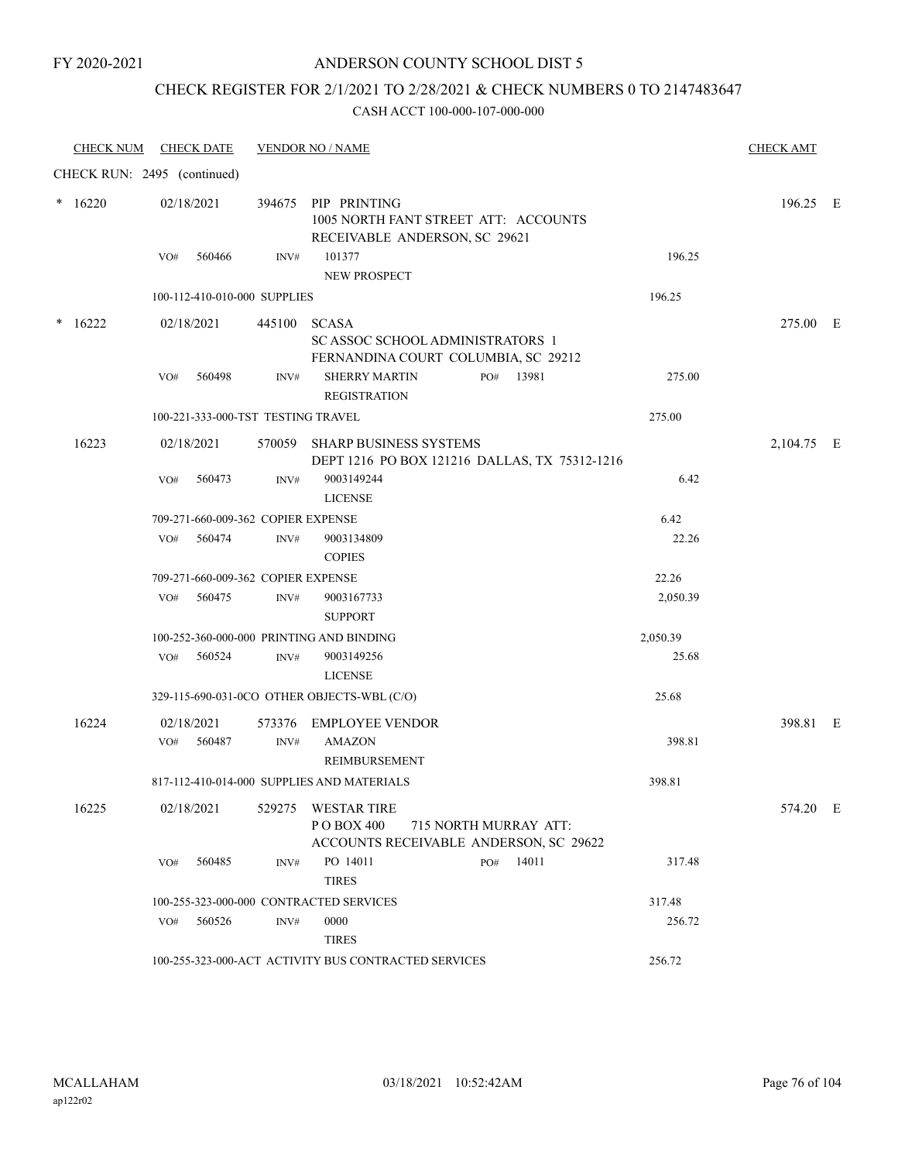### ANDERSON COUNTY SCHOOL DIST 5

# CHECK REGISTER FOR 2/1/2021 TO 2/28/2021 & CHECK NUMBERS 0 TO 2147483647

| <b>CHECK NUM</b>            |     | <b>CHECK DATE</b>                  |        | <b>VENDOR NO / NAME</b>                                                                        |  |                       |          | <b>CHECK AMT</b> |  |
|-----------------------------|-----|------------------------------------|--------|------------------------------------------------------------------------------------------------|--|-----------------------|----------|------------------|--|
| CHECK RUN: 2495 (continued) |     |                                    |        |                                                                                                |  |                       |          |                  |  |
| $*16220$                    |     | 02/18/2021                         |        | 394675 PIP PRINTING<br>1005 NORTH FANT STREET ATT: ACCOUNTS<br>RECEIVABLE ANDERSON, SC 29621   |  |                       |          | 196.25 E         |  |
|                             | VO# | 560466                             | INV#   | 101377<br>NEW PROSPECT                                                                         |  |                       | 196.25   |                  |  |
|                             |     | 100-112-410-010-000 SUPPLIES       |        |                                                                                                |  |                       | 196.25   |                  |  |
| $*16222$                    |     | 02/18/2021                         | 445100 | <b>SCASA</b><br><b>SC ASSOC SCHOOL ADMINISTRATORS 1</b><br>FERNANDINA COURT COLUMBIA, SC 29212 |  |                       |          | 275.00 E         |  |
|                             | VO# | 560498                             | INV#   | <b>SHERRY MARTIN</b><br><b>REGISTRATION</b>                                                    |  | PO# 13981             | 275.00   |                  |  |
|                             |     | 100-221-333-000-TST TESTING TRAVEL |        |                                                                                                |  |                       | 275.00   |                  |  |
| 16223                       |     | 02/18/2021                         |        | 570059 SHARP BUSINESS SYSTEMS<br>DEPT 1216 PO BOX 121216 DALLAS, TX 75312-1216                 |  |                       |          | 2,104.75 E       |  |
|                             | VO# | 560473                             | INV#   | 9003149244<br><b>LICENSE</b>                                                                   |  |                       | 6.42     |                  |  |
|                             |     | 709-271-660-009-362 COPIER EXPENSE |        |                                                                                                |  |                       | 6.42     |                  |  |
|                             | VO# | 560474                             | INV#   | 9003134809<br><b>COPIES</b>                                                                    |  |                       | 22.26    |                  |  |
|                             |     | 709-271-660-009-362 COPIER EXPENSE |        |                                                                                                |  |                       | 22.26    |                  |  |
|                             | VO# | 560475                             | INV#   | 9003167733<br><b>SUPPORT</b>                                                                   |  |                       | 2,050.39 |                  |  |
|                             |     |                                    |        | 100-252-360-000-000 PRINTING AND BINDING                                                       |  |                       | 2,050.39 |                  |  |
|                             |     | VO# 560524                         | INV#   | 9003149256<br><b>LICENSE</b>                                                                   |  |                       | 25.68    |                  |  |
|                             |     |                                    |        | 329-115-690-031-0CO OTHER OBJECTS-WBL (C/O)                                                    |  |                       | 25.68    |                  |  |
| 16224                       | VO# | 02/18/2021<br>560487               | INV#   | 573376 EMPLOYEE VENDOR<br><b>AMAZON</b>                                                        |  |                       | 398.81   | 398.81 E         |  |
|                             |     |                                    |        | REIMBURSEMENT                                                                                  |  |                       |          |                  |  |
|                             |     |                                    |        | 817-112-410-014-000 SUPPLIES AND MATERIALS                                                     |  |                       | 398.81   |                  |  |
| 16225                       |     | 02/18/2021                         | 529275 | <b>WESTAR TIRE</b><br>P O BOX 400<br>ACCOUNTS RECEIVABLE ANDERSON, SC 29622                    |  | 715 NORTH MURRAY ATT: |          | 574.20 E         |  |
|                             | VO# | 560485                             | INV#   | PO 14011<br><b>TIRES</b>                                                                       |  | PO# 14011             | 317.48   |                  |  |
|                             |     |                                    |        | 100-255-323-000-000 CONTRACTED SERVICES                                                        |  |                       | 317.48   |                  |  |
|                             | VO# | 560526                             | INV#   | 0000<br><b>TIRES</b>                                                                           |  |                       | 256.72   |                  |  |
|                             |     |                                    |        | 100-255-323-000-ACT ACTIVITY BUS CONTRACTED SERVICES                                           |  |                       | 256.72   |                  |  |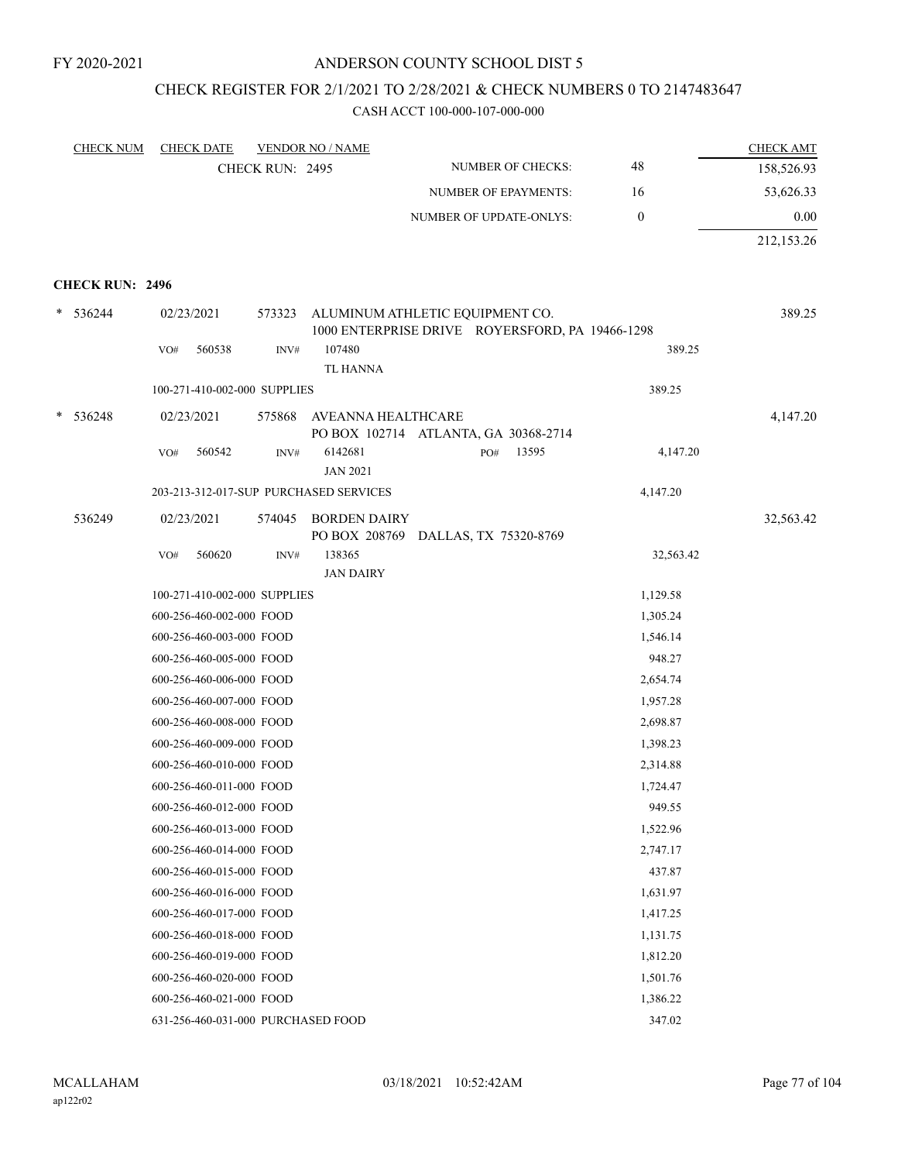# CHECK REGISTER FOR 2/1/2021 TO 2/28/2021 & CHECK NUMBERS 0 TO 2147483647

| 48<br>NUMBER OF CHECKS:<br>CHECK RUN: 2495<br>16<br><b>NUMBER OF EPAYMENTS:</b><br>$\boldsymbol{0}$<br>NUMBER OF UPDATE-ONLYS:<br><b>CHECK RUN: 2496</b><br>$* 536244$<br>ALUMINUM ATHLETIC EQUIPMENT CO.<br>02/23/2021<br>573323<br>1000 ENTERPRISE DRIVE ROYERSFORD, PA 19466-1298<br>107480<br>389.25<br>560538<br>INV#<br>VO#<br><b>TL HANNA</b><br>389.25<br>100-271-410-002-000 SUPPLIES<br>4,147.20<br>$\ast$<br>536248<br>02/23/2021<br>575868<br>AVEANNA HEALTHCARE<br>PO BOX 102714 ATLANTA, GA 30368-2714<br>6142681<br>13595<br>4,147.20<br>560542<br>PO#<br>VO# | <b>CHECK NUM</b> | <b>CHECK DATE</b> |      | <b>VENDOR NO / NAME</b> |  | <b>CHECK AMT</b> |
|------------------------------------------------------------------------------------------------------------------------------------------------------------------------------------------------------------------------------------------------------------------------------------------------------------------------------------------------------------------------------------------------------------------------------------------------------------------------------------------------------------------------------------------------------------------------------|------------------|-------------------|------|-------------------------|--|------------------|
|                                                                                                                                                                                                                                                                                                                                                                                                                                                                                                                                                                              |                  |                   |      |                         |  | 158,526.93       |
|                                                                                                                                                                                                                                                                                                                                                                                                                                                                                                                                                                              |                  |                   |      |                         |  | 53,626.33        |
|                                                                                                                                                                                                                                                                                                                                                                                                                                                                                                                                                                              |                  |                   |      |                         |  | 0.00             |
|                                                                                                                                                                                                                                                                                                                                                                                                                                                                                                                                                                              |                  |                   |      |                         |  | 212,153.26       |
|                                                                                                                                                                                                                                                                                                                                                                                                                                                                                                                                                                              |                  |                   |      |                         |  |                  |
|                                                                                                                                                                                                                                                                                                                                                                                                                                                                                                                                                                              |                  |                   |      |                         |  |                  |
|                                                                                                                                                                                                                                                                                                                                                                                                                                                                                                                                                                              |                  |                   |      |                         |  | 389.25           |
|                                                                                                                                                                                                                                                                                                                                                                                                                                                                                                                                                                              |                  |                   |      |                         |  |                  |
|                                                                                                                                                                                                                                                                                                                                                                                                                                                                                                                                                                              |                  |                   |      |                         |  |                  |
|                                                                                                                                                                                                                                                                                                                                                                                                                                                                                                                                                                              |                  |                   |      |                         |  |                  |
|                                                                                                                                                                                                                                                                                                                                                                                                                                                                                                                                                                              |                  |                   |      |                         |  |                  |
|                                                                                                                                                                                                                                                                                                                                                                                                                                                                                                                                                                              |                  |                   |      |                         |  |                  |
|                                                                                                                                                                                                                                                                                                                                                                                                                                                                                                                                                                              |                  |                   | INV# |                         |  |                  |
| <b>JAN 2021</b>                                                                                                                                                                                                                                                                                                                                                                                                                                                                                                                                                              |                  |                   |      |                         |  |                  |
| 203-213-312-017-SUP PURCHASED SERVICES<br>4,147.20                                                                                                                                                                                                                                                                                                                                                                                                                                                                                                                           |                  |                   |      |                         |  |                  |
| 536249<br>02/23/2021<br>574045<br><b>BORDEN DAIRY</b>                                                                                                                                                                                                                                                                                                                                                                                                                                                                                                                        |                  |                   |      |                         |  | 32,563.42        |
| PO BOX 208769 DALLAS, TX 75320-8769                                                                                                                                                                                                                                                                                                                                                                                                                                                                                                                                          |                  |                   |      |                         |  |                  |
| 138365<br>VO#<br>560620<br>INV#<br>32,563.42<br><b>JAN DAIRY</b>                                                                                                                                                                                                                                                                                                                                                                                                                                                                                                             |                  |                   |      |                         |  |                  |
| 1,129.58<br>100-271-410-002-000 SUPPLIES                                                                                                                                                                                                                                                                                                                                                                                                                                                                                                                                     |                  |                   |      |                         |  |                  |
| 1,305.24<br>600-256-460-002-000 FOOD                                                                                                                                                                                                                                                                                                                                                                                                                                                                                                                                         |                  |                   |      |                         |  |                  |
| 600-256-460-003-000 FOOD<br>1,546.14                                                                                                                                                                                                                                                                                                                                                                                                                                                                                                                                         |                  |                   |      |                         |  |                  |
| 948.27<br>600-256-460-005-000 FOOD                                                                                                                                                                                                                                                                                                                                                                                                                                                                                                                                           |                  |                   |      |                         |  |                  |
| 600-256-460-006-000 FOOD<br>2,654.74                                                                                                                                                                                                                                                                                                                                                                                                                                                                                                                                         |                  |                   |      |                         |  |                  |
| 600-256-460-007-000 FOOD<br>1,957.28                                                                                                                                                                                                                                                                                                                                                                                                                                                                                                                                         |                  |                   |      |                         |  |                  |
| 600-256-460-008-000 FOOD<br>2,698.87                                                                                                                                                                                                                                                                                                                                                                                                                                                                                                                                         |                  |                   |      |                         |  |                  |
| 600-256-460-009-000 FOOD<br>1,398.23                                                                                                                                                                                                                                                                                                                                                                                                                                                                                                                                         |                  |                   |      |                         |  |                  |
| 600-256-460-010-000 FOOD<br>2,314.88                                                                                                                                                                                                                                                                                                                                                                                                                                                                                                                                         |                  |                   |      |                         |  |                  |
| 600-256-460-011-000 FOOD<br>1,724.47                                                                                                                                                                                                                                                                                                                                                                                                                                                                                                                                         |                  |                   |      |                         |  |                  |
| 600-256-460-012-000 FOOD<br>949.55                                                                                                                                                                                                                                                                                                                                                                                                                                                                                                                                           |                  |                   |      |                         |  |                  |
| 600-256-460-013-000 FOOD<br>1,522.96                                                                                                                                                                                                                                                                                                                                                                                                                                                                                                                                         |                  |                   |      |                         |  |                  |
| 600-256-460-014-000 FOOD<br>2,747.17                                                                                                                                                                                                                                                                                                                                                                                                                                                                                                                                         |                  |                   |      |                         |  |                  |
| 600-256-460-015-000 FOOD<br>437.87                                                                                                                                                                                                                                                                                                                                                                                                                                                                                                                                           |                  |                   |      |                         |  |                  |
| 600-256-460-016-000 FOOD<br>1,631.97                                                                                                                                                                                                                                                                                                                                                                                                                                                                                                                                         |                  |                   |      |                         |  |                  |
| 600-256-460-017-000 FOOD<br>1,417.25                                                                                                                                                                                                                                                                                                                                                                                                                                                                                                                                         |                  |                   |      |                         |  |                  |
| 600-256-460-018-000 FOOD<br>1,131.75                                                                                                                                                                                                                                                                                                                                                                                                                                                                                                                                         |                  |                   |      |                         |  |                  |
| 600-256-460-019-000 FOOD<br>1,812.20                                                                                                                                                                                                                                                                                                                                                                                                                                                                                                                                         |                  |                   |      |                         |  |                  |
| 600-256-460-020-000 FOOD<br>1,501.76                                                                                                                                                                                                                                                                                                                                                                                                                                                                                                                                         |                  |                   |      |                         |  |                  |
| 600-256-460-021-000 FOOD<br>1,386.22                                                                                                                                                                                                                                                                                                                                                                                                                                                                                                                                         |                  |                   |      |                         |  |                  |
| 631-256-460-031-000 PURCHASED FOOD<br>347.02                                                                                                                                                                                                                                                                                                                                                                                                                                                                                                                                 |                  |                   |      |                         |  |                  |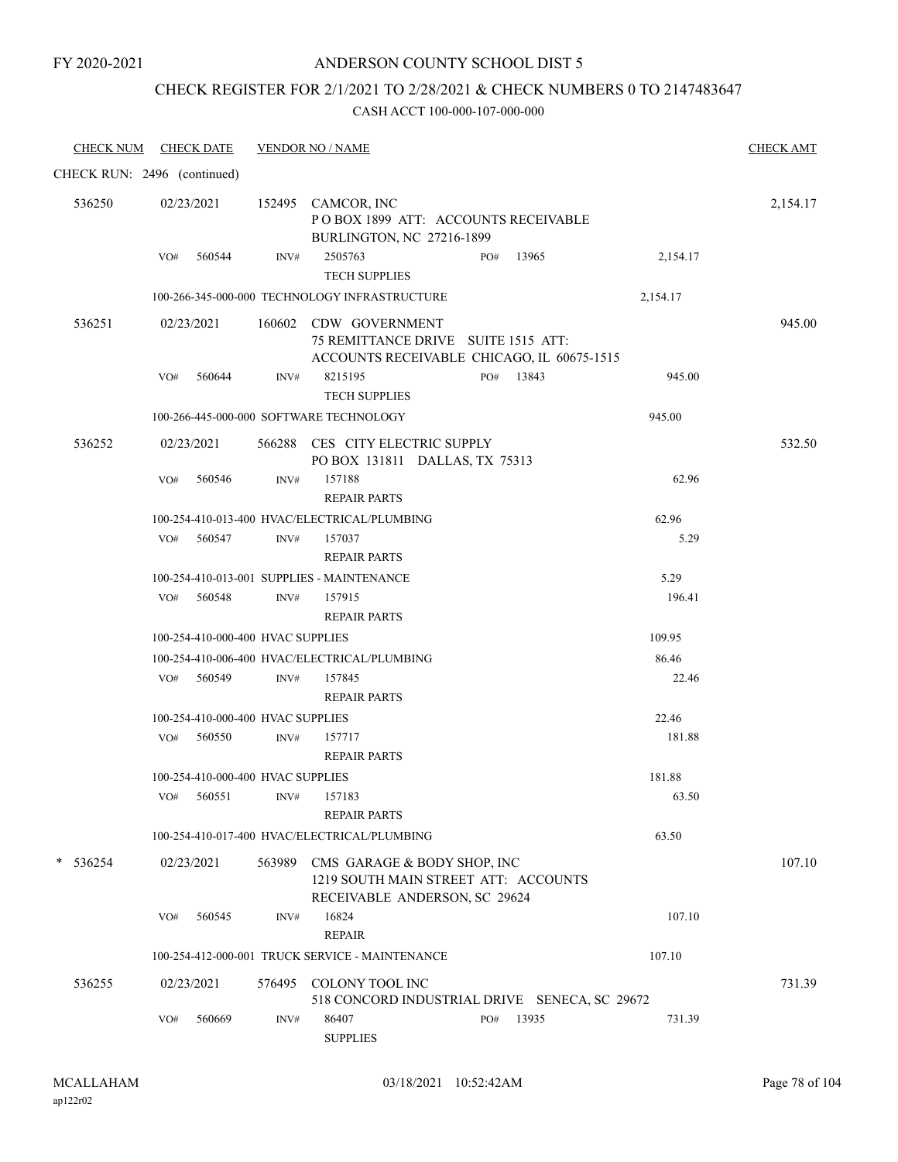### ANDERSON COUNTY SCHOOL DIST 5

### CHECK REGISTER FOR 2/1/2021 TO 2/28/2021 & CHECK NUMBERS 0 TO 2147483647

| <b>CHECK NUM</b>            |     | <b>CHECK DATE</b>                 |      | <b>VENDOR NO / NAME</b>                                                                                     |              |          | <b>CHECK AMT</b> |
|-----------------------------|-----|-----------------------------------|------|-------------------------------------------------------------------------------------------------------------|--------------|----------|------------------|
| CHECK RUN: 2496 (continued) |     |                                   |      |                                                                                                             |              |          |                  |
| 536250                      |     | 02/23/2021                        |      | 152495 CAMCOR, INC<br>POBOX 1899 ATT: ACCOUNTS RECEIVABLE<br>BURLINGTON, NC 27216-1899                      |              |          | 2,154.17         |
|                             |     | VO# 560544                        | INV# | 2505763<br><b>TECH SUPPLIES</b>                                                                             | 13965<br>PO# | 2,154.17 |                  |
|                             |     |                                   |      | 100-266-345-000-000 TECHNOLOGY INFRASTRUCTURE                                                               |              | 2,154.17 |                  |
| 536251                      |     | 02/23/2021                        |      | 160602 CDW GOVERNMENT<br>75 REMITTANCE DRIVE SUITE 1515 ATT:<br>ACCOUNTS RECEIVABLE CHICAGO, IL 60675-1515  |              |          | 945.00           |
|                             | VO# | 560644                            | INV# | 8215195<br><b>TECH SUPPLIES</b>                                                                             | PO# 13843    | 945.00   |                  |
|                             |     |                                   |      | 100-266-445-000-000 SOFTWARE TECHNOLOGY                                                                     |              | 945.00   |                  |
| 536252                      |     | 02/23/2021                        |      | 566288 CES CITY ELECTRIC SUPPLY<br>PO BOX 131811 DALLAS, TX 75313                                           |              |          | 532.50           |
|                             | VO# | 560546                            | INV# | 157188<br><b>REPAIR PARTS</b>                                                                               |              | 62.96    |                  |
|                             |     |                                   |      | 100-254-410-013-400 HVAC/ELECTRICAL/PLUMBING                                                                |              | 62.96    |                  |
|                             |     | VO# 560547                        | INV# | 157037<br><b>REPAIR PARTS</b>                                                                               |              | 5.29     |                  |
|                             |     |                                   |      | 100-254-410-013-001 SUPPLIES - MAINTENANCE                                                                  |              | 5.29     |                  |
|                             |     | $VO#$ 560548                      | INV# | 157915<br><b>REPAIR PARTS</b>                                                                               |              | 196.41   |                  |
|                             |     | 100-254-410-000-400 HVAC SUPPLIES |      |                                                                                                             |              | 109.95   |                  |
|                             |     |                                   |      | 100-254-410-006-400 HVAC/ELECTRICAL/PLUMBING                                                                |              | 86.46    |                  |
|                             |     | VO# 560549                        | INV# | 157845<br><b>REPAIR PARTS</b>                                                                               |              | 22.46    |                  |
|                             |     | 100-254-410-000-400 HVAC SUPPLIES |      |                                                                                                             |              | 22.46    |                  |
|                             | VO# | 560550                            | INV# | 157717<br><b>REPAIR PARTS</b>                                                                               |              | 181.88   |                  |
|                             |     | 100-254-410-000-400 HVAC SUPPLIES |      |                                                                                                             |              | 181.88   |                  |
|                             |     | VO# 560551 INV# 157183            |      | <b>REPAIR PARTS</b>                                                                                         |              | 63.50    |                  |
|                             |     |                                   |      | 100-254-410-017-400 HVAC/ELECTRICAL/PLUMBING                                                                |              | 63.50    |                  |
| $* 536254$                  |     | 02/23/2021                        |      | 563989 CMS GARAGE & BODY SHOP, INC<br>1219 SOUTH MAIN STREET ATT: ACCOUNTS<br>RECEIVABLE ANDERSON, SC 29624 |              |          | 107.10           |
|                             | VO# | 560545                            | INV# | 16824<br><b>REPAIR</b>                                                                                      |              | 107.10   |                  |
|                             |     |                                   |      | 100-254-412-000-001 TRUCK SERVICE - MAINTENANCE                                                             |              | 107.10   |                  |
| 536255                      |     | 02/23/2021                        |      | 576495 COLONY TOOL INC<br>518 CONCORD INDUSTRIAL DRIVE SENECA, SC 29672                                     |              |          | 731.39           |
|                             | VO# | 560669                            | INV# | 86407<br><b>SUPPLIES</b>                                                                                    | 13935<br>PO# | 731.39   |                  |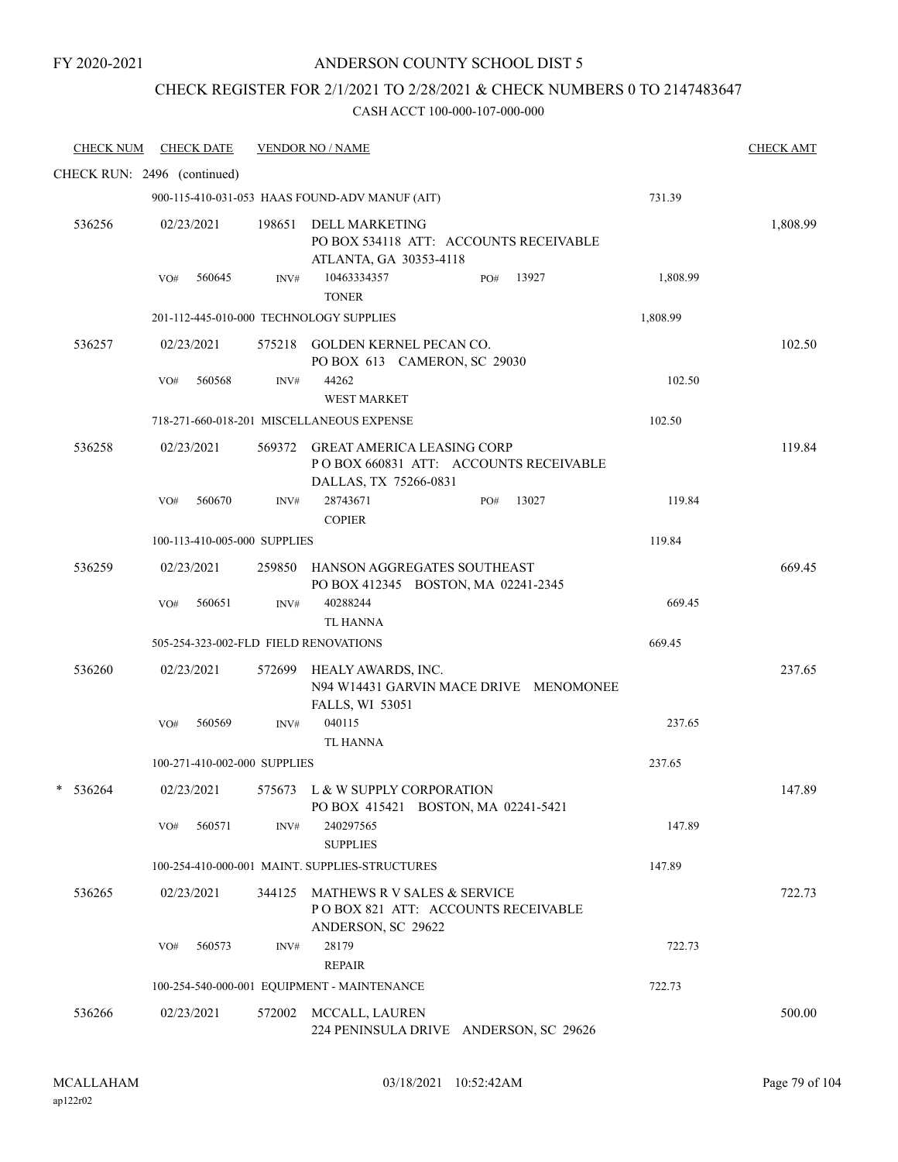# CHECK REGISTER FOR 2/1/2021 TO 2/28/2021 & CHECK NUMBERS 0 TO 2147483647

| <b>CHECK NUM</b>            |     | <b>CHECK DATE</b>            |        | <b>VENDOR NO / NAME</b>                                                                             |              |          | <b>CHECK AMT</b> |
|-----------------------------|-----|------------------------------|--------|-----------------------------------------------------------------------------------------------------|--------------|----------|------------------|
| CHECK RUN: 2496 (continued) |     |                              |        |                                                                                                     |              |          |                  |
|                             |     |                              |        | 900-115-410-031-053 HAAS FOUND-ADV MANUF (AIT)                                                      |              | 731.39   |                  |
| 536256                      |     | 02/23/2021                   |        | 198651 DELL MARKETING<br>PO BOX 534118 ATT: ACCOUNTS RECEIVABLE<br>ATLANTA, GA 30353-4118           |              |          | 1,808.99         |
|                             | VO# | 560645                       | INV#   | 10463334357<br><b>TONER</b>                                                                         | 13927<br>PO# | 1,808.99 |                  |
|                             |     |                              |        | 201-112-445-010-000 TECHNOLOGY SUPPLIES                                                             |              | 1,808.99 |                  |
| 536257                      |     | 02/23/2021                   |        | 575218 GOLDEN KERNEL PECAN CO.<br>PO BOX 613 CAMERON, SC 29030                                      |              |          | 102.50           |
|                             | VO# | 560568                       | INV#   | 44262<br><b>WEST MARKET</b>                                                                         |              | 102.50   |                  |
|                             |     |                              |        | 718-271-660-018-201 MISCELLANEOUS EXPENSE                                                           |              | 102.50   |                  |
| 536258                      |     | 02/23/2021                   |        | 569372 GREAT AMERICA LEASING CORP<br>POBOX 660831 ATT: ACCOUNTS RECEIVABLE<br>DALLAS, TX 75266-0831 |              |          | 119.84           |
|                             | VO# | 560670                       | INV#   | 28743671<br><b>COPIER</b>                                                                           | 13027<br>PO# | 119.84   |                  |
|                             |     | 100-113-410-005-000 SUPPLIES |        |                                                                                                     |              | 119.84   |                  |
| 536259                      |     | 02/23/2021                   | 259850 | HANSON AGGREGATES SOUTHEAST<br>PO BOX 412345 BOSTON, MA 02241-2345                                  |              |          | 669.45           |
|                             | VO# | 560651                       | INV#   | 40288244<br><b>TL HANNA</b>                                                                         |              | 669.45   |                  |
|                             |     |                              |        | 505-254-323-002-FLD FIELD RENOVATIONS                                                               |              | 669.45   |                  |
| 536260                      |     | 02/23/2021                   |        | 572699 HEALY AWARDS, INC.<br>N94 W14431 GARVIN MACE DRIVE MENOMONEE<br>FALLS, WI 53051              |              |          | 237.65           |
|                             | VO# | 560569                       | INV#   | 040115<br>TL HANNA                                                                                  |              | 237.65   |                  |
|                             |     | 100-271-410-002-000 SUPPLIES |        |                                                                                                     |              | 237.65   |                  |
| *<br>536264                 |     | 02/23/2021                   |        | 575673 L & W SUPPLY CORPORATION<br>PO BOX 415421 BOSTON, MA 02241-5421                              |              |          | 147.89           |
|                             | VO# | 560571                       | INV#   | 240297565<br><b>SUPPLIES</b>                                                                        |              | 147.89   |                  |
|                             |     |                              |        | 100-254-410-000-001 MAINT. SUPPLIES-STRUCTURES                                                      |              | 147.89   |                  |
| 536265                      |     | 02/23/2021                   |        | 344125 MATHEWS R V SALES & SERVICE<br>POBOX 821 ATT: ACCOUNTS RECEIVABLE<br>ANDERSON, SC 29622      |              |          | 722.73           |
|                             | VO# | 560573                       | INV#   | 28179<br><b>REPAIR</b>                                                                              |              | 722.73   |                  |
|                             |     |                              |        | 100-254-540-000-001 EQUIPMENT - MAINTENANCE                                                         |              | 722.73   |                  |
| 536266                      |     | 02/23/2021                   |        | 572002 MCCALL, LAUREN<br>224 PENINSULA DRIVE ANDERSON, SC 29626                                     |              |          | 500.00           |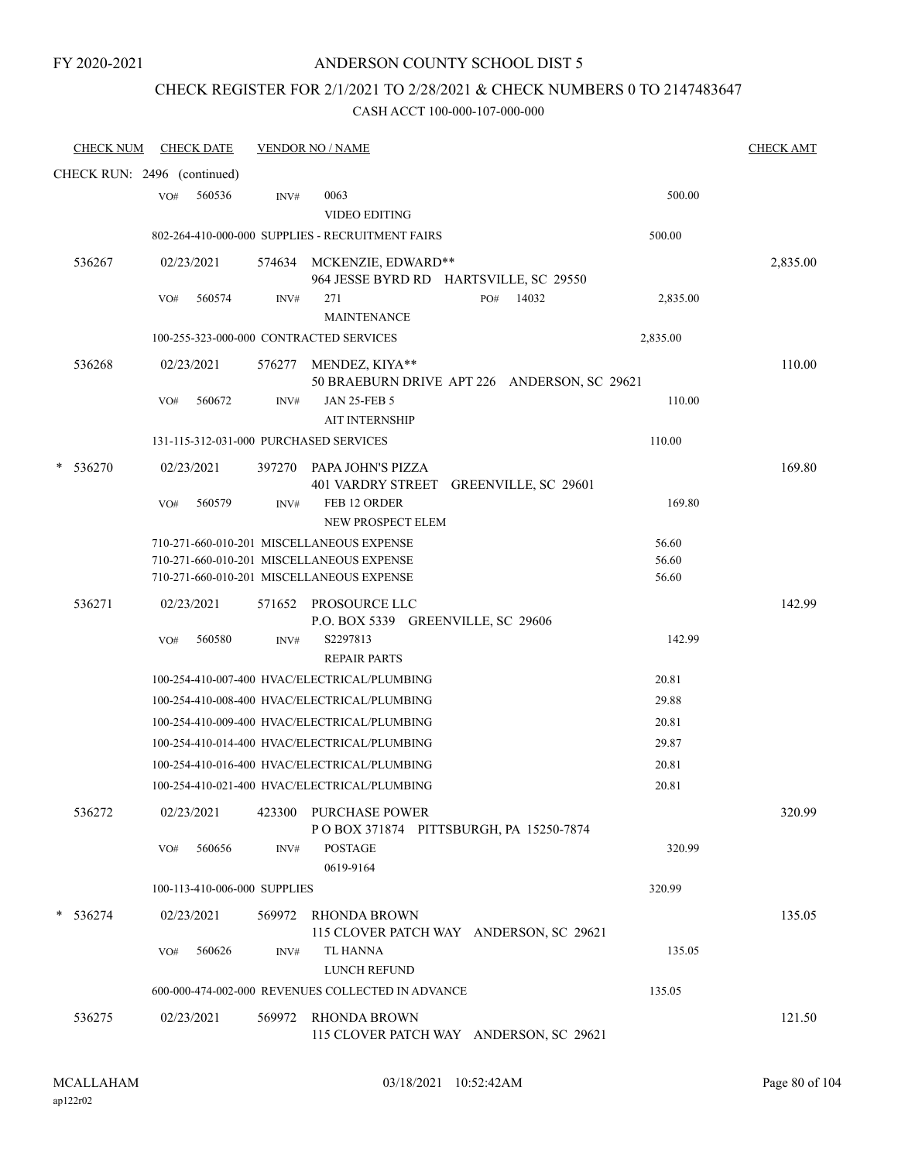### CHECK REGISTER FOR 2/1/2021 TO 2/28/2021 & CHECK NUMBERS 0 TO 2147483647

| <b>CHECK NUM</b>            | <b>CHECK DATE</b> |                              | <b>VENDOR NO / NAME</b>                                                                                                             |                                              |                         | <b>CHECK AMT</b> |
|-----------------------------|-------------------|------------------------------|-------------------------------------------------------------------------------------------------------------------------------------|----------------------------------------------|-------------------------|------------------|
| CHECK RUN: 2496 (continued) |                   |                              |                                                                                                                                     |                                              |                         |                  |
|                             | 560536<br>VO#     | INV#                         | 0063<br><b>VIDEO EDITING</b>                                                                                                        |                                              | 500.00                  |                  |
|                             |                   |                              | 802-264-410-000-000 SUPPLIES - RECRUITMENT FAIRS                                                                                    |                                              | 500.00                  |                  |
| 536267                      | 02/23/2021        | 574634                       | MCKENZIE, EDWARD**                                                                                                                  | 964 JESSE BYRD RD HARTSVILLE, SC 29550       |                         | 2,835.00         |
|                             | 560574<br>VO#     | INV#                         | 271<br><b>MAINTENANCE</b>                                                                                                           | 14032<br>PO#                                 | 2,835.00                |                  |
|                             |                   |                              | 100-255-323-000-000 CONTRACTED SERVICES                                                                                             |                                              | 2,835.00                |                  |
| 536268                      | 02/23/2021        |                              | 576277 MENDEZ, KIYA**                                                                                                               | 50 BRAEBURN DRIVE APT 226 ANDERSON, SC 29621 |                         | 110.00           |
|                             | VO#<br>560672     | INV#                         | <b>JAN 25-FEB 5</b><br><b>AIT INTERNSHIP</b>                                                                                        |                                              | 110.00                  |                  |
|                             |                   |                              | 131-115-312-031-000 PURCHASED SERVICES                                                                                              |                                              | 110.00                  |                  |
| 536270                      | 02/23/2021        |                              | 397270 PAPA JOHN'S PIZZA                                                                                                            | 401 VARDRY STREET GREENVILLE, SC 29601       |                         | 169.80           |
|                             | 560579<br>VO#     | INV#                         | FEB 12 ORDER<br>NEW PROSPECT ELEM                                                                                                   |                                              | 169.80                  |                  |
|                             |                   |                              | 710-271-660-010-201 MISCELLANEOUS EXPENSE<br>710-271-660-010-201 MISCELLANEOUS EXPENSE<br>710-271-660-010-201 MISCELLANEOUS EXPENSE |                                              | 56.60<br>56.60<br>56.60 |                  |
| 536271                      | 02/23/2021        |                              | 571652 PROSOURCE LLC<br>P.O. BOX 5339 GREENVILLE, SC 29606                                                                          |                                              |                         | 142.99           |
|                             | 560580<br>VO#     | INV#                         | S2297813<br><b>REPAIR PARTS</b>                                                                                                     |                                              | 142.99                  |                  |
|                             |                   |                              | 100-254-410-007-400 HVAC/ELECTRICAL/PLUMBING                                                                                        |                                              | 20.81                   |                  |
|                             |                   |                              | 100-254-410-008-400 HVAC/ELECTRICAL/PLUMBING                                                                                        |                                              | 29.88                   |                  |
|                             |                   |                              | 100-254-410-009-400 HVAC/ELECTRICAL/PLUMBING                                                                                        |                                              | 20.81                   |                  |
|                             |                   |                              | 100-254-410-014-400 HVAC/ELECTRICAL/PLUMBING                                                                                        |                                              | 29.87                   |                  |
|                             |                   |                              | 100-254-410-016-400 HVAC/ELECTRICAL/PLUMBING                                                                                        |                                              | 20.81                   |                  |
|                             |                   |                              | 100-254-410-021-400 HVAC/ELECTRICAL/PLUMBING                                                                                        |                                              | 20.81                   |                  |
| 536272                      | 02/23/2021        |                              | 423300 PURCHASE POWER                                                                                                               | POBOX 371874 PITTSBURGH, PA 15250-7874       |                         | 320.99           |
|                             | 560656<br>VO#     | INV#                         | <b>POSTAGE</b><br>0619-9164                                                                                                         |                                              | 320.99                  |                  |
|                             |                   | 100-113-410-006-000 SUPPLIES |                                                                                                                                     |                                              | 320.99                  |                  |
| 536274                      | 02/23/2021        |                              | 569972 RHONDA BROWN                                                                                                                 | 115 CLOVER PATCH WAY ANDERSON, SC 29621      |                         | 135.05           |
|                             | VO#<br>560626     | INV#                         | TL HANNA<br><b>LUNCH REFUND</b>                                                                                                     |                                              | 135.05                  |                  |
|                             |                   |                              | 600-000-474-002-000 REVENUES COLLECTED IN ADVANCE                                                                                   |                                              | 135.05                  |                  |
| 536275                      | 02/23/2021        |                              | 569972 RHONDA BROWN                                                                                                                 | 115 CLOVER PATCH WAY ANDERSON, SC 29621      |                         | 121.50           |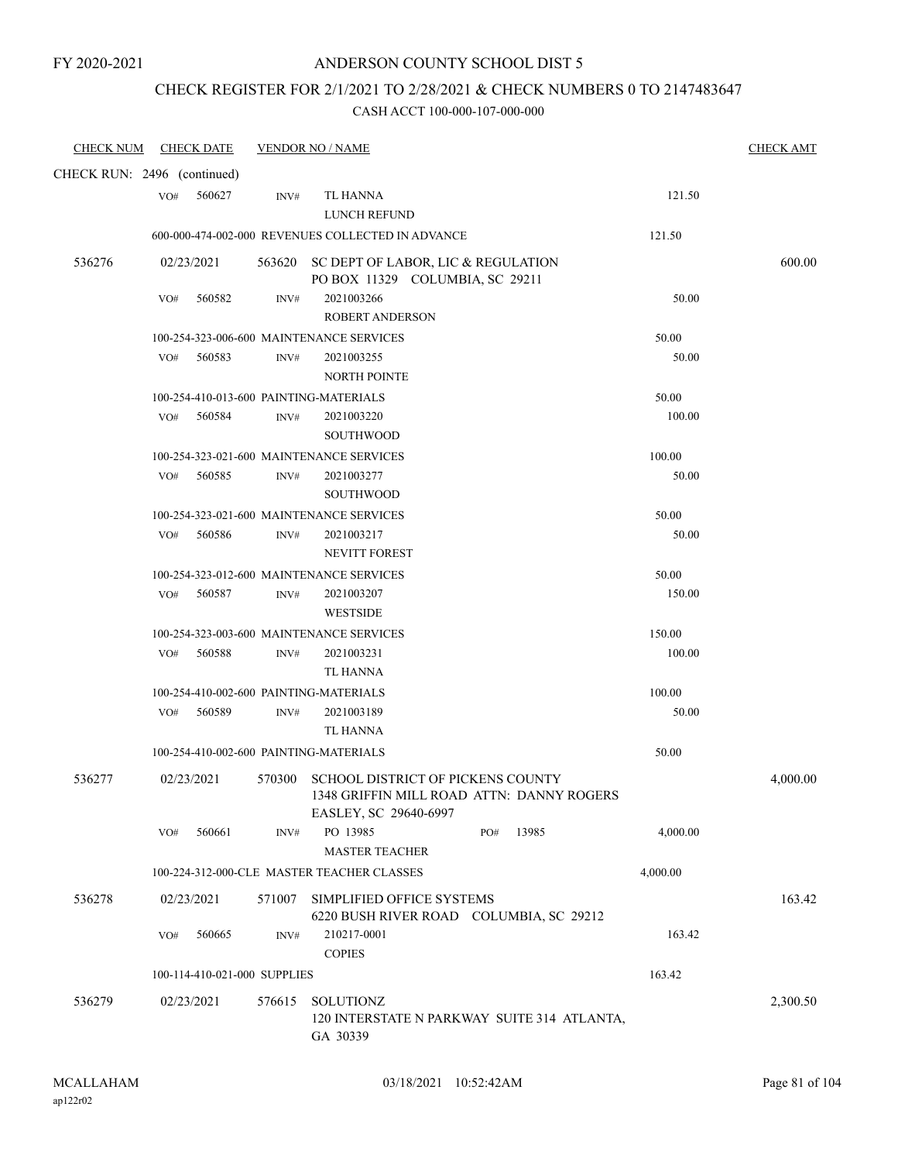### CHECK REGISTER FOR 2/1/2021 TO 2/28/2021 & CHECK NUMBERS 0 TO 2147483647

| <b>CHECK NUM</b>            |     | <b>CHECK DATE</b>            |        | <b>VENDOR NO / NAME</b>                                                                                        | <b>CHECK AMT</b> |
|-----------------------------|-----|------------------------------|--------|----------------------------------------------------------------------------------------------------------------|------------------|
| CHECK RUN: 2496 (continued) |     |                              |        |                                                                                                                |                  |
|                             | VO# | 560627                       | INV#   | TL HANNA<br>121.50<br>LUNCH REFUND                                                                             |                  |
|                             |     |                              |        | 121.50<br>600-000-474-002-000 REVENUES COLLECTED IN ADVANCE                                                    |                  |
| 536276                      |     | 02/23/2021                   |        | 563620 SC DEPT OF LABOR, LIC & REGULATION                                                                      | 600.00           |
|                             |     |                              |        | PO BOX 11329 COLUMBIA, SC 29211                                                                                |                  |
|                             | VO# | 560582                       | INV#   | 2021003266<br>50.00                                                                                            |                  |
|                             |     |                              |        | <b>ROBERT ANDERSON</b>                                                                                         |                  |
|                             |     |                              |        | 100-254-323-006-600 MAINTENANCE SERVICES<br>50.00                                                              |                  |
|                             | VO# | 560583                       | INV#   | 2021003255<br>50.00                                                                                            |                  |
|                             |     |                              |        | <b>NORTH POINTE</b>                                                                                            |                  |
|                             |     |                              |        | 100-254-410-013-600 PAINTING-MATERIALS<br>50.00                                                                |                  |
|                             | VO# | 560584                       | INV#   | 100.00<br>2021003220                                                                                           |                  |
|                             |     |                              |        | <b>SOUTHWOOD</b>                                                                                               |                  |
|                             |     |                              |        | 100-254-323-021-600 MAINTENANCE SERVICES<br>100.00                                                             |                  |
|                             | VO# | 560585                       | INV#   | 50.00<br>2021003277<br><b>SOUTHWOOD</b>                                                                        |                  |
|                             |     |                              |        | 100-254-323-021-600 MAINTENANCE SERVICES<br>50.00                                                              |                  |
|                             | VO# | 560586                       | INV#   | 2021003217<br>50.00                                                                                            |                  |
|                             |     |                              |        | <b>NEVITT FOREST</b>                                                                                           |                  |
|                             |     |                              |        | 100-254-323-012-600 MAINTENANCE SERVICES<br>50.00                                                              |                  |
|                             | VO# | 560587                       | INV#   | 150.00<br>2021003207                                                                                           |                  |
|                             |     |                              |        | <b>WESTSIDE</b>                                                                                                |                  |
|                             |     |                              |        | 100-254-323-003-600 MAINTENANCE SERVICES<br>150.00                                                             |                  |
|                             | VO# | 560588                       | INV#   | 100.00<br>2021003231                                                                                           |                  |
|                             |     |                              |        | TL HANNA                                                                                                       |                  |
|                             |     |                              |        | 100-254-410-002-600 PAINTING-MATERIALS<br>100.00                                                               |                  |
|                             | VO# | 560589                       | INV#   | 50.00<br>2021003189                                                                                            |                  |
|                             |     |                              |        | TL HANNA                                                                                                       |                  |
|                             |     |                              |        | 100-254-410-002-600 PAINTING-MATERIALS<br>50.00                                                                |                  |
| 536277                      |     | 02/23/2021                   |        | 570300 SCHOOL DISTRICT OF PICKENS COUNTY<br>1348 GRIFFIN MILL ROAD ATTN: DANNY ROGERS<br>EASLEY, SC 29640-6997 | 4,000.00         |
|                             | VO# | 560661                       | INV#   | PO 13985<br>PO#<br>13985<br>4,000.00                                                                           |                  |
|                             |     |                              |        | <b>MASTER TEACHER</b>                                                                                          |                  |
|                             |     |                              |        | 100-224-312-000-CLE MASTER TEACHER CLASSES<br>4,000.00                                                         |                  |
| 536278                      |     | 02/23/2021                   | 571007 | SIMPLIFIED OFFICE SYSTEMS<br>6220 BUSH RIVER ROAD COLUMBIA, SC 29212                                           | 163.42           |
|                             | VO# | 560665                       | INV#   | 210217-0001<br>163.42<br><b>COPIES</b>                                                                         |                  |
|                             |     | 100-114-410-021-000 SUPPLIES |        | 163.42                                                                                                         |                  |
| 536279                      |     | 02/23/2021                   | 576615 | <b>SOLUTIONZ</b><br>120 INTERSTATE N PARKWAY SUITE 314 ATLANTA,<br>GA 30339                                    | 2,300.50         |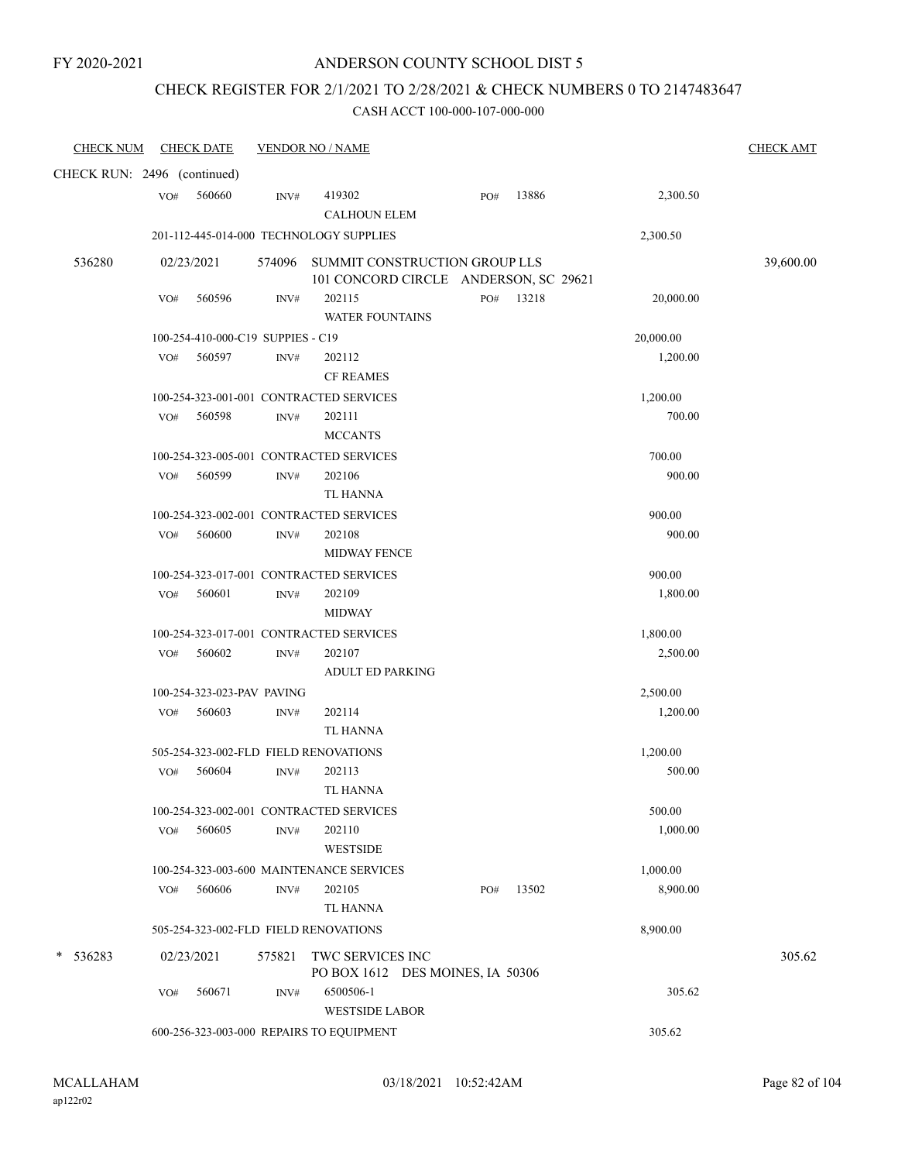### CHECK REGISTER FOR 2/1/2021 TO 2/28/2021 & CHECK NUMBERS 0 TO 2147483647

| <b>CHECK NUM</b>            |     | <b>CHECK DATE</b>                 |                | <b>VENDOR NO / NAME</b>                                                |     |       |           | <b>CHECK AMT</b> |
|-----------------------------|-----|-----------------------------------|----------------|------------------------------------------------------------------------|-----|-------|-----------|------------------|
| CHECK RUN: 2496 (continued) |     |                                   |                |                                                                        |     |       |           |                  |
|                             | VO# | 560660                            | INV#           | 419302<br><b>CALHOUN ELEM</b>                                          | PO# | 13886 | 2,300.50  |                  |
|                             |     |                                   |                | 201-112-445-014-000 TECHNOLOGY SUPPLIES                                |     |       | 2,300.50  |                  |
| 536280                      |     | 02/23/2021                        | 574096         | SUMMIT CONSTRUCTION GROUP LLS<br>101 CONCORD CIRCLE ANDERSON, SC 29621 |     |       |           | 39,600.00        |
|                             | VO# | 560596                            | INV#           | 202115<br><b>WATER FOUNTAINS</b>                                       | PO# | 13218 | 20,000.00 |                  |
|                             |     | 100-254-410-000-C19 SUPPIES - C19 |                |                                                                        |     |       | 20,000.00 |                  |
|                             | VO# | 560597                            | INV#           | 202112<br><b>CF REAMES</b>                                             |     |       | 1,200.00  |                  |
|                             |     |                                   |                | 100-254-323-001-001 CONTRACTED SERVICES                                |     |       | 1,200.00  |                  |
|                             | VO# | 560598                            | INV#           | 202111<br><b>MCCANTS</b>                                               |     |       | 700.00    |                  |
|                             |     |                                   |                | 100-254-323-005-001 CONTRACTED SERVICES                                |     |       | 700.00    |                  |
|                             | VO# | 560599                            | INV#           | 202106<br>TL HANNA                                                     |     |       | 900.00    |                  |
|                             |     |                                   |                | 100-254-323-002-001 CONTRACTED SERVICES                                |     |       | 900.00    |                  |
|                             | VO# | 560600                            | $\text{INV}\#$ | 202108<br><b>MIDWAY FENCE</b>                                          |     |       | 900.00    |                  |
|                             |     |                                   |                | 100-254-323-017-001 CONTRACTED SERVICES                                |     |       | 900.00    |                  |
|                             | VO# | 560601                            | INV#           | 202109<br><b>MIDWAY</b>                                                |     |       | 1,800.00  |                  |
|                             |     |                                   |                | 100-254-323-017-001 CONTRACTED SERVICES                                |     |       | 1,800.00  |                  |
|                             | VO# | 560602                            | INV#           | 202107<br>ADULT ED PARKING                                             |     |       | 2,500.00  |                  |
|                             |     | 100-254-323-023-PAV PAVING        |                |                                                                        |     |       | 2,500.00  |                  |
|                             | VO# | 560603                            | INV#           | 202114<br><b>TL HANNA</b>                                              |     |       | 1,200.00  |                  |
|                             |     |                                   |                | 505-254-323-002-FLD FIELD RENOVATIONS                                  |     |       | 1,200.00  |                  |
|                             | VO# | 560604                            | INV#           | 202113<br><b>TL HANNA</b>                                              |     |       | 500.00    |                  |
|                             |     |                                   |                | 100-254-323-002-001 CONTRACTED SERVICES                                |     |       | 500.00    |                  |
|                             | VO# | 560605                            | INV#           | 202110<br><b>WESTSIDE</b>                                              |     |       | 1,000.00  |                  |
|                             |     |                                   |                | 100-254-323-003-600 MAINTENANCE SERVICES                               |     |       | 1,000.00  |                  |
|                             | VO# | 560606                            | INV#           | 202105<br>TL HANNA                                                     | PO# | 13502 | 8,900.00  |                  |
|                             |     |                                   |                | 505-254-323-002-FLD FIELD RENOVATIONS                                  |     |       | 8,900.00  |                  |
| 536283                      |     | 02/23/2021                        | 575821         | TWC SERVICES INC<br>PO BOX 1612 DES MOINES, IA 50306                   |     |       |           | 305.62           |
|                             | VO# | 560671                            | INV#           | 6500506-1<br><b>WESTSIDE LABOR</b>                                     |     |       | 305.62    |                  |
|                             |     |                                   |                | 600-256-323-003-000 REPAIRS TO EQUIPMENT                               |     |       | 305.62    |                  |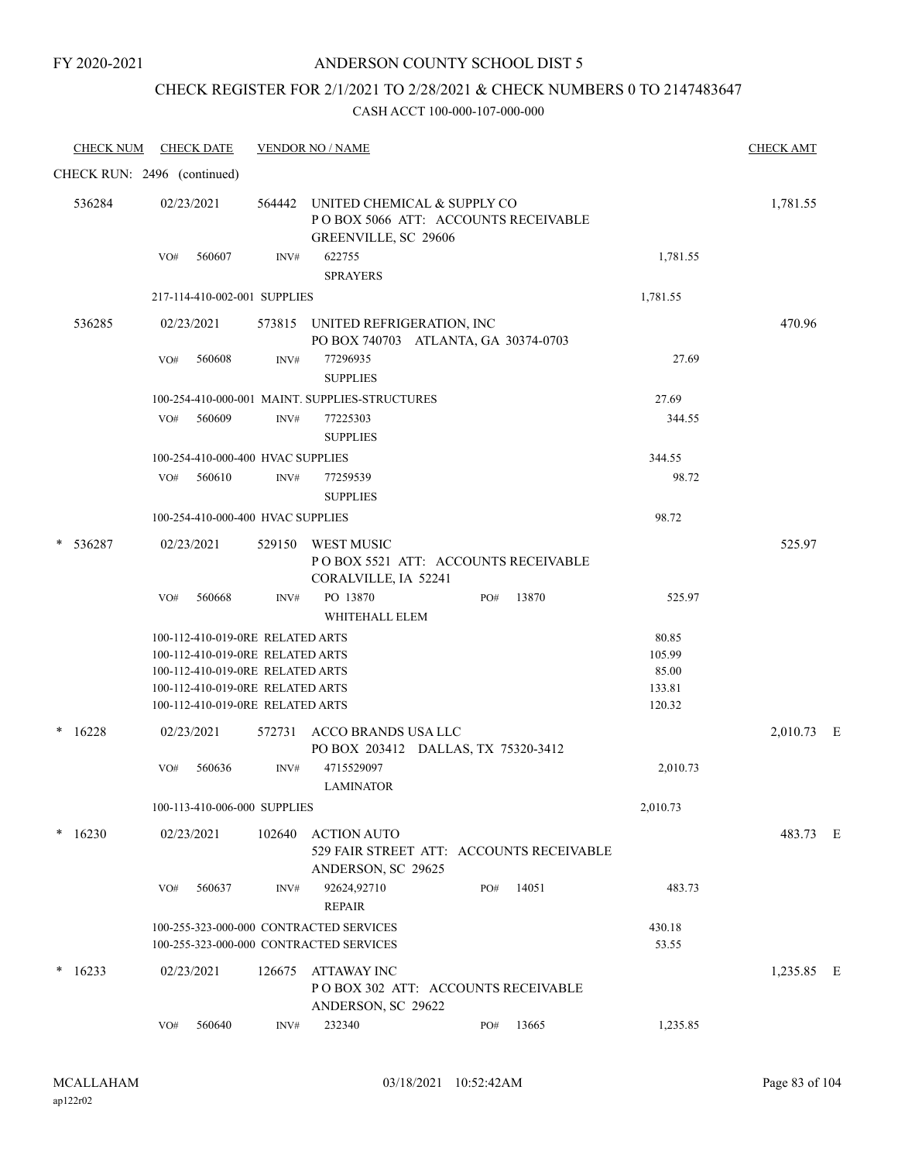### ANDERSON COUNTY SCHOOL DIST 5

# CHECK REGISTER FOR 2/1/2021 TO 2/28/2021 & CHECK NUMBERS 0 TO 2147483647

| <b>CHECK NUM</b> | <b>CHECK DATE</b>                                                    |        | <b>VENDOR NO / NAME</b>                                                                    |              |          | <b>CHECK AMT</b> |  |
|------------------|----------------------------------------------------------------------|--------|--------------------------------------------------------------------------------------------|--------------|----------|------------------|--|
|                  | CHECK RUN: 2496 (continued)                                          |        |                                                                                            |              |          |                  |  |
| 536284           | 02/23/2021                                                           | 564442 | UNITED CHEMICAL & SUPPLY CO<br>POBOX 5066 ATT: ACCOUNTS RECEIVABLE<br>GREENVILLE, SC 29606 |              |          | 1,781.55         |  |
|                  | 560607<br>VO#                                                        | INV#   | 622755<br><b>SPRAYERS</b>                                                                  |              | 1,781.55 |                  |  |
|                  | 217-114-410-002-001 SUPPLIES                                         |        |                                                                                            |              | 1,781.55 |                  |  |
| 536285           | 02/23/2021                                                           |        | 573815 UNITED REFRIGERATION, INC<br>PO BOX 740703 ATLANTA, GA 30374-0703                   |              |          | 470.96           |  |
|                  | 560608<br>VO#                                                        | INV#   | 77296935<br><b>SUPPLIES</b>                                                                |              | 27.69    |                  |  |
|                  |                                                                      |        | 100-254-410-000-001 MAINT. SUPPLIES-STRUCTURES                                             |              | 27.69    |                  |  |
|                  | 560609<br>VO#                                                        | INV#   | 77225303<br><b>SUPPLIES</b>                                                                |              | 344.55   |                  |  |
|                  | 100-254-410-000-400 HVAC SUPPLIES                                    |        |                                                                                            |              | 344.55   |                  |  |
|                  | 560610<br>VO#                                                        | INV#   | 77259539<br><b>SUPPLIES</b>                                                                |              | 98.72    |                  |  |
|                  | 100-254-410-000-400 HVAC SUPPLIES                                    |        |                                                                                            |              | 98.72    |                  |  |
| 536287           | 02/23/2021                                                           |        | 529150 WEST MUSIC<br>PO BOX 5521 ATT: ACCOUNTS RECEIVABLE<br>CORALVILLE, IA 52241          |              |          | 525.97           |  |
|                  | 560668<br>VO#                                                        | INV#   | PO 13870<br>WHITEHALL ELEM                                                                 | 13870<br>PO# | 525.97   |                  |  |
|                  | 100-112-410-019-0RE RELATED ARTS                                     |        |                                                                                            |              | 80.85    |                  |  |
|                  | 100-112-410-019-0RE RELATED ARTS                                     |        |                                                                                            |              | 105.99   |                  |  |
|                  | 100-112-410-019-0RE RELATED ARTS                                     |        |                                                                                            |              | 85.00    |                  |  |
|                  | 100-112-410-019-0RE RELATED ARTS<br>100-112-410-019-0RE RELATED ARTS |        |                                                                                            |              | 133.81   |                  |  |
|                  |                                                                      |        |                                                                                            |              | 120.32   |                  |  |
| 16228            | 02/23/2021                                                           |        | 572731 ACCO BRANDS USA LLC<br>PO BOX 203412 DALLAS, TX 75320-3412                          |              |          | 2,010.73 E       |  |
|                  | 560636<br>VO#                                                        | INV#   | 4715529097<br><b>LAMINATOR</b>                                                             |              | 2,010.73 |                  |  |
|                  | 100-113-410-006-000 SUPPLIES                                         |        |                                                                                            |              | 2,010.73 |                  |  |
| 16230<br>*       | 02/23/2021                                                           | 102640 | <b>ACTION AUTO</b><br>529 FAIR STREET ATT: ACCOUNTS RECEIVABLE<br>ANDERSON, SC 29625       |              |          | 483.73 E         |  |
|                  | 560637<br>VO#                                                        | INV#   | 92624,92710<br><b>REPAIR</b>                                                               | 14051<br>PO# | 483.73   |                  |  |
|                  | 100-255-323-000-000 CONTRACTED SERVICES                              |        |                                                                                            |              | 430.18   |                  |  |
|                  | 100-255-323-000-000 CONTRACTED SERVICES                              |        |                                                                                            |              | 53.55    |                  |  |
| 16233            | 02/23/2021                                                           | 126675 | ATTAWAY INC<br>PO BOX 302 ATT: ACCOUNTS RECEIVABLE<br>ANDERSON, SC 29622                   |              |          | 1,235.85 E       |  |
|                  | 560640<br>VO#                                                        | INV#   | 232340                                                                                     | 13665<br>PO# | 1,235.85 |                  |  |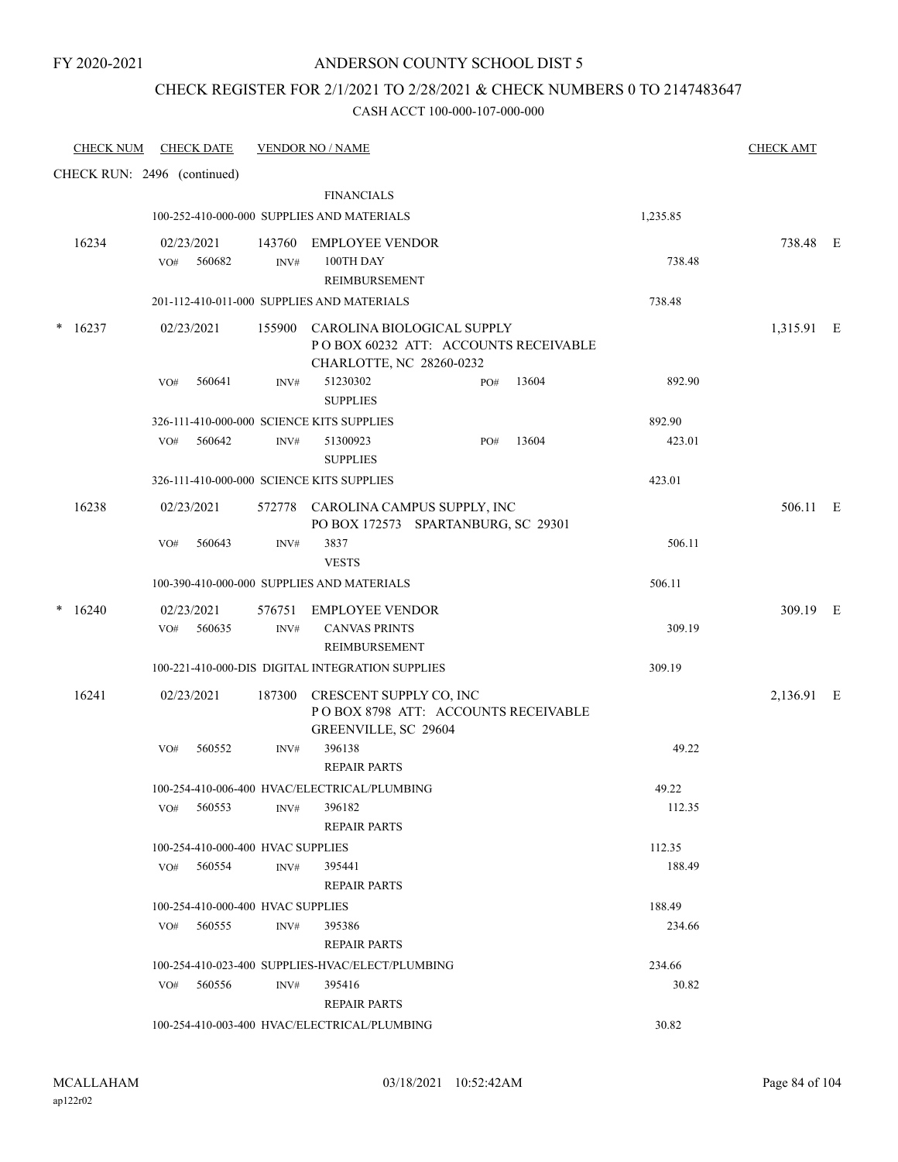### CHECK REGISTER FOR 2/1/2021 TO 2/28/2021 & CHECK NUMBERS 0 TO 2147483647

| <b>CHECK NUM</b> | <b>CHECK DATE</b>                         |                | <b>VENDOR NO / NAME</b>                                                                               |     |       |          | <b>CHECK AMT</b> |  |
|------------------|-------------------------------------------|----------------|-------------------------------------------------------------------------------------------------------|-----|-------|----------|------------------|--|
|                  | CHECK RUN: 2496 (continued)               |                |                                                                                                       |     |       |          |                  |  |
|                  |                                           |                | <b>FINANCIALS</b>                                                                                     |     |       |          |                  |  |
|                  |                                           |                | 100-252-410-000-000 SUPPLIES AND MATERIALS                                                            |     |       | 1,235.85 |                  |  |
| 16234            | 02/23/2021<br>560682<br>VO#               | INV#           | 143760 EMPLOYEE VENDOR<br>100TH DAY<br>REIMBURSEMENT                                                  |     |       | 738.48   | 738.48 E         |  |
|                  |                                           |                | 201-112-410-011-000 SUPPLIES AND MATERIALS                                                            |     |       | 738.48   |                  |  |
| $*16237$         | 02/23/2021                                |                | 155900 CAROLINA BIOLOGICAL SUPPLY<br>POBOX 60232 ATT: ACCOUNTS RECEIVABLE<br>CHARLOTTE, NC 28260-0232 |     |       |          | 1,315.91 E       |  |
|                  | VO#<br>560641                             | INV#           | 51230302<br><b>SUPPLIES</b>                                                                           | PO# | 13604 | 892.90   |                  |  |
|                  | 326-111-410-000-000 SCIENCE KITS SUPPLIES |                |                                                                                                       |     |       | 892.90   |                  |  |
|                  | 560642<br>VO#                             | INV#           | 51300923<br><b>SUPPLIES</b>                                                                           | PO# | 13604 | 423.01   |                  |  |
|                  | 326-111-410-000-000 SCIENCE KITS SUPPLIES |                |                                                                                                       |     |       | 423.01   |                  |  |
| 16238            | 02/23/2021                                |                | 572778 CAROLINA CAMPUS SUPPLY, INC<br>PO BOX 172573 SPARTANBURG, SC 29301                             |     |       |          | 506.11 E         |  |
|                  | VO#<br>560643                             | INV#           | 3837<br><b>VESTS</b>                                                                                  |     |       | 506.11   |                  |  |
|                  |                                           |                | 100-390-410-000-000 SUPPLIES AND MATERIALS                                                            |     |       | 506.11   |                  |  |
| 16240<br>*       | 02/23/2021<br>560635<br>VO#               | 576751<br>INV# | <b>EMPLOYEE VENDOR</b><br><b>CANVAS PRINTS</b><br>REIMBURSEMENT                                       |     |       | 309.19   | 309.19 E         |  |
|                  |                                           |                | 100-221-410-000-DIS DIGITAL INTEGRATION SUPPLIES                                                      |     |       | 309.19   |                  |  |
| 16241            | 02/23/2021                                |                | 187300 CRESCENT SUPPLY CO, INC<br>POBOX 8798 ATT: ACCOUNTS RECEIVABLE<br>GREENVILLE, SC 29604         |     |       |          | 2,136.91 E       |  |
|                  | VO#<br>560552                             | INV#           | 396138<br><b>REPAIR PARTS</b>                                                                         |     |       | 49.22    |                  |  |
|                  |                                           |                | 100-254-410-006-400 HVAC/ELECTRICAL/PLUMBING                                                          |     |       | 49.22    |                  |  |
|                  | 560553<br>VO#                             | INV#           | 396182<br><b>REPAIR PARTS</b>                                                                         |     |       | 112.35   |                  |  |
|                  | 100-254-410-000-400 HVAC SUPPLIES         |                |                                                                                                       |     |       | 112.35   |                  |  |
|                  | VO#<br>560554                             | INV#           | 395441<br><b>REPAIR PARTS</b>                                                                         |     |       | 188.49   |                  |  |
|                  | 100-254-410-000-400 HVAC SUPPLIES         |                |                                                                                                       |     |       | 188.49   |                  |  |
|                  | 560555<br>VO#                             | INV#           | 395386<br><b>REPAIR PARTS</b>                                                                         |     |       | 234.66   |                  |  |
|                  |                                           |                | 100-254-410-023-400 SUPPLIES-HVAC/ELECT/PLUMBING                                                      |     |       | 234.66   |                  |  |
|                  | 560556<br>VO#                             | INV#           | 395416<br><b>REPAIR PARTS</b>                                                                         |     |       | 30.82    |                  |  |
|                  |                                           |                | 100-254-410-003-400 HVAC/ELECTRICAL/PLUMBING                                                          |     |       | 30.82    |                  |  |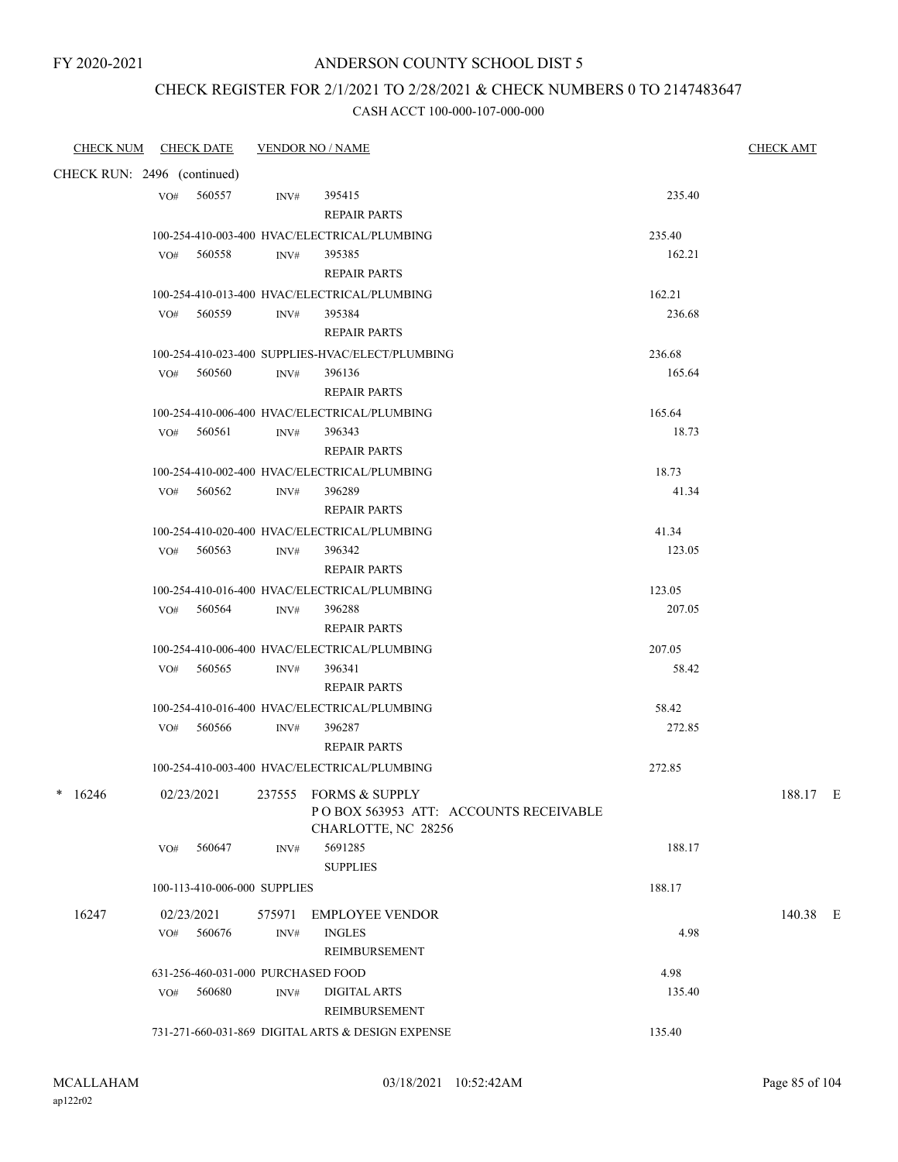### CHECK REGISTER FOR 2/1/2021 TO 2/28/2021 & CHECK NUMBERS 0 TO 2147483647

| CHECK NUM CHECK DATE        |     |                                    |        | <b>VENDOR NO / NAME</b>                                                                           |        | <b>CHECK AMT</b> |
|-----------------------------|-----|------------------------------------|--------|---------------------------------------------------------------------------------------------------|--------|------------------|
| CHECK RUN: 2496 (continued) |     |                                    |        |                                                                                                   |        |                  |
|                             |     | VO# 560557                         | INV#   | 395415<br><b>REPAIR PARTS</b>                                                                     | 235.40 |                  |
|                             |     |                                    |        | 100-254-410-003-400 HVAC/ELECTRICAL/PLUMBING                                                      | 235.40 |                  |
|                             |     | VO# 560558                         | INV#   | 395385<br><b>REPAIR PARTS</b>                                                                     | 162.21 |                  |
|                             |     |                                    |        | 100-254-410-013-400 HVAC/ELECTRICAL/PLUMBING                                                      | 162.21 |                  |
|                             |     | VO# 560559                         | INV#   | 395384<br><b>REPAIR PARTS</b>                                                                     | 236.68 |                  |
|                             |     |                                    |        | 100-254-410-023-400 SUPPLIES-HVAC/ELECT/PLUMBING                                                  | 236.68 |                  |
|                             |     | VO# 560560                         | INV#   | 396136<br><b>REPAIR PARTS</b>                                                                     | 165.64 |                  |
|                             |     |                                    |        | 100-254-410-006-400 HVAC/ELECTRICAL/PLUMBING                                                      | 165.64 |                  |
|                             |     | VO# 560561                         | INV#   | 396343<br><b>REPAIR PARTS</b>                                                                     | 18.73  |                  |
|                             |     |                                    |        | 100-254-410-002-400 HVAC/ELECTRICAL/PLUMBING                                                      | 18.73  |                  |
|                             |     | $VO#$ 560562                       | INV#   | 396289<br><b>REPAIR PARTS</b>                                                                     | 41.34  |                  |
|                             |     |                                    |        | 100-254-410-020-400 HVAC/ELECTRICAL/PLUMBING                                                      | 41.34  |                  |
|                             |     | VO# 560563                         | INV#   | 396342<br><b>REPAIR PARTS</b>                                                                     | 123.05 |                  |
|                             |     |                                    |        | 100-254-410-016-400 HVAC/ELECTRICAL/PLUMBING                                                      | 123.05 |                  |
|                             |     | VO# 560564                         | INV#   | 396288<br><b>REPAIR PARTS</b>                                                                     | 207.05 |                  |
|                             |     |                                    |        | 100-254-410-006-400 HVAC/ELECTRICAL/PLUMBING                                                      | 207.05 |                  |
|                             |     | VO# 560565                         | INV#   | 396341<br><b>REPAIR PARTS</b>                                                                     | 58.42  |                  |
|                             |     |                                    |        | 100-254-410-016-400 HVAC/ELECTRICAL/PLUMBING                                                      | 58.42  |                  |
|                             |     | VO# 560566                         | INV#   | 396287<br><b>REPAIR PARTS</b>                                                                     | 272.85 |                  |
|                             |     |                                    |        | 100-254-410-003-400 HVAC/ELECTRICAL/PLUMBING                                                      | 272.85 |                  |
| $* 16246$                   |     |                                    |        | 02/23/2021 237555 FORMS & SUPPLY<br>PO BOX 563953 ATT: ACCOUNTS RECEIVABLE<br>CHARLOTTE, NC 28256 |        | 188.17 E         |
|                             | VO# | 560647                             | INV#   | 5691285<br><b>SUPPLIES</b>                                                                        | 188.17 |                  |
|                             |     | 100-113-410-006-000 SUPPLIES       |        |                                                                                                   | 188.17 |                  |
| 16247                       |     | 02/23/2021                         | 575971 | EMPLOYEE VENDOR                                                                                   |        | 140.38 E         |
|                             | VO# | 560676                             | INV#   | <b>INGLES</b><br>REIMBURSEMENT                                                                    | 4.98   |                  |
|                             |     | 631-256-460-031-000 PURCHASED FOOD |        |                                                                                                   | 4.98   |                  |
|                             | VO# | 560680                             | INV#   | <b>DIGITAL ARTS</b><br>REIMBURSEMENT                                                              | 135.40 |                  |
|                             |     |                                    |        | 731-271-660-031-869 DIGITAL ARTS & DESIGN EXPENSE                                                 | 135.40 |                  |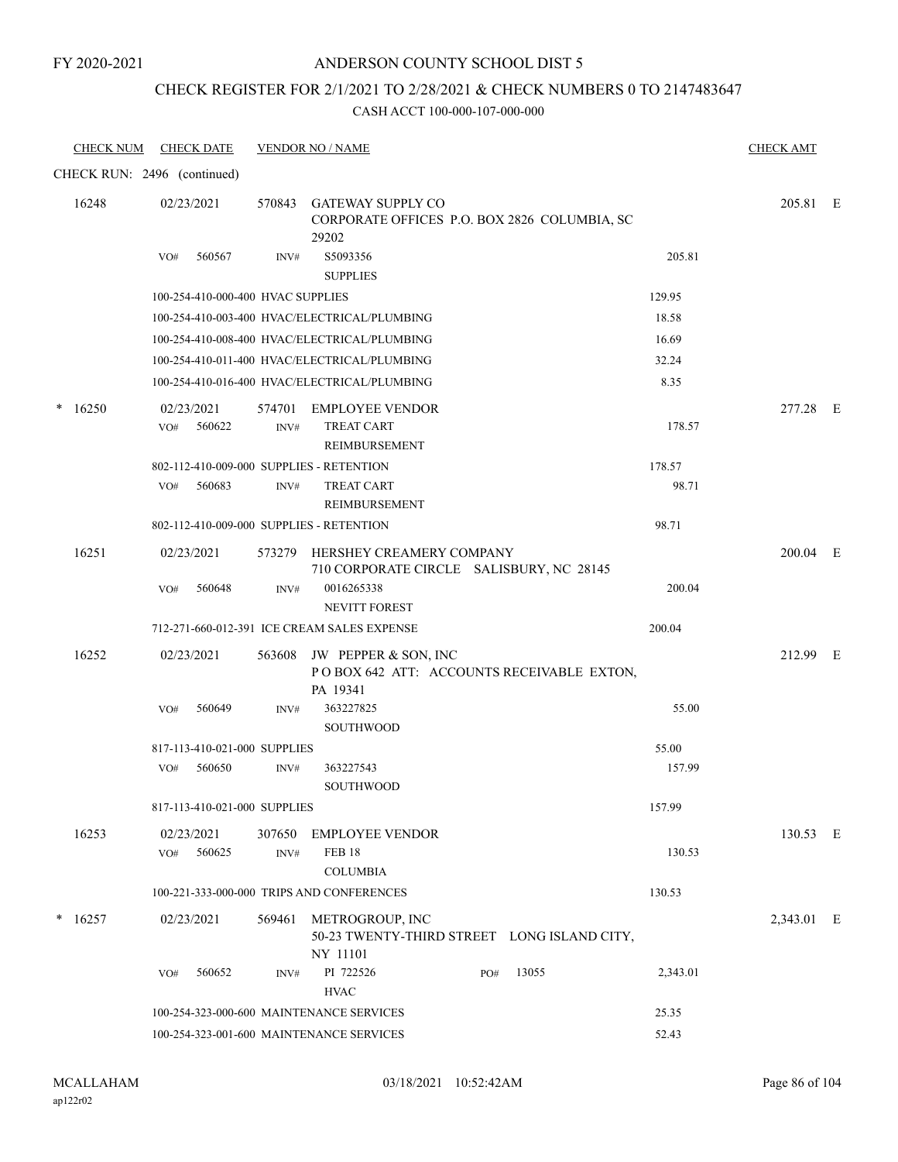### ANDERSON COUNTY SCHOOL DIST 5

### CHECK REGISTER FOR 2/1/2021 TO 2/28/2021 & CHECK NUMBERS 0 TO 2147483647

| <b>CHECK NUM</b> | <b>CHECK DATE</b>                        |                | <b>VENDOR NO / NAME</b>                                                              |     |       |          | <b>CHECK AMT</b> |  |
|------------------|------------------------------------------|----------------|--------------------------------------------------------------------------------------|-----|-------|----------|------------------|--|
|                  | CHECK RUN: 2496 (continued)              |                |                                                                                      |     |       |          |                  |  |
| 16248            | 02/23/2021                               | 570843         | <b>GATEWAY SUPPLY CO</b><br>CORPORATE OFFICES P.O. BOX 2826 COLUMBIA, SC<br>29202    |     |       |          | 205.81 E         |  |
|                  | 560567<br>VO#                            | INV#           | S5093356<br><b>SUPPLIES</b>                                                          |     |       | 205.81   |                  |  |
|                  | 100-254-410-000-400 HVAC SUPPLIES        |                |                                                                                      |     |       | 129.95   |                  |  |
|                  |                                          |                | 100-254-410-003-400 HVAC/ELECTRICAL/PLUMBING                                         |     |       | 18.58    |                  |  |
|                  |                                          |                | 100-254-410-008-400 HVAC/ELECTRICAL/PLUMBING                                         |     |       | 16.69    |                  |  |
|                  |                                          |                | 100-254-410-011-400 HVAC/ELECTRICAL/PLUMBING                                         |     |       | 32.24    |                  |  |
|                  |                                          |                | 100-254-410-016-400 HVAC/ELECTRICAL/PLUMBING                                         |     |       | 8.35     |                  |  |
| *<br>16250       | 02/23/2021<br>560622<br>VO#              | 574701<br>INV# | <b>EMPLOYEE VENDOR</b><br><b>TREAT CART</b><br>REIMBURSEMENT                         |     |       | 178.57   | 277.28 E         |  |
|                  | 802-112-410-009-000 SUPPLIES - RETENTION |                |                                                                                      |     |       | 178.57   |                  |  |
|                  | 560683<br>VO#                            | INV#           | <b>TREAT CART</b><br>REIMBURSEMENT                                                   |     |       | 98.71    |                  |  |
|                  | 802-112-410-009-000 SUPPLIES - RETENTION |                |                                                                                      |     |       | 98.71    |                  |  |
| 16251            | 02/23/2021                               |                | 573279 HERSHEY CREAMERY COMPANY<br>710 CORPORATE CIRCLE SALISBURY, NC 28145          |     |       |          | 200.04 E         |  |
|                  | VO#<br>560648                            | INV#           | 0016265338<br><b>NEVITT FOREST</b>                                                   |     |       | 200.04   |                  |  |
|                  |                                          |                | 712-271-660-012-391 ICE CREAM SALES EXPENSE                                          |     |       | 200.04   |                  |  |
| 16252            | 02/23/2021                               |                | 563608 JW PEPPER & SON, INC<br>POBOX 642 ATT: ACCOUNTS RECEIVABLE EXTON,<br>PA 19341 |     |       |          | 212.99 E         |  |
|                  | 560649<br>VO#                            | INV#           | 363227825<br>SOUTHWOOD                                                               |     |       | 55.00    |                  |  |
|                  | 817-113-410-021-000 SUPPLIES             |                |                                                                                      |     |       | 55.00    |                  |  |
|                  | 560650<br>VO#                            | INV#           | 363227543<br><b>SOUTHWOOD</b>                                                        |     |       | 157.99   |                  |  |
|                  | 817-113-410-021-000 SUPPLIES             |                |                                                                                      |     |       | 157.99   |                  |  |
| 16253            | 02/23/2021<br>560625<br>VO#              | 307650<br>INV# | <b>EMPLOYEE VENDOR</b><br><b>FEB 18</b><br><b>COLUMBIA</b>                           |     |       | 130.53   | 130.53 E         |  |
|                  |                                          |                | 100-221-333-000-000 TRIPS AND CONFERENCES                                            |     |       | 130.53   |                  |  |
| 16257            | 02/23/2021                               | 569461         | METROGROUP, INC<br>50-23 TWENTY-THIRD STREET LONG ISLAND CITY,<br>NY 11101           |     |       |          | 2,343.01 E       |  |
|                  | 560652<br>VO#                            | INV#           | PI 722526<br><b>HVAC</b>                                                             | PO# | 13055 | 2,343.01 |                  |  |
|                  |                                          |                | 100-254-323-000-600 MAINTENANCE SERVICES                                             |     |       | 25.35    |                  |  |
|                  |                                          |                | 100-254-323-001-600 MAINTENANCE SERVICES                                             |     |       | 52.43    |                  |  |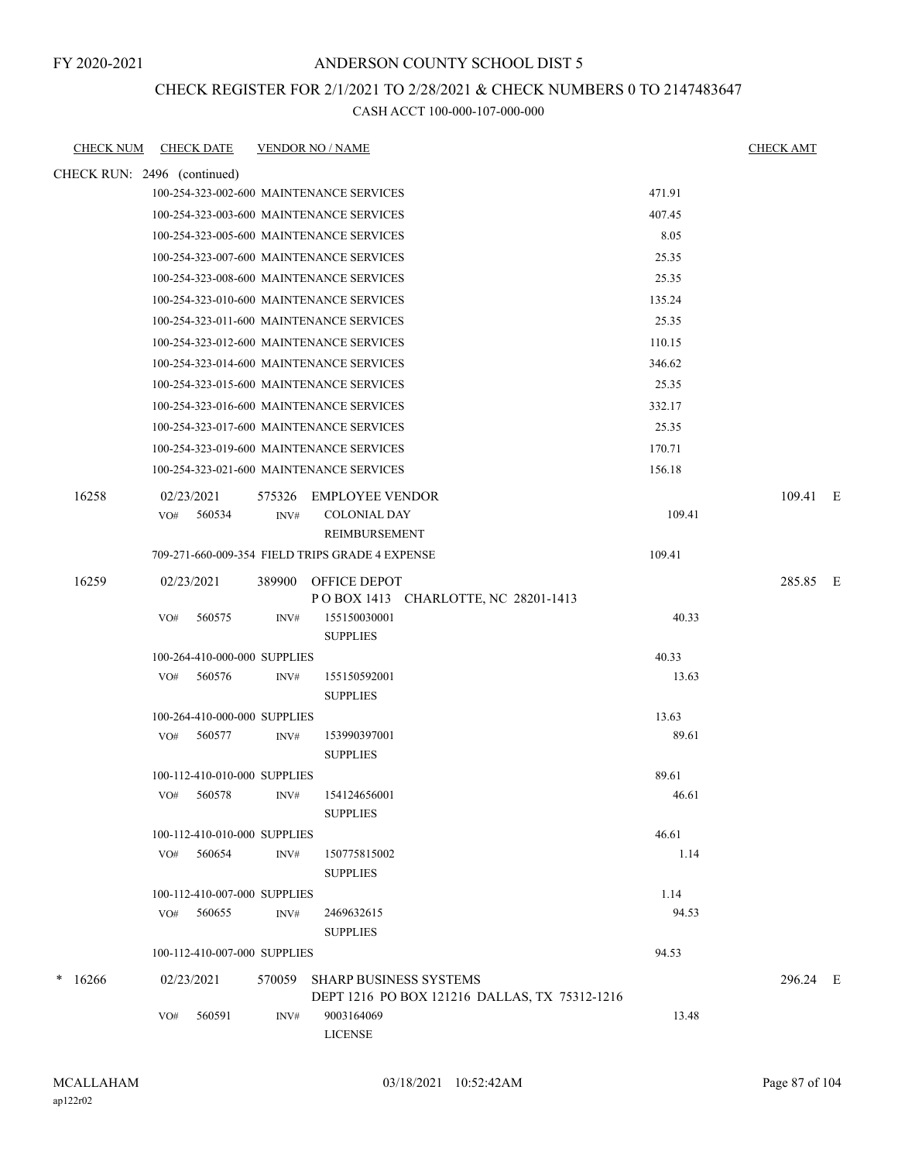### ANDERSON COUNTY SCHOOL DIST 5

#### CHECK REGISTER FOR 2/1/2021 TO 2/28/2021 & CHECK NUMBERS 0 TO 2147483647

| <b>CHECK NUM</b> | <b>CHECK DATE</b>                             | <b>VENDOR NO / NAME</b>                                   | <b>CHECK AMT</b> |
|------------------|-----------------------------------------------|-----------------------------------------------------------|------------------|
|                  | CHECK RUN: 2496 (continued)                   |                                                           |                  |
|                  |                                               | 471.91<br>100-254-323-002-600 MAINTENANCE SERVICES        |                  |
|                  |                                               | 407.45<br>100-254-323-003-600 MAINTENANCE SERVICES        |                  |
|                  |                                               | 100-254-323-005-600 MAINTENANCE SERVICES<br>8.05          |                  |
|                  |                                               | 25.35<br>100-254-323-007-600 MAINTENANCE SERVICES         |                  |
|                  |                                               | 100-254-323-008-600 MAINTENANCE SERVICES<br>25.35         |                  |
|                  |                                               | 135.24<br>100-254-323-010-600 MAINTENANCE SERVICES        |                  |
|                  |                                               | 100-254-323-011-600 MAINTENANCE SERVICES<br>25.35         |                  |
|                  |                                               | 110.15<br>100-254-323-012-600 MAINTENANCE SERVICES        |                  |
|                  |                                               | 100-254-323-014-600 MAINTENANCE SERVICES<br>346.62        |                  |
|                  |                                               | 25.35<br>100-254-323-015-600 MAINTENANCE SERVICES         |                  |
|                  |                                               | 332.17<br>100-254-323-016-600 MAINTENANCE SERVICES        |                  |
|                  |                                               | 100-254-323-017-600 MAINTENANCE SERVICES<br>25.35         |                  |
|                  |                                               | 100-254-323-019-600 MAINTENANCE SERVICES<br>170.71        |                  |
|                  |                                               | 100-254-323-021-600 MAINTENANCE SERVICES<br>156.18        |                  |
| 16258            | 02/23/2021                                    | 575326<br><b>EMPLOYEE VENDOR</b>                          | 109.41 E         |
|                  | 560534<br>VO#                                 | 109.41<br><b>COLONIAL DAY</b><br>INV#                     |                  |
|                  |                                               | <b>REIMBURSEMENT</b>                                      |                  |
|                  |                                               | 709-271-660-009-354 FIELD TRIPS GRADE 4 EXPENSE<br>109.41 |                  |
| 16259            | 02/23/2021                                    | 389900<br>OFFICE DEPOT                                    | 285.85 E         |
|                  |                                               | POBOX 1413 CHARLOTTE, NC 28201-1413                       |                  |
|                  | 560575<br>VO#                                 | 40.33<br>155150030001<br>INV#<br><b>SUPPLIES</b>          |                  |
|                  | 100-264-410-000-000 SUPPLIES                  | 40.33                                                     |                  |
|                  | 560576<br>VO#                                 | 13.63<br>155150592001<br>INV#                             |                  |
|                  |                                               | <b>SUPPLIES</b>                                           |                  |
|                  | 100-264-410-000-000 SUPPLIES                  | 13.63                                                     |                  |
|                  | 560577<br>VO#                                 | 89.61<br>153990397001<br>INV#                             |                  |
|                  |                                               | <b>SUPPLIES</b>                                           |                  |
|                  | 100-112-410-010-000 SUPPLIES                  | 89.61                                                     |                  |
|                  | 560578<br>VO#                                 | 154124656001<br>46.61<br>INV#                             |                  |
|                  |                                               | <b>SUPPLIES</b>                                           |                  |
|                  | 100-112-410-010-000 SUPPLIES<br>560654<br>VO# | 46.61<br>150775815002<br>1.14<br>INV#                     |                  |
|                  |                                               | <b>SUPPLIES</b>                                           |                  |
|                  | 100-112-410-007-000 SUPPLIES                  | 1.14                                                      |                  |
|                  | 560655<br>VO#                                 | 94.53<br>INV#<br>2469632615                               |                  |
|                  |                                               | <b>SUPPLIES</b>                                           |                  |
|                  | 100-112-410-007-000 SUPPLIES                  | 94.53                                                     |                  |
| 16266<br>*       | 02/23/2021                                    | 570059<br><b>SHARP BUSINESS SYSTEMS</b>                   | 296.24 E         |
|                  |                                               | DEPT 1216 PO BOX 121216 DALLAS, TX 75312-1216             |                  |
|                  | 560591<br>VO#                                 | 9003164069<br>13.48<br>INV#                               |                  |
|                  |                                               | <b>LICENSE</b>                                            |                  |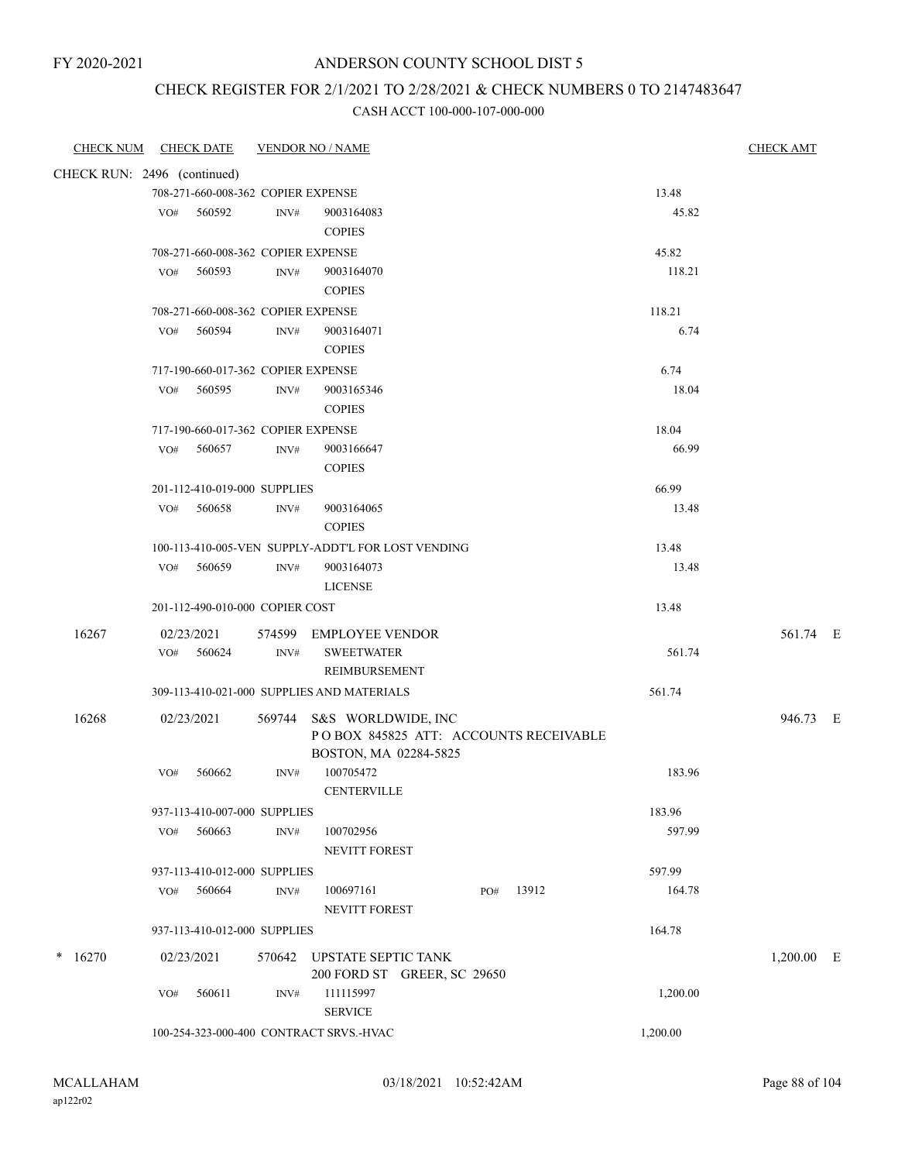# CHECK REGISTER FOR 2/1/2021 TO 2/28/2021 & CHECK NUMBERS 0 TO 2147483647

| <b>CHECK NUM</b><br><b>CHECK DATE</b> | <b>VENDOR NO / NAME</b>                            |                        | <b>CHECK AMT</b> |
|---------------------------------------|----------------------------------------------------|------------------------|------------------|
| CHECK RUN: 2496 (continued)           |                                                    |                        |                  |
|                                       | 708-271-660-008-362 COPIER EXPENSE                 | 13.48                  |                  |
| 560592<br>VO#                         | INV#<br>9003164083                                 | 45.82                  |                  |
|                                       | <b>COPIES</b>                                      |                        |                  |
|                                       | 708-271-660-008-362 COPIER EXPENSE                 | 45.82                  |                  |
| 560593<br>VO#                         | 9003164070<br>INV#                                 | 118.21                 |                  |
|                                       | <b>COPIES</b>                                      |                        |                  |
|                                       | 708-271-660-008-362 COPIER EXPENSE                 | 118.21                 |                  |
| 560594<br>VO#                         | 9003164071<br>INV#                                 | 6.74                   |                  |
|                                       | <b>COPIES</b>                                      |                        |                  |
|                                       | 717-190-660-017-362 COPIER EXPENSE                 | 6.74                   |                  |
| 560595<br>VO#                         | 9003165346<br>INV#                                 | 18.04                  |                  |
|                                       | <b>COPIES</b>                                      |                        |                  |
|                                       | 717-190-660-017-362 COPIER EXPENSE                 | 18.04                  |                  |
| 560657<br>VO#                         | 9003166647<br>INV#                                 | 66.99                  |                  |
|                                       | <b>COPIES</b>                                      |                        |                  |
| 201-112-410-019-000 SUPPLIES          |                                                    | 66.99                  |                  |
| 560658<br>VO#                         | 9003164065<br>INV#<br><b>COPIES</b>                | 13.48                  |                  |
|                                       | 100-113-410-005-VEN SUPPLY-ADDT'L FOR LOST VENDING | 13.48                  |                  |
| VO# 560659                            | 9003164073<br>INV#                                 | 13.48                  |                  |
|                                       | <b>LICENSE</b>                                     |                        |                  |
| 201-112-490-010-000 COPIER COST       |                                                    | 13.48                  |                  |
| 16267<br>02/23/2021                   | 574599 EMPLOYEE VENDOR                             |                        | 561.74 E         |
| VO# 560624                            | <b>SWEETWATER</b><br>INV#                          | 561.74                 |                  |
|                                       | REIMBURSEMENT                                      |                        |                  |
|                                       | 309-113-410-021-000 SUPPLIES AND MATERIALS         | 561.74                 |                  |
| 16268<br>02/23/2021                   | 569744 S&S WORLDWIDE, INC                          |                        | 946.73 E         |
|                                       | POBOX 845825 ATT: ACCOUNTS RECEIVABLE              |                        |                  |
|                                       | BOSTON, MA 02284-5825                              |                        |                  |
| 560662<br>VO#                         | 100705472<br>INV#                                  | 183.96                 |                  |
|                                       | CENTERVILLE                                        |                        |                  |
| 937-113-410-007-000 SUPPLIES          |                                                    | 183.96                 |                  |
| VO#<br>560663                         | 100702956<br>INV#                                  | 597.99                 |                  |
|                                       | NEVITT FOREST                                      |                        |                  |
| 937-113-410-012-000 SUPPLIES          |                                                    | 597.99                 |                  |
| 560664<br>VO#                         | 100697161<br>INV#<br><b>NEVITT FOREST</b>          | 13912<br>PO#<br>164.78 |                  |
| 937-113-410-012-000 SUPPLIES          |                                                    | 164.78                 |                  |
| $*16270$<br>02/23/2021                | 570642 UPSTATE SEPTIC TANK                         |                        | $1,200.00$ E     |
|                                       | 200 FORD ST GREER, SC 29650                        |                        |                  |
| 560611<br>VO#                         | 111115997<br>INV#                                  | 1,200.00               |                  |
|                                       | <b>SERVICE</b>                                     |                        |                  |
|                                       | 100-254-323-000-400 CONTRACT SRVS.-HVAC            | 1,200.00               |                  |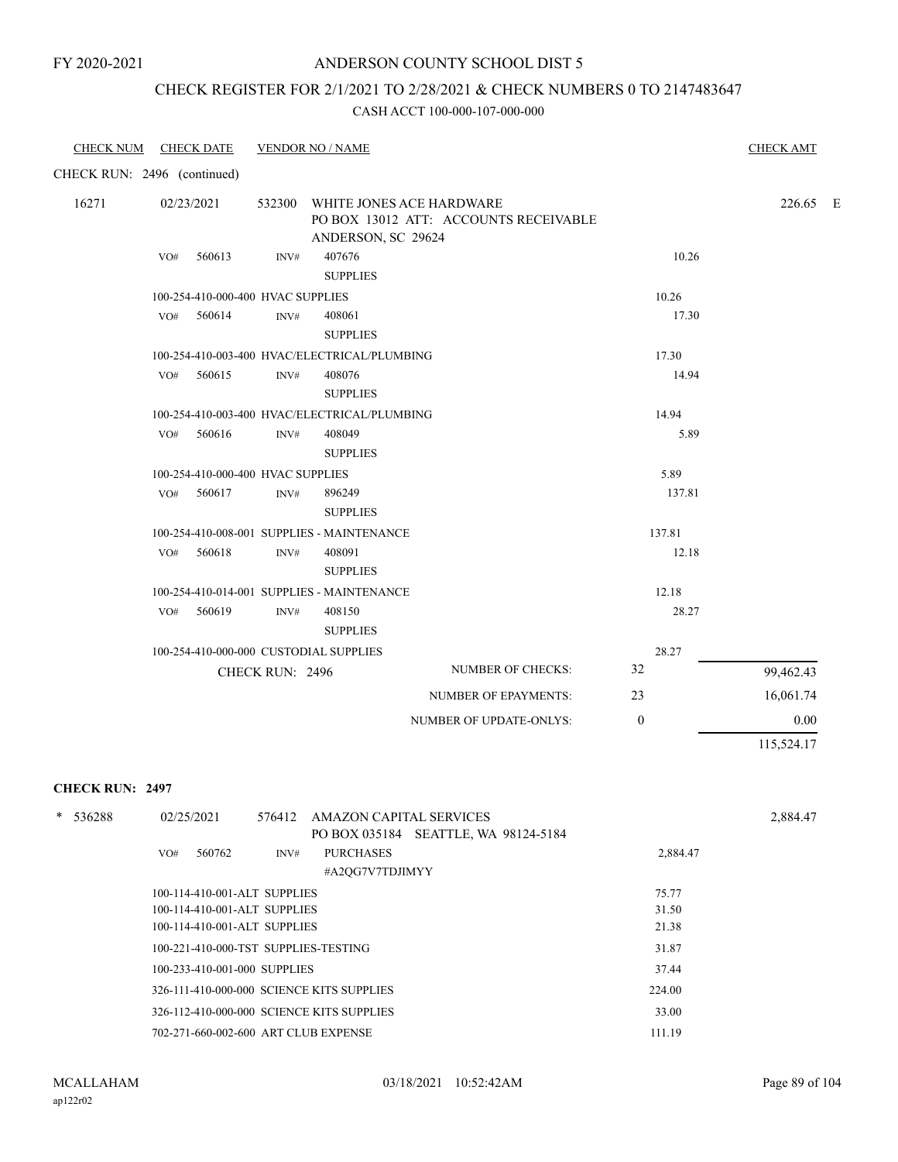#### ANDERSON COUNTY SCHOOL DIST 5

### CHECK REGISTER FOR 2/1/2021 TO 2/28/2021 & CHECK NUMBERS 0 TO 2147483647

#### CASH ACCT 100-000-107-000-000

| <b>CHECK DATE</b><br><b>CHECK NUM</b> | <b>VENDOR NO / NAME</b>                                                                           |              | <b>CHECK AMT</b> |
|---------------------------------------|---------------------------------------------------------------------------------------------------|--------------|------------------|
| CHECK RUN: 2496 (continued)           |                                                                                                   |              |                  |
| 16271<br>02/23/2021                   | 532300<br>WHITE JONES ACE HARDWARE<br>PO BOX 13012 ATT: ACCOUNTS RECEIVABLE<br>ANDERSON, SC 29624 |              | 226.65 E         |
| 560613<br>VO#                         | 407676<br>INV#<br><b>SUPPLIES</b>                                                                 | 10.26        |                  |
|                                       | 100-254-410-000-400 HVAC SUPPLIES                                                                 | 10.26        |                  |
| 560614<br>VO#                         | $\text{INV}\#$<br>408061<br><b>SUPPLIES</b>                                                       | 17.30        |                  |
|                                       | 100-254-410-003-400 HVAC/ELECTRICAL/PLUMBING                                                      | 17.30        |                  |
| 560615<br>VO#                         | $\text{INV}\#$<br>408076<br><b>SUPPLIES</b>                                                       | 14.94        |                  |
|                                       | 100-254-410-003-400 HVAC/ELECTRICAL/PLUMBING                                                      | 14.94        |                  |
| 560616<br>VO#                         | 408049<br>INV#<br><b>SUPPLIES</b>                                                                 | 5.89         |                  |
|                                       | 100-254-410-000-400 HVAC SUPPLIES                                                                 | 5.89         |                  |
| 560617<br>VO#                         | $\text{INV}\#$<br>896249<br><b>SUPPLIES</b>                                                       | 137.81       |                  |
|                                       | 100-254-410-008-001 SUPPLIES - MAINTENANCE                                                        | 137.81       |                  |
| 560618<br>VO#                         | 408091<br>$\text{INV}\#$<br><b>SUPPLIES</b>                                                       | 12.18        |                  |
|                                       | 100-254-410-014-001 SUPPLIES - MAINTENANCE                                                        | 12.18        |                  |
| 560619<br>VO#                         | 408150<br>INV#<br><b>SUPPLIES</b>                                                                 | 28.27        |                  |
|                                       | 100-254-410-000-000 CUSTODIAL SUPPLIES                                                            | 28.27        |                  |
|                                       | <b>NUMBER OF CHECKS:</b><br><b>CHECK RUN: 2496</b>                                                | 32           | 99,462.43        |
|                                       | <b>NUMBER OF EPAYMENTS:</b>                                                                       | 23           | 16,061.74        |
|                                       | NUMBER OF UPDATE-ONLYS:                                                                           | $\mathbf{0}$ | 0.00             |
|                                       |                                                                                                   |              | 115,524.17       |

#### **CHECK RUN: 2497**

| $\ast$<br>536288 | 576412 AMAZON CAPITAL SERVICES<br>02/25/2021<br>PO BOX 035184 SEATTLE, WA 98124-5184 |          | 2,884.47 |
|------------------|--------------------------------------------------------------------------------------|----------|----------|
|                  | <b>PURCHASES</b><br>560762<br>VO#<br>INV#                                            | 2,884.47 |          |
|                  | #A2OG7V7TDJIMYY                                                                      |          |          |
|                  | 100-114-410-001-ALT SUPPLIES                                                         | 75.77    |          |
|                  | 100-114-410-001-ALT SUPPLIES                                                         | 31.50    |          |
|                  | 100-114-410-001-ALT SUPPLIES                                                         | 21.38    |          |
|                  | 100-221-410-000-TST SUPPLIES-TESTING                                                 | 31.87    |          |
|                  | 100-233-410-001-000 SUPPLIES                                                         | 37.44    |          |
|                  | 326-111-410-000-000 SCIENCE KITS SUPPLIES                                            | 224.00   |          |
|                  | 326-112-410-000-000 SCIENCE KITS SUPPLIES                                            | 33.00    |          |
|                  | 702-271-660-002-600 ART CLUB EXPENSE                                                 | 111.19   |          |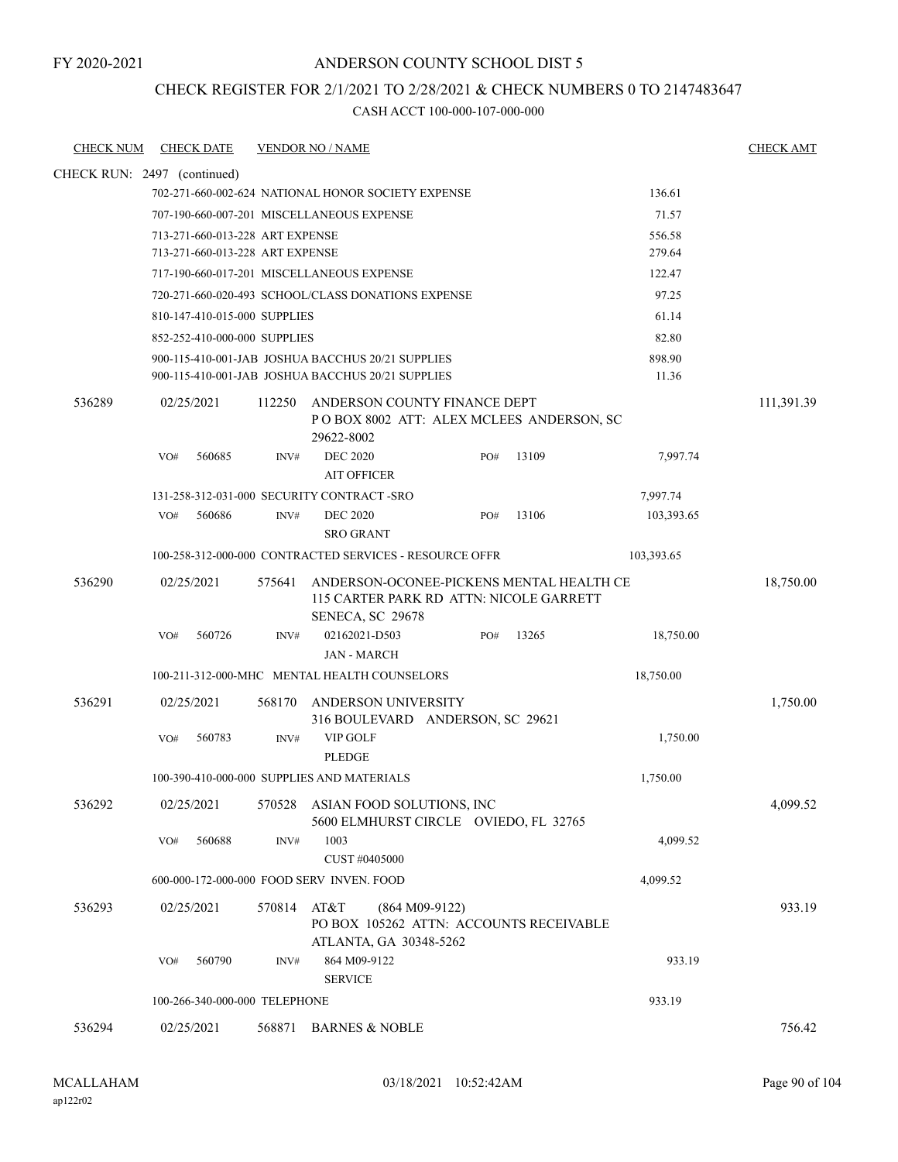### ANDERSON COUNTY SCHOOL DIST 5

### CHECK REGISTER FOR 2/1/2021 TO 2/28/2021 & CHECK NUMBERS 0 TO 2147483647

| <b>CHECK NUM</b>            |     | <b>CHECK DATE</b>               |        | <b>VENDOR NO / NAME</b>                                                                                 |     |       |                 | <b>CHECK AMT</b> |
|-----------------------------|-----|---------------------------------|--------|---------------------------------------------------------------------------------------------------------|-----|-------|-----------------|------------------|
| CHECK RUN: 2497 (continued) |     |                                 |        |                                                                                                         |     |       |                 |                  |
|                             |     |                                 |        | 702-271-660-002-624 NATIONAL HONOR SOCIETY EXPENSE                                                      |     |       | 136.61          |                  |
|                             |     |                                 |        | 707-190-660-007-201 MISCELLANEOUS EXPENSE                                                               |     |       | 71.57           |                  |
|                             |     | 713-271-660-013-228 ART EXPENSE |        |                                                                                                         |     |       | 556.58          |                  |
|                             |     | 713-271-660-013-228 ART EXPENSE |        |                                                                                                         |     |       | 279.64          |                  |
|                             |     |                                 |        | 717-190-660-017-201 MISCELLANEOUS EXPENSE                                                               |     |       | 122.47          |                  |
|                             |     |                                 |        | 720-271-660-020-493 SCHOOL/CLASS DONATIONS EXPENSE                                                      |     |       | 97.25           |                  |
|                             |     | 810-147-410-015-000 SUPPLIES    |        |                                                                                                         |     |       | 61.14           |                  |
|                             |     | 852-252-410-000-000 SUPPLIES    |        |                                                                                                         |     |       | 82.80           |                  |
|                             |     |                                 |        | 900-115-410-001-JAB JOSHUA BACCHUS 20/21 SUPPLIES<br>900-115-410-001-JAB JOSHUA BACCHUS 20/21 SUPPLIES  |     |       | 898.90<br>11.36 |                  |
| 536289                      |     | 02/25/2021                      | 112250 | ANDERSON COUNTY FINANCE DEPT<br>POBOX 8002 ATT: ALEX MCLEES ANDERSON, SC<br>29622-8002                  |     |       |                 | 111,391.39       |
|                             | VO# | 560685                          | INV#   | <b>DEC 2020</b><br><b>AIT OFFICER</b>                                                                   | PO# | 13109 | 7,997.74        |                  |
|                             |     |                                 |        | 131-258-312-031-000 SECURITY CONTRACT-SRO                                                               |     |       | 7,997.74        |                  |
|                             | VO# | 560686                          | INV#   | <b>DEC 2020</b><br><b>SRO GRANT</b>                                                                     | PO# | 13106 | 103,393.65      |                  |
|                             |     |                                 |        | 100-258-312-000-000 CONTRACTED SERVICES - RESOURCE OFFR                                                 |     |       | 103,393.65      |                  |
| 536290                      |     | 02/25/2021                      | 575641 | ANDERSON-OCONEE-PICKENS MENTAL HEALTH CE<br>115 CARTER PARK RD ATTN: NICOLE GARRETT<br>SENECA, SC 29678 |     |       |                 | 18,750.00        |
|                             | VO# | 560726                          | INV#   | 02162021-D503<br><b>JAN - MARCH</b>                                                                     | PO# | 13265 | 18,750.00       |                  |
|                             |     |                                 |        | 100-211-312-000-MHC MENTAL HEALTH COUNSELORS                                                            |     |       | 18,750.00       |                  |
| 536291                      |     | 02/25/2021                      | 568170 | ANDERSON UNIVERSITY<br>316 BOULEVARD ANDERSON, SC 29621                                                 |     |       |                 | 1,750.00         |
|                             | VO# | 560783                          | INV#   | <b>VIP GOLF</b><br><b>PLEDGE</b>                                                                        |     |       | 1,750.00        |                  |
|                             |     |                                 |        | 100-390-410-000-000 SUPPLIES AND MATERIALS                                                              |     |       | 1,750.00        |                  |
| 536292                      |     | 02/25/2021                      |        | 570528 ASIAN FOOD SOLUTIONS, INC<br>5600 ELMHURST CIRCLE OVIEDO, FL 32765                               |     |       |                 | 4,099.52         |
|                             | VO# | 560688                          | INV#   | 1003<br>CUST #0405000                                                                                   |     |       | 4,099.52        |                  |
|                             |     |                                 |        | 600-000-172-000-000 FOOD SERV INVEN. FOOD                                                               |     |       | 4,099.52        |                  |
| 536293                      |     | 02/25/2021                      | 570814 | AT&T<br>$(864 M09-9122)$<br>PO BOX 105262 ATTN: ACCOUNTS RECEIVABLE<br>ATLANTA, GA 30348-5262           |     |       |                 | 933.19           |
|                             | VO# | 560790                          | INV#   | 864 M09-9122<br><b>SERVICE</b>                                                                          |     |       | 933.19          |                  |
|                             |     | 100-266-340-000-000 TELEPHONE   |        |                                                                                                         |     |       | 933.19          |                  |
| 536294                      |     | 02/25/2021                      | 568871 | <b>BARNES &amp; NOBLE</b>                                                                               |     |       |                 | 756.42           |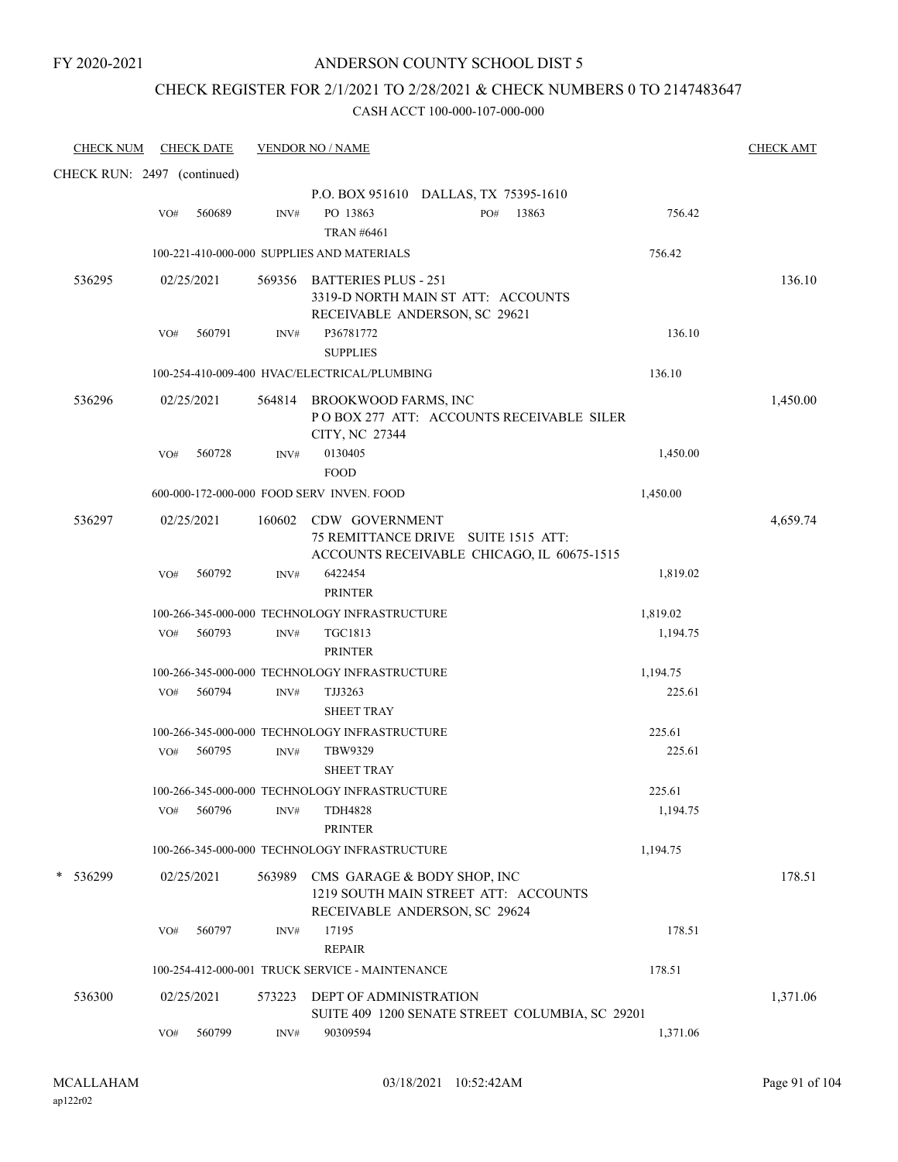### CHECK REGISTER FOR 2/1/2021 TO 2/28/2021 & CHECK NUMBERS 0 TO 2147483647

| <b>CHECK NUM</b>            |     | CHECK DATE |        | <b>VENDOR NO / NAME</b>                                                                                    |          | <b>CHECK AMT</b> |
|-----------------------------|-----|------------|--------|------------------------------------------------------------------------------------------------------------|----------|------------------|
| CHECK RUN: 2497 (continued) |     |            |        |                                                                                                            |          |                  |
|                             |     |            |        | P.O. BOX 951610 DALLAS, TX 75395-1610                                                                      |          |                  |
|                             | VO# | 560689     | INV#   | PO 13863<br>13863<br>PO#<br><b>TRAN #6461</b>                                                              | 756.42   |                  |
|                             |     |            |        | 100-221-410-000-000 SUPPLIES AND MATERIALS                                                                 | 756.42   |                  |
| 536295                      |     | 02/25/2021 |        | 569356 BATTERIES PLUS - 251<br>3319-D NORTH MAIN ST ATT: ACCOUNTS<br>RECEIVABLE ANDERSON, SC 29621         |          | 136.10           |
|                             | VO# | 560791     | INV#   | P36781772<br><b>SUPPLIES</b>                                                                               | 136.10   |                  |
|                             |     |            |        | 100-254-410-009-400 HVAC/ELECTRICAL/PLUMBING                                                               | 136.10   |                  |
| 536296                      |     | 02/25/2021 |        | 564814 BROOKWOOD FARMS, INC<br>PO BOX 277 ATT: ACCOUNTS RECEIVABLE SILER<br>CITY, NC 27344                 |          | 1,450.00         |
|                             | VO# | 560728     | INV#   | 0130405<br><b>FOOD</b>                                                                                     | 1,450.00 |                  |
|                             |     |            |        | 600-000-172-000-000 FOOD SERV INVEN. FOOD                                                                  | 1,450.00 |                  |
| 536297                      |     | 02/25/2021 |        | 160602 CDW GOVERNMENT<br>75 REMITTANCE DRIVE SUITE 1515 ATT:<br>ACCOUNTS RECEIVABLE CHICAGO, IL 60675-1515 |          | 4,659.74         |
|                             | VO# | 560792     | INV#   | 6422454<br><b>PRINTER</b>                                                                                  | 1,819.02 |                  |
|                             |     |            |        | 100-266-345-000-000 TECHNOLOGY INFRASTRUCTURE                                                              | 1,819.02 |                  |
|                             |     | VO# 560793 | INV#   | TGC1813<br><b>PRINTER</b>                                                                                  | 1,194.75 |                  |
|                             |     |            |        | 100-266-345-000-000 TECHNOLOGY INFRASTRUCTURE                                                              | 1,194.75 |                  |
|                             |     | VO# 560794 | INV#   | TJJ3263<br><b>SHEET TRAY</b>                                                                               | 225.61   |                  |
|                             |     |            |        | 100-266-345-000-000 TECHNOLOGY INFRASTRUCTURE                                                              | 225.61   |                  |
|                             | VO# | 560795     | INV#   | TBW9329<br><b>SHEET TRAY</b>                                                                               | 225.61   |                  |
|                             |     |            |        | 100-266-345-000-000 TECHNOLOGY INFRASTRUCTURE                                                              | 225.61   |                  |
|                             | VO# | 560796     | INV#   | <b>TDH4828</b><br><b>PRINTER</b>                                                                           | 1,194.75 |                  |
|                             |     |            |        | 100-266-345-000-000 TECHNOLOGY INFRASTRUCTURE                                                              | 1,194.75 |                  |
| 536299                      |     | 02/25/2021 | 563989 | CMS GARAGE & BODY SHOP, INC<br>1219 SOUTH MAIN STREET ATT: ACCOUNTS<br>RECEIVABLE ANDERSON, SC 29624       |          | 178.51           |
|                             | VO# | 560797     | INV#   | 17195<br><b>REPAIR</b>                                                                                     | 178.51   |                  |
|                             |     |            |        | 100-254-412-000-001 TRUCK SERVICE - MAINTENANCE                                                            | 178.51   |                  |
| 536300                      |     | 02/25/2021 | 573223 | <b>DEPT OF ADMINISTRATION</b><br>SUITE 409 1200 SENATE STREET COLUMBIA, SC 29201                           |          | 1,371.06         |
|                             | VO# | 560799     | INV#   | 90309594                                                                                                   | 1,371.06 |                  |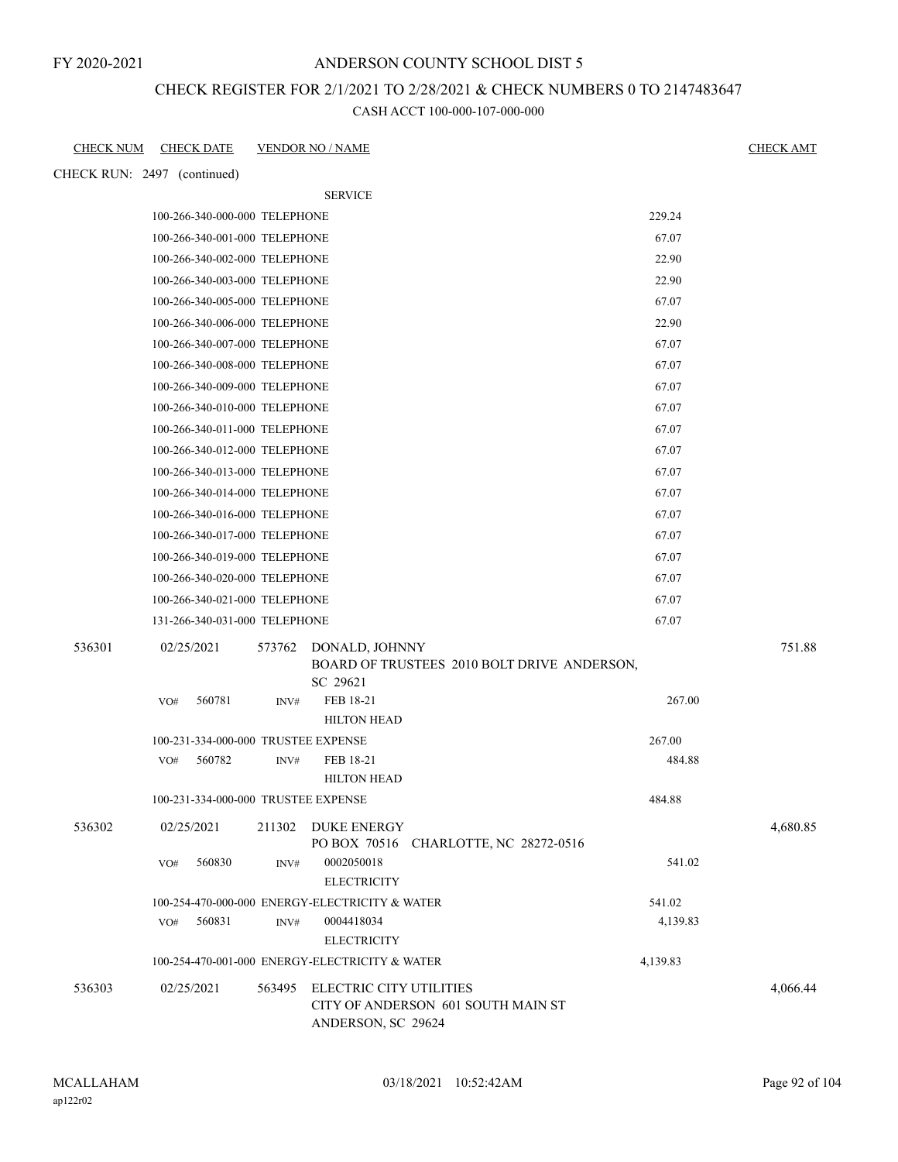### ANDERSON COUNTY SCHOOL DIST 5

### CHECK REGISTER FOR 2/1/2021 TO 2/28/2021 & CHECK NUMBERS 0 TO 2147483647

| <b>CHECK NUM</b> | <b>CHECK DATE</b>                   | <b>VENDOR NO / NAME</b> |                                                                                            |          | <b>CHECK AMT</b> |
|------------------|-------------------------------------|-------------------------|--------------------------------------------------------------------------------------------|----------|------------------|
|                  | CHECK RUN: 2497 (continued)         |                         |                                                                                            |          |                  |
|                  |                                     |                         | <b>SERVICE</b>                                                                             |          |                  |
|                  | 100-266-340-000-000 TELEPHONE       |                         |                                                                                            | 229.24   |                  |
|                  | 100-266-340-001-000 TELEPHONE       |                         |                                                                                            | 67.07    |                  |
|                  | 100-266-340-002-000 TELEPHONE       |                         |                                                                                            | 22.90    |                  |
|                  | 100-266-340-003-000 TELEPHONE       |                         |                                                                                            | 22.90    |                  |
|                  | 100-266-340-005-000 TELEPHONE       |                         |                                                                                            | 67.07    |                  |
|                  | 100-266-340-006-000 TELEPHONE       |                         |                                                                                            | 22.90    |                  |
|                  | 100-266-340-007-000 TELEPHONE       |                         |                                                                                            | 67.07    |                  |
|                  | 100-266-340-008-000 TELEPHONE       |                         |                                                                                            | 67.07    |                  |
|                  | 100-266-340-009-000 TELEPHONE       |                         |                                                                                            | 67.07    |                  |
|                  | 100-266-340-010-000 TELEPHONE       |                         |                                                                                            | 67.07    |                  |
|                  | 100-266-340-011-000 TELEPHONE       |                         |                                                                                            | 67.07    |                  |
|                  | 100-266-340-012-000 TELEPHONE       |                         |                                                                                            | 67.07    |                  |
|                  | 100-266-340-013-000 TELEPHONE       |                         |                                                                                            | 67.07    |                  |
|                  | 100-266-340-014-000 TELEPHONE       |                         |                                                                                            | 67.07    |                  |
|                  | 100-266-340-016-000 TELEPHONE       |                         |                                                                                            | 67.07    |                  |
|                  | 100-266-340-017-000 TELEPHONE       |                         |                                                                                            | 67.07    |                  |
|                  | 100-266-340-019-000 TELEPHONE       |                         |                                                                                            | 67.07    |                  |
|                  | 100-266-340-020-000 TELEPHONE       |                         |                                                                                            | 67.07    |                  |
|                  | 100-266-340-021-000 TELEPHONE       |                         |                                                                                            | 67.07    |                  |
|                  | 131-266-340-031-000 TELEPHONE       |                         |                                                                                            | 67.07    |                  |
| 536301           | 02/25/2021                          | SC 29621                | 573762 DONALD, JOHNNY<br>BOARD OF TRUSTEES 2010 BOLT DRIVE ANDERSON,                       |          | 751.88           |
|                  | 560781<br>VO#                       | INV#                    | FEB 18-21<br><b>HILTON HEAD</b>                                                            | 267.00   |                  |
|                  | 100-231-334-000-000 TRUSTEE EXPENSE |                         |                                                                                            | 267.00   |                  |
|                  | 560782<br>VO#                       | INV#                    | FEB 18-21<br><b>HILTON HEAD</b>                                                            | 484.88   |                  |
|                  | 100-231-334-000-000 TRUSTEE EXPENSE |                         |                                                                                            | 484.88   |                  |
| 536302           | 02/25/2021                          | 211302                  | <b>DUKE ENERGY</b><br>PO BOX 70516 CHARLOTTE, NC 28272-0516                                |          | 4,680.85         |
|                  | 560830<br>VO#                       | INV#                    | 0002050018<br><b>ELECTRICITY</b>                                                           | 541.02   |                  |
|                  |                                     |                         | 100-254-470-000-000 ENERGY-ELECTRICITY & WATER                                             | 541.02   |                  |
|                  | 560831<br>VO#                       | INV#                    | 0004418034<br><b>ELECTRICITY</b>                                                           | 4,139.83 |                  |
|                  |                                     |                         | 100-254-470-001-000 ENERGY-ELECTRICITY & WATER                                             | 4,139.83 |                  |
| 536303           | 02/25/2021                          |                         | 563495 ELECTRIC CITY UTILITIES<br>CITY OF ANDERSON 601 SOUTH MAIN ST<br>ANDERSON, SC 29624 |          | 4,066.44         |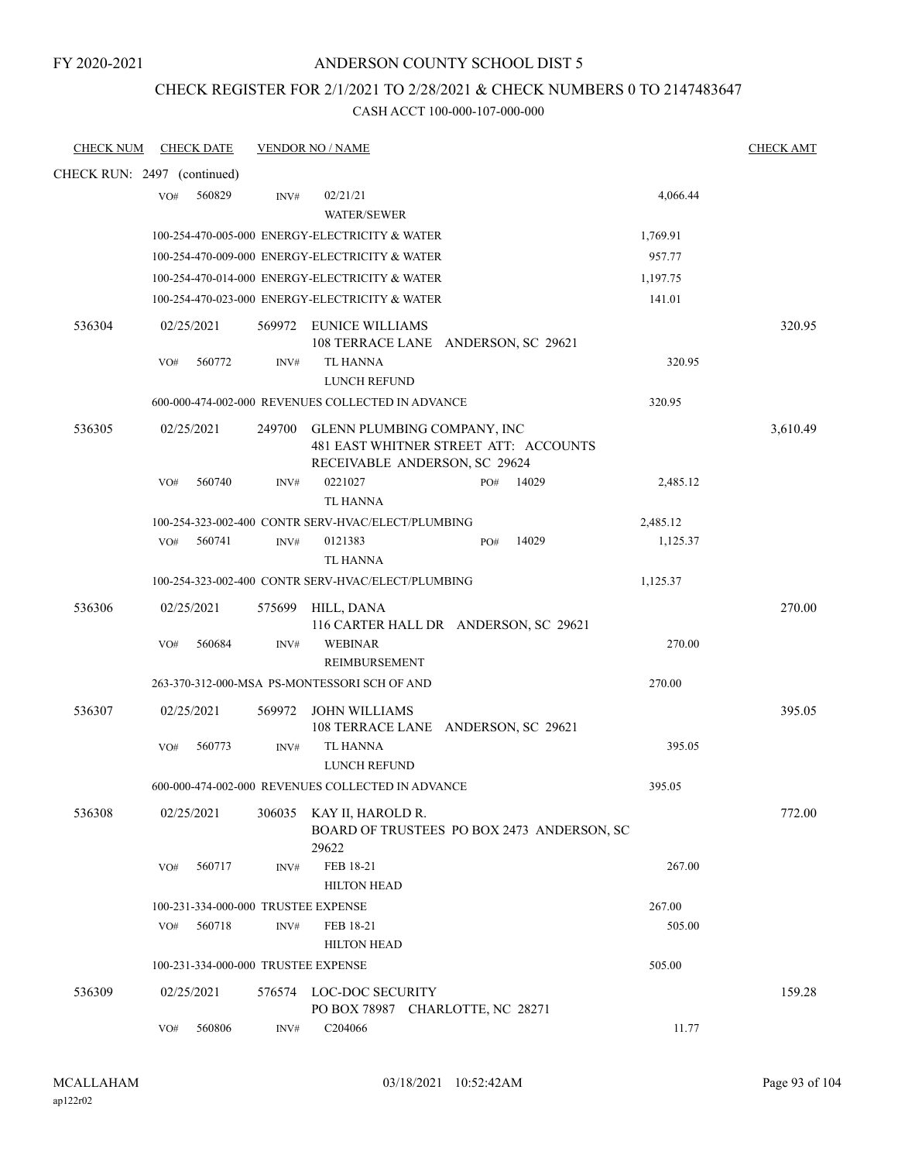### ANDERSON COUNTY SCHOOL DIST 5

### CHECK REGISTER FOR 2/1/2021 TO 2/28/2021 & CHECK NUMBERS 0 TO 2147483647

| <b>CHECK NUM</b>            |     | <b>CHECK DATE</b> |        | <b>VENDOR NO / NAME</b>                                                                               |     |       |          | <b>CHECK AMT</b> |
|-----------------------------|-----|-------------------|--------|-------------------------------------------------------------------------------------------------------|-----|-------|----------|------------------|
| CHECK RUN: 2497 (continued) |     |                   |        |                                                                                                       |     |       |          |                  |
|                             | VO# | 560829            | INV#   | 02/21/21<br><b>WATER/SEWER</b>                                                                        |     |       | 4,066.44 |                  |
|                             |     |                   |        | 100-254-470-005-000 ENERGY-ELECTRICITY & WATER                                                        |     |       | 1,769.91 |                  |
|                             |     |                   |        | 100-254-470-009-000 ENERGY-ELECTRICITY & WATER                                                        |     |       | 957.77   |                  |
|                             |     |                   |        | 100-254-470-014-000 ENERGY-ELECTRICITY & WATER                                                        |     |       | 1,197.75 |                  |
|                             |     |                   |        | 100-254-470-023-000 ENERGY-ELECTRICITY & WATER                                                        |     |       | 141.01   |                  |
| 536304                      |     | 02/25/2021        |        | 569972 EUNICE WILLIAMS<br>108 TERRACE LANE ANDERSON, SC 29621                                         |     |       |          | 320.95           |
|                             | VO# | 560772            | INV#   | TL HANNA<br>LUNCH REFUND                                                                              |     |       | 320.95   |                  |
|                             |     |                   |        | 600-000-474-002-000 REVENUES COLLECTED IN ADVANCE                                                     |     |       | 320.95   |                  |
| 536305                      |     | 02/25/2021        | 249700 | GLENN PLUMBING COMPANY, INC<br>481 EAST WHITNER STREET ATT: ACCOUNTS<br>RECEIVABLE ANDERSON, SC 29624 |     |       |          | 3,610.49         |
|                             | VO# | 560740            | INV#   | 0221027<br><b>TL HANNA</b>                                                                            | PO# | 14029 | 2,485.12 |                  |
|                             |     |                   |        | 100-254-323-002-400 CONTR SERV-HVAC/ELECT/PLUMBING                                                    |     |       | 2,485.12 |                  |
|                             | VO# | 560741            | INV#   | 0121383<br>TL HANNA                                                                                   | PO# | 14029 | 1,125.37 |                  |
|                             |     |                   |        | 100-254-323-002-400 CONTR SERV-HVAC/ELECT/PLUMBING                                                    |     |       | 1,125.37 |                  |
| 536306                      |     | 02/25/2021        | 575699 | HILL, DANA<br>116 CARTER HALL DR ANDERSON, SC 29621                                                   |     |       |          | 270.00           |
|                             | VO# | 560684            | INV#   | <b>WEBINAR</b><br>REIMBURSEMENT                                                                       |     |       | 270.00   |                  |
|                             |     |                   |        | 263-370-312-000-MSA PS-MONTESSORI SCH OF AND                                                          |     |       | 270.00   |                  |
| 536307                      |     | 02/25/2021        | 569972 | <b>JOHN WILLIAMS</b><br>108 TERRACE LANE ANDERSON, SC 29621                                           |     |       |          | 395.05           |
|                             | VO# | 560773            | INV#   | <b>TL HANNA</b><br>LUNCH REFUND                                                                       |     |       | 395.05   |                  |
|                             |     |                   |        | 600-000-474-002-000 REVENUES COLLECTED IN ADVANCE                                                     |     |       | 395.05   |                  |
| 536308                      |     | 02/25/2021        |        | 306035 KAY II, HAROLD R.<br>BOARD OF TRUSTEES PO BOX 2473 ANDERSON, SC<br>29622                       |     |       |          | 772.00           |
|                             | VO# | 560717            | INV#   | FEB 18-21<br><b>HILTON HEAD</b>                                                                       |     |       | 267.00   |                  |
|                             |     |                   |        | 100-231-334-000-000 TRUSTEE EXPENSE                                                                   |     |       | 267.00   |                  |
|                             | VO# | 560718            | INV#   | FEB 18-21<br><b>HILTON HEAD</b>                                                                       |     |       | 505.00   |                  |
|                             |     |                   |        | 100-231-334-000-000 TRUSTEE EXPENSE                                                                   |     |       | 505.00   |                  |
| 536309                      |     | 02/25/2021        |        | 576574 LOC-DOC SECURITY<br>PO BOX 78987 CHARLOTTE, NC 28271                                           |     |       |          | 159.28           |
|                             | VO# | 560806            | INV#   | C204066                                                                                               |     |       | 11.77    |                  |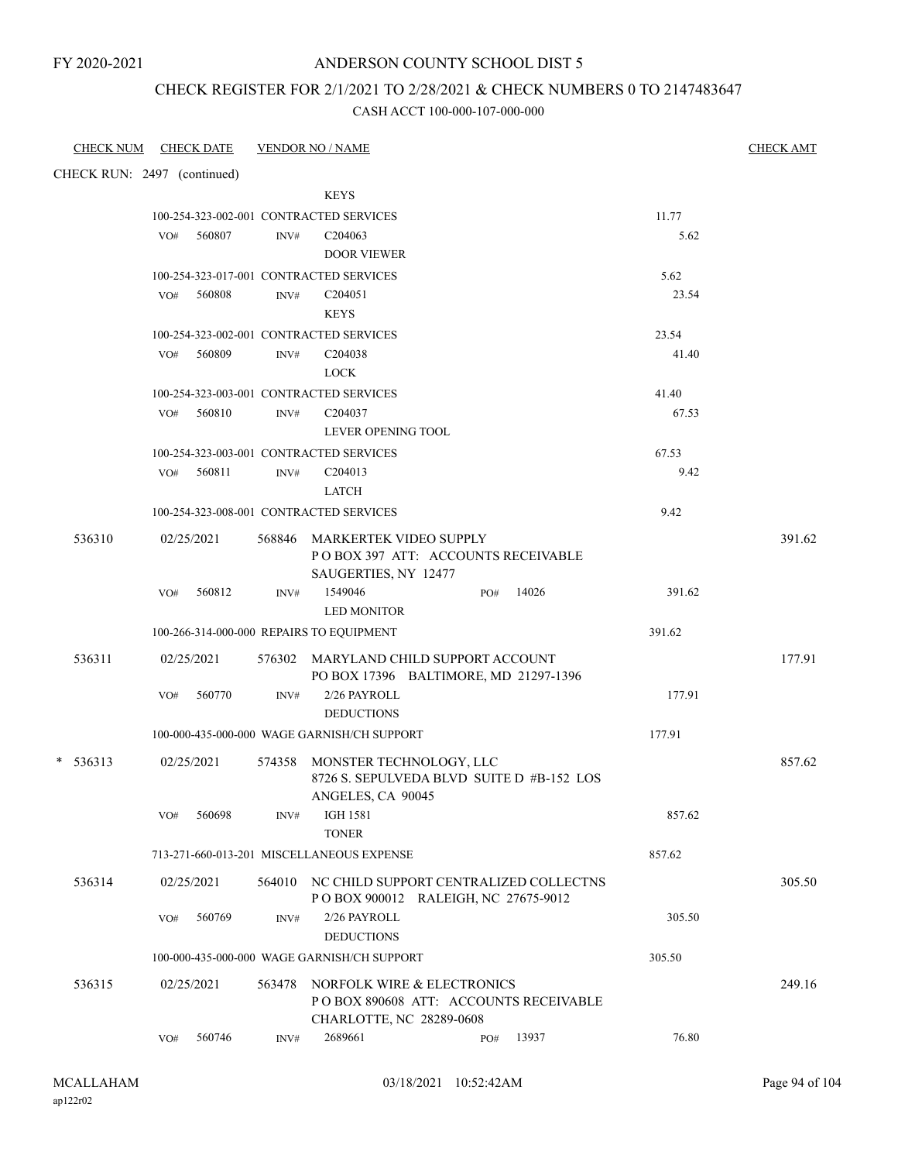### ANDERSON COUNTY SCHOOL DIST 5

### CHECK REGISTER FOR 2/1/2021 TO 2/28/2021 & CHECK NUMBERS 0 TO 2147483647

| CHECK NUM CHECK DATE        |     |            |      | <b>VENDOR NO / NAME</b>                                                                                 |     |       |        | <b>CHECK AMT</b> |
|-----------------------------|-----|------------|------|---------------------------------------------------------------------------------------------------------|-----|-------|--------|------------------|
| CHECK RUN: 2497 (continued) |     |            |      |                                                                                                         |     |       |        |                  |
|                             |     |            |      | <b>KEYS</b>                                                                                             |     |       |        |                  |
|                             |     |            |      | 100-254-323-002-001 CONTRACTED SERVICES                                                                 |     |       | 11.77  |                  |
|                             | VO# | 560807     | INV# | C <sub>204063</sub>                                                                                     |     |       | 5.62   |                  |
|                             |     |            |      | <b>DOOR VIEWER</b><br>100-254-323-017-001 CONTRACTED SERVICES                                           |     |       | 5.62   |                  |
|                             | VO# | 560808     | INV# | C <sub>204051</sub>                                                                                     |     |       | 23.54  |                  |
|                             |     |            |      | <b>KEYS</b>                                                                                             |     |       |        |                  |
|                             |     |            |      | 100-254-323-002-001 CONTRACTED SERVICES                                                                 |     |       | 23.54  |                  |
|                             | VO# | 560809     | INV# | C <sub>204038</sub>                                                                                     |     |       | 41.40  |                  |
|                             |     |            |      | <b>LOCK</b>                                                                                             |     |       |        |                  |
|                             |     |            |      | 100-254-323-003-001 CONTRACTED SERVICES                                                                 |     |       | 41.40  |                  |
|                             | VO# | 560810     | INV# | C204037                                                                                                 |     |       | 67.53  |                  |
|                             |     |            |      | <b>LEVER OPENING TOOL</b>                                                                               |     |       |        |                  |
|                             |     |            |      | 100-254-323-003-001 CONTRACTED SERVICES                                                                 |     |       | 67.53  |                  |
|                             | VO# | 560811     | INV# | C <sub>204013</sub>                                                                                     |     |       | 9.42   |                  |
|                             |     |            |      | <b>LATCH</b>                                                                                            |     |       |        |                  |
|                             |     |            |      | 100-254-323-008-001 CONTRACTED SERVICES                                                                 |     |       | 9.42   |                  |
| 536310                      |     | 02/25/2021 |      | 568846 MARKERTEK VIDEO SUPPLY<br>POBOX 397 ATT: ACCOUNTS RECEIVABLE<br>SAUGERTIES, NY 12477             |     |       |        | 391.62           |
|                             | VO# | 560812     | INV# | 1549046<br><b>LED MONITOR</b>                                                                           | PO# | 14026 | 391.62 |                  |
|                             |     |            |      | 100-266-314-000-000 REPAIRS TO EQUIPMENT                                                                |     |       | 391.62 |                  |
| 536311                      |     | 02/25/2021 |      | 576302 MARYLAND CHILD SUPPORT ACCOUNT<br>PO BOX 17396 BALTIMORE, MD 21297-1396                          |     |       |        | 177.91           |
|                             | VO# | 560770     | INV# | 2/26 PAYROLL<br><b>DEDUCTIONS</b>                                                                       |     |       | 177.91 |                  |
|                             |     |            |      | 100-000-435-000-000 WAGE GARNISH/CH SUPPORT                                                             |     |       | 177.91 |                  |
| $* 536313$                  |     | 02/25/2021 |      | 574358 MONSTER TECHNOLOGY, LLC<br>8726 S. SEPULVEDA BLVD SUITE D #B-152 LOS<br>ANGELES, CA 90045        |     |       |        | 857.62           |
|                             | VO# | 560698     | INV# | <b>IGH 1581</b><br><b>TONER</b>                                                                         |     |       | 857.62 |                  |
|                             |     |            |      | 713-271-660-013-201 MISCELLANEOUS EXPENSE                                                               |     |       | 857.62 |                  |
| 536314                      |     | 02/25/2021 |      | 564010 NC CHILD SUPPORT CENTRALIZED COLLECTNS<br>POBOX 900012 RALEIGH, NC 27675-9012                    |     |       |        | 305.50           |
|                             | VO# | 560769     | INV# | 2/26 PAYROLL<br><b>DEDUCTIONS</b>                                                                       |     |       | 305.50 |                  |
|                             |     |            |      | 100-000-435-000-000 WAGE GARNISH/CH SUPPORT                                                             |     |       | 305.50 |                  |
| 536315                      |     | 02/25/2021 |      | 563478 NORFOLK WIRE & ELECTRONICS<br>PO BOX 890608 ATT: ACCOUNTS RECEIVABLE<br>CHARLOTTE, NC 28289-0608 |     |       |        | 249.16           |
|                             | VO# | 560746     | INV# | 2689661                                                                                                 | PO# | 13937 | 76.80  |                  |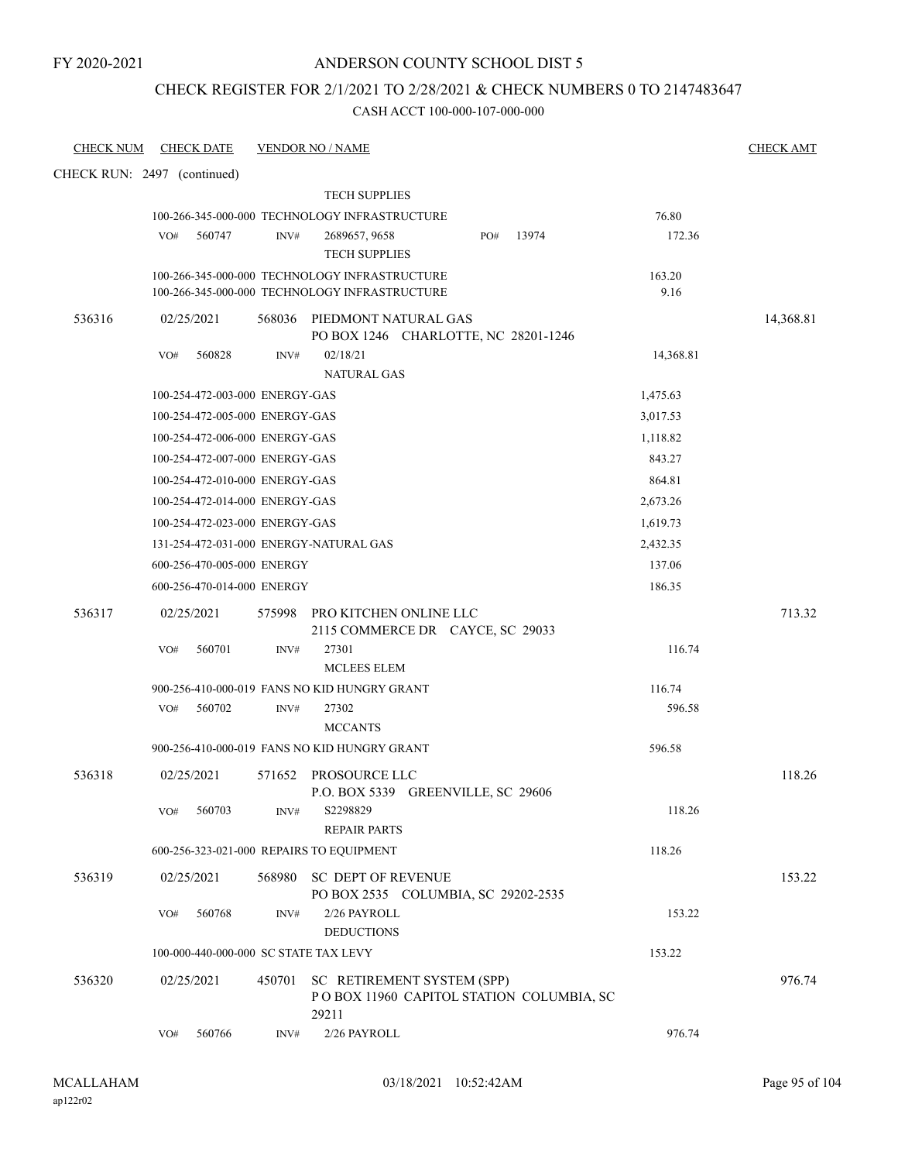### ANDERSON COUNTY SCHOOL DIST 5

### CHECK REGISTER FOR 2/1/2021 TO 2/28/2021 & CHECK NUMBERS 0 TO 2147483647

| <b>CHECK NUM</b>            |     | <b>CHECK DATE</b>              |        | <b>VENDOR NO / NAME</b>                                                         |           | <b>CHECK AMT</b> |
|-----------------------------|-----|--------------------------------|--------|---------------------------------------------------------------------------------|-----------|------------------|
| CHECK RUN: 2497 (continued) |     |                                |        |                                                                                 |           |                  |
|                             |     |                                |        | <b>TECH SUPPLIES</b>                                                            |           |                  |
|                             |     |                                |        | 100-266-345-000-000 TECHNOLOGY INFRASTRUCTURE                                   | 76.80     |                  |
|                             | VO# | 560747                         | INV#   | 13974<br>2689657, 9658<br>PO#                                                   | 172.36    |                  |
|                             |     |                                |        | <b>TECH SUPPLIES</b>                                                            |           |                  |
|                             |     |                                |        | 100-266-345-000-000 TECHNOLOGY INFRASTRUCTURE                                   | 163.20    |                  |
|                             |     |                                |        | 100-266-345-000-000 TECHNOLOGY INFRASTRUCTURE                                   | 9.16      |                  |
| 536316                      |     | 02/25/2021                     |        | 568036 PIEDMONT NATURAL GAS<br>PO BOX 1246 CHARLOTTE, NC 28201-1246             |           | 14,368.81        |
|                             | VO# | 560828                         | INV#   | 02/18/21<br><b>NATURAL GAS</b>                                                  | 14,368.81 |                  |
|                             |     | 100-254-472-003-000 ENERGY-GAS |        |                                                                                 | 1,475.63  |                  |
|                             |     | 100-254-472-005-000 ENERGY-GAS |        |                                                                                 | 3,017.53  |                  |
|                             |     | 100-254-472-006-000 ENERGY-GAS |        |                                                                                 | 1,118.82  |                  |
|                             |     | 100-254-472-007-000 ENERGY-GAS |        |                                                                                 | 843.27    |                  |
|                             |     | 100-254-472-010-000 ENERGY-GAS |        |                                                                                 | 864.81    |                  |
|                             |     | 100-254-472-014-000 ENERGY-GAS |        |                                                                                 | 2,673.26  |                  |
|                             |     | 100-254-472-023-000 ENERGY-GAS |        |                                                                                 | 1,619.73  |                  |
|                             |     |                                |        | 131-254-472-031-000 ENERGY-NATURAL GAS                                          | 2,432.35  |                  |
|                             |     | 600-256-470-005-000 ENERGY     |        |                                                                                 | 137.06    |                  |
|                             |     | 600-256-470-014-000 ENERGY     |        |                                                                                 | 186.35    |                  |
| 536317                      |     | 02/25/2021                     | 575998 | PRO KITCHEN ONLINE LLC                                                          |           | 713.32           |
|                             |     |                                |        | 2115 COMMERCE DR CAYCE, SC 29033                                                |           |                  |
|                             | VO# | 560701                         | INV#   | 27301                                                                           | 116.74    |                  |
|                             |     |                                |        | <b>MCLEES ELEM</b>                                                              |           |                  |
|                             |     |                                |        | 900-256-410-000-019 FANS NO KID HUNGRY GRANT                                    | 116.74    |                  |
|                             |     | VO# 560702                     | INV#   | 27302                                                                           | 596.58    |                  |
|                             |     |                                |        | <b>MCCANTS</b><br>900-256-410-000-019 FANS NO KID HUNGRY GRANT                  |           |                  |
|                             |     |                                |        |                                                                                 | 596.58    |                  |
| 536318                      |     | 02/25/2021                     | 571652 | PROSOURCE LLC                                                                   |           | 118.26           |
|                             | VO# | 560703                         | INV#   | P.O. BOX 5339 GREENVILLE, SC 29606<br>S2298829                                  | 118.26    |                  |
|                             |     |                                |        | <b>REPAIR PARTS</b>                                                             |           |                  |
|                             |     |                                |        | 600-256-323-021-000 REPAIRS TO EQUIPMENT                                        | 118.26    |                  |
| 536319                      |     | 02/25/2021                     |        | 568980 SC DEPT OF REVENUE                                                       |           | 153.22           |
|                             |     |                                |        | PO BOX 2535 COLUMBIA, SC 29202-2535                                             |           |                  |
|                             | VO# | 560768                         | INV#   | 2/26 PAYROLL                                                                    | 153.22    |                  |
|                             |     |                                |        | <b>DEDUCTIONS</b>                                                               |           |                  |
|                             |     |                                |        | 100-000-440-000-000 SC STATE TAX LEVY                                           | 153.22    |                  |
| 536320                      |     | 02/25/2021                     | 450701 | SC RETIREMENT SYSTEM (SPP)<br>POBOX 11960 CAPITOL STATION COLUMBIA, SC<br>29211 |           | 976.74           |
|                             | VO# | 560766                         | INV#   | 2/26 PAYROLL                                                                    | 976.74    |                  |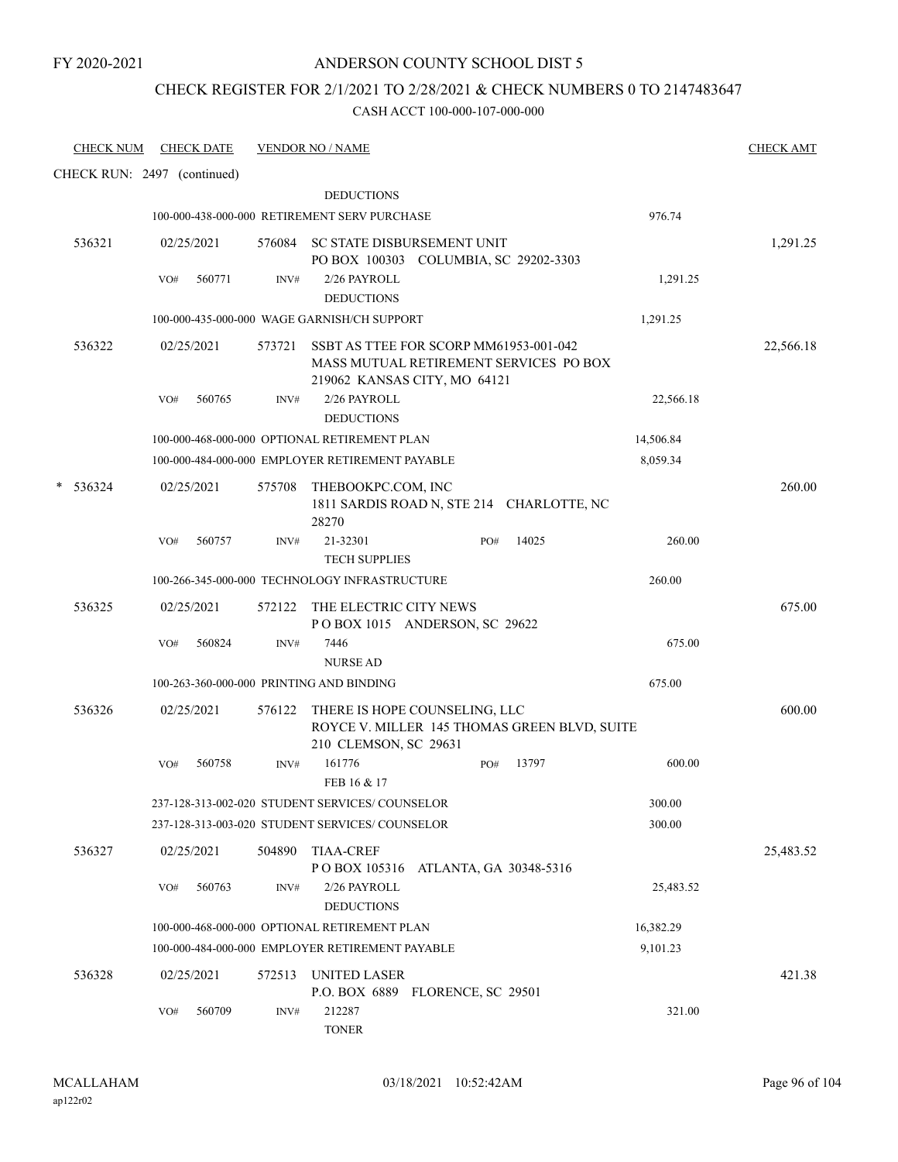# CHECK REGISTER FOR 2/1/2021 TO 2/28/2021 & CHECK NUMBERS 0 TO 2147483647

| <b>CHECK NUM</b>            |     | <b>CHECK DATE</b> |        | <b>VENDOR NO / NAME</b>                                                                                          |                        |              |           | <b>CHECK AMT</b> |
|-----------------------------|-----|-------------------|--------|------------------------------------------------------------------------------------------------------------------|------------------------|--------------|-----------|------------------|
| CHECK RUN: 2497 (continued) |     |                   |        |                                                                                                                  |                        |              |           |                  |
|                             |     |                   |        | <b>DEDUCTIONS</b>                                                                                                |                        |              |           |                  |
|                             |     |                   |        | 100-000-438-000-000 RETIREMENT SERV PURCHASE                                                                     |                        |              | 976.74    |                  |
| 536321                      |     | 02/25/2021        |        | 576084 SC STATE DISBURSEMENT UNIT<br>PO BOX 100303 COLUMBIA, SC 29202-3303                                       |                        |              |           | 1,291.25         |
|                             | VO# | 560771            | INV#   | 2/26 PAYROLL<br><b>DEDUCTIONS</b>                                                                                |                        |              | 1,291.25  |                  |
|                             |     |                   |        | 100-000-435-000-000 WAGE GARNISH/CH SUPPORT                                                                      |                        |              | 1,291.25  |                  |
| 536322                      |     | 02/25/2021        | 573721 | SSBT AS TTEE FOR SCORP MM61953-001-042<br>MASS MUTUAL RETIREMENT SERVICES PO BOX<br>219062 KANSAS CITY, MO 64121 |                        |              |           | 22,566.18        |
|                             | VO# | 560765            | INV#   | 2/26 PAYROLL                                                                                                     |                        |              | 22,566.18 |                  |
|                             |     |                   |        | <b>DEDUCTIONS</b>                                                                                                |                        |              |           |                  |
|                             |     |                   |        | 100-000-468-000-000 OPTIONAL RETIREMENT PLAN                                                                     |                        |              | 14,506.84 |                  |
|                             |     |                   |        | 100-000-484-000-000 EMPLOYER RETIREMENT PAYABLE                                                                  |                        |              | 8,059.34  |                  |
| 536324                      |     | 02/25/2021        | 575708 | THEBOOKPC.COM, INC<br>1811 SARDIS ROAD N, STE 214 CHARLOTTE, NC<br>28270                                         |                        |              |           | 260.00           |
|                             | VO# | 560757            | INV#   | 21-32301<br><b>TECH SUPPLIES</b>                                                                                 |                        | 14025<br>PO# | 260.00    |                  |
|                             |     |                   |        | 100-266-345-000-000 TECHNOLOGY INFRASTRUCTURE                                                                    |                        |              | 260.00    |                  |
| 536325                      |     | 02/25/2021        | 572122 | THE ELECTRIC CITY NEWS<br>POBOX 1015 ANDERSON, SC 29622                                                          |                        |              |           | 675.00           |
|                             | VO# | 560824            | INV#   | 7446<br><b>NURSE AD</b>                                                                                          |                        |              | 675.00    |                  |
|                             |     |                   |        | 100-263-360-000-000 PRINTING AND BINDING                                                                         |                        |              | 675.00    |                  |
| 536326                      |     | 02/25/2021        |        | 576122 THERE IS HOPE COUNSELING, LLC<br>ROYCE V. MILLER 145 THOMAS GREEN BLVD, SUITE                             |                        |              |           | 600.00           |
|                             | VO# | 560758            | INV#   | 210 CLEMSON, SC 29631<br>161776<br>FEB 16 & 17                                                                   |                        | 13797<br>PO# | 600.00    |                  |
|                             |     |                   |        | 237-128-313-002-020 STUDENT SERVICES/ COUNSELOR                                                                  |                        |              | 300.00    |                  |
|                             |     |                   |        | 237-128-313-003-020 STUDENT SERVICES/COUNSELOR                                                                   |                        |              | 300.00    |                  |
| 536327                      |     | 02/25/2021        | 504890 | <b>TIAA-CREF</b><br>P O BOX 105316                                                                               | ATLANTA, GA 30348-5316 |              |           | 25,483.52        |
|                             | VO# | 560763            | INV#   | 2/26 PAYROLL<br><b>DEDUCTIONS</b>                                                                                |                        |              | 25,483.52 |                  |
|                             |     |                   |        | 100-000-468-000-000 OPTIONAL RETIREMENT PLAN                                                                     |                        |              | 16,382.29 |                  |
|                             |     |                   |        | 100-000-484-000-000 EMPLOYER RETIREMENT PAYABLE                                                                  |                        |              | 9,101.23  |                  |
| 536328                      |     | 02/25/2021        | 572513 | <b>UNITED LASER</b><br>P.O. BOX 6889 FLORENCE, SC 29501                                                          |                        |              |           | 421.38           |
|                             | VO# | 560709            | INV#   | 212287<br><b>TONER</b>                                                                                           |                        |              | 321.00    |                  |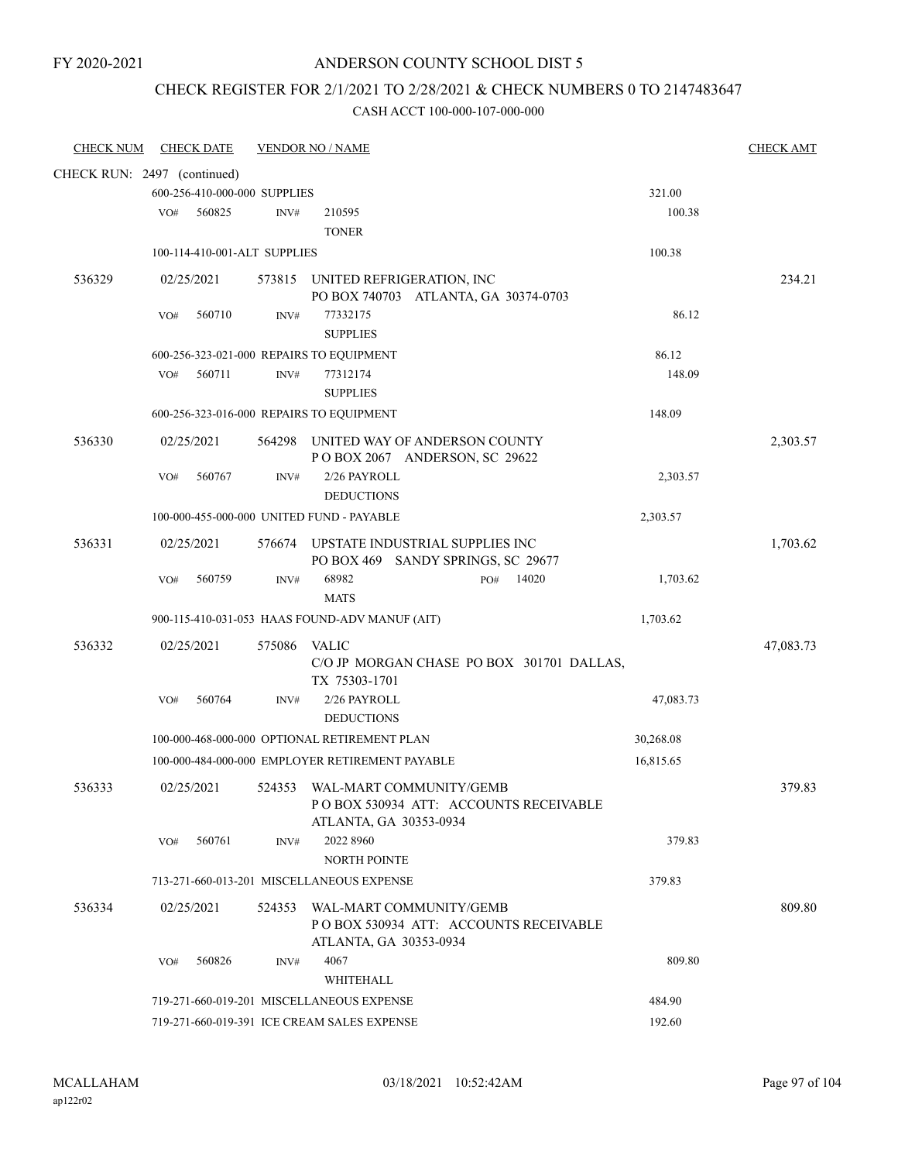### ANDERSON COUNTY SCHOOL DIST 5

### CHECK REGISTER FOR 2/1/2021 TO 2/28/2021 & CHECK NUMBERS 0 TO 2147483647

| <b>CHECK NUM</b>            |     | <b>CHECK DATE</b>            |        | <b>VENDOR NO / NAME</b>                         |           | <b>CHECK AMT</b> |
|-----------------------------|-----|------------------------------|--------|-------------------------------------------------|-----------|------------------|
| CHECK RUN: 2497 (continued) |     |                              |        |                                                 |           |                  |
|                             |     | 600-256-410-000-000 SUPPLIES |        |                                                 | 321.00    |                  |
|                             | VO# | 560825                       | INV#   | 210595                                          | 100.38    |                  |
|                             |     |                              |        | <b>TONER</b>                                    |           |                  |
|                             |     | 100-114-410-001-ALT SUPPLIES |        |                                                 | 100.38    |                  |
| 536329                      |     | 02/25/2021                   |        | 573815 UNITED REFRIGERATION, INC                |           | 234.21           |
|                             |     |                              |        | PO BOX 740703 ATLANTA, GA 30374-0703            |           |                  |
|                             | VO# | 560710                       | INV#   | 77332175                                        | 86.12     |                  |
|                             |     |                              |        | <b>SUPPLIES</b>                                 |           |                  |
|                             |     |                              |        | 600-256-323-021-000 REPAIRS TO EQUIPMENT        | 86.12     |                  |
|                             | VO# | 560711                       | INV#   | 77312174                                        | 148.09    |                  |
|                             |     |                              |        | <b>SUPPLIES</b>                                 |           |                  |
|                             |     |                              |        | 600-256-323-016-000 REPAIRS TO EQUIPMENT        | 148.09    |                  |
| 536330                      |     | 02/25/2021                   | 564298 | UNITED WAY OF ANDERSON COUNTY                   |           | 2,303.57         |
|                             |     |                              |        | POBOX 2067 ANDERSON, SC 29622                   |           |                  |
|                             | VO# | 560767                       | INV#   | 2/26 PAYROLL                                    | 2,303.57  |                  |
|                             |     |                              |        | <b>DEDUCTIONS</b>                               |           |                  |
|                             |     |                              |        | 100-000-455-000-000 UNITED FUND - PAYABLE       | 2,303.57  |                  |
| 536331                      |     | 02/25/2021                   |        | 576674 UPSTATE INDUSTRIAL SUPPLIES INC          |           | 1,703.62         |
|                             |     |                              |        | PO BOX 469 SANDY SPRINGS, SC 29677              |           |                  |
|                             | VO# | 560759                       | INV#   | 68982<br>14020<br>PO#                           | 1,703.62  |                  |
|                             |     |                              |        | <b>MATS</b>                                     |           |                  |
|                             |     |                              |        | 900-115-410-031-053 HAAS FOUND-ADV MANUF (AIT)  | 1,703.62  |                  |
| 536332                      |     | 02/25/2021                   | 575086 | <b>VALIC</b>                                    |           | 47,083.73        |
|                             |     |                              |        | C/O JP MORGAN CHASE PO BOX 301701 DALLAS,       |           |                  |
|                             |     |                              |        | TX 75303-1701                                   |           |                  |
|                             | VO# | 560764                       | INV#   | 2/26 PAYROLL                                    | 47,083.73 |                  |
|                             |     |                              |        | <b>DEDUCTIONS</b>                               |           |                  |
|                             |     |                              |        | 100-000-468-000-000 OPTIONAL RETIREMENT PLAN    | 30,268.08 |                  |
|                             |     |                              |        | 100-000-484-000-000 EMPLOYER RETIREMENT PAYABLE | 16,815.65 |                  |
| 536333                      |     | 02/25/2021                   | 524353 | WAL-MART COMMUNITY/GEMB                         |           | 379.83           |
|                             |     |                              |        | POBOX 530934 ATT: ACCOUNTS RECEIVABLE           |           |                  |
|                             |     |                              |        | ATLANTA, GA 30353-0934                          |           |                  |
|                             | VO# | 560761                       | INV#   | 2022 8960                                       | 379.83    |                  |
|                             |     |                              |        | NORTH POINTE                                    |           |                  |
|                             |     |                              |        | 713-271-660-013-201 MISCELLANEOUS EXPENSE       | 379.83    |                  |
| 536334                      |     | 02/25/2021                   | 524353 | WAL-MART COMMUNITY/GEMB                         |           | 809.80           |
|                             |     |                              |        | POBOX 530934 ATT: ACCOUNTS RECEIVABLE           |           |                  |
|                             |     |                              |        | ATLANTA, GA 30353-0934                          |           |                  |
|                             | VO# | 560826                       | INV#   | 4067                                            | 809.80    |                  |
|                             |     |                              |        | WHITEHALL                                       |           |                  |
|                             |     |                              |        | 719-271-660-019-201 MISCELLANEOUS EXPENSE       | 484.90    |                  |
|                             |     |                              |        | 719-271-660-019-391 ICE CREAM SALES EXPENSE     | 192.60    |                  |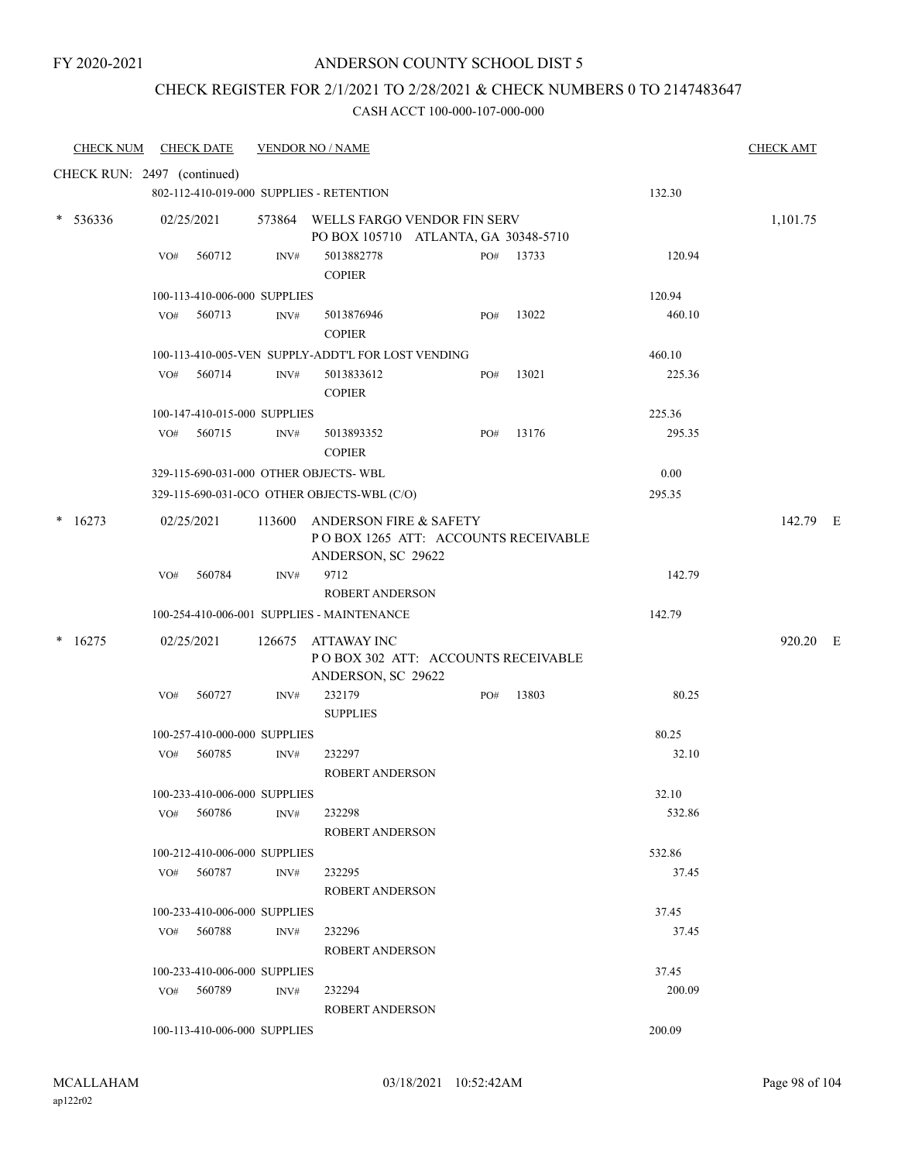### ANDERSON COUNTY SCHOOL DIST 5

### CHECK REGISTER FOR 2/1/2021 TO 2/28/2021 & CHECK NUMBERS 0 TO 2147483647

| <b>CHECK NUM</b> | <b>CHECK DATE</b>                        | <b>VENDOR NO / NAME</b> |                                                                                                |     |           |        | <b>CHECK AMT</b> |
|------------------|------------------------------------------|-------------------------|------------------------------------------------------------------------------------------------|-----|-----------|--------|------------------|
|                  | CHECK RUN: 2497 (continued)              |                         |                                                                                                |     |           |        |                  |
|                  | 802-112-410-019-000 SUPPLIES - RETENTION |                         |                                                                                                |     |           | 132.30 |                  |
| $* 536336$       | 02/25/2021                               |                         | 573864 WELLS FARGO VENDOR FIN SERV<br>PO BOX 105710 ATLANTA, GA 30348-5710                     |     |           |        | 1,101.75         |
|                  | 560712<br>VO#                            | INV#                    | 5013882778<br><b>COPIER</b>                                                                    |     | PO# 13733 | 120.94 |                  |
|                  | 100-113-410-006-000 SUPPLIES             |                         |                                                                                                |     |           | 120.94 |                  |
|                  | 560713<br>VO#                            | INV#                    | 5013876946<br><b>COPIER</b>                                                                    | PO# | 13022     | 460.10 |                  |
|                  |                                          |                         | 100-113-410-005-VEN SUPPLY-ADDT'L FOR LOST VENDING                                             |     |           | 460.10 |                  |
|                  | VO# 560714                               | INV#                    | 5013833612<br><b>COPIER</b>                                                                    | PO# | 13021     | 225.36 |                  |
|                  | 100-147-410-015-000 SUPPLIES             |                         |                                                                                                |     |           | 225.36 |                  |
|                  | 560715<br>VO#                            | INV#                    | 5013893352<br><b>COPIER</b>                                                                    | PO# | 13176     | 295.35 |                  |
|                  | 329-115-690-031-000 OTHER OBJECTS-WBL    |                         |                                                                                                |     |           | 0.00   |                  |
|                  |                                          |                         | 329-115-690-031-0CO OTHER OBJECTS-WBL (C/O)                                                    |     |           | 295.35 |                  |
| $*16273$         | 02/25/2021                               | 113600                  | <b>ANDERSON FIRE &amp; SAFETY</b><br>POBOX 1265 ATT: ACCOUNTS RECEIVABLE<br>ANDERSON, SC 29622 |     |           |        | 142.79 E         |
|                  | VO#<br>560784                            | INV#                    | 9712<br>ROBERT ANDERSON                                                                        |     |           | 142.79 |                  |
|                  |                                          |                         | 100-254-410-006-001 SUPPLIES - MAINTENANCE                                                     |     |           | 142.79 |                  |
| $*16275$         | 02/25/2021                               |                         | 126675 ATTAWAY INC<br>POBOX 302 ATT: ACCOUNTS RECEIVABLE<br>ANDERSON, SC 29622                 |     |           |        | 920.20 E         |
|                  | 560727<br>VO#                            | INV#                    | 232179<br><b>SUPPLIES</b>                                                                      | PO# | 13803     | 80.25  |                  |
|                  | 100-257-410-000-000 SUPPLIES             |                         |                                                                                                |     |           | 80.25  |                  |
|                  | 560785<br>VO#                            | INV#                    | 232297<br><b>ROBERT ANDERSON</b>                                                               |     |           | 32.10  |                  |
|                  | 100-233-410-006-000 SUPPLIES             |                         |                                                                                                |     |           | 32.10  |                  |
|                  | VO# 560786                               | INV#                    | 232298<br>ROBERT ANDERSON                                                                      |     |           | 532.86 |                  |
|                  | 100-212-410-006-000 SUPPLIES             |                         |                                                                                                |     |           | 532.86 |                  |
|                  | VO# 560787                               | INV#                    | 232295<br>ROBERT ANDERSON                                                                      |     |           | 37.45  |                  |
|                  | 100-233-410-006-000 SUPPLIES             |                         |                                                                                                |     |           | 37.45  |                  |
|                  | VO# 560788                               | INV#                    | 232296<br>ROBERT ANDERSON                                                                      |     |           | 37.45  |                  |
|                  | 100-233-410-006-000 SUPPLIES             |                         |                                                                                                |     |           | 37.45  |                  |
|                  | VO# 560789                               | INV#                    | 232294<br>ROBERT ANDERSON                                                                      |     |           | 200.09 |                  |
|                  | 100-113-410-006-000 SUPPLIES             |                         |                                                                                                |     |           | 200.09 |                  |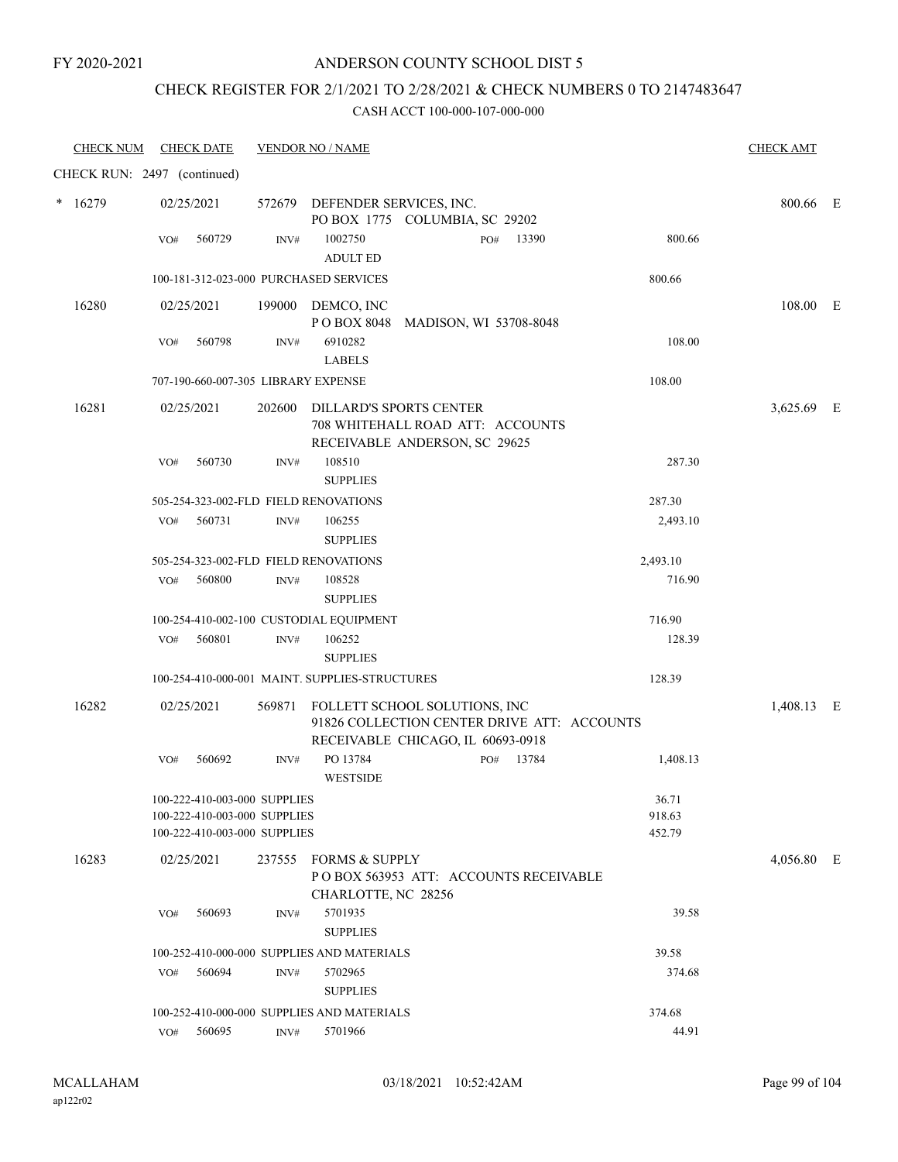### CHECK REGISTER FOR 2/1/2021 TO 2/28/2021 & CHECK NUMBERS 0 TO 2147483647

| <b>CHECK NUM</b>            |            | <b>CHECK DATE</b>                                                                            |                                                                  | <b>VENDOR NO / NAME</b>                                                                             |                                       |                           | <b>CHECK AMT</b> |  |
|-----------------------------|------------|----------------------------------------------------------------------------------------------|------------------------------------------------------------------|-----------------------------------------------------------------------------------------------------|---------------------------------------|---------------------------|------------------|--|
| CHECK RUN: 2497 (continued) |            |                                                                                              |                                                                  |                                                                                                     |                                       |                           |                  |  |
| $*16279$                    | 02/25/2021 |                                                                                              | 572679 DEFENDER SERVICES, INC.<br>PO BOX 1775 COLUMBIA, SC 29202 |                                                                                                     |                                       |                           | 800.66 E         |  |
|                             | VO#        | 560729                                                                                       | $\text{INV}\#$                                                   | 1002750<br><b>ADULT ED</b>                                                                          | 13390<br>PO#                          | 800.66                    |                  |  |
|                             |            |                                                                                              |                                                                  | 100-181-312-023-000 PURCHASED SERVICES                                                              |                                       | 800.66                    |                  |  |
| 16280                       |            | 02/25/2021                                                                                   |                                                                  | 199000 DEMCO, INC                                                                                   | POBOX 8048 MADISON, WI 53708-8048     |                           | 108.00 E         |  |
|                             | VO#        | 560798                                                                                       | INV#                                                             | 6910282<br><b>LABELS</b>                                                                            |                                       | 108.00                    |                  |  |
|                             |            |                                                                                              |                                                                  | 707-190-660-007-305 LIBRARY EXPENSE                                                                 |                                       | 108.00                    |                  |  |
| 16281                       | 02/25/2021 |                                                                                              |                                                                  | 202600 DILLARD'S SPORTS CENTER<br>708 WHITEHALL ROAD ATT: ACCOUNTS<br>RECEIVABLE ANDERSON, SC 29625 |                                       |                           | 3,625.69 E       |  |
|                             | VO#        | 560730                                                                                       | INV#                                                             | 108510<br><b>SUPPLIES</b>                                                                           |                                       | 287.30                    |                  |  |
|                             |            |                                                                                              |                                                                  | 505-254-323-002-FLD FIELD RENOVATIONS                                                               |                                       | 287.30                    |                  |  |
|                             | VO#        | 560731                                                                                       | INV#                                                             | 106255<br><b>SUPPLIES</b>                                                                           |                                       | 2,493.10                  |                  |  |
|                             |            |                                                                                              |                                                                  | 505-254-323-002-FLD FIELD RENOVATIONS                                                               |                                       | 2,493.10                  |                  |  |
|                             | VO#        | 560800                                                                                       | INV#                                                             | 108528<br><b>SUPPLIES</b>                                                                           |                                       | 716.90                    |                  |  |
|                             |            |                                                                                              |                                                                  | 100-254-410-002-100 CUSTODIAL EQUIPMENT                                                             |                                       | 716.90                    |                  |  |
|                             | VO#        | 560801                                                                                       | INV#                                                             | 106252<br><b>SUPPLIES</b>                                                                           |                                       | 128.39                    |                  |  |
|                             |            |                                                                                              |                                                                  | 100-254-410-000-001 MAINT. SUPPLIES-STRUCTURES                                                      |                                       | 128.39                    |                  |  |
| 16282                       | 02/25/2021 |                                                                                              | 569871                                                           | FOLLETT SCHOOL SOLUTIONS, INC<br>91826 COLLECTION CENTER DRIVE ATT: ACCOUNTS                        | 1,408.13 E                            |                           |                  |  |
|                             |            |                                                                                              |                                                                  |                                                                                                     | RECEIVABLE CHICAGO, IL 60693-0918     |                           |                  |  |
|                             | VO#        | 560692                                                                                       | INV#                                                             | PO 13784<br><b>WESTSIDE</b>                                                                         | PO# 13784                             | 1,408.13                  |                  |  |
|                             |            | 100-222-410-003-000 SUPPLIES<br>100-222-410-003-000 SUPPLIES<br>100-222-410-003-000 SUPPLIES |                                                                  |                                                                                                     |                                       | 36.71<br>918.63<br>452.79 |                  |  |
|                             |            |                                                                                              |                                                                  |                                                                                                     |                                       |                           |                  |  |
| 16283                       |            | 02/25/2021                                                                                   |                                                                  | 237555 FORMS & SUPPLY<br>CHARLOTTE, NC 28256                                                        | POBOX 563953 ATT: ACCOUNTS RECEIVABLE |                           | 4,056.80 E       |  |
|                             | VO#        | 560693                                                                                       | INV#                                                             | 5701935<br><b>SUPPLIES</b>                                                                          |                                       | 39.58                     |                  |  |
|                             |            |                                                                                              |                                                                  | 100-252-410-000-000 SUPPLIES AND MATERIALS                                                          |                                       | 39.58                     |                  |  |
|                             | VO#        | 560694                                                                                       | INV#                                                             | 5702965<br><b>SUPPLIES</b>                                                                          |                                       | 374.68                    |                  |  |
|                             |            |                                                                                              |                                                                  | 100-252-410-000-000 SUPPLIES AND MATERIALS                                                          |                                       | 374.68                    |                  |  |
|                             |            | VO# 560695                                                                                   | INV#                                                             | 5701966                                                                                             |                                       | 44.91                     |                  |  |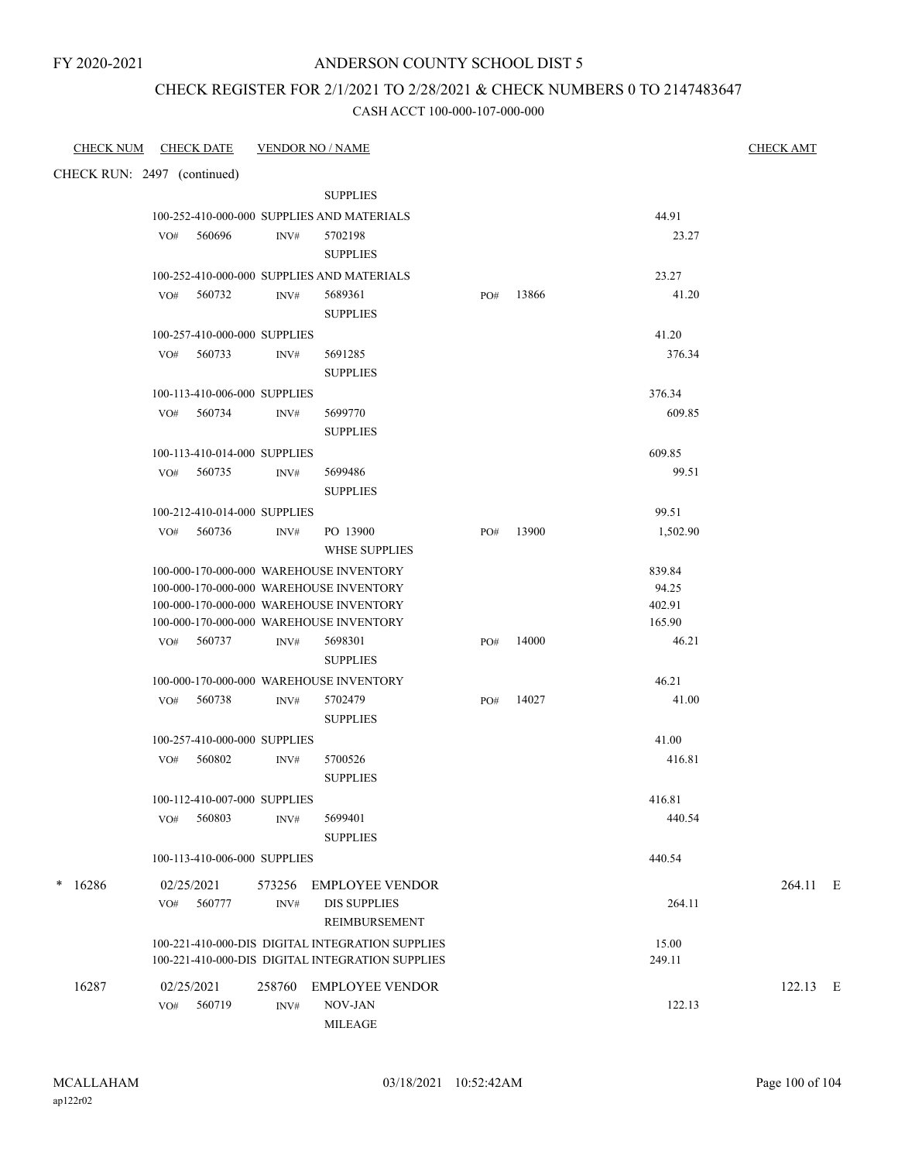### CHECK REGISTER FOR 2/1/2021 TO 2/28/2021 & CHECK NUMBERS 0 TO 2147483647

| <b>CHECK DATE</b><br>CHECK NUM                | <b>VENDOR NO / NAME</b>                          |              |                   | <b>CHECK AMT</b> |
|-----------------------------------------------|--------------------------------------------------|--------------|-------------------|------------------|
| CHECK RUN: 2497 (continued)                   |                                                  |              |                   |                  |
|                                               | <b>SUPPLIES</b>                                  |              |                   |                  |
|                                               | 100-252-410-000-000 SUPPLIES AND MATERIALS       |              | 44.91             |                  |
| 560696<br>VO#                                 | 5702198<br>INV#                                  |              | 23.27             |                  |
|                                               | <b>SUPPLIES</b>                                  |              |                   |                  |
|                                               | 100-252-410-000-000 SUPPLIES AND MATERIALS       |              | 23.27             |                  |
| 560732<br>VO#                                 | 5689361<br>INV#                                  | 13866<br>PO# | 41.20             |                  |
|                                               | <b>SUPPLIES</b>                                  |              |                   |                  |
| 100-257-410-000-000 SUPPLIES                  |                                                  |              | 41.20             |                  |
| VO# 560733                                    | 5691285<br>INV#                                  |              | 376.34            |                  |
|                                               | <b>SUPPLIES</b>                                  |              |                   |                  |
| 100-113-410-006-000 SUPPLIES                  |                                                  |              | 376.34            |                  |
| 560734<br>VO#                                 | INV#<br>5699770                                  |              | 609.85            |                  |
|                                               | <b>SUPPLIES</b>                                  |              |                   |                  |
| 100-113-410-014-000 SUPPLIES                  |                                                  |              | 609.85            |                  |
| 560735<br>VO#                                 | 5699486<br>INV#                                  |              | 99.51             |                  |
|                                               | <b>SUPPLIES</b>                                  |              |                   |                  |
| 100-212-410-014-000 SUPPLIES<br>VO# 560736    | PO 13900<br>INV#                                 | 13900<br>PO# | 99.51<br>1,502.90 |                  |
|                                               | <b>WHSE SUPPLIES</b>                             |              |                   |                  |
|                                               | 100-000-170-000-000 WAREHOUSE INVENTORY          |              | 839.84            |                  |
|                                               | 100-000-170-000-000 WAREHOUSE INVENTORY          |              | 94.25             |                  |
|                                               | 100-000-170-000-000 WAREHOUSE INVENTORY          |              | 402.91            |                  |
|                                               | 100-000-170-000-000 WAREHOUSE INVENTORY          |              | 165.90            |                  |
| 560737<br>VO#                                 | 5698301<br>INV#                                  | 14000<br>PO# | 46.21             |                  |
|                                               | <b>SUPPLIES</b>                                  |              |                   |                  |
|                                               | 100-000-170-000-000 WAREHOUSE INVENTORY          |              | 46.21             |                  |
| 560738<br>VO#                                 | 5702479<br>INV#                                  | 14027<br>PO# | 41.00             |                  |
|                                               | <b>SUPPLIES</b>                                  |              |                   |                  |
| 100-257-410-000-000 SUPPLIES                  |                                                  |              | 41.00             |                  |
| 560802<br>VO#                                 | 5700526<br>INV#                                  |              | 416.81            |                  |
|                                               | <b>SUPPLIES</b>                                  |              |                   |                  |
| 100-112-410-007-000 SUPPLIES<br>560803<br>VO# | INV#<br>5699401                                  |              | 416.81<br>440.54  |                  |
|                                               | <b>SUPPLIES</b>                                  |              |                   |                  |
| 100-113-410-006-000 SUPPLIES                  |                                                  |              | 440.54            |                  |
|                                               |                                                  |              |                   |                  |
| $\ast$<br>16286<br>02/25/2021                 | 573256<br><b>EMPLOYEE VENDOR</b>                 |              |                   | 264.11 E         |
| 560777<br>VO#                                 | <b>DIS SUPPLIES</b><br>INV#<br>REIMBURSEMENT     |              | 264.11            |                  |
|                                               | 100-221-410-000-DIS DIGITAL INTEGRATION SUPPLIES |              | 15.00             |                  |
|                                               | 100-221-410-000-DIS DIGITAL INTEGRATION SUPPLIES |              | 249.11            |                  |
|                                               |                                                  |              |                   |                  |
| 16287<br>02/25/2021<br>560719<br>VO#          | 258760<br><b>EMPLOYEE VENDOR</b><br>NOV-JAN      |              | 122.13            | $122.13$ E       |
|                                               | INV#<br><b>MILEAGE</b>                           |              |                   |                  |
|                                               |                                                  |              |                   |                  |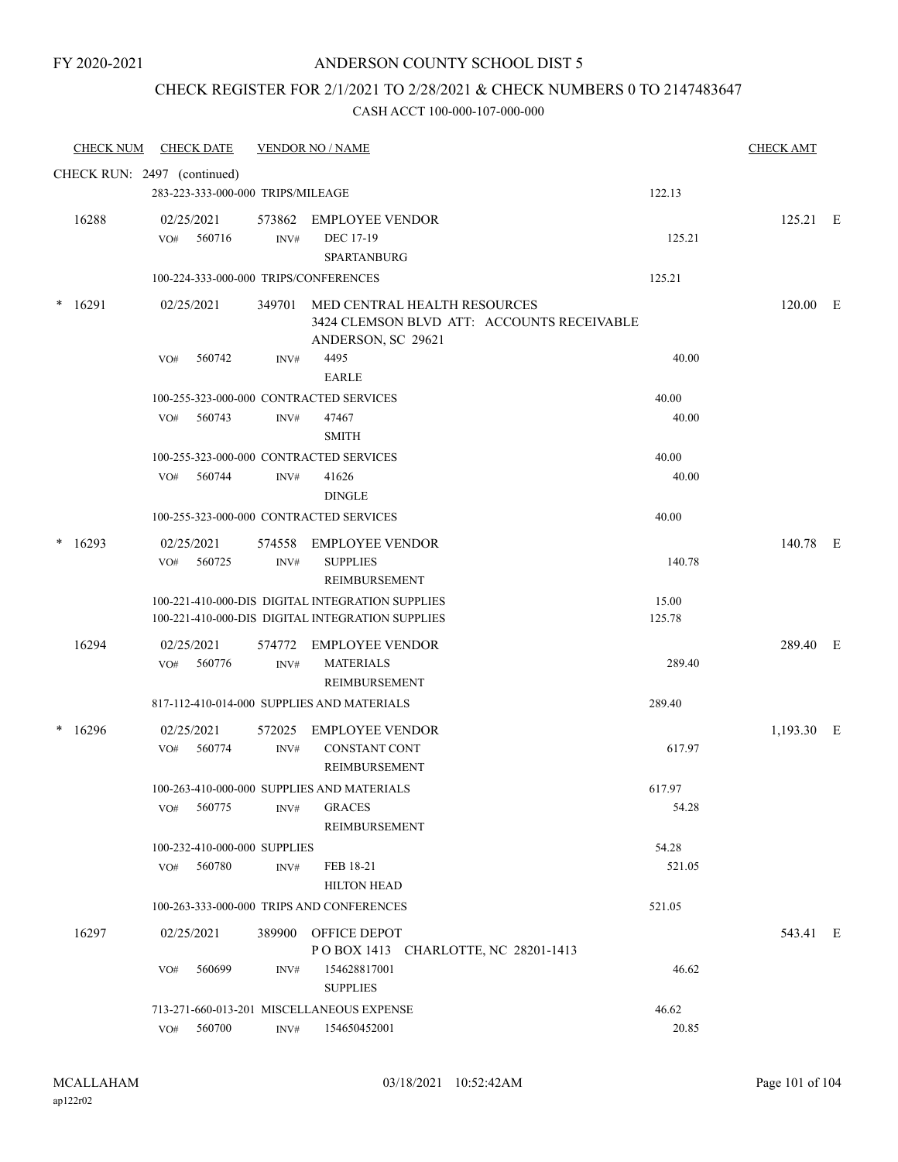### ANDERSON COUNTY SCHOOL DIST 5

### CHECK REGISTER FOR 2/1/2021 TO 2/28/2021 & CHECK NUMBERS 0 TO 2147483647

|   | <b>CHECK NUM</b>            |     | <b>CHECK DATE</b>                 |        | <b>VENDOR NO / NAME</b>                                                                          |        | <b>CHECK AMT</b> |  |
|---|-----------------------------|-----|-----------------------------------|--------|--------------------------------------------------------------------------------------------------|--------|------------------|--|
|   | CHECK RUN: 2497 (continued) |     |                                   |        |                                                                                                  |        |                  |  |
|   |                             |     | 283-223-333-000-000 TRIPS/MILEAGE |        |                                                                                                  | 122.13 |                  |  |
|   | 16288                       |     | 02/25/2021                        | 573862 | <b>EMPLOYEE VENDOR</b>                                                                           |        | 125.21 E         |  |
|   |                             | VO# | 560716                            | INV#   | DEC 17-19                                                                                        | 125.21 |                  |  |
|   |                             |     |                                   |        | <b>SPARTANBURG</b>                                                                               |        |                  |  |
|   |                             |     |                                   |        | 100-224-333-000-000 TRIPS/CONFERENCES                                                            | 125.21 |                  |  |
| * | 16291                       |     | 02/25/2021                        | 349701 | MED CENTRAL HEALTH RESOURCES<br>3424 CLEMSON BLVD ATT: ACCOUNTS RECEIVABLE<br>ANDERSON, SC 29621 |        | 120.00 E         |  |
|   |                             | VO# | 560742                            | INV#   | 4495<br><b>EARLE</b>                                                                             | 40.00  |                  |  |
|   |                             |     |                                   |        | 100-255-323-000-000 CONTRACTED SERVICES                                                          | 40.00  |                  |  |
|   |                             | VO# | 560743                            | INV#   | 47467                                                                                            | 40.00  |                  |  |
|   |                             |     |                                   |        | <b>SMITH</b>                                                                                     |        |                  |  |
|   |                             |     |                                   |        | 100-255-323-000-000 CONTRACTED SERVICES                                                          | 40.00  |                  |  |
|   |                             | VO# | 560744                            | INV#   | 41626                                                                                            | 40.00  |                  |  |
|   |                             |     |                                   |        | <b>DINGLE</b>                                                                                    |        |                  |  |
|   |                             |     |                                   |        | 100-255-323-000-000 CONTRACTED SERVICES                                                          | 40.00  |                  |  |
|   | 16293                       |     | 02/25/2021                        | 574558 | <b>EMPLOYEE VENDOR</b>                                                                           |        | 140.78 E         |  |
|   |                             | VO# | 560725                            | INV#   | <b>SUPPLIES</b><br>REIMBURSEMENT                                                                 | 140.78 |                  |  |
|   |                             |     |                                   |        | 100-221-410-000-DIS DIGITAL INTEGRATION SUPPLIES                                                 | 15.00  |                  |  |
|   |                             |     |                                   |        | 100-221-410-000-DIS DIGITAL INTEGRATION SUPPLIES                                                 | 125.78 |                  |  |
|   | 16294                       |     | 02/25/2021                        | 574772 | <b>EMPLOYEE VENDOR</b>                                                                           |        | 289.40 E         |  |
|   |                             | VO# | 560776                            | INV#   | <b>MATERIALS</b>                                                                                 | 289.40 |                  |  |
|   |                             |     |                                   |        | REIMBURSEMENT                                                                                    |        |                  |  |
|   |                             |     |                                   |        | 817-112-410-014-000 SUPPLIES AND MATERIALS                                                       | 289.40 |                  |  |
| * | 16296                       |     | 02/25/2021                        | 572025 | <b>EMPLOYEE VENDOR</b>                                                                           |        | 1,193.30 E       |  |
|   |                             | VO# | 560774                            | INV#   | <b>CONSTANT CONT</b><br>REIMBURSEMENT                                                            | 617.97 |                  |  |
|   |                             |     |                                   |        | 100-263-410-000-000 SUPPLIES AND MATERIALS                                                       | 617.97 |                  |  |
|   |                             | VO# | 560775                            | INV#   | <b>GRACES</b>                                                                                    | 54.28  |                  |  |
|   |                             |     |                                   |        | REIMBURSEMENT                                                                                    |        |                  |  |
|   |                             |     | 100-232-410-000-000 SUPPLIES      |        |                                                                                                  | 54.28  |                  |  |
|   |                             | VO# | 560780                            | INV#   | FEB 18-21                                                                                        | 521.05 |                  |  |
|   |                             |     |                                   |        | <b>HILTON HEAD</b>                                                                               |        |                  |  |
|   |                             |     |                                   |        | 100-263-333-000-000 TRIPS AND CONFERENCES                                                        | 521.05 |                  |  |
|   | 16297                       |     | 02/25/2021                        |        | 389900 OFFICE DEPOT<br>POBOX 1413 CHARLOTTE, NC 28201-1413                                       |        | 543.41 E         |  |
|   |                             | VO# | 560699                            | INV#   | 154628817001<br><b>SUPPLIES</b>                                                                  | 46.62  |                  |  |
|   |                             |     |                                   |        | 713-271-660-013-201 MISCELLANEOUS EXPENSE                                                        | 46.62  |                  |  |
|   |                             |     | $\rm VO\#$ 560700                 | INV#   | 154650452001                                                                                     | 20.85  |                  |  |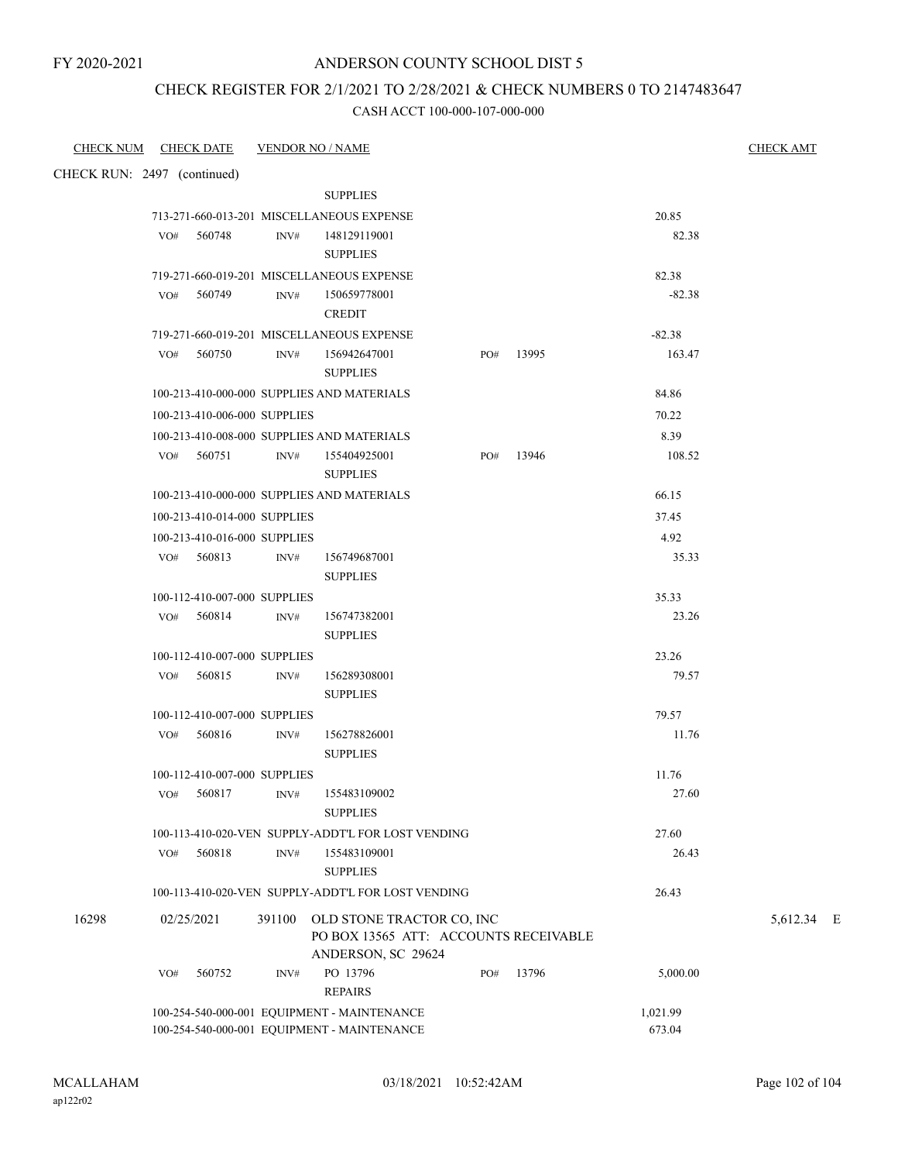### ANDERSON COUNTY SCHOOL DIST 5

### CHECK REGISTER FOR 2/1/2021 TO 2/28/2021 & CHECK NUMBERS 0 TO 2147483647

| CHECK NUM CHECK DATE        |     |                              | <b>VENDOR NO / NAME</b> |                                                                                                 |     |       |          | <b>CHECK AMT</b> |
|-----------------------------|-----|------------------------------|-------------------------|-------------------------------------------------------------------------------------------------|-----|-------|----------|------------------|
| CHECK RUN: 2497 (continued) |     |                              |                         |                                                                                                 |     |       |          |                  |
|                             |     |                              |                         | <b>SUPPLIES</b>                                                                                 |     |       |          |                  |
|                             |     |                              |                         | 713-271-660-013-201 MISCELLANEOUS EXPENSE                                                       |     |       | 20.85    |                  |
|                             | VO# | 560748                       | INV#                    | 148129119001                                                                                    |     |       | 82.38    |                  |
|                             |     |                              |                         | <b>SUPPLIES</b>                                                                                 |     |       |          |                  |
|                             |     |                              |                         | 719-271-660-019-201 MISCELLANEOUS EXPENSE                                                       |     |       | 82.38    |                  |
|                             | VO# | 560749                       | INV#                    | 150659778001                                                                                    |     |       | $-82.38$ |                  |
|                             |     |                              |                         | <b>CREDIT</b>                                                                                   |     |       |          |                  |
|                             |     |                              |                         | 719-271-660-019-201 MISCELLANEOUS EXPENSE                                                       |     |       | $-82.38$ |                  |
|                             |     | VO# 560750                   | INV#                    | 156942647001<br><b>SUPPLIES</b>                                                                 | PO# | 13995 | 163.47   |                  |
|                             |     |                              |                         | 100-213-410-000-000 SUPPLIES AND MATERIALS                                                      |     |       | 84.86    |                  |
|                             |     | 100-213-410-006-000 SUPPLIES |                         |                                                                                                 |     |       | 70.22    |                  |
|                             |     |                              |                         | 100-213-410-008-000 SUPPLIES AND MATERIALS                                                      |     |       | 8.39     |                  |
|                             |     | VO# 560751                   | INV#                    | 155404925001                                                                                    | PO# | 13946 | 108.52   |                  |
|                             |     |                              |                         | <b>SUPPLIES</b>                                                                                 |     |       |          |                  |
|                             |     |                              |                         | 100-213-410-000-000 SUPPLIES AND MATERIALS                                                      |     |       | 66.15    |                  |
|                             |     | 100-213-410-014-000 SUPPLIES |                         |                                                                                                 |     |       | 37.45    |                  |
|                             |     | 100-213-410-016-000 SUPPLIES |                         |                                                                                                 |     |       | 4.92     |                  |
|                             |     | $VO#$ 560813                 | INV#                    | 156749687001                                                                                    |     |       | 35.33    |                  |
|                             |     |                              |                         | <b>SUPPLIES</b>                                                                                 |     |       |          |                  |
|                             |     | 100-112-410-007-000 SUPPLIES |                         |                                                                                                 |     |       | 35.33    |                  |
|                             |     | VO# 560814                   | INV#                    | 156747382001                                                                                    |     |       | 23.26    |                  |
|                             |     |                              |                         | <b>SUPPLIES</b>                                                                                 |     |       |          |                  |
|                             |     | 100-112-410-007-000 SUPPLIES |                         |                                                                                                 |     |       | 23.26    |                  |
|                             |     | VO# 560815                   | INV#                    | 156289308001                                                                                    |     |       | 79.57    |                  |
|                             |     |                              |                         | <b>SUPPLIES</b>                                                                                 |     |       |          |                  |
|                             |     | 100-112-410-007-000 SUPPLIES |                         |                                                                                                 |     |       | 79.57    |                  |
|                             |     | VO# 560816                   | INV#                    | 156278826001                                                                                    |     |       | 11.76    |                  |
|                             |     |                              |                         | <b>SUPPLIES</b>                                                                                 |     |       |          |                  |
|                             |     | 100-112-410-007-000 SUPPLIES |                         |                                                                                                 |     |       | 11.76    |                  |
|                             |     |                              |                         | VO# 560817 INV# 155483109002                                                                    |     |       | 27.60    |                  |
|                             |     |                              |                         | <b>SUPPLIES</b>                                                                                 |     |       |          |                  |
|                             |     |                              |                         | 100-113-410-020-VEN SUPPLY-ADDT'L FOR LOST VENDING                                              |     |       | 27.60    |                  |
|                             | VO# | 560818                       | INV#                    | 155483109001<br><b>SUPPLIES</b>                                                                 |     |       | 26.43    |                  |
|                             |     |                              |                         | 100-113-410-020-VEN SUPPLY-ADDT'L FOR LOST VENDING                                              |     |       | 26.43    |                  |
|                             |     |                              |                         |                                                                                                 |     |       |          |                  |
| 16298                       |     | 02/25/2021                   |                         | 391100 OLD STONE TRACTOR CO, INC<br>PO BOX 13565 ATT: ACCOUNTS RECEIVABLE<br>ANDERSON, SC 29624 |     |       |          | 5,612.34 E       |
|                             | VO# | 560752                       | INV#                    | PO 13796<br><b>REPAIRS</b>                                                                      | PO# | 13796 | 5,000.00 |                  |
|                             |     |                              |                         | 100-254-540-000-001 EQUIPMENT - MAINTENANCE                                                     |     |       | 1,021.99 |                  |
|                             |     |                              |                         | 100-254-540-000-001 EQUIPMENT - MAINTENANCE                                                     |     |       | 673.04   |                  |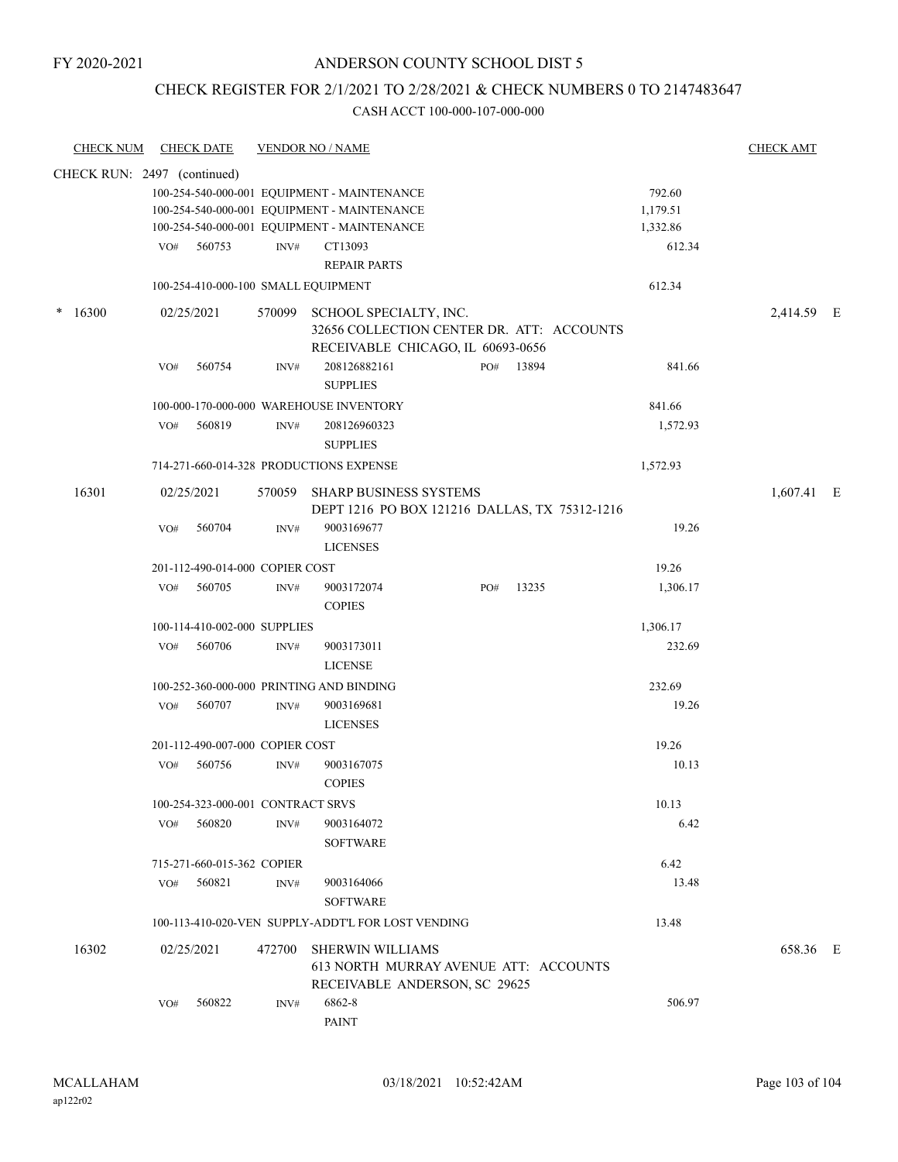### CHECK REGISTER FOR 2/1/2021 TO 2/28/2021 & CHECK NUMBERS 0 TO 2147483647

| <b>CHECK NUM</b>            |     | <b>CHECK DATE</b>                 |        | <b>VENDOR NO / NAME</b>                                                                                  |     |       |                    | <b>CHECK AMT</b> |   |
|-----------------------------|-----|-----------------------------------|--------|----------------------------------------------------------------------------------------------------------|-----|-------|--------------------|------------------|---|
| CHECK RUN: 2497 (continued) |     |                                   |        |                                                                                                          |     |       |                    |                  |   |
|                             |     |                                   |        | 100-254-540-000-001 EQUIPMENT - MAINTENANCE<br>100-254-540-000-001 EQUIPMENT - MAINTENANCE               |     |       | 792.60<br>1,179.51 |                  |   |
|                             |     |                                   |        | 100-254-540-000-001 EQUIPMENT - MAINTENANCE                                                              |     |       | 1,332.86           |                  |   |
|                             |     | VO# 560753                        | INV#   | CT13093                                                                                                  |     |       | 612.34             |                  |   |
|                             |     |                                   |        | <b>REPAIR PARTS</b>                                                                                      |     |       |                    |                  |   |
|                             |     |                                   |        | 100-254-410-000-100 SMALL EQUIPMENT                                                                      |     |       | 612.34             |                  |   |
| $*16300$                    |     | 02/25/2021                        | 570099 | SCHOOL SPECIALTY, INC.<br>32656 COLLECTION CENTER DR. ATT: ACCOUNTS<br>RECEIVABLE CHICAGO, IL 60693-0656 |     |       |                    | 2,414.59 E       |   |
|                             | VO# | 560754                            | INV#   | 208126882161<br><b>SUPPLIES</b>                                                                          | PO# | 13894 | 841.66             |                  |   |
|                             |     |                                   |        | 100-000-170-000-000 WAREHOUSE INVENTORY                                                                  |     |       | 841.66             |                  |   |
|                             | VO# | 560819                            | INV#   | 208126960323                                                                                             |     |       | 1,572.93           |                  |   |
|                             |     |                                   |        | <b>SUPPLIES</b>                                                                                          |     |       |                    |                  |   |
|                             |     |                                   |        | 714-271-660-014-328 PRODUCTIONS EXPENSE                                                                  |     |       | 1,572.93           |                  |   |
| 16301                       |     | 02/25/2021                        | 570059 | <b>SHARP BUSINESS SYSTEMS</b><br>DEPT 1216 PO BOX 121216 DALLAS, TX 75312-1216                           |     |       |                    | 1,607.41         | E |
|                             | VO# | 560704                            | INV#   | 9003169677<br><b>LICENSES</b>                                                                            |     |       | 19.26              |                  |   |
|                             |     | 201-112-490-014-000 COPIER COST   |        |                                                                                                          |     |       | 19.26              |                  |   |
|                             | VO# | 560705                            | INV#   | 9003172074                                                                                               | PO# | 13235 | 1,306.17           |                  |   |
|                             |     |                                   |        | <b>COPIES</b>                                                                                            |     |       |                    |                  |   |
|                             |     | 100-114-410-002-000 SUPPLIES      |        |                                                                                                          |     |       | 1,306.17           |                  |   |
|                             | VO# | 560706                            | INV#   | 9003173011<br><b>LICENSE</b>                                                                             |     |       | 232.69             |                  |   |
|                             |     |                                   |        | 100-252-360-000-000 PRINTING AND BINDING                                                                 |     |       | 232.69             |                  |   |
|                             | VO# | 560707                            | INV#   | 9003169681<br><b>LICENSES</b>                                                                            |     |       | 19.26              |                  |   |
|                             |     | 201-112-490-007-000 COPIER COST   |        |                                                                                                          |     |       | 19.26              |                  |   |
|                             | VO# | 560756                            | INV#   | 9003167075<br><b>COPIES</b>                                                                              |     |       | 10.13              |                  |   |
|                             |     | 100-254-323-000-001 CONTRACT SRVS |        |                                                                                                          |     |       | 10.13              |                  |   |
|                             | VO# | 560820                            | INV#   | 9003164072                                                                                               |     |       | 6.42               |                  |   |
|                             |     |                                   |        | <b>SOFTWARE</b>                                                                                          |     |       |                    |                  |   |
|                             |     | 715-271-660-015-362 COPIER        |        |                                                                                                          |     |       | 6.42               |                  |   |
|                             | VO# | 560821                            | INV#   | 9003164066<br><b>SOFTWARE</b>                                                                            |     |       | 13.48              |                  |   |
|                             |     |                                   |        | 100-113-410-020-VEN SUPPLY-ADDT'L FOR LOST VENDING                                                       |     |       | 13.48              |                  |   |
| 16302                       |     | 02/25/2021                        | 472700 | <b>SHERWIN WILLIAMS</b>                                                                                  |     |       |                    | 658.36 E         |   |
|                             |     |                                   |        | 613 NORTH MURRAY AVENUE ATT: ACCOUNTS<br>RECEIVABLE ANDERSON, SC 29625                                   |     |       |                    |                  |   |
|                             | VO# | 560822                            | INV#   | 6862-8<br>PAINT                                                                                          |     |       | 506.97             |                  |   |